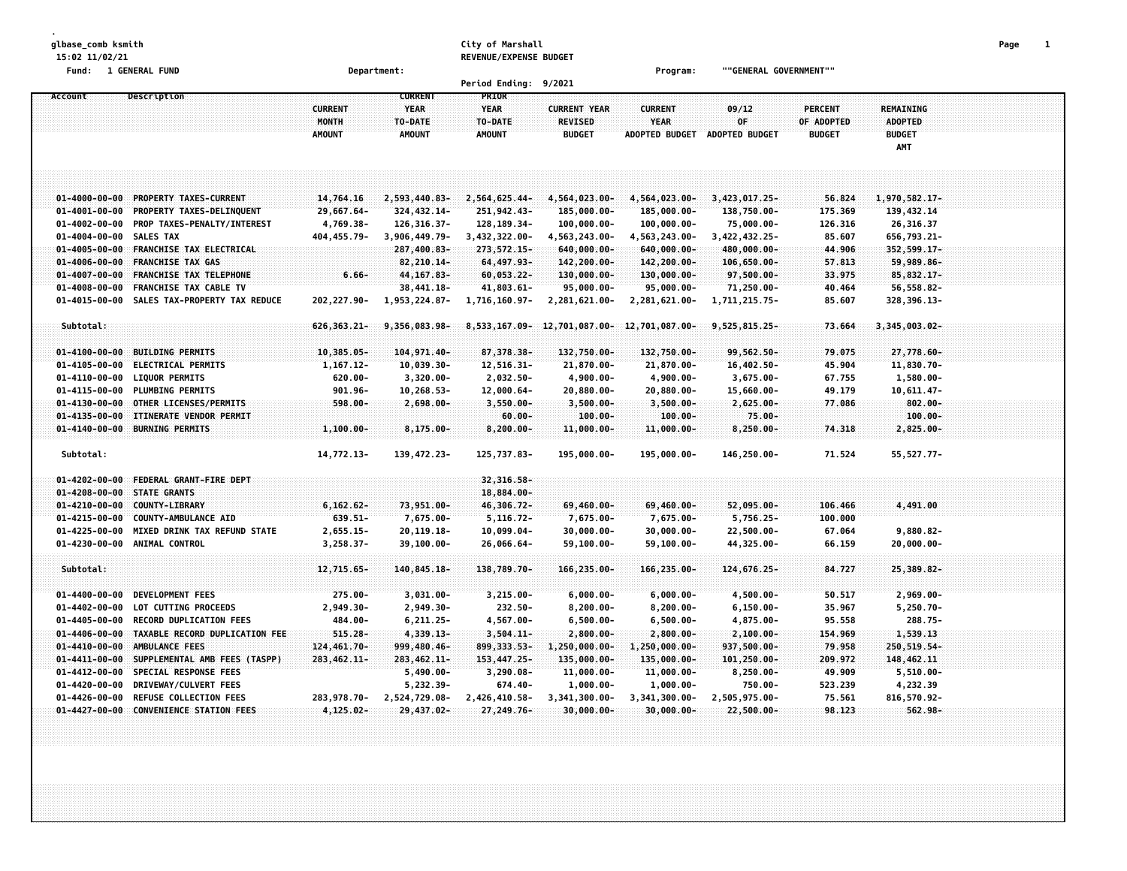**glbase\_comb ksmith City of Marshall Page 1 15:02 11/02/21 REVENUE/EXPENSE BUDGET**

**Fund: 1 GENERAL FUND Department: Program: ""GENERAL GOVERNMENT""**

| 9/2021<br><b>Period Ending:</b>                |                                                |                |                  |               |                                           |                       |                       |                |                  |  |  |  |  |
|------------------------------------------------|------------------------------------------------|----------------|------------------|---------------|-------------------------------------------|-----------------------|-----------------------|----------------|------------------|--|--|--|--|
| Account                                        | Description                                    |                | <b>CURRENT</b>   | PRIOR         |                                           |                       |                       |                |                  |  |  |  |  |
|                                                |                                                | <b>CURRENT</b> | <b>YEAR</b>      | <b>YEAR</b>   | <b>CURRENT YEAR</b>                       | <b>CURRENT</b>        | 09/12                 | <b>PERCENT</b> | <b>REMAINING</b> |  |  |  |  |
|                                                |                                                | <b>MONTH</b>   | TO-DATE          | TO-DATE       | <b>REVISED</b>                            | <b>YEAR</b>           | 0F                    | OF ADOPTED     | <b>ADOPTED</b>   |  |  |  |  |
|                                                |                                                | <b>AMOUNT</b>  | <b>AMOUNT</b>    | <b>AMOUNT</b> | <b>BUDGET</b>                             | <b>ADOPTED BUDGET</b> | <b>ADOPTED BUDGET</b> | <b>BUDGET</b>  | <b>BUDGET</b>    |  |  |  |  |
|                                                |                                                |                |                  |               |                                           |                       |                       |                | AMT              |  |  |  |  |
|                                                |                                                |                |                  |               |                                           |                       |                       |                |                  |  |  |  |  |
|                                                |                                                |                |                  |               |                                           |                       |                       |                |                  |  |  |  |  |
|                                                |                                                |                |                  |               |                                           |                       |                       |                |                  |  |  |  |  |
| $01 - 4000 - 00 - 00$                          | PROPERTY TAXES-CURRENT                         | 14,764.16      | 2,593,440.83-    | 2,564,625.44- | 4,564,023.00-                             | 4,564,023.00-         | 3,423,017.25-         | 56.824         | 1,970,582.17-    |  |  |  |  |
| $01 - 4001 - 00 - 00$                          | PROPERTY TAXES-DELINQUENT                      | 29,667.64-     | 324, 432.14-     | 251,942.43-   | 185,000.00-                               | 185,000.00-           | 138,750.00-           | 175.369        | 139,432.14       |  |  |  |  |
| $01 - 4002 - 00 - 00$                          | PROP TAXES-PENALTY/INTEREST                    | 4,769.38-      | 126, 316. 37-    | 128, 189. 34- | $100,000.00 -$                            | 100,000.00-           | 75,000.00-            | 126.316        | 26,316.37        |  |  |  |  |
| 01-4004-00-00 SALES TAX                        |                                                | 404,455.79-    | 3,906,449.79-    | 3,432,322.00- | 4,563,243.00-                             | 4,563,243.00-         | 3,422,432.25-         | 85.607         | 656,793.21-      |  |  |  |  |
| $01 - 4005 - 00 - 00$                          | <b>FRANCHISE TAX ELECTRICAL</b>                |                | 287,400.83-      | 273, 572. 15- | $640,000.00 -$                            | $640,000.00 -$        | 480,000.00-           | 44.906         | 352,599.17-      |  |  |  |  |
| $01 - 4006 - 00 - 00$                          | <b>FRANCHISE TAX GAS</b>                       |                | $82,210.14-$     | $64,497.93-$  | 142,200.00-                               | $142, 200.00 -$       | $106,650.00 -$        | 57.813         | 59,989.86-       |  |  |  |  |
| $01 - 4007 - 00 - 00$                          | FRANCHISE TAX TELEPHONE                        | $6.66 -$       | 44, 167.83-      | 60,053.22-    | 130,000.00-                               | 130,000.00-           | 97,500.00-            | 33.975         | 85, 832.17-      |  |  |  |  |
| $01 - 4008 - 00 - 00$                          | <b>FRANCHISE TAX CABLE TV</b>                  |                | 38,441.18-       | 41,803.61-    | 95,000.00-                                | 95,000.00-            | 71,250.00-            | 40.464         | 56,558.82-       |  |  |  |  |
| $01 - 4015 - 00 - 00$                          | SALES TAX-PROPERTY TAX REDUCE                  | 202,227.90-    | 1,953,224.87-    | 1,716,160.97- | 2,281,621.00-                             | 2,281,621.00-         | 1,711,215.75-         | 85.607         | 328, 396.13-     |  |  |  |  |
|                                                |                                                |                |                  |               |                                           |                       |                       |                |                  |  |  |  |  |
| Subtotal:                                      |                                                | 626, 363. 21-  | $9,356,083.98 -$ |               | 8,533,167.09-12,701,087.00-12,701,087.00- |                       | 9,525,815.25-         | 73.664         | 3,345,003.02-    |  |  |  |  |
|                                                |                                                |                |                  |               |                                           |                       |                       |                |                  |  |  |  |  |
|                                                | 01-4100-00-00 BUILDING PERMITS                 | 10,385.05-     | 104,971.40-      | 87,378.38-    | 132,750.00-                               | 132,750.00-           | 99,562.50-            | 79.075         | 27,778.60-       |  |  |  |  |
| $01 - 4105 - 00 - 00$                          | <b>ELECTRICAL PERMITS</b>                      | $1, 167.12 -$  | 10,039.30-       | 12,516.31-    | 21,870.00-                                | 21,870.00-            | 16,402.50-            | 45.904         | 11,830.70-       |  |  |  |  |
| $01 - 4110 - 00 - 00$                          | <b>LIQUOR PERMITS</b>                          | $620.00 -$     | $3,320.00 -$     | 2,032.50-     | $4,900.00 -$                              | $4,900.00 -$          | 3,675.00-             | 67.755         | $1,580.00 -$     |  |  |  |  |
| $01 - 4115 - 00 - 00$                          | <b>PLUMBING PERMITS</b>                        | 901.96-        | 10,268.53-       | 12,000.64-    | 20,880.00-                                | 20,880.00-            | 15,660.00-            | 49.179         | 10,611.47-       |  |  |  |  |
| $01 - 4130 - 00 - 00$                          | OTHER LICENSES/PERMITS                         | $598.00 -$     | $2,698.00 -$     | $3,550.00 -$  | $3,500.00 -$                              | $3,500.00 -$          | $2,625.00 -$          | 77.086         | $802.00 -$       |  |  |  |  |
| $01 - 4135 - 00 - 00$                          | ITINERATE VENDOR PERMIT                        |                |                  | $60.00 -$     | $100.00 -$                                | $100.00 -$            | $75.00 -$             |                | $100.00 -$       |  |  |  |  |
|                                                | 01-4140-00-00 BURNING PERMITS                  | $1,100.00 -$   | 8,175.00-        | $8,200.00 -$  | $11,000.00 -$                             | 11,000.00-            | $8,250.00 -$          | 74.318         | 2,825.00-        |  |  |  |  |
|                                                |                                                |                |                  |               |                                           |                       |                       |                |                  |  |  |  |  |
| Subtotal:                                      |                                                | 14,772.13-     | 139, 472. 23-    | 125,737.83-   | 195,000.00-                               | 195,000.00-           | 146,250.00-           | 71.524         | 55, 527. 77-     |  |  |  |  |
|                                                |                                                |                |                  | 32,316.58-    |                                           |                       |                       |                |                  |  |  |  |  |
| $01 - 4202 - 00 - 00$<br>$01 - 4208 - 00 - 00$ | FEDERAL GRANT-FIRE DEPT<br><b>STATE GRANTS</b> |                |                  | 18,884.00-    |                                           |                       |                       |                |                  |  |  |  |  |
| $01 - 4210 - 00 - 00$                          | <b>COUNTY-LIBRARY</b>                          | $6, 162.62 -$  | 73,951.00-       | 46,306.72-    | 69,460.00-                                | 69,460.00-            | 52,095.00-            | 106,466        | 4,491.00         |  |  |  |  |
| $01 - 4215 - 00 - 00$                          | COUNTY-AMBULANCE AID                           | 639.51-        | 7,675.00-        | $5, 116.72 -$ | 7,675.00-                                 | 7,675.00-             | 5,756.25-             | 100.000        |                  |  |  |  |  |
| $01 - 4225 - 00 - 00$                          | MIXED DRINK TAX REFUND STATE                   | $2,655.15-$    | 20, 119. 18-     | $10,099.04-$  | 30,000.00-                                | $30,000.00 -$         | 22,500.00-            | 67.064         | $9,880.82 -$     |  |  |  |  |
|                                                | 01-4230-00-00 ANIMAL CONTROL                   | 3,258.37-      | 39,100.00-       | 26,066.64-    | 59,100.00-                                | 59,100.00-            | 44,325.00-            | 66.159         | $20,000.00 -$    |  |  |  |  |
|                                                |                                                |                |                  |               |                                           |                       |                       |                |                  |  |  |  |  |
| Subtotal:                                      |                                                | 12,715.65-     | 140,845.18-      | 138,789.70-   | 166,235.00-                               | 166,235.00-           | 124,676.25-           | 84.727         | 25,389.82-       |  |  |  |  |
|                                                |                                                |                |                  |               |                                           |                       |                       |                |                  |  |  |  |  |
| $01 - 4400 - 00 - 00$                          | <b>DEVELOPMENT FEES</b>                        | $275.00 -$     | $3,031.00 -$     | $3,215.00 -$  | $6,000.00 -$                              | $6,000.00 -$          | $4,500.00 -$          | 50.517         | $2,969.00 -$     |  |  |  |  |
| $01 - 4402 - 00 - 00$                          | LOT CUTTING PROCEEDS                           | $2,949.30 -$   | 2,949.30-        | $232.50 -$    | $8,200.00 -$                              | $8,200.00 -$          | $6, 150.00 -$         | 35.967         | $5,250.70 -$     |  |  |  |  |
| $01 - 4405 - 00 - 00$                          | <b>RECORD DUPLICATION FEES</b>                 | 484.00-        | $6, 211.25 -$    | 4,567.00-     | $6,500.00 -$                              | $6,500.00 -$          | 4,875.00-             | 95.558         | 288.75-          |  |  |  |  |
| $01 - 4406 - 00 - 00$                          | TAXABLE RECORD DUPLICATION FEE                 | 515.28-        | 4,339.13-        | $3,504.11 -$  | $2,800.00 -$                              | $2,800.00 -$          | $2,100.00 -$          | 154.969        | 1,539.13         |  |  |  |  |
| $01 - 4410 - 00 - 00$                          | AMBULANCE FEES                                 | 124,461.70-    | 999,480.46-      | 899, 333, 53- | 1,250,000.00-                             | 1,250,000.00-         | 937,500.00-           | 79.958         | 250,519.54-      |  |  |  |  |
| $01 - 4411 - 00 - 00$                          | SUPPLEMENTAL AMB FEES (TASPP)                  | 283, 462.11-   | 283, 462.11-     | 153, 447.25-  | 135,000.00-                               | 135,000.00-           | $101, 250.00 -$       | 209.972        | 148,462.11       |  |  |  |  |
| $01 - 4412 - 00 - 00$                          | SPECIAL RESPONSE FEES                          |                | $5,490.00 -$     | $3,290.08 -$  | $11,000.00 -$                             | $11,000.00 -$         | $8,250.00 -$          | 49.909         | $5,510.00 -$     |  |  |  |  |
| $01 - 4420 - 00 - 00$                          | DRIVEWAY/CULVERT FEES                          |                | 5,232.39-        | $674.40 -$    | $1,000.00-$                               | $1,000.00-$           | 750.00-               | 523.239        | 4,232.39         |  |  |  |  |
| $01 - 4426 - 00 - 00$                          | <b>REFUSE COLLECTION FEES</b>                  | 283,978.70-    | 2,524,729.08-    | 2,426,410.58- | 3,341,300.00-                             | 3,341,300.00-         | 2,505,975.00-         | 75.561         | 816,570.92-      |  |  |  |  |
|                                                | 01-4427-00-00 CONVENTENCE STATION FEES         | 4,125.02-      | 29,437.02-       | 27,249.76-    | $30,000.00 -$                             | $30,000.00 -$         | 22,500.00-            | 98.123         | $562.98 -$       |  |  |  |  |
|                                                |                                                |                |                  |               |                                           |                       |                       |                |                  |  |  |  |  |
|                                                |                                                |                |                  |               |                                           |                       |                       |                |                  |  |  |  |  |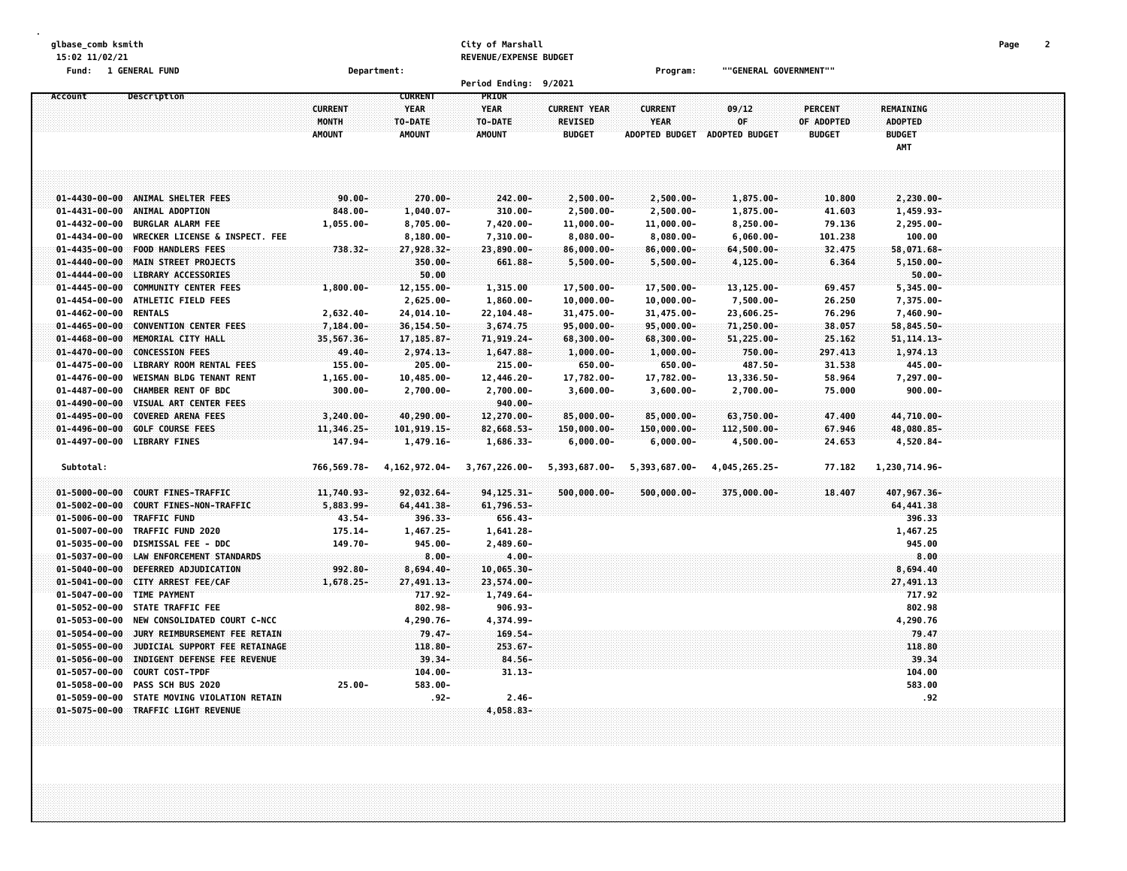| glbase_comb ksmith    |                                |                         |                              | City of Marshall       |                               |                               |                              |                   |                         | Page | 2 |
|-----------------------|--------------------------------|-------------------------|------------------------------|------------------------|-------------------------------|-------------------------------|------------------------------|-------------------|-------------------------|------|---|
| 15:02 11/02/21        |                                |                         |                              | REVENUE/EXPENSE BUDGET |                               |                               |                              |                   |                         |      |   |
| Fund: 1 GENERAL FUND  |                                | Department:             |                              |                        |                               | Program:                      | ""GENERAL GOVERNMENT""       |                   |                         |      |   |
|                       |                                |                         |                              | <b>Period Ending:</b>  | 9/2021                        |                               |                              |                   |                         |      |   |
| Account               | Description                    |                         | <b>CURRENT</b>               | PRIOR                  |                               |                               |                              |                   |                         |      |   |
|                       |                                | <b>CURRENT</b>          | <b>YEAR</b>                  | <b>YEAR</b>            | <b>CURRENT YEAR</b>           | <b>CURRENT</b>                | 09/12                        | <b>PERCENT</b>    | REMAINING               |      |   |
|                       |                                | MONTH                   | TO-DATE                      | TO-DATE                | <b>REVISED</b>                | <b>YEAR</b>                   | 0F                           | OF ADOPTED        | <b>ADOPTED</b>          |      |   |
|                       |                                | <b>AMOUNT</b>           | <b>AMOUNT</b>                | <b>AMOUNT</b>          | <b>BUDGET</b>                 | <b>ADOPTED BUDGET</b>         | ADOPTED BUDGET               | <b>BUDGET</b>     | <b>BUDGET</b>           |      |   |
|                       |                                |                         |                              |                        |                               |                               |                              |                   | AMT                     |      |   |
|                       |                                |                         |                              |                        |                               |                               |                              |                   |                         |      |   |
|                       |                                |                         |                              |                        |                               |                               |                              |                   |                         |      |   |
| $01 - 4430 - 00 - 00$ | ANIMAL SHELTER FEES            |                         |                              |                        |                               |                               |                              |                   |                         |      |   |
| $01 - 4431 - 00 - 00$ | ANIMAL ADOPTION                | $90.00 -$<br>$848.00 -$ | 270.00-                      | 242.00-                | $2,500.00 -$                  | $2,500.00 -$                  | $1,875.00 -$                 | 10.800            | 2,230.00-               |      |   |
| $01 - 4432 - 00 - 00$ | <b>BURGLAR ALARM FEE</b>       |                         | $1,040.07 -$                 | $310.00 -$             | $2,500.00 -$                  | $2,500.00 -$                  | 1,875.00-                    | 41.603            | 1,459.93-               |      |   |
| $01 - 4434 - 00 - 00$ | WRECKER LICENSE & INSPECT. FEE | $1,055.00 -$            | $8,705.00 -$<br>$8,180.00 -$ | 7,420.00-<br>7,310.00- | $11,000.00 -$<br>$8,080.00 -$ | $11,000.00 -$<br>$8,080.00 -$ | $8,250.00 -$<br>$6,060.00 -$ | 79.136<br>101.238 | $2,295.00 -$<br>100.00  |      |   |
| $01 - 4435 - 00 - 00$ | <b>FOOD HANDLERS FEES</b>      | $738.32 -$              |                              |                        |                               |                               | $64,500.00 -$                | 32.475            |                         |      |   |
| $01 - 4440 - 00 - 00$ | MAIN STREET PROJECTS           |                         | 27,928.32-<br>350.00-        | 23,890.00-<br>661.88-  | $86,000.00 -$<br>$5,500.00 -$ | 86,000.00-<br>$5,500.00 -$    | $4,125.00 -$                 | 6.364             | 58,071.68-<br>5,150.00- |      |   |
| $01 - 4444 - 00 - 00$ | <b>LIBRARY ACCESSORIES</b>     |                         | 50.00                        |                        |                               |                               |                              |                   | $50.00 -$               |      |   |
| $01 - 4445 - 00 - 00$ | <b>COMMUNITY CENTER FEES</b>   | $1,800.00 -$            | 12,155.00-                   | 1,315.00               | 17,500.00-                    | 17,500.00-                    | 13,125.00-                   | 69.457            | $5,345.00 -$            |      |   |
| $01 - 4454 - 00 - 00$ | ATHLETIC FIELD FEES            |                         | 2,625.00-                    | $1,860.00 -$           | $10,000.00 -$                 | $10,000.00 -$                 | 7,500.00-                    | 26.250            | 7,375.00-               |      |   |
| $01 - 4462 - 00 - 00$ | <b>RENTALS</b>                 | $2,632.40 -$            | 24,014.10-                   | 22,104.48-             | 31,475.00-                    | 31,475.00-                    | 23,606.25-                   | 76.296            | 7,460.90-               |      |   |
| $01 - 4465 - 00 - 00$ | <b>CONVENTION CENTER FEES</b>  | 7,184.00-               | $36, 154.50 -$               | 3,674.75               | $95,000.00 -$                 | 95,000.00-                    | 71,250.00-                   | 38.057            | 58,845.50-              |      |   |
| $01 - 4468 - 00 - 00$ | MEMORIAL CITY HALL             | 35,567.36-              | 17, 185.87-                  | 71,919.24-             | 68,300.00-                    | 68,300.00-                    | 51,225.00-                   | 25.162            | $51, 114.13 -$          |      |   |
| $01 - 4470 - 00 - 00$ | <b>CONCESSION FEES</b>         | 49.40-                  | 2,974.13-                    | 1,647.88-              | $1,000.00 -$                  | $1,000.00-$                   | 750.00-                      | 297.413           | 1,974.13                |      |   |
| $01 - 4475 - 00 - 00$ | LIBRARY ROOM RENTAL FEES       | $155.00 -$              | $205.00 -$                   | 215.00-                | $650.00 -$                    | $650.00 -$                    | 487.50-                      | 31.538            | 445.00-                 |      |   |
| $01 - 4476 - 00 - 00$ | WEISMAN BLDG TENANT RENT       | $1, 165.00 -$           | $10,485.00 -$                | 12,446.20-             | 17,782.00-                    | 17,782.00-                    | 13,336.50-                   | 58.964            | 7,297.00-               |      |   |
| $01 - 4487 - 00 - 00$ | CHAMBER RENT OF BDC            | $300.00 -$              | $2,700.00 -$                 | 2,700.00-              | $3,600.00 -$                  | $3,600.00 -$                  | $2,700.00 -$                 | 75.000            | $900.00 -$              |      |   |
| $01 - 4490 - 00 - 00$ | VISUAL ART CENTER FEES         |                         |                              | $940.00 -$             |                               |                               |                              |                   |                         |      |   |
| $01 - 4495 - 00 - 00$ | <b>COVERED ARENA FEES</b>      | $3,240.00 -$            | 40,290.00-                   | 12,270.00-             | 85,000.00-                    | $85,000.00 -$                 | 63,750.00-                   | 47.400            | 44,710.00-              |      |   |
| $01 - 4496 - 00 - 00$ | <b>GOLF COURSE FEES</b>        | 11,346.25-              | 101,919.15-                  | 82,668.53-             | 150,000.00-                   | 150,000.00-                   | 112,500.00-                  | 67.946            | 48,080.85-              |      |   |
| $01 - 4497 - 00 - 00$ | <b>LIBRARY FINES</b>           | 147.94-                 | 1,479.16-                    | 1,686.33-              | $6,000.00 -$                  | $6,000.00 -$                  | 4,500.00-                    | 24.653            | 4,520.84-               |      |   |
|                       |                                |                         |                              |                        |                               |                               |                              |                   |                         |      |   |
| Subtotal:             |                                | 766,569.78-             | 4, 162, 972.04-              | 3,767,226.00-          | 5,393,687.00-                 | 5,393,687.00-                 | 4,045,265.25-                | 77.182            | 1,230,714.96-           |      |   |
|                       |                                |                         |                              |                        |                               |                               |                              |                   |                         |      |   |
| $01 - 5000 - 00 - 00$ | <b>COURT FINES-TRAFFIC</b>     | 11,740.93-              | 92,032.64-                   | 94, 125. 31-           | $500,000.00 -$                | $500,000.00 -$                | 375,000.00-                  | 18.407            | 407,967.36-             |      |   |
| $01 - 5002 - 00 - 00$ | COURT FINES-NON-TRAFFIC        | 5,883.99-               | 64, 441.38-                  | 61,796.53-             |                               |                               |                              |                   | 64,441.38               |      |   |
| $01 - 5006 - 00 - 00$ | TRAFFIC FUND                   | 43.54-                  | 396.33-                      | 656.43-                |                               |                               |                              |                   | 396.33                  |      |   |
| $01 - 5007 - 00 - 00$ | TRAFFIC FUND 2020              | $175.14-$               | 1,467.25-                    | 1,641.28-              |                               |                               |                              |                   | 1,467.25                |      |   |
| $01 - 5035 - 00 - 00$ | DISMISSAL FEE - DDC            | 149.70-                 | $945.00 -$                   | $2,489.60 -$           |                               |                               |                              |                   | 945.00                  |      |   |
| $01 - 5037 - 00 - 00$ | LAW ENFORCEMENT STANDARDS      |                         | $8.00 -$                     | $4.00 -$               |                               |                               |                              |                   | 8.00                    |      |   |
| $01 - 5040 - 00 - 00$ | DEFERRED ADJUDICATION          | 992.80-                 | $8,694.40 -$                 | $10,065.30 -$          |                               |                               |                              |                   | 8,694.40                |      |   |
| $01 - 5041 - 00 - 00$ | CITY ARREST FEE/CAF            | $1,678.25-$             | 27,491.13-                   | 23,574.00-             |                               |                               |                              |                   | 27,491.13               |      |   |
| $01 - 5047 - 00 - 00$ | <b>TIME PAYMENT</b>            |                         | 717.92-                      | 1,749.64-              |                               |                               |                              |                   | 717.92                  |      |   |
| 01-5052-00-00         | STATE TRAFFIC FEE              |                         | 802.98-                      | $906.93 -$             |                               |                               |                              |                   | 802.98                  |      |   |
| $01 - 5053 - 00 - 00$ | NEW CONSOLIDATED COURT C-NCC   |                         | 4,290.76-                    | 4,374.99-              |                               |                               |                              |                   | 4,290.76                |      |   |
| $01 - 5054 - 00 - 00$ | JURY REIMBURSEMENT FEE RETAIN  |                         | $79.47 -$                    | 169.54-                |                               |                               |                              |                   | 79.47                   |      |   |
| $01 - 5055 - 00 - 00$ | JUDICIAL SUPPORT FEE RETAINAGE |                         | 118.80-                      | $253.67 -$             |                               |                               |                              |                   | 118.80                  |      |   |
| $01 - 5056 - 00 - 00$ | INDIGENT DEFENSE FEE REVENUE   |                         | $39.34 -$                    | $84.56 -$              |                               |                               |                              |                   | 39.34                   |      |   |
| $01 - 5057 - 00 - 00$ | <b>COURT COST-TPDF</b>         |                         | $104.00 -$                   | $31.13 -$              |                               |                               |                              |                   | 104.00                  |      |   |
| $01 - 5058 - 00 - 00$ | PASS SCH BUS 2020              | $25.00 -$               | 583.00-                      |                        |                               |                               |                              |                   | 583.00                  |      |   |
| $01 - 5059 - 00 - 00$ | STATE MOVING VIOLATION RETAIN  |                         | .92-                         | $2.46 -$               |                               |                               |                              |                   | . 92                    |      |   |
| $01 - 5075 - 00 - 00$ | TRAFFIC LIGHT REVENUE          |                         |                              | 4,058.83-              |                               |                               |                              |                   |                         |      |   |
|                       |                                |                         |                              |                        |                               |                               |                              |                   |                         |      |   |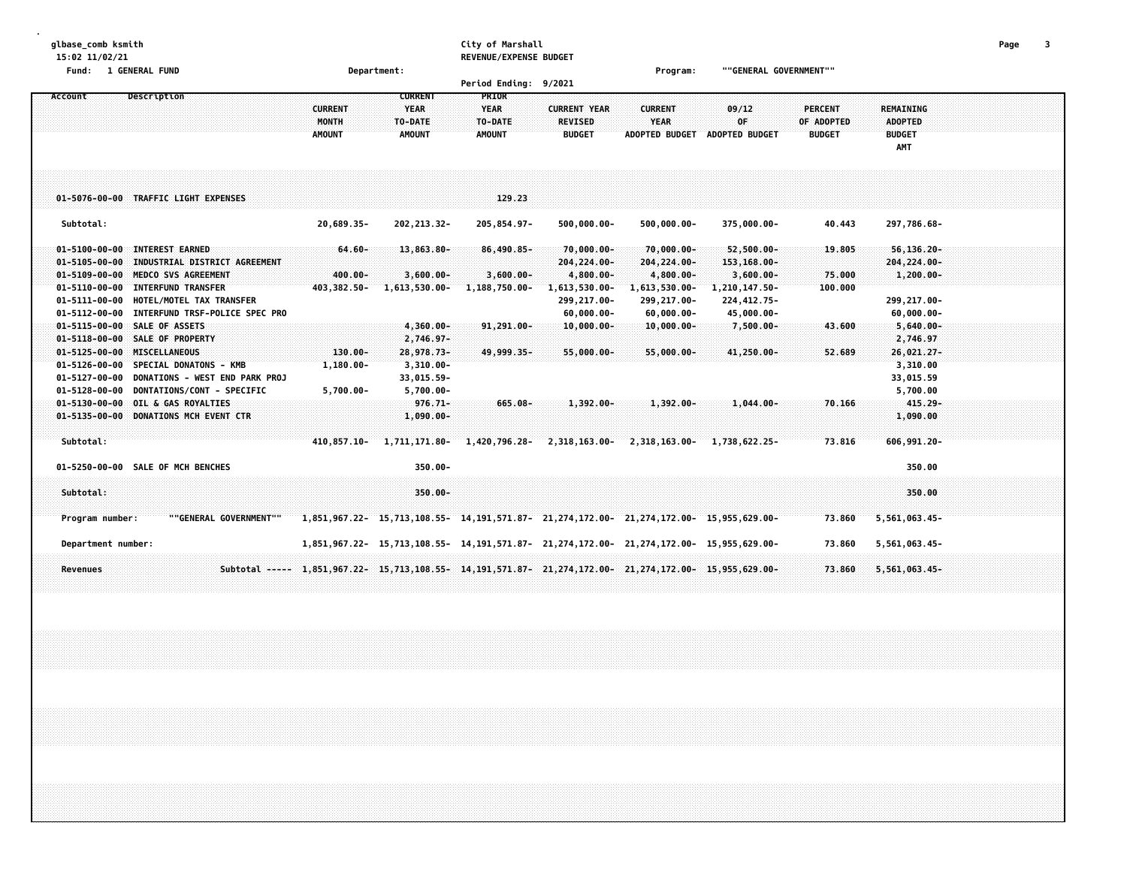| glbase_comb ksmith<br>15:02 11/02/21                                                                                                                                                                                                                                            |                                                                                                                             | City of Marshall<br>REVENUE/EXPENSE BUDGET                   |                                                                                                              |                                                                                            |                                                                                                              |                                               |                                                                                           | $\overline{\mathbf{3}}$<br>Page |
|---------------------------------------------------------------------------------------------------------------------------------------------------------------------------------------------------------------------------------------------------------------------------------|-----------------------------------------------------------------------------------------------------------------------------|--------------------------------------------------------------|--------------------------------------------------------------------------------------------------------------|--------------------------------------------------------------------------------------------|--------------------------------------------------------------------------------------------------------------|-----------------------------------------------|-------------------------------------------------------------------------------------------|---------------------------------|
| Fund: 1 GENERAL FUND                                                                                                                                                                                                                                                            | Department:                                                                                                                 | Period Ending: 9/2021                                        |                                                                                                              | Program:                                                                                   | ""GENERAL GOVERNMENT""                                                                                       |                                               |                                                                                           |                                 |
| Description<br>Account                                                                                                                                                                                                                                                          | <b>CURRENT</b><br><b>CURRENT</b><br><b>YEAR</b><br><b>MONTH</b><br>TO-DATE<br><b>AMOUNT</b><br><b>AMOUNT</b>                | PRIOR<br><b>YEAR</b><br>TO-DATE<br><b>AMOUNT</b>             | <b>CURRENT YEAR</b><br><b>REVISED</b><br><b>BUDGET</b>                                                       | <b>CURRENT</b><br><b>YEAR</b><br><b>ADOPTED BUDGET</b>                                     | 09/12<br>0F<br><b>ADOPTED BUDGET</b>                                                                         | <b>PERCENT</b><br>OF ADOPTED<br><b>BUDGET</b> | <b>REMAINING</b><br><b>ADOPTED</b><br><b>BUDGET</b><br>AMT                                |                                 |
| 01-5076-00-00 TRAFFIC LIGHT EXPENSES                                                                                                                                                                                                                                            |                                                                                                                             | 129.23                                                       |                                                                                                              |                                                                                            |                                                                                                              |                                               |                                                                                           |                                 |
| Subtotal:                                                                                                                                                                                                                                                                       | 20,689.35-<br>202, 213.32-                                                                                                  | 205,854.97-                                                  | $500,000.00 -$                                                                                               | $500,000.00 -$                                                                             | 375,000.00-                                                                                                  | 40.443                                        | 297,786.68-                                                                               |                                 |
| 01-5100-00-00 INTEREST EARNED<br>01-5105-00-00 INDUSTRIAL DISTRICT AGREEMENT<br>01-5109-00-00 MEDCO SVS AGREEMENT<br>01-5110-00-00 INTERFUND TRANSFER<br>01-5111-00-00 HOTEL/MOTEL TAX TRANSFER<br>01-5112-00-00 INTERFUND TRSF-POLICE SPEC PRO<br>01-5115-00-00 SALE OF ASSETS | 13,863.80-<br>$64.60 -$<br>400.00-<br>$3,600.00 -$<br>403,382.50-<br>1,613,530.00-<br>$4,360.00 -$                          | $86,490.85 -$<br>$3,600.00 -$<br>1,188,750.00-<br>91,291.00- | $70,000.00 -$<br>204, 224.00-<br>4,800.00-<br>1,613,530.00-<br>299,217.00-<br>$60,000.00 -$<br>$10,000.00 -$ | $70,000.00 -$<br>204,224.00-<br>4,800.00-<br>1,613,530.00-<br>299,217.00-<br>$60,000.00 -$ | $52,500.00 -$<br>$153, 168.00 -$<br>$3,600.00 -$<br>1,210,147.50-<br>224, 412.75-<br>45,000.00-<br>7,500.00- | 19.805<br>75.000<br>100.000<br>43.600         | $56, 136.20 -$<br>204, 224.00-<br>$1,200.00 -$<br>299,217.00-<br>$60,000.00 -$            |                                 |
| 01-5118-00-00 SALE OF PROPERTY<br>01-5125-00-00 MISCELLANEOUS<br>01-5126-00-00 SPECIAL DONATONS - KMB<br>01-5127-00-00 DONATIONS - WEST END PARK PROJ<br>01-5128-00-00 DONTATIONS/CONT - SPECIFIC<br>01-5130-00-00 OIL & GAS ROYALTIES                                          | 2,746.97-<br>$130.00 -$<br>28,978.73-<br>$3,310.00 -$<br>1,180.00-<br>33,015.59-<br>$5,700.00 -$<br>5,700.00-<br>$976.71 -$ | 49,999.35-<br>665.08-                                        | 55,000.00-<br>$1,392.00 -$                                                                                   | $10,000.00 -$<br>$55,000.00 -$                                                             | 41,250.00-<br>$1,044.00 -$                                                                                   | 52.689<br>70.166                              | $5,640.00 -$<br>2,746.97<br>26,021.27-<br>3,310.00<br>33,015.59<br>5,700.00<br>$415.29 -$ |                                 |
| 01-5135-00-00 DONATIONS MCH EVENT CTR<br>Subtotal:                                                                                                                                                                                                                              | 1,090.00-<br>410,857.10- 1,711,171.80- 1,420,796.28- 2,318,163.00- 2,318,163.00-                                            |                                                              |                                                                                                              | $1,392.00 -$                                                                               | 1,738,622.25-                                                                                                | 73.816                                        | 1,090.00<br>606,991.20-                                                                   |                                 |
| 01-5250-00-00 SALE OF MCH BENCHES<br>Subtotal:                                                                                                                                                                                                                                  | $350.00 -$<br>$350.00 -$                                                                                                    |                                                              |                                                                                                              |                                                                                            |                                                                                                              |                                               | 350.00<br>350.00                                                                          |                                 |
| Program number:<br>""GENERAL GOVERNMENT""                                                                                                                                                                                                                                       | 1,851,967.22- 15,713,108.55- 14,191,571.87- 21,274,172.00- 21,274,172.00- 15,955,629.00-                                    |                                                              |                                                                                                              |                                                                                            |                                                                                                              | 73.860                                        | 5,561,063.45-                                                                             |                                 |
| Department number:                                                                                                                                                                                                                                                              | 1,851,967.22- 15,713,108.55- 14,191,571.87- 21,274,172.00- 21,274,172.00- 15,955,629.00-                                    |                                                              |                                                                                                              |                                                                                            |                                                                                                              | 73.860                                        | 5,561,063.45-                                                                             |                                 |
| <b>Revenues</b>                                                                                                                                                                                                                                                                 | Subtotal ----- 1,851,967.22- 15,713,108.55- 14,191,571.87- 21,274,172.00- 21,274,172.00- 15,955,629.00-                     |                                                              |                                                                                                              |                                                                                            |                                                                                                              | 73.860                                        | $5,561,063.45-$                                                                           |                                 |
|                                                                                                                                                                                                                                                                                 |                                                                                                                             |                                                              |                                                                                                              |                                                                                            |                                                                                                              |                                               |                                                                                           |                                 |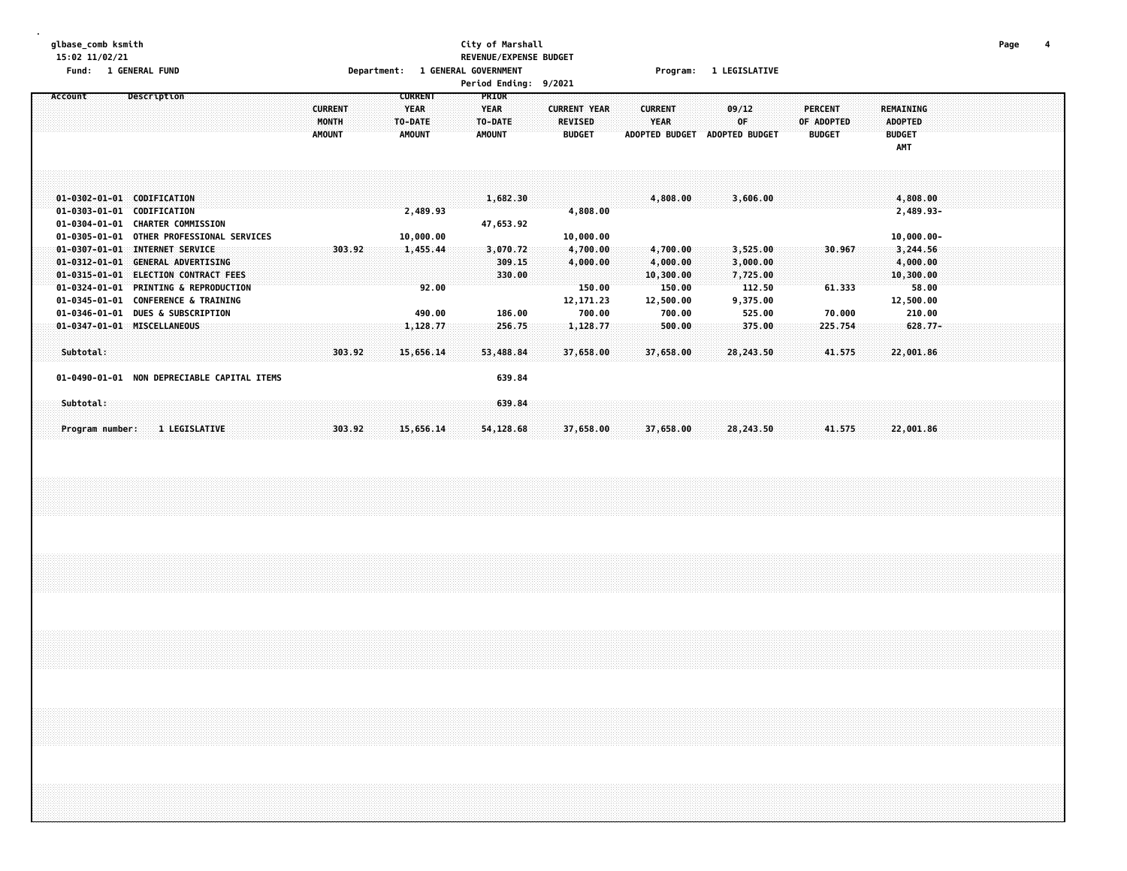### **glbase\_comb ksmith City of Marshall Page 4 15:02 11/02/21 REVENUE/EXPENSE BUDGET Fund: 1 GENERAL FUND Department: 1 GENERAL GOVERNMENT Program: 1 LEGISLATIVE**

| Account                                        | Description                                                            | <b>CURRENT</b>                                    | <b>PRIOR</b>           |                                       |                               |                       |                              |                                    |  |
|------------------------------------------------|------------------------------------------------------------------------|---------------------------------------------------|------------------------|---------------------------------------|-------------------------------|-----------------------|------------------------------|------------------------------------|--|
|                                                |                                                                        | <b>YEAR</b><br><b>CURRENT</b><br>MONTH<br>TO-DATE | <b>YEAR</b><br>TO-DATE | <b>CURRENT YEAR</b><br><b>REVISED</b> | <b>CURRENT</b><br><b>YEAR</b> | 09/12<br>0F           | <b>PERCENT</b><br>OF ADOPTED | <b>REMAINING</b><br><b>ADOPTED</b> |  |
|                                                |                                                                        | <b>AMOUNT</b><br><b>AMOUNT</b>                    | <b>AMOUNT</b>          | <b>BUDGET</b>                         | <b>ADOPTED BUDGET</b>         | <b>ADOPTED BUDGET</b> | <b>BUDGET</b>                | <b>BUDGET</b>                      |  |
|                                                |                                                                        |                                                   |                        |                                       |                               |                       |                              | <b>AMT</b>                         |  |
|                                                |                                                                        |                                                   |                        |                                       |                               |                       |                              |                                    |  |
|                                                |                                                                        |                                                   |                        |                                       |                               |                       |                              |                                    |  |
|                                                |                                                                        |                                                   |                        |                                       |                               |                       |                              |                                    |  |
| $01 - 0303 - 01 - 01$                          | 01-0302-01-01 CODIFICATION<br><b>CODIFICATION</b>                      | 2,489.93                                          | 1,682.30               | 4,808.00                              | 4,808.00                      | 3,606.00              |                              | 4,808.00<br>2,489.93-              |  |
| $01 - 0304 - 01 - 01$                          | <b>CHARTER COMMISSION</b>                                              |                                                   | 47,653.92              |                                       |                               |                       |                              |                                    |  |
| $01 - 0305 - 01 - 01$                          | OTHER PROFESSIONAL SERVICES                                            | 10,000.00                                         |                        | 10,000.00                             |                               |                       |                              | $10,000.00 -$                      |  |
| $01 - 0307 - 01 - 01$                          | <b>INTERNET SERVICE</b>                                                | 303.92<br>1,455.44                                | 3,070.72               | 4,700.00                              | 4,700.00                      | 3,525.00              | 30.967                       | 3,244.56                           |  |
| $01 - 0312 - 01 - 01$                          | <b>GENERAL ADVERTISING</b>                                             |                                                   | 309.15                 | 4,000.00                              | 4,000.00                      | 3,000.00              |                              | 4,000.00                           |  |
| $01 - 0315 - 01 - 01$                          | <b>ELECTION CONTRACT FEES</b>                                          |                                                   | 330.00                 |                                       | 10,300.00                     | 7,725.00              |                              | 10,300.00                          |  |
| $01 - 0324 - 01 - 01$<br>$01 - 0345 - 01 - 01$ | <b>PRINTING &amp; REPRODUCTION</b><br><b>CONFERENCE &amp; TRAINING</b> |                                                   | 92.00                  | 150.00<br>12,171.23                   | 150.00<br>12,500.00           | 112.50<br>9,375.00    | 61.333                       | 58.00<br>12,500.00                 |  |
| $01 - 0346 - 01 - 01$                          | <b>DUES &amp; SUBSCRIPTION</b>                                         | 490.00                                            | 186.00                 | 700.00                                | 700.00                        | 525.00                | 70.000                       | 210.00                             |  |
|                                                | 01-0347-01-01 MISCELLANEOUS                                            | 1,128.77                                          | 256.75                 | 1,128.77                              | 500.00                        | 375.00                | 225.754                      | $628.77-$                          |  |
|                                                |                                                                        |                                                   |                        |                                       |                               |                       |                              |                                    |  |
| Subtotal:                                      |                                                                        | 303.92<br>15,656.14                               | 53,488.84              | 37,658.00                             | 37,658.00                     | 28,243.50             | 41.575                       | 22,001.86                          |  |
|                                                |                                                                        |                                                   |                        |                                       |                               |                       |                              |                                    |  |
|                                                | 01-0490-01-01 NON DEPRECIABLE CAPITAL ITEMS                            |                                                   | 639.84                 |                                       |                               |                       |                              |                                    |  |
| Subtotal:                                      |                                                                        |                                                   | 639.84                 |                                       |                               |                       |                              |                                    |  |
|                                                |                                                                        |                                                   |                        |                                       |                               |                       |                              |                                    |  |
| Program number:                                | <b>1 LEGISLATIVE</b>                                                   | 15,656.14<br>303.92                               | 54,128.68              | 37,658.00                             | 37,658.00                     | 28,243.50             | 41.575                       | 22,001.86                          |  |
|                                                |                                                                        |                                                   |                        |                                       |                               |                       |                              |                                    |  |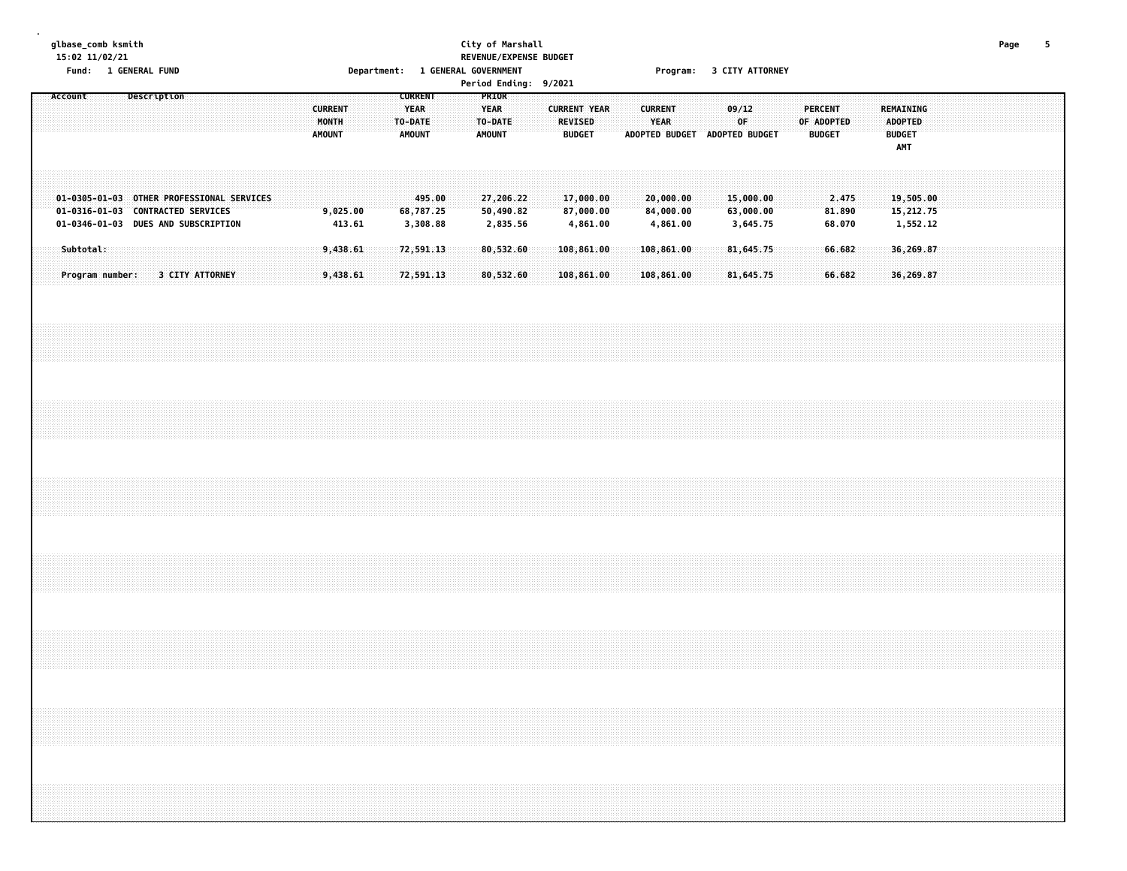#### **glbase\_comb ksmith City of Marshall Page 5 15:02 11/02/21 REVENUE/EXPENSE BUDGET** Fund: 1 GENERAL FUND CONTENT DEPARTMENT: 1 GENERAL GOVERNMENT COMPROMISE 2 CITY ATTORNEY

| $\cdots$<br>7.0014<br><b>CURRENT</b><br>Account<br>Description<br>PRIOR<br><b>CURRENT</b><br><b>YEAR</b><br><b>YEAR</b><br><b>CURRENT YEAR</b><br><b>CURRENT</b><br>09/12<br><b>PERCENT</b><br><b>REVISED</b><br>MONTH<br>TO-DATE<br>TO-DATE<br>YEAR<br>OF<br>OF ADOPTED<br><b>AMOUNT</b><br><b>AMOUNT</b><br><b>BUDGET</b><br><b>AMOUNT</b><br>ADOPTED BUDGET ADOPTED BUDGET<br><b>BUDGET</b><br>01-0305-01-03 OTHER PROFESSIONAL SERVICES<br>495.00<br>27,206.22<br>17,000.00<br>20,000.00<br>15,000.00<br>2.475<br>68,787.25<br>50,490.82<br>87,000.00<br>84,000.00<br>63,000.00<br>01-0316-01-03 CONTRACTED SERVICES<br>9,025.00<br>81.890<br>01-0346-01-03 DUES AND SUBSCRIPTION<br>413.61<br>3,308.88<br>2,835.56<br>4,861.00<br>4,861.00<br>3,645.75<br>68.070<br>Subtotal:<br>9,438.61<br>72,591.13<br>80,532.60<br>108,861.00<br>81,645.75<br>66.682<br>108,861.00<br><b>3 CITY ATTORNEY</b><br>9,438.61<br>72,591.13<br>80,532.60<br>66.682<br>108,861.00<br>108,861.00<br>81,645.75<br>Program number: |
|-------------------------------------------------------------------------------------------------------------------------------------------------------------------------------------------------------------------------------------------------------------------------------------------------------------------------------------------------------------------------------------------------------------------------------------------------------------------------------------------------------------------------------------------------------------------------------------------------------------------------------------------------------------------------------------------------------------------------------------------------------------------------------------------------------------------------------------------------------------------------------------------------------------------------------------------------------------------------------------------------------------------|
|                                                                                                                                                                                                                                                                                                                                                                                                                                                                                                                                                                                                                                                                                                                                                                                                                                                                                                                                                                                                                   |
|                                                                                                                                                                                                                                                                                                                                                                                                                                                                                                                                                                                                                                                                                                                                                                                                                                                                                                                                                                                                                   |
|                                                                                                                                                                                                                                                                                                                                                                                                                                                                                                                                                                                                                                                                                                                                                                                                                                                                                                                                                                                                                   |
|                                                                                                                                                                                                                                                                                                                                                                                                                                                                                                                                                                                                                                                                                                                                                                                                                                                                                                                                                                                                                   |
|                                                                                                                                                                                                                                                                                                                                                                                                                                                                                                                                                                                                                                                                                                                                                                                                                                                                                                                                                                                                                   |
|                                                                                                                                                                                                                                                                                                                                                                                                                                                                                                                                                                                                                                                                                                                                                                                                                                                                                                                                                                                                                   |
|                                                                                                                                                                                                                                                                                                                                                                                                                                                                                                                                                                                                                                                                                                                                                                                                                                                                                                                                                                                                                   |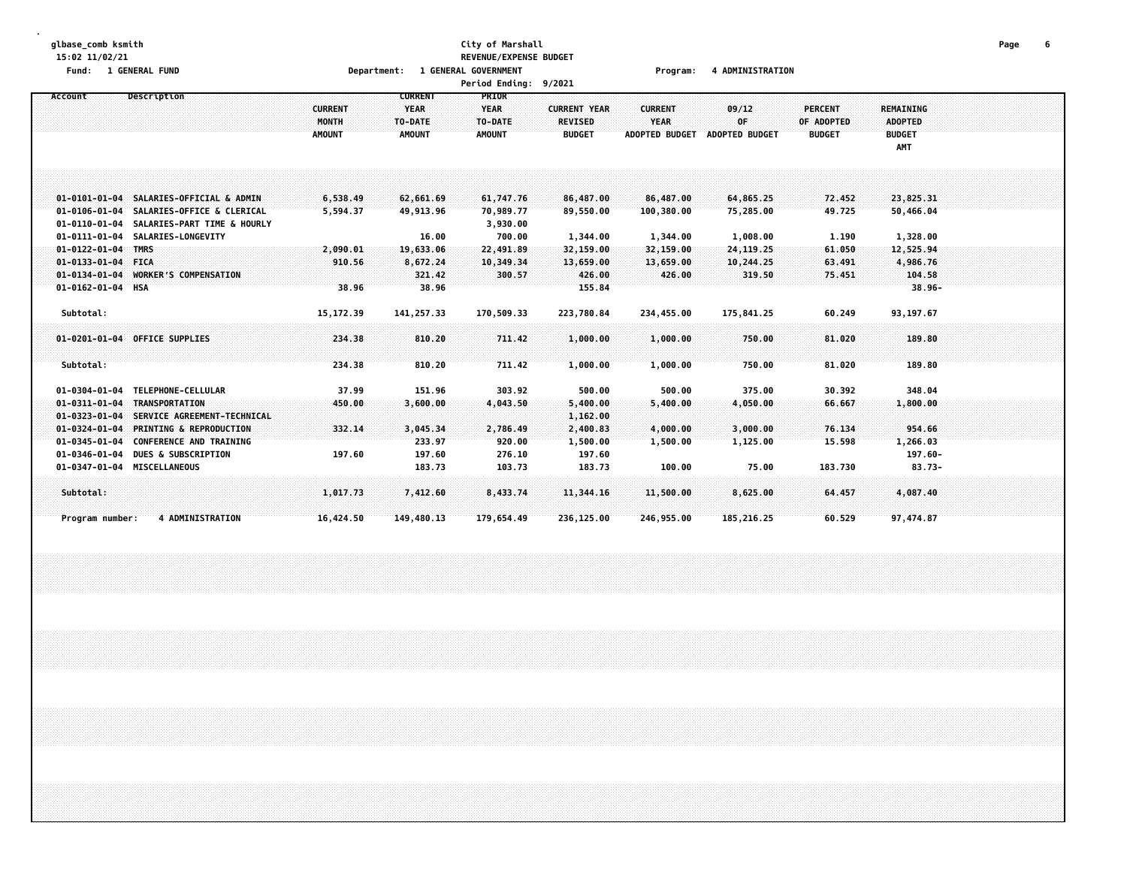#### **glbase\_comb ksmith City of Marshall Page 6 15:02 11/02/21 REVENUE/EXPENSE BUDGET Fund: 1 GENERAL FUND Department: 1 GENERAL GOVERNMENT Program: 4 ADMINISTRATION**

| Account                     | Description                               |                | <b>CURRENT</b> | <b>PRIOR</b>  |                     |                       |                |                |                |  |
|-----------------------------|-------------------------------------------|----------------|----------------|---------------|---------------------|-----------------------|----------------|----------------|----------------|--|
|                             |                                           | <b>CURRENT</b> | <b>YEAR</b>    | <b>YEAR</b>   | <b>CURRENT YEAR</b> | <b>CURRENT</b>        | 09/12          | <b>PERCENT</b> | REMAINING      |  |
|                             |                                           | MONTH          | TO-DATE        | TO-DATE       | <b>REVISED</b>      | YEAR                  | 0F             | OF ADOPTED     | <b>ADOPTED</b> |  |
|                             |                                           | <b>AMOUNT</b>  | <b>AMOUNT</b>  | <b>AMOUNT</b> | <b>BUDGET</b>       | <b>ADOPTED BUDGET</b> | ADOPTED BUDGET | <b>BUDGET</b>  | <b>BUDGET</b>  |  |
|                             |                                           |                |                |               |                     |                       |                |                | AMT            |  |
|                             |                                           |                |                |               |                     |                       |                |                |                |  |
|                             |                                           |                |                |               |                     |                       |                |                |                |  |
|                             |                                           |                |                |               |                     |                       |                |                |                |  |
|                             | 01-0101-01-04 SALARIES-OFFICIAL & ADMIN   | 6,538.49       | 62,661.69      | 61,747.76     | 86,487.00           | 86,487.00             | 64,865.25      | 72.452         | 23,825.31      |  |
| $01 - 0106 - 01 - 04$       | SALARIES-OFFICE & CLERICAL                | 5,594.37       | 49,913.96      | 70,989.77     | 89,550.00           | 100,380.00            | 75,285.00      | 49.725         | 50,466.04      |  |
|                             | 01-0110-01-04 SALARIES-PART TIME & HOURLY |                |                | 3,930.00      |                     |                       |                |                |                |  |
|                             | 01-0111-01-04 SALARIES-LONGEVITY          |                | 16.00          | 700.00        | 1,344.00            | 1,344.00              | 1,008.00       | 1.190          | 1,328.00       |  |
| $01 - 0122 - 01 - 04$       | <b>TMRS</b>                               | 2,090.01       | 19,633.06      | 22,491.89     | 32,159.00           | 32, 159.00            | 24, 119. 25    | 61.050         | 12,525.94      |  |
| $01 - 0133 - 01 - 04$       | <b>FICA</b>                               | 910.56         | 8,672.24       | 10,349.34     | 13,659.00           | 13,659.00             | 10,244.25      | 63.491         | 4,986.76       |  |
| $01 - 0134 - 01 - 04$       | <b>WORKER'S COMPENSATION</b>              |                | 321.42         | 300.57        | 426.00              | 426.00                | 319.50         | 75.451         | 104.58         |  |
| 01-0162-01-04 HSA           |                                           | 38.96          | 38.96          |               | 155.84              |                       |                |                | $38.96 -$      |  |
|                             |                                           |                |                |               |                     |                       |                |                |                |  |
| Subtotal:                   |                                           | 15, 172.39     | 141,257.33     | 170,509.33    | 223,780.84          | 234,455.00            | 175,841.25     | 60.249         | 93,197.67      |  |
|                             |                                           |                |                |               |                     |                       |                |                |                |  |
|                             | 01-0201-01-04 OFFICE SUPPLIES             | 234.38         | 810.20         | 711.42        | 1,000.00            | 1,000.00              | 750.00         | 81.020         | 189.80         |  |
|                             |                                           |                |                |               |                     |                       |                |                |                |  |
| Subtotal:                   |                                           | 234.38         | 810.20         | 711.42        | 1,000.00            | 1,000.00              | 750.00         | 81.020         | 189.80         |  |
|                             |                                           |                |                |               |                     |                       |                |                |                |  |
|                             | 01-0304-01-04 TELEPHONE-CELLULAR          | 37.99          | 151.96         | 303.92        | 500.00              | 500.00                | 375.00         | 30.392         | 348.04         |  |
|                             | 01-0311-01-04 TRANSPORTATION              | 450.00         | 3,600.00       | 4,043.50      | 5,400.00            | 5,400.00              | 4,050.00       | 66.667         | 1,800.00       |  |
|                             | 01-0323-01-04 SERVICE AGREEMENT-TECHNICAL |                |                |               | 1,162.00            |                       |                |                |                |  |
| $01 - 0324 - 01 - 04$       | <b>PRINTING &amp; REPRODUCTION</b>        | 332.14         | 3,045.34       | 2,786.49      | 2,400.83            | 4,000.00              | 3,000.00       | 76.134         | 954.66         |  |
| $01 - 0345 - 01 - 04$       | <b>CONFERENCE AND TRAINING</b>            |                | 233.97         | 920.00        | 1,500.00            | 1,500.00              | 1,125.00       | 15.598         | 1,266.03       |  |
| 01-0346-01-04               | <b>DUES &amp; SUBSCRIPTION</b>            | 197.60         | 197.60         | 276.10        | 197.60              |                       |                |                | 197.60-        |  |
| 01-0347-01-04 MISCELLANEOUS |                                           |                | 183.73         | 103.73        | 183.73              | 100.00                | 75.00          | 183.730        | $83.73 -$      |  |
|                             |                                           |                |                |               |                     |                       |                |                |                |  |
| Subtotal:                   |                                           | 1,017.73       | 7,412.60       | 8,433.74      | 11,344.16           | 11,500.00             | 8,625.00       | 64.457         | 4,087.40       |  |
|                             |                                           |                |                |               |                     |                       |                |                |                |  |
| Program number:             | <b>4 ADMINISTRATION</b>                   | 16,424.50      | 149,480.13     | 179,654.49    | 236,125.00          | 246,955.00            | 185,216.25     | 60.529         | 97,474.87      |  |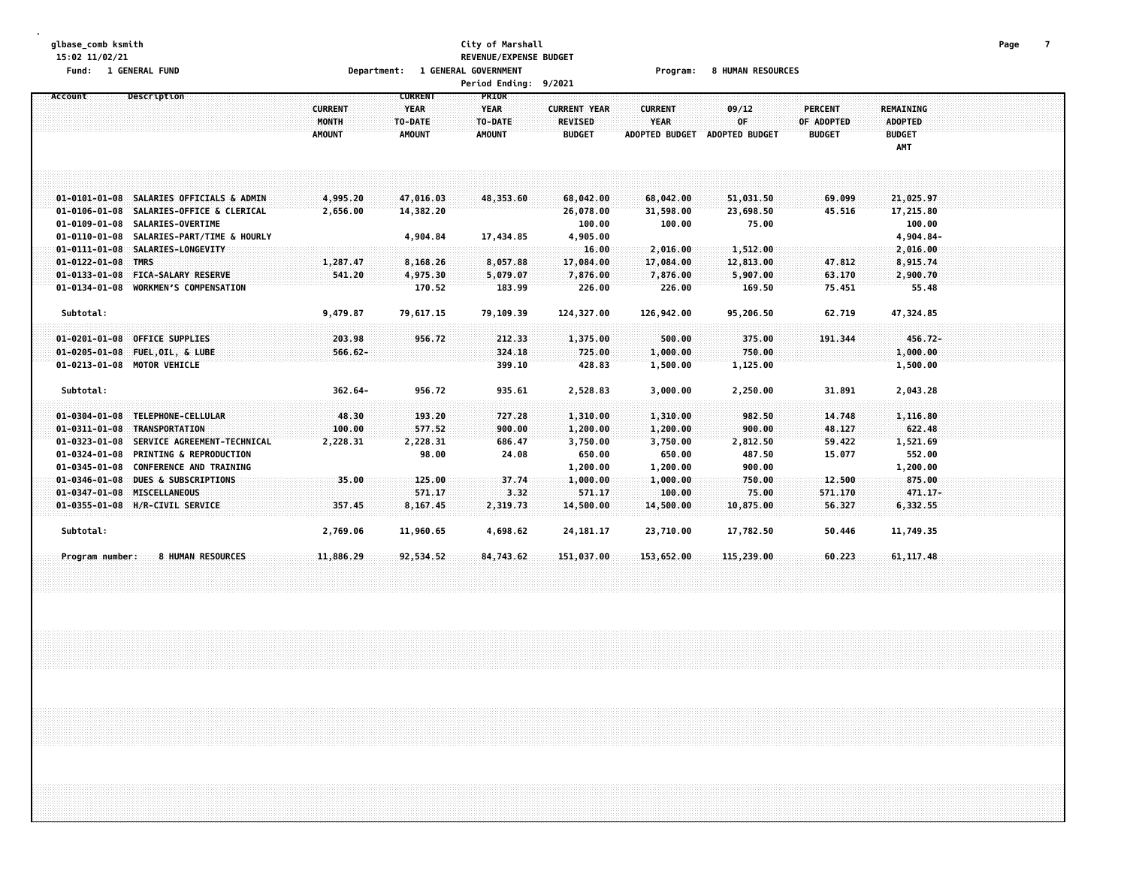#### **glbase\_comb ksmith City of Marshall Page 7 15:02 11/02/21 REVENUE/EXPENSE BUDGET** Fund: 1 GENERAL FUND COURCIES TO A DEPRIMENT A SENERAL GOVERNMENT COURD AT THE PROGRAM: 8 HUMAN RESOURCES

|                       | <b>Period Ending:</b><br>9/2021<br>PRIOR<br>Description<br><b>CURRENT</b><br><b>YEAR</b><br><b>YEAR</b><br><b>CURRENT</b><br><b>CURRENT YEAR</b><br><b>CURRENT</b><br>09/12<br><b>PERCENT</b><br><b>REMAINING</b><br>MONTH<br><b>YEAR</b><br>0F<br>TO-DATE<br><b>REVISED</b><br>OF ADOPTED<br><b>ADOPTED</b><br>TO-DATE<br><b>AMOUNT</b><br><b>AMOUNT</b><br><b>AMOUNT</b><br><b>BUDGET</b><br><b>ADOPTED BUDGET</b><br><b>ADOPTED BUDGET</b><br><b>BUDGET</b><br><b>BUDGET</b><br>AMT<br>01-0101-01-08 SALARIES OFFICIALS & ADMIN<br>4,995.20<br>47,016.03<br>69.099<br>21,025.97<br>48,353.60<br>68,042.00<br>68,042.00<br>51,031.50<br>01-0106-01-08 SALARIES-OFFICE & CLERICAL<br>2,656.00<br>26,078.00<br>45.516<br>14,382.20<br>31,598.00<br>23,698.50<br>17,215.80<br>01-0109-01-08 SALARIES-OVERTIME<br>100.00<br>100.00<br>75.00<br>100.00<br>01-0110-01-08 SALARIES-PART/TIME & HOURLY<br>4,904.84-<br>4,904.84<br>17,434.85<br>4,905.00<br>01-0111-01-08 SALARIES-LONGEVITY<br>1,512.00<br>2,016.00<br>16.00<br>2,016.00<br>01-0122-01-08 TMRS<br>1,287.47<br>8,168.26<br>8,057.88<br>17,084.00<br>17,084.00<br>12,813.00<br>47.812<br>8,915.74<br>01-0133-01-08 FICA-SALARY RESERVE<br>541.20<br>4,975.30<br>5,079.07<br>7,876.00<br>7,876.00<br>5,907.00<br>63.170<br>2,900.70<br>01-0134-01-08 WORKMEN'S COMPENSATION<br>170.52<br>183.99<br>55.48<br>226.00<br>226.00<br>169.50<br>75.451<br>Subtotal:<br>9,479.87<br>79,617.15<br>79,109.39<br>124,327.00<br>126,942.00<br>95,206.50<br>62.719<br>47,324.85<br>01-0201-01-08 OFFICE SUPPLIES<br>203.98<br>956.72<br>212.33<br>1,375.00<br>500.00<br>375.00<br>191.344<br>$456.72 -$<br>324.18<br>1,000.00<br>750.00<br>01-0205-01-08 FUEL, OIL, & LUBE<br>$566.62 -$<br>725.00<br>1,000.00<br>428.83<br>1,500.00<br>1,125.00<br>1,500.00<br>01-0213-01-08 MOTOR VEHICLE<br>399.10<br>$362.64 -$<br>956.72<br>Subtotal:<br>935.61<br>2,528.83<br>3,000.00<br>2,250.00<br>31.891<br>2,043.28<br>01-0304-01-08 TELEPHONE-CELLULAR<br>48.30<br>193.20<br>1,310.00<br>1,310.00<br>14.748<br>727.28<br>982.50<br>1,116.80<br>01-0311-01-08 TRANSPORTATION<br>100.00<br>577.52<br>900.00<br>1,200.00<br>1,200.00<br>900.00<br>48.127<br>622.48<br>01-0323-01-08 SERVICE AGREEMENT-TECHNICAL<br>2,228.31<br>3,750.00<br>3,750.00<br>2,812.50<br>1,521.69<br>2,228.31<br>686.47<br>59.422<br>$01 - 0324 - 01 - 08$<br><b>PRINTING &amp; REPRODUCTION</b><br>98.00<br>24.08<br>650.00<br>650.00<br>487.50<br>15.077<br>552.00 |           |           |           |             |            |            |         |             |  |  |  |  |  |
|-----------------------|-------------------------------------------------------------------------------------------------------------------------------------------------------------------------------------------------------------------------------------------------------------------------------------------------------------------------------------------------------------------------------------------------------------------------------------------------------------------------------------------------------------------------------------------------------------------------------------------------------------------------------------------------------------------------------------------------------------------------------------------------------------------------------------------------------------------------------------------------------------------------------------------------------------------------------------------------------------------------------------------------------------------------------------------------------------------------------------------------------------------------------------------------------------------------------------------------------------------------------------------------------------------------------------------------------------------------------------------------------------------------------------------------------------------------------------------------------------------------------------------------------------------------------------------------------------------------------------------------------------------------------------------------------------------------------------------------------------------------------------------------------------------------------------------------------------------------------------------------------------------------------------------------------------------------------------------------------------------------------------------------------------------------------------------------------------------------------------------------------------------------------------------------------------------------------------------------------------------------------------------------------------------------------------------------------------------------------------------------------------------------------------------------------------------------------------------------------------------------------------|-----------|-----------|-----------|-------------|------------|------------|---------|-------------|--|--|--|--|--|
| Account               |                                                                                                                                                                                                                                                                                                                                                                                                                                                                                                                                                                                                                                                                                                                                                                                                                                                                                                                                                                                                                                                                                                                                                                                                                                                                                                                                                                                                                                                                                                                                                                                                                                                                                                                                                                                                                                                                                                                                                                                                                                                                                                                                                                                                                                                                                                                                                                                                                                                                                     |           |           |           |             |            |            |         |             |  |  |  |  |  |
|                       |                                                                                                                                                                                                                                                                                                                                                                                                                                                                                                                                                                                                                                                                                                                                                                                                                                                                                                                                                                                                                                                                                                                                                                                                                                                                                                                                                                                                                                                                                                                                                                                                                                                                                                                                                                                                                                                                                                                                                                                                                                                                                                                                                                                                                                                                                                                                                                                                                                                                                     |           |           |           |             |            |            |         |             |  |  |  |  |  |
|                       |                                                                                                                                                                                                                                                                                                                                                                                                                                                                                                                                                                                                                                                                                                                                                                                                                                                                                                                                                                                                                                                                                                                                                                                                                                                                                                                                                                                                                                                                                                                                                                                                                                                                                                                                                                                                                                                                                                                                                                                                                                                                                                                                                                                                                                                                                                                                                                                                                                                                                     |           |           |           |             |            |            |         |             |  |  |  |  |  |
|                       |                                                                                                                                                                                                                                                                                                                                                                                                                                                                                                                                                                                                                                                                                                                                                                                                                                                                                                                                                                                                                                                                                                                                                                                                                                                                                                                                                                                                                                                                                                                                                                                                                                                                                                                                                                                                                                                                                                                                                                                                                                                                                                                                                                                                                                                                                                                                                                                                                                                                                     |           |           |           |             |            |            |         |             |  |  |  |  |  |
|                       |                                                                                                                                                                                                                                                                                                                                                                                                                                                                                                                                                                                                                                                                                                                                                                                                                                                                                                                                                                                                                                                                                                                                                                                                                                                                                                                                                                                                                                                                                                                                                                                                                                                                                                                                                                                                                                                                                                                                                                                                                                                                                                                                                                                                                                                                                                                                                                                                                                                                                     |           |           |           |             |            |            |         |             |  |  |  |  |  |
|                       |                                                                                                                                                                                                                                                                                                                                                                                                                                                                                                                                                                                                                                                                                                                                                                                                                                                                                                                                                                                                                                                                                                                                                                                                                                                                                                                                                                                                                                                                                                                                                                                                                                                                                                                                                                                                                                                                                                                                                                                                                                                                                                                                                                                                                                                                                                                                                                                                                                                                                     |           |           |           |             |            |            |         |             |  |  |  |  |  |
|                       |                                                                                                                                                                                                                                                                                                                                                                                                                                                                                                                                                                                                                                                                                                                                                                                                                                                                                                                                                                                                                                                                                                                                                                                                                                                                                                                                                                                                                                                                                                                                                                                                                                                                                                                                                                                                                                                                                                                                                                                                                                                                                                                                                                                                                                                                                                                                                                                                                                                                                     |           |           |           |             |            |            |         |             |  |  |  |  |  |
|                       |                                                                                                                                                                                                                                                                                                                                                                                                                                                                                                                                                                                                                                                                                                                                                                                                                                                                                                                                                                                                                                                                                                                                                                                                                                                                                                                                                                                                                                                                                                                                                                                                                                                                                                                                                                                                                                                                                                                                                                                                                                                                                                                                                                                                                                                                                                                                                                                                                                                                                     |           |           |           |             |            |            |         |             |  |  |  |  |  |
|                       |                                                                                                                                                                                                                                                                                                                                                                                                                                                                                                                                                                                                                                                                                                                                                                                                                                                                                                                                                                                                                                                                                                                                                                                                                                                                                                                                                                                                                                                                                                                                                                                                                                                                                                                                                                                                                                                                                                                                                                                                                                                                                                                                                                                                                                                                                                                                                                                                                                                                                     |           |           |           |             |            |            |         |             |  |  |  |  |  |
|                       |                                                                                                                                                                                                                                                                                                                                                                                                                                                                                                                                                                                                                                                                                                                                                                                                                                                                                                                                                                                                                                                                                                                                                                                                                                                                                                                                                                                                                                                                                                                                                                                                                                                                                                                                                                                                                                                                                                                                                                                                                                                                                                                                                                                                                                                                                                                                                                                                                                                                                     |           |           |           |             |            |            |         |             |  |  |  |  |  |
|                       |                                                                                                                                                                                                                                                                                                                                                                                                                                                                                                                                                                                                                                                                                                                                                                                                                                                                                                                                                                                                                                                                                                                                                                                                                                                                                                                                                                                                                                                                                                                                                                                                                                                                                                                                                                                                                                                                                                                                                                                                                                                                                                                                                                                                                                                                                                                                                                                                                                                                                     |           |           |           |             |            |            |         |             |  |  |  |  |  |
|                       |                                                                                                                                                                                                                                                                                                                                                                                                                                                                                                                                                                                                                                                                                                                                                                                                                                                                                                                                                                                                                                                                                                                                                                                                                                                                                                                                                                                                                                                                                                                                                                                                                                                                                                                                                                                                                                                                                                                                                                                                                                                                                                                                                                                                                                                                                                                                                                                                                                                                                     |           |           |           |             |            |            |         |             |  |  |  |  |  |
|                       |                                                                                                                                                                                                                                                                                                                                                                                                                                                                                                                                                                                                                                                                                                                                                                                                                                                                                                                                                                                                                                                                                                                                                                                                                                                                                                                                                                                                                                                                                                                                                                                                                                                                                                                                                                                                                                                                                                                                                                                                                                                                                                                                                                                                                                                                                                                                                                                                                                                                                     |           |           |           |             |            |            |         |             |  |  |  |  |  |
|                       |                                                                                                                                                                                                                                                                                                                                                                                                                                                                                                                                                                                                                                                                                                                                                                                                                                                                                                                                                                                                                                                                                                                                                                                                                                                                                                                                                                                                                                                                                                                                                                                                                                                                                                                                                                                                                                                                                                                                                                                                                                                                                                                                                                                                                                                                                                                                                                                                                                                                                     |           |           |           |             |            |            |         |             |  |  |  |  |  |
|                       |                                                                                                                                                                                                                                                                                                                                                                                                                                                                                                                                                                                                                                                                                                                                                                                                                                                                                                                                                                                                                                                                                                                                                                                                                                                                                                                                                                                                                                                                                                                                                                                                                                                                                                                                                                                                                                                                                                                                                                                                                                                                                                                                                                                                                                                                                                                                                                                                                                                                                     |           |           |           |             |            |            |         |             |  |  |  |  |  |
|                       |                                                                                                                                                                                                                                                                                                                                                                                                                                                                                                                                                                                                                                                                                                                                                                                                                                                                                                                                                                                                                                                                                                                                                                                                                                                                                                                                                                                                                                                                                                                                                                                                                                                                                                                                                                                                                                                                                                                                                                                                                                                                                                                                                                                                                                                                                                                                                                                                                                                                                     |           |           |           |             |            |            |         |             |  |  |  |  |  |
|                       |                                                                                                                                                                                                                                                                                                                                                                                                                                                                                                                                                                                                                                                                                                                                                                                                                                                                                                                                                                                                                                                                                                                                                                                                                                                                                                                                                                                                                                                                                                                                                                                                                                                                                                                                                                                                                                                                                                                                                                                                                                                                                                                                                                                                                                                                                                                                                                                                                                                                                     |           |           |           |             |            |            |         |             |  |  |  |  |  |
|                       |                                                                                                                                                                                                                                                                                                                                                                                                                                                                                                                                                                                                                                                                                                                                                                                                                                                                                                                                                                                                                                                                                                                                                                                                                                                                                                                                                                                                                                                                                                                                                                                                                                                                                                                                                                                                                                                                                                                                                                                                                                                                                                                                                                                                                                                                                                                                                                                                                                                                                     |           |           |           |             |            |            |         |             |  |  |  |  |  |
|                       |                                                                                                                                                                                                                                                                                                                                                                                                                                                                                                                                                                                                                                                                                                                                                                                                                                                                                                                                                                                                                                                                                                                                                                                                                                                                                                                                                                                                                                                                                                                                                                                                                                                                                                                                                                                                                                                                                                                                                                                                                                                                                                                                                                                                                                                                                                                                                                                                                                                                                     |           |           |           |             |            |            |         |             |  |  |  |  |  |
|                       |                                                                                                                                                                                                                                                                                                                                                                                                                                                                                                                                                                                                                                                                                                                                                                                                                                                                                                                                                                                                                                                                                                                                                                                                                                                                                                                                                                                                                                                                                                                                                                                                                                                                                                                                                                                                                                                                                                                                                                                                                                                                                                                                                                                                                                                                                                                                                                                                                                                                                     |           |           |           |             |            |            |         |             |  |  |  |  |  |
|                       |                                                                                                                                                                                                                                                                                                                                                                                                                                                                                                                                                                                                                                                                                                                                                                                                                                                                                                                                                                                                                                                                                                                                                                                                                                                                                                                                                                                                                                                                                                                                                                                                                                                                                                                                                                                                                                                                                                                                                                                                                                                                                                                                                                                                                                                                                                                                                                                                                                                                                     |           |           |           |             |            |            |         |             |  |  |  |  |  |
|                       |                                                                                                                                                                                                                                                                                                                                                                                                                                                                                                                                                                                                                                                                                                                                                                                                                                                                                                                                                                                                                                                                                                                                                                                                                                                                                                                                                                                                                                                                                                                                                                                                                                                                                                                                                                                                                                                                                                                                                                                                                                                                                                                                                                                                                                                                                                                                                                                                                                                                                     |           |           |           |             |            |            |         |             |  |  |  |  |  |
|                       |                                                                                                                                                                                                                                                                                                                                                                                                                                                                                                                                                                                                                                                                                                                                                                                                                                                                                                                                                                                                                                                                                                                                                                                                                                                                                                                                                                                                                                                                                                                                                                                                                                                                                                                                                                                                                                                                                                                                                                                                                                                                                                                                                                                                                                                                                                                                                                                                                                                                                     |           |           |           |             |            |            |         |             |  |  |  |  |  |
|                       |                                                                                                                                                                                                                                                                                                                                                                                                                                                                                                                                                                                                                                                                                                                                                                                                                                                                                                                                                                                                                                                                                                                                                                                                                                                                                                                                                                                                                                                                                                                                                                                                                                                                                                                                                                                                                                                                                                                                                                                                                                                                                                                                                                                                                                                                                                                                                                                                                                                                                     |           |           |           |             |            |            |         |             |  |  |  |  |  |
|                       |                                                                                                                                                                                                                                                                                                                                                                                                                                                                                                                                                                                                                                                                                                                                                                                                                                                                                                                                                                                                                                                                                                                                                                                                                                                                                                                                                                                                                                                                                                                                                                                                                                                                                                                                                                                                                                                                                                                                                                                                                                                                                                                                                                                                                                                                                                                                                                                                                                                                                     |           |           |           |             |            |            |         |             |  |  |  |  |  |
|                       |                                                                                                                                                                                                                                                                                                                                                                                                                                                                                                                                                                                                                                                                                                                                                                                                                                                                                                                                                                                                                                                                                                                                                                                                                                                                                                                                                                                                                                                                                                                                                                                                                                                                                                                                                                                                                                                                                                                                                                                                                                                                                                                                                                                                                                                                                                                                                                                                                                                                                     |           |           |           |             |            |            |         |             |  |  |  |  |  |
|                       |                                                                                                                                                                                                                                                                                                                                                                                                                                                                                                                                                                                                                                                                                                                                                                                                                                                                                                                                                                                                                                                                                                                                                                                                                                                                                                                                                                                                                                                                                                                                                                                                                                                                                                                                                                                                                                                                                                                                                                                                                                                                                                                                                                                                                                                                                                                                                                                                                                                                                     |           |           |           |             |            |            |         |             |  |  |  |  |  |
|                       | 01-0345-01-08 CONFERENCE AND TRAINING                                                                                                                                                                                                                                                                                                                                                                                                                                                                                                                                                                                                                                                                                                                                                                                                                                                                                                                                                                                                                                                                                                                                                                                                                                                                                                                                                                                                                                                                                                                                                                                                                                                                                                                                                                                                                                                                                                                                                                                                                                                                                                                                                                                                                                                                                                                                                                                                                                               |           |           |           | 1,200.00    | 1,200.00   | 900.00     |         | 1,200.00    |  |  |  |  |  |
| $01 - 0346 - 01 - 08$ | DUES & SUBSCRIPTIONS                                                                                                                                                                                                                                                                                                                                                                                                                                                                                                                                                                                                                                                                                                                                                                                                                                                                                                                                                                                                                                                                                                                                                                                                                                                                                                                                                                                                                                                                                                                                                                                                                                                                                                                                                                                                                                                                                                                                                                                                                                                                                                                                                                                                                                                                                                                                                                                                                                                                | 35.00     | 125.00    | 37.74     | 1,000.00    | 1,000.00   | 750.00     | 12.500  | 875.00      |  |  |  |  |  |
|                       | 01-0347-01-08 MISCELLANEOUS                                                                                                                                                                                                                                                                                                                                                                                                                                                                                                                                                                                                                                                                                                                                                                                                                                                                                                                                                                                                                                                                                                                                                                                                                                                                                                                                                                                                                                                                                                                                                                                                                                                                                                                                                                                                                                                                                                                                                                                                                                                                                                                                                                                                                                                                                                                                                                                                                                                         |           | 571.17    | 3.32      | 571.17      | 100.00     | 75.00      | 571.170 | $471.17 -$  |  |  |  |  |  |
|                       | 01-0355-01-08 H/R-CIVIL SERVICE                                                                                                                                                                                                                                                                                                                                                                                                                                                                                                                                                                                                                                                                                                                                                                                                                                                                                                                                                                                                                                                                                                                                                                                                                                                                                                                                                                                                                                                                                                                                                                                                                                                                                                                                                                                                                                                                                                                                                                                                                                                                                                                                                                                                                                                                                                                                                                                                                                                     | 357.45    | 8,167.45  | 2,319.73  | 14,500.00   | 14,500.00  | 10,875.00  | 56,327  | 6,332.55    |  |  |  |  |  |
| Subtotal:             |                                                                                                                                                                                                                                                                                                                                                                                                                                                                                                                                                                                                                                                                                                                                                                                                                                                                                                                                                                                                                                                                                                                                                                                                                                                                                                                                                                                                                                                                                                                                                                                                                                                                                                                                                                                                                                                                                                                                                                                                                                                                                                                                                                                                                                                                                                                                                                                                                                                                                     | 2,769.06  | 11,960.65 | 4,698.62  | 24, 181. 17 | 23,710.00  | 17,782.50  | 50.446  | 11,749.35   |  |  |  |  |  |
|                       |                                                                                                                                                                                                                                                                                                                                                                                                                                                                                                                                                                                                                                                                                                                                                                                                                                                                                                                                                                                                                                                                                                                                                                                                                                                                                                                                                                                                                                                                                                                                                                                                                                                                                                                                                                                                                                                                                                                                                                                                                                                                                                                                                                                                                                                                                                                                                                                                                                                                                     |           |           |           |             |            |            |         |             |  |  |  |  |  |
| Program number:       | 8 HUMAN RESOURCES                                                                                                                                                                                                                                                                                                                                                                                                                                                                                                                                                                                                                                                                                                                                                                                                                                                                                                                                                                                                                                                                                                                                                                                                                                                                                                                                                                                                                                                                                                                                                                                                                                                                                                                                                                                                                                                                                                                                                                                                                                                                                                                                                                                                                                                                                                                                                                                                                                                                   | 11,886.29 | 92,534.52 | 84,743.62 | 151,037.00  | 153,652.00 | 115,239.00 | 60.223  | 61, 117, 48 |  |  |  |  |  |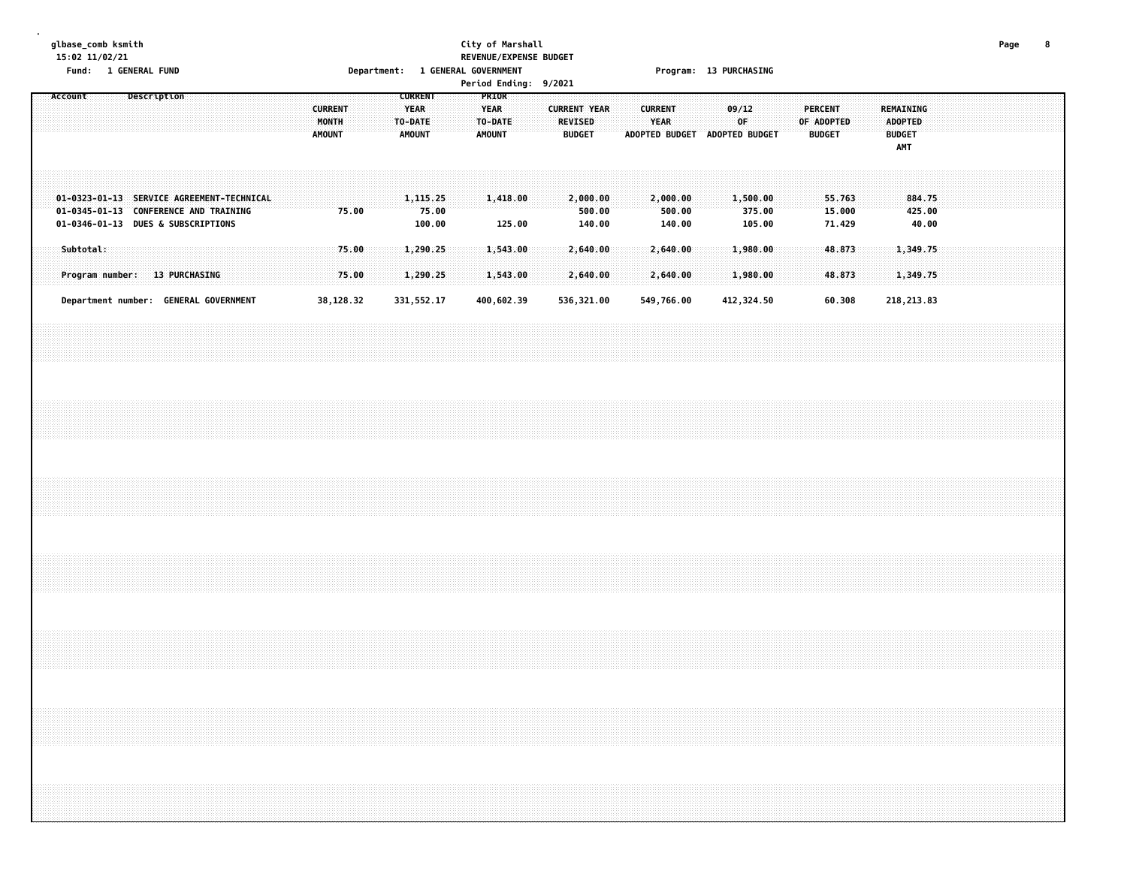### **glbase\_comb ksmith City of Marshall Page 8 15:02 11/02/21 REVENUE/EXPENSE BUDGET Fund: 1 GENERAL FUND Department: 1 GENERAL GOVERNMENT Program: 13 PURCHASING**

| Period Ending: 9/2021<br>PRIOR<br>Description<br><b>CURRENT</b><br>Account                                               |  |  |  |  |  |  |  |               |                         |                |  |  |                                         |       |  |                                  |        |  |                                                        |  |                               |                               |             |                              |  |                                               |                            |  |                                                     |                           |  |  |  |
|--------------------------------------------------------------------------------------------------------------------------|--|--|--|--|--|--|--|---------------|-------------------------|----------------|--|--|-----------------------------------------|-------|--|----------------------------------|--------|--|--------------------------------------------------------|--|-------------------------------|-------------------------------|-------------|------------------------------|--|-----------------------------------------------|----------------------------|--|-----------------------------------------------------|---------------------------|--|--|--|
|                                                                                                                          |  |  |  |  |  |  |  | <b>AMOUNT</b> | <b>CURRENT</b><br>MONTH |                |  |  | <b>YEAR</b><br>TO-DATE<br><b>AMOUNT</b> |       |  | <b>YEAR</b><br>TO-DATE<br>AMOUNT |        |  | <b>CURRENT YEAR</b><br><b>REVISED</b><br><b>BUDGET</b> |  | <b>CURRENT</b><br><b>YEAR</b> | ADOPTED BUDGET ADOPTED BUDGET | 09/12<br>OF |                              |  | <b>PERCENT</b><br>OF ADOPTED<br><b>BUDGET</b> |                            |  | REMAINING<br><b>ADOPTED</b><br><b>BUDGET</b><br>AMT |                           |  |  |  |
| 01-0323-01-13 SERVICE AGREEMENT-TECHNICAL<br>01-0345-01-13 CONFERENCE AND TRAINING<br>01-0346-01-13 DUES & SUBSCRIPTIONS |  |  |  |  |  |  |  |               |                         | 75.00          |  |  | 1,115.25<br>100.00                      | 75.00 |  | 1,418.00                         | 125.00 |  | 2,000.00<br>500.00<br>140.00                           |  | 2,000.00<br>500.00<br>140.00  |                               |             | 1,500.00<br>375.00<br>105.00 |  |                                               | 55.763<br>15.000<br>71.429 |  |                                                     | 884.75<br>425.00<br>40.00 |  |  |  |
| Subtotal:<br>Program number: 13 PURCHASING                                                                               |  |  |  |  |  |  |  |               |                         | 75.00<br>75.00 |  |  | 1,290.25<br>1,290.25                    |       |  | 1,543.00<br>1,543.00             |        |  | 2,640.00<br>2,640.00                                   |  | 2,640.00<br>2,640.00          |                               |             | 1,980.00<br>1,980.00         |  |                                               | 48.873<br>48.873           |  |                                                     | 1,349.75<br>1,349.75      |  |  |  |
| Department number: GENERAL GOVERNMENT                                                                                    |  |  |  |  |  |  |  |               | 38,128.32               |                |  |  | 331, 552.17                             |       |  | 400,602.39                       |        |  | 536,321.00                                             |  | 549,766.00                    |                               |             | 412,324.50                   |  |                                               | 60.308                     |  |                                                     | 218, 213.83               |  |  |  |
|                                                                                                                          |  |  |  |  |  |  |  |               |                         |                |  |  |                                         |       |  |                                  |        |  |                                                        |  |                               |                               |             |                              |  |                                               |                            |  |                                                     |                           |  |  |  |
|                                                                                                                          |  |  |  |  |  |  |  |               |                         |                |  |  |                                         |       |  |                                  |        |  |                                                        |  |                               |                               |             |                              |  |                                               |                            |  |                                                     |                           |  |  |  |
|                                                                                                                          |  |  |  |  |  |  |  |               |                         |                |  |  |                                         |       |  |                                  |        |  |                                                        |  |                               |                               |             |                              |  |                                               |                            |  |                                                     |                           |  |  |  |
|                                                                                                                          |  |  |  |  |  |  |  |               |                         |                |  |  |                                         |       |  |                                  |        |  |                                                        |  |                               |                               |             |                              |  |                                               |                            |  |                                                     |                           |  |  |  |
|                                                                                                                          |  |  |  |  |  |  |  |               |                         |                |  |  |                                         |       |  |                                  |        |  |                                                        |  |                               |                               |             |                              |  |                                               |                            |  |                                                     |                           |  |  |  |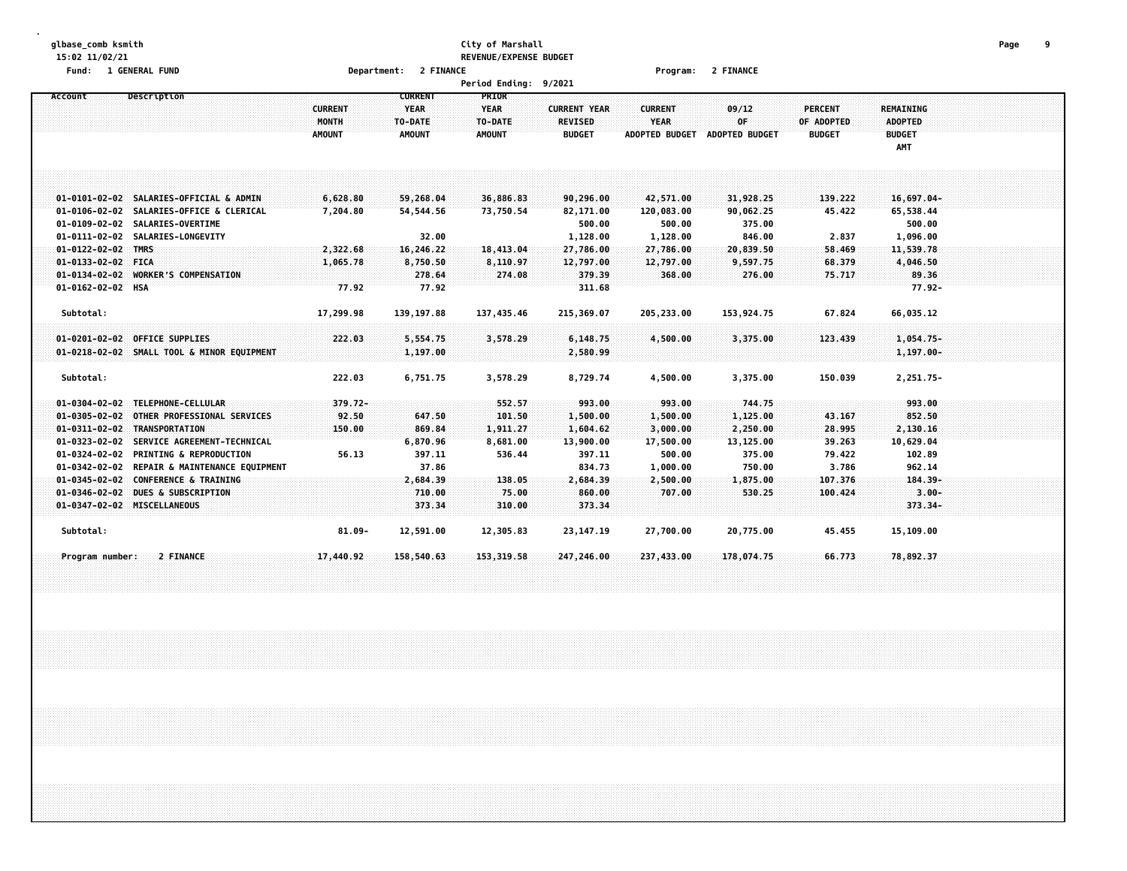#### **glbase\_comb ksmith City of Marshall Page 9 15:02 11/02/21 REVENUE/EXPENSE BUDGET Fund: 1 GENERAL FUND Department: 2 FINANCE Program: 2 FINANCE**

|                            |                                              |                         |                                          | ישוויים ביותר של וס                    |                                       |                               |                       |                              |                             |  |
|----------------------------|----------------------------------------------|-------------------------|------------------------------------------|----------------------------------------|---------------------------------------|-------------------------------|-----------------------|------------------------------|-----------------------------|--|
| Account                    | Description                                  | <b>CURRENT</b><br>MONTH | <b>CURRENT</b><br><b>YEAR</b><br>TO-DATE | <b>PRIOR</b><br><b>YEAR</b><br>TO-DATE | <b>CURRENT YEAR</b><br><b>REVISED</b> | <b>CURRENT</b><br><b>YEAR</b> | 09/12<br>0F           | <b>PERCENT</b><br>OF ADOPTED | REMAINING<br><b>ADOPTED</b> |  |
|                            |                                              | <b>AMOUNT</b>           | <b>AMOUNT</b>                            | <b>AMOUNT</b>                          | <b>BUDGET</b>                         | <b>ADOPTED BUDGET</b>         | <b>ADOPTED BUDGET</b> | <b>BUDGET</b>                | <b>BUDGET</b><br>AMT        |  |
|                            |                                              |                         |                                          |                                        |                                       |                               |                       |                              |                             |  |
|                            | 01-0101-02-02 SALARIES-OFFICIAL & ADMIN      | 6,628.80                | 59,268.04                                | 36,886.83                              | 90,296.00                             | 42,571.00                     | 31,928.25             | 139.222                      | 16,697.04-                  |  |
|                            | 01-0106-02-02 SALARIES-OFFICE & CLERICAL     | 7,204.80                | 54,544.56                                | 73,750.54                              | 82,171.00                             | 120,083.00                    | 90,062.25             | 45.422                       | 65,538.44                   |  |
|                            | 01-0109-02-02 SALARIES-OVERTIME              |                         |                                          |                                        | 500.00                                | 500.00                        | 375.00                |                              | 500.00                      |  |
|                            | 01-0111-02-02 SALARIES-LONGEVITY             |                         | 32.00                                    |                                        | 1,128.00                              | 1,128.00                      | 846.00                | 2.837                        | 1,096.00                    |  |
| $01 - 0122 - 02 - 02$ TMRS |                                              | 2,322.68                | 16,246.22                                | 18,413.04                              | 27,786.00                             | 27,786.00                     | 20,839.50             | 58.469                       | 11,539.78                   |  |
| 01-0133-02-02 FICA         |                                              | 1,065.78                | 8,750.50                                 | 8,110.97                               | 12,797.00                             | 12,797.00                     | 9,597.75              | 68.379                       | 4,046.50                    |  |
|                            | 01-0134-02-02 WORKER'S COMPENSATION          |                         | 278.64                                   | 274.08                                 | 379.39                                | 368.00                        | 276.00                | 75.717                       | 89.36                       |  |
| 01-0162-02-02 HSA          |                                              | 77.92                   | 77.92                                    |                                        | 311.68                                |                               |                       |                              | $77.92 -$                   |  |
| Subtotal:                  |                                              | 17,299.98               | 139, 197.88                              | 137,435.46                             | 215,369.07                            | 205,233.00                    | 153,924.75            | 67.824                       | 66,035.12                   |  |
|                            | 01-0201-02-02 OFFICE SUPPLIES                | 222.03                  | 5,554.75                                 | 3,578.29                               | 6,148.75                              | 4,500.00                      | 3,375.00              | 123.439                      | 1,054.75-                   |  |
|                            | 01-0218-02-02 SMALL TOOL & MINOR EQUIPMENT   |                         | 1,197.00                                 |                                        | 2,580.99                              |                               |                       |                              | $1,197.00 -$                |  |
|                            |                                              |                         |                                          |                                        |                                       |                               |                       |                              |                             |  |
| Subtotal:                  |                                              | 222.03                  | 6,751.75                                 | 3,578.29                               | 8,729.74                              | 4,500.00                      | 3,375.00              | 150.039                      | 2,251.75-                   |  |
|                            | 01-0304-02-02 TELEPHONE-CELLULAR             | $379.72 -$              |                                          | 552.57                                 | 993.00                                | 993.00                        | 744.75                |                              | 993.00                      |  |
|                            | 01-0305-02-02 OTHER PROFESSIONAL SERVICES    | 92.50                   | 647.50                                   | 101.50                                 | 1,500.00                              | 1,500.00                      | 1,125.00              | 43.167                       | 852.50                      |  |
|                            | 01-0311-02-02 TRANSPORTATION                 | 150.00                  | 869.84                                   | 1,911.27                               | 1,604.62                              | 3,000.00                      | 2,250.00              | 28.995                       | 2,130.16                    |  |
|                            | 01-0323-02-02 SERVICE AGREEMENT-TECHNICAL    |                         | 6,870.96                                 | 8,681.00                               | 13,900.00                             | 17,500.00                     | 13,125.00             | 39.263                       | 10,629.04                   |  |
|                            | 01-0324-02-02 PRINTING & REPRODUCTION        | 56.13                   | 397.11                                   | 536.44                                 | 397.11                                | 500.00                        | 375.00                | 79.422                       | 102.89                      |  |
|                            | 01-0342-02-02 REPAIR & MAINTENANCE EQUIPMENT |                         | 37.86                                    |                                        | 834.73                                | 1,000.00                      | 750.00                | 3.786                        | 962.14                      |  |
|                            | 01-0345-02-02 CONFERENCE & TRAINING          |                         | 2,684.39                                 | 138.05                                 | 2,684.39                              | 2,500.00                      | 1,875.00              | 107.376                      | $184.39 -$                  |  |
|                            | 01-0346-02-02 DUES & SUBSCRIPTION            |                         | 710.00                                   | 75.00                                  | 860.00                                | 707.00                        | 530.25                | 100.424                      | $3.00 -$                    |  |
|                            | 01-0347-02-02 MISCELLANEOUS                  |                         | 373.34                                   | 310.00                                 | 373.34                                |                               |                       |                              | $373.34-$                   |  |
| Subtotal:                  |                                              | $81.09 -$               | 12,591.00                                | 12,305.83                              | 23, 147. 19                           | 27,700.00                     | 20,775.00             | 45.455                       | 15,109.00                   |  |
| Program number:            | 2 FINANCE                                    | 17,440.92               | 158,540.63                               | 153, 319.58                            | 247,246.00                            | 237,433.00                    | 178,074.75            | 66.773                       | 78,892.37                   |  |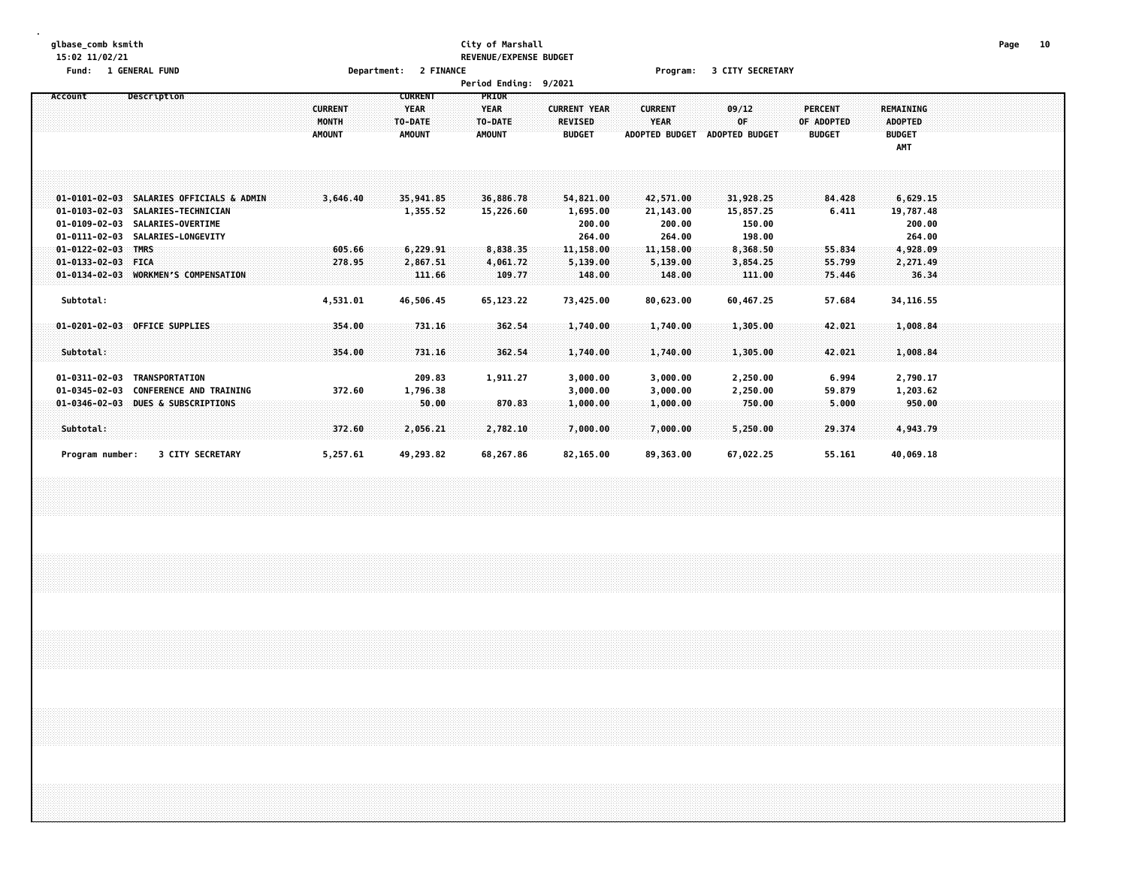### **glbase\_comb ksmith City of Marshall Page 10 15:02 11/02/21 REVENUE/EXPENSE BUDGET**

**Fund: 1 GENERAL FUND Department: 2 FINANCE Program: 3 CITY SECRETARY**

|  | <b>Period Endina:</b> | 9/2021 |  |
|--|-----------------------|--------|--|
|--|-----------------------|--------|--|

| Account                                                                              | Description                                                                                                | <b>CURRENT</b><br><b>MONTH</b><br><b>AMOUNT</b> | <b>CURRENT</b><br><b>YEAR</b><br>TO-DATE<br><b>AMOUNT</b> | <b>PRIOR</b><br><b>YEAR</b><br>TO-DATE<br><b>AMOUNT</b> | <b>CURRENT YEAR</b><br><b>REVISED</b><br><b>BUDGET</b> | <b>CURRENT</b><br>YEAR<br><b>ADOPTED BUDGET</b> | 09/12<br>0F.<br><b>ADOPTED BUDGET</b>        | <b>PERCENT</b><br>OF ADOPTED<br><b>BUDGET</b> | <b>REMAINING</b><br><b>ADOPTED</b><br><b>BUDGET</b><br>AMT |  |
|--------------------------------------------------------------------------------------|------------------------------------------------------------------------------------------------------------|-------------------------------------------------|-----------------------------------------------------------|---------------------------------------------------------|--------------------------------------------------------|-------------------------------------------------|----------------------------------------------|-----------------------------------------------|------------------------------------------------------------|--|
| $01 - 0103 - 02 - 03$<br>$01 - 0109 - 02 - 03$<br>$01 - 0111 - 02 - 03$              | 01-0101-02-03 SALARIES OFFICIALS & ADMIN<br>SALARIES-TECHNICIAN<br>SALARIES-OVERTIME<br>SALARIES-LONGEVITY | 3,646.40                                        | 35,941.85<br>1,355.52                                     | 36,886.78<br>15,226.60                                  | 54,821.00<br>1,695.00<br>200.00<br>264.00              | 42,571.00<br>21,143.00<br>200.00<br>264.00      | 31,928.25<br>15,857.25<br>150.00<br>198.00   | 84.428<br>6.411                               | 6,629.15<br>19,787.48<br>200.00<br>264.00                  |  |
| $01 - 0122 - 02 - 03$<br>$01 - 0133 - 02 - 03$<br>$01 - 0134 - 02 - 03$<br>Subtotal: | <b>TMRS</b><br>FICA<br><b>WORKMEN'S COMPENSATION</b>                                                       | 605.66<br>278.95<br>4,531.01                    | 6,229.91<br>2,867.51<br>111.66<br>46,506.45               | 8,838.35<br>4,061.72<br>109.77<br>65,123.22             | 11,158.00<br>5,139.00<br>148.00<br>73,425.00           | 11,158.00<br>5,139.00<br>148.00<br>80,623.00    | 8,368.50<br>3,854.25<br>111.00<br>60.467.25  | 55.834<br>55.799<br>75.446<br>57.684          | 4,928.09<br>2,271.49<br>36.34<br>34, 116.55                |  |
| Subtotal:<br>$01 - 0311 - 02 - 03$<br>$01 - 0345 - 02 - 03$                          | 01-0201-02-03 OFFICE SUPPLIES<br><b>TRANSPORTATION</b><br><b>CONFERENCE AND TRAINING</b>                   | 354.00<br>354.00<br>372.60                      | 731.16<br>731.16<br>209.83<br>1,796.38                    | 362.54<br>362.54<br>1,911.27                            | 1,740.00<br>1,740.00<br>3,000.00<br>3,000.00           | 1,740.00<br>1,740.00<br>3,000.00<br>3,000.00    | 1,305.00<br>1,305.00<br>2,250.00<br>2,250.00 | 42.021<br>42.021<br>6.994<br>59.879           | 1,008.84<br>1,008.84<br>2,790.17<br>1,203.62               |  |
| $01 - 0346 - 02 - 03$<br>Subtotal:<br>Program number:                                | <b>DUES &amp; SUBSCRIPTIONS</b><br>3 CITY SECRETARY                                                        | 372.60<br>5,257.61                              | :50.00<br>2,056.21<br>49,293.82                           | 870.83<br>2,782.10<br>68,267.86                         | 1,000.00<br>7,000.00<br>82,165.00                      | 1,000.00<br>7,000.00<br>89,363.00               | 750.00<br>5,250.00<br>67,022.25              | 5.000<br>29.374<br>55.161                     | 950.00<br>4,943.79<br>40,069.18                            |  |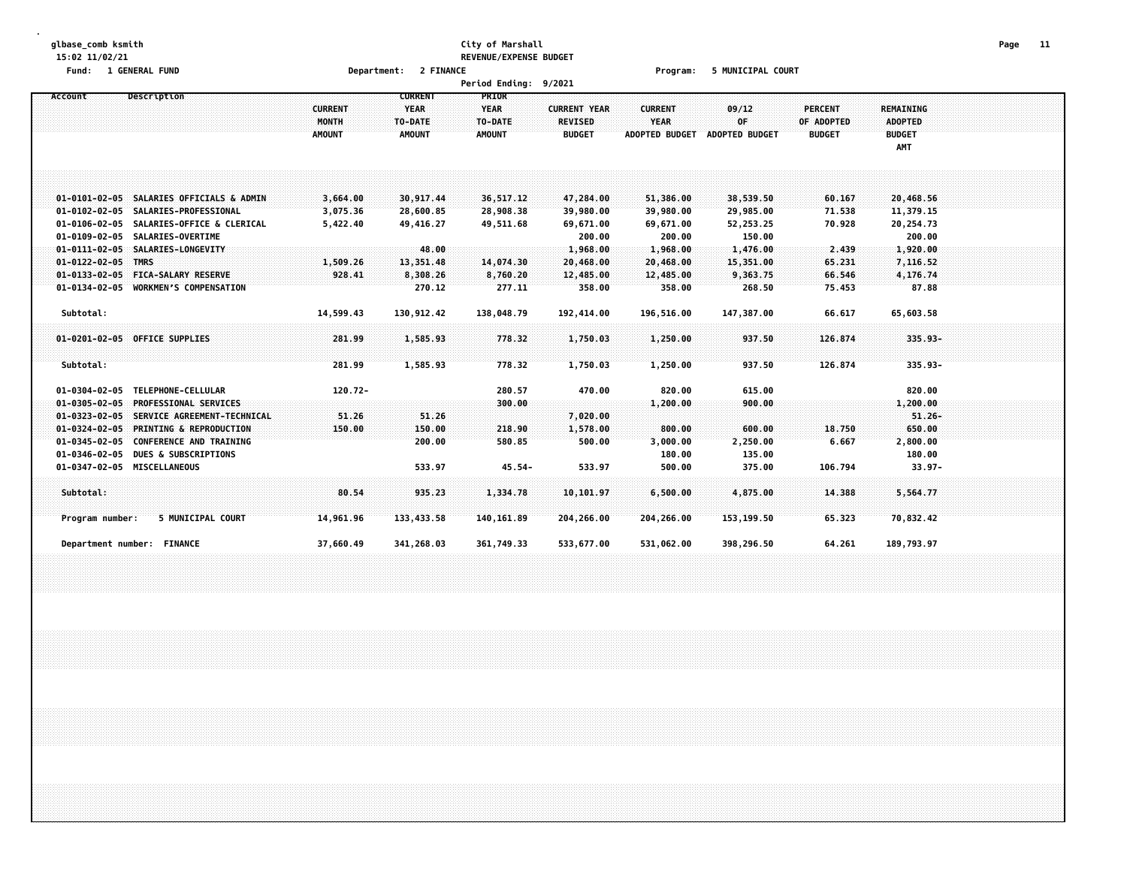### **glbase\_comb ksmith City of Marshall Page 11 15:02 11/02/21 REVENUE/EXPENSE BUDGET**

**Fund: 1 GENERAL FUND Department: 2 FINANCE Program: 5 MUNICIPAL COURT**

|                       |                                                                             |                         |                                          | Period Ending: 9/2021           |                                       |                               |                       |                       |                                    |  |
|-----------------------|-----------------------------------------------------------------------------|-------------------------|------------------------------------------|---------------------------------|---------------------------------------|-------------------------------|-----------------------|-----------------------|------------------------------------|--|
| Account               | Description                                                                 | <b>CURRENT</b><br>MONTH | <b>CURRENT</b><br><b>YEAR</b><br>TO-DATE | PRIOR<br><b>YEAR</b><br>TO-DATE | <b>CURRENT YEAR</b><br><b>REVISED</b> | <b>CURRENT</b><br><b>YEAR</b> | 09/12<br>0F           | PERCENT<br>OF ADOPTED | <b>REMAINING</b><br><b>ADOPTED</b> |  |
|                       |                                                                             | <b>AMOUNT</b>           | <b>AMOUNT</b>                            | <b>AMOUNT</b>                   | <b>BUDGET</b>                         | <b>ADOPTED BUDGET</b>         | <b>ADOPTED BUDGET</b> | <b>BUDGET</b>         | <b>BUDGET</b><br>AMT               |  |
|                       |                                                                             |                         |                                          |                                 |                                       |                               |                       |                       |                                    |  |
|                       | 01-0101-02-05 SALARIES OFFICIALS & ADMIN                                    | 3,664.00                | 30,917.44                                | 36,517.12                       | 47,284.00                             | 51,386.00                     | 38,539.50             | 60.167                | 20,468.56                          |  |
|                       | 01-0102-02-05 SALARIES-PROFESSIONAL                                         | 3,075.36                | 28,600.85                                | 28,908.38                       | 39,980.00                             | 39,980.00                     | 29,985.00             | 71.538                | 11,379.15                          |  |
|                       | 01-0106-02-05 SALARIES-OFFICE & CLERICAL<br>01-0109-02-05 SALARIES-OVERTIME | 5,422.40                | 49,416.27                                | 49,511.68                       | 69,671.00<br>200.00                   | 69,671.00<br>200.00           | 52,253.25<br>150.00   | 70.928                | 20,254.73<br>200.00                |  |
|                       | 01-0111-02-05 SALARIES-LONGEVITY                                            |                         | 48.00                                    |                                 | 1,968.00                              | 1,968.00                      | 1,476.00              | 2.439                 | 1,920.00                           |  |
| $01 - 0122 - 02 - 05$ | <b>TMRS</b>                                                                 | 1,509.26                | 13,351.48                                | 14,074.30                       | 20,468.00                             | 20,468.00                     | 15,351.00             | 65.231                | 7,116.52                           |  |
| $01 - 0133 - 02 - 05$ | <b>FICA-SALARY RESERVE</b>                                                  | 928.41                  | 8,308.26                                 | 8,760.20                        | 12,485.00                             | 12,485.00                     | 9,363.75              | 66.546                | 4,176.74                           |  |
|                       | 01-0134-02-05 WORKMEN'S COMPENSATION                                        |                         | 270.12                                   | 277.11                          | 358.00                                | 358.00                        | 268.50                | 75.453                | 87.88                              |  |
| Subtotal:             |                                                                             | 14,599.43               | 130,912.42                               | 138,048.79                      | 192,414.00                            | 196,516.00                    | 147,387.00            | 66.617                | 65,603.58                          |  |
|                       | 01-0201-02-05 OFFICE SUPPLIES                                               | 281.99                  | 1,585.93                                 | 778.32                          | 1,750.03                              | 1,250.00                      | 937.50                | 126.874               | 335.93-                            |  |
| Subtotal:             |                                                                             | 281.99                  | 1,585.93                                 | 778.32                          | 1,750.03                              | 1,250.00                      | 937.50                | 126.874               | $335.93 -$                         |  |
|                       | 01-0304-02-05 TELEPHONE-CELLULAR                                            | $120.72 -$              |                                          | 280.57                          | 470.00                                | 820.00                        | 615.00                |                       | 820.00                             |  |
| $01 - 0305 - 02 - 05$ | <b>PROFESSIONAL SERVICES</b>                                                |                         |                                          | 300.00                          |                                       | 1,200.00                      | 900.00                |                       | 1,200.00                           |  |
|                       | 01-0323-02-05 SERVICE AGREEMENT-TECHNICAL                                   | 51.26                   | 51.26                                    |                                 | 7,020.00                              |                               |                       |                       | $51.26 -$                          |  |
| $01 - 0324 - 02 - 05$ | <b>PRINTING &amp; REPRODUCTION</b>                                          | 150.00                  | 150.00                                   | 218.90                          | 1,578.00                              | 800.00                        | 600.00                | 18.750                | 650.00                             |  |
|                       | 01-0345-02-05 CONFERENCE AND TRAINING                                       |                         | 200.00                                   | 580.85                          | 500.00                                | 3,000.00                      | 2,250.00              | 6.667                 | 2,800.00                           |  |
|                       | 01-0346-02-05 DUES & SUBSCRIPTIONS                                          |                         |                                          |                                 |                                       | 180.00                        | 135.00                |                       | 180.00                             |  |
|                       | 01-0347-02-05 MISCELLANEOUS                                                 |                         | 533.97                                   | $45.54 -$                       | 533.97                                | 500.00                        | 375.00                | 106.794               | $33.97 -$                          |  |
| Subtotal:             |                                                                             | 80.54                   | 935.23                                   | 1,334.78                        | 10,101.97                             | 6,500.00                      | 4,875.00              | 14.388                | 5,564.77                           |  |
| Program number:       | 5 MUNICIPAL COURT                                                           | 14,961.96               | 133,433.58                               | 140, 161.89                     | 204,266.00                            | 204,266.00                    | 153,199.50            | 65.323                | 70,832.42                          |  |
|                       | Department number: FINANCE                                                  | 37,660.49               | 341,268.03                               | 361,749.33                      | 533,677.00                            | 531,062.00                    | 398,296.50            | 64.261                | 189,793.97                         |  |
|                       |                                                                             |                         |                                          |                                 |                                       |                               |                       |                       |                                    |  |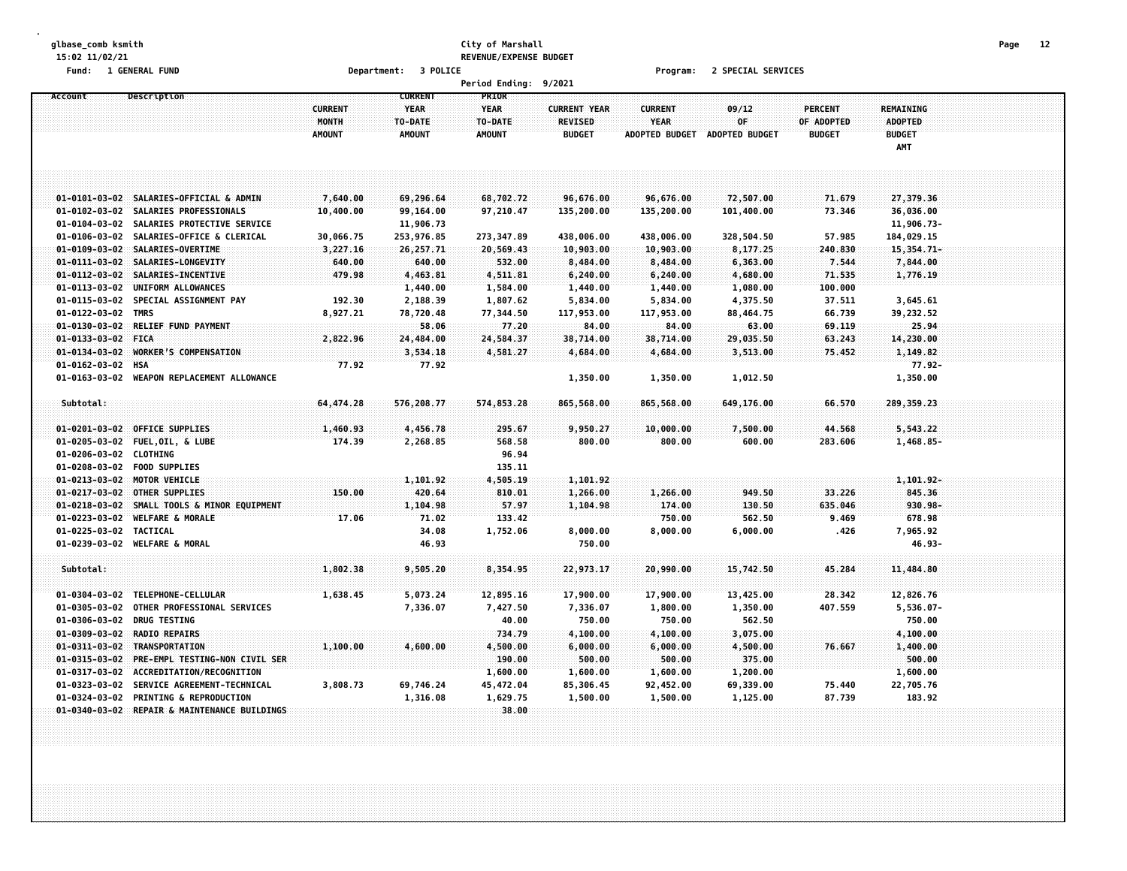### **glbase\_comb ksmith City of Marshall Page 12 15:02 11/02/21 REVENUE/EXPENSE BUDGET**

**Fund: 1 GENERAL FUND Department: 3 POLICE Program: 2 SPECIAL SERVICES**

|                        |                                              |                |                | <b>Period Ending:</b> | 9/2021              |                       |                |               |                      |  |  |
|------------------------|----------------------------------------------|----------------|----------------|-----------------------|---------------------|-----------------------|----------------|---------------|----------------------|--|--|
| Account                | <b>Description</b>                           |                | <b>CURRENT</b> | PRIOR                 |                     |                       |                |               |                      |  |  |
|                        |                                              | <b>CURRENT</b> | <b>YEAR</b>    | <b>YEAR</b>           | <b>CURRENT YEAR</b> | <b>CURRENT</b>        | 09/12          | PERCENT       | <b>REMAINING</b>     |  |  |
|                        |                                              | MONTH          | TO-DATE        | TO-DATE               | <b>REVISED</b>      | <b>YEAR</b>           | 0F             | OF ADOPTED    | <b>ADOPTED</b>       |  |  |
|                        |                                              | <b>AMOUNT</b>  | <b>AMOUNT</b>  | <b>AMOUNT</b>         | <b>BUDGET</b>       | <b>ADOPTED BUDGET</b> | ADOPTED BUDGET | <b>BUDGET</b> | <b>BUDGET</b><br>AMT |  |  |
|                        |                                              |                |                |                       |                     |                       |                |               |                      |  |  |
|                        |                                              |                |                |                       |                     |                       |                |               |                      |  |  |
|                        | 01-0101-03-02 SALARIES-OFFICIAL & ADMIN      | 7,640.00       | 69,296.64      | 68,702.72             | 96,676.00           | 96,676.00             | 72,507.00      | 71.679        | 27,379.36            |  |  |
| $01 - 0102 - 03 - 02$  | SALARIES PROFESSIONALS                       | 10,400.00      | 99,164.00      | 97,210.47             | 135,200.00          | 135,200.00            | 101,400.00     | 73.346        | 36,036.00            |  |  |
| $01 - 0104 - 03 - 02$  | SALARIES PROTECTIVE SERVICE                  |                | 11,906.73      |                       |                     |                       |                |               | 11,906.73-           |  |  |
|                        | 01-0106-03-02 SALARIES-OFFICE & CLERICAL     | 30,066.75      | 253,976.85     | 273,347.89            | 438,006.00          | 438,006.00            | 328,504.50     | 57.985        | 184,029.15           |  |  |
|                        | 01-0109-03-02 SALARIES-OVERTIME              | 3,227.16       | 26,257.71      | 20,569.43             | 10,903.00           | 10,903.00             | 8,177.25       | 240.830       | 15,354.71-           |  |  |
|                        | 01-0111-03-02 SALARIES-LONGEVITY             | 640.00         | 640.00         | 532.00                | 8,484.00            | 8,484.00              | 6,363.00       | 7.544         | 7,844.00             |  |  |
| $01 - 0112 - 03 - 02$  | SALARIES-INCENTIVE                           | 479.98         | 4,463.81       | 4,511.81              | 6,240.00            | 6,240.00              | 4,680.00       | 71.535        | 1,776.19             |  |  |
| $01 - 0113 - 03 - 02$  | UNIFORM ALLOWANCES                           |                | 1,440.00       | 1,584.00              | 1,440.00            | 1,440.00              | 1,080.00       | 100.000       |                      |  |  |
| $01 - 0115 - 03 - 02$  | SPECIAL ASSIGNMENT PAY                       | 192.30         | 2,188.39       | 1,807.62              | 5,834.00            | 5,834.00              | 4,375.50       | 37.511        | 3,645.61             |  |  |
| $01 - 0122 - 03 - 02$  | <b>TMRS</b>                                  | 8,927.21       | 78,720.48      | 77,344.50             | 117,953.00          | 117,953.00            | 88,464.75      | 66.739        | 39,232.52            |  |  |
| $01 - 0130 - 03 - 02$  | RELIEF FUND PAYMENT                          |                | 58.06          | 77.20                 | 84.00               | 84.00                 | 63.00          | 69,119        | 25.94                |  |  |
| 01-0133-03-02 FICA     |                                              | 2,822.96       | 24,484.00      | 24,584.37             | 38,714.00           | 38,714.00             | 29,035.50      | 63.243        | 14,230.00            |  |  |
| $01 - 0134 - 03 - 02$  | <b>WORKER'S COMPENSATION</b>                 |                | 3,534.18       | 4,581.27              | 4,684.00            | 4,684.00              | 3,513.00       | 75.452        | 1,149.82             |  |  |
| $01 - 0162 - 03 - 02$  | <b>HSA</b>                                   | 77.92          | 77.92          |                       |                     |                       |                |               | $77.92 -$            |  |  |
|                        | 01-0163-03-02 WEAPON REPLACEMENT ALLOWANCE   |                |                |                       | 1,350.00            | 1,350.00              | 1,012.50       |               | 1,350.00             |  |  |
| Subtotal:              |                                              | 64,474.28      | 576,208.77     | 574,853.28            | 865,568.00          | 865,568.00            | 649,176.00     | 66.570        | 289,359.23           |  |  |
|                        |                                              |                |                |                       |                     |                       |                |               |                      |  |  |
|                        | 01-0201-03-02 OFFICE SUPPLIES                | 1,460.93       | 4,456.78       | 295.67                | 9,950.27            | 10,000.00             | 7,500.00       | 44.568        | 5,543.22             |  |  |
|                        | 01-0205-03-02 FUEL, OIL, & LUBE              | 174.39         | 2,268.85       | 568.58                | 800.00              | 800.00                | 600.00         | 283.606       | 1,468.85-            |  |  |
| 01-0206-03-02 CLOTHING |                                              |                |                | 96.94                 |                     |                       |                |               |                      |  |  |
|                        | 01-0208-03-02 FOOD SUPPLIES                  |                |                | 135.11                |                     |                       |                |               |                      |  |  |
|                        | 01-0213-03-02 MOTOR VEHICLE                  |                | 1,101.92       | 4,505.19              | 1,101.92            |                       |                |               | $1,101.92 -$         |  |  |
| $01 - 0217 - 03 - 02$  | <b>OTHER SUPPLIES</b>                        | 150.00         | 420.64         | 810.01                | 1,266.00            | 1,266.00              | 949.50         | 33.226        | 845.36               |  |  |
| $01 - 0218 - 03 - 02$  | SMALL TOOLS & MINOR EQUIPMENT                |                | 1,104.98       | 57.97                 | 1,104.98            | 174.00                | 130.50         | 635,046       | 930.98-              |  |  |
| $01 - 0223 - 03 - 02$  | <b>WELFARE &amp; MORALE</b>                  | 17.06          | 71.02          | 133.42                |                     | 750.00                | 562.50         | 9.469         | 678.98               |  |  |
| 01-0225-03-02          | TACTICAL                                     |                | 34.08          | 1,752.06              | 8,000.00            | 8,000.00              | 6,000.00       | .426          | 7,965.92             |  |  |
| 01-0239-03-02          | <b>WELFARE &amp; MORAL</b>                   |                | 46.93          |                       | 750.00              |                       |                |               | 46.93-               |  |  |
| Subtotal:              |                                              | 1,802.38       | 9,505.20       | 8,354.95              | 22,973.17           | 20,990.00             | 15,742.50      | 45.284        | 11,484.80            |  |  |
|                        |                                              |                |                |                       |                     |                       |                |               |                      |  |  |
|                        | 01-0304-03-02 TELEPHONE-CELLULAR             | 1,638.45       | 5,073.24       | 12,895.16             | 17,900.00           | 17,900.00             | 13,425.00      | 28.342        | 12,826.76            |  |  |
| $01 - 0305 - 03 - 02$  | OTHER PROFESSIONAL SERVICES                  |                | 7,336.07       | 7,427.50              | 7,336.07            | 1,800.00              | 1,350.00       | 407.559       | 5,536.07-            |  |  |
|                        | 01-0306-03-02 DRUG TESTING                   |                |                | 40.00                 | 750.00              | 750.00                | 562.50         |               | 750.00               |  |  |
|                        | 01-0309-03-02 RADIO REPAIRS                  |                |                | 734.79                | 4,100.00            | 4,100.00              | 3,075.00       |               | 4,100.00             |  |  |
|                        | 01-0311-03-02 TRANSPORTATION                 | 1,100.00       | 4,600.00       | 4,500.00              | 6,000.00            | 6,000.00              | 4,500.00       | 76.667        | 1,400.00             |  |  |
|                        | 01-0315-03-02 PRE-EMPL TESTING-NON CIVIL SER |                |                | 190.00                | 500.00              | 500.00                | 375.00         |               | 500.00               |  |  |
|                        | 01-0317-03-02 ACCREDITATION/RECOGNITION      |                |                | 1,600.00              | 1,600.00            | 1,600.00              | 1,200.00       |               | 1,600.00             |  |  |
|                        | 01-0323-03-02 SERVICE AGREEMENT-TECHNICAL    | 3,808.73       | 69,746.24      | 45,472.04             | 85,306.45           | 92,452.00             | 69,339.00      | 75.440        | 22,705.76            |  |  |
|                        | 01-0324-03-02 PRINTING & REPRODUCTION        |                | 1,316.08       | 1,629.75              | 1,500.00            | 1,500.00              | 1,125.00       | 87.739        | 183.92               |  |  |
|                        | 01-0340-03-02 REPAIR & MAINTENANCE BUILDINGS |                |                | 38.00                 |                     |                       |                |               |                      |  |  |
|                        |                                              |                |                |                       |                     |                       |                |               |                      |  |  |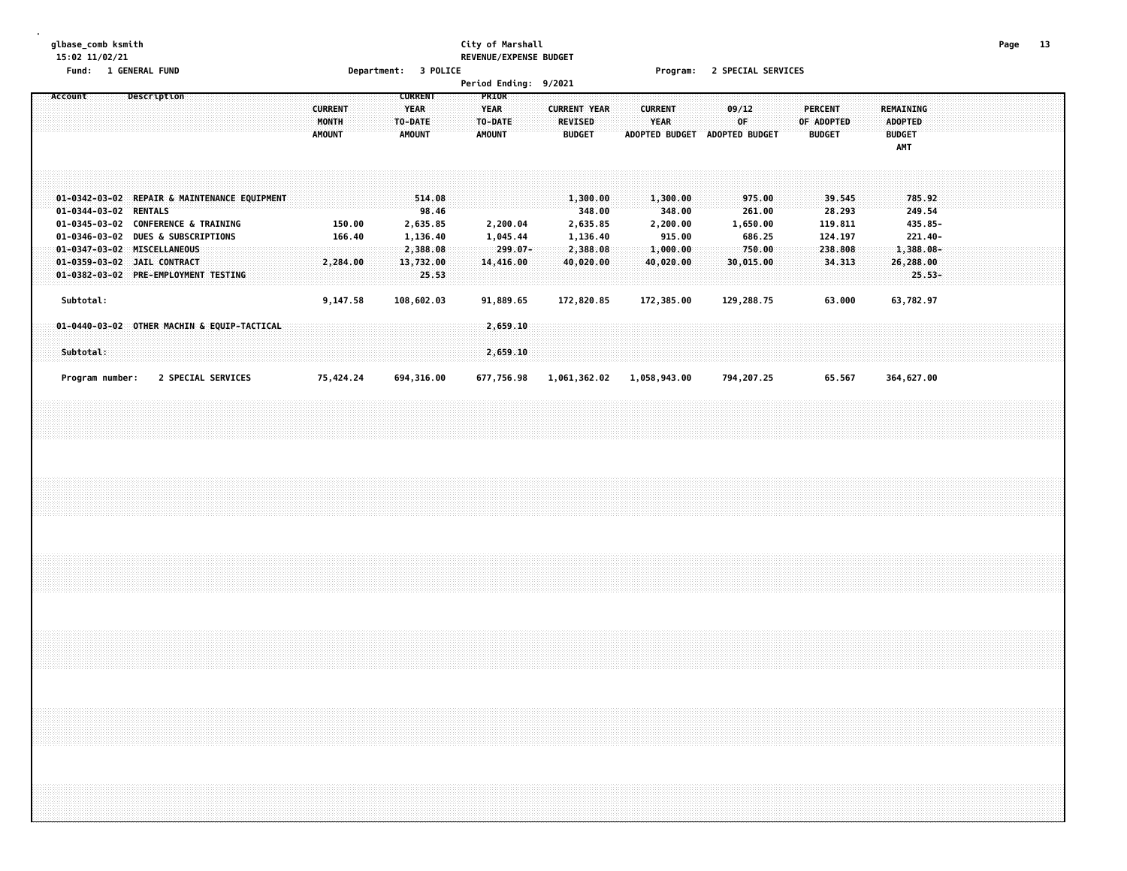# **glbase\_comb ksmith City of Marshall Page 13 15:02 11/02/21 REVENUE/EXPENSE BUDGET**

**Fund: 1 GENERAL FUND Department: 3 POLICE Program: 2 SPECIAL SERVICES**

|  | Account |           |                 | Description                                                                         |  |  |                                                                                                                           |  |  |  | <b>CURRENT</b><br>MONTH<br><b>AMOUNT</b> |                  |  | <b>CURRENT</b><br><b>YEAR</b><br>TO-DATE<br><b>AMOUNT</b> |                 |  | TO-DATE<br><b>AMOUNT</b> | PRIOR<br><b>YEAR</b> |                                   |            |  | <b>CURRENT YEAR</b><br><b>REVISED</b><br><b>BUDGET</b>              |  |  | <b>CURRENT</b><br>YEAR |                                                                   |  | ADOPTED BUDGET ADOPTED BUDGET | 09/12<br>0F           |                                      |  | OF ADOPTED | <b>PERCENT</b><br><b>BUDGET</b> |                                                             |  | <b>ADOPTED</b><br><b>BUDGET</b><br>AMT | REMAINING                                                              |  |  |  |  |  |
|--|---------|-----------|-----------------|-------------------------------------------------------------------------------------|--|--|---------------------------------------------------------------------------------------------------------------------------|--|--|--|------------------------------------------|------------------|--|-----------------------------------------------------------|-----------------|--|--------------------------|----------------------|-----------------------------------|------------|--|---------------------------------------------------------------------|--|--|------------------------|-------------------------------------------------------------------|--|-------------------------------|-----------------------|--------------------------------------|--|------------|---------------------------------|-------------------------------------------------------------|--|----------------------------------------|------------------------------------------------------------------------|--|--|--|--|--|
|  |         |           |                 | 01-0344-03-02 RENTALS<br>01-0347-03-02 MISCELLANEOUS<br>01-0359-03-02 JAIL CONTRACT |  |  | 01-0342-03-02 REPAIR & MAINTENANCE EQUIPMENT<br>01-0345-03-02 CONFERENCE & TRAINING<br>01-0346-03-02 DUES & SUBSCRIPTIONS |  |  |  | 2,284.00                                 | 150.00<br>166.40 |  | 2,635.85<br>1,136.40<br>2,388.08<br>13,732.00             | 514.08<br>98.46 |  |                          |                      | 2,200.04<br>1,045.44<br>14,416.00 | $299.07 -$ |  | 1,300.00<br>348.00<br>2,635.85<br>1,136.40<br>2,388.08<br>40,020.00 |  |  |                        | 1,300.00<br>348.00<br>2,200.00<br>915.00<br>1,000.00<br>40,020.00 |  |                               | 1,650.00<br>30,015.00 | 975.00<br>261.00<br>686.25<br>750.00 |  |            |                                 | 39.545<br>28.293<br>119.811<br>124.197<br>238.808<br>34.313 |  |                                        | 785.92<br>249.54<br>435.85-<br>$221.40 -$<br>$1,388.08 -$<br>26,288.00 |  |  |  |  |  |
|  |         | Subtotal: |                 |                                                                                     |  |  | 01-0382-03-02 PRE-EMPLOYMENT TESTING                                                                                      |  |  |  | 9,147.58                                 |                  |  | 108,602.03                                                | 25.53           |  |                          |                      | 91,889.65                         |            |  | 172,820.85                                                          |  |  |                        | 172,385.00                                                        |  |                               | 129,288.75            |                                      |  |            |                                 | 63.000                                                      |  |                                        | $25.53-$<br>63,782.97                                                  |  |  |  |  |  |
|  |         | Subtotal: |                 |                                                                                     |  |  | 01-0440-03-02 OTHER MACHIN & EQUIP-TACTICAL                                                                               |  |  |  |                                          |                  |  |                                                           |                 |  |                          |                      | 2,659.10<br>2,659.10              |            |  |                                                                     |  |  |                        |                                                                   |  |                               |                       |                                      |  |            |                                 |                                                             |  |                                        |                                                                        |  |  |  |  |  |
|  |         |           | Program number: |                                                                                     |  |  | 2 SPECIAL SERVICES                                                                                                        |  |  |  | 75,424.24                                |                  |  | 694,316.00                                                |                 |  |                          |                      |                                   | 677,756.98 |  | 1,061,362.02                                                        |  |  |                        | 1,058,943.00                                                      |  |                               | 794,207.25            |                                      |  |            |                                 | 65.567                                                      |  |                                        | 364,627.00                                                             |  |  |  |  |  |
|  |         |           |                 |                                                                                     |  |  |                                                                                                                           |  |  |  |                                          |                  |  |                                                           |                 |  |                          |                      |                                   |            |  |                                                                     |  |  |                        |                                                                   |  |                               |                       |                                      |  |            |                                 |                                                             |  |                                        |                                                                        |  |  |  |  |  |
|  |         |           |                 |                                                                                     |  |  |                                                                                                                           |  |  |  |                                          |                  |  |                                                           |                 |  |                          |                      |                                   |            |  |                                                                     |  |  |                        |                                                                   |  |                               |                       |                                      |  |            |                                 |                                                             |  |                                        |                                                                        |  |  |  |  |  |
|  |         |           |                 |                                                                                     |  |  |                                                                                                                           |  |  |  |                                          |                  |  |                                                           |                 |  |                          |                      |                                   |            |  |                                                                     |  |  |                        |                                                                   |  |                               |                       |                                      |  |            |                                 |                                                             |  |                                        |                                                                        |  |  |  |  |  |
|  |         |           |                 |                                                                                     |  |  |                                                                                                                           |  |  |  |                                          |                  |  |                                                           |                 |  |                          |                      |                                   |            |  |                                                                     |  |  |                        |                                                                   |  |                               |                       |                                      |  |            |                                 |                                                             |  |                                        |                                                                        |  |  |  |  |  |
|  |         |           |                 |                                                                                     |  |  |                                                                                                                           |  |  |  |                                          |                  |  |                                                           |                 |  |                          |                      |                                   |            |  |                                                                     |  |  |                        |                                                                   |  |                               |                       |                                      |  |            |                                 |                                                             |  |                                        |                                                                        |  |  |  |  |  |
|  |         |           |                 |                                                                                     |  |  |                                                                                                                           |  |  |  |                                          |                  |  |                                                           |                 |  |                          |                      |                                   |            |  |                                                                     |  |  |                        |                                                                   |  |                               |                       |                                      |  |            |                                 |                                                             |  |                                        |                                                                        |  |  |  |  |  |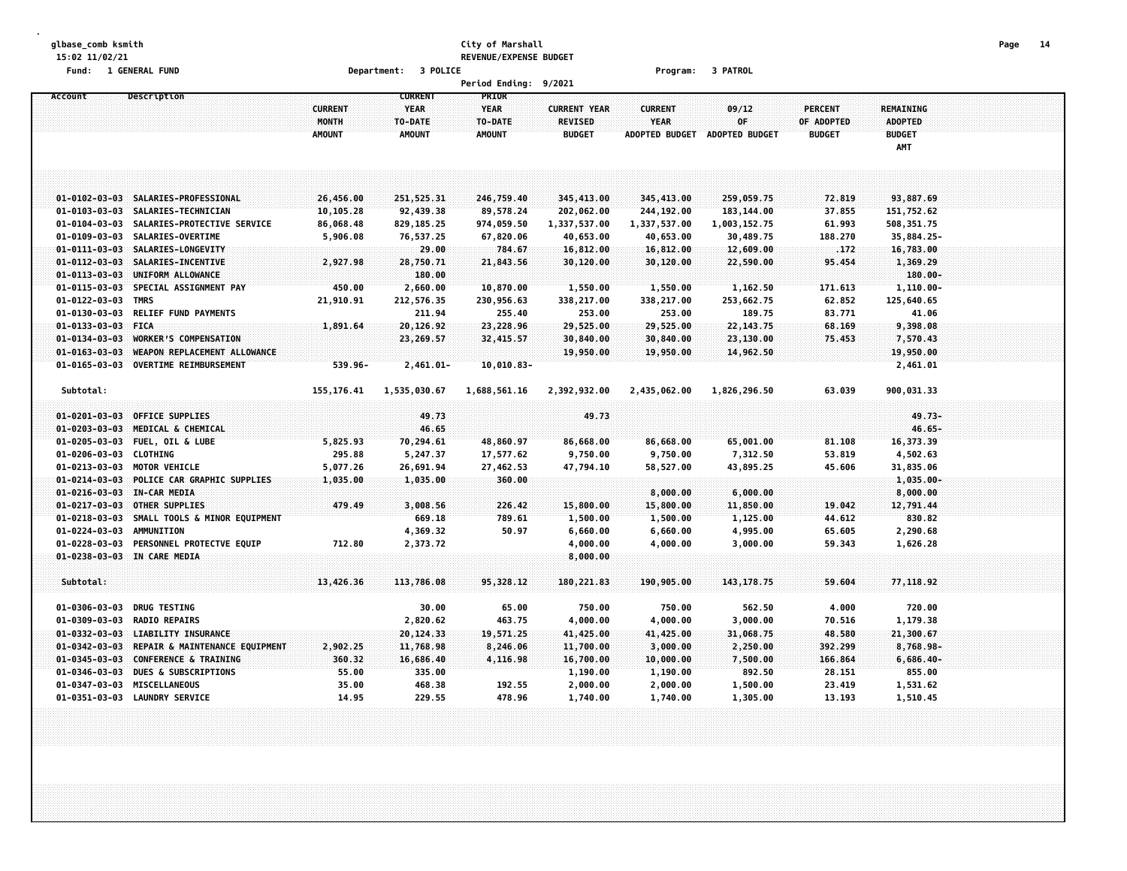#### **glbase\_comb ksmith City of Marshall Page 14 15:02 11/02/21 REVENUE/EXPENSE BUDGET Fund: 1 GENERAL FUND Department: 3 POLICE Program: 3 PATROL**

|                                                                                                                            |                                                                                                                                                                              |                                                 |                                                                     | <b>Period Ending:</b>                                 | 9/2021                                                                  |                                                                        |                                                                     |                                                            |                                                                         |  |
|----------------------------------------------------------------------------------------------------------------------------|------------------------------------------------------------------------------------------------------------------------------------------------------------------------------|-------------------------------------------------|---------------------------------------------------------------------|-------------------------------------------------------|-------------------------------------------------------------------------|------------------------------------------------------------------------|---------------------------------------------------------------------|------------------------------------------------------------|-------------------------------------------------------------------------|--|
| Account                                                                                                                    | Description                                                                                                                                                                  | <b>CURRENT</b><br>MONTH<br><b>AMOUNT</b>        | <b>CURRENT</b><br><b>YEAR</b><br>TO-DATE<br><b>AMOUNT</b>           | PRIOR<br><b>YEAR</b><br>TO-DATE<br><b>AMOUNT</b>      | <b>CURRENT YEAR</b><br><b>REVISED</b><br><b>BUDGET</b>                  | <b>CURRENT</b><br><b>YEAR</b><br><b>ADOPTED BUDGET</b>                 | 09/12<br>0F<br><b>ADOPTED BUDGET</b>                                | PERCENT<br>OF ADOPTED<br><b>BUDGET</b>                     | REMAINING<br><b>ADOPTED</b><br><b>BUDGET</b><br>AMT                     |  |
|                                                                                                                            |                                                                                                                                                                              |                                                 |                                                                     |                                                       |                                                                         |                                                                        |                                                                     |                                                            |                                                                         |  |
| $01 - 0103 - 03 - 03$<br>$01 - 0104 - 03 - 03$<br>$01 - 0109 - 03 - 03$                                                    | 01-0102-03-03 SALARIES-PROFESSIONAL<br>SALARIES-TECHNICIAN<br>SALARIES-PROTECTIVE SERVICE<br>SALARIES-OVERTIME                                                               | 26,456.00<br>10,105.28<br>86,068.48<br>5,906.08 | 251,525.31<br>92,439.38<br>829, 185.25<br>76,537.25                 | 246,759.40<br>89,578.24<br>974,059.50<br>67,820.06    | 345,413.00<br>202,062.00<br>1,337,537.00<br>40,653.00                   | 345,413.00<br>244,192.00<br>1,337,537.00<br>40,653.00                  | 259,059.75<br>183, 144.00<br>1,003,152.75<br>30,489.75              | 72.819<br>37.855<br>61.993<br>188.270                      | 93,887.69<br>151,752.62<br>508, 351.75<br>35,884.25-                    |  |
| $01 - 0113 - 03 - 03$<br>$01 - 0115 - 03 - 03$                                                                             | 01-0111-03-03 SALARIES-LONGEVITY<br>01-0112-03-03 SALARIES-INCENTIVE<br>UNIFORM ALLOWANCE<br>SPECIAL ASSIGNMENT PAY                                                          | 2,927.98<br>450.00                              | 29.00<br>28,750.71<br>180.00<br>2,660.00                            | 784.67<br>21,843.56<br>10,870.00                      | 16,812.00<br>30,120.00<br>1,550.00                                      | 16,812.00<br>30,120.00<br>1,550.00                                     | 12,609.00<br>22,590.00<br>1,162.50                                  | .172<br>95.454<br>171.613                                  | 16,783.00<br>1,369.29<br>180.00-<br>$1,110.00 -$                        |  |
| 01-0122-03-03<br>$01 - 0130 - 03 - 03$<br>$01 - 0133 - 03 - 03$<br>$01 - 0134 - 03 - 03$<br>$01 - 0163 - 03 - 03$          | TMRS<br><b>RELIEF FUND PAYMENTS</b><br><b>FICA</b><br><b>WORKER'S COMPENSATION</b><br>WEAPON REPLACEMENT ALLOWANCE                                                           | 21,910.91<br>1,891.64                           | 212,576.35<br>211.94<br>20,126.92<br>23,269.57                      | 230,956.63<br>255.40<br>23,228.96<br>32,415.57        | 338,217.00<br>253.00<br>29,525.00<br>30,840.00<br>19,950.00             | 338,217.00<br>253.00<br>29,525.00<br>30,840.00<br>19,950.00            | 253,662.75<br>189.75<br>22, 143. 75<br>23,130.00<br>14,962.50       | 62.852<br>83.771<br>68.169<br>75.453                       | 125,640.65<br>41.06<br>9,398.08<br>7,570.43<br>19,950.00                |  |
| $01 - 0165 - 03 - 03$<br>Subtotal:                                                                                         | <b>OVERTIME REIMBURSEMENT</b>                                                                                                                                                | 539.96-<br>155, 176.41                          | $2,461.01 -$<br>1,535,030.67                                        | $10,010.83-$<br>1,688,561.16                          | 2,392,932.00                                                            | 2,435,062.00                                                           | 1,826,296.50                                                        | 63.039                                                     | 2,461.01<br>900,031.33                                                  |  |
| $01 - 0203 - 03 - 03$<br>$01 - 0205 - 03 - 03$<br>01-0206-03-03 CLOTHING                                                   | 01-0201-03-03 OFFICE SUPPLIES<br>MEDICAL & CHEMICAL<br><b>FUEL, OIL &amp; LUBE</b>                                                                                           | 5,825.93<br>295.88                              | 49.73<br>46.65<br>70,294.61<br>5,247.37                             | 48,860.97<br>17,577.62                                | 49.73<br>86,668.00<br>9,750.00                                          | 86,668.00<br>9,750.00                                                  | 65,001.00<br>7,312.50                                               | 81.108<br>53.819                                           | $49,73-$<br>$46.65 -$<br>16,373.39<br>4,502.63                          |  |
| $01 - 0214 - 03 - 03$<br>01-0216-03-03 IN-CAR MEDIA<br>$01 - 0217 - 03 - 03$                                               | 01-0213-03-03 MOTOR VEHICLE<br>POLICE CAR GRAPHIC SUPPLIES<br><b>OTHER SUPPLIES</b>                                                                                          | 5,077.26<br>1,035.00<br>479.49                  | 26,691.94<br>1,035.00<br>3,008.56                                   | 27,462.53<br>360.00<br>226.42                         | 47,794.10<br>15,800.00                                                  | 58,527.00<br>8,000.00<br>15,800.00                                     | 43,895.25<br>6,000.00<br>11,850.00                                  | 45.606<br>19.042                                           | 31,835.06<br>$1,035.00 -$<br>8,000.00<br>12,791.44                      |  |
| $01 - 0218 - 03 - 03$<br>01-0224-03-03                                                                                     | SMALL TOOLS & MINOR EQUIPMENT<br><b>AMMUNITION</b><br>01-0228-03-03 PERSONNEL PROTECTVE EQUIP<br>01-0238-03-03 IN CARE MEDIA                                                 | 712.80                                          | 669.18<br>4,369.32<br>2,373.72                                      | 789.61<br>50.97                                       | 1,500.00<br>6,660.00<br>4,000.00<br>8,000.00                            | 1,500.00<br>6,660.00<br>4,000.00                                       | 1,125.00<br>4,995.00<br>3,000.00                                    | 44.612<br>65.605<br>59.343                                 | 830.82<br>2,290.68<br>1,626.28                                          |  |
| Subtotal:<br>01-0306-03-03                                                                                                 | <b>DRUG TESTING</b>                                                                                                                                                          | 13,426.36                                       | 113,786.08<br>30.00                                                 | 95, 328.12<br>65.00                                   | 180, 221.83<br>750.00                                                   | 190,905.00<br>750.00                                                   | 143, 178.75<br>562.50                                               | 59.604<br>4.000                                            | 77,118.92<br>720.00                                                     |  |
| 01-0309-03-03<br>$01 - 0332 - 03 - 03$<br>$01 - 0342 - 03 - 03$<br>$01 - 0345 - 03 - 03$<br>01-0346-03-03<br>01-0347-03-03 | <b>RADIO REPAIRS</b><br><b>LIABILITY INSURANCE</b><br>REPAIR & MAINTENANCE EQUIPMENT<br><b>CONFERENCE &amp; TRAINING</b><br><b>DUES &amp; SUBSCRIPTIONS</b><br>MISCELLANEOUS | 2,902.25<br>360.32<br>55.00<br>35.00            | 2,820.62<br>20,124.33<br>11,768.98<br>16,686.40<br>335.00<br>468.38 | 463.75<br>19,571.25<br>8,246.06<br>4,116.98<br>192.55 | 4,000.00<br>41,425.00<br>11,700.00<br>16,700.00<br>1,190.00<br>2,000.00 | 4,000.00<br>41,425.00<br>3,000.00<br>10,000.00<br>1,190.00<br>2,000.00 | 3,000.00<br>31,068.75<br>2,250.00<br>7,500.00<br>892.50<br>1,500.00 | 70.516<br>48.580<br>392,299<br>166.864<br>28.151<br>23.419 | 1,179.38<br>21,300.67<br>8,768.98-<br>$6,686.40-$<br>855.00<br>1,531.62 |  |
|                                                                                                                            | 01-0351-03-03 LAUNDRY SERVICE                                                                                                                                                | 14.95                                           | 229.55                                                              | 478.96                                                | 1,740.00                                                                | 1,740.00                                                               | 1,305.00                                                            | 13.193                                                     | 1,510.45                                                                |  |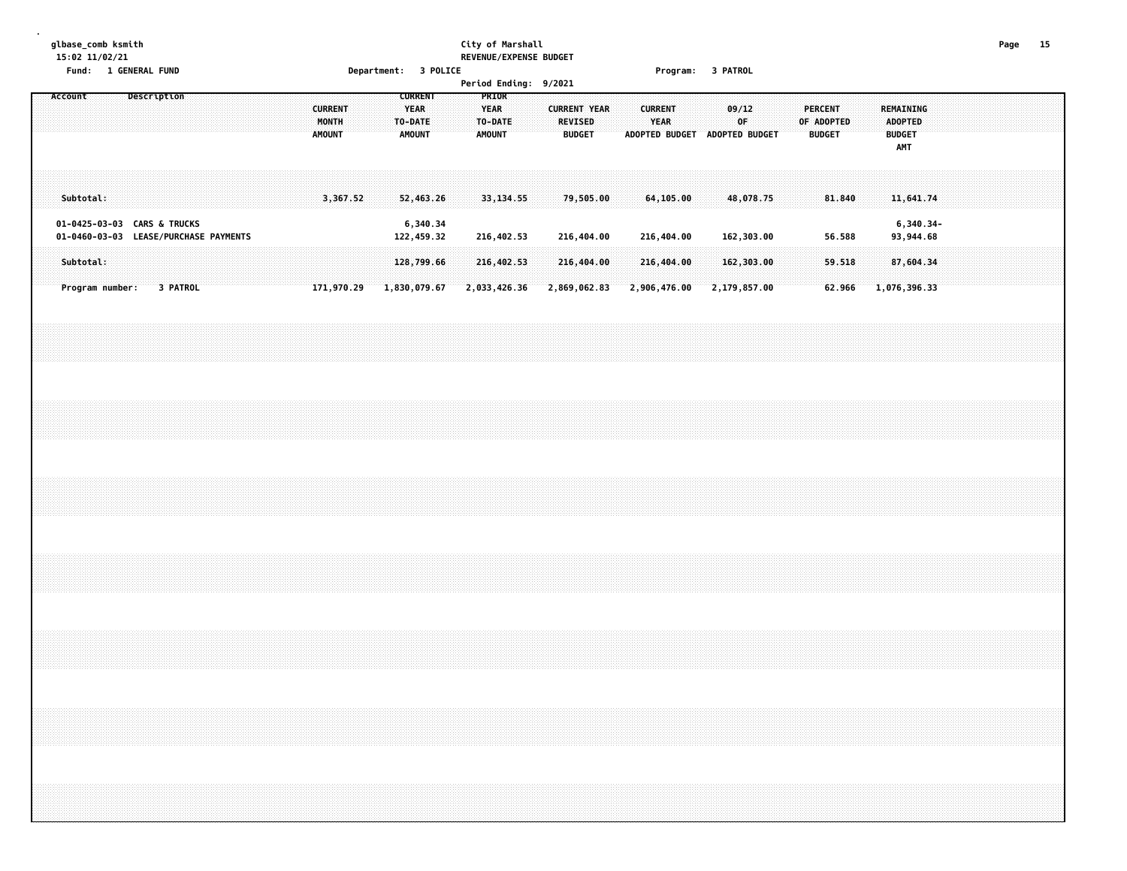## **glbase\_comb ksmith City of Marshall Page 15 15:02 11/02/21 REVENUE/EXPENSE BUDGET**

|                                                      | Fund: 1 GENERAL FUND           |  |  |                                          |            |              |                                                           | Department: 3 POLICE |                                           |              |                                              |                                 |  |                                                 | Program: 3 PATROL |  |                                      |  |                                        |        |  |                                                            |           |  |  |  |
|------------------------------------------------------|--------------------------------|--|--|------------------------------------------|------------|--------------|-----------------------------------------------------------|----------------------|-------------------------------------------|--------------|----------------------------------------------|---------------------------------|--|-------------------------------------------------|-------------------|--|--------------------------------------|--|----------------------------------------|--------|--|------------------------------------------------------------|-----------|--|--|--|
| Account                                              | <b>Description</b>             |  |  | <b>CURRENT</b><br>MONTH<br><b>AMOUNT</b> |            |              | <b>CURRENT</b><br><b>YEAR</b><br>TO-DATE<br><b>AMOUNT</b> |                      | PRIOR<br><b>YEAR</b><br>TO-DATE<br>AMOUNT |              | Period Ending: 9/2021<br><b>CURRENT YEAR</b> | <b>REVISED</b><br><b>BUDGET</b> |  | <b>CURRENT</b><br><b>YEAR</b><br>ADOPTED BUDGET |                   |  | 09/12<br>0F<br><b>ADOPTED BUDGET</b> |  | PERCENT<br>OF ADOPTED<br><b>BUDGET</b> |        |  | <b>REMAINING</b><br><b>ADOPTED</b><br><b>BUDGET</b><br>AMT |           |  |  |  |
| Subtotal:                                            |                                |  |  |                                          | 3,367.52   |              | 52,463.26                                                 |                      |                                           | 33, 134.55   |                                              | 79,505.00                       |  | 64,105.00                                       |                   |  | 48,078.75                            |  |                                        | 81.840 |  | 11,641.74                                                  |           |  |  |  |
| 01-0425-03-03 CARS & TRUCKS<br>$01 - 0460 - 03 - 03$ | <b>LEASE/PURCHASE PAYMENTS</b> |  |  |                                          |            |              | 6,340.34<br>122,459.32                                    |                      |                                           | 216,402.53   |                                              | 216,404.00                      |  | 216,404.00                                      |                   |  | 162,303.00                           |  |                                        | 56.588 |  | 93,944.68                                                  | 6,340.34- |  |  |  |
| Subtotal:                                            |                                |  |  |                                          |            |              | 128,799.66                                                |                      |                                           | 216,402.53   |                                              | 216,404.00                      |  | 216,404.00                                      |                   |  | 162,303.00                           |  |                                        | 59.518 |  | 87,604.34                                                  |           |  |  |  |
| Program number:                                      | 3 PATROL                       |  |  |                                          | 171,970.29 | 1,830,079.67 |                                                           |                      |                                           | 2,033,426.36 | 2,869,062.83                                 |                                 |  | 2,906,476.00                                    |                   |  | 2,179,857.00                         |  |                                        | 62.966 |  | 1,076,396.33                                               |           |  |  |  |
|                                                      |                                |  |  |                                          |            |              |                                                           |                      |                                           |              |                                              |                                 |  |                                                 |                   |  |                                      |  |                                        |        |  |                                                            |           |  |  |  |
|                                                      |                                |  |  |                                          |            |              |                                                           |                      |                                           |              |                                              |                                 |  |                                                 |                   |  |                                      |  |                                        |        |  |                                                            |           |  |  |  |
|                                                      |                                |  |  |                                          |            |              |                                                           |                      |                                           |              |                                              |                                 |  |                                                 |                   |  |                                      |  |                                        |        |  |                                                            |           |  |  |  |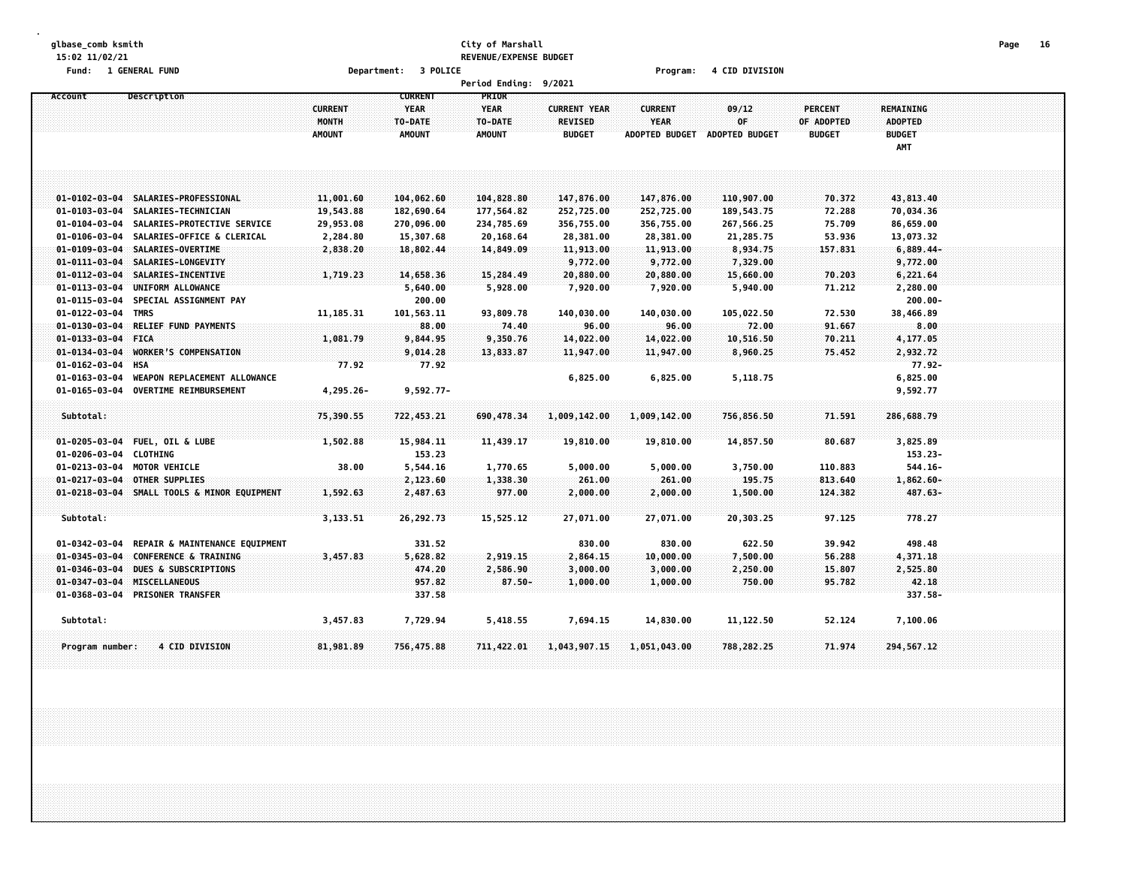### **glbase\_comb ksmith City of Marshall Page 16 15:02 11/02/21 REVENUE/EXPENSE BUDGET**

**Fund: 1 GENERAL FUND Department: 3 POLICE Program: 4 CID DIVISION**

|                        |                                             |                                          |                                                           | <b>Period Ending:</b>                                   | 9/2021                                                 |                                                        |                                |                                               |                                                     |  |
|------------------------|---------------------------------------------|------------------------------------------|-----------------------------------------------------------|---------------------------------------------------------|--------------------------------------------------------|--------------------------------------------------------|--------------------------------|-----------------------------------------------|-----------------------------------------------------|--|
| Account                | Description                                 | <b>CURRENT</b><br>MONTH<br><b>AMOUNT</b> | <b>CURRENT</b><br><b>YEAR</b><br>TO-DATE<br><b>AMOUNT</b> | <b>PRIOR</b><br><b>YEAR</b><br>TO-DATE<br><b>AMOUNT</b> | <b>CURRENT YEAR</b><br><b>REVISED</b><br><b>BUDGET</b> | <b>CURRENT</b><br><b>YEAR</b><br><b>ADOPTED BUDGET</b> | 09/12<br>0F.<br>ADOPTED BUDGET | <b>PERCENT</b><br>OF ADOPTED<br><b>BUDGET</b> | REMAINING<br><b>ADOPTED</b><br><b>BUDGET</b><br>AMT |  |
|                        |                                             |                                          |                                                           |                                                         |                                                        |                                                        |                                |                                               |                                                     |  |
| $01 - 0102 - 03 - 04$  | SALARIES-PROFESSIONAL                       | 11,001.60                                | 104,062.60                                                | 104,828.80                                              | 147,876.00                                             | 147,876.00                                             | 110,907.00                     | 70.372                                        | 43,813.40                                           |  |
| $01 - 0103 - 03 - 04$  | SALARIES-TECHNICIAN                         | 19,543.88                                | 182,690.64                                                | 177,564.82                                              | 252,725.00                                             | 252,725.00                                             | 189,543.75                     | 72.288                                        | 70,034.36                                           |  |
| 01-0104-03-04          | SALARIES-PROTECTIVE SERVICE                 | 29,953.08                                | 270,096.00                                                | 234,785.69                                              | 356,755.00                                             | 356,755.00                                             | 267,566.25                     | 75.709                                        | 86,659.00                                           |  |
| 01-0106-03-04          | SALARIES-OFFICE & CLERICAL                  | 2,284.80                                 | 15,307.68                                                 | 20,168.64                                               | 28,381.00                                              | 28,381.00                                              | 21,285.75                      | 53.936                                        | 13,073.32                                           |  |
| $01 - 0109 - 03 - 04$  | SALARIES-OVERTIME                           | 2,838.20                                 | 18,802.44                                                 | 14,849.09                                               | 11,913.00                                              | 11,913.00                                              | 8,934.75                       | 157.831                                       | $6,889.44-$                                         |  |
| $01 - 0111 - 03 - 04$  | SALARIES-LONGEVITY                          |                                          |                                                           |                                                         | 9,772.00                                               | 9,772.00                                               | 7,329.00                       |                                               | 9,772.00                                            |  |
| $01 - 0112 - 03 - 04$  | SALARIES-INCENTIVE                          | 1,719.23                                 | 14,658.36                                                 | 15,284.49                                               | 20,880.00                                              | 20,880.00                                              | 15,660.00                      | 70.203                                        | 6,221.64                                            |  |
| $01 - 0113 - 03 - 04$  | UNIFORM ALLOWANCE                           |                                          | 5,640.00                                                  | 5,928.00                                                | 7,920.00                                               | 7,920.00                                               | 5,940.00                       | 71.212                                        | 2,280.00                                            |  |
| 01-0115-03-04          | SPECIAL ASSIGNMENT PAY                      |                                          | 200.00                                                    |                                                         |                                                        |                                                        |                                |                                               | $200.00 -$                                          |  |
| 01-0122-03-04          | <b>TMRS</b>                                 | 11, 185. 31                              | 101,563.11                                                | 93,809.78                                               | 140,030.00                                             | 140,030.00                                             | 105,022.50                     | 72.530                                        | 38,466.89                                           |  |
| $01 - 0130 - 03 - 04$  | RELIEF FUND PAYMENTS                        |                                          | 88.00                                                     | 74.40                                                   | 96.00                                                  | 96.00                                                  | 72.00                          | 91.667                                        | 8.00                                                |  |
| $01 - 0133 - 03 - 04$  | <b>FICA</b>                                 | 1,081.79                                 | 9,844.95                                                  | 9,350.76                                                | 14,022.00                                              | 14,022.00                                              | 10,516.50                      | 70.211                                        | 4,177.05                                            |  |
| $01 - 0134 - 03 - 04$  | <b>WORKER'S COMPENSATION</b>                |                                          | 9,014.28                                                  | 13,833.87                                               | 11,947.00                                              | 11,947.00                                              | 8,960.25                       | 75.452                                        | 2,932.72                                            |  |
| $01 - 0162 - 03 - 04$  | <b>HSA</b>                                  | 77.92                                    | 77.92                                                     |                                                         |                                                        |                                                        |                                |                                               | $77.92 -$                                           |  |
| $01 - 0163 - 03 - 04$  | WEAPON REPLACEMENT ALLOWANCE                |                                          |                                                           |                                                         | 6,825.00                                               | 6,825.00                                               | 5,118.75                       |                                               | 6,825.00                                            |  |
| 01-0165-03-04          | OVERTIME REIMBURSEMENT                      | 4,295.26-                                | $9,592.77-$                                               |                                                         |                                                        |                                                        |                                |                                               | 9,592.77                                            |  |
|                        |                                             |                                          |                                                           |                                                         |                                                        |                                                        |                                |                                               |                                                     |  |
| Subtotal:              |                                             | 75,390.55                                | 722,453.21                                                | 690,478.34                                              | 1,009,142.00                                           | 1,009,142.00                                           | 756,856.50                     | 71.591                                        | 286,688.79                                          |  |
|                        |                                             |                                          |                                                           |                                                         |                                                        |                                                        |                                |                                               |                                                     |  |
|                        | 01-0205-03-04 FUEL, OIL & LUBE              | 1,502.88                                 | 15,984.11                                                 | 11,439.17                                               | 19,810.00                                              | 19,810.00                                              | 14,857.50                      | 80.687                                        | 3,825.89                                            |  |
| 01-0206-03-04 CLOTHING |                                             |                                          | 153.23                                                    |                                                         |                                                        |                                                        |                                |                                               | 153.23-                                             |  |
|                        | 01-0213-03-04 MOTOR VEHICLE                 | 38.00                                    | 5,544.16                                                  | 1,770.65                                                | 5,000.00                                               | 5,000.00                                               | 3,750.00                       | 110.883                                       | $544.16 -$                                          |  |
|                        | 01-0217-03-04 OTHER SUPPLIES                |                                          | 2,123.60                                                  | 1,338.30                                                | 261.00                                                 | 261.00                                                 | 195.75                         | 813.640                                       | 1,862.60-                                           |  |
|                        | 01-0218-03-04 SMALL TOOLS & MINOR EQUIPMENT | 1,592.63                                 | 2,487.63                                                  | 977.00                                                  | 2,000.00                                               | 2,000.00                                               | 1,500.00                       | 124.382                                       | $487.63 -$                                          |  |
|                        |                                             |                                          |                                                           |                                                         |                                                        |                                                        |                                |                                               |                                                     |  |
| Subtotal:              |                                             | 3,133.51                                 | 26,292.73                                                 | 15,525.12                                               | 27,071.00                                              | 27,071.00                                              | 20,303.25                      | 97.125                                        | 778.27                                              |  |
| $01 - 0342 - 03 - 04$  | REPAIR & MAINTENANCE EQUIPMENT              |                                          | 331.52                                                    |                                                         | 830.00                                                 | 830.00                                                 | 622.50                         | 39.942                                        | 498.48                                              |  |
| $01 - 0345 - 03 - 04$  | <b>CONFERENCE &amp; TRAINING</b>            | 3,457.83                                 | 5,628.82                                                  | 2,919.15                                                | 2,864.15                                               | 10,000.00                                              | 7,500.00                       | 56.288                                        | 4,371.18                                            |  |
| $01 - 0346 - 03 - 04$  | DUES & SUBSCRIPTIONS                        |                                          | 474.20                                                    | 2,586.90                                                | 3,000.00                                               | 3,000.00                                               | 2,250.00                       | 15.807                                        | 2,525.80                                            |  |
| $01 - 0347 - 03 - 04$  | MISCELLANEOUS                               |                                          | 957.82                                                    | $87.50 -$                                               | 1,000.00                                               | 1,000.00                                               | 750.00                         | 95.782                                        | 42.18                                               |  |
|                        | 01-0368-03-04 PRISONER TRANSFER             |                                          | 337.58                                                    |                                                         |                                                        |                                                        |                                |                                               | $337.58 -$                                          |  |
| Subtotal:              |                                             | 3,457.83                                 | 7,729.94                                                  | 5,418.55                                                | 7,694.15                                               | 14,830.00                                              | 11,122.50                      | 52.124                                        | 7,100.06                                            |  |
| Program number:        | <b>4 CID DIVISION</b>                       | 81,981.89                                | 756,475.88                                                | 711,422.01                                              | 1,043,907.15                                           | 1,051,043.00                                           | 788,282.25                     | 71.974                                        | 294, 567. 12                                        |  |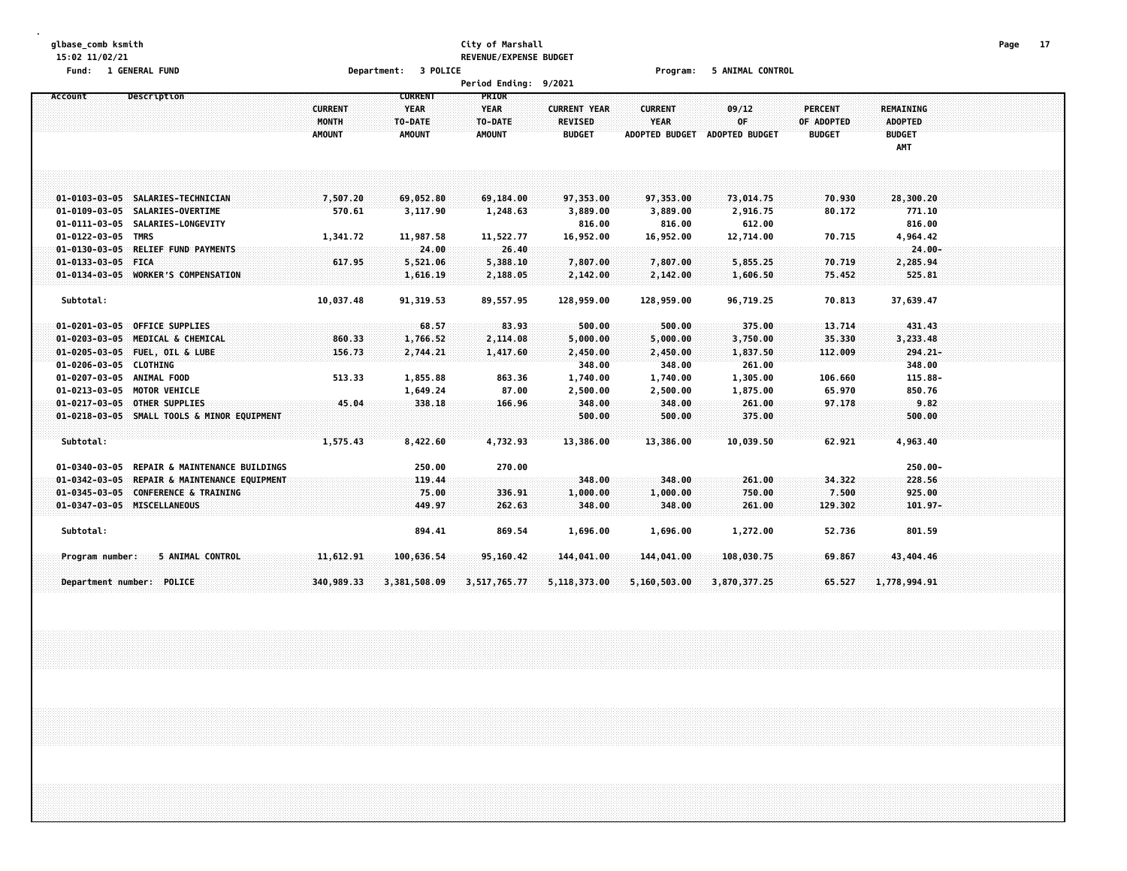### **glbase\_comb ksmith City of Marshall Page 17 15:02 11/02/21 REVENUE/EXPENSE BUDGET**

**Fund: 1 GENERAL FUND Department: 3 POLICE Program: 5 ANIMAL CONTROL**

|                             |                                             |                                          |                                                           | Period Ending: 9/2021                            |                                                        |                                                        |                                      |                                               |                                                            |  |
|-----------------------------|---------------------------------------------|------------------------------------------|-----------------------------------------------------------|--------------------------------------------------|--------------------------------------------------------|--------------------------------------------------------|--------------------------------------|-----------------------------------------------|------------------------------------------------------------|--|
| Account                     | Description                                 | <b>CURRENT</b><br>MONTH<br><b>AMOUNT</b> | <b>CURRENT</b><br><b>YEAR</b><br>TO-DATE<br><b>AMOUNT</b> | PRIOR<br><b>YEAR</b><br>TO-DATE<br><b>AMOUNT</b> | <b>CURRENT YEAR</b><br><b>REVISED</b><br><b>BUDGET</b> | <b>CURRENT</b><br><b>YEAR</b><br><b>ADOPTED BUDGET</b> | 09/12<br>0F<br><b>ADOPTED BUDGET</b> | <b>PERCENT</b><br>OF ADOPTED<br><b>BUDGET</b> | <b>REMAINING</b><br><b>ADOPTED</b><br><b>BUDGET</b><br>AMT |  |
|                             |                                             |                                          |                                                           |                                                  |                                                        |                                                        |                                      |                                               |                                                            |  |
|                             | 01-0103-03-05 SALARIES-TECHNICIAN           | 7,507.20                                 | 69,052.80                                                 | 69,184.00                                        | 97,353.00                                              | 97,353.00                                              | 73,014.75                            | 70.930                                        | 28,300.20                                                  |  |
|                             | 01-0109-03-05 SALARIES-OVERTIME             | 570.61                                   | 3,117.90                                                  | 1,248.63                                         | 3,889.00                                               | 3,889.00                                               | 2,916.75                             | 80.172                                        | 771.10                                                     |  |
|                             | 01-0111-03-05 SALARIES-LONGEVITY            |                                          |                                                           |                                                  | 816.00                                                 | 816.00                                                 | 612.00                               |                                               | 816.00                                                     |  |
| 01-0122-03-05 TMRS          |                                             | 1,341.72                                 | 11,987.58                                                 | 11,522.77                                        | 16,952.00                                              | 16,952.00                                              | 12,714.00                            | 70.715                                        | 4,964.42                                                   |  |
|                             | 01-0130-03-05 RELIEF FUND PAYMENTS          |                                          | 24.00                                                     | 26.40                                            |                                                        |                                                        |                                      |                                               | $24.00 -$                                                  |  |
| 01-0133-03-05 FICA          |                                             | 617.95                                   | 5,521.06                                                  | 5,388.10                                         | 7,807.00                                               | 7,807.00                                               | 5,855.25                             | 70.719                                        | 2,285.94                                                   |  |
|                             | 01-0134-03-05 WORKER'S COMPENSATION         |                                          | 1,616.19                                                  | 2,188.05                                         | 2,142.00                                               | 2,142.00                                               | 1,606.50                             | 75.452                                        | 525.81                                                     |  |
| Subtotal:                   |                                             | 10,037.48                                | 91,319.53                                                 | 89,557.95                                        | 128.959.00                                             | 128,959.00                                             | 96.719.25                            | 70.813                                        | 37,639.47                                                  |  |
|                             | 01-0201-03-05 OFFICE SUPPLIES               |                                          | 68.57                                                     | 83.93                                            | 500.00                                                 | 500.00                                                 | 375.00                               | 13,714                                        | 431.43                                                     |  |
| $01 - 0203 - 03 - 05$       | MEDICAL & CHEMICAL                          | 860.33                                   | 1,766.52                                                  | 2,114.08                                         | 5,000.00                                               | 5,000.00                                               | 3,750.00                             | 35.330                                        | 3,233.48                                                   |  |
|                             | 01-0205-03-05 FUEL, OIL & LUBE              | 156.73                                   | 2,744.21                                                  | 1,417.60                                         | 2,450.00                                               | 2,450.00                                               | 1,837.50                             | 112.009                                       | $294.21 -$                                                 |  |
| 01-0206-03-05 CLOTHING      |                                             |                                          |                                                           |                                                  | 348.00                                                 | 348.00                                                 | 261.00                               |                                               | 348.00                                                     |  |
| 01-0207-03-05 ANIMAL FOOD   |                                             | 513.33                                   | 1,855.88                                                  | 863.36                                           | 1,740.00                                               | 1,740.00                                               | 1,305.00                             | 106.660                                       | 115.88-                                                    |  |
| 01-0213-03-05 MOTOR VEHICLE |                                             |                                          | 1,649.24                                                  | 87.00                                            | 2,500.00                                               | 2,500.00                                               | 1,875.00                             | 65.970                                        | 850.76                                                     |  |
| $01 - 0217 - 03 - 05$       | <b>OTHER SUPPLIES</b>                       | 45.04                                    | 338.18                                                    | 166.96                                           | 348.00                                                 | 348.00                                                 | 261.00                               | 97.178                                        | 9.82                                                       |  |
|                             | 01-0218-03-05 SMALL TOOLS & MINOR EQUIPMENT |                                          |                                                           |                                                  | 500.00                                                 | 500.00                                                 | 375.00                               |                                               | 500.00                                                     |  |
|                             |                                             |                                          |                                                           |                                                  |                                                        |                                                        |                                      |                                               |                                                            |  |
| Subtotal:                   |                                             | 1,575.43                                 | 8,422.60                                                  | 4,732.93                                         | 13,386.00                                              | 13,386.00                                              | 10,039.50                            | 62.921                                        | 4,963.40                                                   |  |
| 01-0340-03-05               | REPAIR & MAINTENANCE BUILDINGS              |                                          | 250.00                                                    | 270.00                                           |                                                        |                                                        |                                      |                                               | $250.00 -$                                                 |  |
| $01 - 0342 - 03 - 05$       | REPAIR & MAINTENANCE EQUIPMENT              |                                          | 119.44                                                    |                                                  | 348.00                                                 | 348.00                                                 | 261.00                               | 34.322                                        | 228.56                                                     |  |
| $01 - 0345 - 03 - 05$       | <b>CONFERENCE &amp; TRAINING</b>            |                                          | 75.00                                                     | 336.91                                           | 1,000.00                                               | 1,000.00                                               | 750.00                               | 7.500                                         | 925.00                                                     |  |
| 01-0347-03-05 MISCELLANEOUS |                                             |                                          | 449.97                                                    | 262.63                                           | 348.00                                                 | 348.00                                                 | 261.00                               | 129.302                                       | $101.97 -$                                                 |  |
|                             |                                             |                                          |                                                           |                                                  |                                                        |                                                        |                                      |                                               |                                                            |  |
| Subtotal:                   |                                             |                                          | 894.41                                                    | 869.54                                           | 1,696.00                                               | 1,696.00                                               | 1,272.00                             | 52.736                                        | 801.59                                                     |  |
| Program number:             | 5 ANIMAL CONTROL                            | 11,612.91                                | 100,636.54                                                | 95,160.42                                        | 144,041.00                                             | 144,041.00                                             | 108,030.75                           | 69.867                                        | 43,404.46                                                  |  |
|                             |                                             |                                          |                                                           |                                                  |                                                        |                                                        |                                      |                                               |                                                            |  |
| Department number: POLICE   |                                             | 340,989.33                               | 3,381,508.09                                              | 3,517,765.77                                     | 5,118,373.00                                           | 5,160,503.00                                           | 3,870,377.25                         | 65.527                                        | 1,778,994.91                                               |  |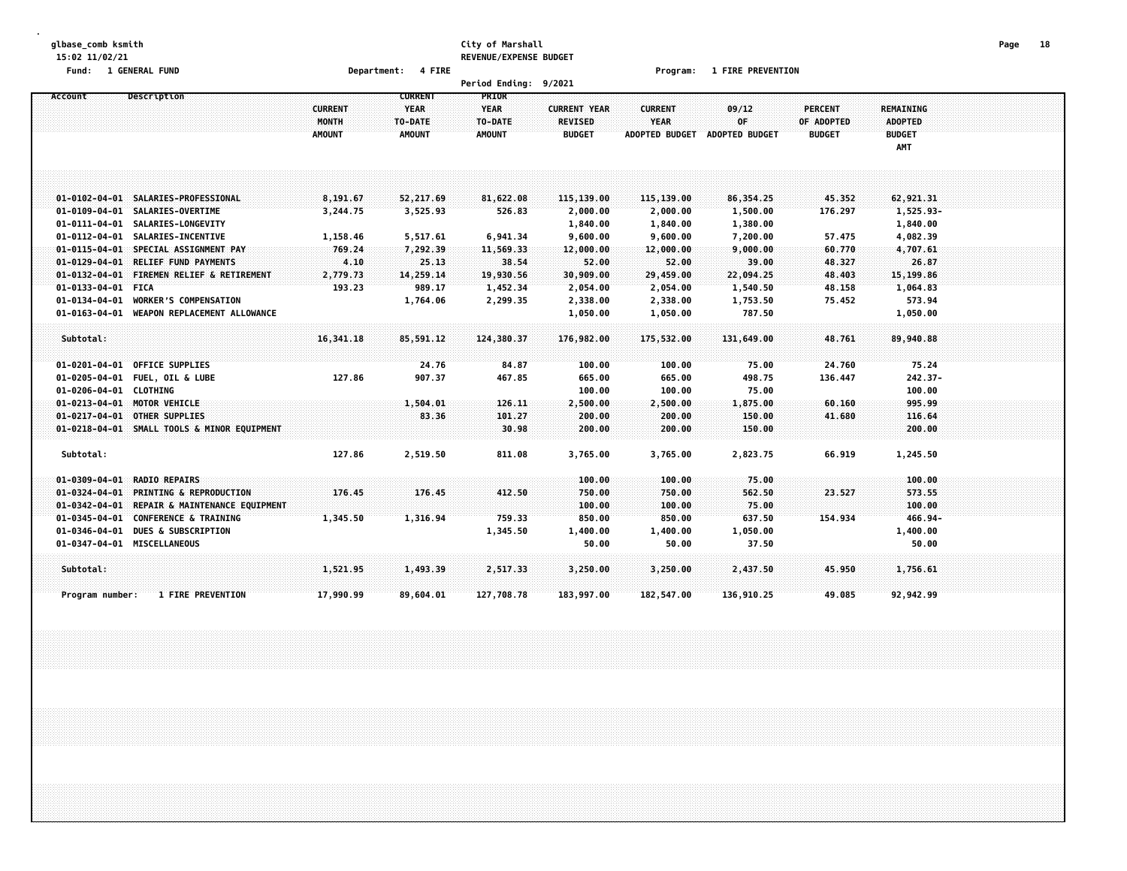#### **glbase\_comb ksmith City of Marshall Page 18 15:02 11/02/21 REVENUE/EXPENSE BUDGET**

**Fund: 1 GENERAL FUND Department: 4 FIRE Program: 1 FIRE PREVENTION**

|                                                                     |                                          |                                                           | Period Ending: 9/2021                     |                                                        |                                                        |                                      |                                               |                                                     |  |
|---------------------------------------------------------------------|------------------------------------------|-----------------------------------------------------------|-------------------------------------------|--------------------------------------------------------|--------------------------------------------------------|--------------------------------------|-----------------------------------------------|-----------------------------------------------------|--|
| Description<br>Account                                              | <b>CURRENT</b><br>MONTH<br><b>AMOUNT</b> | <b>CURRENT</b><br><b>YEAR</b><br>TO-DATE<br><b>AMOUNT</b> | PRIOR<br>YEAR<br>TO-DATE<br><b>AMOUNT</b> | <b>CURRENT YEAR</b><br><b>REVISED</b><br><b>BUDGET</b> | <b>CURRENT</b><br><b>YEAR</b><br><b>ADOPTED BUDGET</b> | 09/12<br>OF<br><b>ADOPTED BUDGET</b> | <b>PERCENT</b><br>OF ADOPTED<br><b>BUDGET</b> | REMAINING<br><b>ADOPTED</b><br><b>BUDGET</b><br>AMT |  |
|                                                                     |                                          |                                                           |                                           |                                                        |                                                        |                                      |                                               |                                                     |  |
| 01-0102-04-01 SALARIES-PROFESSIONAL                                 | 8,191.67                                 | 52,217.69                                                 | 81,622.08                                 | 115,139.00                                             | 115,139.00                                             | 86,354.25                            | 45.352                                        | 62,921.31                                           |  |
| 01-0109-04-01 SALARIES-OVERTIME<br>01-0111-04-01 SALARIES-LONGEVITY | 3,244.75                                 | 3,525.93                                                  | 526.83                                    | 2,000.00<br>1,840.00                                   | 2,000.00<br>1,840.00                                   | 1,500.00<br>1,380.00                 | 176.297                                       | 1,525.93-<br>1,840.00                               |  |
| 01-0112-04-01 SALARIES-INCENTIVE                                    | 1,158.46                                 | 5,517.61                                                  | 6,941.34                                  | 9,600.00                                               | 9,600.00                                               | 7,200.00                             | 57.475                                        | 4,082.39                                            |  |
| $01 - 0115 - 04 - 01$<br>SPECIAL ASSIGNMENT PAY                     | 769.24                                   | 7,292.39                                                  | 11,569.33                                 | 12,000.00                                              | 12,000.00                                              | 9,000.00                             | 60.770                                        | 4,707.61                                            |  |
| 01-0129-04-01 RELIEF FUND PAYMENTS                                  | 4.10                                     | 25.13                                                     | 38.54                                     | 52.00                                                  | 52.00                                                  | 39.00                                | 48.327                                        | 26.87                                               |  |
| $01 - 0132 - 04 - 01$<br><b>FIREMEN RELIEF &amp; RETIREMENT</b>     | 2,779.73                                 | 14,259.14                                                 | 19,930.56                                 | 30,909.00                                              | 29,459.00                                              | 22,094.25                            | 48.403                                        | 15,199.86                                           |  |
| 01-0133-04-01 FICA                                                  | 193.23                                   | 989.17                                                    | 1,452.34                                  | 2,054.00                                               | 2,054.00                                               | 1,540.50                             | 48.158                                        | 1,064.83                                            |  |
| <b>WORKER'S COMPENSATION</b><br>01-0134-04-01                       |                                          | 1,764.06                                                  | 2,299.35                                  | 2,338.00                                               | 2,338.00                                               | 1,753.50                             | 75.452                                        | 573.94                                              |  |
| 01-0163-04-01<br>WEAPON REPLACEMENT ALLOWANCE                       |                                          |                                                           |                                           | 1,050.00                                               | 1,050.00                                               | 787.50                               |                                               | 1,050.00                                            |  |
| Subtotal:                                                           | 16,341.18                                | 85,591.12                                                 | 124,380.37                                | 176,982.00                                             | 175,532.00                                             | 131,649.00                           | 48.761                                        | 89,940.88                                           |  |
| 01-0201-04-01 OFFICE SUPPLIES                                       |                                          | 24.76                                                     | 84.87                                     | 100.00                                                 | 100.00                                                 | 75.00                                | 24.760                                        | 75.24                                               |  |
| 01-0205-04-01 FUEL, OIL & LUBE                                      | 127.86                                   | 907.37                                                    | 467.85                                    | 665.00                                                 | 665.00                                                 | 498.75                               | 136.447                                       | 242.37-                                             |  |
| 01-0206-04-01 CLOTHING                                              |                                          |                                                           |                                           | 100.00                                                 | 100.00                                                 | 75.00                                |                                               | 100.00                                              |  |
| 01-0213-04-01 MOTOR VEHICLE                                         |                                          | 1,504.01                                                  | 126.11                                    | 2,500.00                                               | 2,500.00                                               | 1,875.00                             | 60.160                                        | 995.99                                              |  |
| 01-0217-04-01 OTHER SUPPLIES                                        |                                          | 83.36                                                     | 101.27                                    | 200.00                                                 | 200.00                                                 | 150.00                               | 41.680                                        | 116.64                                              |  |
| 01-0218-04-01 SMALL TOOLS & MINOR EQUIPMENT                         |                                          |                                                           | 30.98                                     | 200.00                                                 | 200.00                                                 | 150.00                               |                                               | 200.00                                              |  |
|                                                                     |                                          |                                                           |                                           |                                                        |                                                        |                                      |                                               |                                                     |  |
| Subtotal:                                                           | 127.86                                   | 2,519.50                                                  | 811.08                                    | 3,765.00                                               | 3,765.00                                               | 2,823.75                             | 66.919                                        | 1,245.50                                            |  |
| <b>RADIO REPAIRS</b><br>$01 - 0309 - 04 - 01$                       |                                          |                                                           |                                           | 100.00                                                 | 100.00                                                 | 75.00                                |                                               | 100.00                                              |  |
| $01 - 0324 - 04 - 01$<br><b>PRINTING &amp; REPRODUCTION</b>         | 176.45                                   | 176.45                                                    | 412.50                                    | 750.00                                                 | 750.00                                                 | 562.50                               | 23.527                                        | 573.55                                              |  |
| 01-0342-04-01 REPAIR & MAINTENANCE EQUIPMENT                        |                                          |                                                           |                                           | 100.00                                                 | 100.00                                                 | 75.00                                |                                               | 100.00                                              |  |
| 01-0345-04-01<br><b>CONFERENCE &amp; TRAINING</b>                   | 1,345.50                                 | 1,316.94                                                  | 759.33                                    | 850.00                                                 | 850.00                                                 | 637.50                               | 154.934                                       | 466.94-                                             |  |
| <b>DUES &amp; SUBSCRIPTION</b><br>01-0346-04-01                     |                                          |                                                           | 1,345.50                                  | 1,400.00                                               | 1,400.00                                               | 1,050.00                             |                                               | 1,400.00                                            |  |
| 01-0347-04-01 MISCELLANEOUS                                         |                                          |                                                           |                                           | 50.00                                                  | 50.00                                                  | 37.50                                |                                               | 50.00                                               |  |
| Subtotal:                                                           | 1,521.95                                 | 1,493.39                                                  | 2,517.33                                  | 3,250.00                                               | 3,250.00                                               | 2,437.50                             | 45.950                                        | 1,756.61                                            |  |
| <b>1 FIRE PREVENTION</b><br>Program number:                         | 17,990.99                                | 89,604.01                                                 | 127,708.78                                | 183,997.00                                             | 182,547.00                                             | 136,910.25                           | 49.085                                        | 92,942.99                                           |  |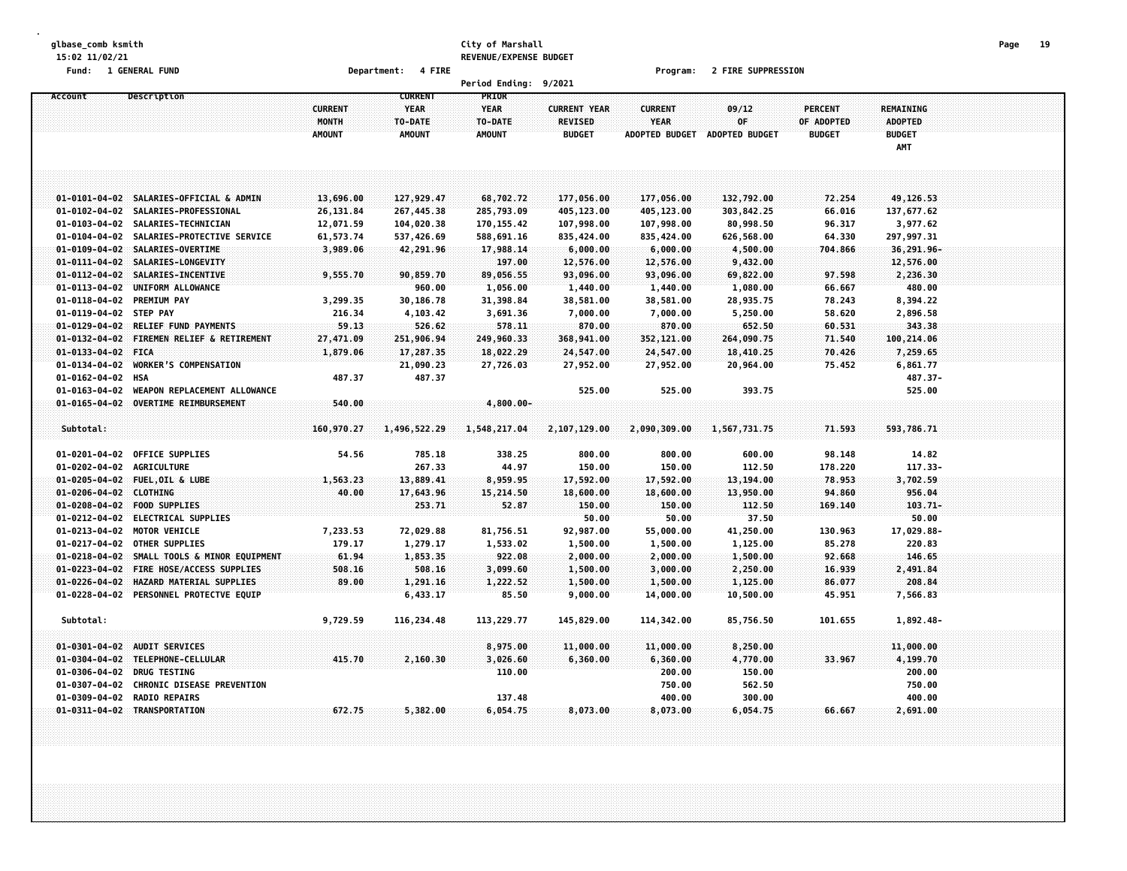#### **glbase\_comb ksmith City of Marshall Page 19 15:02 11/02/21 REVENUE/EXPENSE BUDGET**

**Fund: 1 GENERAL FUND Department: 4 FIRE Program: 2 FIRE SUPPRESSION**

| PRIOR<br><b>CURRENT</b><br>Description<br>Account<br><b>CURRENT</b><br><b>YEAR</b><br><b>YEAR</b><br><b>CURRENT YEAR</b><br><b>CURRENT</b><br>09/12<br><b>PERCENT</b><br><b>REMAINING</b><br>MONTH<br>TO-DATE<br><b>REVISED</b><br><b>YEAR</b><br>0F<br>OF ADOPTED<br><b>ADOPTED</b><br>TO-DATE<br><b>AMOUNT</b><br><b>AMOUNT</b><br>AMOUNT<br><b>BUDGET</b><br><b>ADOPTED BUDGET</b><br>ADOPTED BUDGET<br><b>BUDGET</b><br><b>BUDGET</b><br>AMT<br>01-0101-04-02 SALARIES-OFFICIAL & ADMIN<br>13,696.00<br>127,929.47<br>68,702.72<br>177,056.00<br>132,792.00<br>49,126.53<br>177,056.00<br>72.254<br>26,131.84<br>267,445.38<br>285,793.09<br>405,123.00<br>405,123.00<br>303,842.25<br>137,677.62<br>01-0102-04-02 SALARIES-PROFESSIONAL<br>66.016<br>01-0103-04-02 SALARIES-TECHNICIAN<br>12,071.59<br>104,020.38<br>170, 155.42<br>107,998.00<br>107,998.00<br>80,998.50<br>96.317<br>3,977.62<br>01-0104-04-02 SALARIES-PROTECTIVE SERVICE<br>61,573.74<br>537,426.69<br>588,691.16<br>835,424.00<br>835,424.00<br>626,568.00<br>64.330<br>297,997.31<br>01-0109-04-02 SALARIES-OVERTIME<br>36,291.96-<br>3,989.06<br>42,291.96<br>17,988.14<br>6,000.00<br>6,000.00<br>4,500.00<br>704.866<br>01-0111-04-02 SALARIES-LONGEVITY<br>197.00<br>12,576.00<br>12,576.00<br>9,432.00<br>12,576.00<br>01-0112-04-02 SALARIES-INCENTIVE<br>9,555.70<br>90,859.70<br>89,056.55<br>93,096.00<br>93,096.00<br>69,822.00<br>97.598<br>2,236.30<br>01-0113-04-02 UNIFORM ALLOWANCE<br>960.00<br>1,056.00<br>480.00<br>1,440.00<br>1,440.00<br>1,080.00<br>66.667<br>01-0118-04-02 PREMIUM PAY<br>3,299.35<br>30,186.78<br>31,398.84<br>38,581.00<br>38,581.00<br>28,935.75<br>78.243<br>8,394.22<br>01-0119-04-02 STEP PAY<br>216.34<br>4,103.42<br>3,691.36<br>7,000.00<br>7,000.00<br>5,250.00<br>58.620<br>2,896.58<br>01-0129-04-02 RELIEF FUND PAYMENTS<br>59.13<br>526.62<br>578.11<br>870.00<br>870.00<br>652.50<br>60.531<br>343.38<br>01-0132-04-02 FIREMEN RELIEF & RETIREMENT<br>27,471.09<br>251,906.94<br>249,960.33<br>368,941.00<br>352,121.00<br>264,090.75<br>100,214.06<br>71.540<br>01-0133-04-02 FICA<br>1,879.06<br>17,287.35<br>18,022.29<br>24,547.00<br>24,547.00<br>18,410.25<br>70.426<br>7,259.65<br>$01 - 0134 - 04 - 02$<br><b>WORKER'S COMPENSATION</b><br>21,090.23<br>27,726.03<br>6,861.77<br>27,952.00<br>27,952.00<br>20,964.00<br>75.452<br>$01 - 0162 - 04 - 02$<br>487.37<br>487.37<br>487.37-<br>HSA<br>525.00<br>$01 - 0163 - 04 - 02$<br>WEAPON REPLACEMENT ALLOWANCE<br>525.00<br>525.00<br>393.75<br>01-0165-04-02 OVERTIME REIMBURSEMENT<br>540.00<br>$4,800.00 -$<br>Subtotal:<br>160,970.27<br>1,496,522.29<br>1,548,217.04<br>2,107,129.00<br>2,090,309.00<br>1,567,731.75<br>71.593<br>593,786.71<br>01-0201-04-02 OFFICE SUPPLIES<br>800.00<br>14.82<br>54.56<br>785.18<br>338.25<br>800.00<br>600.00<br>98.148<br>267.33<br>44.97<br>112.50<br>178.220<br>117.33-<br>01-0202-04-02 AGRICULTURE<br>150.00<br>150.00<br>01-0205-04-02 FUEL, OIL & LUBE<br>1,563.23<br>13,889.41<br>8,959.95<br>17,592.00<br>17,592.00<br>13,194.00<br>78.953<br>3,702.59<br>01-0206-04-02 CLOTHING<br>40.00<br>17,643.96<br>15,214.50<br>18,600.00<br>18,600.00<br>13,950.00<br>94.860<br>956.04<br>52.87<br>$103.71-$<br>01-0208-04-02 FOOD SUPPLIES<br>253.71<br>150.00<br>150.00<br>112.50<br>169,140<br>37.50<br>50.00<br>01-0212-04-02 ELECTRICAL SUPPLIES<br>50.00<br>50.00<br>$01 - 0213 - 04 - 02$<br><b>MOTOR VEHICLE</b><br>7,233.53<br>72,029.88<br>81,756.51<br>92,987.00<br>55,000.00<br>41,250.00<br>130.963<br>17,029.88-<br>01-0217-04-02 OTHER SUPPLIES<br>179.17<br>1,279.17<br>1,533.02<br>1,125.00<br>85.278<br>220.83<br>1,500.00<br>1,500.00<br>61.94<br>922.08<br>146.65<br>01-0218-04-02 SMALL TOOLS & MINOR EQUIPMENT<br>1,853.35<br>2,000.00<br>2,000.00<br>1,500.00<br>92.668<br>01-0223-04-02 FIRE HOSE/ACCESS SUPPLIES<br>508.16<br>16.939<br>2,491.84<br>508.16<br>3,099.60<br>1,500.00<br>3,000.00<br>2,250.00<br>89.00<br>208.84<br>01-0226-04-02 HAZARD MATERIAL SUPPLIES<br>1,291.16<br>1,222.52<br>1,500.00<br>1,500.00<br>1,125.00<br>86.077<br>01-0228-04-02 PERSONNEL PROTECTVE EQUIP<br>6,433.17<br>85.50<br>9,000.00<br>14,000.00<br>10,500.00<br>45.951<br>7,566.83<br>Subtotal:<br>9,729.59<br>113,229.77<br>101.655<br>1,892.48-<br>116,234.48<br>145,829.00<br>114,342.00<br>85,756.50<br>01-0301-04-02 AUDIT SERVICES<br>8,975.00<br>11,000.00<br>11,000.00<br>8,250.00<br>11,000.00<br>415.70<br>2,160.30<br>3,026.60<br>6,360.00<br>6,360.00<br>4,770.00<br>33.967<br>4,199.70<br>01-0304-04-02 TELEPHONE-CELLULAR<br>$01 - 0306 - 04 - 02$<br><b>DRUG TESTING</b><br>110.00<br>200.00<br>150.00<br>200.00<br>01-0307-04-02 CHRONIC DISEASE PREVENTION<br>750.00<br>562.50<br>750.00<br>01-0309-04-02 RADIO REPAIRS<br>137.48<br>400.00<br>300.00<br>400.00<br>01-0311-04-02 TRANSPORTATION<br>672.75<br>5,382.00<br>6,054.75<br>8,073.00<br>8,073.00<br>6,054.75<br>66.667<br>2,691.00 |  |  | <b>Period Ending:</b> | 9/2021 |  |  |  |  |
|-------------------------------------------------------------------------------------------------------------------------------------------------------------------------------------------------------------------------------------------------------------------------------------------------------------------------------------------------------------------------------------------------------------------------------------------------------------------------------------------------------------------------------------------------------------------------------------------------------------------------------------------------------------------------------------------------------------------------------------------------------------------------------------------------------------------------------------------------------------------------------------------------------------------------------------------------------------------------------------------------------------------------------------------------------------------------------------------------------------------------------------------------------------------------------------------------------------------------------------------------------------------------------------------------------------------------------------------------------------------------------------------------------------------------------------------------------------------------------------------------------------------------------------------------------------------------------------------------------------------------------------------------------------------------------------------------------------------------------------------------------------------------------------------------------------------------------------------------------------------------------------------------------------------------------------------------------------------------------------------------------------------------------------------------------------------------------------------------------------------------------------------------------------------------------------------------------------------------------------------------------------------------------------------------------------------------------------------------------------------------------------------------------------------------------------------------------------------------------------------------------------------------------------------------------------------------------------------------------------------------------------------------------------------------------------------------------------------------------------------------------------------------------------------------------------------------------------------------------------------------------------------------------------------------------------------------------------------------------------------------------------------------------------------------------------------------------------------------------------------------------------------------------------------------------------------------------------------------------------------------------------------------------------------------------------------------------------------------------------------------------------------------------------------------------------------------------------------------------------------------------------------------------------------------------------------------------------------------------------------------------------------------------------------------------------------------------------------------------------------------------------------------------------------------------------------------------------------------------------------------------------------------------------------------------------------------------------------------------------------------------------------------------------------------------------------------------------------------------------------------------------------------------------------------------------------------------------------------------------------------------------------------------------------------------------------------------------------------------------------------------------------------------------------------------------------------------------------------------------------------------------------------------------------------------------------------------------------------------------------------------------------------------------------------------------------------------------------------------------------------------------------------------------------------------------------------------------------------------------------------------------------------------------------------------------------------------------------|--|--|-----------------------|--------|--|--|--|--|
|                                                                                                                                                                                                                                                                                                                                                                                                                                                                                                                                                                                                                                                                                                                                                                                                                                                                                                                                                                                                                                                                                                                                                                                                                                                                                                                                                                                                                                                                                                                                                                                                                                                                                                                                                                                                                                                                                                                                                                                                                                                                                                                                                                                                                                                                                                                                                                                                                                                                                                                                                                                                                                                                                                                                                                                                                                                                                                                                                                                                                                                                                                                                                                                                                                                                                                                                                                                                                                                                                                                                                                                                                                                                                                                                                                                                                                                                                                                                                                                                                                                                                                                                                                                                                                                                                                                                                                                                                                                                                                                                                                                                                                                                                                                                                                                                                                                                                                                                                                   |  |  |                       |        |  |  |  |  |
|                                                                                                                                                                                                                                                                                                                                                                                                                                                                                                                                                                                                                                                                                                                                                                                                                                                                                                                                                                                                                                                                                                                                                                                                                                                                                                                                                                                                                                                                                                                                                                                                                                                                                                                                                                                                                                                                                                                                                                                                                                                                                                                                                                                                                                                                                                                                                                                                                                                                                                                                                                                                                                                                                                                                                                                                                                                                                                                                                                                                                                                                                                                                                                                                                                                                                                                                                                                                                                                                                                                                                                                                                                                                                                                                                                                                                                                                                                                                                                                                                                                                                                                                                                                                                                                                                                                                                                                                                                                                                                                                                                                                                                                                                                                                                                                                                                                                                                                                                                   |  |  |                       |        |  |  |  |  |
|                                                                                                                                                                                                                                                                                                                                                                                                                                                                                                                                                                                                                                                                                                                                                                                                                                                                                                                                                                                                                                                                                                                                                                                                                                                                                                                                                                                                                                                                                                                                                                                                                                                                                                                                                                                                                                                                                                                                                                                                                                                                                                                                                                                                                                                                                                                                                                                                                                                                                                                                                                                                                                                                                                                                                                                                                                                                                                                                                                                                                                                                                                                                                                                                                                                                                                                                                                                                                                                                                                                                                                                                                                                                                                                                                                                                                                                                                                                                                                                                                                                                                                                                                                                                                                                                                                                                                                                                                                                                                                                                                                                                                                                                                                                                                                                                                                                                                                                                                                   |  |  |                       |        |  |  |  |  |
|                                                                                                                                                                                                                                                                                                                                                                                                                                                                                                                                                                                                                                                                                                                                                                                                                                                                                                                                                                                                                                                                                                                                                                                                                                                                                                                                                                                                                                                                                                                                                                                                                                                                                                                                                                                                                                                                                                                                                                                                                                                                                                                                                                                                                                                                                                                                                                                                                                                                                                                                                                                                                                                                                                                                                                                                                                                                                                                                                                                                                                                                                                                                                                                                                                                                                                                                                                                                                                                                                                                                                                                                                                                                                                                                                                                                                                                                                                                                                                                                                                                                                                                                                                                                                                                                                                                                                                                                                                                                                                                                                                                                                                                                                                                                                                                                                                                                                                                                                                   |  |  |                       |        |  |  |  |  |
|                                                                                                                                                                                                                                                                                                                                                                                                                                                                                                                                                                                                                                                                                                                                                                                                                                                                                                                                                                                                                                                                                                                                                                                                                                                                                                                                                                                                                                                                                                                                                                                                                                                                                                                                                                                                                                                                                                                                                                                                                                                                                                                                                                                                                                                                                                                                                                                                                                                                                                                                                                                                                                                                                                                                                                                                                                                                                                                                                                                                                                                                                                                                                                                                                                                                                                                                                                                                                                                                                                                                                                                                                                                                                                                                                                                                                                                                                                                                                                                                                                                                                                                                                                                                                                                                                                                                                                                                                                                                                                                                                                                                                                                                                                                                                                                                                                                                                                                                                                   |  |  |                       |        |  |  |  |  |
|                                                                                                                                                                                                                                                                                                                                                                                                                                                                                                                                                                                                                                                                                                                                                                                                                                                                                                                                                                                                                                                                                                                                                                                                                                                                                                                                                                                                                                                                                                                                                                                                                                                                                                                                                                                                                                                                                                                                                                                                                                                                                                                                                                                                                                                                                                                                                                                                                                                                                                                                                                                                                                                                                                                                                                                                                                                                                                                                                                                                                                                                                                                                                                                                                                                                                                                                                                                                                                                                                                                                                                                                                                                                                                                                                                                                                                                                                                                                                                                                                                                                                                                                                                                                                                                                                                                                                                                                                                                                                                                                                                                                                                                                                                                                                                                                                                                                                                                                                                   |  |  |                       |        |  |  |  |  |
|                                                                                                                                                                                                                                                                                                                                                                                                                                                                                                                                                                                                                                                                                                                                                                                                                                                                                                                                                                                                                                                                                                                                                                                                                                                                                                                                                                                                                                                                                                                                                                                                                                                                                                                                                                                                                                                                                                                                                                                                                                                                                                                                                                                                                                                                                                                                                                                                                                                                                                                                                                                                                                                                                                                                                                                                                                                                                                                                                                                                                                                                                                                                                                                                                                                                                                                                                                                                                                                                                                                                                                                                                                                                                                                                                                                                                                                                                                                                                                                                                                                                                                                                                                                                                                                                                                                                                                                                                                                                                                                                                                                                                                                                                                                                                                                                                                                                                                                                                                   |  |  |                       |        |  |  |  |  |
|                                                                                                                                                                                                                                                                                                                                                                                                                                                                                                                                                                                                                                                                                                                                                                                                                                                                                                                                                                                                                                                                                                                                                                                                                                                                                                                                                                                                                                                                                                                                                                                                                                                                                                                                                                                                                                                                                                                                                                                                                                                                                                                                                                                                                                                                                                                                                                                                                                                                                                                                                                                                                                                                                                                                                                                                                                                                                                                                                                                                                                                                                                                                                                                                                                                                                                                                                                                                                                                                                                                                                                                                                                                                                                                                                                                                                                                                                                                                                                                                                                                                                                                                                                                                                                                                                                                                                                                                                                                                                                                                                                                                                                                                                                                                                                                                                                                                                                                                                                   |  |  |                       |        |  |  |  |  |
|                                                                                                                                                                                                                                                                                                                                                                                                                                                                                                                                                                                                                                                                                                                                                                                                                                                                                                                                                                                                                                                                                                                                                                                                                                                                                                                                                                                                                                                                                                                                                                                                                                                                                                                                                                                                                                                                                                                                                                                                                                                                                                                                                                                                                                                                                                                                                                                                                                                                                                                                                                                                                                                                                                                                                                                                                                                                                                                                                                                                                                                                                                                                                                                                                                                                                                                                                                                                                                                                                                                                                                                                                                                                                                                                                                                                                                                                                                                                                                                                                                                                                                                                                                                                                                                                                                                                                                                                                                                                                                                                                                                                                                                                                                                                                                                                                                                                                                                                                                   |  |  |                       |        |  |  |  |  |
|                                                                                                                                                                                                                                                                                                                                                                                                                                                                                                                                                                                                                                                                                                                                                                                                                                                                                                                                                                                                                                                                                                                                                                                                                                                                                                                                                                                                                                                                                                                                                                                                                                                                                                                                                                                                                                                                                                                                                                                                                                                                                                                                                                                                                                                                                                                                                                                                                                                                                                                                                                                                                                                                                                                                                                                                                                                                                                                                                                                                                                                                                                                                                                                                                                                                                                                                                                                                                                                                                                                                                                                                                                                                                                                                                                                                                                                                                                                                                                                                                                                                                                                                                                                                                                                                                                                                                                                                                                                                                                                                                                                                                                                                                                                                                                                                                                                                                                                                                                   |  |  |                       |        |  |  |  |  |
|                                                                                                                                                                                                                                                                                                                                                                                                                                                                                                                                                                                                                                                                                                                                                                                                                                                                                                                                                                                                                                                                                                                                                                                                                                                                                                                                                                                                                                                                                                                                                                                                                                                                                                                                                                                                                                                                                                                                                                                                                                                                                                                                                                                                                                                                                                                                                                                                                                                                                                                                                                                                                                                                                                                                                                                                                                                                                                                                                                                                                                                                                                                                                                                                                                                                                                                                                                                                                                                                                                                                                                                                                                                                                                                                                                                                                                                                                                                                                                                                                                                                                                                                                                                                                                                                                                                                                                                                                                                                                                                                                                                                                                                                                                                                                                                                                                                                                                                                                                   |  |  |                       |        |  |  |  |  |
|                                                                                                                                                                                                                                                                                                                                                                                                                                                                                                                                                                                                                                                                                                                                                                                                                                                                                                                                                                                                                                                                                                                                                                                                                                                                                                                                                                                                                                                                                                                                                                                                                                                                                                                                                                                                                                                                                                                                                                                                                                                                                                                                                                                                                                                                                                                                                                                                                                                                                                                                                                                                                                                                                                                                                                                                                                                                                                                                                                                                                                                                                                                                                                                                                                                                                                                                                                                                                                                                                                                                                                                                                                                                                                                                                                                                                                                                                                                                                                                                                                                                                                                                                                                                                                                                                                                                                                                                                                                                                                                                                                                                                                                                                                                                                                                                                                                                                                                                                                   |  |  |                       |        |  |  |  |  |
|                                                                                                                                                                                                                                                                                                                                                                                                                                                                                                                                                                                                                                                                                                                                                                                                                                                                                                                                                                                                                                                                                                                                                                                                                                                                                                                                                                                                                                                                                                                                                                                                                                                                                                                                                                                                                                                                                                                                                                                                                                                                                                                                                                                                                                                                                                                                                                                                                                                                                                                                                                                                                                                                                                                                                                                                                                                                                                                                                                                                                                                                                                                                                                                                                                                                                                                                                                                                                                                                                                                                                                                                                                                                                                                                                                                                                                                                                                                                                                                                                                                                                                                                                                                                                                                                                                                                                                                                                                                                                                                                                                                                                                                                                                                                                                                                                                                                                                                                                                   |  |  |                       |        |  |  |  |  |
|                                                                                                                                                                                                                                                                                                                                                                                                                                                                                                                                                                                                                                                                                                                                                                                                                                                                                                                                                                                                                                                                                                                                                                                                                                                                                                                                                                                                                                                                                                                                                                                                                                                                                                                                                                                                                                                                                                                                                                                                                                                                                                                                                                                                                                                                                                                                                                                                                                                                                                                                                                                                                                                                                                                                                                                                                                                                                                                                                                                                                                                                                                                                                                                                                                                                                                                                                                                                                                                                                                                                                                                                                                                                                                                                                                                                                                                                                                                                                                                                                                                                                                                                                                                                                                                                                                                                                                                                                                                                                                                                                                                                                                                                                                                                                                                                                                                                                                                                                                   |  |  |                       |        |  |  |  |  |
|                                                                                                                                                                                                                                                                                                                                                                                                                                                                                                                                                                                                                                                                                                                                                                                                                                                                                                                                                                                                                                                                                                                                                                                                                                                                                                                                                                                                                                                                                                                                                                                                                                                                                                                                                                                                                                                                                                                                                                                                                                                                                                                                                                                                                                                                                                                                                                                                                                                                                                                                                                                                                                                                                                                                                                                                                                                                                                                                                                                                                                                                                                                                                                                                                                                                                                                                                                                                                                                                                                                                                                                                                                                                                                                                                                                                                                                                                                                                                                                                                                                                                                                                                                                                                                                                                                                                                                                                                                                                                                                                                                                                                                                                                                                                                                                                                                                                                                                                                                   |  |  |                       |        |  |  |  |  |
|                                                                                                                                                                                                                                                                                                                                                                                                                                                                                                                                                                                                                                                                                                                                                                                                                                                                                                                                                                                                                                                                                                                                                                                                                                                                                                                                                                                                                                                                                                                                                                                                                                                                                                                                                                                                                                                                                                                                                                                                                                                                                                                                                                                                                                                                                                                                                                                                                                                                                                                                                                                                                                                                                                                                                                                                                                                                                                                                                                                                                                                                                                                                                                                                                                                                                                                                                                                                                                                                                                                                                                                                                                                                                                                                                                                                                                                                                                                                                                                                                                                                                                                                                                                                                                                                                                                                                                                                                                                                                                                                                                                                                                                                                                                                                                                                                                                                                                                                                                   |  |  |                       |        |  |  |  |  |
|                                                                                                                                                                                                                                                                                                                                                                                                                                                                                                                                                                                                                                                                                                                                                                                                                                                                                                                                                                                                                                                                                                                                                                                                                                                                                                                                                                                                                                                                                                                                                                                                                                                                                                                                                                                                                                                                                                                                                                                                                                                                                                                                                                                                                                                                                                                                                                                                                                                                                                                                                                                                                                                                                                                                                                                                                                                                                                                                                                                                                                                                                                                                                                                                                                                                                                                                                                                                                                                                                                                                                                                                                                                                                                                                                                                                                                                                                                                                                                                                                                                                                                                                                                                                                                                                                                                                                                                                                                                                                                                                                                                                                                                                                                                                                                                                                                                                                                                                                                   |  |  |                       |        |  |  |  |  |
|                                                                                                                                                                                                                                                                                                                                                                                                                                                                                                                                                                                                                                                                                                                                                                                                                                                                                                                                                                                                                                                                                                                                                                                                                                                                                                                                                                                                                                                                                                                                                                                                                                                                                                                                                                                                                                                                                                                                                                                                                                                                                                                                                                                                                                                                                                                                                                                                                                                                                                                                                                                                                                                                                                                                                                                                                                                                                                                                                                                                                                                                                                                                                                                                                                                                                                                                                                                                                                                                                                                                                                                                                                                                                                                                                                                                                                                                                                                                                                                                                                                                                                                                                                                                                                                                                                                                                                                                                                                                                                                                                                                                                                                                                                                                                                                                                                                                                                                                                                   |  |  |                       |        |  |  |  |  |
|                                                                                                                                                                                                                                                                                                                                                                                                                                                                                                                                                                                                                                                                                                                                                                                                                                                                                                                                                                                                                                                                                                                                                                                                                                                                                                                                                                                                                                                                                                                                                                                                                                                                                                                                                                                                                                                                                                                                                                                                                                                                                                                                                                                                                                                                                                                                                                                                                                                                                                                                                                                                                                                                                                                                                                                                                                                                                                                                                                                                                                                                                                                                                                                                                                                                                                                                                                                                                                                                                                                                                                                                                                                                                                                                                                                                                                                                                                                                                                                                                                                                                                                                                                                                                                                                                                                                                                                                                                                                                                                                                                                                                                                                                                                                                                                                                                                                                                                                                                   |  |  |                       |        |  |  |  |  |
|                                                                                                                                                                                                                                                                                                                                                                                                                                                                                                                                                                                                                                                                                                                                                                                                                                                                                                                                                                                                                                                                                                                                                                                                                                                                                                                                                                                                                                                                                                                                                                                                                                                                                                                                                                                                                                                                                                                                                                                                                                                                                                                                                                                                                                                                                                                                                                                                                                                                                                                                                                                                                                                                                                                                                                                                                                                                                                                                                                                                                                                                                                                                                                                                                                                                                                                                                                                                                                                                                                                                                                                                                                                                                                                                                                                                                                                                                                                                                                                                                                                                                                                                                                                                                                                                                                                                                                                                                                                                                                                                                                                                                                                                                                                                                                                                                                                                                                                                                                   |  |  |                       |        |  |  |  |  |
|                                                                                                                                                                                                                                                                                                                                                                                                                                                                                                                                                                                                                                                                                                                                                                                                                                                                                                                                                                                                                                                                                                                                                                                                                                                                                                                                                                                                                                                                                                                                                                                                                                                                                                                                                                                                                                                                                                                                                                                                                                                                                                                                                                                                                                                                                                                                                                                                                                                                                                                                                                                                                                                                                                                                                                                                                                                                                                                                                                                                                                                                                                                                                                                                                                                                                                                                                                                                                                                                                                                                                                                                                                                                                                                                                                                                                                                                                                                                                                                                                                                                                                                                                                                                                                                                                                                                                                                                                                                                                                                                                                                                                                                                                                                                                                                                                                                                                                                                                                   |  |  |                       |        |  |  |  |  |
|                                                                                                                                                                                                                                                                                                                                                                                                                                                                                                                                                                                                                                                                                                                                                                                                                                                                                                                                                                                                                                                                                                                                                                                                                                                                                                                                                                                                                                                                                                                                                                                                                                                                                                                                                                                                                                                                                                                                                                                                                                                                                                                                                                                                                                                                                                                                                                                                                                                                                                                                                                                                                                                                                                                                                                                                                                                                                                                                                                                                                                                                                                                                                                                                                                                                                                                                                                                                                                                                                                                                                                                                                                                                                                                                                                                                                                                                                                                                                                                                                                                                                                                                                                                                                                                                                                                                                                                                                                                                                                                                                                                                                                                                                                                                                                                                                                                                                                                                                                   |  |  |                       |        |  |  |  |  |
|                                                                                                                                                                                                                                                                                                                                                                                                                                                                                                                                                                                                                                                                                                                                                                                                                                                                                                                                                                                                                                                                                                                                                                                                                                                                                                                                                                                                                                                                                                                                                                                                                                                                                                                                                                                                                                                                                                                                                                                                                                                                                                                                                                                                                                                                                                                                                                                                                                                                                                                                                                                                                                                                                                                                                                                                                                                                                                                                                                                                                                                                                                                                                                                                                                                                                                                                                                                                                                                                                                                                                                                                                                                                                                                                                                                                                                                                                                                                                                                                                                                                                                                                                                                                                                                                                                                                                                                                                                                                                                                                                                                                                                                                                                                                                                                                                                                                                                                                                                   |  |  |                       |        |  |  |  |  |
|                                                                                                                                                                                                                                                                                                                                                                                                                                                                                                                                                                                                                                                                                                                                                                                                                                                                                                                                                                                                                                                                                                                                                                                                                                                                                                                                                                                                                                                                                                                                                                                                                                                                                                                                                                                                                                                                                                                                                                                                                                                                                                                                                                                                                                                                                                                                                                                                                                                                                                                                                                                                                                                                                                                                                                                                                                                                                                                                                                                                                                                                                                                                                                                                                                                                                                                                                                                                                                                                                                                                                                                                                                                                                                                                                                                                                                                                                                                                                                                                                                                                                                                                                                                                                                                                                                                                                                                                                                                                                                                                                                                                                                                                                                                                                                                                                                                                                                                                                                   |  |  |                       |        |  |  |  |  |
|                                                                                                                                                                                                                                                                                                                                                                                                                                                                                                                                                                                                                                                                                                                                                                                                                                                                                                                                                                                                                                                                                                                                                                                                                                                                                                                                                                                                                                                                                                                                                                                                                                                                                                                                                                                                                                                                                                                                                                                                                                                                                                                                                                                                                                                                                                                                                                                                                                                                                                                                                                                                                                                                                                                                                                                                                                                                                                                                                                                                                                                                                                                                                                                                                                                                                                                                                                                                                                                                                                                                                                                                                                                                                                                                                                                                                                                                                                                                                                                                                                                                                                                                                                                                                                                                                                                                                                                                                                                                                                                                                                                                                                                                                                                                                                                                                                                                                                                                                                   |  |  |                       |        |  |  |  |  |
|                                                                                                                                                                                                                                                                                                                                                                                                                                                                                                                                                                                                                                                                                                                                                                                                                                                                                                                                                                                                                                                                                                                                                                                                                                                                                                                                                                                                                                                                                                                                                                                                                                                                                                                                                                                                                                                                                                                                                                                                                                                                                                                                                                                                                                                                                                                                                                                                                                                                                                                                                                                                                                                                                                                                                                                                                                                                                                                                                                                                                                                                                                                                                                                                                                                                                                                                                                                                                                                                                                                                                                                                                                                                                                                                                                                                                                                                                                                                                                                                                                                                                                                                                                                                                                                                                                                                                                                                                                                                                                                                                                                                                                                                                                                                                                                                                                                                                                                                                                   |  |  |                       |        |  |  |  |  |
|                                                                                                                                                                                                                                                                                                                                                                                                                                                                                                                                                                                                                                                                                                                                                                                                                                                                                                                                                                                                                                                                                                                                                                                                                                                                                                                                                                                                                                                                                                                                                                                                                                                                                                                                                                                                                                                                                                                                                                                                                                                                                                                                                                                                                                                                                                                                                                                                                                                                                                                                                                                                                                                                                                                                                                                                                                                                                                                                                                                                                                                                                                                                                                                                                                                                                                                                                                                                                                                                                                                                                                                                                                                                                                                                                                                                                                                                                                                                                                                                                                                                                                                                                                                                                                                                                                                                                                                                                                                                                                                                                                                                                                                                                                                                                                                                                                                                                                                                                                   |  |  |                       |        |  |  |  |  |
|                                                                                                                                                                                                                                                                                                                                                                                                                                                                                                                                                                                                                                                                                                                                                                                                                                                                                                                                                                                                                                                                                                                                                                                                                                                                                                                                                                                                                                                                                                                                                                                                                                                                                                                                                                                                                                                                                                                                                                                                                                                                                                                                                                                                                                                                                                                                                                                                                                                                                                                                                                                                                                                                                                                                                                                                                                                                                                                                                                                                                                                                                                                                                                                                                                                                                                                                                                                                                                                                                                                                                                                                                                                                                                                                                                                                                                                                                                                                                                                                                                                                                                                                                                                                                                                                                                                                                                                                                                                                                                                                                                                                                                                                                                                                                                                                                                                                                                                                                                   |  |  |                       |        |  |  |  |  |
|                                                                                                                                                                                                                                                                                                                                                                                                                                                                                                                                                                                                                                                                                                                                                                                                                                                                                                                                                                                                                                                                                                                                                                                                                                                                                                                                                                                                                                                                                                                                                                                                                                                                                                                                                                                                                                                                                                                                                                                                                                                                                                                                                                                                                                                                                                                                                                                                                                                                                                                                                                                                                                                                                                                                                                                                                                                                                                                                                                                                                                                                                                                                                                                                                                                                                                                                                                                                                                                                                                                                                                                                                                                                                                                                                                                                                                                                                                                                                                                                                                                                                                                                                                                                                                                                                                                                                                                                                                                                                                                                                                                                                                                                                                                                                                                                                                                                                                                                                                   |  |  |                       |        |  |  |  |  |
|                                                                                                                                                                                                                                                                                                                                                                                                                                                                                                                                                                                                                                                                                                                                                                                                                                                                                                                                                                                                                                                                                                                                                                                                                                                                                                                                                                                                                                                                                                                                                                                                                                                                                                                                                                                                                                                                                                                                                                                                                                                                                                                                                                                                                                                                                                                                                                                                                                                                                                                                                                                                                                                                                                                                                                                                                                                                                                                                                                                                                                                                                                                                                                                                                                                                                                                                                                                                                                                                                                                                                                                                                                                                                                                                                                                                                                                                                                                                                                                                                                                                                                                                                                                                                                                                                                                                                                                                                                                                                                                                                                                                                                                                                                                                                                                                                                                                                                                                                                   |  |  |                       |        |  |  |  |  |
|                                                                                                                                                                                                                                                                                                                                                                                                                                                                                                                                                                                                                                                                                                                                                                                                                                                                                                                                                                                                                                                                                                                                                                                                                                                                                                                                                                                                                                                                                                                                                                                                                                                                                                                                                                                                                                                                                                                                                                                                                                                                                                                                                                                                                                                                                                                                                                                                                                                                                                                                                                                                                                                                                                                                                                                                                                                                                                                                                                                                                                                                                                                                                                                                                                                                                                                                                                                                                                                                                                                                                                                                                                                                                                                                                                                                                                                                                                                                                                                                                                                                                                                                                                                                                                                                                                                                                                                                                                                                                                                                                                                                                                                                                                                                                                                                                                                                                                                                                                   |  |  |                       |        |  |  |  |  |
|                                                                                                                                                                                                                                                                                                                                                                                                                                                                                                                                                                                                                                                                                                                                                                                                                                                                                                                                                                                                                                                                                                                                                                                                                                                                                                                                                                                                                                                                                                                                                                                                                                                                                                                                                                                                                                                                                                                                                                                                                                                                                                                                                                                                                                                                                                                                                                                                                                                                                                                                                                                                                                                                                                                                                                                                                                                                                                                                                                                                                                                                                                                                                                                                                                                                                                                                                                                                                                                                                                                                                                                                                                                                                                                                                                                                                                                                                                                                                                                                                                                                                                                                                                                                                                                                                                                                                                                                                                                                                                                                                                                                                                                                                                                                                                                                                                                                                                                                                                   |  |  |                       |        |  |  |  |  |
|                                                                                                                                                                                                                                                                                                                                                                                                                                                                                                                                                                                                                                                                                                                                                                                                                                                                                                                                                                                                                                                                                                                                                                                                                                                                                                                                                                                                                                                                                                                                                                                                                                                                                                                                                                                                                                                                                                                                                                                                                                                                                                                                                                                                                                                                                                                                                                                                                                                                                                                                                                                                                                                                                                                                                                                                                                                                                                                                                                                                                                                                                                                                                                                                                                                                                                                                                                                                                                                                                                                                                                                                                                                                                                                                                                                                                                                                                                                                                                                                                                                                                                                                                                                                                                                                                                                                                                                                                                                                                                                                                                                                                                                                                                                                                                                                                                                                                                                                                                   |  |  |                       |        |  |  |  |  |
|                                                                                                                                                                                                                                                                                                                                                                                                                                                                                                                                                                                                                                                                                                                                                                                                                                                                                                                                                                                                                                                                                                                                                                                                                                                                                                                                                                                                                                                                                                                                                                                                                                                                                                                                                                                                                                                                                                                                                                                                                                                                                                                                                                                                                                                                                                                                                                                                                                                                                                                                                                                                                                                                                                                                                                                                                                                                                                                                                                                                                                                                                                                                                                                                                                                                                                                                                                                                                                                                                                                                                                                                                                                                                                                                                                                                                                                                                                                                                                                                                                                                                                                                                                                                                                                                                                                                                                                                                                                                                                                                                                                                                                                                                                                                                                                                                                                                                                                                                                   |  |  |                       |        |  |  |  |  |
|                                                                                                                                                                                                                                                                                                                                                                                                                                                                                                                                                                                                                                                                                                                                                                                                                                                                                                                                                                                                                                                                                                                                                                                                                                                                                                                                                                                                                                                                                                                                                                                                                                                                                                                                                                                                                                                                                                                                                                                                                                                                                                                                                                                                                                                                                                                                                                                                                                                                                                                                                                                                                                                                                                                                                                                                                                                                                                                                                                                                                                                                                                                                                                                                                                                                                                                                                                                                                                                                                                                                                                                                                                                                                                                                                                                                                                                                                                                                                                                                                                                                                                                                                                                                                                                                                                                                                                                                                                                                                                                                                                                                                                                                                                                                                                                                                                                                                                                                                                   |  |  |                       |        |  |  |  |  |
|                                                                                                                                                                                                                                                                                                                                                                                                                                                                                                                                                                                                                                                                                                                                                                                                                                                                                                                                                                                                                                                                                                                                                                                                                                                                                                                                                                                                                                                                                                                                                                                                                                                                                                                                                                                                                                                                                                                                                                                                                                                                                                                                                                                                                                                                                                                                                                                                                                                                                                                                                                                                                                                                                                                                                                                                                                                                                                                                                                                                                                                                                                                                                                                                                                                                                                                                                                                                                                                                                                                                                                                                                                                                                                                                                                                                                                                                                                                                                                                                                                                                                                                                                                                                                                                                                                                                                                                                                                                                                                                                                                                                                                                                                                                                                                                                                                                                                                                                                                   |  |  |                       |        |  |  |  |  |
|                                                                                                                                                                                                                                                                                                                                                                                                                                                                                                                                                                                                                                                                                                                                                                                                                                                                                                                                                                                                                                                                                                                                                                                                                                                                                                                                                                                                                                                                                                                                                                                                                                                                                                                                                                                                                                                                                                                                                                                                                                                                                                                                                                                                                                                                                                                                                                                                                                                                                                                                                                                                                                                                                                                                                                                                                                                                                                                                                                                                                                                                                                                                                                                                                                                                                                                                                                                                                                                                                                                                                                                                                                                                                                                                                                                                                                                                                                                                                                                                                                                                                                                                                                                                                                                                                                                                                                                                                                                                                                                                                                                                                                                                                                                                                                                                                                                                                                                                                                   |  |  |                       |        |  |  |  |  |
|                                                                                                                                                                                                                                                                                                                                                                                                                                                                                                                                                                                                                                                                                                                                                                                                                                                                                                                                                                                                                                                                                                                                                                                                                                                                                                                                                                                                                                                                                                                                                                                                                                                                                                                                                                                                                                                                                                                                                                                                                                                                                                                                                                                                                                                                                                                                                                                                                                                                                                                                                                                                                                                                                                                                                                                                                                                                                                                                                                                                                                                                                                                                                                                                                                                                                                                                                                                                                                                                                                                                                                                                                                                                                                                                                                                                                                                                                                                                                                                                                                                                                                                                                                                                                                                                                                                                                                                                                                                                                                                                                                                                                                                                                                                                                                                                                                                                                                                                                                   |  |  |                       |        |  |  |  |  |
|                                                                                                                                                                                                                                                                                                                                                                                                                                                                                                                                                                                                                                                                                                                                                                                                                                                                                                                                                                                                                                                                                                                                                                                                                                                                                                                                                                                                                                                                                                                                                                                                                                                                                                                                                                                                                                                                                                                                                                                                                                                                                                                                                                                                                                                                                                                                                                                                                                                                                                                                                                                                                                                                                                                                                                                                                                                                                                                                                                                                                                                                                                                                                                                                                                                                                                                                                                                                                                                                                                                                                                                                                                                                                                                                                                                                                                                                                                                                                                                                                                                                                                                                                                                                                                                                                                                                                                                                                                                                                                                                                                                                                                                                                                                                                                                                                                                                                                                                                                   |  |  |                       |        |  |  |  |  |
|                                                                                                                                                                                                                                                                                                                                                                                                                                                                                                                                                                                                                                                                                                                                                                                                                                                                                                                                                                                                                                                                                                                                                                                                                                                                                                                                                                                                                                                                                                                                                                                                                                                                                                                                                                                                                                                                                                                                                                                                                                                                                                                                                                                                                                                                                                                                                                                                                                                                                                                                                                                                                                                                                                                                                                                                                                                                                                                                                                                                                                                                                                                                                                                                                                                                                                                                                                                                                                                                                                                                                                                                                                                                                                                                                                                                                                                                                                                                                                                                                                                                                                                                                                                                                                                                                                                                                                                                                                                                                                                                                                                                                                                                                                                                                                                                                                                                                                                                                                   |  |  |                       |        |  |  |  |  |
|                                                                                                                                                                                                                                                                                                                                                                                                                                                                                                                                                                                                                                                                                                                                                                                                                                                                                                                                                                                                                                                                                                                                                                                                                                                                                                                                                                                                                                                                                                                                                                                                                                                                                                                                                                                                                                                                                                                                                                                                                                                                                                                                                                                                                                                                                                                                                                                                                                                                                                                                                                                                                                                                                                                                                                                                                                                                                                                                                                                                                                                                                                                                                                                                                                                                                                                                                                                                                                                                                                                                                                                                                                                                                                                                                                                                                                                                                                                                                                                                                                                                                                                                                                                                                                                                                                                                                                                                                                                                                                                                                                                                                                                                                                                                                                                                                                                                                                                                                                   |  |  |                       |        |  |  |  |  |
|                                                                                                                                                                                                                                                                                                                                                                                                                                                                                                                                                                                                                                                                                                                                                                                                                                                                                                                                                                                                                                                                                                                                                                                                                                                                                                                                                                                                                                                                                                                                                                                                                                                                                                                                                                                                                                                                                                                                                                                                                                                                                                                                                                                                                                                                                                                                                                                                                                                                                                                                                                                                                                                                                                                                                                                                                                                                                                                                                                                                                                                                                                                                                                                                                                                                                                                                                                                                                                                                                                                                                                                                                                                                                                                                                                                                                                                                                                                                                                                                                                                                                                                                                                                                                                                                                                                                                                                                                                                                                                                                                                                                                                                                                                                                                                                                                                                                                                                                                                   |  |  |                       |        |  |  |  |  |
|                                                                                                                                                                                                                                                                                                                                                                                                                                                                                                                                                                                                                                                                                                                                                                                                                                                                                                                                                                                                                                                                                                                                                                                                                                                                                                                                                                                                                                                                                                                                                                                                                                                                                                                                                                                                                                                                                                                                                                                                                                                                                                                                                                                                                                                                                                                                                                                                                                                                                                                                                                                                                                                                                                                                                                                                                                                                                                                                                                                                                                                                                                                                                                                                                                                                                                                                                                                                                                                                                                                                                                                                                                                                                                                                                                                                                                                                                                                                                                                                                                                                                                                                                                                                                                                                                                                                                                                                                                                                                                                                                                                                                                                                                                                                                                                                                                                                                                                                                                   |  |  |                       |        |  |  |  |  |
|                                                                                                                                                                                                                                                                                                                                                                                                                                                                                                                                                                                                                                                                                                                                                                                                                                                                                                                                                                                                                                                                                                                                                                                                                                                                                                                                                                                                                                                                                                                                                                                                                                                                                                                                                                                                                                                                                                                                                                                                                                                                                                                                                                                                                                                                                                                                                                                                                                                                                                                                                                                                                                                                                                                                                                                                                                                                                                                                                                                                                                                                                                                                                                                                                                                                                                                                                                                                                                                                                                                                                                                                                                                                                                                                                                                                                                                                                                                                                                                                                                                                                                                                                                                                                                                                                                                                                                                                                                                                                                                                                                                                                                                                                                                                                                                                                                                                                                                                                                   |  |  |                       |        |  |  |  |  |
|                                                                                                                                                                                                                                                                                                                                                                                                                                                                                                                                                                                                                                                                                                                                                                                                                                                                                                                                                                                                                                                                                                                                                                                                                                                                                                                                                                                                                                                                                                                                                                                                                                                                                                                                                                                                                                                                                                                                                                                                                                                                                                                                                                                                                                                                                                                                                                                                                                                                                                                                                                                                                                                                                                                                                                                                                                                                                                                                                                                                                                                                                                                                                                                                                                                                                                                                                                                                                                                                                                                                                                                                                                                                                                                                                                                                                                                                                                                                                                                                                                                                                                                                                                                                                                                                                                                                                                                                                                                                                                                                                                                                                                                                                                                                                                                                                                                                                                                                                                   |  |  |                       |        |  |  |  |  |
|                                                                                                                                                                                                                                                                                                                                                                                                                                                                                                                                                                                                                                                                                                                                                                                                                                                                                                                                                                                                                                                                                                                                                                                                                                                                                                                                                                                                                                                                                                                                                                                                                                                                                                                                                                                                                                                                                                                                                                                                                                                                                                                                                                                                                                                                                                                                                                                                                                                                                                                                                                                                                                                                                                                                                                                                                                                                                                                                                                                                                                                                                                                                                                                                                                                                                                                                                                                                                                                                                                                                                                                                                                                                                                                                                                                                                                                                                                                                                                                                                                                                                                                                                                                                                                                                                                                                                                                                                                                                                                                                                                                                                                                                                                                                                                                                                                                                                                                                                                   |  |  |                       |        |  |  |  |  |
|                                                                                                                                                                                                                                                                                                                                                                                                                                                                                                                                                                                                                                                                                                                                                                                                                                                                                                                                                                                                                                                                                                                                                                                                                                                                                                                                                                                                                                                                                                                                                                                                                                                                                                                                                                                                                                                                                                                                                                                                                                                                                                                                                                                                                                                                                                                                                                                                                                                                                                                                                                                                                                                                                                                                                                                                                                                                                                                                                                                                                                                                                                                                                                                                                                                                                                                                                                                                                                                                                                                                                                                                                                                                                                                                                                                                                                                                                                                                                                                                                                                                                                                                                                                                                                                                                                                                                                                                                                                                                                                                                                                                                                                                                                                                                                                                                                                                                                                                                                   |  |  |                       |        |  |  |  |  |
|                                                                                                                                                                                                                                                                                                                                                                                                                                                                                                                                                                                                                                                                                                                                                                                                                                                                                                                                                                                                                                                                                                                                                                                                                                                                                                                                                                                                                                                                                                                                                                                                                                                                                                                                                                                                                                                                                                                                                                                                                                                                                                                                                                                                                                                                                                                                                                                                                                                                                                                                                                                                                                                                                                                                                                                                                                                                                                                                                                                                                                                                                                                                                                                                                                                                                                                                                                                                                                                                                                                                                                                                                                                                                                                                                                                                                                                                                                                                                                                                                                                                                                                                                                                                                                                                                                                                                                                                                                                                                                                                                                                                                                                                                                                                                                                                                                                                                                                                                                   |  |  |                       |        |  |  |  |  |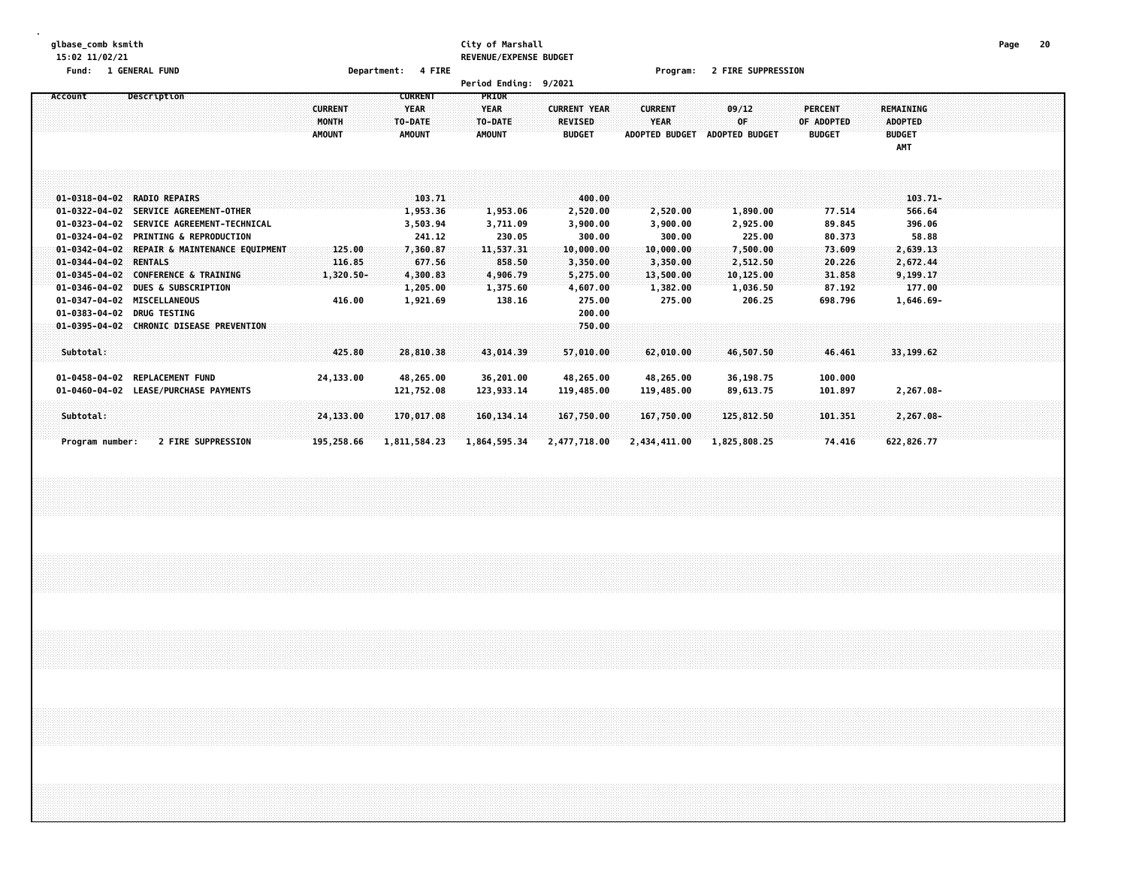#### **glbase\_comb ksmith City of Marshall Page 20 15:02 11/02/21 REVENUE/EXPENSE BUDGET**

**Fund: 1 GENERAL FUND Department: 4 FIRE Program: 2 FIRE SUPPRESSION**

|                                                                                                                                                                                              |                                                                                                                                                                                                                                                                                                             |                                                |                                                                                                    | <b>Period Ending:</b>                                                                   | 9/2021                                                                                                        |                                                                                            |                                                                                           |                                                                               |                                                                                                       |  |
|----------------------------------------------------------------------------------------------------------------------------------------------------------------------------------------------|-------------------------------------------------------------------------------------------------------------------------------------------------------------------------------------------------------------------------------------------------------------------------------------------------------------|------------------------------------------------|----------------------------------------------------------------------------------------------------|-----------------------------------------------------------------------------------------|---------------------------------------------------------------------------------------------------------------|--------------------------------------------------------------------------------------------|-------------------------------------------------------------------------------------------|-------------------------------------------------------------------------------|-------------------------------------------------------------------------------------------------------|--|
| Account                                                                                                                                                                                      | Description                                                                                                                                                                                                                                                                                                 | <b>CURRENT</b><br>MONTH<br><b>AMOUNT</b>       | <b>CURRENT</b><br><b>YEAR</b><br>TO-DATE<br><b>AMOUNT</b>                                          | PRIOR<br><b>YEAR</b><br>TO-DATE:<br><b>AMOUNT</b>                                       | <b>CURRENT YEAR</b><br><b>REVISED</b><br><b>BUDGET</b>                                                        | <b>CURRENT</b><br><b>YEAR</b><br><b>ADOPTED BUDGET</b>                                     | 09/12<br>0F<br><b>ADOPTED BUDGET</b>                                                      | <b>PERCENT</b><br>OF ADOPTED<br><b>BUDGET</b>                                 | REMAINING<br><b>ADOPTED</b><br><b>BUDGET</b><br>AMT                                                   |  |
| $01 - 0322 - 04 - 02$<br>$01 - 0323 - 04 - 02$<br>01-0324-04-02<br>$01 - 0342 - 04 - 02$<br>$01 - 0344 - 04 - 02$<br>$01 - 0345 - 04 - 02$<br>$01 - 0346 - 04 - 02$<br>$01 - 0383 - 04 - 02$ | 01-0318-04-02 RADIO REPAIRS<br>SERVICE AGREEMENT-OTHER<br>SERVICE AGREEMENT-TECHNICAL<br><b>PRINTING &amp; REPRODUCTION</b><br>REPAIR & MAINTENANCE EQUIPMENT<br><b>RENTALS</b><br><b>CONFERENCE &amp; TRAINING</b><br><b>DUES &amp; SUBSCRIPTION</b><br>01-0347-04-02 MISCELLANEOUS<br><b>DRUG TESTING</b> | 125.00<br>116.85<br>$1,320.50 -$<br>416.00     | 103.71<br>1,953.36<br>3,503.94<br>241.12<br>7,360.87<br>677.56<br>4,300.83<br>1,205.00<br>1,921.69 | 1,953.06<br>3,711.09<br>230.05<br>11,537.31<br>858.50<br>4,906.79<br>1,375.60<br>138.16 | 400.00<br>2,520.00<br>3,900.00<br>300.00<br>10,000.00<br>3,350.00<br>5,275.00<br>4,607.00<br>275.00<br>200.00 | 2,520.00<br>3,900.00<br>300.00<br>10,000.00<br>3,350.00<br>13,500.00<br>1,382.00<br>275.00 | 1,890.00<br>2,925.00<br>225.00<br>7,500.00<br>2,512.50<br>10,125.00<br>1,036.50<br>206.25 | 77.514<br>89.845<br>80.373<br>73.609<br>20.226<br>31.858<br>87.192<br>698.796 | $103.71 -$<br>566.64<br>396.06<br>58.88<br>2,639.13<br>2,672.44<br>9,199.17<br>177.00<br>$1,646.69 -$ |  |
| Subtotal:<br>01-0458-04-02<br>Subtotal:<br>Program number:                                                                                                                                   | 01-0395-04-02 CHRONIC DISEASE PREVENTION<br><b>REPLACEMENT FUND</b><br>01-0460-04-02 LEASE/PURCHASE PAYMENTS<br><b>2 FIRE SUPPRESSION</b>                                                                                                                                                                   | 425.80<br>24,133.00<br>24,133.00<br>195,258.66 | 28,810.38<br>48,265.00<br>121,752.08<br>170,017.08<br>1,811,584.23                                 | 43,014.39<br>36,201.00<br>123,933.14<br>160, 134, 14<br>1,864,595.34                    | 750.00<br>57,010.00<br>48,265.00<br>119,485.00<br>167,750.00<br>2,477,718.00                                  | 62,010.00<br>48,265.00<br>119,485.00<br>167,750.00<br>2,434,411.00                         | 46,507.50<br>36,198.75<br>89,613.75<br>125,812.50<br>1,825,808.25                         | 46.461<br>100.000<br>101.897<br>101.351<br>74.416                             | 33,199.62<br>2,267.08-<br>$2,267.08 -$<br>622,826.77                                                  |  |
|                                                                                                                                                                                              |                                                                                                                                                                                                                                                                                                             |                                                |                                                                                                    |                                                                                         |                                                                                                               |                                                                                            |                                                                                           |                                                                               |                                                                                                       |  |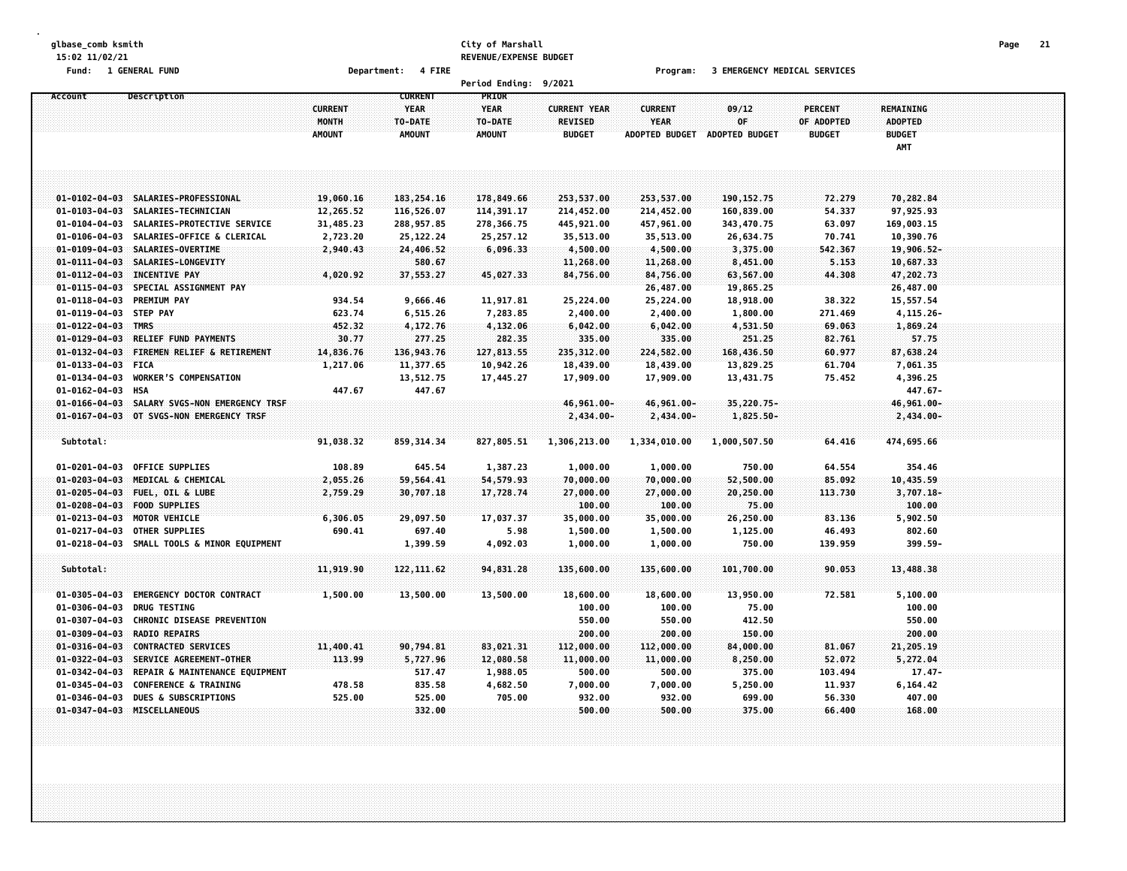#### **glbase\_comb ksmith City of Marshall Page 21 15:02 11/02/21 REVENUE/EXPENSE BUDGET**

**Fund: 1 GENERAL FUND Department: 4 FIRE Program: 3 EMERGENCY MEDICAL SERVICES**

|                        |                                          |                                          |                                                           | <b>Period Ending:</b>                            | 9/2021                                                 |                                                        |                                      |                                               |                                              |  |
|------------------------|------------------------------------------|------------------------------------------|-----------------------------------------------------------|--------------------------------------------------|--------------------------------------------------------|--------------------------------------------------------|--------------------------------------|-----------------------------------------------|----------------------------------------------|--|
| Account                | Description                              | <b>CURRENT</b><br>MONTH<br><b>AMOUNT</b> | <b>CURRENT</b><br><b>YEAR</b><br>TO-DATE<br><b>AMOUNT</b> | PRIOR<br><b>YEAR</b><br>TO-DATE<br><b>AMOUNT</b> | <b>CURRENT YEAR</b><br><b>REVISED</b><br><b>BUDGET</b> | <b>CURRENT</b><br><b>YEAR</b><br><b>ADOPTED BUDGET</b> | 09/12<br>0F<br><b>ADOPTED BUDGET</b> | <b>PERCENT</b><br>OF ADOPTED<br><b>BUDGET</b> | REMAINING<br><b>ADOPTED</b><br><b>BUDGET</b> |  |
|                        |                                          |                                          |                                                           |                                                  |                                                        |                                                        |                                      |                                               | AMT                                          |  |
|                        |                                          |                                          |                                                           |                                                  |                                                        |                                                        |                                      |                                               |                                              |  |
|                        | 01-0102-04-03 SALARIES-PROFESSIONAL      | 19,060.16                                | 183, 254.16                                               | 178,849.66                                       | 253,537.00                                             | 253,537.00                                             | 190, 152. 75                         | 72.279                                        | 70,282.84                                    |  |
|                        | 01-0103-04-03 SALARIES-TECHNICIAN        | 12,265.52                                | 116,526.07                                                | 114,391.17                                       | 214,452.00                                             | 214,452.00                                             | 160,839.00                           | 54.337                                        | 97,925.93                                    |  |
| $01 - 0104 - 04 - 03$  | SALARIES-PROTECTIVE SERVICE              | 31,485.23                                | 288,957.85                                                | 278,366.75                                       | 445,921.00                                             | 457,961.00                                             | 343,470.75                           | 63.097                                        | 169,003.15                                   |  |
|                        | 01-0106-04-03 SALARIES-OFFICE & CLERICAL | 2,723.20                                 | 25, 122. 24                                               | 25, 257.12                                       | 35,513.00                                              | 35,513.00                                              | 26,634.75                            | 70.741                                        | 10,390.76                                    |  |
| $01 - 0109 - 04 - 03$  | SALARIES-OVERTIME                        | 2,940.43                                 | 24,406.52                                                 | 6,096.33                                         | 4,500.00                                               | 4,500.00                                               | 3,375.00                             | 542.367                                       | 19,906.52-                                   |  |
| $01 - 0111 - 04 - 03$  | SALARIES-LONGEVITY                       |                                          | 580.67                                                    |                                                  | 11,268.00                                              | 11,268.00                                              | 8,451.00                             | 5.153                                         | 10,687.33                                    |  |
| $01 - 0112 - 04 - 03$  | <b>INCENTIVE PAY</b>                     | 4,020.92                                 | 37,553.27                                                 | 45,027.33                                        | 84,756.00                                              | 84,756.00                                              | 63,567.00                            | 44.308                                        | 47,202.73                                    |  |
| $01 - 0115 - 04 - 03$  | SPECIAL ASSIGNMENT PAY                   |                                          |                                                           |                                                  |                                                        | 26,487.00                                              | 19,865.25                            |                                               | 26,487.00                                    |  |
| $01 - 0118 - 04 - 03$  | <b>PREMIUM PAY</b>                       | 934.54                                   | 9,666.46                                                  | 11,917.81                                        | 25,224.00                                              | 25,224.00                                              | 18,918.00                            | 38.322                                        | 15,557.54                                    |  |
| 01-0119-04-03 STEP PAY |                                          | 623.74                                   | 6,515.26                                                  | 7,283.85                                         | 2,400.00                                               | 2,400.00                                               | 1,800.00                             | 271.469                                       | 4,115.26-                                    |  |
| $01 - 0122 - 04 - 03$  | TMRS                                     | 452.32                                   | 4,172.76                                                  | 4,132.06                                         | 6,042.00                                               | 6,042.00                                               | 4,531.50                             | 69.063                                        | 1,869.24                                     |  |
| $01 - 0129 - 04 - 03$  | RELIEF FUND PAYMENTS                     | 30.77                                    | 277.25                                                    | 282.35                                           | 335.00                                                 | 335.00                                                 | 251.25                               | 82.761                                        | 57.75                                        |  |
| $01 - 0132 - 04 - 03$  | FIREMEN RELIEF & RETIREMENT              | 14,836.76                                | 136,943.76                                                | 127,813.55                                       | 235,312.00                                             | 224,582.00                                             | 168,436.50                           | 60.977                                        | 87,638.24                                    |  |
| $01 - 0133 - 04 - 03$  | <b>FICA</b>                              | 1,217.06                                 | 11,377.65                                                 | 10,942.26                                        | 18,439.00                                              | 18,439.00                                              | 13,829.25                            | 61.704                                        | 7,061.35                                     |  |
| 01-0134-04-03          | <b>WORKER'S COMPENSATION</b>             |                                          | 13,512.75                                                 | 17,445.27                                        | 17,909.00                                              | 17,909.00                                              | 13,431.75                            | 75.452                                        | 4,396.25                                     |  |
| $01 - 0162 - 04 - 03$  | HSA                                      | 447.67                                   | 447.67                                                    |                                                  |                                                        |                                                        |                                      |                                               | 447.67-                                      |  |
| $01 - 0166 - 04 - 03$  | SALARY SVGS-NON EMERGENCY TRSF           |                                          |                                                           |                                                  | 46,961.00-                                             | 46,961.00-                                             | 35,220.75-                           |                                               | 46,961.00-                                   |  |
| $01 - 0167 - 04 - 03$  | OT SVGS-NON EMERGENCY TRSF               |                                          |                                                           |                                                  | 2,434.00-                                              | 2,434.00-                                              | 1,825.50-                            |                                               | $2,434.00 -$                                 |  |
|                        |                                          |                                          |                                                           |                                                  |                                                        |                                                        |                                      |                                               |                                              |  |
| Subtotal:              |                                          | 91,038.32                                | 859, 314.34                                               | 827,805.51                                       | 1,306,213.00                                           | 1,334,010.00                                           | 1,000,507.50                         | 64.416                                        | 474,695.66                                   |  |
| $01 - 0201 - 04 - 03$  | OFFICE SUPPLIES                          | 108.89                                   | 645.54                                                    | 1,387.23                                         | 1,000.00                                               | 1,000.00                                               | 750.00                               | 64.554                                        | 354.46                                       |  |
| $01 - 0203 - 04 - 03$  | MEDICAL & CHEMICAL                       | 2,055.26                                 | 59,564.41                                                 | 54,579.93                                        | 70,000.00                                              | 70,000.00                                              | 52,500.00                            | 85.092                                        | 10,435.59                                    |  |
| $01 - 0205 - 04 - 03$  | FUEL, OIL & LUBE                         | 2,759.29                                 | 30,707.18                                                 | 17,728.74                                        | 27,000.00                                              | 27,000.00                                              | 20,250.00                            | 113.730                                       | $3,707.18 -$                                 |  |
| $01 - 0208 - 04 - 03$  | <b>FOOD SUPPLIES</b>                     |                                          |                                                           |                                                  | 100.00                                                 | 100.00                                                 | 75.00                                |                                               | 100.00                                       |  |
| $01 - 0213 - 04 - 03$  | MOTOR VEHICLE                            | 6,306.05                                 | 29,097.50                                                 | 17,037.37                                        | 35,000.00                                              | 35,000.00                                              | 26,250.00                            | 83.136                                        | 5,902.50                                     |  |
| 01-0217-04-03          | OTHER SUPPLIES                           | 690.41                                   | 697.40                                                    | 5.98                                             | 1,500.00                                               | 1,500.00                                               | 1,125.00                             | 46.493                                        | 802.60                                       |  |
| $01 - 0218 - 04 - 03$  | SMALL TOOLS & MINOR EQUIPMENT            |                                          | 1,399.59                                                  | 4,092.03                                         | 1,000.00                                               | 1,000.00                                               | 750.00                               | 139.959                                       | 399.59-                                      |  |
| Subtotal:              |                                          | 11,919.90                                | 122, 111.62                                               | 94,831.28                                        | 135,600.00                                             | 135,600.00                                             | 101,700.00                           | 90.053                                        | 13,488.38                                    |  |
|                        |                                          |                                          |                                                           |                                                  |                                                        |                                                        |                                      |                                               |                                              |  |
| $01 - 0305 - 04 - 03$  | <b>EMERGENCY DOCTOR CONTRACT</b>         | 1,500.00                                 | 13,500.00                                                 | 13,500.00                                        | 18,600.00                                              | 18,600.00                                              | 13,950.00                            | 72.581                                        | 5,100.00                                     |  |
| $01 - 0306 - 04 - 03$  | <b>DRUG TESTING</b>                      |                                          |                                                           |                                                  | 100.00                                                 | 100.00                                                 | 75.00                                |                                               | 100.00                                       |  |
| 01-0307-04-03          | <b>CHRONIC DISEASE PREVENTION</b>        |                                          |                                                           |                                                  | 550.00                                                 | 550.00                                                 | 412.50                               |                                               | 550.00                                       |  |
| $01 - 0309 - 04 - 03$  | <b>RADIO REPAIRS</b>                     |                                          |                                                           |                                                  | 200.00                                                 | 200.00                                                 | 150.00                               |                                               | 200.00                                       |  |
| $01 - 0316 - 04 - 03$  | <b>CONTRACTED SERVICES</b>               | 11,400.41                                | 90,794.81                                                 | 83,021,31                                        | 112,000.00                                             | 112,000.00                                             | 84,000.00                            | 81,067                                        | 21,205.19                                    |  |
| $01 - 0322 - 04 - 03$  | SERVICE AGREEMENT-OTHER                  | 113.99                                   | 5,727.96                                                  | 12,080.58                                        | 11,000.00                                              | 11,000.00                                              | 8,250.00                             | 52.072                                        | 5,272.04                                     |  |
| 01-0342-04-03          | REPAIR & MAINTENANCE EQUIPMENT           |                                          | 517.47                                                    | 1,988.05                                         | 500.00                                                 | 500.00                                                 | 375.00                               | 103.494                                       | $17.47 -$                                    |  |
| 01-0345-04-03          | <b>CONFERENCE &amp; TRAINING</b>         | 478.58                                   | 835.58                                                    | 4,682.50                                         | 7,000.00                                               | 7,000.00                                               | 5,250.00                             | 11.937                                        | 6,164.42                                     |  |
| $01 - 0346 - 04 - 03$  | <b>DUES &amp; SUBSCRIPTIONS</b>          | 525.00                                   | 525.00                                                    | 705.00                                           | 932.00                                                 | 932.00                                                 | 699.00                               | 56.330                                        | 407.00                                       |  |
|                        | 01-0347-04-03 MISCELLANEOUS              |                                          | 332.00                                                    |                                                  | 500.00                                                 | 500.00                                                 | 375.00                               | 66.400                                        | 168.00                                       |  |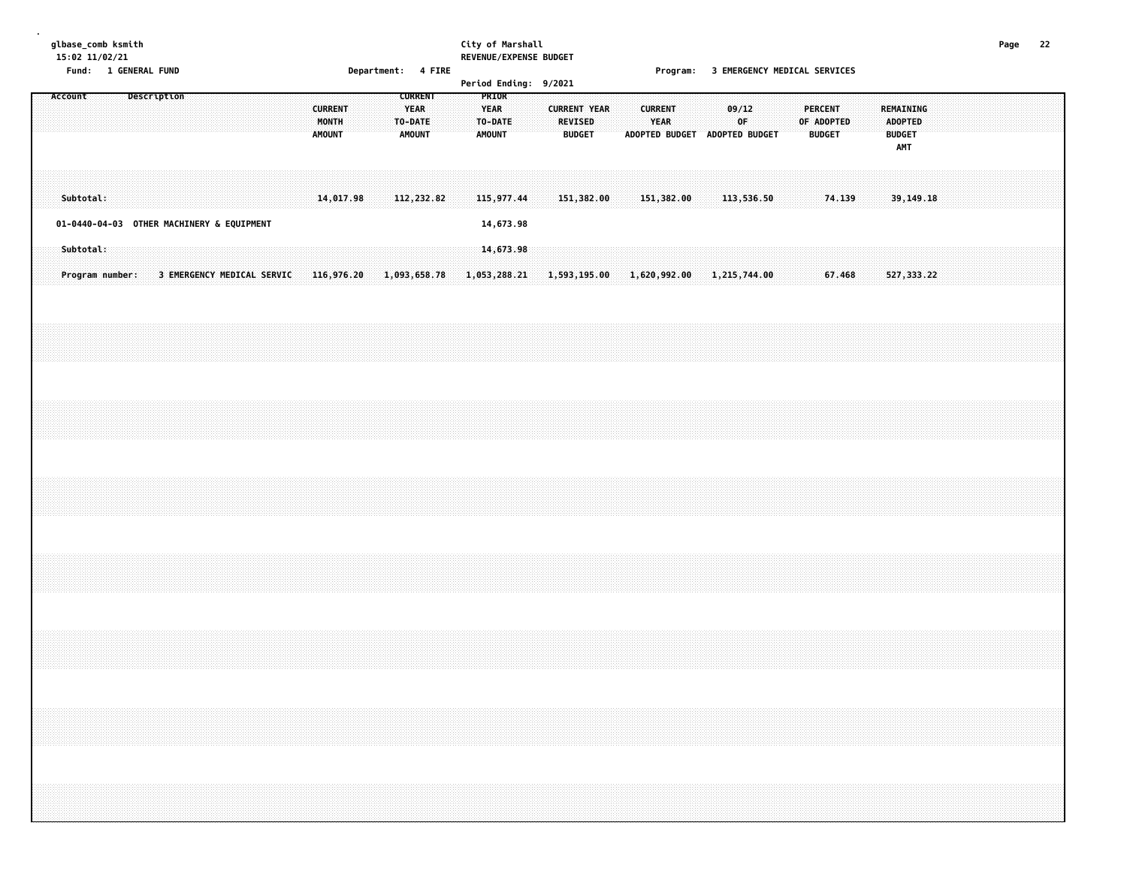#### **glbase\_comb ksmith City of Marshall Page 22 15:02 11/02/21 REVENUE/EXPENSE BUDGET**

**Fund: 1 GENERAL FUND Department: 4 FIRE Program: 3 EMERGENCY MEDICAL SERVICES**

| Account                                   |           |                 |  | Description |  |                            |  |  |                                          |           |  | <b>CURRENT</b>                          |            |  | PRIOR                            |  | Let ron Eliaring. 3/2021 |                                       |               |  |                               |            |  |                                                                                         |  |                                               |        |  |                                                            |  |  |  |  |
|-------------------------------------------|-----------|-----------------|--|-------------|--|----------------------------|--|--|------------------------------------------|-----------|--|-----------------------------------------|------------|--|----------------------------------|--|--------------------------|---------------------------------------|---------------|--|-------------------------------|------------|--|-----------------------------------------------------------------------------------------|--|-----------------------------------------------|--------|--|------------------------------------------------------------|--|--|--|--|
|                                           |           |                 |  |             |  |                            |  |  | <b>CURRENT</b><br>MONTH<br><b>AMOUNT</b> |           |  | <b>YEAR</b><br>TO-DATE<br><b>AMOUNT</b> |            |  | YEAR<br>TO-DATE<br><b>AMOUNT</b> |  |                          | <b>CURRENT YEAR</b><br><b>REVISED</b> | <b>BUDGET</b> |  | <b>CURRENT</b><br><b>YEAR</b> |            |  | 09/12<br>OF<br>ADOPTED BUDGET ADOPTED BUDGET                                            |  | <b>PERCENT</b><br>OF ADOPTED<br><b>BUDGET</b> |        |  | REMAINING<br><b>ADOPTED</b><br><b>BUDGET</b><br><b>AMT</b> |  |  |  |  |
|                                           | Subtotal: |                 |  |             |  |                            |  |  |                                          | 14,017.98 |  |                                         | 112,232.82 |  | 115,977.44                       |  |                          | 151,382.00                            |               |  |                               | 151,382.00 |  | 113,536.50                                                                              |  |                                               | 74.139 |  | 39,149.18                                                  |  |  |  |  |
| 01-0440-04-03 OTHER MACHINERY & EQUIPMENT |           |                 |  |             |  |                            |  |  |                                          |           |  |                                         |            |  | 14,673.98                        |  |                          |                                       |               |  |                               |            |  |                                                                                         |  |                                               |        |  |                                                            |  |  |  |  |
|                                           | Subtotal: | Program number: |  |             |  | 3 EMERGENCY MEDICAL SERVIC |  |  |                                          |           |  |                                         |            |  | 14,673.98                        |  |                          |                                       |               |  |                               |            |  | $116,976.20$ $1,093,658.78$ $1,053,288.21$ $1,593,195.00$ $1,620,992.00$ $1,215,744.00$ |  |                                               | 67.468 |  | 527, 333.22                                                |  |  |  |  |
|                                           |           |                 |  |             |  |                            |  |  |                                          |           |  |                                         |            |  |                                  |  |                          |                                       |               |  |                               |            |  |                                                                                         |  |                                               |        |  |                                                            |  |  |  |  |
|                                           |           |                 |  |             |  |                            |  |  |                                          |           |  |                                         |            |  |                                  |  |                          |                                       |               |  |                               |            |  |                                                                                         |  |                                               |        |  |                                                            |  |  |  |  |
|                                           |           |                 |  |             |  |                            |  |  |                                          |           |  |                                         |            |  |                                  |  |                          |                                       |               |  |                               |            |  |                                                                                         |  |                                               |        |  |                                                            |  |  |  |  |
|                                           |           |                 |  |             |  |                            |  |  |                                          |           |  |                                         |            |  |                                  |  |                          |                                       |               |  |                               |            |  |                                                                                         |  |                                               |        |  |                                                            |  |  |  |  |
|                                           |           |                 |  |             |  |                            |  |  |                                          |           |  |                                         |            |  |                                  |  |                          |                                       |               |  |                               |            |  |                                                                                         |  |                                               |        |  |                                                            |  |  |  |  |
|                                           |           |                 |  |             |  |                            |  |  |                                          |           |  |                                         |            |  |                                  |  |                          |                                       |               |  |                               |            |  |                                                                                         |  |                                               |        |  |                                                            |  |  |  |  |
|                                           |           |                 |  |             |  |                            |  |  |                                          |           |  |                                         |            |  |                                  |  |                          |                                       |               |  |                               |            |  |                                                                                         |  |                                               |        |  |                                                            |  |  |  |  |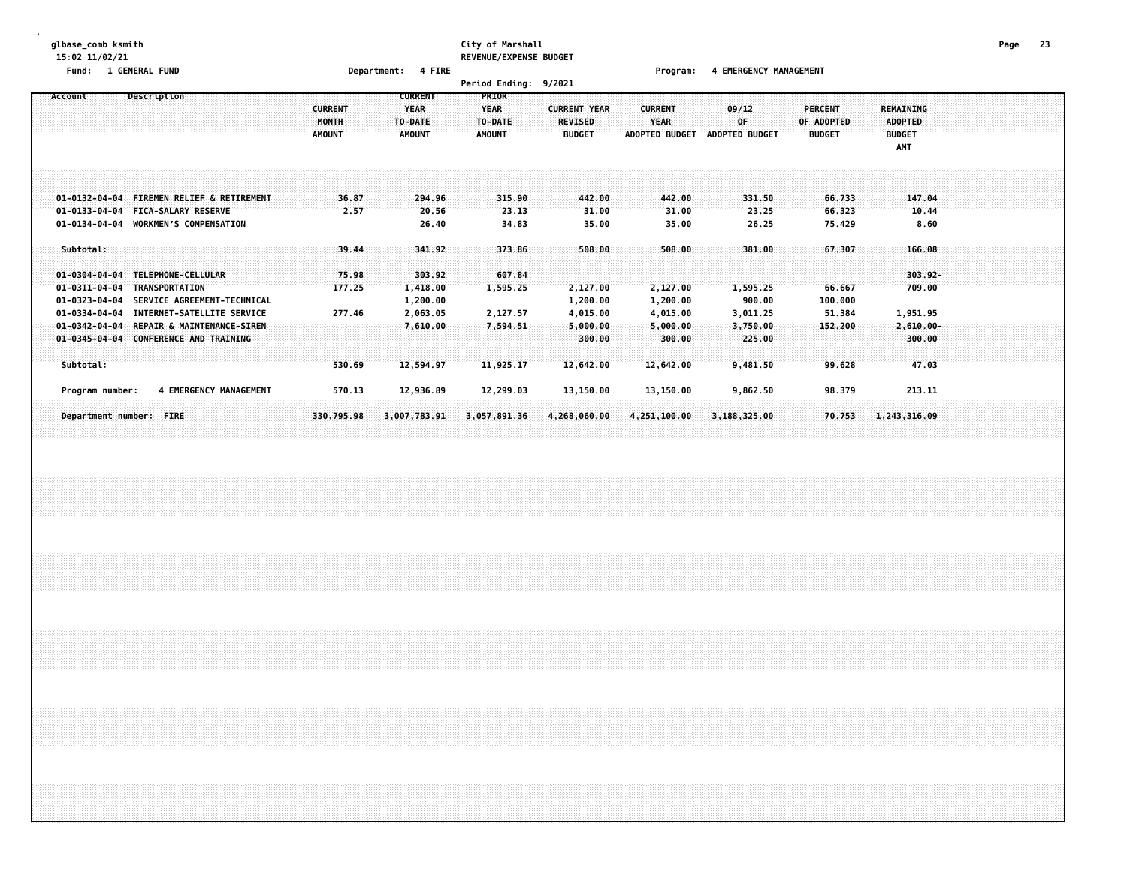#### **glbase\_comb ksmith City of Marshall Page 23 15:02 11/02/21 REVENUE/EXPENSE BUDGET**

**Fund: 1 GENERAL FUND Department: 4 FIRE Program: 4 EMERGENCY MANAGEMENT**

|                                                                                      |                                                                                                                 |                                                 |                                                           | <b>Period Ending:</b>                                   | 9/2021                                                 |                                                        |                                            |                                               |                                                                   |  |
|--------------------------------------------------------------------------------------|-----------------------------------------------------------------------------------------------------------------|-------------------------------------------------|-----------------------------------------------------------|---------------------------------------------------------|--------------------------------------------------------|--------------------------------------------------------|--------------------------------------------|-----------------------------------------------|-------------------------------------------------------------------|--|
| Account                                                                              | Description                                                                                                     | <b>CURRENT</b><br><b>MONTH</b><br><b>AMOUNT</b> | <b>CURRENT</b><br><b>YEAR</b><br>TO-DATE<br><b>AMOUNT</b> | <b>PRIOR</b><br><b>YEAR</b><br>TO-DATE<br><b>AMOUNT</b> | <b>CURRENT YEAR</b><br><b>REVISED</b><br><b>BUDGET</b> | <b>CURRENT</b><br><b>YEAR</b><br><b>ADOPTED BUDGET</b> | 09/12<br>0F.<br><b>ADOPTED BUDGET</b>      | <b>PERCENT</b><br>OF ADOPTED<br><b>BUDGET</b> | <b>REMAINING</b><br><b>ADOPTED</b><br><b>BUDGET</b><br><b>AMT</b> |  |
| $01 - 0133 - 04 - 04$                                                                | 01-0132-04-04 FIREMEN RELIEF & RETIREMENT<br><b>FICA-SALARY RESERVE</b><br>01-0134-04-04 WORKMEN'S COMPENSATION | 36.87<br>2.57                                   | 294.96<br>20.56<br>26.40                                  | 315.90<br>23.13<br>34.83                                | 442.00<br>31.00<br>35.00                               | 442.00<br>31.00<br>35.00                               | 331.50<br>23.25<br>26.25                   | 66.733<br>66.323<br>75.429                    | 147.04<br>10.44<br>8.60                                           |  |
| Subtotal:<br>$01 - 0304 - 04 - 04$<br>$01 - 0311 - 04 - 04$<br>$01 - 0323 - 04 - 04$ | TELEPHONE-CELLULAR<br><b>TRANSPORTATION</b><br>SERVICE AGREEMENT-TECHNICAL                                      | 39.44<br>75.98<br>177.25                        | 341.92<br>303.92<br>1,418.00<br>1,200.00                  | 373.86<br>607.84<br>1,595.25                            | 508.00<br>2,127.00<br>1,200.00                         | 508.00<br>2,127.00<br>1,200.00                         | 381.00<br>1,595.25<br>900.00               | 67.307<br>66.667<br>100.000                   | 166.08<br>$303.92 -$<br>709.00                                    |  |
| $01 - 0334 - 04 - 04$<br>$01 - 0342 - 04 - 04$<br>$01 - 0345 - 04 - 04$<br>Subtotal: | INTERNET-SATELLITE SERVICE<br>REPAIR & MAINTENANCE-SIREN<br><b>CONFERENCE AND TRAINING</b>                      | 277.46<br>530.69                                | 2,063.05<br>7,610.00<br>12,594.97                         | 2,127.57<br>7,594.51<br>11,925.17                       | 4,015.00<br>5,000.00<br>300.00<br>12,642.00            | 4,015.00<br>5,000.00<br>300.00<br>12,642.00            | 3,011.25<br>3,750.00<br>225.00<br>9,481.50 | 51.384<br>152,200<br>99.628                   | 1,951.95<br>2,610.00-<br>300.00<br>47.03                          |  |
| Program number:<br>Department number: FIRE                                           | 4 EMERGENCY MANAGEMENT                                                                                          | 570.13<br>330,795.98                            | 12,936.89<br>3,007,783.91                                 | 12,299.03<br>3,057,891.36                               | 13,150.00<br>4,268,060.00                              | 13,150.00<br>4,251,100.00                              | 9,862.50<br>3,188,325.00                   | 98.379<br>70.753                              | 213.11<br>1, 243, 316, 09                                         |  |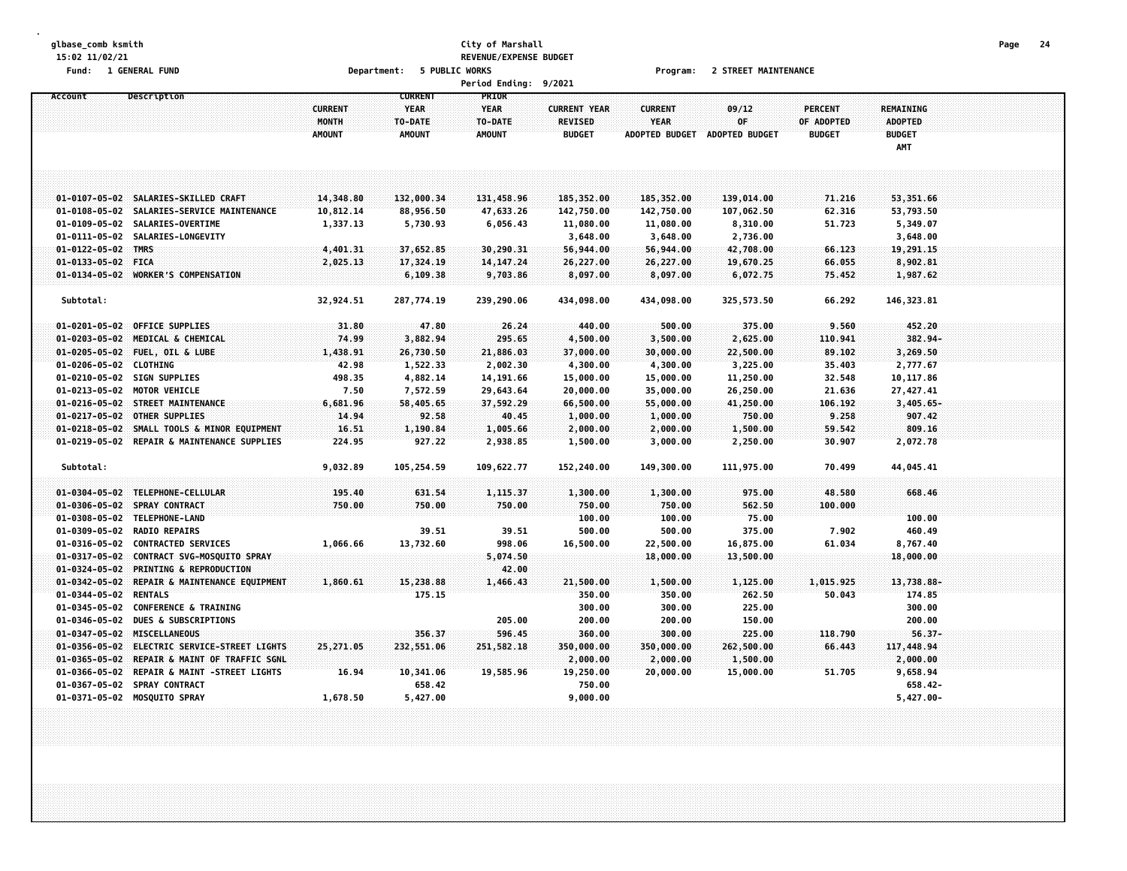#### **glbase\_comb ksmith City of Marshall Page 24 15:02 11/02/21 REVENUE/EXPENSE BUDGET Fund: 1 GENERAL FUND Department: 5 PUBLIC WORKS Program: 2 STREET MAINTENANCE**

|                                                |                                                                                                                                           |                                          |                                                           | <b>Period Ending:</b>                            | 9/2021                                                 |                                                        |                                             |                                               |                                                            |  |  |
|------------------------------------------------|-------------------------------------------------------------------------------------------------------------------------------------------|------------------------------------------|-----------------------------------------------------------|--------------------------------------------------|--------------------------------------------------------|--------------------------------------------------------|---------------------------------------------|-----------------------------------------------|------------------------------------------------------------|--|--|
| Account                                        | Description                                                                                                                               | <b>CURRENT</b><br>MONTH<br><b>AMOUNT</b> | <b>CURRENT</b><br><b>YEAR</b><br>TO-DATE<br><b>AMOUNT</b> | PRIOR<br><b>YEAR</b><br>TO-DATE<br><b>AMOUNT</b> | <b>CURRENT YEAR</b><br><b>REVISED</b><br><b>BUDGET</b> | <b>CURRENT</b><br><b>YEAR</b><br><b>ADOPTED BUDGET</b> | 09/12<br>0F<br><b>ADOPTED BUDGET</b>        | <b>PERCENT</b><br>OF ADOPTED<br><b>BUDGET</b> | <b>REMAINING</b><br><b>ADOPTED</b><br><b>BUDGET</b><br>AMT |  |  |
|                                                | 01-0107-05-02 SALARIES-SKILLED CRAFT                                                                                                      | 14,348.80                                | 132,000.34                                                | 131,458.96                                       | 185,352.00                                             | 185,352.00                                             | 139,014.00                                  | 71.216                                        | 53,351.66                                                  |  |  |
|                                                | 01-0108-05-02 SALARIES-SERVICE MAINTENANCE<br>01-0109-05-02 SALARIES-OVERTIME<br>01-0111-05-02 SALARIES-LONGEVITY                         | 10,812.14<br>1,337.13                    | 88,956.50<br>5,730.93                                     | 47,633.26<br>6,056.43                            | 142,750.00<br>11,080.00                                | 142,750.00<br>11,080.00                                | 107,062.50<br>8,310.00                      | 62.316<br>51.723                              | 53,793.50<br>5,349.07                                      |  |  |
| 01-0122-05-02 TMRS<br>01-0133-05-02 FICA       |                                                                                                                                           | 4,401.31<br>2,025.13                     | 37,652.85<br>17,324.19                                    | 30,290.31<br>14, 147.24                          | 3,648.00<br>56,944.00<br>26,227.00                     | 3,648.00<br>56,944.00<br>26,227.00                     | 2,736.00<br>42,708.00<br>19,670.25          | 66.123<br>66.055                              | 3,648.00<br>19,291.15<br>8,902.81                          |  |  |
| Subtotal:                                      | 01-0134-05-02 WORKER'S COMPENSATION                                                                                                       | 32,924.51                                | 6,109.38<br>287,774.19                                    | 9,703.86<br>239,290.06                           | 8,097.00<br>434,098.00                                 | 8,097.00<br>434,098.00                                 | 6,072.75<br>325,573.50                      | 75.452<br>66.292                              | 1,987.62<br>146, 323.81                                    |  |  |
| $01 - 0203 - 05 - 02$                          | 01-0201-05-02 OFFICE SUPPLIES<br>MEDICAL & CHEMICAL<br>01-0205-05-02 FUEL, OIL & LUBE                                                     | 31.80<br>74.99<br>1,438.91               | 47.80<br>3,882.94<br>26,730.50                            | 26.24<br>295.65<br>21,886.03                     | 440.00<br>4,500.00<br>37,000.00                        | 500.00<br>3,500.00<br>30,000.00                        | 375.00<br>2,625.00<br>22,500.00             | 9.560<br>110.941<br>89.102                    | 452.20<br>382.94-<br>3,269.50                              |  |  |
|                                                | 01-0206-05-02 CLOTHING<br>01-0210-05-02 SIGN SUPPLIES<br>01-0213-05-02 MOTOR VEHICLE                                                      | 42.98<br>498.35<br>7.50                  | 1,522.33<br>4,882.14<br>7,572.59                          | 2,002.30<br>14, 191.66<br>29,643.64              | 4,300.00<br>15,000.00<br>20,000.00                     | 4,300.00<br>15,000.00<br>35,000.00                     | 3,225.00<br>11,250.00<br>26,250.00          | 35.403<br>32.548<br>21.636                    | 2,777.67<br>10,117.86<br>27,427.41                         |  |  |
| $01 - 0217 - 05 - 02$<br>$01 - 0218 - 05 - 02$ | 01-0216-05-02 STREET MAINTENANCE<br><b>OTHER SUPPLIES</b><br>SMALL TOOLS & MINOR EQUIPMENT<br>01-0219-05-02 REPAIR & MAINTENANCE SUPPLIES | 6,681.96<br>14.94<br>16.51<br>224.95     | 58,405.65<br>92.58<br>1,190.84<br>927.22                  | 37,592.29<br>40.45<br>1,005.66<br>2,938.85       | 66,500.00<br>1,000.00<br>2,000.00<br>1,500.00          | 55,000.00<br>1,000.00<br>2,000.00<br>3,000.00          | 41,250.00<br>750.00<br>1,500.00<br>2,250.00 | 106.192<br>9.258<br>59.542<br>30.907          | $3,405.65 -$<br>907.42<br>809.16<br>2,072.78               |  |  |
| Subtotal:                                      |                                                                                                                                           | 9,032.89                                 | 105,254.59                                                | 109,622.77                                       | 152,240.00                                             | 149,300.00                                             | 111,975.00                                  | 70.499                                        | 44,045.41                                                  |  |  |
|                                                | 01-0304-05-02 TELEPHONE-CELLULAR<br>01-0306-05-02 SPRAY CONTRACT<br>01-0308-05-02 TELEPHONE-LAND                                          | 195.40<br>750.00                         | 631.54<br>750.00                                          | 1,115.37<br>750.00                               | 1,300.00<br>750.00<br>100.00                           | 1,300.00<br>750.00<br>100.00                           | 975.00<br>562.50<br>75.00                   | 48.580<br>100,000                             | 668.46<br>100.00                                           |  |  |
|                                                | 01-0309-05-02 RADIO REPAIRS<br>01-0316-05-02 CONTRACTED SERVICES<br>01-0317-05-02 CONTRACT SVG-MOSQUITO SPRAY                             | 1,066.66                                 | 39.51<br>13,732.60                                        | 39.51<br>998.06<br>5,074.50                      | 500.00<br>16,500.00                                    | 500.00<br>22,500.00<br>18,000.00                       | 375.00<br>16,875.00<br>13,500.00            | 7.902<br>61.034                               | 460.49<br>8,767.40<br>18,000.00                            |  |  |
| $01 - 0324 - 05 - 02$<br>$01 - 0342 - 05 - 02$ | <b>PRINTING &amp; REPRODUCTION</b><br>REPAIR & MAINTENANCE EQUIPMENT<br>01-0344-05-02 RENTALS<br>01-0345-05-02 CONFERENCE & TRAINING      | 1,860.61                                 | 15,238.88<br>175.15                                       | 42.00<br>1,466.43                                | 21,500.00<br>350.00<br>300.00                          | 1,500.00<br>350.00<br>300.00                           | 1,125.00<br>262.50<br>225.00                | 1,015.925<br>50.043                           | 13,738.88-<br>174.85<br>300.00                             |  |  |
| $01 - 0356 - 05 - 02$                          | 01-0346-05-02 DUES & SUBSCRIPTIONS<br>01-0347-05-02 MISCELLANEOUS<br>ELECTRIC SERVICE-STREET LIGHTS                                       | 25,271.05                                | 356.37<br>232,551.06                                      | 205.00<br>596.45<br>251,582.18                   | 200.00<br>360.00<br>350,000.00                         | 200.00<br>300.00<br>350,000.00                         | 150.00<br>225.00<br>262,500.00              | 118.790<br>66,443                             | 200.00<br>$56.37 -$<br>117,448.94                          |  |  |
|                                                | 01-0365-05-02 REPAIR & MAINT OF TRAFFIC SGNL<br>01-0366-05-02 REPAIR & MAINT -STREET LIGHTS<br>01-0367-05-02 SPRAY CONTRACT               | 16.94                                    | 10,341.06<br>658.42                                       | 19,585.96                                        | 2,000.00<br>19,250.00<br>750.00                        | 2,000.00<br>20,000.00                                  | 1,500.00<br>15,000.00                       | 51.705                                        | 2,000.00<br>9,658.94<br>658.42-                            |  |  |
|                                                | 01-0371-05-02 MOSQUITO SPRAY                                                                                                              | 1,678.50                                 | 5,427.00                                                  |                                                  | 9,000.00                                               |                                                        |                                             |                                               | $5,427.00 -$                                               |  |  |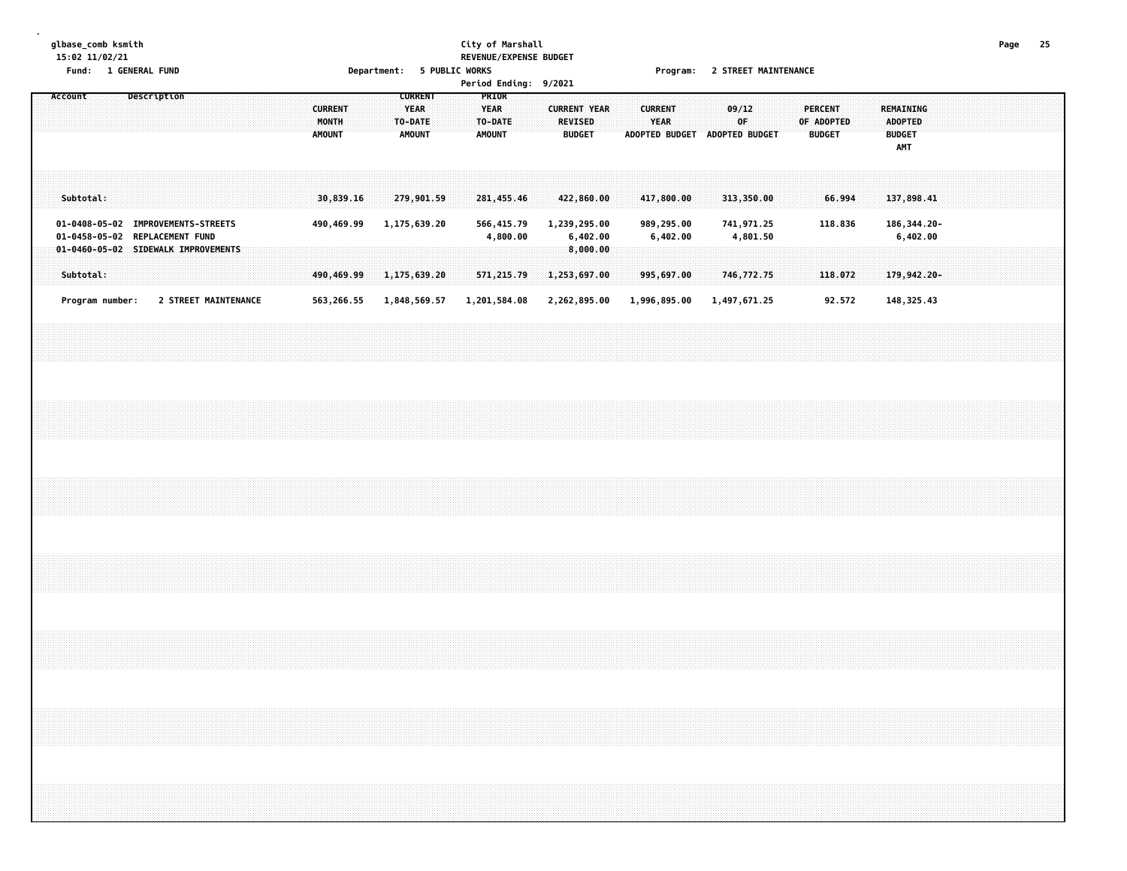# **glbase\_comb ksmith City of Marshall Page 25 15:02 11/02/21 REVENUE/EXPENSE BUDGET**

**Fund: 1 GENERAL FUND Department: 5 PUBLIC WORKS Program: 2 STREET MAINTENANCE**

| <b>Period Endina:</b><br>9/2021 |
|---------------------------------|
|---------------------------------|

|  | Account |           |                 |  | Description                                                                                                 |  |  |  | <b>CURRENT</b><br>MONTH<br><b>AMOUNT</b> |                          |  | <b>CURRENT</b><br><b>YEAR</b><br>TO-DATE<br><b>AMOUNT</b> |  | <b>YEAR</b><br><b>AMOUNT</b> | PRIOR<br>TO-DATE           |  | <b>CURRENT YEAR</b>          | <b>REVISED</b><br><b>BUDGET</b> |  | <b>CURRENT</b> | YEAR                       | ADOPTED BUDGET ADOPTED BUDGET | 09/12<br>0F.               |          |  | <b>PERCENT</b><br>OF ADOPTED<br><b>BUDGET</b> |                   |  | REMAINING<br><b>ADOPTED</b><br><b>BUDGET</b><br>AMT |          |  |  |  |  |
|--|---------|-----------|-----------------|--|-------------------------------------------------------------------------------------------------------------|--|--|--|------------------------------------------|--------------------------|--|-----------------------------------------------------------|--|------------------------------|----------------------------|--|------------------------------|---------------------------------|--|----------------|----------------------------|-------------------------------|----------------------------|----------|--|-----------------------------------------------|-------------------|--|-----------------------------------------------------|----------|--|--|--|--|
|  |         | Subtotal: |                 |  |                                                                                                             |  |  |  |                                          | 30,839.16                |  | 279,901.59                                                |  |                              | 281,455.46                 |  | 422,860.00                   |                                 |  |                | 417,800.00                 |                               | 313,350.00                 |          |  |                                               | 66.994            |  | 137,898.41                                          |          |  |  |  |  |
|  |         |           |                 |  | 01-0408-05-02 IMPROVEMENTS-STREETS<br>01-0458-05-02 REPLACEMENT FUND<br>01-0460-05-02 SIDEWALK IMPROVEMENTS |  |  |  |                                          | 490,469.99               |  | 1,175,639.20                                              |  |                              | 566,415.79<br>4,800.00     |  | 1,239,295.00                 | 6,402.00<br>8,000.00            |  |                | 989,295.00<br>6,402.00     |                               | 741,971.25                 | 4,801.50 |  |                                               | 118.836           |  | 186, 344. 20-                                       | 6,402.00 |  |  |  |  |
|  |         | Subtotal: | Program number: |  | 2 STREET MAINTENANCE                                                                                        |  |  |  |                                          | 490,469.99<br>563,266.55 |  | 1,175,639.20<br>1,848,569.57                              |  |                              | 571,215.79<br>1,201,584.08 |  | 1,253,697.00<br>2,262,895.00 |                                 |  |                | 995,697.00<br>1,996,895.00 |                               | 746,772.75<br>1,497,671.25 |          |  |                                               | 118.072<br>92.572 |  | 179,942.20-<br>148, 325.43                          |          |  |  |  |  |
|  |         |           |                 |  |                                                                                                             |  |  |  |                                          |                          |  |                                                           |  |                              |                            |  |                              |                                 |  |                |                            |                               |                            |          |  |                                               |                   |  |                                                     |          |  |  |  |  |
|  |         |           |                 |  |                                                                                                             |  |  |  |                                          |                          |  |                                                           |  |                              |                            |  |                              |                                 |  |                |                            |                               |                            |          |  |                                               |                   |  |                                                     |          |  |  |  |  |
|  |         |           |                 |  |                                                                                                             |  |  |  |                                          |                          |  |                                                           |  |                              |                            |  |                              |                                 |  |                |                            |                               |                            |          |  |                                               |                   |  |                                                     |          |  |  |  |  |
|  |         |           |                 |  |                                                                                                             |  |  |  |                                          |                          |  |                                                           |  |                              |                            |  |                              |                                 |  |                |                            |                               |                            |          |  |                                               |                   |  |                                                     |          |  |  |  |  |
|  |         |           |                 |  |                                                                                                             |  |  |  |                                          |                          |  |                                                           |  |                              |                            |  |                              |                                 |  |                |                            |                               |                            |          |  |                                               |                   |  |                                                     |          |  |  |  |  |
|  |         |           |                 |  |                                                                                                             |  |  |  |                                          |                          |  |                                                           |  |                              |                            |  |                              |                                 |  |                |                            |                               |                            |          |  |                                               |                   |  |                                                     |          |  |  |  |  |
|  |         |           |                 |  |                                                                                                             |  |  |  |                                          |                          |  |                                                           |  |                              |                            |  |                              |                                 |  |                |                            |                               |                            |          |  |                                               |                   |  |                                                     |          |  |  |  |  |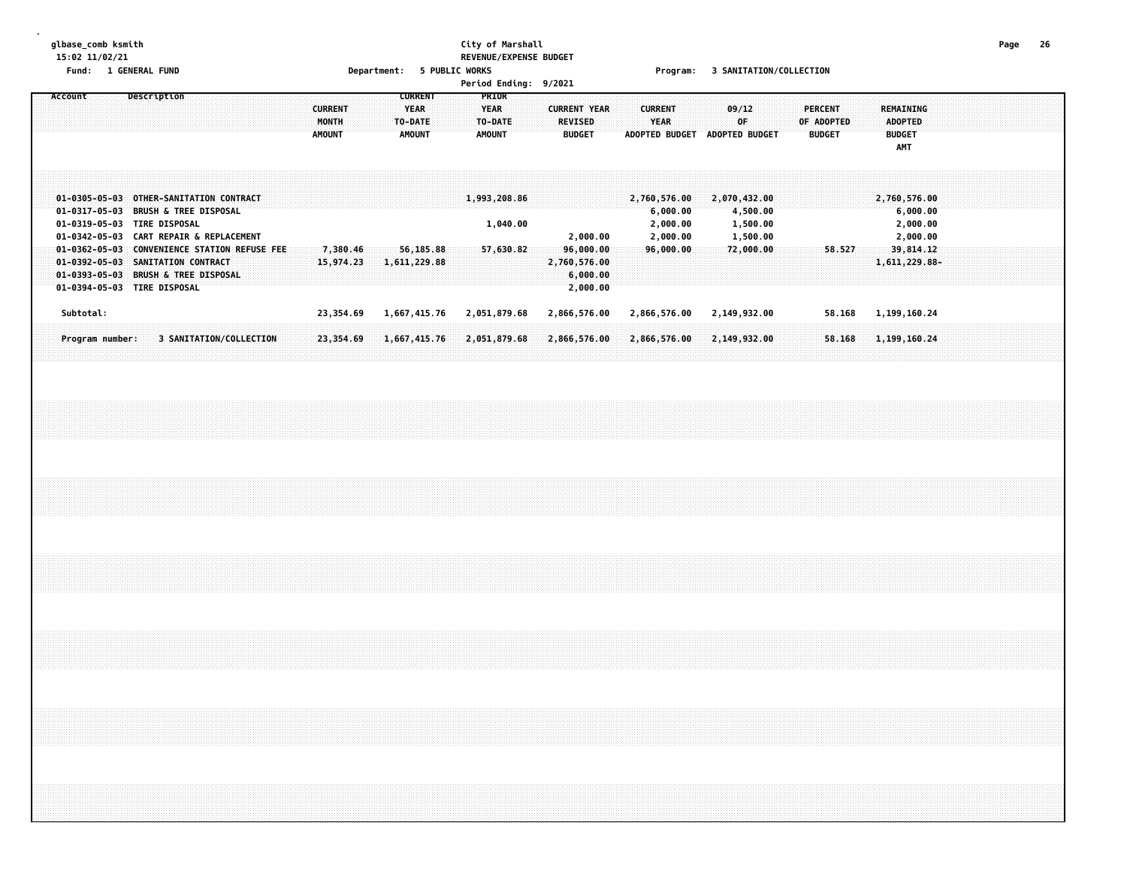### **glbase\_comb ksmith City of Marshall Page 26 15:02 11/02/21 REVENUE/EXPENSE BUDGET**

**Fund: 1 GENERAL FUND Department: 5 PUBLIC WORKS Program: 3 SANITATION/COLLECTION**

| <b>Period Ending:</b> | 9/2021 |
|-----------------------|--------|
|                       |        |

|  |         |           |                 |  |             |                                                                                                                                                                     |  |  |  |                                          |  |                                                           |              |  |                                                   |                          | rer court indicity. 372021 |                                 |                                                   |  |                                      |  |                               |              |                       |  |                                               |        |               |                                 |                                  |  |  |  |
|--|---------|-----------|-----------------|--|-------------|---------------------------------------------------------------------------------------------------------------------------------------------------------------------|--|--|--|------------------------------------------|--|-----------------------------------------------------------|--------------|--|---------------------------------------------------|--------------------------|----------------------------|---------------------------------|---------------------------------------------------|--|--------------------------------------|--|-------------------------------|--------------|-----------------------|--|-----------------------------------------------|--------|---------------|---------------------------------|----------------------------------|--|--|--|
|  | Account |           |                 |  | Description |                                                                                                                                                                     |  |  |  | <b>CURRENT</b><br>MONTH<br><b>AMOUNT</b> |  | <b>CURRENT</b><br><b>YEAR</b><br>TO-DATE<br><b>AMOUNT</b> |              |  | PRIOR<br><b>YEAR</b><br>TO-DATE:<br><b>AMOUNT</b> |                          |                            | <b>REVISED</b><br><b>BUDGET</b> | <b>CURRENT YEAR</b>                               |  | <b>CURRENT</b><br>YEAR               |  | ADOPTED BUDGET ADOPTED BUDGET | 09/12<br>0F. |                       |  | <b>PERCENT</b><br>OF ADOPTED<br><b>BUDGET</b> |        | REMAINING     | ADOPTED<br><b>BUDGET</b><br>AMT |                                  |  |  |  |
|  |         |           |                 |  |             | 01-0305-05-03 OTHER-SANITATION CONTRACT<br>01-0317-05-03 BRUSH & TREE DISPOSAL<br>01-0319-05-03 TIRE DISPOSAL                                                       |  |  |  |                                          |  |                                                           |              |  |                                                   | 1,993,208.86<br>1,040.00 |                            |                                 |                                                   |  | 2,760,576.00<br>6,000.00<br>2,000.00 |  | 2,070,432.00                  |              | 4,500.00<br>1,500.00  |  |                                               |        | 2,760,576.00  |                                 | 6,000.00<br>2,000.00<br>2,000.00 |  |  |  |
|  |         |           |                 |  |             | 01-0342-05-03 CART REPAIR & REPLACEMENT<br>01-0362-05-03 CONVENIENCE STATION REFUSE FEE<br>01-0392-05-03 SANITATION CONTRACT<br>01-0393-05-03 BRUSH & TREE DISPOSAL |  |  |  | 7,380.46<br>15,974.23                    |  | 56,185.88<br>1,611,229.88                                 |              |  |                                                   | 57,630.82                |                            |                                 | 2,000.00<br>96,000.00<br>2,760,576.00<br>6,000.00 |  | 2,000.00<br>96,000.00                |  |                               |              | 1,500.00<br>72,000.00 |  |                                               | 58.527 | 1,611,229.88- |                                 | 39,814.12                        |  |  |  |
|  |         | Subtotal: |                 |  |             | 01-0394-05-03 TIRE DISPOSAL                                                                                                                                         |  |  |  | 23,354.69                                |  |                                                           | 1,667,415.76 |  |                                                   | 2,051,879.68             |                            |                                 | 2,000.00<br>2,866,576.00                          |  | 2,866,576.00                         |  | 2,149,932.00                  |              |                       |  |                                               | 58.168 | 1,199,160.24  |                                 |                                  |  |  |  |
|  |         |           | Program number: |  |             | 3 SANITATION/COLLECTION                                                                                                                                             |  |  |  | 23,354.69                                |  |                                                           | 1,667,415.76 |  |                                                   | 2,051,879.68             |                            |                                 | 2,866,576.00                                      |  | 2,866,576.00                         |  | 2,149,932.00                  |              |                       |  |                                               | 58.168 | 1,199,160.24  |                                 |                                  |  |  |  |
|  |         |           |                 |  |             |                                                                                                                                                                     |  |  |  |                                          |  |                                                           |              |  |                                                   |                          |                            |                                 |                                                   |  |                                      |  |                               |              |                       |  |                                               |        |               |                                 |                                  |  |  |  |
|  |         |           |                 |  |             |                                                                                                                                                                     |  |  |  |                                          |  |                                                           |              |  |                                                   |                          |                            |                                 |                                                   |  |                                      |  |                               |              |                       |  |                                               |        |               |                                 |                                  |  |  |  |
|  |         |           |                 |  |             |                                                                                                                                                                     |  |  |  |                                          |  |                                                           |              |  |                                                   |                          |                            |                                 |                                                   |  |                                      |  |                               |              |                       |  |                                               |        |               |                                 |                                  |  |  |  |
|  |         |           |                 |  |             |                                                                                                                                                                     |  |  |  |                                          |  |                                                           |              |  |                                                   |                          |                            |                                 |                                                   |  |                                      |  |                               |              |                       |  |                                               |        |               |                                 |                                  |  |  |  |
|  |         |           |                 |  |             |                                                                                                                                                                     |  |  |  |                                          |  |                                                           |              |  |                                                   |                          |                            |                                 |                                                   |  |                                      |  |                               |              |                       |  |                                               |        |               |                                 |                                  |  |  |  |
|  |         |           |                 |  |             |                                                                                                                                                                     |  |  |  |                                          |  |                                                           |              |  |                                                   |                          |                            |                                 |                                                   |  |                                      |  |                               |              |                       |  |                                               |        |               |                                 |                                  |  |  |  |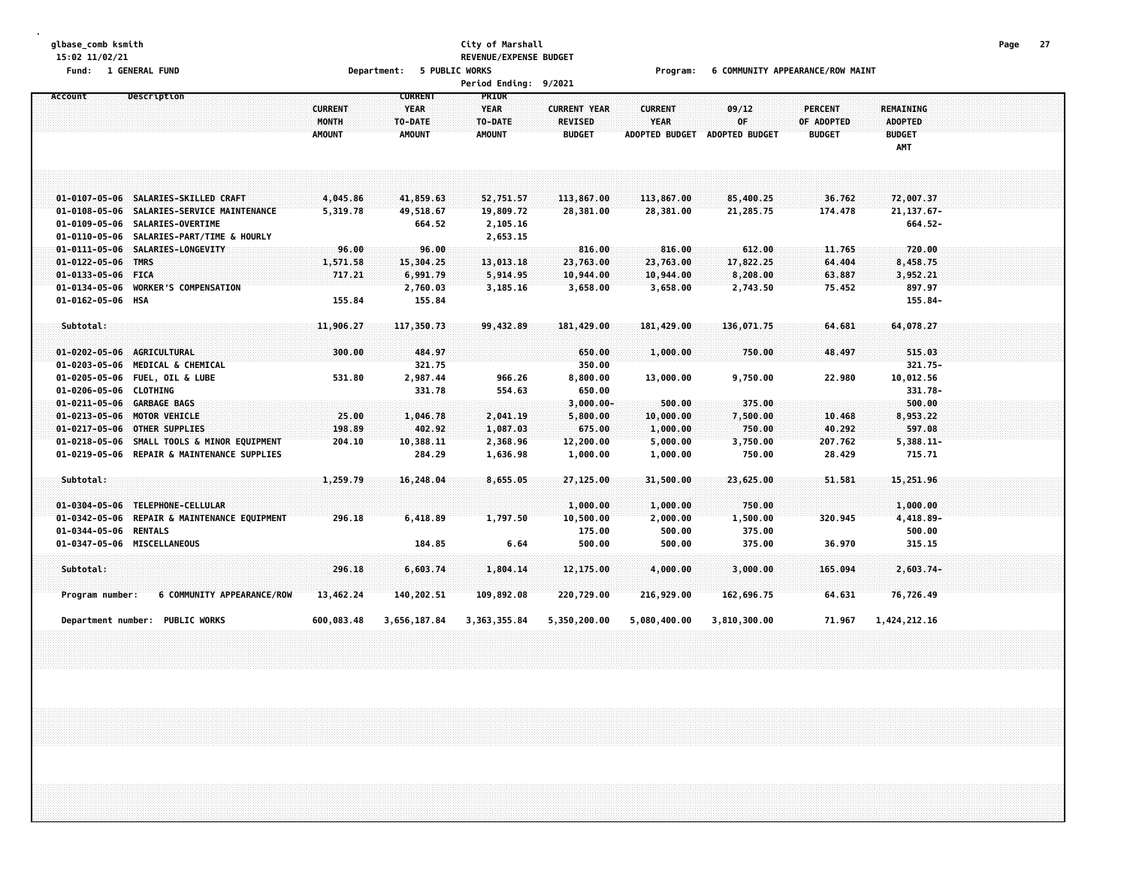### **glbase\_comb ksmith City of Marshall Page 27 15:02 11/02/21 REVENUE/EXPENSE BUDGET**

Fund: 1 GENERAL FUND CONDUCT MARINT CONDUCT AND RESPONDENT TO A DEPARTMENT COMMUNITY APPEARANCE/ROW MAINT

| Account                    | <b>Description</b>                           | <b>CURRENT</b><br><b>MONTH</b> | <b>CURRENT</b><br><b>YEAR</b><br>TO-DATE | PRIOR<br><b>YEAR</b><br>TO-DATE | <b>CURRENT YEAR</b><br><b>REVISED</b> | <b>CURRENT</b><br><b>YEAR</b> | 09/12<br>0F.   | <b>PERCENT</b><br>OF ADOPTED | <b>REMAINING</b><br><b>ADOPTED</b> |  |
|----------------------------|----------------------------------------------|--------------------------------|------------------------------------------|---------------------------------|---------------------------------------|-------------------------------|----------------|------------------------------|------------------------------------|--|
|                            |                                              | <b>AMOUNT</b>                  | <b>AMOUNT</b>                            | <b>AMOUNT</b>                   | <b>BUDGET</b>                         | <b>ADOPTED BUDGET</b>         | ADOPTED BUDGET | <b>BUDGET</b>                | <b>BUDGET</b><br>AMT               |  |
|                            |                                              |                                |                                          |                                 |                                       |                               |                |                              |                                    |  |
|                            | 01-0107-05-06 SALARIES-SKILLED CRAFT         | 4,045.86                       | 41,859.63                                | 52,751.57                       | 113,867.00                            | 113,867.00                    | 85,400.25      | 36.762                       | 72,007.37                          |  |
|                            | 01-0108-05-06 SALARIES-SERVICE MAINTENANCE   | 5,319.78                       | 49,518.67                                | 19,809.72                       | 28,381.00                             | 28,381.00                     | 21,285.75      | 174.478                      | 21, 137.67-                        |  |
|                            | 01-0109-05-06 SALARIES-OVERTIME              |                                | 664.52                                   | 2,105.16                        |                                       |                               |                |                              | 664.52-                            |  |
| 01-0110-05-06              | <b>SALARIES-PART/TIME &amp; HOURLY</b>       |                                |                                          | 2,653.15                        |                                       |                               |                |                              |                                    |  |
| $01 - 0111 - 05 - 06$      | <b>SALARIES-LONGEVITY</b>                    | 96.00                          | 96.00                                    |                                 | 816.00                                | 816.00                        | 612.00         | 11,765                       | 720.00                             |  |
| 01-0122-05-06 TMRS         |                                              | 1,571.58                       | 15,304.25                                | 13,013.18                       | 23,763.00                             | 23,763.00                     | 17,822.25      | 64.404                       | 8,458.75                           |  |
| 01-0133-05-06 FICA         |                                              | 717.21                         | 6,991.79                                 | 5,914.95                        | 10,944.00                             | 10,944.00                     | 8,208.00       | 63.887                       | 3,952.21                           |  |
|                            | 01-0134-05-06 WORKER'S COMPENSATION          |                                | 2,760.03                                 | 3,185.16                        | 3,658.00                              | 3,658.00                      | 2,743.50       | 75.452                       | 897.97                             |  |
| 01-0162-05-06 HSA          |                                              | 155.84                         | 155.84                                   |                                 |                                       |                               |                |                              | 155.84-                            |  |
| Subtotal:                  |                                              | 11,906.27                      | 117,350.73                               | 99,432,89                       | 181,429.00                            | 181,429.00                    | 136,071.75     | 64,681                       | 64,078.27                          |  |
|                            |                                              |                                |                                          |                                 |                                       |                               |                |                              |                                    |  |
| 01-0202-05-06 AGRICULTURAL |                                              | 300.00                         | 484.97                                   |                                 | 650.00                                | 1,000.00                      | 750.00         | 48.497                       | 515.03                             |  |
|                            | 01-0203-05-06 MEDICAL & CHEMICAL             |                                | 321.75                                   |                                 | 350.00                                |                               |                |                              | $321.75 -$                         |  |
|                            | 01-0205-05-06 FUEL, OIL & LUBE               | 531.80                         | 2,987.44                                 | 966.26                          | 8,800.00                              | 13,000.00                     | 9,750.00       | 22.980                       | 10,012.56                          |  |
| 01-0206-05-06 CLOTHING     |                                              |                                | 331.78                                   | 554.63                          | 650.00                                |                               |                |                              | 331.78-                            |  |
| 01-0211-05-06 GARBAGE BAGS |                                              |                                |                                          |                                 | $3,000.00 -$                          | 500.00                        | 375.00         |                              | 500.00                             |  |
|                            | 01-0213-05-06 MOTOR VEHICLE                  | 25.00                          | 1,046.78                                 | 2,041.19                        | 5,800.00                              | 10,000.00                     | 7,500.00       | 10.468                       | 8,953.22                           |  |
|                            | 01-0217-05-06 OTHER SUPPLIES                 | 198.89                         | 402.92                                   | 1,087.03                        | 675.00                                | 1,000.00                      | 750.00         | 40.292                       | 597.08                             |  |
|                            | 01-0218-05-06 SMALL TOOLS & MINOR EQUIPMENT  | 204.10                         | 10,388.11                                | 2,368.96                        | 12,200.00                             | 5,000.00                      | 3,750.00       | 207.762                      | $5,388.11-$                        |  |
|                            | 01-0219-05-06 REPAIR & MAINTENANCE SUPPLIES  |                                | 284.29                                   | 1,636.98                        | 1,000.00                              | 1,000.00                      | 750.00         | 28.429                       | 715.71                             |  |
| Subtotal:                  |                                              | 1,259.79                       | 16,248.04                                | 8,655.05                        | 27,125.00                             | 31,500.00                     | 23,625.00      | 51.581                       | 15,251.96                          |  |
|                            |                                              |                                |                                          |                                 |                                       |                               |                |                              |                                    |  |
| $01 - 0304 - 05 - 06$      | TELEPHONE-CELLULAR                           |                                |                                          |                                 | 1,000.00                              | 1,000.00                      | 750.00         |                              | 1,000.00                           |  |
|                            | 01-0342-05-06 REPAIR & MAINTENANCE EQUIPMENT | 296.18                         | 6,418.89                                 | 1,797.50                        | 10,500.00                             | 2,000.00                      | 1,500.00       | 320.945                      | 4,418.89-                          |  |
| 01-0344-05-06 RENTALS      |                                              |                                |                                          |                                 | 175.00                                | 500.00                        | 375.00         |                              | 500.00                             |  |
|                            | 01-0347-05-06 MISCELLANEOUS                  |                                | 184.85                                   | 6.64                            | 500.00                                | 500.00                        | 375.00         | 36.970                       | 315.15                             |  |
| Subtotal:                  |                                              | 296.18                         | 6,603.74                                 | 1,804.14                        | 12,175.00                             | 4,000.00                      | 3,000.00       | 165.094                      | $2,603.74-$                        |  |
| Program number:            | 6 COMMUNITY APPEARANCE/ROW                   | 13,462.24                      | 140,202.51                               | 109,892.08                      | 220,729.00                            | 216,929.00                    | 162,696.75     | 64.631                       | 76,726.49                          |  |
|                            | Department number: PUBLIC WORKS              | 600,083.48                     | 3,656,187.84                             | 3, 363, 355.84                  | 5,350,200.00                          | 5,080,400.00                  | 3,810,300.00   | 71.967                       | 1,424,212.16                       |  |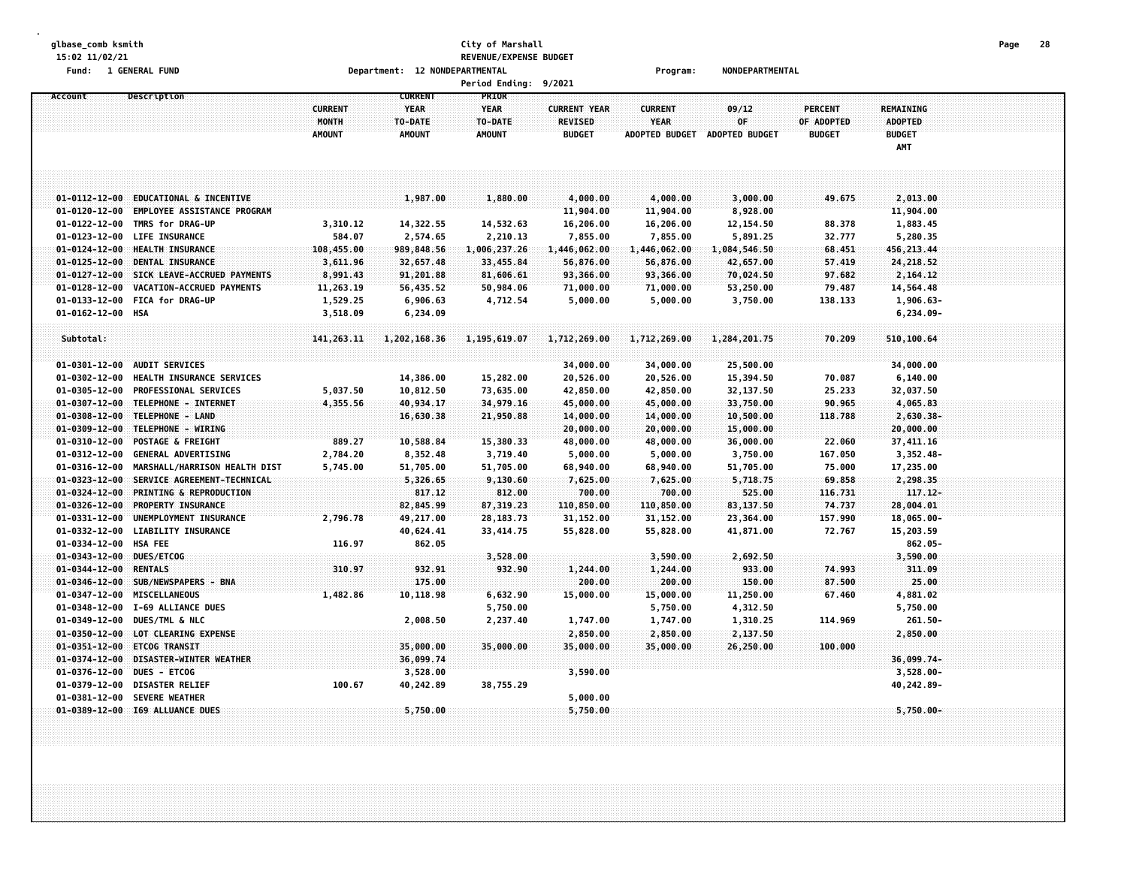#### **glbase\_comb ksmith City of Marshall Page 28 15:02 11/02/21 REVENUE/EXPENSE BUDGET Fund: 1 GENERAL FUND Department: 12 NONDEPARTMENTAL Program: NONDEPARTMENTAL**

|                       |                                                        |                                          |                                                           | Period Ending: 9/2021                                   |                                                        |                                                        |                                      |                                               |                                                            |  |
|-----------------------|--------------------------------------------------------|------------------------------------------|-----------------------------------------------------------|---------------------------------------------------------|--------------------------------------------------------|--------------------------------------------------------|--------------------------------------|-----------------------------------------------|------------------------------------------------------------|--|
| Account               | Description                                            | <b>CURRENT</b><br>MONTH<br><b>AMOUNT</b> | <b>CURRENT</b><br><b>YEAR</b><br>TO-DATE<br><b>AMOUNT</b> | <b>PRIOR</b><br><b>YEAR</b><br>TO-DATE<br><b>AMOUNT</b> | <b>CURRENT YEAR</b><br><b>REVISED</b><br><b>BUDGET</b> | <b>CURRENT</b><br><b>YEAR</b><br><b>ADOPTED BUDGET</b> | 09/12<br>0F<br><b>ADOPTED BUDGET</b> | <b>PERCENT</b><br>OF ADOPTED<br><b>BUDGET</b> | <b>REMAINING</b><br><b>ADOPTED</b><br><b>BUDGET</b><br>AMT |  |
|                       |                                                        |                                          |                                                           |                                                         |                                                        |                                                        |                                      |                                               |                                                            |  |
|                       | 01-0112-12-00 EDUCATIONAL & INCENTIVE                  |                                          | 1,987.00                                                  | 1,880.00                                                | 4,000.00                                               | 4,000.00                                               | 3,000.00                             | 49.675                                        | 2,013.00                                                   |  |
| $01 - 0120 - 12 - 00$ | <b>EMPLOYEE ASSISTANCE PROGRAM</b>                     |                                          |                                                           |                                                         | 11,904.00                                              | 11,904.00                                              | 8,928.00                             |                                               | 11,904.00                                                  |  |
| 01-0122-12-00         | TMRS for DRAG-UP                                       | 3,310.12                                 | 14,322.55                                                 | 14,532.63                                               | 16,206.00                                              | 16,206.00                                              | 12,154.50                            | 88.378                                        | 1,883.45                                                   |  |
|                       | 01-0123-12-00 LIFE INSURANCE                           | 584.07                                   | 2,574.65                                                  | 2,210.13                                                | 7,855.00                                               | 7,855.00                                               | 5,891.25                             | 32.777                                        | 5,280.35                                                   |  |
|                       | 01-0124-12-00 HEALTH INSURANCE                         | 108,455.00                               | 989,848.56                                                | 1,006,237.26                                            | 1,446,062.00                                           | 1,446,062.00                                           | 1,084,546.50                         | 68.451                                        | 456, 213.44                                                |  |
| $01 - 0125 - 12 - 00$ | DENTAL INSURANCE                                       | 3,611.96                                 | 32,657.48                                                 | 33,455.84                                               | 56,876.00                                              | 56,876.00                                              | 42,657.00                            | 57.419                                        | 24,218.52                                                  |  |
| $01 - 0127 - 12 - 00$ | SICK LEAVE-ACCRUED PAYMENTS                            | 8,991.43                                 | 91,201.88                                                 | 81,606.61                                               | 93,366.00                                              | 93,366.00                                              | 70,024.50                            | 97.682                                        | 2,164.12                                                   |  |
| $01 - 0128 - 12 - 00$ | VACATION-ACCRUED PAYMENTS                              | 11,263.19                                | 56,435.52                                                 | 50,984.06                                               | 71,000.00                                              | 71,000.00                                              | 53,250.00                            | 79.487                                        | 14,564.48                                                  |  |
|                       | 01-0133-12-00 FICA for DRAG-UP                         | 1,529.25                                 | 6,906.63                                                  | 4,712.54                                                | 5,000.00                                               | 5,000.00                                               | 3,750.00                             | 138.133                                       | $1,906.63-$                                                |  |
| 01-0162-12-00 HSA     |                                                        | 3,518.09                                 | 6,234.09                                                  |                                                         |                                                        |                                                        |                                      |                                               | $6, 234.09 -$                                              |  |
|                       |                                                        |                                          |                                                           |                                                         |                                                        |                                                        |                                      |                                               |                                                            |  |
| Subtotal:             |                                                        | 141, 263. 11                             | 1,202,168.36                                              | 1,195,619.07                                            | 1,712,269.00                                           | 1,712,269.00                                           | 1,284,201.75                         | 70.209                                        | 510,100.64                                                 |  |
|                       |                                                        |                                          |                                                           |                                                         |                                                        |                                                        |                                      |                                               |                                                            |  |
|                       | 01-0301-12-00 AUDIT SERVICES                           |                                          |                                                           |                                                         | 34,000.00                                              | 34,000.00                                              | 25,500.00                            |                                               | 34,000.00                                                  |  |
| $01 - 0302 - 12 - 00$ | HEALTH INSURANCE SERVICES                              |                                          | 14,386.00                                                 | 15,282.00                                               | 20,526.00                                              | 20,526.00                                              | 15,394.50                            | 70.087                                        | 6,140.00                                                   |  |
|                       | 01-0305-12-00 PROFESSIONAL SERVICES                    | 5,037.50                                 | 10,812.50                                                 | 73,635.00                                               | 42,850.00                                              | 42,850.00                                              | 32,137.50                            | 25.233                                        | 32,037.50                                                  |  |
|                       | 01-0307-12-00 TELEPHONE - INTERNET                     | 4,355.56                                 | 40,934.17                                                 | 34,979.16                                               | 45,000.00                                              | 45,000.00                                              | 33,750.00                            | 90.965                                        | 4,065.83                                                   |  |
|                       | 01-0308-12-00 TELEPHONE - LAND                         |                                          | 16,630.38                                                 | 21,950.88                                               | 14,000.00                                              | 14,000.00                                              | 10,500.00                            | 118.788                                       | $2,630.38 -$                                               |  |
| $01 - 0309 - 12 - 00$ | TELEPHONE - WIRING                                     |                                          |                                                           |                                                         | 20,000.00                                              | 20,000.00                                              | 15,000.00                            |                                               | 20,000.00                                                  |  |
| 01-0310-12-00         | <b>POSTAGE &amp; FREIGHT</b>                           | 889.27                                   | 10,588.84                                                 | 15,380.33                                               | 48,000.00                                              | 48,000.00                                              | 36,000.00                            | 22.060                                        | 37,411.16                                                  |  |
| $01 - 0312 - 12 - 00$ | <b>GENERAL ADVERTISING</b>                             | 2,784.20                                 | 8,352.48                                                  | 3,719.40                                                | 5,000.00                                               | 5,000.00                                               | 3,750.00                             | 167.050                                       | $3,352.48-$                                                |  |
|                       | 01-0316-12-00 MARSHALL/HARRISON HEALTH DIST            | 5,745.00                                 | 51,705.00                                                 | 51,705.00                                               | 68,940.00                                              | 68,940.00                                              | 51,705.00                            | 75.000                                        | 17,235.00                                                  |  |
| $01 - 0323 - 12 - 00$ | SERVICE AGREEMENT-TECHNICAL                            |                                          | 5,326.65                                                  | 9,130.60                                                | 7,625.00                                               | 7,625.00                                               | 5,718.75                             | 69.858                                        | 2,298.35                                                   |  |
| $01 - 0324 - 12 - 00$ | PRINTING & REPRODUCTION                                |                                          | 817.12                                                    | 812.00                                                  | 700.00                                                 | 700.00                                                 | 525.00                               | 116.731                                       | 117.12-                                                    |  |
| $01 - 0326 - 12 - 00$ | <b>PROPERTY INSURANCE</b>                              |                                          | 82,845.99                                                 | 87, 319, 23                                             | 110,850.00                                             | 110,850.00                                             | 83,137.50                            | 74,737                                        | 28,004.01                                                  |  |
| 01-0331-12-00         | UNEMPLOYMENT INSURANCE                                 | 2,796.78                                 | 49,217.00                                                 | 28,183.73                                               | 31,152.00                                              | 31,152.00                                              | 23,364.00                            | 157.990                                       | $18,065.00 -$                                              |  |
| 01-0332-12-00         | <b>LIABILITY INSURANCE</b>                             |                                          | 40,624.41                                                 | 33,414.75                                               | 55,828.00                                              | 55,828.00                                              | 41,871.00                            | 72.767                                        | 15,203.59                                                  |  |
| 01-0334-12-00 HSA FEE |                                                        | 116.97                                   | 862.05                                                    |                                                         |                                                        |                                                        |                                      |                                               | $862.05 -$                                                 |  |
| $01 - 0343 - 12 - 00$ | DUES/ETCOG                                             |                                          |                                                           | 3,528.00                                                |                                                        | 3,590.00                                               | 2,692.50                             |                                               | 3,590.00                                                   |  |
| $01 - 0344 - 12 - 00$ | <b>RENTALS</b>                                         | 310.97                                   | 932.91                                                    | 932.90                                                  | 1,244.00                                               | 1,244.00                                               | 933.00                               | 74.993                                        | 311.09                                                     |  |
| $01 - 0346 - 12 - 00$ | SUB/NEWSPAPERS - BNA                                   |                                          | 175.00                                                    |                                                         | 200.00                                                 | 200.00                                                 | 150.00                               | 87.500                                        | 25.00                                                      |  |
| 01-0347-12-00         | MISCELLANEOUS                                          | 1,482.86                                 | 10,118.98                                                 | 6,632.90                                                | 15,000.00                                              | 15,000.00                                              | 11,250.00                            | 67.460                                        | 4,881.02                                                   |  |
|                       | 01-0348-12-00 I-69 ALLIANCE DUES                       |                                          |                                                           | 5,750.00                                                |                                                        | 5,750.00                                               | 4,312.50                             |                                               | 5,750.00                                                   |  |
|                       | 01-0349-12-00 DUES/TML & NLC                           |                                          | 2,008.50                                                  | 2,237.40                                                | 1,747.00                                               | 1,747.00                                               | 1,310.25                             | 114.969                                       | 261.50-                                                    |  |
| $01 - 0350 - 12 - 00$ | LOT CLEARING EXPENSE                                   |                                          |                                                           |                                                         | 2,850.00                                               | 2,850.00                                               | 2,137.50                             |                                               | 2,850.00                                                   |  |
| $01 - 0351 - 12 - 00$ | <b>ETCOG TRANSIT</b>                                   |                                          | 35,000.00                                                 | 35,000.00                                               | 35,000.00                                              | 35,000.00                                              | 26,250.00                            | 100,000                                       |                                                            |  |
| $01 - 0374 - 12 - 00$ | DISASTER-WINTER WEATHER                                |                                          | 36,099.74                                                 |                                                         |                                                        |                                                        |                                      |                                               | 36,099.74-                                                 |  |
| 01-0376-12-00         | DUES - ETCOG                                           |                                          | 3,528.00                                                  |                                                         | 3,590.00                                               |                                                        |                                      |                                               | $3,528.00 -$                                               |  |
| 01-0379-12-00         | <b>DISASTER RELIEF</b><br>01-0381-12-00 SEVERE WEATHER | 100.67                                   | 40,242.89                                                 | 38,755.29                                               |                                                        |                                                        |                                      |                                               | 40,242.89-                                                 |  |
|                       |                                                        |                                          |                                                           |                                                         | 5,000.00                                               |                                                        |                                      |                                               |                                                            |  |
|                       | 01-0389-12-00 I69 ALLUANCE DUES                        |                                          | 5,750.00                                                  |                                                         | 5,750.00                                               |                                                        |                                      |                                               | $5,750.00 -$                                               |  |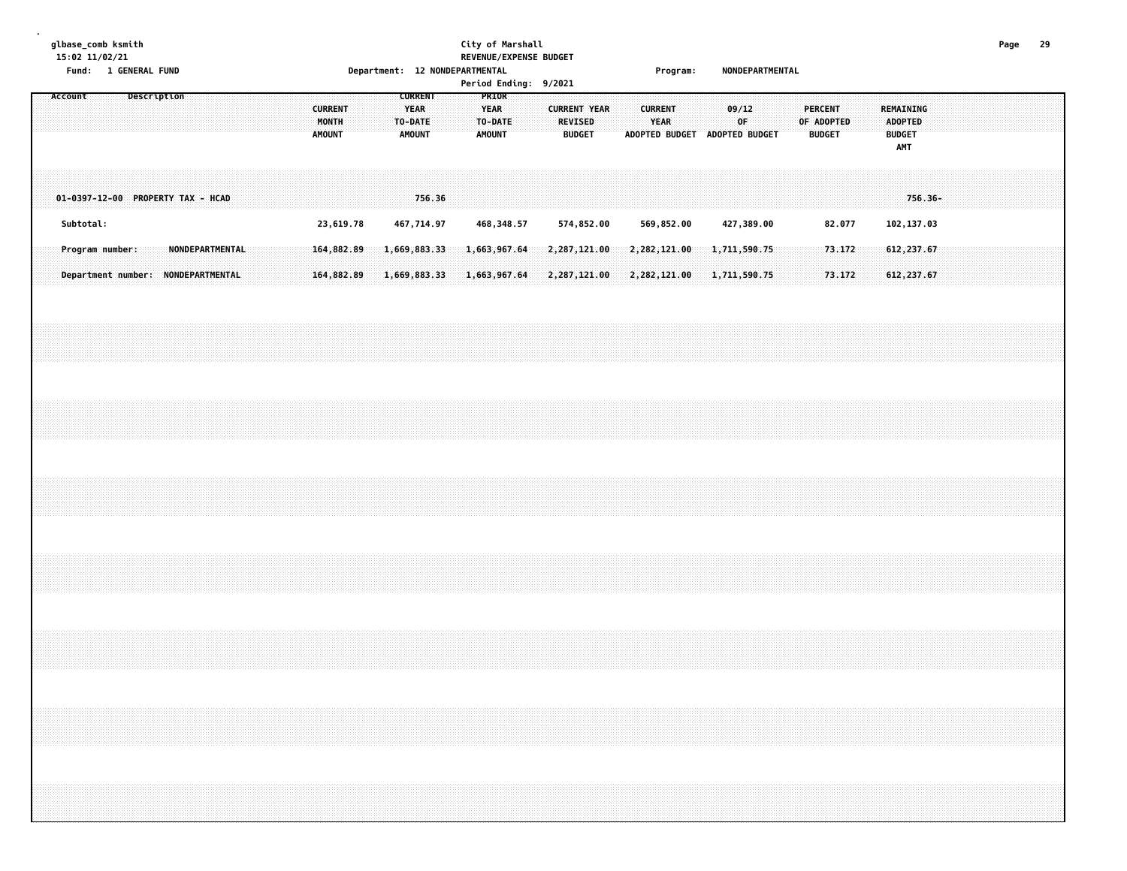### **glbase\_comb ksmith City of Marshall Page 29 15:02 11/02/21 REVENUE/EXPENSE BUDGET Fund: 1 GENERAL FUND Department: 12 NONDEPARTMENTAL Program: NONDEPARTMENTAL**

|  | Account |           |                                                       |  | Description |  |                        |  |  | <b>CURRENT</b><br>MONTH<br><b>AMOUNT</b> |  |  | <b>CURRENT</b><br><b>YEAR</b><br>TO-DATE<br><b>AMOUNT</b> |  | <b>YEAR</b><br>TO-DATE<br><b>AMOUNT</b> | PRIOR |  | $1 \, \text{cm}$ coupletions, $3/2022$<br><b>CURRENT YEAR</b><br><b>REVISED</b><br><b>BUDGET</b> |  | <b>CURRENT</b><br>YEAR       | ADOPTED BUDGET ADOPTED BUDGET | 09/12<br>0F |                              |  | <b>PERCENT</b><br>OF ADOPTED<br><b>BUDGET</b> |                  |  | <b>ADOPTED</b><br><b>BUDGET</b><br>AMT | <b>REMAINING</b>           |  |  |  |  |
|--|---------|-----------|-------------------------------------------------------|--|-------------|--|------------------------|--|--|------------------------------------------|--|--|-----------------------------------------------------------|--|-----------------------------------------|-------|--|--------------------------------------------------------------------------------------------------|--|------------------------------|-------------------------------|-------------|------------------------------|--|-----------------------------------------------|------------------|--|----------------------------------------|----------------------------|--|--|--|--|
|  |         |           | 01-0397-12-00 PROPERTY TAX - HCAD                     |  |             |  |                        |  |  |                                          |  |  | 756.36                                                    |  |                                         |       |  |                                                                                                  |  |                              |                               |             |                              |  |                                               |                  |  |                                        | 756.36-                    |  |  |  |  |
|  |         | Subtotal: |                                                       |  |             |  |                        |  |  | 23,619.78                                |  |  | 467,714.97                                                |  | 468,348.57                              |       |  | 574,852.00                                                                                       |  | 569,852.00                   |                               |             | 427,389.00                   |  |                                               | 82.077           |  |                                        | 102,137.03                 |  |  |  |  |
|  |         |           | Program number:<br>Department number: NONDEPARTMENTAL |  |             |  | <b>NONDEPARTMENTAL</b> |  |  | 164,882.89<br>164,882.89                 |  |  | 1,669,883.33<br>1,669,883.33                              |  | 1,663,967.64<br>1,663,967.64            |       |  | 2,287,121.00<br>2,287,121.00                                                                     |  | 2,282,121.00<br>2,282,121.00 |                               |             | 1,711,590.75<br>1,711,590.75 |  |                                               | 73.172<br>73.172 |  |                                        | 612, 237.67<br>612, 237.67 |  |  |  |  |
|  |         |           |                                                       |  |             |  |                        |  |  |                                          |  |  |                                                           |  |                                         |       |  |                                                                                                  |  |                              |                               |             |                              |  |                                               |                  |  |                                        |                            |  |  |  |  |
|  |         |           |                                                       |  |             |  |                        |  |  |                                          |  |  |                                                           |  |                                         |       |  |                                                                                                  |  |                              |                               |             |                              |  |                                               |                  |  |                                        |                            |  |  |  |  |
|  |         |           |                                                       |  |             |  |                        |  |  |                                          |  |  |                                                           |  |                                         |       |  |                                                                                                  |  |                              |                               |             |                              |  |                                               |                  |  |                                        |                            |  |  |  |  |
|  |         |           |                                                       |  |             |  |                        |  |  |                                          |  |  |                                                           |  |                                         |       |  |                                                                                                  |  |                              |                               |             |                              |  |                                               |                  |  |                                        |                            |  |  |  |  |
|  |         |           |                                                       |  |             |  |                        |  |  |                                          |  |  |                                                           |  |                                         |       |  |                                                                                                  |  |                              |                               |             |                              |  |                                               |                  |  |                                        |                            |  |  |  |  |
|  |         |           |                                                       |  |             |  |                        |  |  |                                          |  |  |                                                           |  |                                         |       |  |                                                                                                  |  |                              |                               |             |                              |  |                                               |                  |  |                                        |                            |  |  |  |  |
|  |         |           |                                                       |  |             |  |                        |  |  |                                          |  |  |                                                           |  |                                         |       |  |                                                                                                  |  |                              |                               |             |                              |  |                                               |                  |  |                                        |                            |  |  |  |  |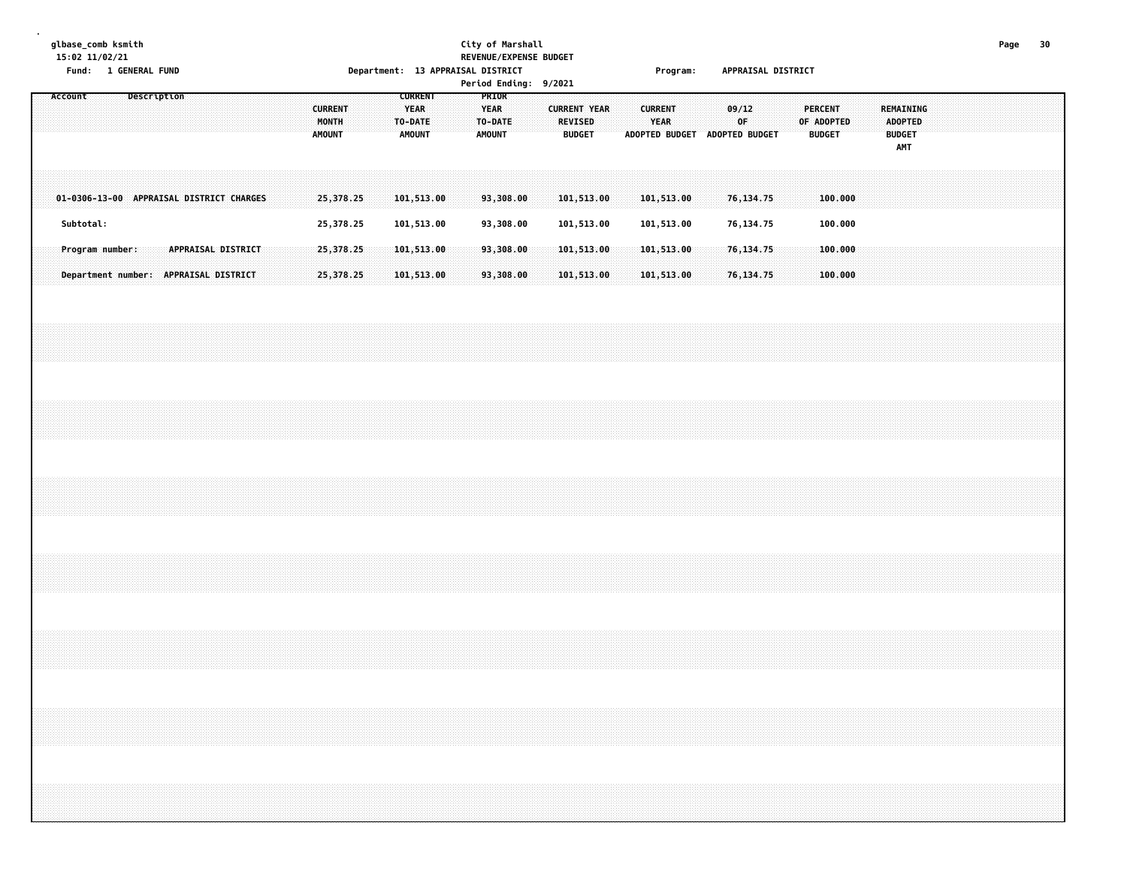### **glbase\_comb ksmith City of Marshall Page 30 15:02 11/02/21 REVENUE/EXPENSE BUDGET Fund: 1 GENERAL FUND Department: 13 APPRAISAL DISTRICT Program: APPRAISAL DISTRICT**

|         |                 |  |             |  |                                          |  |  |                                          |           | peper emersity and rule in |             |                                                           |  |                              | .                | Period Ending: 9/2021 |                                                        |  |                               | .                             |  |             |  |            |                                 |  |                                                     |  |  |  |  |
|---------|-----------------|--|-------------|--|------------------------------------------|--|--|------------------------------------------|-----------|----------------------------|-------------|-----------------------------------------------------------|--|------------------------------|------------------|-----------------------|--------------------------------------------------------|--|-------------------------------|-------------------------------|--|-------------|--|------------|---------------------------------|--|-----------------------------------------------------|--|--|--|--|
| Account |                 |  | Description |  |                                          |  |  | <b>CURRENT</b><br>MONTH<br><b>AMOUNT</b> |           |                            |             | <b>CURRENT</b><br><b>YEAR</b><br>TO-DATE<br><b>AMOUNT</b> |  | <b>YEAR</b><br><b>AMOUNT</b> | PRIOR<br>TO-DATE |                       | <b>CURRENT YEAR</b><br><b>REVISED</b><br><b>BUDGET</b> |  | <b>CURRENT</b><br><b>YEAR</b> | ADOPTED BUDGET ADOPTED BUDGET |  | 09/12<br>OF |  | OF ADOPTED | <b>PERCENT</b><br><b>BUDGET</b> |  | REMAINING<br><b>ADOPTED</b><br><b>BUDGET</b><br>AMT |  |  |  |  |
|         |                 |  |             |  | 01-0306-13-00 APPRAISAL DISTRICT CHARGES |  |  |                                          | 25,378.25 |                            | 101,513.00  |                                                           |  |                              | 93,308.00        |                       | 101,513.00                                             |  |                               | 101,513.00                    |  | 76, 134. 75 |  |            | 100.000                         |  |                                                     |  |  |  |  |
|         | Subtotal:       |  |             |  |                                          |  |  |                                          | 25,378.25 |                            | 101,513.00  |                                                           |  |                              | 93,308.00        |                       | 101,513.00                                             |  |                               | 101,513.00                    |  | 76,134.75   |  |            | 100.000                         |  |                                                     |  |  |  |  |
|         | Program number: |  |             |  | APPRAISAL DISTRICT                       |  |  |                                          | 25,378,25 |                            | 101, 513.00 |                                                           |  |                              | 93,308,00        |                       | 101, 513, 00                                           |  |                               | 101, 513.00                   |  | 76,134.75   |  |            | 100.000                         |  |                                                     |  |  |  |  |
|         |                 |  |             |  | Department number: APPRAISAL DISTRICT    |  |  |                                          | 25,378.25 |                            | 101,513.00  |                                                           |  |                              | 93,308.00        |                       | 101,513.00                                             |  |                               | 101,513.00                    |  | 76, 134. 75 |  |            | 100.000                         |  |                                                     |  |  |  |  |
|         |                 |  |             |  |                                          |  |  |                                          |           |                            |             |                                                           |  |                              |                  |                       |                                                        |  |                               |                               |  |             |  |            |                                 |  |                                                     |  |  |  |  |
|         |                 |  |             |  |                                          |  |  |                                          |           |                            |             |                                                           |  |                              |                  |                       |                                                        |  |                               |                               |  |             |  |            |                                 |  |                                                     |  |  |  |  |
|         |                 |  |             |  |                                          |  |  |                                          |           |                            |             |                                                           |  |                              |                  |                       |                                                        |  |                               |                               |  |             |  |            |                                 |  |                                                     |  |  |  |  |
|         |                 |  |             |  |                                          |  |  |                                          |           |                            |             |                                                           |  |                              |                  |                       |                                                        |  |                               |                               |  |             |  |            |                                 |  |                                                     |  |  |  |  |
|         |                 |  |             |  |                                          |  |  |                                          |           |                            |             |                                                           |  |                              |                  |                       |                                                        |  |                               |                               |  |             |  |            |                                 |  |                                                     |  |  |  |  |
|         |                 |  |             |  |                                          |  |  |                                          |           |                            |             |                                                           |  |                              |                  |                       |                                                        |  |                               |                               |  |             |  |            |                                 |  |                                                     |  |  |  |  |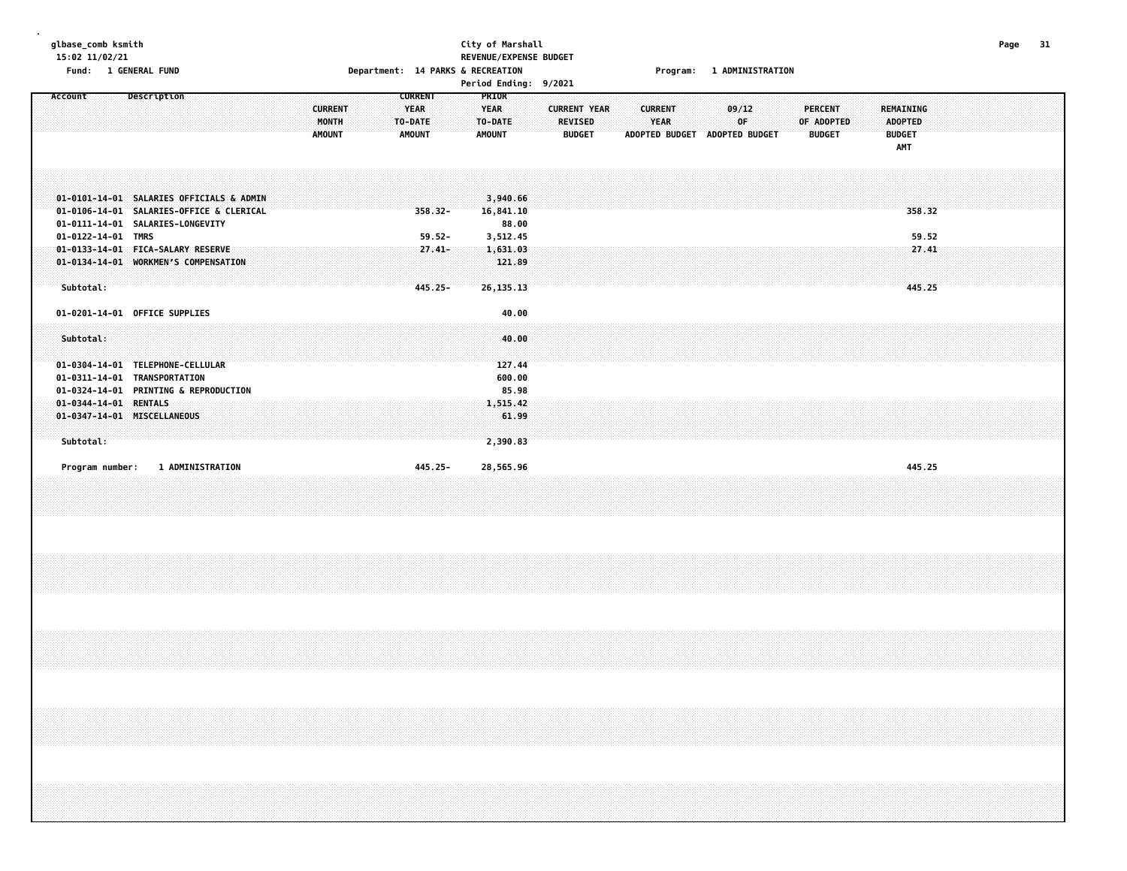### **glbase\_comb ksmith City of Marshall Page 31 15:02 11/02/21 REVENUE/EXPENSE BUDGET** Fund: 1 GENERAL FUND CONTENTS OF THE RESERVE OPPRIMING THE PARKS & RECREATION CONTENTS OF THE PROGRAM: 1 ADMINISTRATION

| Account               | Description                                                      |                                | <b>CURRENT</b>         | <b>PRIOR</b>           |                                       |  |                               |                               |                    |  |                       |  |                             |  |  |  |
|-----------------------|------------------------------------------------------------------|--------------------------------|------------------------|------------------------|---------------------------------------|--|-------------------------------|-------------------------------|--------------------|--|-----------------------|--|-----------------------------|--|--|--|
|                       |                                                                  | <b>CURRENT</b><br><b>MONTH</b> | <b>YEAR</b><br>TO-DATE | <b>YEAR</b><br>TO-DATE | <b>CURRENT YEAR</b><br><b>REVISED</b> |  | <b>CURRENT</b><br><b>YEAR</b> |                               | 09/12<br><b>OF</b> |  | PERCENT<br>OF ADOPTED |  | REMAINING<br><b>ADOPTED</b> |  |  |  |
|                       |                                                                  | <b>AMOUNT</b>                  | <b>AMOUNT</b>          | <b>AMOUNT</b>          | <b>BUDGET</b>                         |  |                               | ADOPTED BUDGET ADOPTED BUDGET |                    |  | <b>BUDGET</b>         |  | <b>BUDGET</b>               |  |  |  |
|                       |                                                                  |                                |                        |                        |                                       |  |                               |                               |                    |  |                       |  | AMT                         |  |  |  |
|                       |                                                                  |                                |                        |                        |                                       |  |                               |                               |                    |  |                       |  |                             |  |  |  |
|                       |                                                                  |                                |                        |                        |                                       |  |                               |                               |                    |  |                       |  |                             |  |  |  |
|                       |                                                                  |                                |                        |                        |                                       |  |                               |                               |                    |  |                       |  |                             |  |  |  |
|                       | 01-0101-14-01 SALARIES OFFICIALS & ADMIN                         |                                |                        | 3,940.66               |                                       |  |                               |                               |                    |  |                       |  |                             |  |  |  |
|                       | 01-0106-14-01 SALARIES-OFFICE & CLERICAL                         |                                | $358.32 -$             | 16,841.10              |                                       |  |                               |                               |                    |  |                       |  | 358.32                      |  |  |  |
| 01-0122-14-01 TMRS    | 01-0111-14-01 SALARIES-LONGEVITY                                 |                                | $59.52 -$              | 88.00<br>3,512.45      |                                       |  |                               |                               |                    |  |                       |  | 59.52                       |  |  |  |
|                       | 01-0133-14-01 FICA-SALARY RESERVE                                |                                | $27.41 -$              | 1,631.03               |                                       |  |                               |                               |                    |  |                       |  | 27.41                       |  |  |  |
|                       | 01-0134-14-01 WORKMEN'S COMPENSATION                             |                                |                        | 121.89                 |                                       |  |                               |                               |                    |  |                       |  |                             |  |  |  |
|                       |                                                                  |                                |                        |                        |                                       |  |                               |                               |                    |  |                       |  |                             |  |  |  |
| Subtotal:             |                                                                  |                                | 445.25-                | 26, 135. 13            |                                       |  |                               |                               |                    |  |                       |  | 445.25                      |  |  |  |
|                       |                                                                  |                                |                        |                        |                                       |  |                               |                               |                    |  |                       |  |                             |  |  |  |
|                       |                                                                  |                                |                        |                        |                                       |  |                               |                               |                    |  |                       |  |                             |  |  |  |
|                       | 01-0201-14-01 OFFICE SUPPLIES                                    |                                |                        | 40.00                  |                                       |  |                               |                               |                    |  |                       |  |                             |  |  |  |
|                       |                                                                  |                                |                        |                        |                                       |  |                               |                               |                    |  |                       |  |                             |  |  |  |
| Subtotal:             |                                                                  |                                |                        | 40.00                  |                                       |  |                               |                               |                    |  |                       |  |                             |  |  |  |
|                       |                                                                  |                                |                        |                        |                                       |  |                               |                               |                    |  |                       |  |                             |  |  |  |
|                       | 01-0304-14-01 TELEPHONE-CELLULAR<br>01-0311-14-01 TRANSPORTATION |                                |                        | 127.44<br>600.00       |                                       |  |                               |                               |                    |  |                       |  |                             |  |  |  |
|                       | 01-0324-14-01 PRINTING & REPRODUCTION                            |                                |                        | 85.98                  |                                       |  |                               |                               |                    |  |                       |  |                             |  |  |  |
| 01-0344-14-01 RENTALS |                                                                  |                                |                        | 1,515.42               |                                       |  |                               |                               |                    |  |                       |  |                             |  |  |  |
|                       | 01-0347-14-01 MISCELLANEOUS                                      |                                |                        | 61.99                  |                                       |  |                               |                               |                    |  |                       |  |                             |  |  |  |
|                       |                                                                  |                                |                        |                        |                                       |  |                               |                               |                    |  |                       |  |                             |  |  |  |
| Subtotal:             |                                                                  |                                |                        | 2,390.83               |                                       |  |                               |                               |                    |  |                       |  |                             |  |  |  |
|                       |                                                                  |                                |                        |                        |                                       |  |                               |                               |                    |  |                       |  |                             |  |  |  |
| Program number:       | <b>1 ADMINISTRATION</b>                                          |                                | 445.25-                | 28,565.96              |                                       |  |                               |                               |                    |  |                       |  | 445.25                      |  |  |  |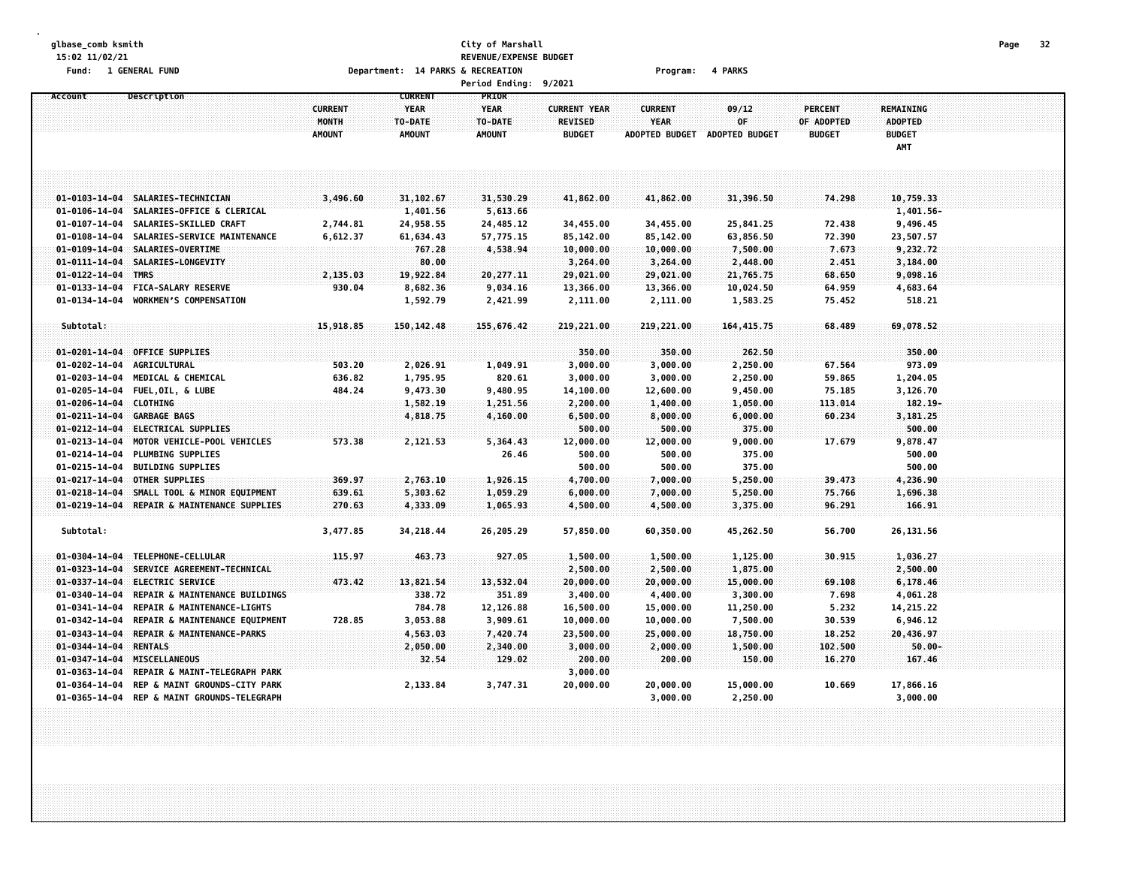#### **glbase\_comb ksmith City of Marshall Page 32 15:02 11/02/21 REVENUE/EXPENSE BUDGET Fund: 1 GENERAL FUND Department: 14 PARKS & RECREATION Program: 4 PARKS Period Ending: 9/2021**

|                        |                                   |                         |                                          | rertoa chathg:                  | <b>9/4021</b>                         |                        |                |                              |                                    |  |
|------------------------|-----------------------------------|-------------------------|------------------------------------------|---------------------------------|---------------------------------------|------------------------|----------------|------------------------------|------------------------------------|--|
| Account                | Description                       | <b>CURRENT</b><br>MONTH | <b>CURRENT</b><br><b>YEAR</b><br>TO-DATE | PRIOR<br><b>YEAR</b><br>TO-DATE | <b>CURRENT YEAR</b><br><b>REVISED</b> | <b>CURRENT</b><br>YEAR | 09/12<br>0F    | <b>PERCENT</b><br>OF ADOPTED | <b>REMAINING</b><br><b>ADOPTED</b> |  |
|                        |                                   | <b>AMOUNT</b>           | <b>AMOUNT</b>                            | <b>AMOUNT</b>                   | <b>BUDGET</b>                         | <b>ADOPTED BUDGET</b>  | ADOPTED BUDGET | <b>BUDGET</b>                | <b>BUDGET</b><br>AMT               |  |
|                        |                                   |                         |                                          |                                 |                                       |                        |                |                              |                                    |  |
|                        |                                   |                         |                                          |                                 |                                       |                        |                |                              |                                    |  |
|                        | 01-0103-14-04 SALARIES-TECHNICIAN | 3,496.60                | 31,102.67                                | 31,530.29                       | 41,862.00                             | 41,862.00              | 31,396.50      | 74.298                       | 10,759.33                          |  |
| $01 - 0106 - 14 - 04$  | SALARIES-OFFICE & CLERICAL        |                         | 1,401.56                                 | 5,613.66                        |                                       |                        |                |                              | 1,401.56-                          |  |
| 01-0107-14-04          | SALARIES-SKILLED CRAFT            | 2,744.81                | 24,958.55                                | 24,485.12                       | 34,455.00                             | 34,455.00              | 25,841.25      | 72.438                       | 9,496.45                           |  |
| 01-0108-14-04          | SALARIES-SERVICE MAINTENANCE      | 6,612.37                | 61,634.43                                | 57,775.15                       | 85,142.00                             | 85,142.00              | 63,856.50      | 72.390                       | 23,507.57                          |  |
| $01 - 0109 - 14 - 04$  | SALARIES-OVERTIME                 |                         | 767.28                                   | 4,538.94                        | 10,000.00                             | 10,000.00              | 7,500.00       | 7.673                        | 9,232.72                           |  |
| $01 - 0111 - 14 - 04$  | SALARIES-LONGEVITY                |                         | 80.00                                    |                                 | 3,264.00                              | 3,264.00               | 2,448.00       | 2.451                        | 3,184.00                           |  |
| $01 - 0122 - 14 - 04$  | <b>TMRS</b>                       | 2,135.03                | 19,922.84                                | 20,277.11                       | 29,021.00                             | 29,021.00              | 21,765.75      | 68.650                       | 9,098.16                           |  |
| $01 - 0133 - 14 - 04$  | <b>FICA-SALARY RESERVE</b>        | 930.04                  | 8,682.36                                 | 9,034.16                        | 13,366.00                             | 13,366.00              | 10,024.50      | 64.959                       | 4,683.64                           |  |
| $01 - 0134 - 14 - 04$  | WORKMEN'S COMPENSATION            |                         | 1,592.79                                 | 2,421.99                        | 2,111.00                              | 2,111.00               | 1,583.25       | 75.452                       | 518.21                             |  |
| Subtotal:              |                                   | 15,918.85               | 150, 142.48                              | 155,676.42                      | 219,221.00                            | 219,221.00             | 164, 415.75    | 68.489                       | 69,078.52                          |  |
|                        |                                   |                         |                                          |                                 |                                       |                        |                |                              |                                    |  |
| $01 - 0201 - 14 - 04$  | <b>OFFICE SUPPLIES</b>            |                         |                                          |                                 | 350.00                                | 350.00                 | 262.50         |                              | 350.00                             |  |
| $01 - 0202 - 14 - 04$  | <b>AGRICULTURAL</b>               | 503.20                  | 2,026.91                                 | 1,049.91                        | 3,000.00                              | 3,000.00               | 2,250.00       | 67.564                       | 973.09                             |  |
| $01 - 0203 - 14 - 04$  | MEDICAL & CHEMICAL                | 636.82                  | 1,795.95                                 | 820.61                          | 3,000.00                              | 3,000.00               | 2,250.00       | 59.865                       | 1,204.05                           |  |
| 01-0205-14-04          | FUEL, OIL, & LUBE                 | 484.24                  | 9,473.30                                 | 9,480.95                        | 14,100.00                             | 12,600.00              | 9,450.00       | 75.185                       | 3,126.70                           |  |
| 01-0206-14-04 CLOTHING |                                   |                         | 1,582.19                                 | 1,251.56                        | 2,200.00                              | 1,400.00               | 1,050.00       | 113.014                      | $182.19 -$                         |  |
| $01 - 0211 - 14 - 04$  | <b>GARBAGE BAGS</b>               |                         | 4,818.75                                 | 4,160.00                        | 6,500.00                              | 8,000.00               | 6,000.00       | 60.234                       | 3,181.25                           |  |
| $01 - 0212 - 14 - 04$  | ELECTRICAL SUPPLIES               |                         |                                          |                                 | 500.00                                | 500.00                 | 375.00         |                              | 500.00                             |  |
| $01 - 0213 - 14 - 04$  | MOTOR VEHICLE-POOL VEHICLES       | 573.38                  | 2,121.53                                 | 5,364.43                        | 12,000.00                             | 12,000.00              | 9,000.00       | 17.679                       | 9,878.47                           |  |
| 01-0214-14-04          | PLUMBING SUPPLIES                 |                         |                                          | 26.46                           | 500.00                                | 500.00                 | 375.00         |                              | 500.00                             |  |
| 01-0215-14-04          | <b>BUILDING SUPPLIES</b>          |                         |                                          |                                 | 500.00                                | 500.00                 | 375.00         |                              | 500.00                             |  |
| $01 - 0217 - 14 - 04$  | OTHER SUPPLIES                    | 369.97                  | 2,763.10                                 | 1,926.15                        | 4,700.00                              | 7,000.00               | 5,250.00       | 39.473                       | 4,236.90                           |  |
| $01 - 0218 - 14 - 04$  | SMALL TOOL & MINOR EQUIPMENT      | 639.61                  | 5,303.62                                 | 1,059.29                        | 6,000.00                              | 7,000.00               | 5,250.00       | 75.766                       | 1,696.38                           |  |
| $01 - 0219 - 14 - 04$  | REPAIR & MAINTENANCE SUPPLIES     | 270.63                  | 4,333.09                                 | 1,065.93                        | 4,500.00                              | 4,500.00               | 3,375.00       | 96,291                       | 166.91                             |  |
| Subtotal:              |                                   | 3,477.85                | 34,218.44                                | 26,205.29                       | 57,850.00                             | 60,350.00              | 45,262.50      | 56.700                       | 26,131.56                          |  |
| $01 - 0304 - 14 - 04$  | TELEPHONE-CELLULAR                | 115.97                  | 463.73                                   | 927.05                          | 1,500.00                              | 1,500.00               | 1,125.00       | 30.915                       | 1,036.27                           |  |
| $01 - 0323 - 14 - 04$  | SERVICE AGREEMENT-TECHNICAL       |                         |                                          |                                 | 2,500.00                              | 2,500.00               | 1,875.00       |                              | 2,500.00                           |  |
| 01-0337-14-04          | <b>ELECTRIC SERVICE</b>           | 473.42                  | 13,821.54                                | 13,532.04                       | 20,000.00                             | 20,000.00              | 15,000.00      | 69.108                       | 6,178.46                           |  |
| $01 - 0340 - 14 - 04$  | REPAIR & MAINTENANCE BUILDINGS    |                         | 338.72                                   | 351.89                          | 3,400.00                              | 4,400.00               | 3,300.00       | 7.698                        | 4,061.28                           |  |
| 01-0341-14-04          | REPAIR & MAINTENANCE-LIGHTS       |                         | 784.78                                   | 12,126.88                       | 16,500.00                             | 15,000.00              | 11,250.00      | 5.232                        | 14,215.22                          |  |
| $01 - 0342 - 14 - 04$  | REPAIR & MAINTENANCE EQUIPMENT    | 728.85                  | 3,053.88                                 | 3,909.61                        | 10,000.00                             | 10,000.00              | 7,500.00       | 30.539                       | 6,946.12                           |  |
| $01 - 0343 - 14 - 04$  | REPAIR & MAINTENANCE-PARKS        |                         | 4,563.03                                 | 7,420.74                        | 23,500.00                             | 25,000.00              | 18,750.00      | 18.252                       | 20,436.97                          |  |
| $01 - 0344 - 14 - 04$  | <b>RENTALS</b>                    |                         | 2,050.00                                 | 2,340.00                        | 3,000.00                              | 2,000.00               | 1,500.00       | 102.500                      | $50.00 -$                          |  |
| $01 - 0347 - 14 - 04$  | MISCELLANEOUS                     |                         | 32.54                                    | 129.02                          | 200.00                                | 200.00                 | 150.00         | 16.270                       | 167.46                             |  |
| 01-0363-14-04          | REPAIR & MAINT-TELEGRAPH PARK     |                         |                                          |                                 | 3,000.00                              |                        |                |                              |                                    |  |
| 01-0364-14-04          | REP & MAINT GROUNDS-CITY PARK     |                         | 2,133.84                                 | 3,747.31                        | 20,000.00                             | 20,000.00              | 15,000.00      | 10.669                       | 17,866.16                          |  |
| $01 - 0365 - 14 - 04$  | REP & MAINT GROUNDS-TELEGRAPH     |                         |                                          |                                 |                                       | 3,000.00               | 2,250.00       |                              | 3,000.00                           |  |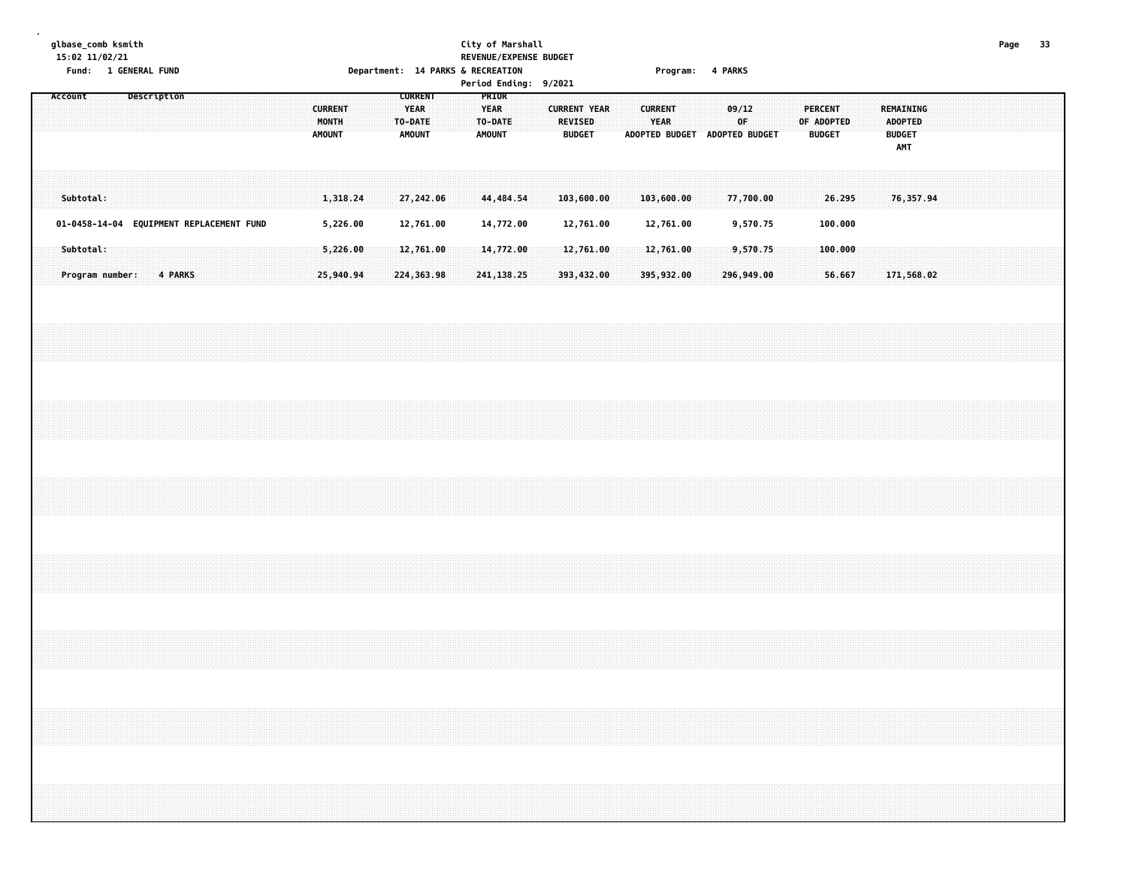#### **glbase\_comb ksmith City of Marshall Page 33 15:02 11/02/21 REVENUE/EXPENSE BUDGET Fund: 1 GENERAL FUND Department: 14 PARKS & RECREATION Program: 4 PARKS**

|  | Account   |  |  | Description             |  |                                          |  | <b>CURRENT</b><br>MONTH<br><b>AMOUNT</b> |                      |  | <b>CURRENT</b><br><b>YEAR</b><br>TO-DATE<br><b>AMOUNT</b> |                                      |  | PRIOR<br><b>YEAR</b><br>TO-DATE<br><b>AMOUNT</b> |  | <b>CURRENT YEAR</b> | <b>REVISED</b><br><b>BUDGET</b>      |  | <b>CURRENT</b><br><b>YEAR</b><br>ADOPTED BUDGET ADOPTED BUDGET |  | 09/12<br>0F                        |  | <b>PERCENT</b><br>OF ADOPTED | <b>BUDGET</b>                |  | <b>ADOPTED</b><br><b>BUDGET</b><br>AMT | <b>REMAINING</b> |  |  |  |  |
|--|-----------|--|--|-------------------------|--|------------------------------------------|--|------------------------------------------|----------------------|--|-----------------------------------------------------------|--------------------------------------|--|--------------------------------------------------|--|---------------------|--------------------------------------|--|----------------------------------------------------------------|--|------------------------------------|--|------------------------------|------------------------------|--|----------------------------------------|------------------|--|--|--|--|
|  | Subtotal: |  |  |                         |  |                                          |  |                                          | 1,318.24             |  |                                                           | 27,242.06                            |  | 44,484.54                                        |  |                     | 103,600.00                           |  | 103,600.00                                                     |  | 77,700.00                          |  |                              | 26.295                       |  |                                        | 76,357.94        |  |  |  |  |
|  | Subtotal: |  |  | Program number: 4 PARKS |  | 01-0458-14-04 EQUIPMENT REPLACEMENT FUND |  | 25,940.94                                | 5,226.00<br>5,226.00 |  |                                                           | 12,761.00<br>12,761.00<br>224,363.98 |  | 14,772.00<br>14,772.00<br>241, 138.25            |  |                     | 12,761.00<br>12,761.00<br>393,432.00 |  | 12,761.00<br>12,761.00<br>395,932.00                           |  | 9,570.75<br>9,570.75<br>296,949.00 |  |                              | 100.000<br>100.000<br>56.667 |  |                                        | 171,568.02       |  |  |  |  |
|  |           |  |  |                         |  |                                          |  |                                          |                      |  |                                                           |                                      |  |                                                  |  |                     |                                      |  |                                                                |  |                                    |  |                              |                              |  |                                        |                  |  |  |  |  |
|  |           |  |  |                         |  |                                          |  |                                          |                      |  |                                                           |                                      |  |                                                  |  |                     |                                      |  |                                                                |  |                                    |  |                              |                              |  |                                        |                  |  |  |  |  |
|  |           |  |  |                         |  |                                          |  |                                          |                      |  |                                                           |                                      |  |                                                  |  |                     |                                      |  |                                                                |  |                                    |  |                              |                              |  |                                        |                  |  |  |  |  |
|  |           |  |  |                         |  |                                          |  |                                          |                      |  |                                                           |                                      |  |                                                  |  |                     |                                      |  |                                                                |  |                                    |  |                              |                              |  |                                        |                  |  |  |  |  |
|  |           |  |  |                         |  |                                          |  |                                          |                      |  |                                                           |                                      |  |                                                  |  |                     |                                      |  |                                                                |  |                                    |  |                              |                              |  |                                        |                  |  |  |  |  |
|  |           |  |  |                         |  |                                          |  |                                          |                      |  |                                                           |                                      |  |                                                  |  |                     |                                      |  |                                                                |  |                                    |  |                              |                              |  |                                        |                  |  |  |  |  |
|  |           |  |  |                         |  |                                          |  |                                          |                      |  |                                                           |                                      |  |                                                  |  |                     |                                      |  |                                                                |  |                                    |  |                              |                              |  |                                        |                  |  |  |  |  |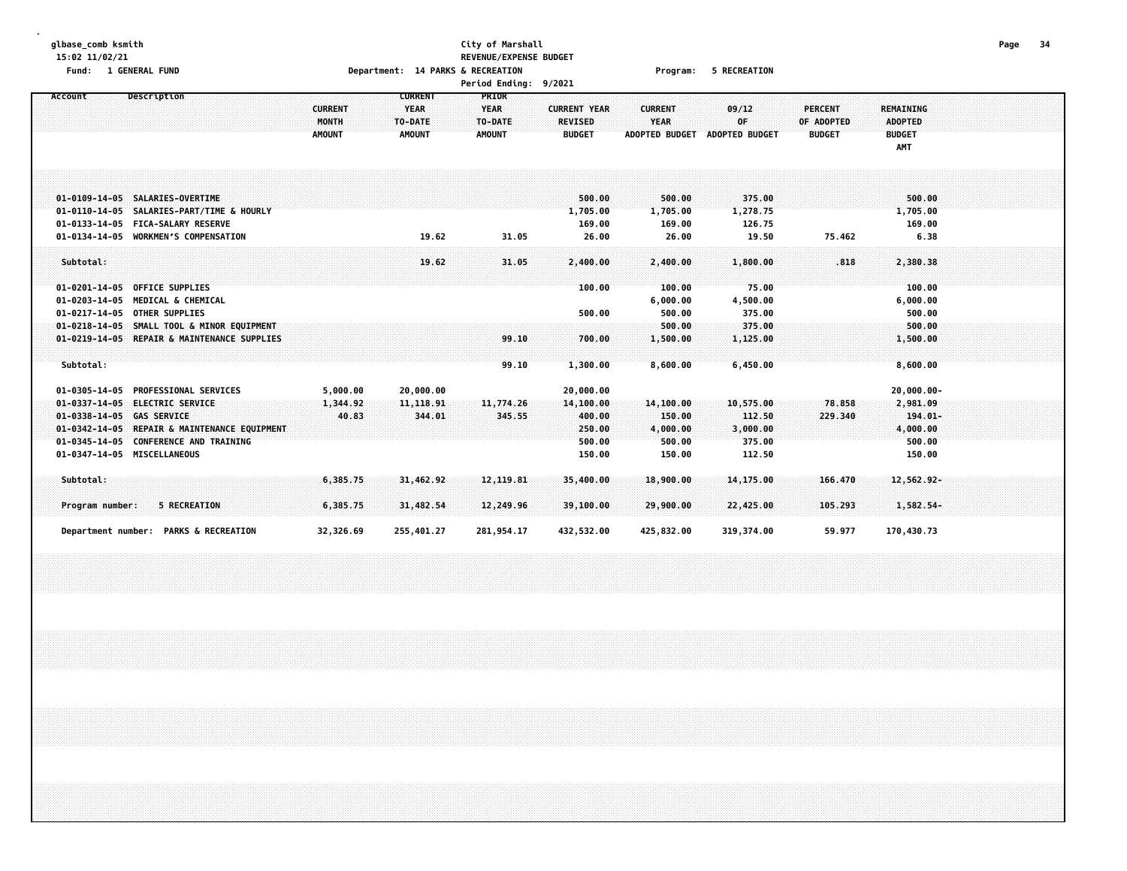### **glbase\_comb ksmith City of Marshall Page 34 15:02 11/02/21 REVENUE/EXPENSE BUDGET** Fund: 1 GENERAL FUND CONTENTS OPERATOR CONTENTS OPERATOR DEPRITS ON THE RECREATION CONTENTS OF PROGRAMS OF RECREATION

| Account                     | Description                                  |                | <b>CURRENT</b> | PRIOR         |                     |                       |                       |                |                |  |
|-----------------------------|----------------------------------------------|----------------|----------------|---------------|---------------------|-----------------------|-----------------------|----------------|----------------|--|
|                             |                                              | <b>CURRENT</b> | <b>YEAR</b>    | <b>YEAR</b>   | <b>CURRENT YEAR</b> | <b>CURRENT</b>        | 09/12                 | <b>PERCENT</b> | REMAINING      |  |
|                             |                                              | MONTH          | TO-DATE        | TO-DATE       | <b>REVISED</b>      | <b>YEAR</b>           | 0F                    | OF ADOPTED     | <b>ADOPTED</b> |  |
|                             |                                              | <b>AMOUNT</b>  | <b>AMOUNT</b>  | <b>AMOUNT</b> | <b>BUDGET</b>       | <b>ADOPTED BUDGET</b> | <b>ADOPTED BUDGET</b> | <b>BUDGET</b>  | <b>BUDGET</b>  |  |
|                             |                                              |                |                |               |                     |                       |                       |                | AMT            |  |
|                             |                                              |                |                |               |                     |                       |                       |                |                |  |
|                             |                                              |                |                |               |                     |                       |                       |                |                |  |
|                             |                                              |                |                |               |                     |                       |                       |                |                |  |
|                             | 01-0109-14-05 SALARIES-OVERTIME              |                |                |               | 500.00              | 500.00                | 375.00                |                | 500.00         |  |
|                             | 01-0110-14-05 SALARIES-PART/TIME & HOURLY    |                |                |               | 1,705.00            | 1,705.00              | 1,278.75              |                | 1,705.00       |  |
|                             | 01-0133-14-05 FICA-SALARY RESERVE            |                |                |               | 169.00              | 169.00                | 126.75                |                | 169.00         |  |
|                             | 01-0134-14-05 WORKMEN'S COMPENSATION         |                | 19.62          | 31.05         | 26.00               | 26.00                 | 19.50                 | 75.462         | 6.38           |  |
|                             |                                              |                |                |               |                     |                       |                       |                |                |  |
| Subtotal:                   |                                              |                | 19.62          | 31.05         | 2,400.00            | 2,400.00              | 1,800.00              | .818           | 2,380.38       |  |
|                             |                                              |                |                |               |                     |                       |                       |                |                |  |
| $01 - 0201 - 14 - 05$       | <b>OFFICE SUPPLIES</b>                       |                |                |               | 100.00              | 100.00                | 75.00                 |                | 100.00         |  |
| $01 - 0203 - 14 - 05$       | <b>MEDICAL &amp; CHEMICAL</b>                |                |                |               |                     | 6,000.00              | 4,500.00              |                | 6,000.00       |  |
| $01 - 0217 - 14 - 05$       | <b>OTHER SUPPLIES</b>                        |                |                |               | 500.00              | 500.00                | 375.00                |                | 500.00         |  |
| $01 - 0218 - 14 - 05$       | SMALL TOOL & MINOR EQUIPMENT                 |                |                |               |                     | 500.00                | 375.00                |                | 500.00         |  |
|                             | 01-0219-14-05 REPAIR & MAINTENANCE SUPPLIES  |                |                | 99.10         | 700.00              | 1,500.00              | 1,125.00              |                | 1,500.00       |  |
|                             |                                              |                |                |               |                     |                       |                       |                |                |  |
| Subtotal:                   |                                              |                |                | 99.10         | 1,300.00            | 8,600.00              | 6,450.00              |                | 8,600.00       |  |
|                             |                                              |                |                |               |                     |                       |                       |                |                |  |
| $01 - 0305 - 14 - 05$       | <b>PROFESSIONAL SERVICES</b>                 | 5,000.00       | 20,000.00      |               | 20,000.00           |                       |                       |                | $20,000.00 -$  |  |
| $01 - 0337 - 14 - 05$       | <b>ELECTRIC SERVICE</b>                      | 1,344.92       | 11, 118.91     | 11,774.26     | 14, 100.00          | 14, 100.00            | 10,575.00             | 78.858         | 2,981.09       |  |
| $01 - 0338 - 14 - 05$       | <b>GAS SERVICE</b>                           | 40.83          | 344.01         | 345.55        | 400.00              | 150.00                | 112.50                | 229.340        | $194.01 -$     |  |
|                             | 01-0342-14-05 REPAIR & MAINTENANCE EQUIPMENT |                |                |               | 250.00              | 4,000.00              | 3,000.00              |                | 4,000.00       |  |
|                             | 01-0345-14-05 CONFERENCE AND TRAINING        |                |                |               | 500.00              | 500.00                | 375.00                |                | 500.00         |  |
| 01-0347-14-05 MISCELLANEOUS |                                              |                |                |               | 150.00              | 150.00                | 112.50                |                | 150.00         |  |
|                             |                                              |                |                |               |                     |                       |                       |                |                |  |
| Subtotal:                   |                                              | 6,385.75       | 31,462.92      | 12, 119.81    | 35,400.00           | 18,900.00             | 14,175.00             | 166.470        | $12,562.92-$   |  |
|                             |                                              |                |                |               |                     |                       |                       |                |                |  |
| Program number:             | <b>5 RECREATION</b>                          | 6,385.75       | 31,482.54      | 12,249.96     | 39,100.00           | 29,900.00             | 22,425.00             | 105,293        | 1,582.54-      |  |
|                             |                                              |                |                |               |                     |                       |                       |                |                |  |
|                             | Department number: PARKS & RECREATION        | 32,326.69      | 255,401.27     | 281,954.17    | 432,532.00          | 425,832.00            | 319,374.00            | 59.977         | 170,430.73     |  |
|                             |                                              |                |                |               |                     |                       |                       |                |                |  |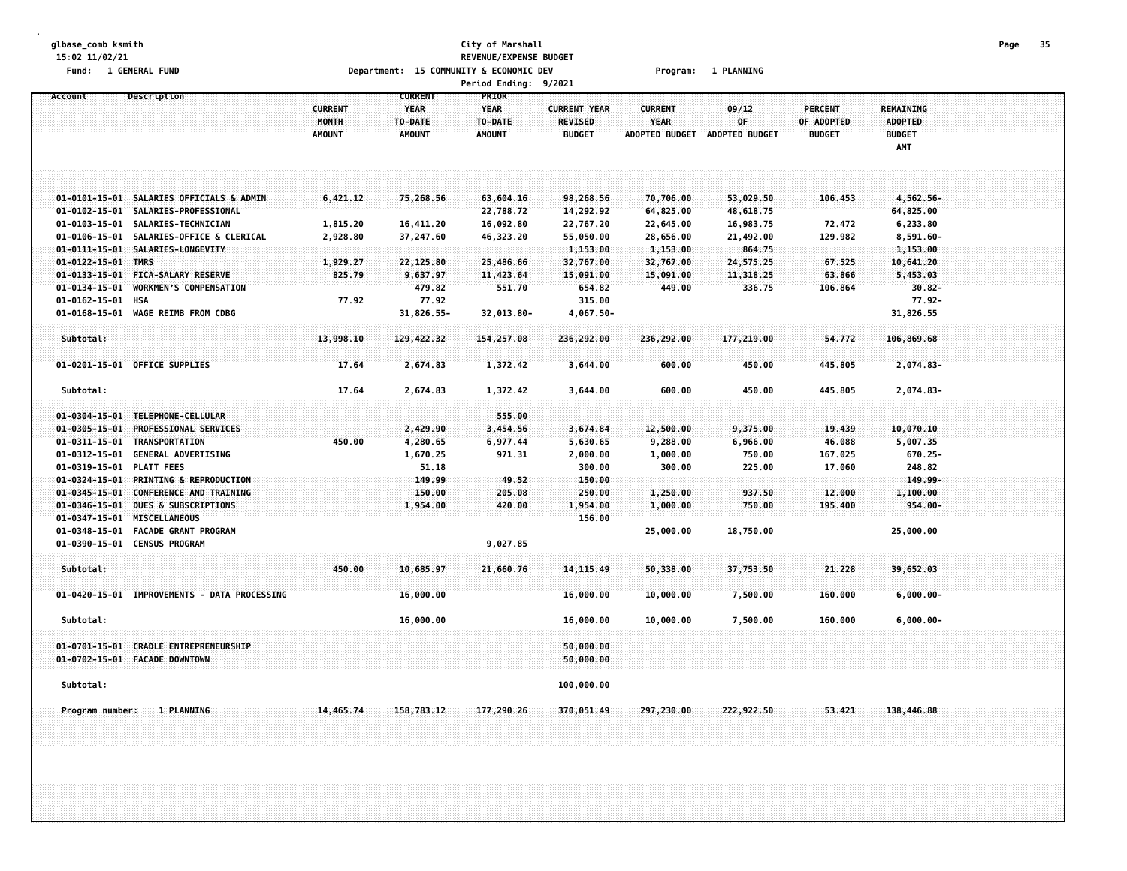#### **glbase\_comb ksmith City of Marshall Page 35 15:02 11/02/21 REVENUE/EXPENSE BUDGET** Fund: 1 GENERAL FUND CONTENT OF THE SCONOMIC DEVICE OF THE SCONOMIC DEVICE OF THE SCONOMIC DEVICE OF THE PLANNING **Period Ending: 9/2021**

**Account Description CURRENT PRIOR CURRENT YEAR YEAR CURRENT YEAR CURRENT 09/12 PERCENT REMAINING MONTH TO-DATE TO-DATE REVISED YEAR OF OF ADOPTED ADOPTED AMOUNT AMOUNT AMOUNT BUDGET ADOPTED BUDGET ADOPTED BUDGET BUDGET BUDGET AMT** 01-0101-15-01 SALARIES OFFICIALS & ADMIN 6.421.12 75.268.56 63.604.16 98.268.56 70.706.00 53.029.50 106.453 4.562.56-**01-0102-15-01 SALARIES-PROFESSIONAL 22,788.72 14,292.92 64,825.00 48,618.75 64,825.00** 01-0103-15-01 SALARIES-TECHNICIAN 1.815.20 16.411.20 16.092.80 22.767.20 22.645.00 16.983.75 72.472 6.233.80 01-0106-15-01 SALARIES-OFFICE & CLERICAL 2,928.80 37,247.60 46,323.20 55,050.00 28,656.00 21,492.00 129.982 8,591.60-**01-0111-15-01 SALARIES-LONGEVITY 1,153.00 1,153.00 864.75 1,153.00 01-0122-15-01 TMRS 1,929.27 22,125.80 25,486.66 32,767.00 32,767.00 24,575.25 67.525 10,641.20 01-0133-15-01 FICA-SALARY RESERVE 825.79 9,637.97 11,423.64 15,091.00 15,091.00 11,318.25 63.866 5,453.03 01-0134-15-01 WORKMENS COMPENSATION 479.82 551.70 654.82 449.00 336.75 106.864 30.82- 01-0162-15-01 HSA 77.92 77.92 315.00 77.92- 01-0168-15-01 WAGE REIMB FROM CDBG 31,826.55- 32,013.80- 4,067.50- 31,826.55 Subtotal: 13,998.10 129,422.32 154,257.08 236,292.00 236,292.00 177,219.00 54.772 106,869.68** 01-0201-15-01 OFFICE SUPPLIES 17.64 2,674.83 1,372.42 3,644.00 600.00 450.00 445.805 2,074.83- **Subtotal: 17.64 2,674.83 1,372.42 3,644.00 600.00 450.00 445.805 2,074.83- 01-0304-15-01 TELEPHONE-CELLULAR 555.00 01-0305-15-01 PROFESSIONAL SERVICES 2,429.90 3,454.56 3,674.84 12,500.00 9,375.00 19.439 10,070.10** 01-0311-15-01 TRANSPORTATION 450.00 4,280.65 6,977.44 5,630.65 9,288.00 6,966.00 46.088 5,007.35 **01-0312-15-01 GENERAL ADVERTISING 1,670.25 971.31 2,000.00 1,000.00 750.00 167.025 670.25- 01-0319-15-01 PLATT FEES 51.18 300.00 300.00 225.00 17.060 248.82 01-0324-15-01 PRINTING & REPRODUCTION 149.99 49.52 150.00 149.99-** 01-0345-15-01 CONFERENCE AND TRAINING (1.000 COS.00 250.00 250.00 250.00 1.250.00 937.50 12.000 1.100.00 01-0346-15-01 DUES & SUBSCRIPTIONS 1.954.00 1.954.00 1.954.00 750.00 195.400 954.00-**01-0347-15-01 MISCELLANEOUS 156.00 01-0348-15-01 FACADE GRANT PROGRAM 25,000.00 18,750.00 25,000.00 01-0390-15-01 CENSUS PROGRAM 9,027.85 Subtotal: 450.00 10,685.97 21,660.76 14,115.49 50,338.00 37,753.50 21.228 39,652.03 01-0420-15-01 IMPROVEMENTS - DATA PROCESSING 16,000.00 16,000.00 10,000.00 7,500.00 160.000 6,000.00- Subtotal: 16,000.00 16,000.00 10,000.00 7,500.00 160.000 6,000.00- 01-0701-15-01 CRADLE ENTREPRENEURSHIP 50,000.00 01-0702-15-01 FACADE DOWNTOWN 50,000.00 Subtotal: 100,000.00** Program number: 1 PLANNING 188,446.88 158,783.12 177,290.26 370,051.49 297,230.00 222,922.50 53.421 138,446.88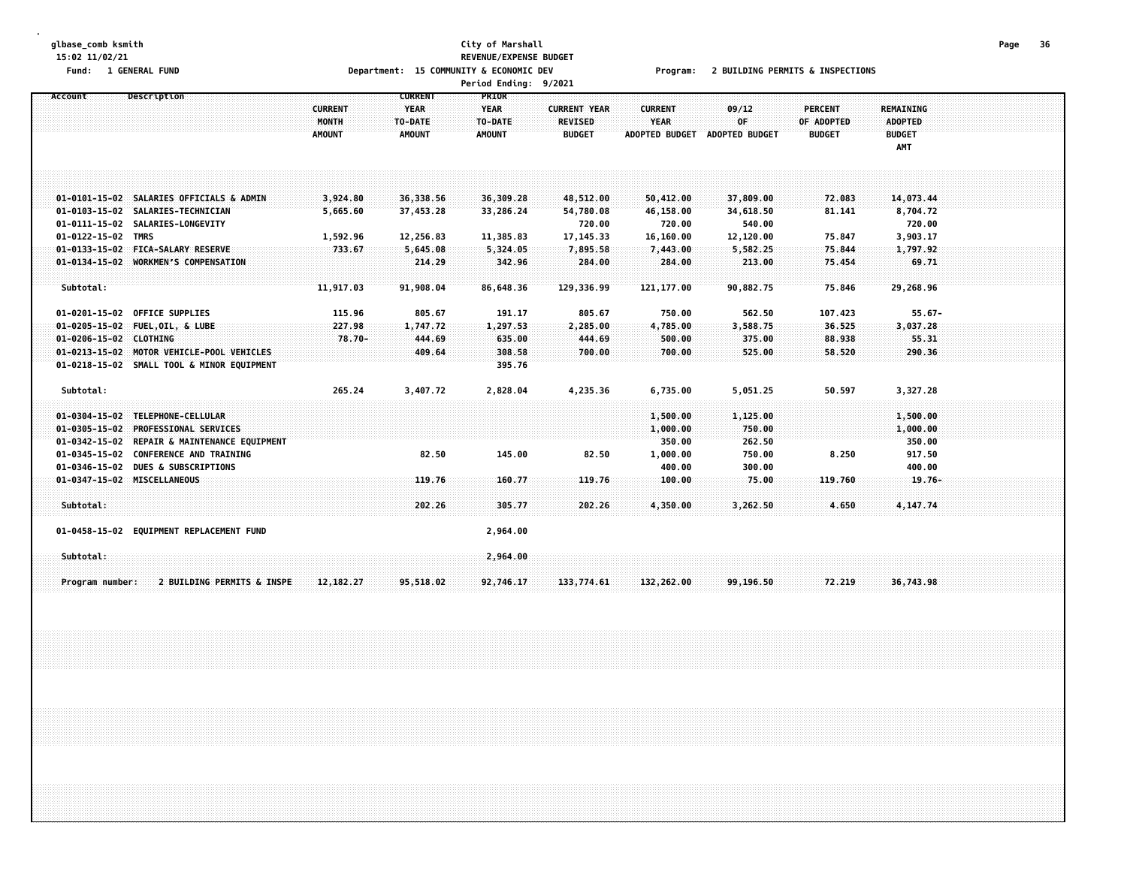#### **glbase\_comb ksmith City of Marshall Page 36 15:02 11/02/21 REVENUE/EXPENSE BUDGET** Fund: 1 GENERAL FUND CONNECTIONS COMMUNITY & COMMUNITY & ECONOMIC DEV Program: 2 BUILDING PERMITS & INSPECTIONS

|                             |                                              |                |                | Period Ending: 9/2021 |                     |                       |                       |                |                |  |  |
|-----------------------------|----------------------------------------------|----------------|----------------|-----------------------|---------------------|-----------------------|-----------------------|----------------|----------------|--|--|
| Account                     | Description                                  |                | <b>CURRENT</b> | <b>PRIOR</b>          |                     |                       |                       |                |                |  |  |
|                             |                                              | <b>CURRENT</b> | <b>YEAR</b>    | <b>YEAR</b>           | <b>CURRENT YEAR</b> | <b>CURRENT</b>        | 09/12                 | <b>PERCENT</b> | REMAINING      |  |  |
|                             |                                              | MONTH          | TO-DATE        | TO-DATE               | <b>REVISED</b>      | <b>YEAR</b>           | 0F                    | OF ADOPTED     | <b>ADOPTED</b> |  |  |
|                             |                                              | <b>AMOUNT</b>  | <b>AMOUNT</b>  | <b>AMOUNT</b>         | <b>BUDGET</b>       | <b>ADOPTED BUDGET</b> | <b>ADOPTED BUDGET</b> | <b>BUDGET</b>  | <b>BUDGET</b>  |  |  |
|                             |                                              |                |                |                       |                     |                       |                       |                | AMT            |  |  |
|                             |                                              |                |                |                       |                     |                       |                       |                |                |  |  |
|                             |                                              |                |                |                       |                     |                       |                       |                |                |  |  |
|                             | 01-0101-15-02 SALARIES OFFICIALS & ADMIN     | 3,924.80       | 36,338.56      | 36,309.28             | 48,512.00           | 50,412.00             | 37,809.00             | 72.083         | 14,073.44      |  |  |
|                             | 01-0103-15-02 SALARIES-TECHNICIAN            | 5,665.60       | 37,453.28      | 33,286.24             | 54,780.08           | 46,158.00             | 34,618.50             | 81.141         | 8,704.72       |  |  |
|                             | 01-0111-15-02 SALARIES-LONGEVITY             |                |                |                       | 720.00              | 720.00                | 540.00                |                | 720.00         |  |  |
| 01-0122-15-02 TMRS          |                                              | 1,592.96       | 12,256.83      | 11,385.83             | 17, 145.33          | 16,160.00             | 12,120.00             | 75.847         | 3,903.17       |  |  |
|                             | 01-0133-15-02 FICA-SALARY RESERVE            | 733.67         | 5,645.08       | 5,324.05              | 7,895.58            | 7,443.00              | 5,582.25              | 75.844         | 1,797.92       |  |  |
|                             | 01-0134-15-02 WORKMEN'S COMPENSATION         |                | 214.29         | 342.96                | 284.00              | 284.00                | 213.00                | 75.454         | 69.71          |  |  |
|                             |                                              |                |                |                       |                     |                       |                       |                |                |  |  |
| Subtotal:                   |                                              | 11,917.03      | 91,908.04      | 86.648.36             | 129,336.99          | 121.177.00            | 90.882.75             | 75.846         | 29,268.96      |  |  |
|                             |                                              |                |                |                       |                     |                       |                       |                |                |  |  |
|                             | 01-0201-15-02 OFFICE SUPPLIES                | 115.96         | 805.67         | 191.17                | 805.67              | 750.00                | 562.50                | 107.423        | $55.67 -$      |  |  |
|                             | 01-0205-15-02 FUEL, OIL, & LUBE              | 227.98         | 1,747.72       | 1,297.53              | 2,285.00            | 4,785.00              | 3,588.75              | 36.525         | 3,037.28       |  |  |
| 01-0206-15-02 CLOTHING      |                                              | $78.70 -$      | 444.69         | 635.00                | 444.69              | 500.00                | 375.00                | 88.938         | 55.31          |  |  |
|                             | 01-0213-15-02 MOTOR VEHICLE-POOL VEHICLES    |                | 409.64         | 308.58                | 700.00              | 700.00                | 525.00                | 58.520         | 290.36         |  |  |
|                             | 01-0218-15-02 SMALL TOOL & MINOR EQUIPMENT   |                |                | 395.76                |                     |                       |                       |                |                |  |  |
| Subtotal:                   |                                              | 265.24         | 3,407.72       | 2,828.04              | 4,235.36            | 6,735.00              | 5,051.25              | 50.597         | 3,327.28       |  |  |
|                             |                                              |                |                |                       |                     |                       |                       |                |                |  |  |
|                             | 01-0304-15-02 TELEPHONE-CELLULAR             |                |                |                       |                     | 1,500.00              | 1,125.00              |                | 1,500.00       |  |  |
|                             | 01-0305-15-02 PROFESSIONAL SERVICES          |                |                |                       |                     | 1,000.00              | 750.00                |                | 1,000.00       |  |  |
|                             | 01-0342-15-02 REPAIR & MAINTENANCE EQUIPMENT |                |                |                       |                     | 350.00                | 262.50                |                | 350.00         |  |  |
|                             | 01-0345-15-02 CONFERENCE AND TRAINING        |                | 82.50          | 145.00                | 82.50               | 1,000.00              | 750.00                | 8.250          | 917.50         |  |  |
|                             | 01-0346-15-02 DUES & SUBSCRIPTIONS           |                |                |                       |                     | 400.00                | 300.00                |                | 400.00         |  |  |
| 01-0347-15-02 MISCELLANEOUS |                                              |                | 119.76         | 160.77                | 119.76              | 100.00                | 75.00                 | 119.760        | $19.76 -$      |  |  |
|                             |                                              |                |                |                       |                     |                       |                       |                |                |  |  |
| Subtotal:                   |                                              |                | 202.26         | 305,77                | 202.26              | 4,350.00              | 3,262.50              | 4,650          | 4,147.74       |  |  |
|                             | 01-0458-15-02 EQUIPMENT REPLACEMENT FUND     |                |                | 2,964.00              |                     |                       |                       |                |                |  |  |
| Subtotal:                   |                                              |                |                | 2,964.00              |                     |                       |                       |                |                |  |  |
|                             |                                              |                |                |                       |                     |                       |                       |                |                |  |  |
| Program number:             | 2 BUILDING PERMITS & INSPE                   | 12, 182. 27    | 95,518.02      | 92,746.17             | 133,774.61          | 132,262.00            | 99,196.50             | 72.219         | 36,743.98      |  |  |
|                             |                                              |                |                |                       |                     |                       |                       |                |                |  |  |
|                             |                                              |                |                |                       |                     |                       |                       |                |                |  |  |
|                             |                                              |                |                |                       |                     |                       |                       |                |                |  |  |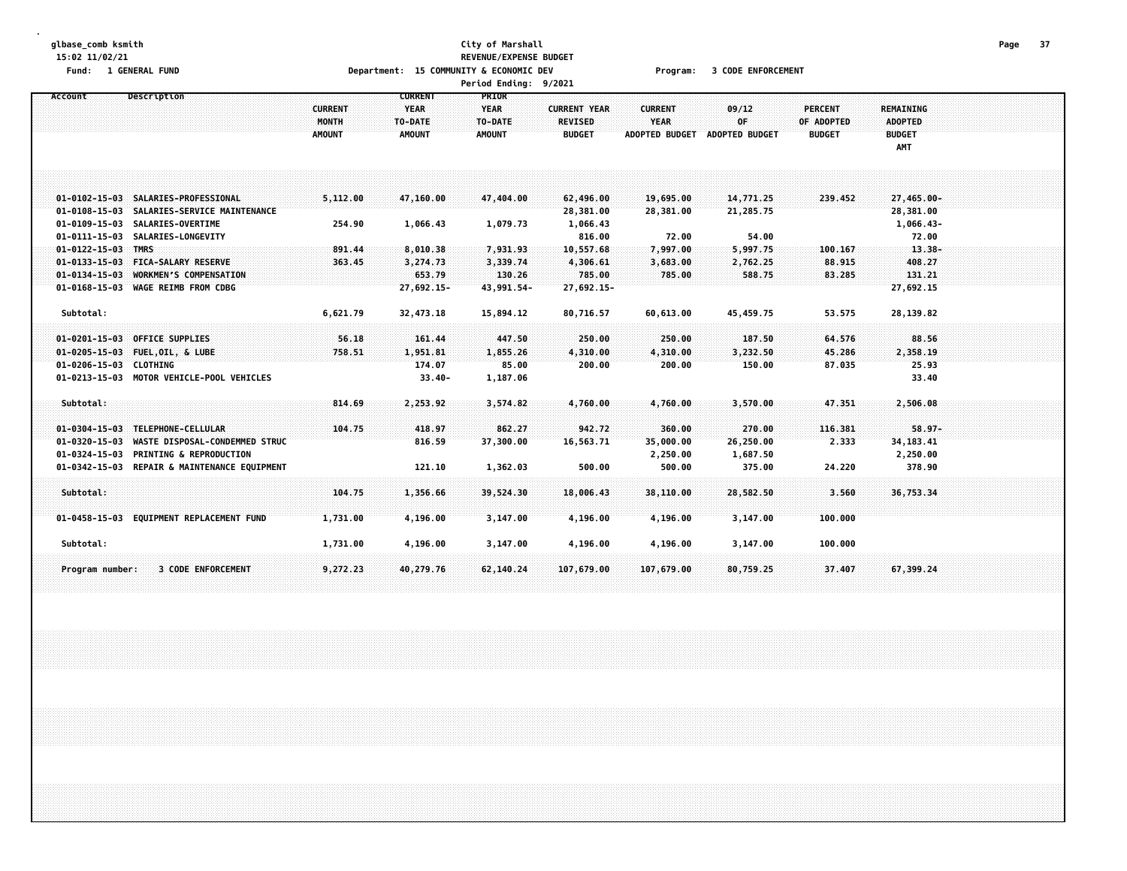### **glbase\_comb ksmith City of Marshall Page 37 15:02 11/02/21 REVENUE/EXPENSE BUDGET** Fund: 1 GENERAL FUND CODE CONTROLLER THE SECONDUCT OF SECONOMIC DEV PROGRAM: 1 SODE ENFORCEMENT **Period Ending: 9/2021**

| Account<br>Description                                      |                | <b>CURRENT</b> | PRIOR         |                     |                       |                       |                |                  |  |
|-------------------------------------------------------------|----------------|----------------|---------------|---------------------|-----------------------|-----------------------|----------------|------------------|--|
|                                                             | <b>CURRENT</b> | <b>YEAR</b>    | <b>YEAR</b>   | <b>CURRENT YEAR</b> | <b>CURRENT</b>        | 09/12                 | <b>PERCENT</b> | <b>REMAINING</b> |  |
|                                                             | MONTH          | TO-DATE        | TO-DATE       | <b>REVISED</b>      | <b>YEAR</b>           | 0F                    | OF ADOPTED     | <b>ADOPTED</b>   |  |
|                                                             | AMOUNT         | <b>AMOUNT</b>  | <b>AMOUNT</b> | <b>BUDGET</b>       | <b>ADOPTED BUDGET</b> | <b>ADOPTED BUDGET</b> | <b>BUDGET</b>  | <b>BUDGET</b>    |  |
|                                                             |                |                |               |                     |                       |                       |                | AMT              |  |
|                                                             |                |                |               |                     |                       |                       |                |                  |  |
|                                                             |                |                |               |                     |                       |                       |                |                  |  |
| 01-0102-15-03 SALARIES-PROFESSIONAL                         | 5,112.00       | 47,160.00      | 47,404.00     | 62,496.00           | 19,695.00             | 14,771.25             | 239.452        | 27,465.00-       |  |
| 01-0108-15-03 SALARIES-SERVICE MAINTENANCE                  |                |                |               | 28,381.00           | 28,381.00             | 21,285.75             |                | 28,381.00        |  |
| 01-0109-15-03 SALARIES-OVERTIME                             | 254.90         | 1,066.43       | 1,079.73      | 1,066.43            |                       |                       |                | 1,066.43-        |  |
| 01-0111-15-03 SALARIES-LONGEVITY                            |                |                |               | 816.00              | 72.00                 | 54.00                 |                | 72.00            |  |
| <b>TMRS</b><br>$01 - 0122 - 15 - 03$                        | 891.44         | 8,010.38       | 7,931.93      | 10,557.68           | 7,997.00              | 5,997.75              | 100.167        | $13.38 -$        |  |
| 01-0133-15-03 FICA-SALARY RESERVE                           | 363.45         | 3,274.73       | 3,339.74      | 4,306.61            | 3,683.00              | 2,762.25              | 88.915         | 408.27           |  |
| <b>WORKMEN'S COMPENSATION</b><br>$01 - 0134 - 15 - 03$      |                | 653.79         | 130.26        | 785.00              | 785.00                | 588.75                | 83.285         | 131.21           |  |
| 01-0168-15-03 WAGE REIMB FROM CDBG                          |                | 27,692.15-     | 43,991.54-    | 27,692.15-          |                       |                       |                | 27,692.15        |  |
|                                                             |                |                |               |                     |                       |                       |                |                  |  |
| Subtotal:                                                   | 6,621.79       | 32,473.18      | 15,894.12     | 80,716.57           | 60,613.00             | 45,459.75             | 53.575         | 28,139.82        |  |
| <b>OFFICE SUPPLIES</b><br>$01 - 0201 - 15 - 03$             | 56.18          | 161.44         | 447.50        | 250.00              | 250.00                | 187.50                | 64.576         | 88.56            |  |
| $01 - 0205 - 15 - 03$<br>FUEL, OIL, & LUBE                  | 758.51         | 1,951.81       | 1,855.26      | 4,310.00            | 4,310.00              | 3,232.50              | 45.286         | 2,358.19         |  |
| $01 - 0206 - 15 - 03$<br><b>CLOTHING</b>                    |                | 174.07         | 85.00         | 200.00              | 200.00                | 150.00                | 87.035         | 25.93            |  |
| MOTOR VEHICLE-POOL VEHICLES<br>$01 - 0213 - 15 - 03$        |                | $33.40 -$      | 1,187.06      |                     |                       |                       |                | 33.40            |  |
|                                                             |                |                |               |                     |                       |                       |                |                  |  |
| Subtotal:                                                   | 814.69         | 2,253.92       | 3,574.82      | 4,760.00            | 4,760.00              | 3,570.00              | 47.351         | 2,506.08         |  |
|                                                             |                |                |               |                     |                       |                       |                |                  |  |
| TELEPHONE-CELLULAR<br>$01 - 0304 - 15 - 03$                 | 104.75         | 418.97         | 862.27        | 942.72              | 360.00                | 270.00                | 116.381        | $58.97 -$        |  |
| WASTE DISPOSAL-CONDEMMED STRUC<br>$01 - 0320 - 15 - 03$     |                | 816.59         | 37,300.00     | 16,563.71           | 35,000.00             | 26,250.00             | 2.333          | 34, 183. 41      |  |
| <b>PRINTING &amp; REPRODUCTION</b><br>$01 - 0324 - 15 - 03$ |                |                |               |                     | 2,250.00              | 1,687.50              |                | 2,250.00         |  |
| 01-0342-15-03 REPAIR & MAINTENANCE EQUIPMENT                |                | 121.10         | 1,362.03      | 500.00              | 500.00                | 375.00                | 24.220         | 378.90           |  |
|                                                             |                |                |               |                     |                       |                       |                |                  |  |
| Subtotal:                                                   | 104.75         | 1,356.66       | 39,524.30     | 18,006.43           | 38,110.00             | 28,582.50             | 3.560          | 36,753.34        |  |
|                                                             |                |                |               |                     |                       |                       |                |                  |  |
| 01-0458-15-03 EQUIPMENT REPLACEMENT FUND                    | 1,731.00       | 4,196.00       | 3,147.00      | 4,196.00            | 4,196.00              | 3,147.00              | 100.000        |                  |  |
| Subtotal:                                                   | 1,731.00       | 4,196.00       | 3,147.00      | 4,196.00            | 4,196.00              | 3,147.00              | 100.000        |                  |  |
|                                                             |                |                |               |                     |                       |                       |                |                  |  |
| <b>3 CODE ENFORCEMENT</b><br>Program number:                | 9,272.23       | 40,279.76      | 62,140.24     | 107,679.00          | 107,679.00            | 80,759.25             | 37.407         | 67.399.24        |  |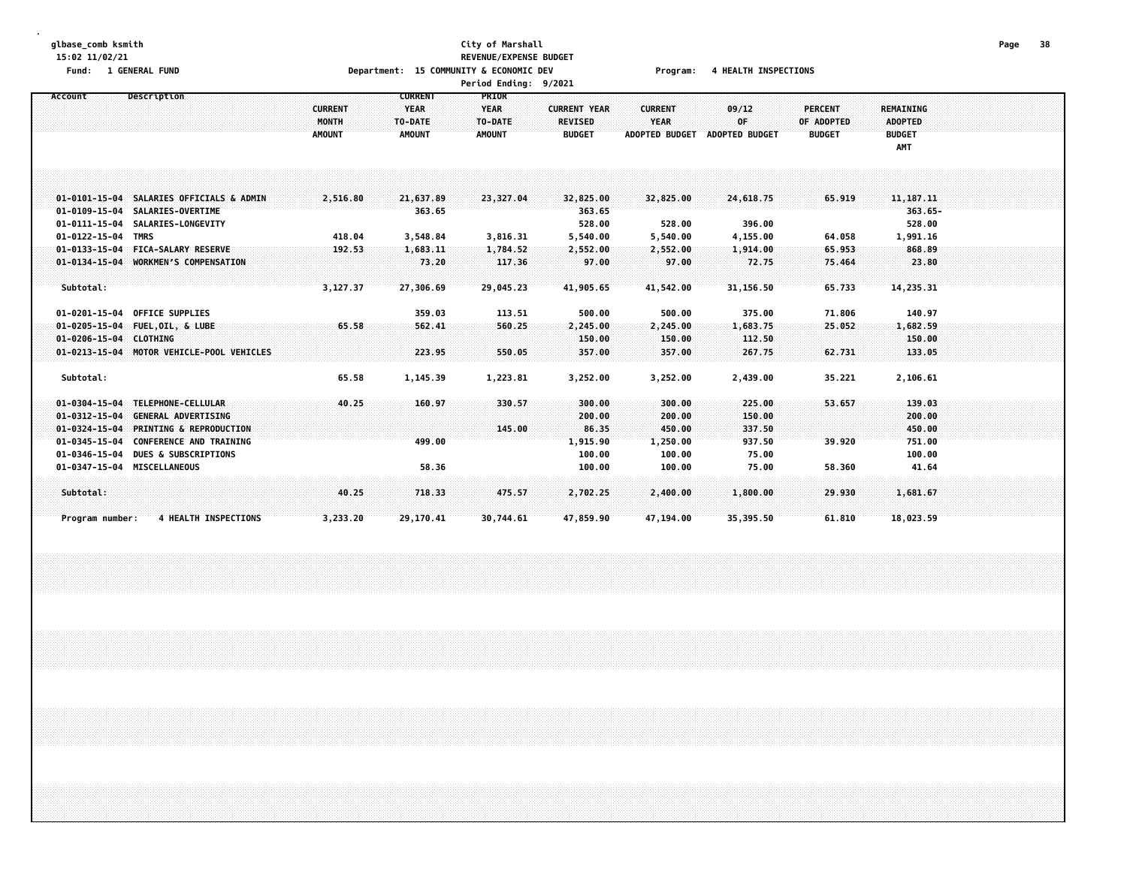## **glbase\_comb ksmith City of Marshall Page 38 15:02 11/02/21 REVENUE/EXPENSE BUDGET** Fund: 1 GENERAL FUND CONNECTIONS Department: 15 COMMUNITY & ECONOMIC DEV Program: 4 HEALTH INSPECTIONS

| <b>Period Ending:</b> |  | 9/2021 |
|-----------------------|--|--------|
|-----------------------|--|--------|

| Account                | Description                               |                | <b>CURRENT</b> | <b>PRIOR</b>  |                     |                       |                       |                |                  |  |
|------------------------|-------------------------------------------|----------------|----------------|---------------|---------------------|-----------------------|-----------------------|----------------|------------------|--|
|                        |                                           | <b>CURRENT</b> | <b>YEAR</b>    | <b>YEAR</b>   | <b>CURRENT YEAR</b> | <b>CURRENT</b>        | 09/12                 | <b>PERCENT</b> | <b>REMAINING</b> |  |
|                        |                                           | MONTH          | TO-DATE        | TO-DATE       | <b>REVISED</b>      | YEAR                  | 0F                    | OF ADOPTED     | <b>ADOPTED</b>   |  |
|                        |                                           | <b>AMOUNT</b>  | <b>AMOUNT</b>  | <b>AMOUNT</b> | <b>BUDGET</b>       | <b>ADOPTED BUDGET</b> | <b>ADOPTED BUDGET</b> | <b>BUDGET</b>  | <b>BUDGET</b>    |  |
|                        |                                           |                |                |               |                     |                       |                       |                | AMT              |  |
|                        |                                           |                |                |               |                     |                       |                       |                |                  |  |
|                        |                                           |                |                |               |                     |                       |                       |                |                  |  |
|                        |                                           |                |                |               |                     |                       |                       |                |                  |  |
|                        | 01-0101-15-04 SALARIES OFFICIALS & ADMIN  | 2,516.80       | 21,637.89      | 23,327.04     | 32,825.00           | 32,825.00             | 24,618.75             | 65.919         | 11, 187. 11      |  |
|                        | 01-0109-15-04 SALARIES-OVERTIME           |                | 363.65         |               | 363.65              |                       |                       |                | $363.65 -$       |  |
| $01 - 0111 - 15 - 04$  | SALARIES-LONGEVITY                        |                |                |               | 528.00              | 528.00                | 396.00                |                | 528.00           |  |
| 01-0122-15-04          | <b>TMRS</b>                               | 418.04         | 3,548.84       | 3,816.31      | 5,540.00            | 5,540.00              | 4,155.00              | 64.058         | 1,991.16         |  |
|                        | 01-0133-15-04 FICA-SALARY RESERVE         | 192.53         | 1,683.11       | 1,784.52      | 2,552.00            | 2,552.00              | 1,914.00              | 65.953         | 868.89           |  |
|                        | 01-0134-15-04 WORKMEN'S COMPENSATION      |                | 73.20          | 117.36        | 97.00               | 97.00                 | 72.75                 | 75.464         | 23.80            |  |
|                        |                                           |                |                |               |                     |                       |                       |                |                  |  |
| Subtotal:              |                                           | 3,127.37       | 27,306.69      | 29,045.23     | 41,905.65           | 41,542.00             | 31,156.50             | 65.733         | 14,235.31        |  |
|                        |                                           |                |                |               |                     |                       |                       |                |                  |  |
|                        | 01-0201-15-04 OFFICE SUPPLIES             |                | 359.03         | 113.51        | 500.00              | 500.00                | 375.00                | 71.806         | 140.97           |  |
|                        | 01-0205-15-04 FUEL, OIL, & LUBE           | 65.58          | 562.41         | 560.25        | 2,245.00            | 2,245.00              | 1,683.75              | 25,052         | 1,682.59         |  |
| 01-0206-15-04 CLOTHING |                                           |                |                |               | 150.00              | 150.00                | 112.50                |                | 150.00           |  |
|                        | 01-0213-15-04 MOTOR VEHICLE-POOL VEHICLES |                | 223.95         | 550.05        | 357.00              | 357.00                | 267.75                | 62.731         | 133.05           |  |
|                        |                                           |                |                |               |                     |                       |                       |                |                  |  |
| Subtotal:              |                                           | 65.58          | 1,145.39       | 1,223.81      | 3,252.00            | 3,252.00              | 2,439.00              | 35.221         | 2,106.61         |  |
|                        |                                           |                |                |               |                     |                       |                       |                |                  |  |
| $01 - 0304 - 15 - 04$  | TELEPHONE-CELLULAR                        | 40.25          | 160.97         | 330.57        | 300.00              | 300.00                | 225.00                | 53.657         | 139.03           |  |
| $01 - 0312 - 15 - 04$  | <b>GENERAL ADVERTISING</b>                |                |                |               | 200.00              | 200.00                | 150.00                |                | 200.00           |  |
| $01 - 0324 - 15 - 04$  | <b>PRINTING &amp; REPRODUCTION</b>        |                |                | 145.00        | 86.35               | 450.00                | 337.50                |                | 450.00           |  |
| $01 - 0345 - 15 - 04$  | <b>CONFERENCE AND TRAINING</b>            |                | 499.00         |               | 1,915.90            | 1,250.00              | 937.50                | 39.920         | 751.00           |  |
| 01-0346-15-04          | <b>DUES &amp; SUBSCRIPTIONS</b>           |                |                |               | 100.00              | 100.00                | 75.00                 |                | 100.00           |  |
|                        | 01-0347-15-04 MISCELLANEOUS               |                | 58.36          |               | 100.00              | 100.00                | 75.00                 | 58.360         | 41.64            |  |
|                        |                                           |                |                |               |                     |                       |                       |                |                  |  |
| Subtotal:              |                                           | 40.25          | 718.33         | 475.57        | 2,702.25            | 2,400.00              | 1,800.00              | 29.930         | 1,681.67         |  |
|                        |                                           |                |                |               |                     |                       |                       |                |                  |  |
| Program number:        | <b>4 HEALTH INSPECTIONS</b>               | 3,233.20       | 29,170.41      | 30,744.61     | 47,859.90           | 47,194.00             | 35,395.50             | 61.810         | 18,023.59        |  |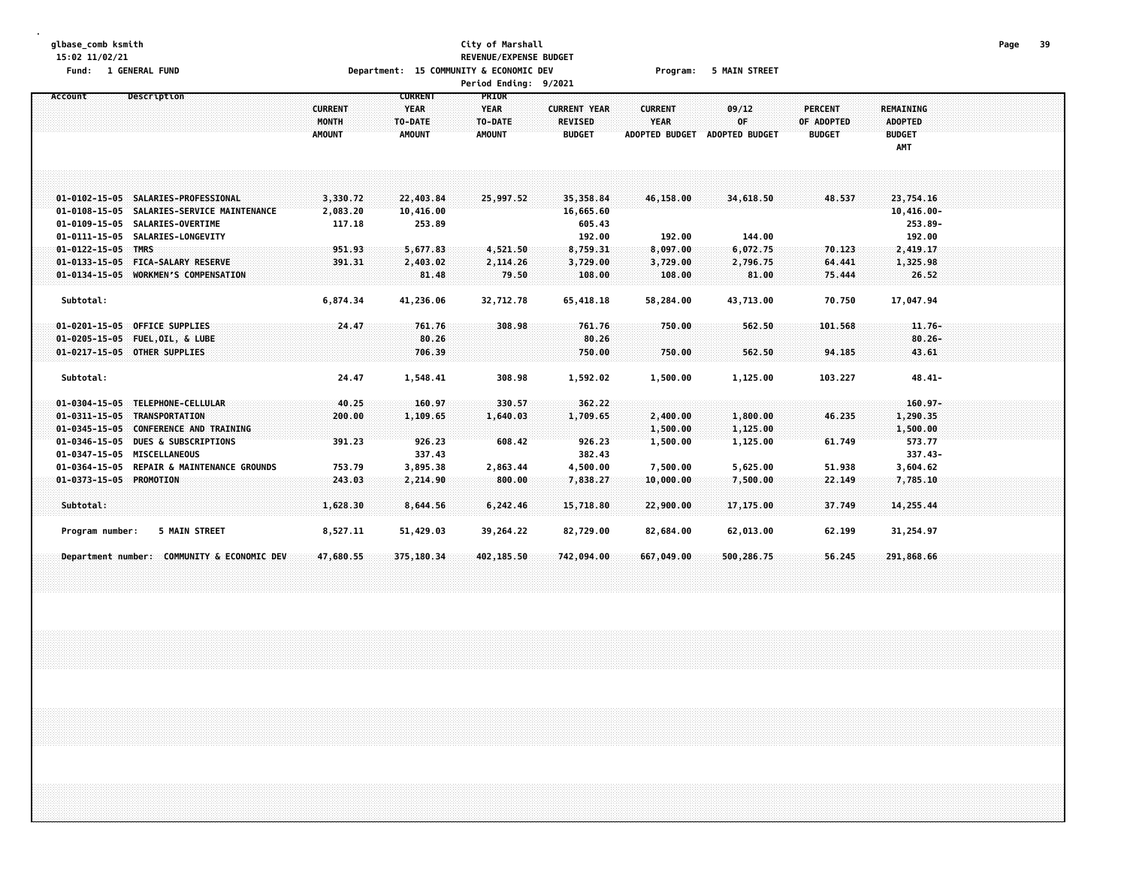# **glbase\_comb ksmith City of Marshall Page 39 15:02 11/02/21 REVENUE/EXPENSE BUDGET** Fund: 1 GENERAL FUND CONDITION TO Department: 15 COMMUNITY & ECONOMIC DEV Program: 5 MAIN STREET

|                                                          |                                          |                                                           | <b>Period Ending:</b>                                   | 9/2021                                                 |                                                        |                                      |                                               |                                                            |  |
|----------------------------------------------------------|------------------------------------------|-----------------------------------------------------------|---------------------------------------------------------|--------------------------------------------------------|--------------------------------------------------------|--------------------------------------|-----------------------------------------------|------------------------------------------------------------|--|
| Description<br>Account                                   | <b>CURRENT</b><br>MONTH<br><b>AMOUNT</b> | <b>CURRENT</b><br><b>YEAR</b><br>TO-DATE<br><b>AMOUNT</b> | <b>PRIOR</b><br><b>YEAR</b><br>TO-DATE<br><b>AMOUNT</b> | <b>CURRENT YEAR</b><br><b>REVISED</b><br><b>BUDGET</b> | <b>CURRENT</b><br><b>YEAR</b><br><b>ADOPTED BUDGET</b> | 09/12<br>0F<br><b>ADOPTED BUDGET</b> | <b>PERCENT</b><br>OF ADOPTED<br><b>BUDGET</b> | <b>REMAINING</b><br><b>ADOPTED</b><br><b>BUDGET</b><br>AMT |  |
| 01-0102-15-05 SALARIES-PROFESSIONAL                      | 3,330.72                                 | 22,403.84                                                 | 25,997.52                                               | 35,358.84                                              | 46,158.00                                              | 34,618.50                            | 48.537                                        | 23,754.16                                                  |  |
| 01-0108-15-05 SALARIES-SERVICE MAINTENANCE               | 2,083.20                                 | 10,416.00                                                 |                                                         | 16,665.60                                              |                                                        |                                      |                                               | $10,416.00 -$                                              |  |
| 01-0109-15-05 SALARIES-OVERTIME                          | 117.18                                   | 253.89                                                    |                                                         | 605.43                                                 |                                                        |                                      |                                               | 253.89-                                                    |  |
| 01-0111-15-05 SALARIES-LONGEVITY                         |                                          |                                                           |                                                         | 192.00                                                 | 192.00                                                 | 144.00                               |                                               | 192.00                                                     |  |
| $01 - 0122 - 15 - 05$ TMRS                               | 951.93                                   | 5,677.83                                                  | 4,521.50                                                | 8,759.31                                               | 8,097.00                                               | 6,072.75                             | 70.123                                        | 2,419.17                                                   |  |
| 01-0133-15-05 FICA-SALARY RESERVE                        | 391.31                                   | 2,403.02                                                  | 2,114.26                                                | 3,729.00                                               | 3,729.00                                               | 2,796.75                             | 64.441                                        | 1,325.98                                                   |  |
| 01-0134-15-05 WORKMEN'S COMPENSATION                     |                                          | 81.48                                                     | 79.50                                                   | 108.00                                                 | 108.00                                                 | 81.00                                | 75.444                                        | 26.52                                                      |  |
| Subtotal:                                                | 6,874.34                                 | 41,236.06                                                 | 32,712.78                                               | 65,418.18                                              | 58,284.00                                              | 43,713.00                            | 70.750                                        | 17,047.94                                                  |  |
| 01-0201-15-05 OFFICE SUPPLIES                            | 24,47                                    | 761.76                                                    | 308.98                                                  | 761.76                                                 | 750.00                                                 | 562.50                               | 101.568                                       | $11.76-$                                                   |  |
| 01-0205-15-05 FUEL, OIL, & LUBE                          |                                          | 80.26                                                     |                                                         | 80.26                                                  |                                                        |                                      |                                               | $80.26 -$                                                  |  |
| 01-0217-15-05 OTHER SUPPLIES                             |                                          | 706.39                                                    |                                                         | 750.00                                                 | 750.00                                                 | 562.50                               | 94.185                                        | 43.61                                                      |  |
| Subtotal:                                                | 24.47                                    | 1,548.41                                                  | 308.98                                                  | 1,592.02                                               | 1,500.00                                               | 1,125.00                             | 103.227                                       | $48.41 -$                                                  |  |
| 01-0304-15-05 TELEPHONE-CELLULAR                         | 40.25                                    | 160.97                                                    | 330.57                                                  | 362.22                                                 |                                                        |                                      |                                               | $160.97 -$                                                 |  |
| 01-0311-15-05 TRANSPORTATION                             | 200.00                                   | 1,109.65                                                  | 1,640.03                                                | 1,709.65                                               | 2,400.00                                               | 1,800.00                             | 46.235                                        | 1,290.35                                                   |  |
| $01 - 0345 - 15 - 05$<br><b>CONFERENCE AND TRAINING</b>  |                                          |                                                           |                                                         |                                                        | 1,500.00                                               | 1,125.00                             |                                               | 1,500.00                                                   |  |
| $01 - 0346 - 15 - 05$<br><b>DUES &amp; SUBSCRIPTIONS</b> | 391.23                                   | 926.23                                                    | 608.42                                                  | 926.23                                                 | 1,500.00                                               | 1,125.00                             | 61.749                                        | 573.77                                                     |  |
| 01-0347-15-05 MISCELLANEOUS                              |                                          | 337.43                                                    |                                                         | 382.43                                                 |                                                        |                                      |                                               | 337.43-                                                    |  |
| 01-0364-15-05 REPAIR & MAINTENANCE GROUNDS               | 753.79                                   | 3,895.38                                                  | 2,863.44                                                | 4,500.00                                               | 7,500.00                                               | 5,625.00                             | 51.938                                        | 3,604.62                                                   |  |
| 01-0373-15-05 PROMOTION                                  | 243.03                                   | 2,214.90                                                  | 800.00                                                  | 7,838.27                                               | 10,000.00                                              | 7,500.00                             | 22.149                                        | 7,785.10                                                   |  |
| Subtotal:                                                | 1,628.30                                 | 8,644.56                                                  | 6,242,46                                                | 15,718.80                                              | 22,900.00                                              | 17,175.00                            | 37,749                                        | 14,255.44                                                  |  |
| Program number:<br><b>5 MAIN STREET</b>                  | 8,527.11                                 | 51,429.03                                                 | 39,264.22                                               | 82,729.00                                              | 82,684.00                                              | 62,013.00                            | 62.199                                        | 31,254.97                                                  |  |
| COMMUNITY & ECONOMIC DEV<br>Department number:           | 47,680.55                                | 375,180.34                                                | 402,185.50                                              | 742,094.00                                             | 667,049.00                                             | 500,286.75                           | 56.245                                        | 291,868.66                                                 |  |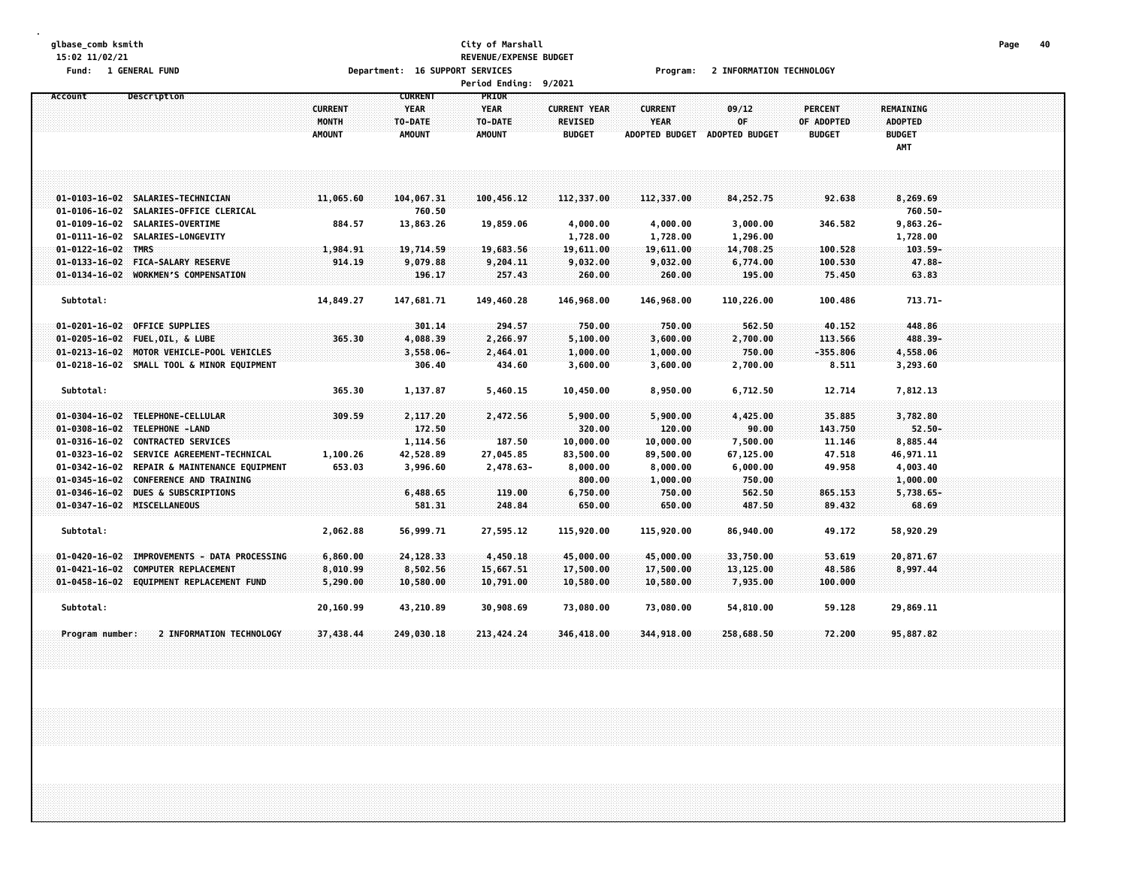### **glbase\_comb ksmith City of Marshall Page 40 15:02 11/02/21 REVENUE/EXPENSE BUDGET** Department: 16 SUPPORT SERVICES TO THE RESERVE Program: 2 INFORMATION TECHNOLOGY

| runu.     | <b>T ACMERAT LAMP</b>                                                                     |                                          | Department. To Surruni                                    | <b>SENVILLS</b>                                  |                                                        | rı oğlam.                                              | <b><i>L</i></b> INFUNIMERUN FELANULUUT |                                               |                                                     |  |  |
|-----------|-------------------------------------------------------------------------------------------|------------------------------------------|-----------------------------------------------------------|--------------------------------------------------|--------------------------------------------------------|--------------------------------------------------------|----------------------------------------|-----------------------------------------------|-----------------------------------------------------|--|--|
|           |                                                                                           |                                          |                                                           | Period Ending: 9/2021                            |                                                        |                                                        |                                        |                                               |                                                     |  |  |
| Account   | Description                                                                               | <b>CURRENT</b><br>MONTH<br><b>AMOUNT</b> | <b>CURRENT</b><br><b>YEAR</b><br>TO-DATE<br><b>AMOUNT</b> | PRIOR<br><b>YEAR</b><br>TO-DATE<br><b>AMOUNT</b> | <b>CURRENT YEAR</b><br><b>REVISED</b><br><b>BUDGET</b> | <b>CURRENT</b><br><b>YEAR</b><br><b>ADOPTED BUDGET</b> | 09/12<br>OF<br><b>ADOPTED BUDGET</b>   | <b>PERCENT</b><br>OF ADOPTED<br><b>BUDGET</b> | <b>REMAINING</b><br>ADOPTED<br><b>BUDGET</b><br>AMT |  |  |
|           |                                                                                           |                                          |                                                           |                                                  |                                                        |                                                        |                                        |                                               |                                                     |  |  |
|           | 01-0103-16-02 SALARIES-TECHNICIAN<br>01-0106-16-02 SALARIES-OFFICE CLERICAL               | 11,065.60                                | 104,067.31<br>760.50                                      | 100,456.12                                       | 112,337.00                                             | 112,337.00                                             | 84, 252. 75                            | 92.638                                        | 8,269.69<br>760.50-                                 |  |  |
|           | 01-0109-16-02 SALARIES-OVERTIME<br>01-0111-16-02 SALARIES-LONGEVITY                       | 884.57                                   | 13,863.26                                                 | 19,859.06                                        | 4,000.00<br>1,728.00                                   | 4,000.00<br>1,728.00                                   | 3,000.00<br>1,296.00                   | 346.582                                       | 9,863.26-<br>1,728.00                               |  |  |
|           | 01-0122-16-02 TMRS<br>01-0133-16-02 FICA-SALARY RESERVE                                   | 1,984.91<br>914.19                       | 19,714.59<br>9,079.88                                     | 19,683.56<br>9,204.11                            | 19,611.00<br>9,032.00                                  | 19,611.00<br>9,032.00                                  | 14,708.25<br>6,774.00                  | 100.528<br>100.530                            | $103.59 -$<br>$47.88 -$                             |  |  |
|           | 01-0134-16-02 WORKMEN'S COMPENSATION                                                      |                                          | 196.17                                                    | 257.43                                           | 260.00                                                 | 260.00                                                 | 195.00                                 | 75.450                                        | 63.83                                               |  |  |
| Subtotal: |                                                                                           | 14,849.27                                | 147,681.71                                                | 149,460.28                                       | 146,968.00                                             | 146,968.00                                             | 110,226.00                             | 100.486                                       | 713.71-                                             |  |  |
|           | 01-0201-16-02 OFFICE SUPPLIES                                                             |                                          | 301.14                                                    | 294.57                                           | 750.00                                                 | 750.00                                                 | 562.50                                 | 40,152                                        | 448.86                                              |  |  |
|           | 01-0205-16-02 FUEL, OIL, & LUBE<br>01-0213-16-02 MOTOR VEHICLE-POOL VEHICLES              | 365.30                                   | 4,088.39<br>$3,558.06 -$                                  | 2,266.97<br>2,464.01                             | 5,100.00<br>1,000.00                                   | 3,600.00<br>1,000.00                                   | 2,700.00<br>750.00                     | 113.566<br>$-355.806$                         | $488.39 -$<br>4,558.06                              |  |  |
|           | 01-0218-16-02 SMALL TOOL & MINOR EQUIPMENT                                                |                                          | 306.40                                                    | 434.60                                           | 3,600.00                                               | 3,600.00                                               | 2,700.00                               | 8.511                                         | 3,293.60                                            |  |  |
| Subtotal: |                                                                                           | 365.30                                   | 1,137.87                                                  | 5,460.15                                         | 10,450.00                                              | 8,950.00                                               | 6,712.50                               | 12.714                                        | 7,812.13                                            |  |  |
|           | 01-0304-16-02 TELEPHONE-CELLULAR                                                          | 309.59                                   | 2,117.20                                                  | 2,472.56                                         | 5,900.00                                               | 5,900.00                                               | 4,425.00                               | 35.885                                        | 3,782.80                                            |  |  |
|           | 01-0308-16-02 TELEPHONE-LAND<br>01-0316-16-02 CONTRACTED SERVICES                         |                                          | 172.50<br>1,114.56                                        | 187.50                                           | 320.00<br>10,000.00                                    | 120.00<br>10,000.00                                    | 90.00<br>7,500.00                      | 143.750<br>11.146                             | $52.50 -$<br>8,885.44                               |  |  |
|           | 01-0323-16-02 SERVICE AGREEMENT-TECHNICAL<br>01-0342-16-02 REPAIR & MAINTENANCE EQUIPMENT | 1,100.26<br>653.03                       | 42,528.89<br>3,996.60                                     | 27,045.85<br>2,478.63-                           | 83,500.00<br>8,000.00                                  | 89,500.00<br>8,000.00                                  | 67,125.00<br>6,000.00                  | 47.518<br>49.958                              | 46,971.11<br>4,003.40                               |  |  |
|           | 01-0345-16-02 CONFERENCE AND TRAINING<br>01-0346-16-02 DUES & SUBSCRIPTIONS               |                                          | 6,488.65                                                  | 119.00                                           | 800.00<br>6,750.00                                     | 1,000.00<br>750.00                                     | 750.00<br>562.50                       | 865.153                                       | 1,000.00<br>$5,738.65 -$                            |  |  |
|           | 01-0347-16-02 MISCELLANEOUS                                                               |                                          | 581.31                                                    | 248.84                                           | 650.00                                                 | 650.00                                                 | 487.50                                 | 89,432                                        | 68.69                                               |  |  |
| Subtotal: |                                                                                           | 2,062.88                                 | 56,999.71                                                 | 27,595.12                                        | 115,920.00                                             | 115,920.00                                             | 86,940.00                              | 49.172                                        | 58,920.29                                           |  |  |
|           | 01-0420-16-02 IMPROVEMENTS - DATA PROCESSING                                              | 6,860.00                                 | 24,128.33                                                 | 4,450.18                                         | 45,000.00                                              | 45,000.00                                              | 33,750.00                              | 53.619                                        | 20,871.67                                           |  |  |
|           | 01-0421-16-02 COMPUTER REPLACEMENT<br>01-0458-16-02 EQUIPMENT REPLACEMENT FUND            | 8,010.99<br>5,290.00                     | 8,502.56<br>10,580.00                                     | 15,667.51<br>10,791.00                           | 17,500.00<br>10,580.00                                 | 17,500.00<br>10,580.00                                 | 13,125.00<br>7,935.00                  | 48.586<br>100.000                             | 8,997.44                                            |  |  |
| Subtotal: |                                                                                           | 20,160.99                                | 43,210.89                                                 | 30,908.69                                        | 73,080.00                                              | 73,080.00                                              | 54,810.00                              | 59.128                                        | 29,869.11                                           |  |  |
|           |                                                                                           |                                          |                                                           |                                                  |                                                        |                                                        |                                        |                                               |                                                     |  |  |

Program number: 2 INFORMATION TECHNOLOGY 37,438.44 249,030.18 213,424.24 346,418.00 344,918.00 258,688.50 72.200 95,887.82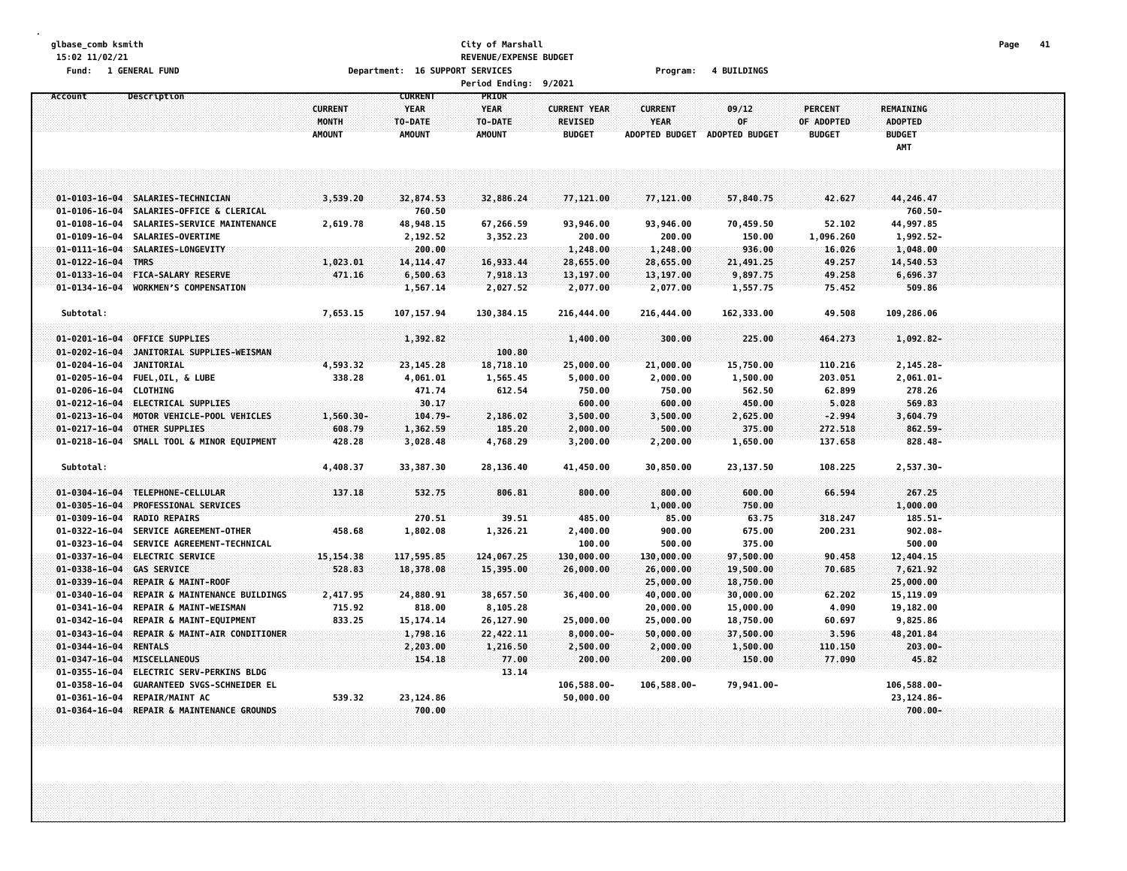### **glbase\_comb ksmith City of Marshall Page 41 15:02 11/02/21 REVENUE/EXPENSE BUDGET Fund: 1 GENERAL FUND Department: 16 SUPPORT SERVICES Program: 4 BUILDINGS Period Ending: 9/2021**

|                        |                                            |                                |                                          | Pertod Ending: 9/2021           |                                       |                               |                       |                              |                                    |  |
|------------------------|--------------------------------------------|--------------------------------|------------------------------------------|---------------------------------|---------------------------------------|-------------------------------|-----------------------|------------------------------|------------------------------------|--|
| Account                | Description                                | <b>CURRENT</b><br><b>MONTH</b> | <b>CURRENT</b><br><b>YEAR</b><br>TO-DATE | PRIOR<br><b>YEAR</b><br>TO-DATE | <b>CURRENT YEAR</b><br><b>REVISED</b> | <b>CURRENT</b><br><b>YEAR</b> | 09/12<br>0F           | <b>PERCENT</b><br>OF ADOPTED | <b>REMAINING</b><br><b>ADOPTED</b> |  |
|                        |                                            | <b>AMOUNT</b>                  | <b>AMOUNT</b>                            | <b>AMOUNT</b>                   | <b>BUDGET</b>                         | <b>ADOPTED BUDGET</b>         | <b>ADOPTED BUDGET</b> | <b>BUDGET</b>                | <b>BUDGET</b><br>AMT               |  |
|                        |                                            |                                |                                          |                                 |                                       |                               |                       |                              |                                    |  |
|                        |                                            |                                |                                          |                                 |                                       |                               |                       |                              |                                    |  |
|                        |                                            |                                |                                          |                                 |                                       |                               |                       |                              |                                    |  |
|                        | 01-0103-16-04 SALARIES-TECHNICIAN          | 3,539.20                       | 32,874.53                                | 32,886.24                       | 77,121.00                             | 77,121.00                     | 57,840.75             | 42.627                       | 44,246.47                          |  |
|                        | 01-0106-16-04 SALARIES-OFFICE & CLERICAL   |                                | 760.50                                   |                                 |                                       |                               |                       |                              | 760.50-                            |  |
|                        | 01-0108-16-04 SALARIES-SERVICE MAINTENANCE | 2,619.78                       | 48,948.15                                | 67,266.59                       | 93,946.00                             | 93,946.00                     | 70,459.50             | 52.102                       | 44,997.85                          |  |
|                        | 01-0109-16-04 SALARIES-OVERTIME            |                                | 2,192.52                                 | 3,352.23                        | 200.00                                | 200.00                        | 150.00                | 1,096.260                    | $1,992.52-$                        |  |
|                        | 01-0111-16-04 SALARIES-LONGEVITY           |                                | 200.00                                   |                                 | 1,248.00                              | 1,248.00                      | 936.00                | 16.026                       | 1,048.00                           |  |
| 01-0122-16-04 TMRS     |                                            | 1,023.01                       | 14, 114, 47                              | 16,933.44                       | 28,655.00                             | 28,655.00                     | 21,491.25             | 49.257                       | 14,540.53                          |  |
| $01 - 0133 - 16 - 04$  | <b>FICA-SALARY RESERVE</b>                 | 471.16                         | 6,500.63                                 | 7,918.13                        | 13,197.00                             | 13,197.00                     | 9,897.75              | 49.258                       | 6,696.37                           |  |
| $01 - 0134 - 16 - 04$  | <b>WORKMEN'S COMPENSATION</b>              |                                | 1,567.14                                 | 2,027.52                        | 2,077.00                              | 2,077.00                      | 1,557.75              | 75.452                       | 509.86                             |  |
|                        |                                            |                                |                                          |                                 |                                       |                               |                       |                              |                                    |  |
| Subtotal:              |                                            | 7,653.15                       | 107, 157.94                              | 130,384.15                      | 216,444.00                            | 216,444.00                    | 162,333.00            | 49.508                       | 109,286.06                         |  |
|                        |                                            |                                |                                          |                                 |                                       |                               |                       |                              |                                    |  |
| $01 - 0201 - 16 - 04$  | <b>OFFICE SUPPLIES</b>                     |                                | 1,392.82                                 |                                 | 1,400.00                              | 300.00                        | 225.00                | 464.273                      | 1,092.82-                          |  |
| $01 - 0202 - 16 - 04$  | JANITORIAL SUPPLIES-WEISMAN                |                                |                                          | 100.80                          |                                       |                               |                       |                              |                                    |  |
| $01 - 0204 - 16 - 04$  | <b>JANITORIAL</b>                          | 4,593.32                       | 23,145.28                                | 18,718.10                       | 25,000.00                             | 21,000.00                     | 15,750.00             | 110.216                      | $2,145.28 -$                       |  |
|                        | 01-0205-16-04 FUEL, OIL, & LUBE            | 338.28                         | 4,061.01                                 | 1,565.45                        | 5,000.00                              | 2,000.00                      | 1,500.00              | 203.051                      | $2,061.01 -$                       |  |
| 01-0206-16-04 CLOTHING |                                            |                                | 471.74                                   | 612.54                          | 750.00                                | 750.00                        | 562.50                | 62.899                       | 278.26                             |  |
|                        | 01-0212-16-04 ELECTRICAL SUPPLIES          |                                | 30.17                                    |                                 | 600.00                                | 600.00                        | 450.00                | 5.028                        | 569.83                             |  |
| $01 - 0213 - 16 - 04$  | MOTOR VEHICLE-POOL VEHICLES                | 1,560.30-                      | $104.79 -$                               | 2,186.02                        | 3,500.00                              | 3,500.00                      | 2,625.00              | $-2.994$                     | 3,604.79                           |  |
| $01 - 0217 - 16 - 04$  | OTHER SUPPLIES                             | 608.79                         | 1,362.59                                 | 185.20                          | 2,000.00                              | 500.00                        | 375.00                | 272.518                      | 862.59-                            |  |
|                        | 01-0218-16-04 SMALL TOOL & MINOR EQUIPMENT | 428.28                         | 3,028.48                                 | 4,768.29                        | 3,200.00                              | 2,200.00                      | 1,650.00              | 137.658                      | 828.48-                            |  |
| Subtotal:              |                                            | 4,408.37                       | 33,387.30                                | 28,136.40                       | 41,450.00                             | 30,850.00                     | 23,137.50             | 108.225                      | 2,537.30-                          |  |
| 01-0304-16-04          | TELEPHONE-CELLULAR                         | 137.18                         | 532.75                                   | 806.81                          | 800.00                                | 800.00                        | 600.00                | 66.594                       | 267.25                             |  |
| $01 - 0305 - 16 - 04$  | <b>PROFESSIONAL SERVICES</b>               |                                |                                          |                                 |                                       | 1,000.00                      | 750.00                |                              | 1,000.00                           |  |
|                        | 01-0309-16-04 RADIO REPAIRS                |                                | 270.51                                   | 39.51                           | 485.00                                | 85.00                         | 63.75                 | 318.247                      | $185.51 -$                         |  |
|                        | 01-0322-16-04 SERVICE AGREEMENT-OTHER      | 458.68                         | 1,802.08                                 | 1,326.21                        | 2,400.00                              | 900.00                        | 675.00                | 200.231                      | $902.08 -$                         |  |
|                        | 01-0323-16-04 SERVICE AGREEMENT-TECHNICAL  |                                |                                          |                                 | 100.00                                | 500.00                        | 375.00                |                              | 500.00                             |  |
|                        | 01-0337-16-04 ELECTRIC SERVICE             | 15, 154. 38                    | 117,595.85                               | 124,067.25                      | 130,000.00                            | 130,000.00                    | 97,500.00             | 90.458                       | 12,404.15                          |  |
| $01 - 0338 - 16 - 04$  | <b>GAS SERVICE</b>                         | 528.83                         | 18,378.08                                | 15,395.00                       | 26,000.00                             | 26,000.00                     | 19,500.00             | 70.685                       | 7,621.92                           |  |
| $01 - 0339 - 16 - 04$  | REPAIR & MAINT-ROOF                        |                                |                                          |                                 |                                       | 25,000.00                     | 18,750.00             |                              | 25,000.00                          |  |
| $01 - 0340 - 16 - 04$  | REPAIR & MAINTENANCE BUILDINGS             | 2,417.95                       | 24,880.91                                | 38,657.50                       | 36,400.00                             | 40,000.00                     | 30,000.00             | 62.202                       | 15, 119.09                         |  |
| 01-0341-16-04          | REPAIR & MAINT-WEISMAN                     | 715.92                         | 818.00                                   | 8,105.28                        |                                       | 20,000.00                     | 15,000.00             | 4.090                        | 19,182.00                          |  |
| 01-0342-16-04          | REPAIR & MAINT-EQUIPMENT                   | 833.25                         | 15, 174. 14                              | 26,127.90                       | 25,000.00                             | 25,000.00                     | 18,750.00             | 60.697                       | 9,825.86                           |  |
| $01 - 0343 - 16 - 04$  | REPAIR & MAINT-AIR CONDITIONER             |                                | 1,798.16                                 | 22,422.11                       | $8,000.00 -$                          | 50,000.00                     | 37,500.00             | 3.596                        | 48,201.84                          |  |
| $01 - 0344 - 16 - 04$  | <b>RENTALS</b>                             |                                | 2,203.00                                 | 1,216.50                        | 2,500.00                              | 2,000.00                      | 1,500.00              | 110,150                      | $203.00 -$                         |  |
|                        | 01-0347-16-04 MISCELLANEOUS                |                                | 154.18                                   | 77.00                           | 200.00                                | 200.00                        | 150.00                | 77.090                       | 45.82                              |  |
|                        | 01-0355-16-04 ELECTRIC SERV-PERKINS BLDG   |                                |                                          | 13.14                           |                                       |                               |                       |                              |                                    |  |
|                        | 01-0358-16-04 GUARANTEED SVGS-SCHNEIDER EL |                                |                                          |                                 | 106,588.00-                           | 106,588.00-                   | 79,941.00-            |                              | 106,588.00-                        |  |

**01-0361-16-04 REPAIR/MAINT AC 539.32 23,124.86 50,000.00 23,124.86- 01-0364-16-04 REPAIR & MAINTENANCE GROUNDS 700.00 700.00-**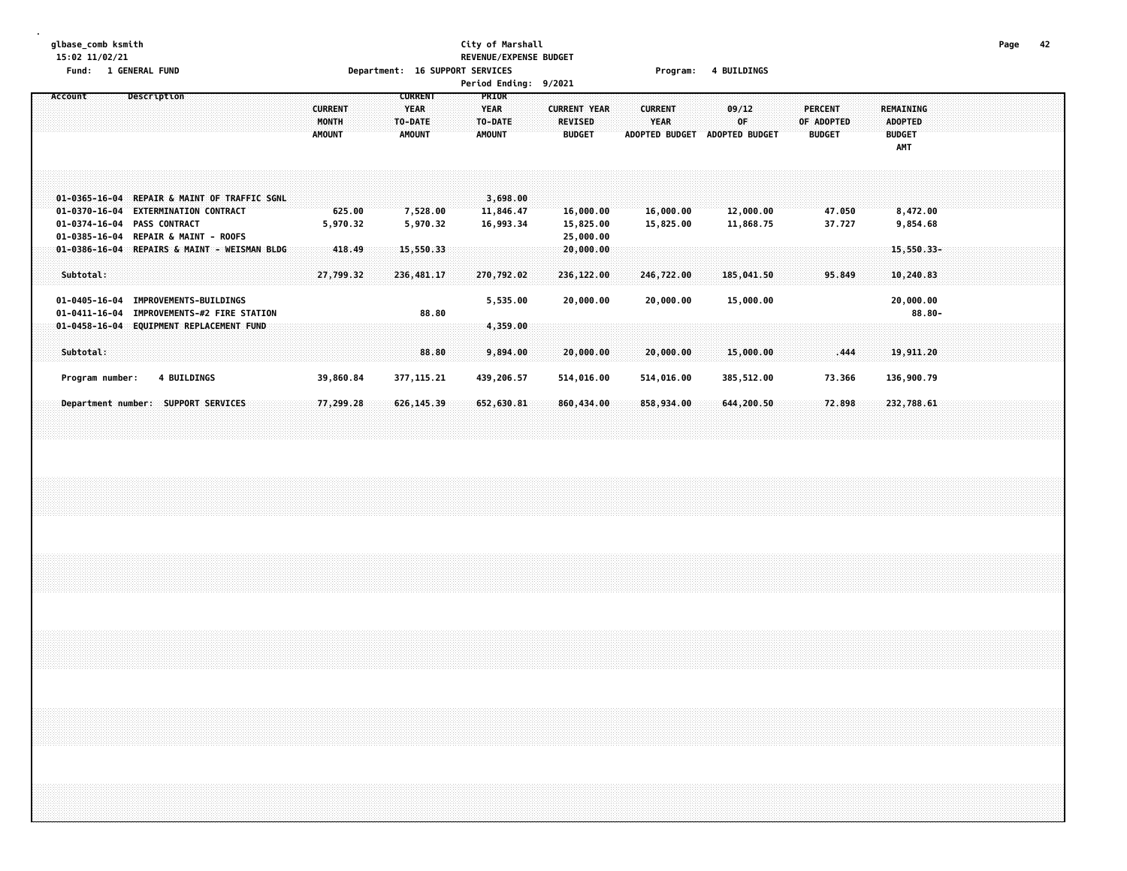## **glbase\_comb ksmith City of Marshall Page 42 15:02 11/02/21 REVENUE/EXPENSE BUDGET Fund: 1 GENERAL FUND Department: 16 SUPPORT SERVICES Program: 4 BUILDINGS**

**Period Ending: 9/2021**

|  | Account |           |                 | Description                 |                    |                                                                                                                                |  |                                              |  | <b>CURRENT</b><br>MONTH<br><b>AMOUNT</b> |        |  | <b>CURRENT</b><br><b>YEAR</b><br>TO-DATE<br><b>AMOUNT</b> |                            |  | <b>YEAR</b><br><b>AMOUNT</b> | PRIOR<br>TO-DATE                   |  | <b>CURRENT YEAR</b> | <b>REVISED</b><br><b>BUDGET</b> |                                     |  | <b>CURRENT</b><br>YEAR |                          |  | 09/12<br>0F<br>ADOPTED BUDGET ADOPTED BUDGET |  | <b>PERCENT</b><br><b>BUDGET</b> | OF ADOPTED       |  | <b>BUDGET</b><br>AMT | REMAINING<br><b>ADOPTED</b> |            |  |  |  |  |
|--|---------|-----------|-----------------|-----------------------------|--------------------|--------------------------------------------------------------------------------------------------------------------------------|--|----------------------------------------------|--|------------------------------------------|--------|--|-----------------------------------------------------------|----------------------------|--|------------------------------|------------------------------------|--|---------------------|---------------------------------|-------------------------------------|--|------------------------|--------------------------|--|----------------------------------------------|--|---------------------------------|------------------|--|----------------------|-----------------------------|------------|--|--|--|--|
|  |         |           |                 | 01-0374-16-04 PASS CONTRACT |                    | 01-0370-16-04 EXTERMINATION CONTRACT<br>01-0385-16-04 REPAIR & MAINT - ROOFS                                                   |  | 01-0365-16-04 REPAIR & MAINT OF TRAFFIC SGNL |  | 5,970.32                                 | 625.00 |  |                                                           | 7,528.00<br>5,970.32       |  |                              | 3,698.00<br>11,846.47<br>16,993.34 |  |                     |                                 | 16,000.00<br>15,825.00<br>25,000.00 |  |                        | 16,000.00<br>15,825.00   |  | 12,000.00<br>11,868.75                       |  |                                 | 47.050<br>37.727 |  |                      | 8,472.00<br>9,854.68        |            |  |  |  |  |
|  |         | Subtotal: |                 |                             |                    |                                                                                                                                |  | 01-0386-16-04 REPAIRS & MAINT - WEISMAN BLDG |  | 27,799.32                                | 418.49 |  |                                                           | 15,550.33<br>236,481.17    |  |                              | 270,792.02                         |  |                     |                                 | 20,000,00<br>236,122.00             |  |                        | 246,722.00               |  | 185,041.50                                   |  |                                 | 95.849           |  |                      | 10,240.83                   | 15,550.33- |  |  |  |  |
|  |         | Subtotal: |                 |                             |                    | 01-0405-16-04 IMPROVEMENTS-BUILDINGS<br>01-0411-16-04 IMPROVEMENTS-#2 FIRE STATION<br>01-0458-16-04 EQUIPMENT REPLACEMENT FUND |  |                                              |  |                                          |        |  |                                                           | 88.80<br>88.80             |  |                              | 5,535.00<br>4,359.00<br>9,894.00   |  |                     |                                 | 20,000.00<br>20,000.00              |  |                        | 20,000.00<br>20,000.00   |  | 15,000.00<br>15,000.00                       |  |                                 | .444             |  |                      | 20,000.00<br>19,911.20      | $88.80 -$  |  |  |  |  |
|  |         |           | Program number: |                             | <b>4 BUILDINGS</b> | Department number: SUPPORT SERVICES                                                                                            |  |                                              |  | 39,860.84<br>77,299.28                   |        |  |                                                           | 377, 115.21<br>626, 145.39 |  |                              | 439,206.57<br>652,630.81           |  |                     |                                 | 514,016.00<br>860,434.00            |  |                        | 514,016.00<br>858,934.00 |  | 385,512.00<br>644,200.50                     |  |                                 | 73.366<br>72.898 |  |                      | 136,900.79<br>232,788.61    |            |  |  |  |  |
|  |         |           |                 |                             |                    |                                                                                                                                |  |                                              |  |                                          |        |  |                                                           |                            |  |                              |                                    |  |                     |                                 |                                     |  |                        |                          |  |                                              |  |                                 |                  |  |                      |                             |            |  |  |  |  |
|  |         |           |                 |                             |                    |                                                                                                                                |  |                                              |  |                                          |        |  |                                                           |                            |  |                              |                                    |  |                     |                                 |                                     |  |                        |                          |  |                                              |  |                                 |                  |  |                      |                             |            |  |  |  |  |
|  |         |           |                 |                             |                    |                                                                                                                                |  |                                              |  |                                          |        |  |                                                           |                            |  |                              |                                    |  |                     |                                 |                                     |  |                        |                          |  |                                              |  |                                 |                  |  |                      |                             |            |  |  |  |  |
|  |         |           |                 |                             |                    |                                                                                                                                |  |                                              |  |                                          |        |  |                                                           |                            |  |                              |                                    |  |                     |                                 |                                     |  |                        |                          |  |                                              |  |                                 |                  |  |                      |                             |            |  |  |  |  |
|  |         |           |                 |                             |                    |                                                                                                                                |  |                                              |  |                                          |        |  |                                                           |                            |  |                              |                                    |  |                     |                                 |                                     |  |                        |                          |  |                                              |  |                                 |                  |  |                      |                             |            |  |  |  |  |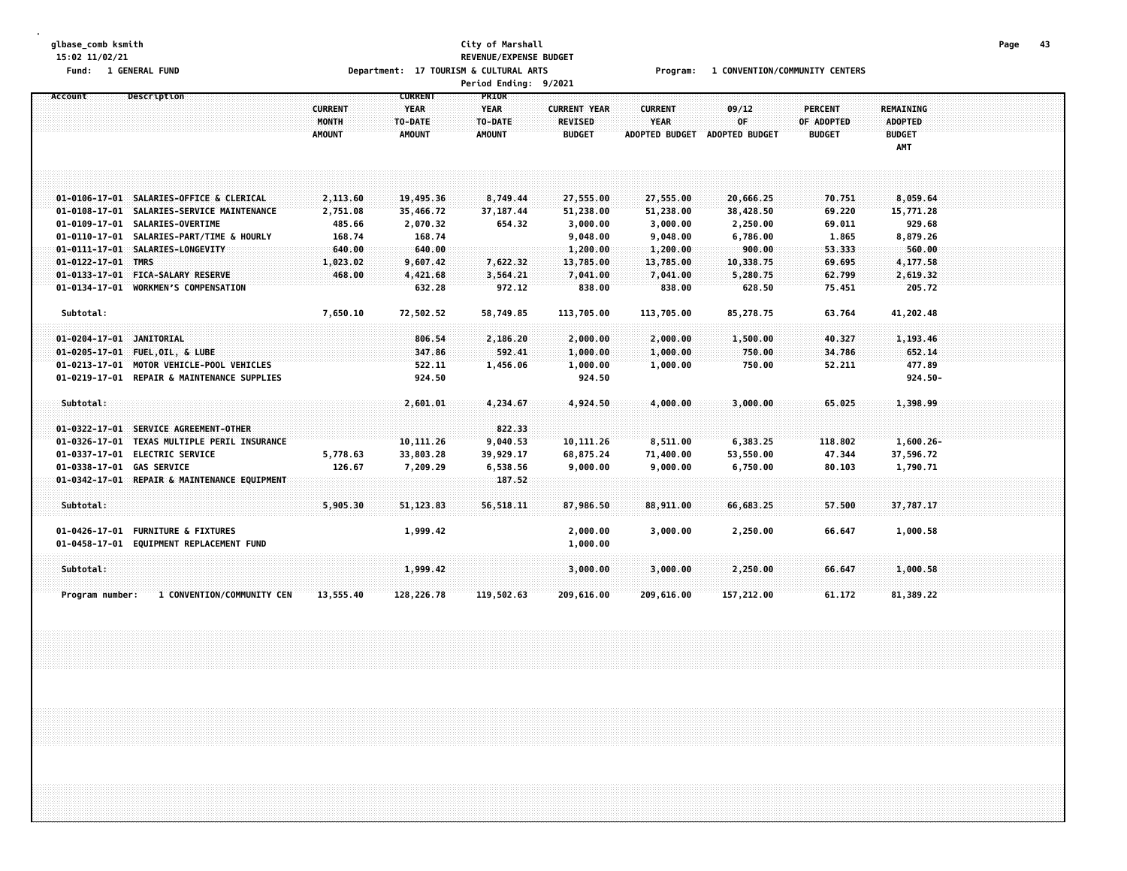### **glbase\_comb ksmith City of Marshall Page 43 15:02 11/02/21 REVENUE/EXPENSE BUDGET** Fund: 1 GENERAL FUND CONTERS Department: 17 TOURISM & CULTURAL ARTS Program: 1 CONVENTION/COMMUNITY CENTERS **Period Ending: 9/2021**

| Account                   | Description                                  |                | <b>CURRENT</b> | <b>PRIOR</b>  |                     |                       |                       |                |                  |  |
|---------------------------|----------------------------------------------|----------------|----------------|---------------|---------------------|-----------------------|-----------------------|----------------|------------------|--|
|                           |                                              | <b>CURRENT</b> | <b>YEAR</b>    | <b>YEAR</b>   | <b>CURRENT YEAR</b> | <b>CURRENT</b>        | 09/12                 | <b>PERCENT</b> | <b>REMAINING</b> |  |
|                           |                                              | MONTH          | TO-DATE        | TO-DATE       | <b>REVISED</b>      | <b>YEAR</b>           | 0F                    | OF ADOPTED     | <b>ADOPTED</b>   |  |
|                           |                                              | <b>AMOUNT</b>  | <b>AMOUNT</b>  | <b>AMOUNT</b> | <b>BUDGET</b>       | <b>ADOPTED BUDGET</b> | <b>ADOPTED BUDGET</b> | <b>BUDGET</b>  | <b>BUDGET</b>    |  |
|                           |                                              |                |                |               |                     |                       |                       |                | AMT              |  |
|                           |                                              |                |                |               |                     |                       |                       |                |                  |  |
|                           | 01-0106-17-01 SALARIES-OFFICE & CLERICAL     | 2,113.60       | 19,495.36      | 8,749.44      | 27,555.00           | 27,555.00             | 20,666.25             | 70.751         | 8,059.64         |  |
|                           | 01-0108-17-01 SALARIES-SERVICE MAINTENANCE   | 2,751.08       | 35,466.72      | 37,187.44     | 51,238.00           | 51,238.00             | 38,428.50             | 69.220         | 15,771.28        |  |
|                           | 01-0109-17-01 SALARIES-OVERTIME              | 485.66         | 2,070.32       | 654.32        | 3,000.00            | 3,000.00              | 2,250.00              | 69.011         | 929.68           |  |
|                           | 01-0110-17-01 SALARIES-PART/TIME & HOURLY    | 168.74         | 168.74         |               | 9,048.00            | 9,048.00              | 6,786.00              | 1.865          | 8,879.26         |  |
|                           | 01-0111-17-01 SALARIES-LONGEVITY             | 640.00         | 640.00         |               | 1,200.00            | 1,200.00              | 900.00                | 53.333         | 560.00           |  |
| 01-0122-17-01 TMRS        |                                              | 1,023.02       | 9,607.42       | 7,622.32      | 13,785.00           | 13,785.00             | 10,338.75             | 69.695         | 4,177.58         |  |
|                           | 01-0133-17-01 FICA-SALARY RESERVE            | 468.00         | 4,421.68       | 3,564.21      | 7,041.00            | 7,041.00              | 5,280.75              | 62.799         | 2,619.32         |  |
|                           | 01-0134-17-01 WORKMEN'S COMPENSATION         |                | 632.28         | 972.12        | 838.00              | 838.00                | 628.50                | 75.451         | 205.72           |  |
| Subtotal:                 |                                              | 7,650.10       | 72,502.52      | 58,749.85     | 113,705.00          | 113,705.00            | 85,278.75             | 63.764         | 41,202.48        |  |
| 01-0204-17-01 JANITORIAL  |                                              |                | 806.54         | 2,186.20      | 2,000.00            | 2,000.00              | 1,500.00              | 40.327         | 1,193.46         |  |
|                           | 01-0205-17-01 FUEL, OIL, & LUBE              |                | 347.86         | 592.41        | 1,000.00            | 1,000.00              | 750.00                | 34.786         | 652.14           |  |
|                           | 01-0213-17-01 MOTOR VEHICLE-POOL VEHICLES    |                | 522.11         | 1,456.06      | 1,000.00            | 1,000.00              | 750.00                | 52.211         | 477.89           |  |
|                           | 01-0219-17-01 REPAIR & MAINTENANCE SUPPLIES  |                | 924.50         |               | 924.50              |                       |                       |                | $924.50 -$       |  |
| Subtotal:                 |                                              |                | 2,601.01       | 4,234.67      | 4,924.50            | 4,000.00              | 3,000.00              | 65.025         | 1,398.99         |  |
|                           |                                              |                |                |               |                     |                       |                       |                |                  |  |
|                           | 01-0322-17-01 SERVICE AGREEMENT-OTHER        |                |                | 822.33        |                     |                       |                       |                |                  |  |
|                           | 01-0326-17-01 TEXAS MULTIPLE PERIL INSURANCE |                | 10, 111.26     | 9,040.53      | 10, 111.26          | 8,511.00              | 6,383.25              | 118.802        | $1,600.26 -$     |  |
|                           | 01-0337-17-01 ELECTRIC SERVICE               | 5,778.63       | 33,803.28      | 39,929.17     | 68,875.24           | 71,400.00             | 53,550.00             | 47.344         | 37,596.72        |  |
| 01-0338-17-01 GAS SERVICE |                                              | 126.67         | 7,209.29       | 6,538.56      | 9,000.00            | 9,000.00              | 6,750.00              | 80.103         | 1,790.71         |  |
|                           | 01-0342-17-01 REPAIR & MAINTENANCE EQUIPMENT |                |                | 187.52        |                     |                       |                       |                |                  |  |
|                           |                                              |                |                |               |                     |                       |                       |                |                  |  |
| Subtotal:                 |                                              | 5,905.30       | 51, 123.83     | 56,518.11     | 87,986.50           | 88,911.00             | 66,683.25             | 57,500         | 37,787.17        |  |
|                           | 01-0426-17-01 FURNITURE & FIXTURES           |                | 1,999.42       |               | 2,000.00            | 3,000.00              | 2,250.00              | 66.647         | 1,000.58         |  |
|                           | 01-0458-17-01 EQUIPMENT REPLACEMENT FUND     |                |                |               | 1,000.00            |                       |                       |                |                  |  |
| Subtotal:                 |                                              |                | 1,999.42       |               | 3,000.00            | 3,000.00              | 2,250.00              | 66.647         | 1,000.58         |  |
| Program number:           | 1 CONVENTION/COMMUNITY CEN                   | 13,555.40      | 128,226.78     | 119,502.63    | 209,616.00          | 209,616.00            | 157,212.00            | 61.172         | 81,389.22        |  |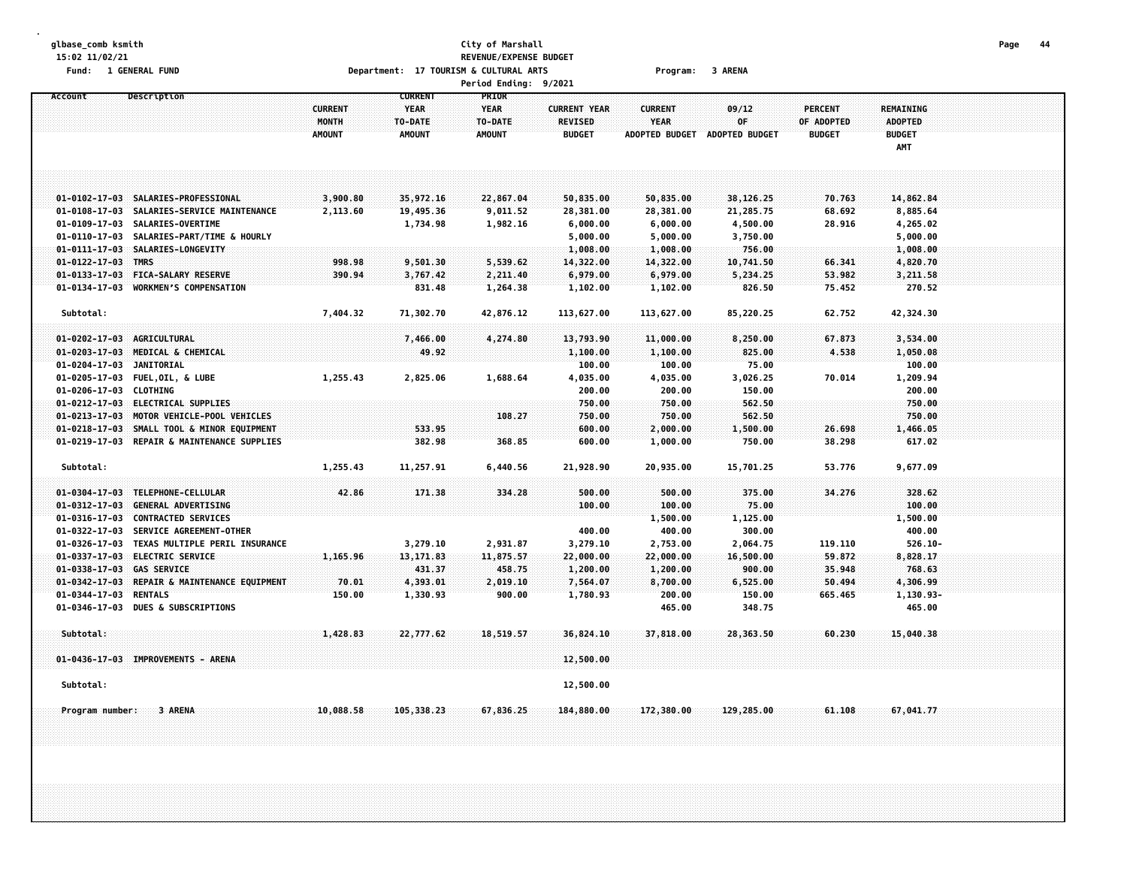# **glbase\_comb ksmith City of Marshall Page 44 15:02 11/02/21 REVENUE/EXPENSE BUDGET** Fund: 1 GENERAL FUND CONTEXT SARENA COLLECTION OPPORTMENT: 17 TOURISM & CULTURAL ARTS COLLECTION Program: 3 ARENA

**Period Ending: 9/2021 Account Description CURRENT PRIOR CURRENT YEAR YEAR CURRENT YEAR CURRENT 09/12 PERCENT REMAINING MONTH TO-DATE TO-DATE REVISED YEAR OF OF ADOPTED ADOPTED AMOUNT AMOUNT AMOUNT BUDGET ADOPTED BUDGET ADOPTED BUDGET BUDGET BUDGET AMT** 01-0102-17-03 SALARTES-PROFESSIONAL 3.900.80 35.972.16 22.867.04 50.835.00 50.835.00 38.126.25 70.763 14.862.84 01-0108-17-03 SALARIES-SERVICE MAINTENANCE 2.113.60 19.495.36 9.011.52 28.381.00 28.381.00 21.285.75 68.692 8.885.64 **01-0109-17-03 SALARIES-OVERTIME 1,734.98 1,982.16 6,000.00 6,000.00 4,500.00 28.916 4,265.02 01-0110-17-03 SALARIES-PART/TIME & HOURLY 5,000.00 5,000.00 3,750.00 5,000.00 01-0111-17-03 SALARIES-LONGEVITY 1,008.00 1,008.00 756.00 1,008.00 01-0122-17-03 TMRS 998.98 9,501.30 5,539.62 14,322.00 14,322.00 10,741.50 66.341 4,820.70** 01-0133-17-03 FICA-SALARY RESERVE 390.94 3,767.42 2,211.40 6,979.00 6,979.00 5,234.25 53.982 3,211.58 **01-0134-17-03 WORKMENS COMPENSATION 831.48 1,264.38 1,102.00 1,102.00 826.50 75.452 270.52 Subtotal: 7,404.32 71,302.70 42,876.12 113,627.00 113,627.00 85,220.25 62.752 42,324.30 01-0202-17-03 AGRICULTURAL 7,466.00 4,274.80 13,793.90 11,000.00 8,250.00 67.873 3,534.00 01-0203-17-03 MEDICAL & CHEMICAL 49.92 1,100.00 1,100.00 825.00 4.538 1,050.08 01-0204-17-03 JANITORIAL 100.00 100.00 75.00 100.00** 01-0205-17-03 FUEL.OIL.&LUBE 1.255.43 2.825.06 1.688.64 4.035.00 4.035.00 3.026.25 70.014 1.209.94 **01-0206-17-03 CLOTHING 200.00 200.00 150.00 200.00 01-0212-17-03 ELECTRICAL SUPPLIES 750.00 750.00 562.50 750.00 01-0213-17-03 MOTOR VEHICLE-POOL VEHICLES 108.27 750.00 750.00 562.50 750.00** 01-0218-17-03 SMALL TOOL & MINOR EOUIPMENT 533.95 533.95 600.00 2.000.00 1.500.00 26.698 1.466.05 **01-0219-17-03 REPAIR & MAINTENANCE SUPPLIES 382.98 368.85 600.00 1,000.00 750.00 38.298 617.02 Subtotal: 1,255.43 11,257.91 6,440.56 21,928.90 20,935.00 15,701.25 53.776 9,677.09 01-0304-17-03 TELEPHONE-CELLULAR 42.86 171.38 334.28 500.00 500.00 375.00 34.276 328.62 01-0312-17-03 GENERAL ADVERTISING 100.00 100.00 75.00 100.00 01-0316-17-03 CONTRACTED SERVICES 1,500.00 1,125.00 1,500.00 01-0322-17-03 SERVICE AGREEMENT-OTHER 400.00 400.00 300.00 400.00** 01-0326-17-03 TEXAS MULTIPLE PERIL INSURANCE 8 8 3,279.10 2,931.87 3,279.10 2,753.00 2,064.75 119.110 526.10-**01-0337-17-03 ELECTRIC SERVICE 1,165.96 13,171.83 11,875.57 22,000.00 22,000.00 16,500.00 59.872 8,828.17 01-0338-17-03 GAS SERVICE 431.37 458.75 1,200.00 1,200.00 900.00 35.948 768.63** 01-0342-17-03 REPAIR & MAINTENANCE EQUIPMENT 70.01 4,393.01 2,019.10 7,554.07 8,700.00 6,525.00 50.494 4,306.99 **01-0344-17-03 RENTALS 150.00 1,330.93 900.00 1,780.93 200.00 150.00 665.465 1,130.93- 01-0346-17-03 DUES & SUBSCRIPTIONS 465.00 348.75 465.00 Subtotal: 1,428.83 22,777.62 18,519.57 36,824.10 37,818.00 28,363.50 60.230 15,040.38 01-0436-17-03 IMPROVEMENTS - ARENA 12,500.00 Subtotal: 12,500.00** Program number: 3 ARENA 67,041.77 388.58 105,338.23 67,836.25 184,880.00 172,380.00 129,285.00 61.108 67,041.77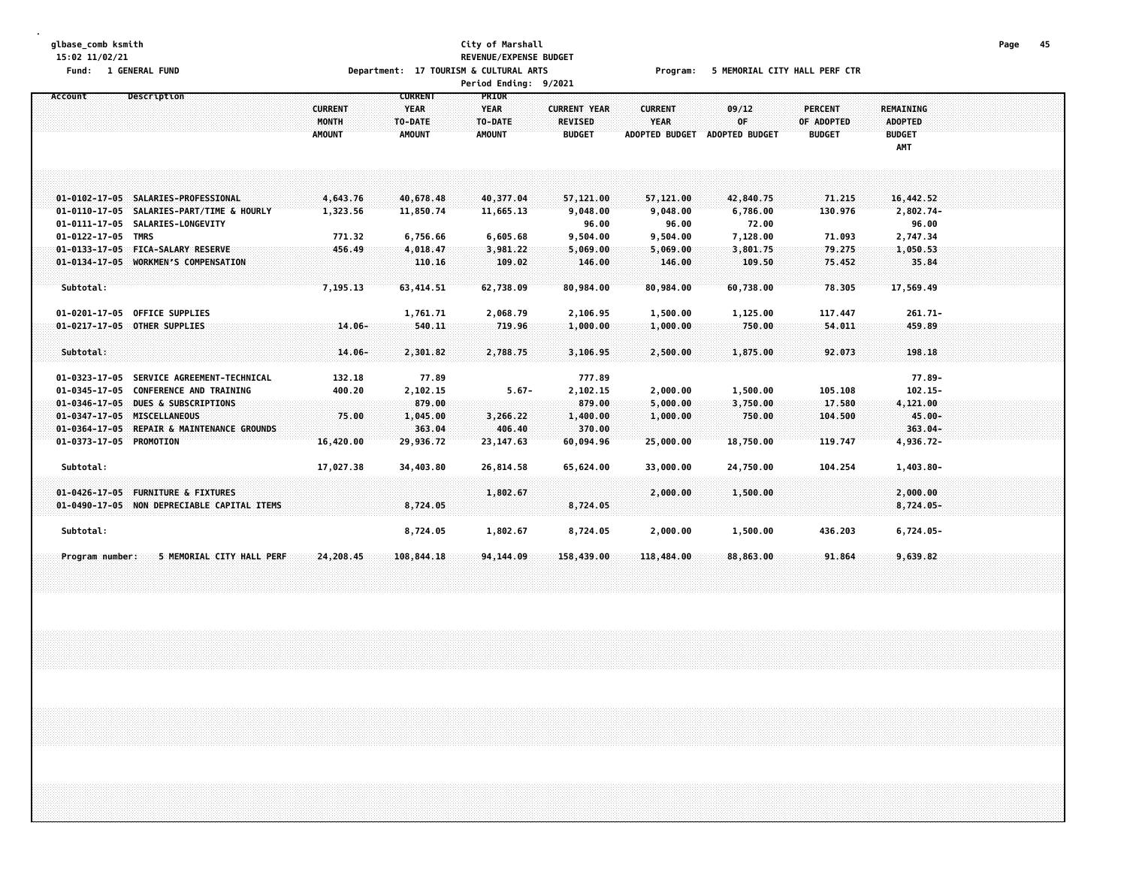### **glbase\_comb ksmith City of Marshall Page 45 15:02 11/02/21 REVENUE/EXPENSE BUDGET** Fund: 1 GENERAL FUND CORPORT THE SERVICE OF DEPARTMENT: 17 TOURISM & CULTURAL ARTS Program: 5 MEMORIAL CITY HALL PERF CTR

**Period Ending: 9/2021**

| Account                 | Description                                 |                  | <b>CURRENT</b>     | <b>PRIOR</b>  |                     |                       |                       |                |                  |  |
|-------------------------|---------------------------------------------|------------------|--------------------|---------------|---------------------|-----------------------|-----------------------|----------------|------------------|--|
|                         |                                             | <b>CURRENT</b>   | <b>YEAR</b>        | <b>YEAR</b>   | <b>CURRENT YEAR</b> | <b>CURRENT</b>        | 09/12                 | <b>PERCENT</b> | <b>REMAINING</b> |  |
|                         |                                             | <b>MONTH</b>     | TO-DATE            | TO-DATE       | <b>REVISED</b>      | <b>YEAR</b>           | 0F                    | OF ADOPTED     | <b>ADOPTED</b>   |  |
|                         |                                             | <b>AMOUNT</b>    | <b>AMOUNT</b>      | <b>AMOUNT</b> | <b>BUDGET</b>       | <b>ADOPTED BUDGET</b> | <b>ADOPTED BUDGET</b> | <b>BUDGET</b>  | <b>BUDGET</b>    |  |
|                         |                                             |                  |                    |               |                     |                       |                       |                | AMT              |  |
|                         |                                             |                  |                    |               |                     |                       |                       |                |                  |  |
|                         |                                             |                  |                    |               |                     |                       |                       |                |                  |  |
|                         |                                             |                  |                    |               |                     |                       |                       |                |                  |  |
|                         | 01-0102-17-05 SALARIES-PROFESSIONAL         | 4,643.76         | 40,678.48          | 40,377.04     | 57,121.00           | 57,121.00             | 42,840.75             | 71.215         | 16,442.52        |  |
|                         | 01-0110-17-05 SALARIES-PART/TIME & HOURLY   | 1,323.56         | 11,850.74          | 11,665.13     | 9,048.00            | 9,048.00              | 6,786.00              | 130.976        | 2,802.74-        |  |
|                         | 01-0111-17-05 SALARIES-LONGEVITY            |                  |                    |               | 96.00               | 96.00                 | 72.00                 |                | 96.00            |  |
| 01-0122-17-05 TMRS      |                                             | 771.32           | 6,756.66           | 6,605.68      | 9,504.00            | 9,504.00              | 7,128.00              | 71.093         | 2,747.34         |  |
|                         | 01-0133-17-05 FICA-SALARY RESERVE           | 456.49           | 4,018.47           | 3,981.22      | 5,069.00            | 5,069.00              | 3,801.75              | 79.275         | 1,050.53         |  |
|                         | 01-0134-17-05 WORKMEN'S COMPENSATION        |                  | 110.16             | 109.02        | 146.00              | 146.00                | 109.50                | 75.452         | 35.84            |  |
|                         |                                             |                  |                    |               |                     |                       |                       |                |                  |  |
| Subtotal:               |                                             | 7,195.13         | 63,414.51          | 62,738.09     | 80,984.00           | 80,984.00             | 60,738.00             | 78.305         | 17,569.49        |  |
|                         |                                             |                  |                    |               |                     |                       |                       |                |                  |  |
|                         | 01-0201-17-05 OFFICE SUPPLIES               |                  | 1,761.71           | 2,068.79      | 2,106.95            | 1,500.00              | 1,125.00              | 117.447        | $261.71 -$       |  |
|                         | 01-0217-17-05 OTHER SUPPLIES                | $14.06 -$        | 540.11             | 719.96        | 1,000.00            | 1,000.00              | 750.00                | 54,011         | 459.89           |  |
|                         |                                             |                  |                    |               |                     |                       |                       |                |                  |  |
| Subtotal:               |                                             | $14.06 -$        | 2,301.82           | 2,788.75      | 3,106.95            | 2,500.00              | 1,875.00              | 92.073         | 198.18           |  |
|                         | 01-0323-17-05 SERVICE AGREEMENT-TECHNICAL   |                  | 77.89              |               | 777.89              |                       |                       |                | $77.89 -$        |  |
|                         | 01-0345-17-05 CONFERENCE AND TRAINING       | 132.18<br>400.20 |                    | $5.67 -$      |                     | 2,000.00              | 1,500.00              | 105.108        | $102.15 -$       |  |
|                         | 01-0346-17-05 DUES & SUBSCRIPTIONS          |                  | 2,102.15<br>879.00 |               | 2,102.15<br>879.00  | 5,000.00              | 3,750.00              | 17.580         | 4,121.00         |  |
|                         | 01-0347-17-05 MISCELLANEOUS                 | 75.00            | 1,045.00           | 3,266.22      | 1,400.00            | 1,000.00              | 750.00                | 104.500        | 45.00-           |  |
|                         | 01-0364-17-05 REPAIR & MAINTENANCE GROUNDS  |                  | 363.04             | 406.40        | 370.00              |                       |                       |                | $363.04 -$       |  |
| 01-0373-17-05 PROMOTION |                                             | 16,420.00        | 29,936.72          | 23,147.63     | 60,094.96           | 25,000.00             | 18,750.00             | 119.747        | 4,936.72-        |  |
|                         |                                             |                  |                    |               |                     |                       |                       |                |                  |  |
| Subtotal:               |                                             | 17,027.38        | 34,403.80          | 26,814.58     | 65,624.00           | 33,000.00             | 24,750.00             | 104.254        | 1,403.80-        |  |
|                         |                                             |                  |                    |               |                     |                       |                       |                |                  |  |
| $01 - 0426 - 17 - 05$   | <b>FURNITURE &amp; FIXTURES</b>             |                  |                    | 1,802.67      |                     | 2,000.00              | 1,500.00              |                | 2,000.00         |  |
|                         | 01-0490-17-05 NON DEPRECIABLE CAPITAL ITEMS |                  | 8,724.05           |               | 8,724.05            |                       |                       |                | $8,724.05-$      |  |
|                         |                                             |                  |                    |               |                     |                       |                       |                |                  |  |
| Subtotal:               |                                             |                  | 8,724.05           | 1,802.67      | 8,724.05            | 2,000.00              | 1,500.00              | 436.203        | 6,724.05-        |  |
|                         |                                             |                  |                    |               |                     |                       |                       |                |                  |  |
| Program number:         | 5 MEMORIAL CITY HALL PERF                   | 24,208.45        | 108,844.18         | 94, 144.09    | 158,439.00          | 118,484.00            | 88,863.00             | 91.864         | 9,639.82         |  |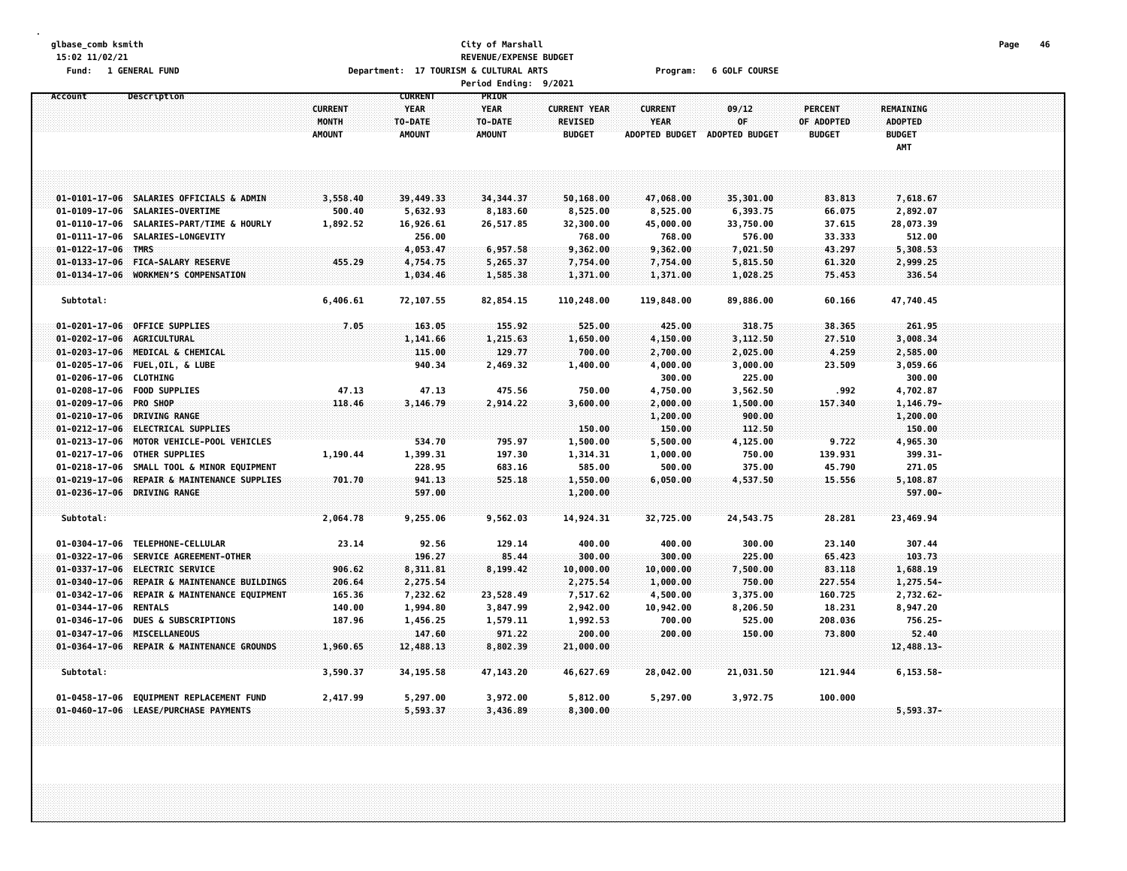### **glbase\_comb ksmith City of Marshall Page 46 15:02 11/02/21 REVENUE/EXPENSE BUDGET** Fund: 1 GENERAL FUND COURSE COURSE Department: 17 TOURISM & CULTURAL ARTS Program: 6 GOLF COURSE **Period Ending: 9/2021**

|                            |                                                                  |                         |                                          | rer cours invenige              | 77.064                                |                               |                  |                              |                      |  |
|----------------------------|------------------------------------------------------------------|-------------------------|------------------------------------------|---------------------------------|---------------------------------------|-------------------------------|------------------|------------------------------|----------------------|--|
| Account                    | Description                                                      | <b>CURRENT</b><br>MONTH | <b>CURRENT</b><br><b>YEAR</b><br>TO-DATE | PRIOR<br><b>YEAR</b><br>TO-DATE | <b>CURRENT YEAR</b><br><b>REVISED</b> | <b>CURRENT</b><br><b>YEAR</b> | 09/12<br>0F      | <b>PERCENT</b><br>OF ADOPTED | REMAINING<br>ADOPTED |  |
|                            |                                                                  | <b>AMOUNT</b>           | <b>AMOUNT</b>                            | <b>AMOUNT</b>                   | <b>BUDGET</b>                         | <b>ADOPTED BUDGET</b>         | ADOPTED BUDGET   | <b>BUDGET</b>                | <b>BUDGET</b><br>AMT |  |
|                            |                                                                  |                         |                                          |                                 |                                       |                               |                  |                              |                      |  |
|                            | 01-0101-17-06 SALARIES OFFICIALS & ADMIN                         | 3,558.40                | 39,449.33                                | 34, 344. 37                     | 50,168.00                             | 47,068.00                     | 35,301.00        | 83.813                       | 7,618.67             |  |
|                            | 01-0109-17-06 SALARIES-OVERTIME                                  | 500.40                  | 5,632.93                                 | 8,183.60                        | 8,525.00                              | 8,525.00                      | 6,393.75         | 66.075                       | 2,892.07             |  |
|                            | 01-0110-17-06 SALARIES-PART/TIME & HOURLY                        | 1,892.52                | 16,926.61                                | 26,517.85                       | 32,300.00                             | 45,000.00                     | 33,750.00        | 37.615                       | 28,073.39            |  |
|                            | 01-0111-17-06 SALARIES-LONGEVITY                                 |                         | 256.00                                   |                                 | 768.00                                | 768.00                        | 576.00           | 33.333                       | 512.00               |  |
| 01-0122-17-06 TMRS         |                                                                  |                         | 4,053.47                                 | 6,957.58                        | 9,362.00                              | 9,362.00                      | 7,021.50         | 43.297                       | 5,308.53             |  |
|                            | 01-0133-17-06 FICA-SALARY RESERVE                                | 455.29                  | 4,754.75                                 | 5,265.37                        | 7,754.00                              | 7,754.00                      | 5,815.50         | 61.320                       | 2,999.25             |  |
|                            | 01-0134-17-06 WORKMEN'S COMPENSATION                             |                         | 1,034.46                                 | 1,585.38                        | 1,371.00                              | 1,371.00                      | 1,028.25         | 75.453                       | 336.54               |  |
| Subtotal:                  |                                                                  | 6,406.61                | 72,107.55                                | 82,854.15                       | 110,248.00                            | 119,848.00                    | 89,886.00        | 60.166                       | 47,740.45            |  |
|                            | 01-0201-17-06 OFFICE SUPPLIES                                    | 7.05                    | 163.05                                   | 155.92                          | 525.00                                | 425.00                        | 318.75           | 38.365                       | 261.95               |  |
| 01-0202-17-06 AGRICULTURAL |                                                                  |                         | 1,141.66                                 | 1,215.63                        | 1,650.00                              | 4,150.00                      | 3,112.50         | 27.510                       | 3,008.34             |  |
|                            | 01-0203-17-06 MEDICAL & CHEMICAL                                 |                         | 115.00                                   | 129.77                          | 700.00                                | 2,700.00                      | 2,025.00         | 4.259                        | 2,585.00             |  |
|                            | 01-0205-17-06 FUEL, OIL, & LUBE                                  |                         | 940.34                                   | 2,469.32                        | 1,400.00                              | 4,000.00                      | 3,000.00         | 23.509                       | 3,059.66             |  |
| 01-0206-17-06 CLOTHING     |                                                                  |                         |                                          |                                 |                                       | 300.00                        | 225.00           |                              | 300.00               |  |
|                            | 01-0208-17-06 FOOD SUPPLIES                                      | 47.13                   | 47.13                                    | 475.56                          | 750.00                                | 4,750.00                      | 3,562.50         | .992                         | 4,702.87             |  |
| 01-0209-17-06 PRO SHOP     |                                                                  | 118.46                  | 3,146.79                                 | 2,914.22                        | 3,600.00                              | 2,000.00                      | 1,500.00         | 157.340                      | $1,146.79-$          |  |
|                            | 01-0210-17-06 DRIVING RANGE<br>01-0212-17-06 ELECTRICAL SUPPLIES |                         |                                          |                                 | 150.00                                | 1,200.00<br>150.00            | 900.00<br>112.50 |                              | 1,200.00<br>150.00   |  |
|                            | 01-0213-17-06 MOTOR VEHICLE-POOL VEHICLES                        |                         | 534.70                                   | 795.97                          | 1,500.00                              | 5,500.00                      | 4,125.00         | 9.722                        | 4,965.30             |  |
|                            | 01-0217-17-06 OTHER SUPPLIES                                     | 1,190.44                | 1,399.31                                 | 197.30                          | 1,314.31                              | 1,000.00                      | 750.00           | 139.931                      | 399.31-              |  |
|                            | 01-0218-17-06 SMALL TOOL & MINOR EQUIPMENT                       |                         | 228.95                                   | 683.16                          | 585.00                                | 500.00                        | 375.00           | 45.790                       | 271.05               |  |
|                            | 01-0219-17-06 REPAIR & MAINTENANCE SUPPLIES                      | 701.70                  | 941.13                                   | 525.18                          | 1,550.00                              | 6,050.00                      | 4,537.50         | 15.556                       | 5,108.87             |  |
|                            | 01-0236-17-06 DRIVING RANGE                                      |                         | 597.00                                   |                                 | 1,200.00                              |                               |                  |                              | 597.00-              |  |
| Subtotal:                  |                                                                  | 2,064.78                | 9,255.06                                 | 9,562.03                        | 14,924.31                             | 32,725.00                     | 24,543.75        | 28.281                       | 23,469.94            |  |
|                            | 01-0304-17-06 TELEPHONE-CELLULAR                                 | 23.14                   | 92.56                                    | 129.14                          | 400.00                                | 400.00                        | 300.00           | 23.140                       | 307.44               |  |
|                            | 01-0322-17-06 SERVICE AGREEMENT-OTHER                            |                         | 196.27                                   | 85.44                           | 300.00                                | 300.00                        | 225.00           | 65.423                       | 103.73               |  |
|                            | 01-0337-17-06 ELECTRIC SERVICE                                   | 906.62                  | 8,311.81                                 | 8,199.42                        | 10,000.00                             | 10,000.00                     | 7,500.00         | 83.118                       | 1,688.19             |  |
|                            | 01-0340-17-06 REPAIR & MAINTENANCE BUILDINGS                     | 206.64                  | 2,275.54                                 |                                 | 2,275.54                              | 1,000.00                      | 750.00           | 227.554                      | 1,275.54-            |  |
|                            | 01-0342-17-06 REPAIR & MAINTENANCE EQUIPMENT                     | 165.36                  | 7,232.62                                 | 23,528.49                       | 7,517.62                              | 4,500.00                      | 3,375.00         | 160.725                      | 2,732.62-            |  |
| 01-0344-17-06 RENTALS      |                                                                  | 140.00                  | 1,994.80                                 | 3,847.99                        | 2,942.00                              | 10,942.00                     | 8,206.50         | 18.231                       | 8,947.20             |  |
|                            | 01-0346-17-06 DUES & SUBSCRIPTIONS                               | 187.96                  | 1,456.25                                 | 1,579.11                        | 1,992.53                              | 700.00                        | 525.00           | 208.036                      | 756.25-              |  |
|                            | 01-0347-17-06 MISCELLANEOUS                                      |                         | 147.60                                   | 971.22                          | 200.00                                | 200.00                        | 150.00           | 73.800                       | 52.40                |  |
|                            | 01-0364-17-06 REPAIR & MAINTENANCE GROUNDS                       | 1,960.65                | 12,488.13                                | 8,802.39                        | 21,000.00                             |                               |                  |                              | 12,488.13-           |  |
| Subtotal:                  |                                                                  | 3,590.37                | 34,195.58                                | 47,143.20                       | 46,627.69                             | 28,042.00                     | 21,031.50        | 121.944                      | $6, 153.58 -$        |  |
|                            | 01-0458-17-06 EQUIPMENT REPLACEMENT FUND                         | 2,417.99                | 5,297.00                                 | 3,972.00                        | 5,812.00                              | 5,297.00                      | 3,972.75         | 100.000                      |                      |  |

**01-0460-17-06 LEASE/PURCHASE PAYMENTS 5,593.37 3,436.89 8,300.00 5,593.37-**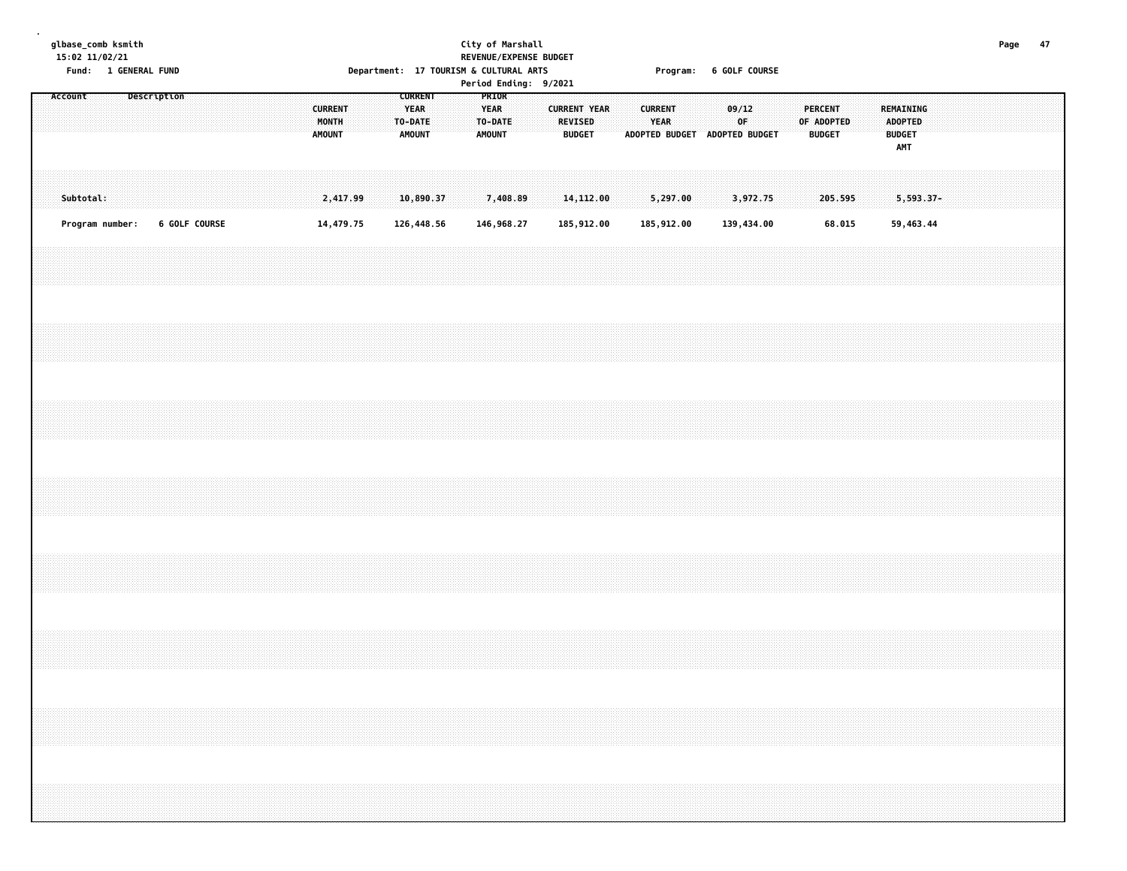## **glbase\_comb ksmith City of Marshall Page 47 15:02 11/02/21 REVENUE/EXPENSE BUDGET** Fund: 1 GENERAL FUND COURSE COURSE Department: 17 TOURISM & CULTURAL ARTS Program: 6 GOLF COURSE

**Period Ending: 9/2021**

| Account<br>Subtotal: |  |                 |  | Description   |  |  |  | <b>CURRENT</b><br>AMOUNT | MONTH | 2,417.99  |  | <b>CURRENT</b><br><b>YEAR</b><br>TO-DATE<br><b>AMOUNT</b><br>10,890.37 |  |  | PRIOR<br><b>YEAR</b><br>TO-DATE<br>AMOUNT | 7,408.89   |  | <b>BUDGET</b> | <b>CURRENT YEAR</b><br><b>REVISED</b><br>14,112.00 |  | <b>CURRENT</b><br><b>YEAR</b><br>ADOPTED BUDGET ADOPTED BUDGET<br>5,297.00 |  | 09/12<br>OF<br>3,972.75 |  |  | PERCENT<br>OF ADOPTED<br><b>BUDGET</b><br>205.595 |  | REMAINING<br>ADOPTED<br><b>BUDGET</b><br>AMT<br>$5,593.37-$ |  |  |  |  |
|----------------------|--|-----------------|--|---------------|--|--|--|--------------------------|-------|-----------|--|------------------------------------------------------------------------|--|--|-------------------------------------------|------------|--|---------------|----------------------------------------------------|--|----------------------------------------------------------------------------|--|-------------------------|--|--|---------------------------------------------------|--|-------------------------------------------------------------|--|--|--|--|
|                      |  | Program number: |  | 6 GOLF COURSE |  |  |  |                          |       | 14,479.75 |  | 126,448.56                                                             |  |  |                                           | 146,968.27 |  |               | 185,912.00                                         |  | 185,912.00                                                                 |  | 139,434.00              |  |  | 68.015                                            |  | 59,463.44                                                   |  |  |  |  |
|                      |  |                 |  |               |  |  |  |                          |       |           |  |                                                                        |  |  |                                           |            |  |               |                                                    |  |                                                                            |  |                         |  |  |                                                   |  |                                                             |  |  |  |  |
|                      |  |                 |  |               |  |  |  |                          |       |           |  |                                                                        |  |  |                                           |            |  |               |                                                    |  |                                                                            |  |                         |  |  |                                                   |  |                                                             |  |  |  |  |
|                      |  |                 |  |               |  |  |  |                          |       |           |  |                                                                        |  |  |                                           |            |  |               |                                                    |  |                                                                            |  |                         |  |  |                                                   |  |                                                             |  |  |  |  |
|                      |  |                 |  |               |  |  |  |                          |       |           |  |                                                                        |  |  |                                           |            |  |               |                                                    |  |                                                                            |  |                         |  |  |                                                   |  |                                                             |  |  |  |  |
|                      |  |                 |  |               |  |  |  |                          |       |           |  |                                                                        |  |  |                                           |            |  |               |                                                    |  |                                                                            |  |                         |  |  |                                                   |  |                                                             |  |  |  |  |
|                      |  |                 |  |               |  |  |  |                          |       |           |  |                                                                        |  |  |                                           |            |  |               |                                                    |  |                                                                            |  |                         |  |  |                                                   |  |                                                             |  |  |  |  |
|                      |  |                 |  |               |  |  |  |                          |       |           |  |                                                                        |  |  |                                           |            |  |               |                                                    |  |                                                                            |  |                         |  |  |                                                   |  |                                                             |  |  |  |  |
|                      |  |                 |  |               |  |  |  |                          |       |           |  |                                                                        |  |  |                                           |            |  |               |                                                    |  |                                                                            |  |                         |  |  |                                                   |  |                                                             |  |  |  |  |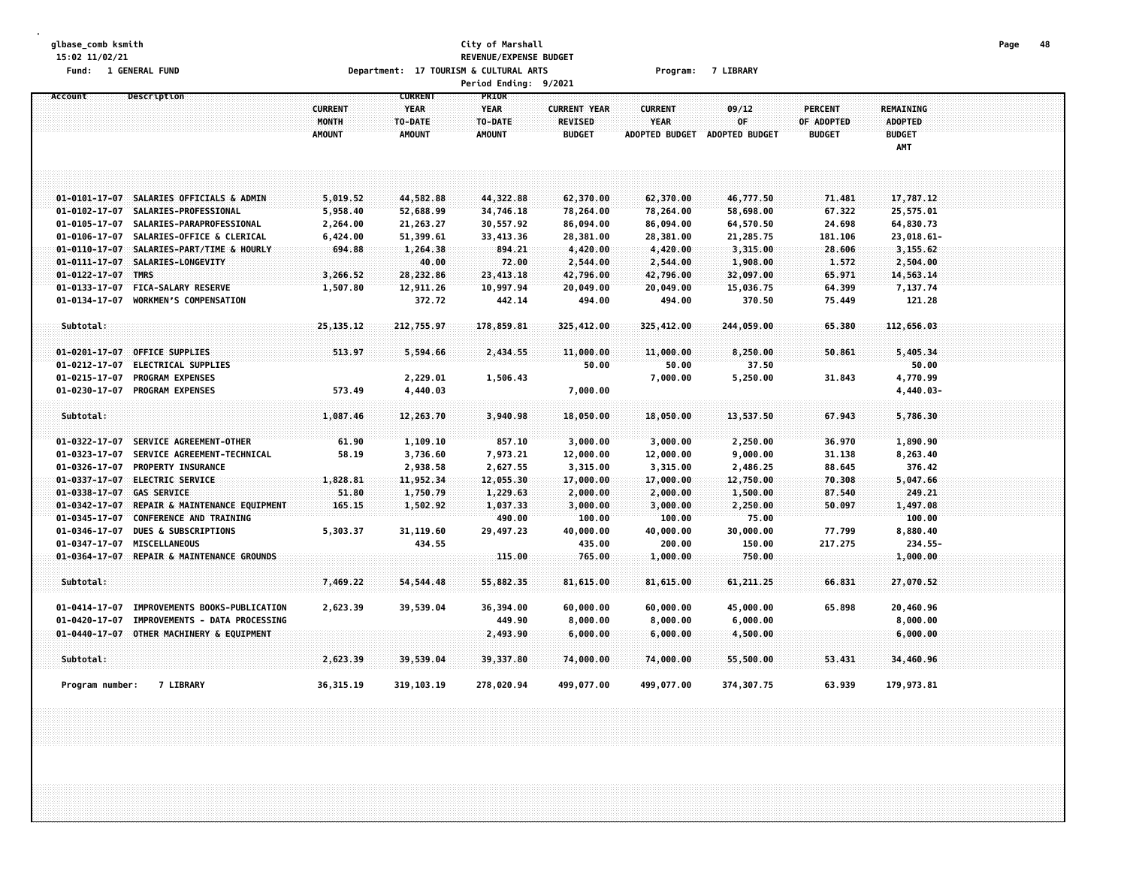### **glbase\_comb ksmith City of Marshall Page 48 15:02 11/02/21 REVENUE/EXPENSE BUDGET** Fund: 1 GENERAL FUND CONTENT CONTENTS OPPORTMENT: 17 TOURISM & CULTURAL ARTS CONTENTS Program: 7 LIBRARY **Period Ending: 9/2021**

**Account Description CURRENT PRIOR CURRENT YEAR YEAR CURRENT YEAR CURRENT 09/12 PERCENT REMAINING MONTH TO-DATE TO-DATE REVISED YEAR OF OF ADOPTED ADOPTED AMOUNT AMOUNT AMOUNT BUDGET ADOPTED BUDGET ADOPTED BUDGET BUDGET BUDGET AMT** 01-0101-17-07 SALARIES OFFICIALS & ADMIN 5.019.52 44.582.88 44.322.88 62.370.00 62.370.00 46.777.50 71.481 17.787.12 **01-0102-17-07 SALARIES-PROFESSIONAL 5,958.40 52,688.99 34,746.18 78,264.00 78,264.00 58,698.00 67.322 25,575.01** 01-0105-17-07 SALARIES-PARAPROFESSIONAL 2.264.00 21.263.27 30.557.92 86.094.00 86.094.00 64.570.50 24.698 64.830.73 01-0106-17-07 SALARIES-OFFICE & CLERICAL 6,424.00 51,399.61 33,413.36 28,381.00 28,381.00 21,285.75 181.106 23,018.61-**01-0110-17-07 SALARIES-PART/TIME & HOURLY 694.88 1,264.38 894.21 4,420.00 4,420.00 3,315.00 28.606 3,155.62 01-0111-17-07 SALARIES-LONGEVITY 40.00 72.00 2,544.00 2,544.00 1,908.00 1.572 2,504.00 01-0122-17-07 TMRS 3,266.52 28,232.86 23,413.18 42,796.00 42,796.00 32,097.00 65.971 14,563.14** 01-0133-17-07 FICA-SALARY RESERVE 1,507.80 12,911.26 10,997.94 20,049.00 20,049.00 15,036.75 64.399 7,137.74 **01-0134-17-07 WORKMENS COMPENSATION 372.72 442.14 494.00 494.00 370.50 75.449 121.28 Subtotal: 25,135.12 212,755.97 178,859.81 325,412.00 325,412.00 244,059.00 65.380 112,656.03** 01-0201-17-07 OFFICE SUPPLIES 5.34 5.59 5.594.66 2.434.55 11.000.00 11.000.00 8.250.00 50.861 5.405.34 **01-0212-17-07 ELECTRICAL SUPPLIES 50.00 50.00 37.50 50.00 01-0215-17-07 PROGRAM EXPENSES 2,229.01 1,506.43 7,000.00 5,250.00 31.843 4,770.99 01-0230-17-07 PROGRAM EXPENSES 573.49 4,440.03 7,000.00 4,440.03- Subtotal: 1,087.46 12,263.70 3,940.98 18,050.00 18,050.00 13,537.50 67.943 5,786.30** 01-0322-17-07 SERVICE AGREEMENT-OTHER 61.90 1.109.10 857.10 3.000.00 3.000.00 2.250.00 36.970 1.890.90 01-0323-17-07 SERVICE AGREEMENT-TECHNICAL 58.19 3.736.60 7.973.21 12.000.00 12.000.00 9.000.00 31.138 8.263.40 **01-0326-17-07 PROPERTY INSURANCE 2,938.58 2,627.55 3,315.00 3,315.00 2,486.25 88.645 376.42 01-0337-17-07 ELECTRIC SERVICE 1,828.81 11,952.34 12,055.30 17,000.00 17,000.00 12,750.00 70.308 5,047.66 01-0338-17-07 GAS SERVICE 51.80 1,750.79 1,229.63 2,000.00 2,000.00 1,500.00 87.540 249.21** 01-0342-17-07 REPAIR & MAINTENANCE EOUIPMENT 1.65.15 1.502.92 1.037.33 3.000.00 3.000.00 2.250.00 50.097 1.497.08 **01-0345-17-07 CONFERENCE AND TRAINING 490.00 100.00 100.00 75.00 100.00** 01-0346-17-07 DUES & SUBSCRIPTIONS 5.303.37 31.119.60 29.497.23 40.000.00 40.000.00 30.000.00 77.799 8.880.40 **01-0347-17-07 MISCELLANEOUS 434.55 435.00 200.00 150.00 217.275 234.55- 01-0364-17-07 REPAIR & MAINTENANCE GROUNDS 115.00 765.00 1,000.00 750.00 1,000.00 Subtotal: 7,469.22 54,544.48 55,882.35 81,615.00 81,615.00 61,211.25 66.831 27,070.52** 01-0414-17-07 IMPROVEMENTS BOOKS-PUBLICATION 2,623.39 39,539.04 36,394.00 60,000.00 60,000.00 45,000.00 65.898 20.460.96 **01-0420-17-07 IMPROVEMENTS - DATA PROCESSING 449.90 8,000.00 8,000.00 6,000.00 8,000.00 01-0440-17-07 OTHER MACHINERY & EQUIPMENT 2,493.90 6,000.00 6,000.00 4,500.00 6,000.00 Subtotal: 2,623.39 39,539.04 39,337.80 74,000.00 74,000.00 55,500.00 53.431 34,460.96** Program number: 7 LIBRARY 36,315.19 319,103.19 278,020.94 499,077.00 499,077.00 374,307.75 63.939 179,973.81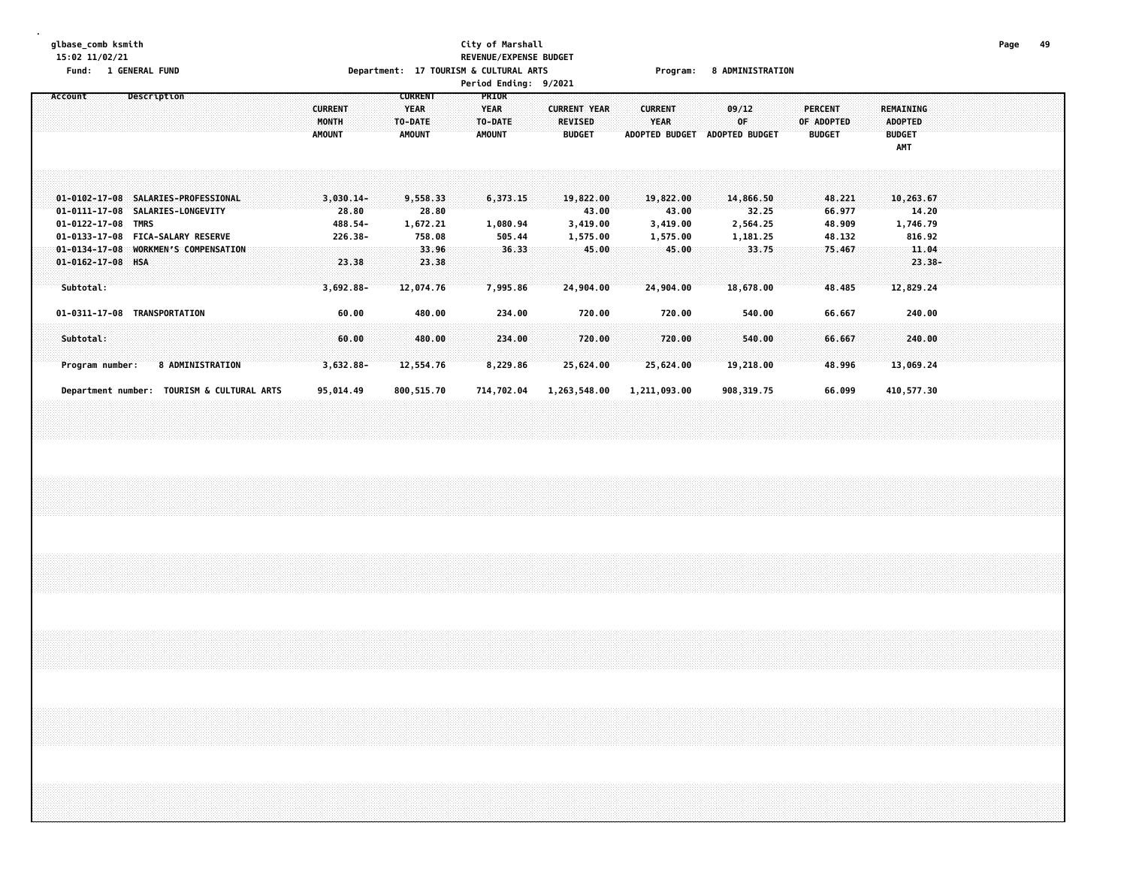### **glbase\_comb ksmith City of Marshall Page 49 15:02 11/02/21 REVENUE/EXPENSE BUDGET** Fund: 1 GENERAL FUND CONTENTS TO Department: 17 TOURISM & CULTURAL ARTS Program: 8 ADMINISTRATION **Period Ending: 9/2021**

| Account                                    | Description             |  |                               | <b>CURRENT</b>            | <b>PRIOR</b>  |                                 |                               |                             |                             |                      |  |  |
|--------------------------------------------|-------------------------|--|-------------------------------|---------------------------|---------------|---------------------------------|-------------------------------|-----------------------------|-----------------------------|----------------------|--|--|
|                                            |                         |  | <b>CURRENT</b>                | <b>YEAR</b>               | <b>YEAR</b>   | <b>CURRENT YEAR</b>             | <b>CURRENT</b>                | 09/12                       | PERCENT                     | <b>REMAINING</b>     |  |  |
|                                            |                         |  | <b>MONTH</b><br><b>AMOUNT</b> | TO-DATE:<br><b>AMOUNT</b> | TO-DATE       | <b>REVISED</b><br><b>BUDGET</b> | YEAR<br><b>ADOPTED BUDGET</b> | 0F<br><b>ADOPTED BUDGET</b> | OF ADOPTED<br><b>BUDGET</b> | <b>ADOPTED</b>       |  |  |
|                                            |                         |  |                               |                           | <b>AMOUNT</b> |                                 |                               |                             |                             | <b>BUDGET</b><br>AMT |  |  |
|                                            |                         |  |                               |                           |               |                                 |                               |                             |                             |                      |  |  |
|                                            |                         |  |                               |                           |               |                                 |                               |                             |                             |                      |  |  |
|                                            |                         |  |                               |                           |               |                                 |                               |                             |                             |                      |  |  |
| 01-0102-17-08 SALARIES-PROFESSIONAL        |                         |  | $3,030.14-$                   | 9,558.33                  | 6,373.15      | 19,822.00                       | 19,822.00                     | 14,866.50                   | 48.221                      | 10,263.67            |  |  |
| 01-0111-17-08 SALARIES-LONGEVITY           |                         |  | 28.80                         | 28.80                     |               | 43.00                           | 43.00                         | 32.25                       | 66.977                      | 14.20                |  |  |
| 01-0122-17-08 TMRS                         |                         |  | 488.54-                       | 1,672.21                  | 1,080.94      | 3,419.00                        | 3,419.00                      | 2,564.25                    | 48.909                      | 1,746.79             |  |  |
| 01-0133-17-08 FICA-SALARY RESERVE          |                         |  | 226.38-                       | 758.08                    | 505.44        | 1,575.00                        | 1,575.00                      | 1,181.25                    | 48.132                      | 816.92               |  |  |
| 01-0134-17-08 WORKMEN'S COMPENSATION       |                         |  |                               | 33.96                     | 36.33         | 45.00                           | 45.00                         | 33.75                       | 75.467                      | 11.04                |  |  |
| $01 - 0162 - 17 - 08$ HSA                  |                         |  | 23.38                         | 23.38                     |               |                                 |                               |                             |                             | $23.38 -$            |  |  |
|                                            |                         |  |                               |                           |               |                                 |                               |                             |                             |                      |  |  |
| Subtotal:                                  |                         |  | $3,692.88 -$                  | 12,074.76                 | 7,995.86      | 24,904.00                       | 24,904.00                     | 18,678.00                   | 48.485                      | 12,829.24            |  |  |
| 01-0311-17-08 TRANSPORTATION               |                         |  | 60.00                         | 480.00                    | 234.00        | 720.00                          | 720.00                        | 540.00                      | 66.667                      | 240.00               |  |  |
|                                            |                         |  |                               |                           |               |                                 |                               |                             |                             |                      |  |  |
| Subtotal:                                  |                         |  | 60.00                         | 480.00                    | 234.00        | 720.00                          | 720.00                        | 540.00                      | 66.667                      | 240.00               |  |  |
|                                            |                         |  |                               |                           |               |                                 |                               |                             |                             |                      |  |  |
| Program number:                            | <b>8 ADMINISTRATION</b> |  | $3,632.88 -$                  | 12,554.76                 | 8,229.86      | 25,624.00                       | 25,624.00                     | 19,218.00                   | 48.996                      | 13,069.24            |  |  |
|                                            |                         |  |                               |                           |               |                                 |                               |                             |                             |                      |  |  |
|                                            |                         |  |                               |                           |               |                                 |                               |                             |                             |                      |  |  |
| Department number: TOURISM & CULTURAL ARTS |                         |  | 95,014.49                     | 800,515.70                | 714,702.04    | 1,263,548.00                    | 1,211,093.00                  | 908, 319.75                 | 66.099                      | 410,577.30           |  |  |
|                                            |                         |  |                               |                           |               |                                 |                               |                             |                             |                      |  |  |
|                                            |                         |  |                               |                           |               |                                 |                               |                             |                             |                      |  |  |
|                                            |                         |  |                               |                           |               |                                 |                               |                             |                             |                      |  |  |
|                                            |                         |  |                               |                           |               |                                 |                               |                             |                             |                      |  |  |
|                                            |                         |  |                               |                           |               |                                 |                               |                             |                             |                      |  |  |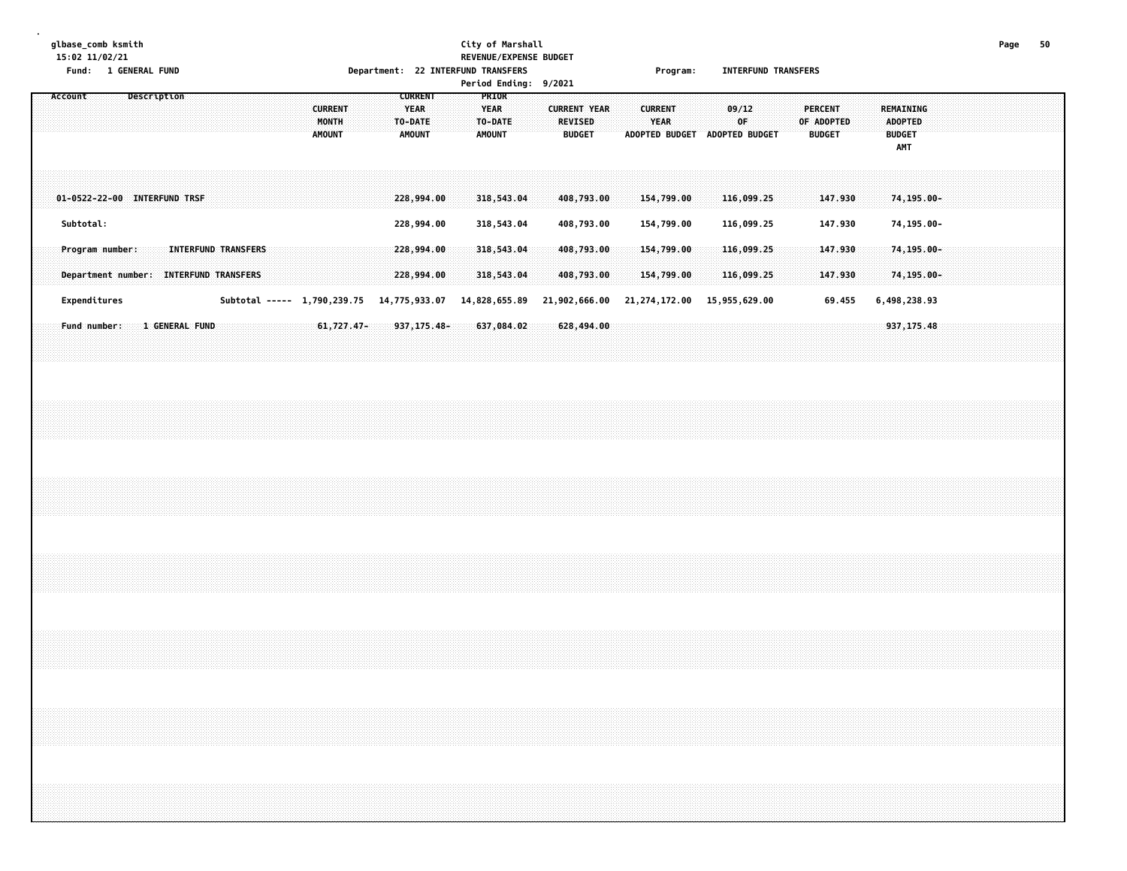# **glbase\_comb ksmith City of Marshall Page 50 15:02 11/02/21 REVENUE/EXPENSE BUDGET Fund: 1 GENERAL FUND Department: 22 INTERFUND TRANSFERS Program: INTERFUND TRANSFERS**

|  | <b>Period Ending:</b> | 9/2021 |
|--|-----------------------|--------|
|--|-----------------------|--------|

| Account                      |                                                        |  | Description    |  |                            |  | <b>CURRENT</b><br>MONTH<br><b>AMOUNT</b>                |  | <b>CURRENT</b><br><b>YEAR</b><br>TO-DATE<br><b>AMOUNT</b> |  | PRIOR<br><b>YEAR</b><br>TO-DATE<br><b>AMOUNT</b> |  | <b>CURRENT YEAR</b><br><b>REVISED</b><br><b>BUDGET</b> |  | <b>CURRENT</b><br>YEAR<br>ADOPTED BUDGET ADOPTED BUDGET |  | 09/12<br>OF              |  | <b>PERCENT</b><br>OF ADOPTED | <b>BUDGET</b>      |  | REMAINING<br><b>ADOPTED</b><br><b>BUDGET</b><br>AMT |  |  |  |  |
|------------------------------|--------------------------------------------------------|--|----------------|--|----------------------------|--|---------------------------------------------------------|--|-----------------------------------------------------------|--|--------------------------------------------------|--|--------------------------------------------------------|--|---------------------------------------------------------|--|--------------------------|--|------------------------------|--------------------|--|-----------------------------------------------------|--|--|--|--|
| 01-0522-22-00 INTERFUND TRSF |                                                        |  |                |  |                            |  |                                                         |  | 228,994.00                                                |  | 318,543.04                                       |  | 408,793.00                                             |  | 154,799.00                                              |  | 116,099.25               |  |                              | 147.930            |  | 74,195.00-                                          |  |  |  |  |
|                              | Subtotal:<br>Program number:                           |  |                |  | <b>INTERFUND TRANSFERS</b> |  |                                                         |  | 228,994.00<br>228,994.00                                  |  | 318,543.04<br>318,543.04                         |  | 408,793.00<br>408,793.00                               |  | 154,799.00<br>154,799.00                                |  | 116,099.25<br>116,099.25 |  |                              | 147.930<br>147.930 |  | 74,195.00-<br>74,195.00-                            |  |  |  |  |
|                              | Department number: INTERFUND TRANSFERS<br>Expenditures |  |                |  |                            |  | Subtotal ----- 1,790,239.75 14,775,933.07 14,828,655.89 |  | 228,994.00                                                |  | 318,543.04                                       |  | 408,793.00<br>21,902,666.00                            |  | 154,799.00<br>21,274,172.00 15,955,629.00               |  | 116,099.25               |  |                              | 147.930<br>69.455  |  | 74,195.00-<br>6,498,238.93                          |  |  |  |  |
|                              | Fund number:                                           |  | 1 GENERAL FUND |  |                            |  | $61,727.47-$                                            |  | 937, 175.48-                                              |  | 637,084.02                                       |  | 628,494.00                                             |  |                                                         |  |                          |  |                              |                    |  | 937, 175.48                                         |  |  |  |  |
|                              |                                                        |  |                |  |                            |  |                                                         |  |                                                           |  |                                                  |  |                                                        |  |                                                         |  |                          |  |                              |                    |  |                                                     |  |  |  |  |
|                              |                                                        |  |                |  |                            |  |                                                         |  |                                                           |  |                                                  |  |                                                        |  |                                                         |  |                          |  |                              |                    |  |                                                     |  |  |  |  |
|                              |                                                        |  |                |  |                            |  |                                                         |  |                                                           |  |                                                  |  |                                                        |  |                                                         |  |                          |  |                              |                    |  |                                                     |  |  |  |  |
|                              |                                                        |  |                |  |                            |  |                                                         |  |                                                           |  |                                                  |  |                                                        |  |                                                         |  |                          |  |                              |                    |  |                                                     |  |  |  |  |
|                              |                                                        |  |                |  |                            |  |                                                         |  |                                                           |  |                                                  |  |                                                        |  |                                                         |  |                          |  |                              |                    |  |                                                     |  |  |  |  |
|                              |                                                        |  |                |  |                            |  |                                                         |  |                                                           |  |                                                  |  |                                                        |  |                                                         |  |                          |  |                              |                    |  |                                                     |  |  |  |  |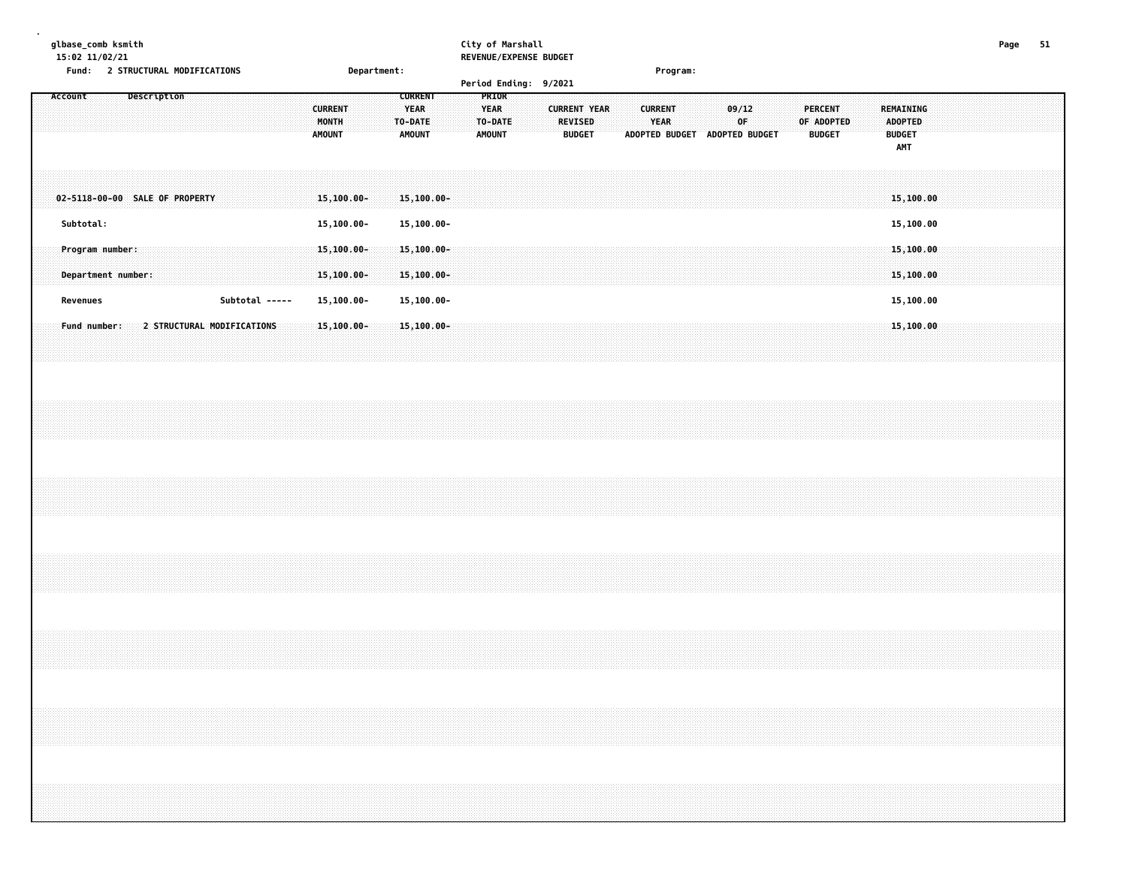**. glbase\_comb ksmith City of Marshall Page 51 15:02 11/02/21 REVENUE/EXPENSE BUDGET**

**Fund: 2 STRUCTURAL MODIFICATIONS Department: Program: Period Ending: 9/2021 Account Description CURRENT PRIOR CURRENT YEAR YEAR CURRENT YEAR CURRENT 09/12 PERCENT REMAINING MONTH TO-DATE TO-DATE REVISED YEAR OF OF ADOPTED ADOPTED AMOUNT AMOUNT AMOUNT BUDGET ADOPTED BUDGET ADOPTED BUDGET BUDGET BUDGET AMT 02-5118-00-00 SALE OF PROPERTY 15,100.00- 15,100.00- 15,100.00 Subtotal: 15,100.00- 15,100.00- 15,100.00 Program number: 15,100.00- 15,100.00- 15,100.00 Department number: 15,100.00- 15,100.00- 15,100.00 Revenues Subtotal ----- 15,100.00- 15,100.00- 15,100.00**

 **Fund number: 2 STRUCTURAL MODIFICATIONS 15,100.00- 15,100.00- 15,100.00**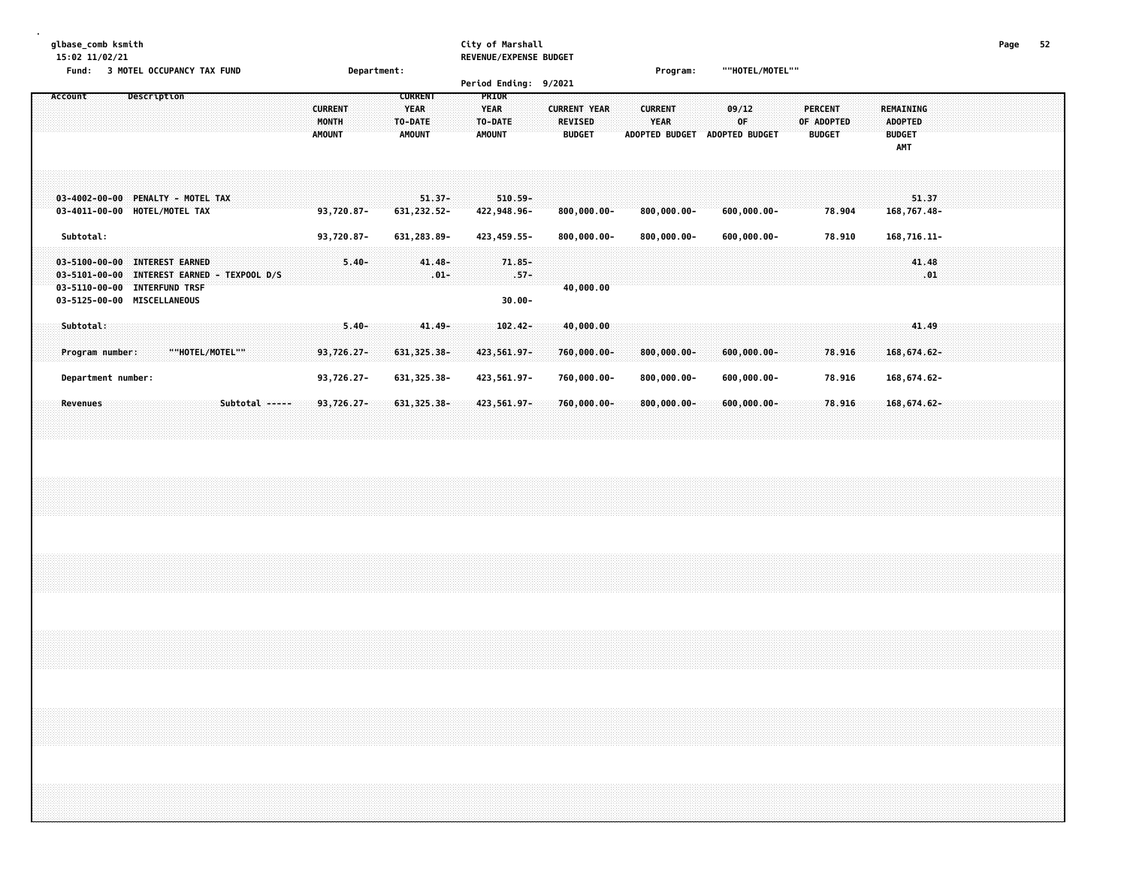### **glbase\_comb ksmith City of Marshall Page 52 15:02 11/02/21 REVENUE/EXPENSE BUDGET**

| 13.02 11/02/21<br>Fund: 3 MOTEL OCCUPANCY TAX FUND                                                                                                       | Department:                                                                                           | NEVENUE/EAFENJE DUVUEI                                                                                                       | ""HOTEL/MOTEL""<br>Program:                                            |                                                                                                      |
|----------------------------------------------------------------------------------------------------------------------------------------------------------|-------------------------------------------------------------------------------------------------------|------------------------------------------------------------------------------------------------------------------------------|------------------------------------------------------------------------|------------------------------------------------------------------------------------------------------|
| Description<br>Account                                                                                                                                   | <b>CURRENT</b><br><b>CURRENT</b><br><b>YEAR</b><br>MONTH<br>TO-DATE<br><b>AMOUNT</b><br><b>AMOUNT</b> | Period Ending: 9/2021<br>PRIOR<br><b>CURRENT YEAR</b><br>YEAR<br><b>REVISED</b><br>TO-DATE<br><b>AMOUNT</b><br><b>BUDGET</b> | 09/12<br><b>CURRENT</b><br>YEAR<br>0F<br>ADOPTED BUDGET ADOPTED BUDGET | <b>PERCENT</b><br>REMAINING<br>OF ADOPTED<br><b>ADOPTED</b><br><b>BUDGET</b><br><b>BUDGET</b><br>AMT |
| 03-4002-00-00 PENALTY - MOTEL TAX<br>03-4011-00-00 HOTEL/MOTEL TAX                                                                                       | $51.37 -$<br>93,720.87-<br>631, 232.52-                                                               | $510.59 -$<br>422,948.96-<br>$800,000.00 -$                                                                                  | $800,000.00 -$<br>$600,000.00 -$                                       | 51.37<br>168,767.48-<br>78.904                                                                       |
| Subtotal:<br>03-5100-00-00 INTEREST EARNED<br>03-5101-00-00 INTEREST EARNED - TEXPOOL D/S<br>03-5110-00-00 INTERFUND TRSF<br>03-5125-00-00 MISCELLANEOUS | 93,720.87-<br>631, 283.89-<br>$41.48 -$<br>$5.40 -$<br>$.01 -$                                        | 423, 459.55-<br>$800,000.00 -$<br>71.85-<br>$.57-$<br>40,000.00<br>$30.00 -$                                                 | $800,000.00 -$<br>$600,000.00 -$                                       | 168,716.11-<br>78.910<br>41.48<br>.01                                                                |
| Subtotal:<br>Program number:<br>""HOTEL/MOTEL""<br>Department number:                                                                                    | $41.49 -$<br>$5.40 -$<br>93,726.27-<br>631, 325.38-<br>93,726.27-<br>631, 325.38-                     | $102.42 -$<br>40,000.00<br>423,561.97-<br>760,000.00-<br>423,561.97-<br>760,000.00-                                          | $800,000.00 -$<br>$600,000.00 -$<br>$800,000.00 -$<br>$600,000.00 -$   | 41.49<br>78.916<br>168,674.62-<br>168,674.62-<br>78.916                                              |
| Revenues<br>Subtotal -----                                                                                                                               | 93,726.27-<br>$631,325.38 -$                                                                          | 423,561.97-<br>$760,000.00 -$                                                                                                | $800,000.00 -$<br>$600,000.00 -$                                       | 78.916<br>168,674.62-                                                                                |
|                                                                                                                                                          |                                                                                                       |                                                                                                                              |                                                                        |                                                                                                      |
|                                                                                                                                                          |                                                                                                       |                                                                                                                              |                                                                        |                                                                                                      |
|                                                                                                                                                          |                                                                                                       |                                                                                                                              |                                                                        |                                                                                                      |
|                                                                                                                                                          |                                                                                                       |                                                                                                                              |                                                                        |                                                                                                      |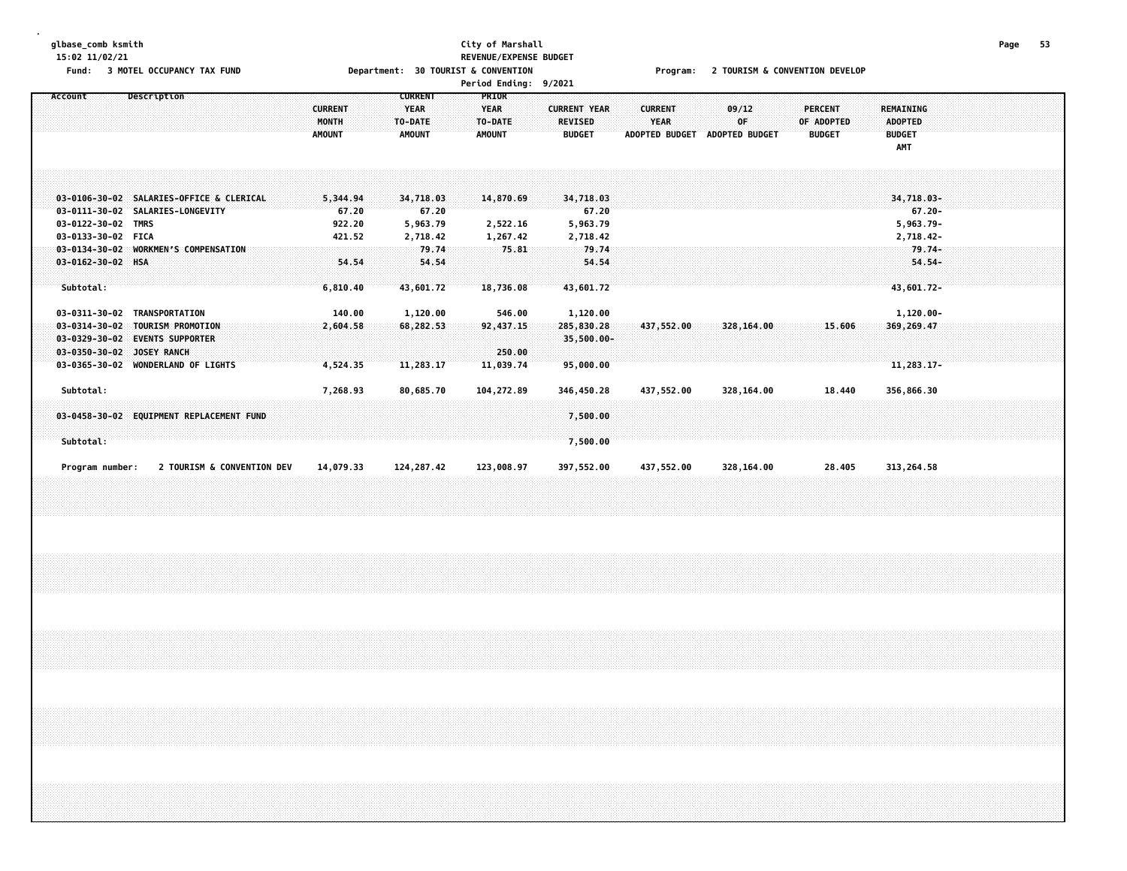# **glbase\_comb ksmith City of Marshall Page 53 15:02 11/02/21 REVENUE/EXPENSE BUDGET**

Fund: 3 MOTEL OCCUPANCY TAX FUND Department: 30 TOURIST & CONVENTION Frogram: 2 TOURISM & CONVENTION DEVELOP

|  | <b>Period Ending:</b> | 9/2021 |
|--|-----------------------|--------|
|--|-----------------------|--------|

| Description<br>Account                            |                | <b>CURRENT</b> | <b>PRIOR</b>  |                     |                       |                       |                |                  |  |
|---------------------------------------------------|----------------|----------------|---------------|---------------------|-----------------------|-----------------------|----------------|------------------|--|
|                                                   | <b>CURRENT</b> | <b>YEAR</b>    | <b>YEAR</b>   | <b>CURRENT YEAR</b> | <b>CURRENT</b>        | 09/12                 | <b>PERCENT</b> | <b>REMAINING</b> |  |
|                                                   | <b>MONTH</b>   | TO-DATE        | TO-DATE       | <b>REVISED</b>      | <b>YEAR</b>           | 0F                    | OF ADOPTED     | <b>ADOPTED</b>   |  |
|                                                   | <b>AMOUNT</b>  | <b>AMOUNT</b>  | <b>AMOUNT</b> | <b>BUDGET</b>       | <b>ADOPTED BUDGET</b> | <b>ADOPTED BUDGET</b> | <b>BUDGET</b>  | <b>BUDGET</b>    |  |
|                                                   |                |                |               |                     |                       |                       |                | AMT              |  |
|                                                   |                |                |               |                     |                       |                       |                |                  |  |
|                                                   |                |                |               |                     |                       |                       |                |                  |  |
|                                                   |                |                |               |                     |                       |                       |                |                  |  |
| 03-0106-30-02 SALARIES-OFFICE & CLERICAL          | 5,344.94       | 34,718.03      | 14,870.69     | 34,718.03           |                       |                       |                | 34,718.03-       |  |
| 03-0111-30-02 SALARIES-LONGEVITY                  | 67.20          | 67.20          |               | 67.20               |                       |                       |                | $67.20 -$        |  |
| 03-0122-30-02 TMRS                                | 922.20         | 5,963.79       | 2,522.16      | 5,963.79            |                       |                       |                | 5,963.79-        |  |
| 03-0133-30-02 FICA                                | 421.52         | 2,718.42       | 1,267.42      | 2,718.42            |                       |                       |                | 2,718.42-        |  |
| 03-0134-30-02 WORKMEN'S COMPENSATION              |                | 79.74          | 75.81         | 79.74               |                       |                       |                | $79.74-$         |  |
| $03 - 0162 - 30 - 02$ HSA                         | 54.54          | 54.54          |               | 54.54               |                       |                       |                | $54.54-$         |  |
|                                                   |                |                |               |                     |                       |                       |                |                  |  |
| Subtotal:                                         | 6,810.40       | 43,601.72      | 18,736.08     | 43,601.72           |                       |                       |                | 43,601.72-       |  |
|                                                   |                |                |               |                     |                       |                       |                |                  |  |
| 03-0311-30-02<br>TRANSPORTATION                   | 140.00         | 1,120.00       | 546.00        | 1,120.00            |                       |                       |                | 1,120.00-        |  |
| $03 - 0314 - 30 - 02$<br><b>TOURISM PROMOTION</b> | 2,604.58       | 68,282,53      | 92,437.15     | 285,830.28          | 437,552.00            | 328,164.00            | 15.606         | 369, 269.47      |  |
| $03 - 0329 - 30 - 02$<br><b>EVENTS SUPPORTER</b>  |                |                |               | 35,500.00-          |                       |                       |                |                  |  |
| $03 - 0350 - 30 - 02$<br>JOSEY RANCH              |                |                | 250.00        |                     |                       |                       |                |                  |  |
| 03-0365-30-02 WONDERLAND OF LIGHTS                | 4,524.35       | 11,283.17      | 11,039.74     | 95,000.00           |                       |                       |                | $11,283.17-$     |  |
|                                                   |                |                |               |                     |                       |                       |                |                  |  |
| Subtotal:                                         | 7,268.93       | 80,685.70      | 104,272.89    | 346,450.28          | 437,552.00            | 328,164.00            | 18.440         | 356,866.30       |  |
|                                                   |                |                |               |                     |                       |                       |                |                  |  |
| 03-0458-30-02 EQUIPMENT REPLACEMENT FUND          |                |                |               | 7,500.00            |                       |                       |                |                  |  |
|                                                   |                |                |               |                     |                       |                       |                |                  |  |
| Subtotal:                                         |                |                |               | 7,500.00            |                       |                       |                |                  |  |
|                                                   |                |                |               |                     |                       |                       |                |                  |  |
|                                                   |                |                |               |                     |                       |                       |                |                  |  |
| 2 TOURISM & CONVENTION DEV<br>Program number:     | 14,079.33      | 124, 287.42    | 123,008.97    | 397,552.00          | 437,552.00            | 328,164.00            | 28.405         | 313,264.58       |  |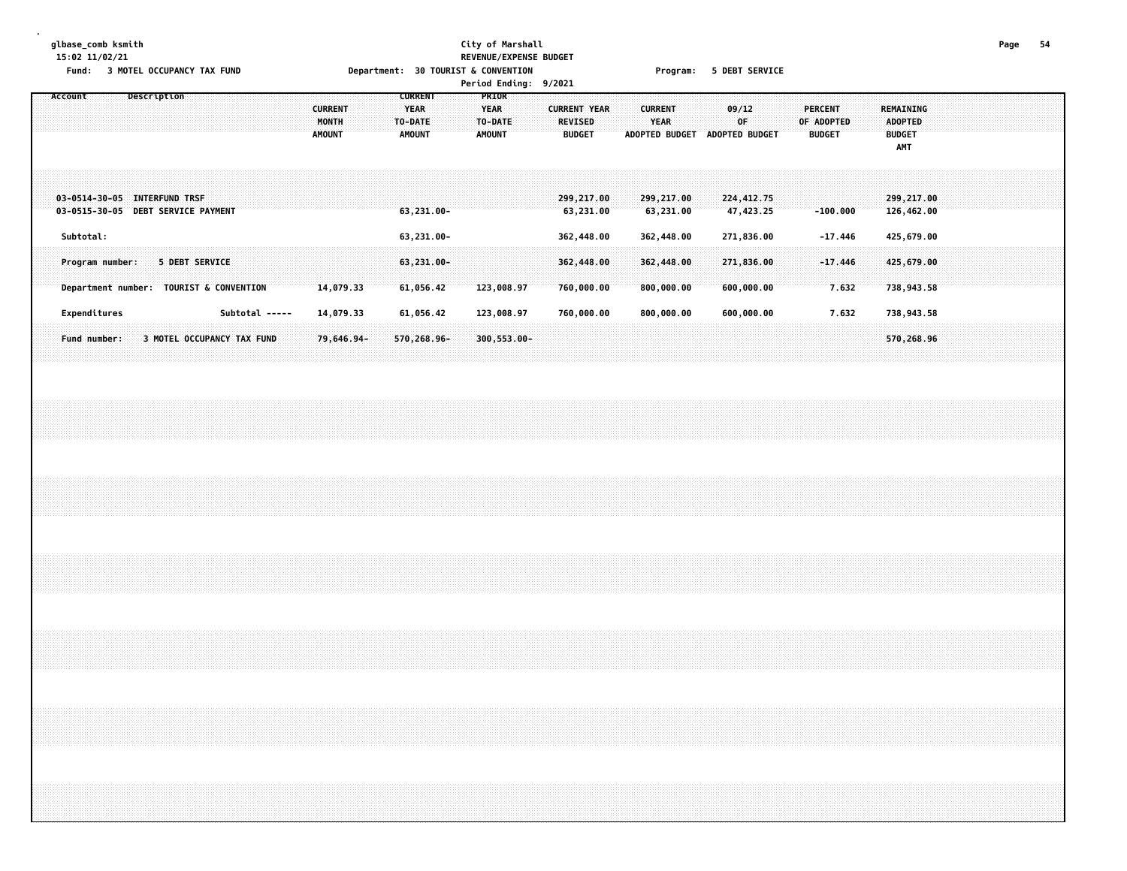## **glbase\_comb ksmith City of Marshall Page 54 15:02 11/02/21 REVENUE/EXPENSE BUDGET** Fund: 3 MOTEL OCCUPANCY TAX FUND **Department: 30 TOURIST & CONVENTION** Program: 5 DEBT SERVICE

**Period Ending: 9/2021**

| Account<br>Description                                                                              | <b>CURRENT</b><br>MONTH<br><b>AMOUNT</b>                                                             | <b>CURRENT</b><br><b>PRIOR</b><br><b>YEAR</b><br><b>YEAR</b><br>TO-DATE<br>TO-DATE<br>AMOUNT<br><b>AMOUNT</b> | <b>CURRENT YEAR</b><br><b>CURRENT</b><br><b>YEAR</b><br><b>REVISED</b><br><b>BUDGET</b><br>ADOPTED BUDGET | 09/12<br><b>PERCENT</b><br><b>OF</b><br>OF ADOPTED<br><b>ADOPTED BUDGET</b><br><b>BUDGET</b> | REMAINING<br><b>ADOPTED</b><br><b>BUDGET</b><br><b>AMT</b> |
|-----------------------------------------------------------------------------------------------------|------------------------------------------------------------------------------------------------------|---------------------------------------------------------------------------------------------------------------|-----------------------------------------------------------------------------------------------------------|----------------------------------------------------------------------------------------------|------------------------------------------------------------|
| <b>INTERFUND TRSF</b><br>03-0514-30-05<br><b>DEBT SERVICE PAYMENT</b><br>03-0515-30-05<br>Subtotal: |                                                                                                      | $63,231.00 -$<br>63,231.00-                                                                                   | 299,217.00<br>299,217.00<br>63,231.00<br>63,231.00<br>362,448.00<br>362,448.00                            | 224,412.75<br>47,423.25<br>$-100.000$<br>271,836.00<br>$-17.446$                             | 299,217.00<br>126,462.00<br>425,679.00                     |
|                                                                                                     |                                                                                                      |                                                                                                               |                                                                                                           |                                                                                              |                                                            |
| Program number:<br>Department number:<br>Expenditures                                               | <b>5 DEBT SERVICE</b><br><b>TOURIST &amp; CONVENTION</b><br>14,079.33<br>Subtotal -----<br>14,079.33 | $63,231.00 -$<br>61,056.42<br>123,008.97<br>61,056.42<br>123,008.97                                           | 362,448.00<br>362,448.00<br>800,000.00<br>760,000.00<br>760,000.00<br>800,000.00                          | 271,836.00<br>$-17.446$<br>7.632<br>600,000.00<br>7.632<br>600,000.00                        | 425,679.00<br>738,943.58<br>738,943.58                     |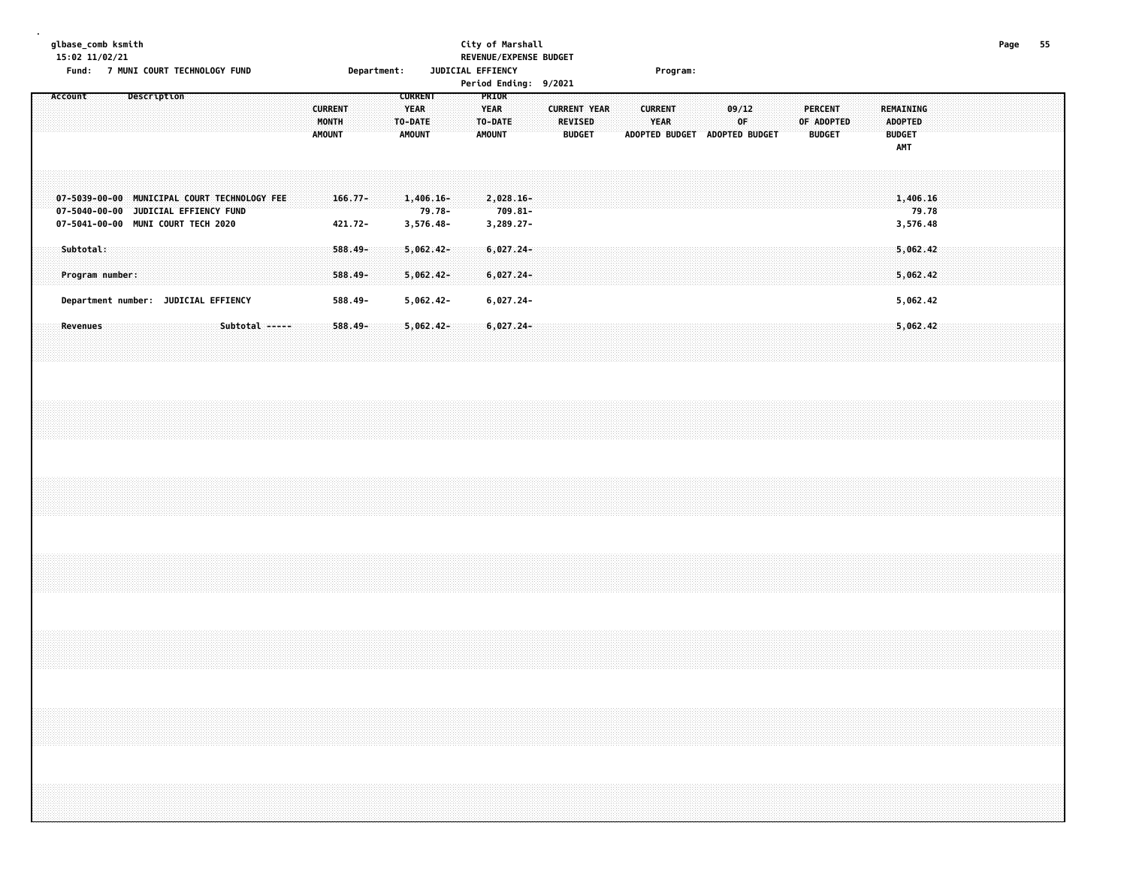### **glbase\_comb ksmith City of Marshall Page 55 15:02 11/02/21 REVENUE/EXPENSE BUDGET**

**Fund: 7 MUNI COURT TECHNOLOGY FUND Department: JUDICIAL EFFIENCY Program:**

| $\cdots$                                                                                                                   |                                      | T HONE COOK! TECHNOLOGI FOND |  |                |  |                                          | pepar circult .       |                                                           |                                    |  | <b>JUDICIAL LITTLING</b>                         |            | Period Ending: 9/2021 |                                 |                     |  | . . og . am .          |                               |              |  |            |                                 |  |                                                     |                               |  |                              |  |
|----------------------------------------------------------------------------------------------------------------------------|--------------------------------------|------------------------------|--|----------------|--|------------------------------------------|-----------------------|-----------------------------------------------------------|------------------------------------|--|--------------------------------------------------|------------|-----------------------|---------------------------------|---------------------|--|------------------------|-------------------------------|--------------|--|------------|---------------------------------|--|-----------------------------------------------------|-------------------------------|--|------------------------------|--|
| Account                                                                                                                    |                                      | Description                  |  |                |  | <b>CURRENT</b><br>MONTH<br><b>AMOUNT</b> |                       | <b>CURRENT</b><br><b>YEAR</b><br>TO-DATE<br><b>AMOUNT</b> |                                    |  | PRIOR<br><b>YEAR</b><br>TO-DATE<br><b>AMOUNT</b> |            |                       | <b>REVISED</b><br><b>BUDGET</b> | <b>CURRENT YEAR</b> |  | <b>CURRENT</b><br>YEAR | ADOPTED BUDGET ADOPTED BUDGET | 09/12<br>0F. |  | OF ADOPTED | <b>PERCENT</b><br><b>BUDGET</b> |  | REMAINING<br><b>ADOPTED</b><br><b>BUDGET</b><br>AMT |                               |  |                              |  |
| 07-5039-00-00 MUNICIPAL COURT TECHNOLOGY FEE<br>07-5040-00-00 JUDICIAL EFFIENCY FUND<br>07-5041-00-00 MUNI COURT TECH 2020 |                                      |                              |  |                |  |                                          | $166.77 -$<br>421.72- |                                                           | $1,406.16-$<br>79.78-<br>3,576.48- |  | $2,028.16-$<br>3,289.27-                         | $709.81 -$ |                       |                                 |                     |  |                        |                               |              |  |            |                                 |  |                                                     | 1,406.16<br>79.78<br>3,576.48 |  |                              |  |
| Subtotal:                                                                                                                  | Program number:                      |                              |  |                |  |                                          | $588.49 -$<br>588.49- |                                                           | $5,062.42-$<br>$5,062.42-$         |  | $6,027.24-$<br>6,027.24-                         |            |                       |                                 |                     |  |                        |                               |              |  |            |                                 |  |                                                     | 5,062.42<br>5,062,42          |  |                              |  |
|                                                                                                                            | Department number: JUDICIAL EFFIENCY |                              |  |                |  |                                          | 588.49-               |                                                           | 5,062.42-                          |  | 6,027.24-                                        |            |                       |                                 |                     |  |                        |                               |              |  |            |                                 |  |                                                     | 5,062.42                      |  |                              |  |
| <b>Revenues</b>                                                                                                            |                                      |                              |  | Subtotal ----- |  |                                          | $588.49 -$            |                                                           | $5,062.42-$                        |  | $6,027.24-$                                      |            |                       |                                 |                     |  |                        |                               |              |  |            |                                 |  |                                                     | 5,062.42                      |  |                              |  |
|                                                                                                                            |                                      |                              |  |                |  |                                          |                       |                                                           |                                    |  |                                                  |            |                       |                                 |                     |  |                        |                               |              |  |            |                                 |  |                                                     |                               |  |                              |  |
|                                                                                                                            |                                      |                              |  |                |  |                                          |                       |                                                           |                                    |  |                                                  |            |                       |                                 |                     |  |                        |                               |              |  |            |                                 |  |                                                     |                               |  |                              |  |
|                                                                                                                            |                                      |                              |  |                |  |                                          |                       |                                                           |                                    |  |                                                  |            |                       |                                 |                     |  |                        |                               |              |  |            |                                 |  |                                                     |                               |  |                              |  |
|                                                                                                                            |                                      |                              |  |                |  |                                          |                       |                                                           |                                    |  |                                                  |            |                       |                                 |                     |  |                        |                               |              |  |            |                                 |  |                                                     |                               |  |                              |  |
|                                                                                                                            |                                      |                              |  |                |  |                                          |                       |                                                           |                                    |  |                                                  |            |                       |                                 |                     |  |                        |                               |              |  |            |                                 |  |                                                     |                               |  | anananananananananananananan |  |
|                                                                                                                            |                                      |                              |  |                |  |                                          |                       |                                                           |                                    |  |                                                  |            |                       |                                 |                     |  |                        |                               |              |  |            |                                 |  |                                                     |                               |  |                              |  |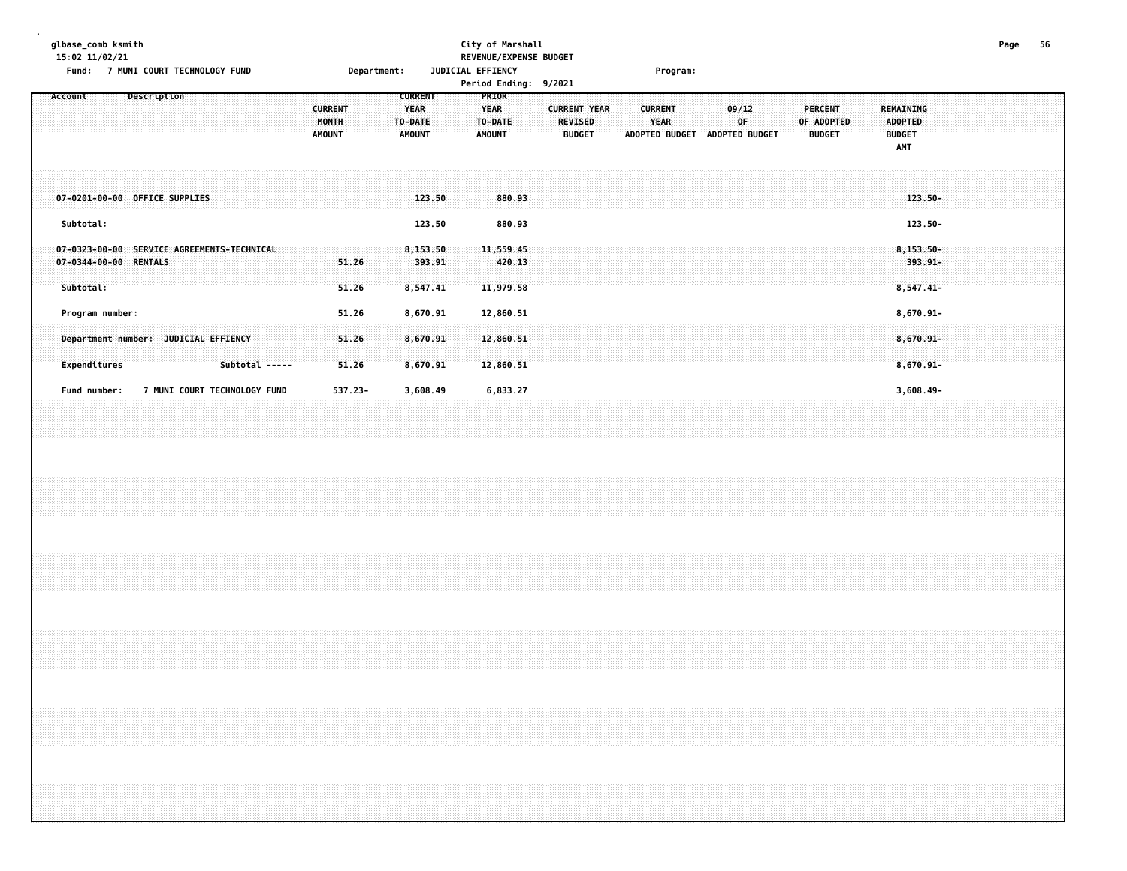### **glbase\_comb ksmith City of Marshall Page 56 15:02 11/02/21 REVENUE/EXPENSE BUDGET**

**Fund: 7 MUNI COURT TECHNOLOGY FUND Department: JUDICIAL EFFIENCY Program:**

| runu:                                                                            | <b>/ MONT COOK! IECHNOLOGI LOMD</b>  |                |                                          |                | bepartment: |                                                           |  | JUDICIAL EFFIENCT<br>Period Ending: 9/2021       |        |                                                        |  |                        | rrogram: |       |                                     |  |                                               |  |                                                     |            |  |  |  |
|----------------------------------------------------------------------------------|--------------------------------------|----------------|------------------------------------------|----------------|-------------|-----------------------------------------------------------|--|--------------------------------------------------|--------|--------------------------------------------------------|--|------------------------|----------|-------|-------------------------------------|--|-----------------------------------------------|--|-----------------------------------------------------|------------|--|--|--|
| Account                                                                          | Description                          |                | <b>CURRENT</b><br>MONTH<br><b>AMOUNT</b> |                |             | <b>CURRENT</b><br><b>YEAR</b><br>TO-DATE<br><b>AMOUNT</b> |  | PRIOR<br><b>YEAR</b><br>TO-DATE<br><b>AMOUNT</b> |        | <b>CURRENT YEAR</b><br><b>REVISED</b><br><b>BUDGET</b> |  | <b>CURRENT</b><br>YEAR |          | 09/12 | 0F<br>ADOPTED BUDGET ADOPTED BUDGET |  | <b>PERCENT</b><br>OF ADOPTED<br><b>BUDGET</b> |  | REMAINING<br>ADOPTED<br><b>BUDGET</b><br><b>AMT</b> |            |  |  |  |
| 07-0201-00-00 OFFICE SUPPLIES                                                    |                                      |                |                                          |                |             | 123.50                                                    |  |                                                  | 880.93 |                                                        |  |                        |          |       |                                     |  |                                               |  |                                                     | $123.50 -$ |  |  |  |
| Subtotal:                                                                        |                                      |                |                                          |                |             | 123.50                                                    |  |                                                  | 880.93 |                                                        |  |                        |          |       |                                     |  |                                               |  |                                                     | 123.50-    |  |  |  |
| 07-0323-00-00 SERVICE AGREEMENTS-TECHNICAL<br>07-0344-00-00 RENTALS<br>Subtotal: |                                      |                |                                          | 51.26<br>51.26 |             | 8,153.50<br>393.91<br>8,547.41                            |  | 11,559.45<br>11,979.58                           | 420.13 |                                                        |  |                        |          |       |                                     |  |                                               |  | $8, 153.50 -$<br>$8,547.41-$                        | 393.91-    |  |  |  |
| Program number:                                                                  |                                      |                |                                          | 51.26          |             | 8,670.91                                                  |  | 12,860.51                                        |        |                                                        |  |                        |          |       |                                     |  |                                               |  | 8,670.91-                                           |            |  |  |  |
|                                                                                  | Department number: JUDICIAL EFFIENCY |                |                                          | 51.26          |             | 8,670.91                                                  |  | 12,860.51                                        |        |                                                        |  |                        |          |       |                                     |  |                                               |  | 8,670.91-                                           |            |  |  |  |
| Expenditures                                                                     |                                      | Subtotal ----- |                                          | 51.26          |             | 8,670.91                                                  |  | 12,860.51                                        |        |                                                        |  |                        |          |       |                                     |  |                                               |  | $8,670.91 -$                                        |            |  |  |  |
| Fund number:                                                                     | 7 MUNI COURT TECHNOLOGY FUND         |                |                                          | 537.23-        |             | 3,608.49                                                  |  | 6,833.27                                         |        |                                                        |  |                        |          |       |                                     |  |                                               |  | $3,608.49 -$                                        |            |  |  |  |
|                                                                                  |                                      |                |                                          |                |             |                                                           |  |                                                  |        |                                                        |  |                        |          |       |                                     |  |                                               |  |                                                     |            |  |  |  |
|                                                                                  |                                      |                |                                          |                |             |                                                           |  |                                                  |        |                                                        |  |                        |          |       |                                     |  |                                               |  |                                                     |            |  |  |  |
|                                                                                  |                                      |                |                                          |                |             |                                                           |  |                                                  |        |                                                        |  |                        |          |       |                                     |  |                                               |  |                                                     |            |  |  |  |
|                                                                                  |                                      |                |                                          |                |             |                                                           |  |                                                  |        |                                                        |  |                        |          |       |                                     |  |                                               |  |                                                     |            |  |  |  |
|                                                                                  |                                      |                |                                          |                |             |                                                           |  |                                                  |        |                                                        |  |                        |          |       |                                     |  |                                               |  |                                                     |            |  |  |  |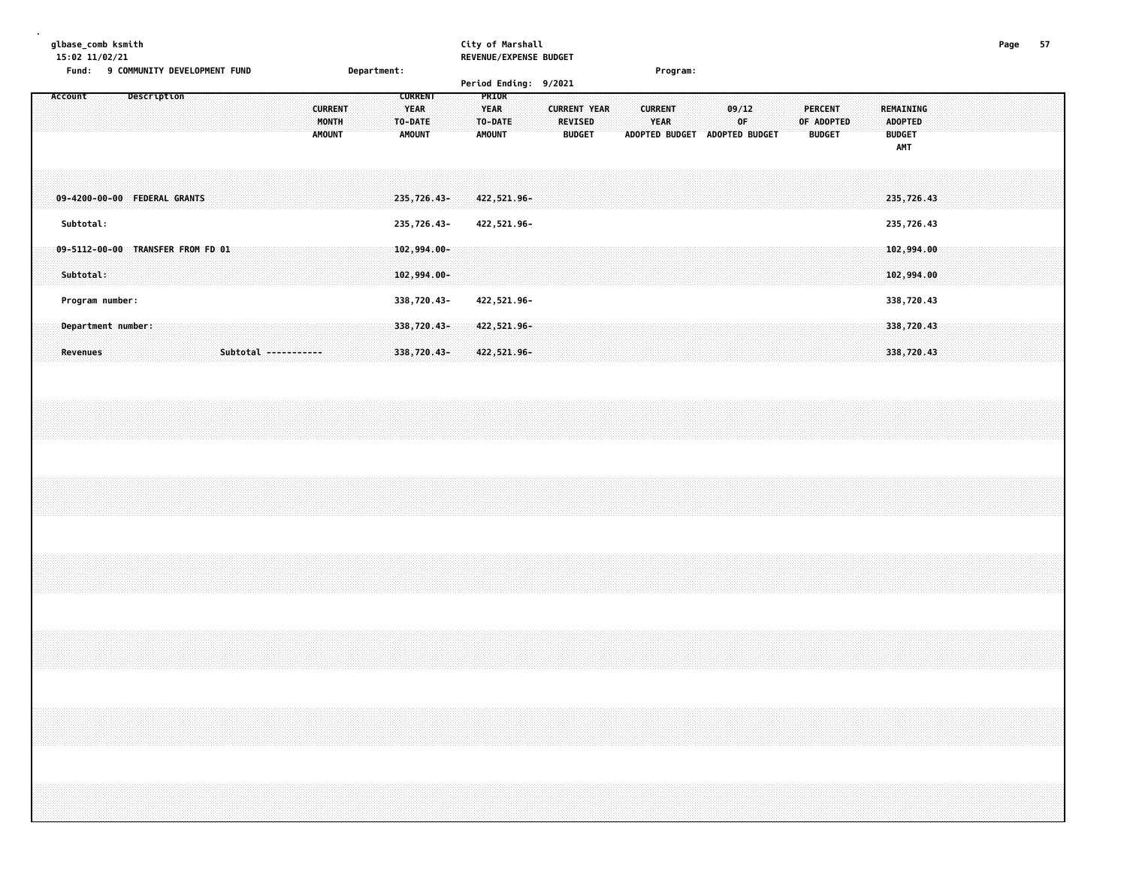| glbase_comb ksmith<br>15:02 11/02/21                          |                                                                                                       | City of Marshall<br>REVENUE/EXPENSE BUDGET       |                                                        |                                                        |                                      |                                        |                                                     | Page<br>-57 |
|---------------------------------------------------------------|-------------------------------------------------------------------------------------------------------|--------------------------------------------------|--------------------------------------------------------|--------------------------------------------------------|--------------------------------------|----------------------------------------|-----------------------------------------------------|-------------|
| Fund:<br>9 COMMUNITY DEVELOPMENT FUND                         | Department:                                                                                           |                                                  |                                                        | Program:                                               |                                      |                                        |                                                     |             |
|                                                               |                                                                                                       | Period Ending: 9/2021                            |                                                        |                                                        |                                      |                                        |                                                     |             |
| Description<br>Account                                        | <b>CURRENT</b><br><b>CURRENT</b><br><b>YEAR</b><br>MONTH<br>TO-DATE<br><b>AMOUNT</b><br><b>AMOUNT</b> | PRIOR<br><b>YEAR</b><br>TO-DATE<br><b>AMOUNT</b> | <b>CURRENT YEAR</b><br><b>REVISED</b><br><b>BUDGET</b> | <b>CURRENT</b><br><b>YEAR</b><br><b>ADOPTED BUDGET</b> | 09/12<br>0F<br><b>ADOPTED BUDGET</b> | PERCENT<br>OF ADOPTED<br><b>BUDGET</b> | REMAINING<br><b>ADOPTED</b><br><b>BUDGET</b><br>AMT |             |
| 09-4200-00-00 FEDERAL GRANTS                                  | 235,726.43-                                                                                           | 422,521.96-                                      |                                                        |                                                        |                                      |                                        | 235,726.43                                          |             |
| Subtotal:                                                     | 235,726.43-                                                                                           | 422,521.96-                                      |                                                        |                                                        |                                      |                                        | 235,726.43                                          |             |
| $09 - 5112 - 00 - 00$<br>TRANSFER FROM FD 01<br>Subtotal:     | 102,994.00-<br>$102,994.00 -$                                                                         |                                                  |                                                        |                                                        |                                      |                                        | 102,994.00<br>102,994.00                            |             |
| Program number:                                               | 338,720.43-                                                                                           | 422,521.96-                                      |                                                        |                                                        |                                      |                                        | 338,720.43                                          |             |
| Department number:<br>Subtotal -----------<br><b>Revenues</b> | 338,720.43-<br>338,720.43-                                                                            | 422,521.96-<br>422,521.96-                       |                                                        |                                                        |                                      |                                        | 338,720.43<br>338,720.43                            |             |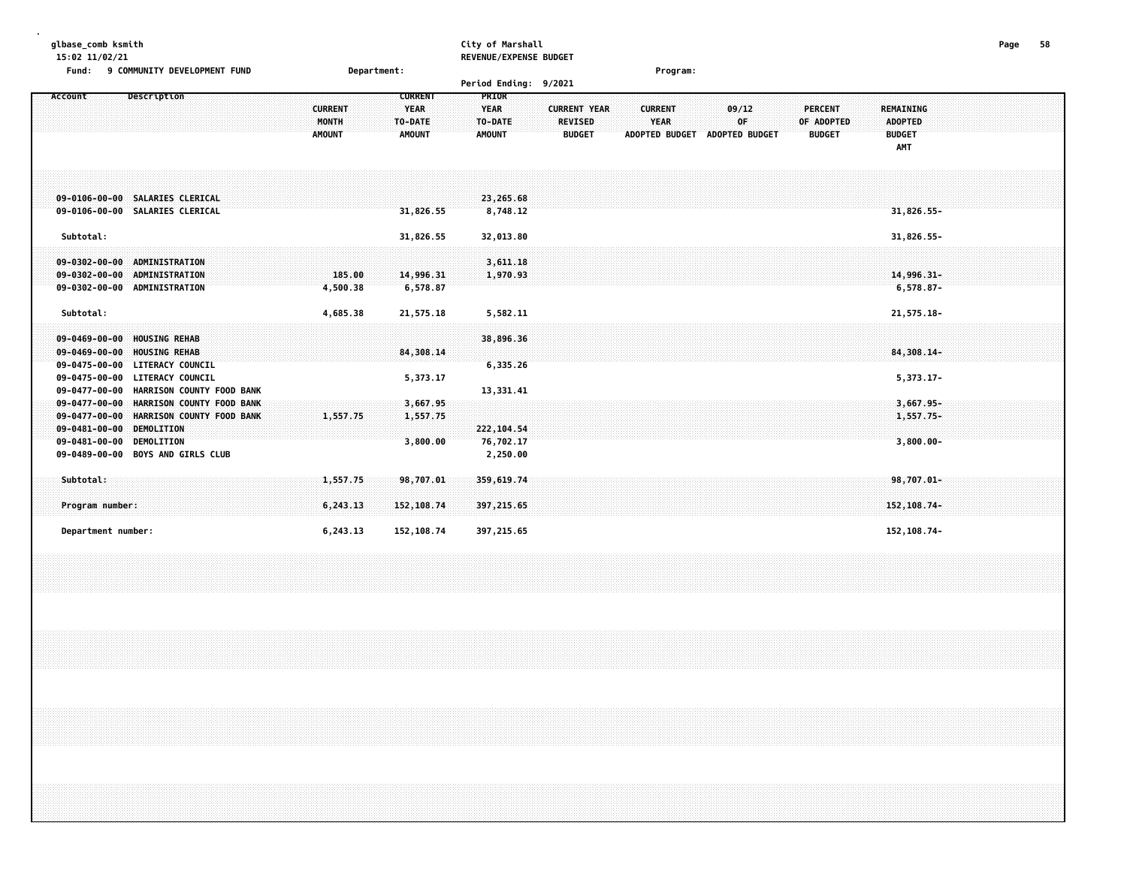### **glbase\_comb ksmith City of Marshall Page 58 15:02 11/02/21 REVENUE/EXPENSE BUDGET**

| 9 COMMUNITY DEVELOPMENT FUND<br>Fund:                                                                                                                                                                                      | Department:                                                                          | Program:                                                                                                                                                                                                                                                                                                                    |
|----------------------------------------------------------------------------------------------------------------------------------------------------------------------------------------------------------------------------|--------------------------------------------------------------------------------------|-----------------------------------------------------------------------------------------------------------------------------------------------------------------------------------------------------------------------------------------------------------------------------------------------------------------------------|
|                                                                                                                                                                                                                            |                                                                                      | Period Ending: 9/2021                                                                                                                                                                                                                                                                                                       |
| Account<br>Description<br><b>AMOUNT</b>                                                                                                                                                                                    | <b>CURRENT</b><br><b>YEAR</b><br><b>CURRENT</b><br>MONTH<br>TO-DATE<br><b>AMOUNT</b> | PRIOR<br><b>YEAR</b><br><b>CURRENT YEAR</b><br><b>CURRENT</b><br>09/12<br><b>PERCENT</b><br><b>REMAINING</b><br><b>OF</b><br>YEAR<br>TO-DATE<br><b>REVISED</b><br>OF ADOPTED<br><b>ADOPTED</b><br><b>AMOUNT</b><br><b>ADOPTED BUDGET</b><br><b>BUDGET</b><br><b>ADOPTED BUDGET</b><br><b>BUDGET</b><br><b>BUDGET</b><br>AMT |
| 09-0106-00-00 SALARIES CLERICAL<br>09-0106-00-00 SALARIES CLERICAL                                                                                                                                                         | 31,826.55                                                                            | 23,265.68<br>8,748.12<br>31,826.55-                                                                                                                                                                                                                                                                                         |
| Subtotal:                                                                                                                                                                                                                  | 31,826.55                                                                            | 32,013.80<br>31,826.55-                                                                                                                                                                                                                                                                                                     |
| 09-0302-00-00 ADMINISTRATION<br>09-0302-00-00 ADMINISTRATION<br>09-0302-00-00 ADMINISTRATION                                                                                                                               | 14,996.31<br>185.00<br>6,578.87<br>4,500.38                                          | 3,611.18<br>1,970.93<br>14,996.31-<br>$6,578.87-$                                                                                                                                                                                                                                                                           |
| Subtotal:                                                                                                                                                                                                                  | 4,685.38<br>21,575.18                                                                | 5,582.11<br>21,575.18-                                                                                                                                                                                                                                                                                                      |
| 09-0469-00-00 HOUSING REHAB<br><b>HOUSING REHAB</b><br>$09 - 0469 - 00 - 00$<br>09-0475-00-00 LITERACY COUNCIL                                                                                                             | 84,308.14                                                                            | 38,896.36<br>84,308.14-<br>6,335.26                                                                                                                                                                                                                                                                                         |
| 09-0475-00-00 LITERACY COUNCIL                                                                                                                                                                                             | 5,373.17                                                                             | 5,373.17-                                                                                                                                                                                                                                                                                                                   |
| 09-0477-00-00 HARRISON COUNTY FOOD BANK<br>09-0477-00-00 HARRISON COUNTY FOOD BANK<br>09-0477-00-00 HARRISON COUNTY FOOD BANK<br>09-0481-00-00 DEMOLITION<br>09-0481-00-00 DEMOLITION<br>09-0489-00-00 BOYS AND GIRLS CLUB | 3,667.95<br>1,557.75<br>1,557.75<br>3,800.00                                         | 13,331.41<br>$3,667.95 -$<br>1,557.75-<br>222, 104.54<br>76,702.17<br>$3,800.00 -$<br>2,250.00                                                                                                                                                                                                                              |
| Subtotal:<br>Program number:                                                                                                                                                                                               | 1,557.75<br>98,707.01<br>6,243.13<br>152,108.74                                      | 359,619.74<br>$98,707.01 -$<br>397, 215, 65<br>152, 108.74-                                                                                                                                                                                                                                                                 |
| Department number:                                                                                                                                                                                                         | 6,243.13<br>152,108.74                                                               | 397,215.65<br>152, 108.74-                                                                                                                                                                                                                                                                                                  |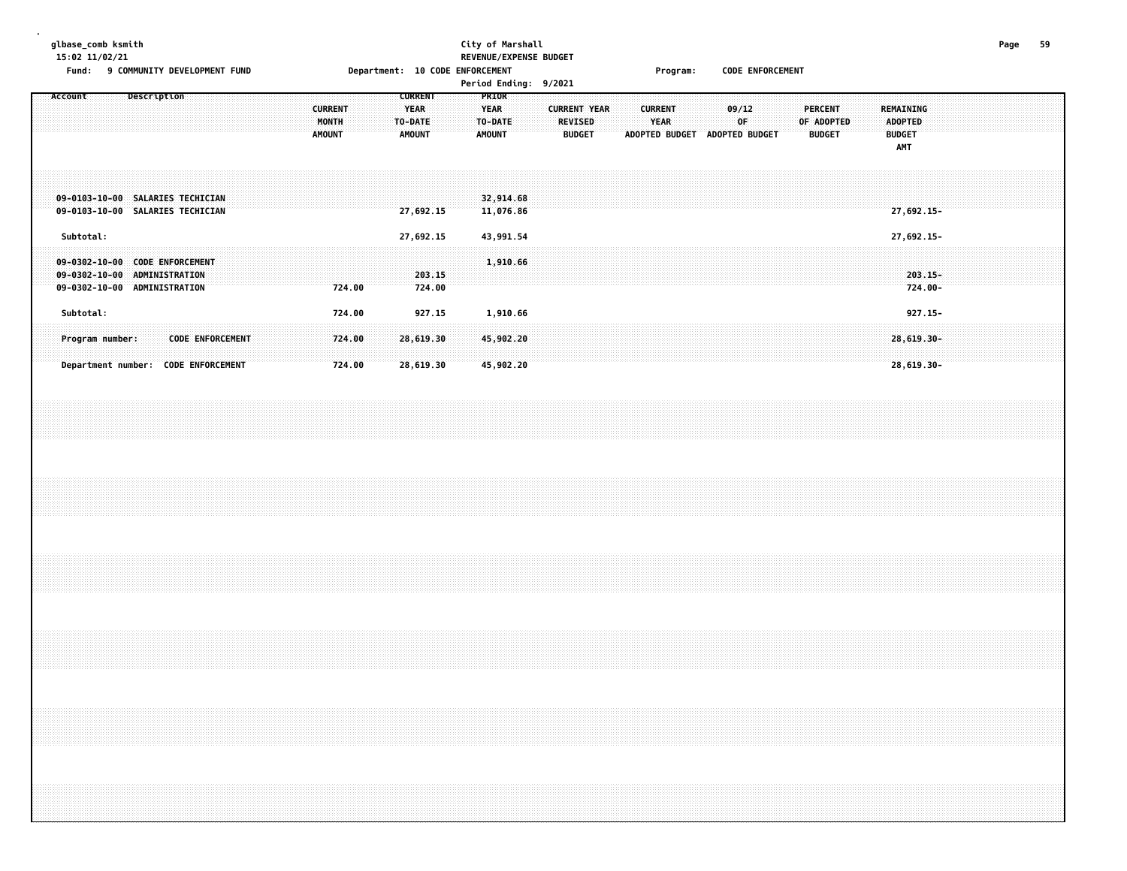# **glbase\_comb ksmith City of Marshall Page 59 15:02 11/02/21 REVENUE/EXPENSE BUDGET**

Fund: 9 COMMUNITY DEVELOPMENT FUND **Department: 10 CODE ENFORCEMENT** Program: CODE ENFORCEMENT

**Period Ending: 9/2021**

| <b>CURRENT</b><br><b>PRIOR</b><br>Description<br><b>YEAR</b><br><b>CURRENT YEAR</b><br>REMAINING<br><b>CURRENT</b><br><b>YEAR</b><br><b>CURRENT</b><br>09/12<br>PERCENT<br>MONTH<br>0F.<br>OF ADOPTED<br><b>ADOPTED</b><br>TO-DATE<br>TO-DATE<br><b>REVISED</b><br><b>YEAR</b><br><b>AMOUNT</b><br><b>AMOUNT</b><br>ADOPTED BUDGET<br><b>ADOPTED BUDGET</b><br><b>BUDGET</b><br><b>AMOUNT</b><br><b>BUDGET</b><br><b>BUDGET</b><br>AMT<br>09-0103-10-00 SALARIES TECHICIAN<br>32,914.68<br>09-0103-10-00 SALARIES TECHICIAN<br>11,076.86<br>$27,692.15-$<br>27,692.15<br>Subtotal:<br>27,692.15-<br>27,692.15<br>43,991.54<br>09-0302-10-00 CODE ENFORCEMENT<br>1,910.66<br>09-0302-10-00 ADMINISTRATION<br>203.15<br>$203.15 -$<br>724.00-<br>09-0302-10-00 ADMINISTRATION<br>724.00<br>724.00<br>Subtotal:<br>927.15<br>$927.15 -$<br>724.00<br>1,910.66<br><b>CODE ENFORCEMENT</b><br>28,619.30<br>45,902.20<br>$28,619.30 -$<br>724.00<br>Program number: | Department number: |  |         |
|---------------------------------------------------------------------------------------------------------------------------------------------------------------------------------------------------------------------------------------------------------------------------------------------------------------------------------------------------------------------------------------------------------------------------------------------------------------------------------------------------------------------------------------------------------------------------------------------------------------------------------------------------------------------------------------------------------------------------------------------------------------------------------------------------------------------------------------------------------------------------------------------------------------------------------------------------------------|--------------------|--|---------|
|                                                                                                                                                                                                                                                                                                                                                                                                                                                                                                                                                                                                                                                                                                                                                                                                                                                                                                                                                               |                    |  | Account |
|                                                                                                                                                                                                                                                                                                                                                                                                                                                                                                                                                                                                                                                                                                                                                                                                                                                                                                                                                               |                    |  |         |
|                                                                                                                                                                                                                                                                                                                                                                                                                                                                                                                                                                                                                                                                                                                                                                                                                                                                                                                                                               |                    |  |         |
|                                                                                                                                                                                                                                                                                                                                                                                                                                                                                                                                                                                                                                                                                                                                                                                                                                                                                                                                                               |                    |  |         |
|                                                                                                                                                                                                                                                                                                                                                                                                                                                                                                                                                                                                                                                                                                                                                                                                                                                                                                                                                               |                    |  |         |
|                                                                                                                                                                                                                                                                                                                                                                                                                                                                                                                                                                                                                                                                                                                                                                                                                                                                                                                                                               |                    |  |         |
|                                                                                                                                                                                                                                                                                                                                                                                                                                                                                                                                                                                                                                                                                                                                                                                                                                                                                                                                                               |                    |  |         |
|                                                                                                                                                                                                                                                                                                                                                                                                                                                                                                                                                                                                                                                                                                                                                                                                                                                                                                                                                               |                    |  |         |
|                                                                                                                                                                                                                                                                                                                                                                                                                                                                                                                                                                                                                                                                                                                                                                                                                                                                                                                                                               |                    |  |         |
|                                                                                                                                                                                                                                                                                                                                                                                                                                                                                                                                                                                                                                                                                                                                                                                                                                                                                                                                                               |                    |  |         |
|                                                                                                                                                                                                                                                                                                                                                                                                                                                                                                                                                                                                                                                                                                                                                                                                                                                                                                                                                               |                    |  |         |
|                                                                                                                                                                                                                                                                                                                                                                                                                                                                                                                                                                                                                                                                                                                                                                                                                                                                                                                                                               |                    |  |         |
|                                                                                                                                                                                                                                                                                                                                                                                                                                                                                                                                                                                                                                                                                                                                                                                                                                                                                                                                                               |                    |  |         |
|                                                                                                                                                                                                                                                                                                                                                                                                                                                                                                                                                                                                                                                                                                                                                                                                                                                                                                                                                               |                    |  |         |
|                                                                                                                                                                                                                                                                                                                                                                                                                                                                                                                                                                                                                                                                                                                                                                                                                                                                                                                                                               |                    |  |         |
|                                                                                                                                                                                                                                                                                                                                                                                                                                                                                                                                                                                                                                                                                                                                                                                                                                                                                                                                                               |                    |  |         |
|                                                                                                                                                                                                                                                                                                                                                                                                                                                                                                                                                                                                                                                                                                                                                                                                                                                                                                                                                               |                    |  |         |
|                                                                                                                                                                                                                                                                                                                                                                                                                                                                                                                                                                                                                                                                                                                                                                                                                                                                                                                                                               |                    |  |         |
|                                                                                                                                                                                                                                                                                                                                                                                                                                                                                                                                                                                                                                                                                                                                                                                                                                                                                                                                                               |                    |  |         |
|                                                                                                                                                                                                                                                                                                                                                                                                                                                                                                                                                                                                                                                                                                                                                                                                                                                                                                                                                               |                    |  |         |
|                                                                                                                                                                                                                                                                                                                                                                                                                                                                                                                                                                                                                                                                                                                                                                                                                                                                                                                                                               |                    |  |         |
|                                                                                                                                                                                                                                                                                                                                                                                                                                                                                                                                                                                                                                                                                                                                                                                                                                                                                                                                                               |                    |  |         |
|                                                                                                                                                                                                                                                                                                                                                                                                                                                                                                                                                                                                                                                                                                                                                                                                                                                                                                                                                               |                    |  |         |
|                                                                                                                                                                                                                                                                                                                                                                                                                                                                                                                                                                                                                                                                                                                                                                                                                                                                                                                                                               |                    |  |         |
|                                                                                                                                                                                                                                                                                                                                                                                                                                                                                                                                                                                                                                                                                                                                                                                                                                                                                                                                                               |                    |  |         |
|                                                                                                                                                                                                                                                                                                                                                                                                                                                                                                                                                                                                                                                                                                                                                                                                                                                                                                                                                               |                    |  |         |
|                                                                                                                                                                                                                                                                                                                                                                                                                                                                                                                                                                                                                                                                                                                                                                                                                                                                                                                                                               |                    |  |         |
|                                                                                                                                                                                                                                                                                                                                                                                                                                                                                                                                                                                                                                                                                                                                                                                                                                                                                                                                                               |                    |  |         |
|                                                                                                                                                                                                                                                                                                                                                                                                                                                                                                                                                                                                                                                                                                                                                                                                                                                                                                                                                               |                    |  |         |
|                                                                                                                                                                                                                                                                                                                                                                                                                                                                                                                                                                                                                                                                                                                                                                                                                                                                                                                                                               |                    |  |         |
|                                                                                                                                                                                                                                                                                                                                                                                                                                                                                                                                                                                                                                                                                                                                                                                                                                                                                                                                                               |                    |  |         |
|                                                                                                                                                                                                                                                                                                                                                                                                                                                                                                                                                                                                                                                                                                                                                                                                                                                                                                                                                               |                    |  |         |
|                                                                                                                                                                                                                                                                                                                                                                                                                                                                                                                                                                                                                                                                                                                                                                                                                                                                                                                                                               |                    |  |         |
|                                                                                                                                                                                                                                                                                                                                                                                                                                                                                                                                                                                                                                                                                                                                                                                                                                                                                                                                                               |                    |  |         |
|                                                                                                                                                                                                                                                                                                                                                                                                                                                                                                                                                                                                                                                                                                                                                                                                                                                                                                                                                               |                    |  |         |
|                                                                                                                                                                                                                                                                                                                                                                                                                                                                                                                                                                                                                                                                                                                                                                                                                                                                                                                                                               |                    |  |         |
|                                                                                                                                                                                                                                                                                                                                                                                                                                                                                                                                                                                                                                                                                                                                                                                                                                                                                                                                                               |                    |  |         |
|                                                                                                                                                                                                                                                                                                                                                                                                                                                                                                                                                                                                                                                                                                                                                                                                                                                                                                                                                               |                    |  |         |
|                                                                                                                                                                                                                                                                                                                                                                                                                                                                                                                                                                                                                                                                                                                                                                                                                                                                                                                                                               |                    |  |         |
|                                                                                                                                                                                                                                                                                                                                                                                                                                                                                                                                                                                                                                                                                                                                                                                                                                                                                                                                                               |                    |  |         |
|                                                                                                                                                                                                                                                                                                                                                                                                                                                                                                                                                                                                                                                                                                                                                                                                                                                                                                                                                               |                    |  |         |
|                                                                                                                                                                                                                                                                                                                                                                                                                                                                                                                                                                                                                                                                                                                                                                                                                                                                                                                                                               |                    |  |         |
|                                                                                                                                                                                                                                                                                                                                                                                                                                                                                                                                                                                                                                                                                                                                                                                                                                                                                                                                                               |                    |  |         |
|                                                                                                                                                                                                                                                                                                                                                                                                                                                                                                                                                                                                                                                                                                                                                                                                                                                                                                                                                               |                    |  |         |
|                                                                                                                                                                                                                                                                                                                                                                                                                                                                                                                                                                                                                                                                                                                                                                                                                                                                                                                                                               |                    |  |         |
|                                                                                                                                                                                                                                                                                                                                                                                                                                                                                                                                                                                                                                                                                                                                                                                                                                                                                                                                                               |                    |  |         |
|                                                                                                                                                                                                                                                                                                                                                                                                                                                                                                                                                                                                                                                                                                                                                                                                                                                                                                                                                               |                    |  |         |
|                                                                                                                                                                                                                                                                                                                                                                                                                                                                                                                                                                                                                                                                                                                                                                                                                                                                                                                                                               |                    |  |         |
|                                                                                                                                                                                                                                                                                                                                                                                                                                                                                                                                                                                                                                                                                                                                                                                                                                                                                                                                                               |                    |  |         |
|                                                                                                                                                                                                                                                                                                                                                                                                                                                                                                                                                                                                                                                                                                                                                                                                                                                                                                                                                               |                    |  |         |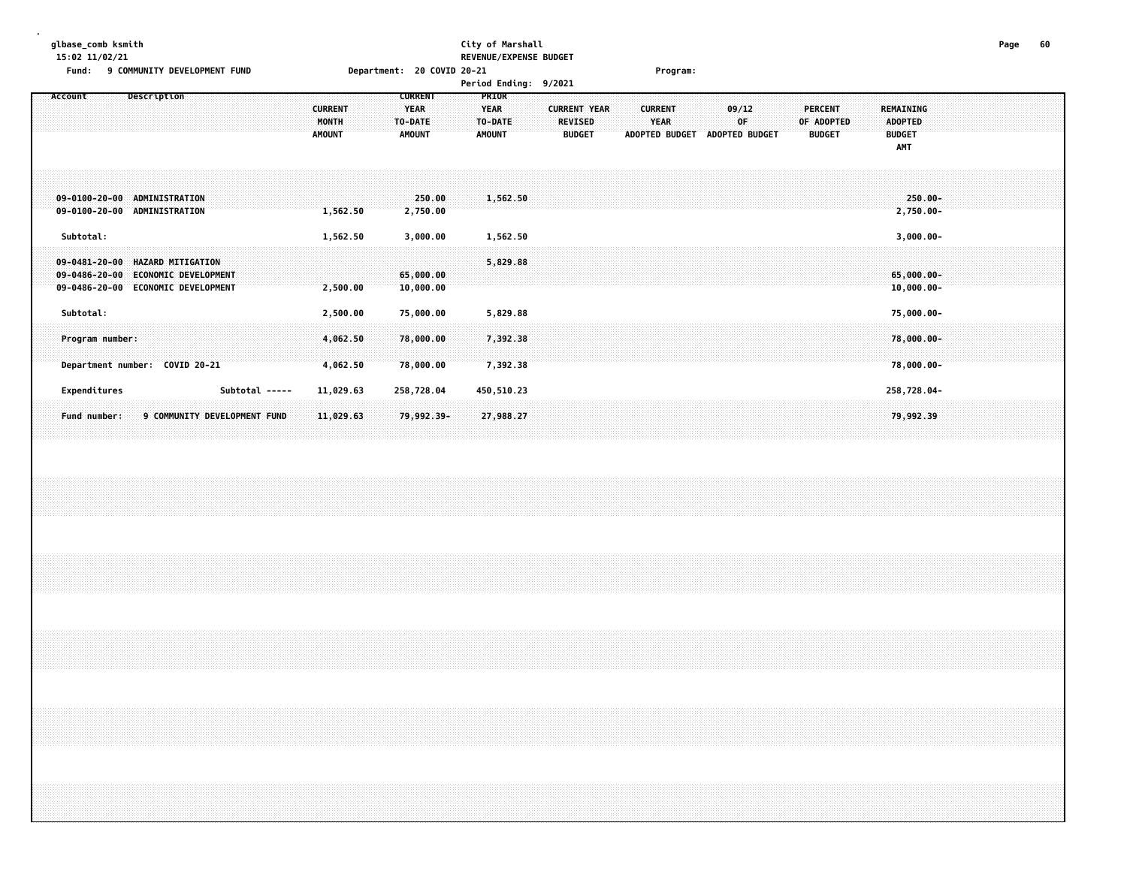# **glbase\_comb ksmith City of Marshall Page 60 15:02 11/02/21 REVENUE/EXPENSE BUDGET**

| Fund:     | 9 COMMUNITY DEVELOPMENT FUND                                                                              |                                | Department: 20 COVID 20-21               |                                 |                                       | Program:                      |                       |                              |                                    |  |
|-----------|-----------------------------------------------------------------------------------------------------------|--------------------------------|------------------------------------------|---------------------------------|---------------------------------------|-------------------------------|-----------------------|------------------------------|------------------------------------|--|
|           |                                                                                                           |                                |                                          | <b>Period Ending:</b>           | 9/2021                                |                               |                       |                              |                                    |  |
| Account   | Description                                                                                               | <b>CURRENT</b><br><b>MONTH</b> | <b>CURRENT</b><br><b>YEAR</b><br>TO-DATE | <b>PRIOR</b><br>YEAR<br>TO-DATE | <b>CURRENT YEAR</b><br><b>REVISED</b> | <b>CURRENT</b><br><b>YEAR</b> | 09/12<br>0F           | <b>PERCENT</b><br>OF ADOPTED | <b>REMAINING</b><br><b>ADOPTED</b> |  |
|           |                                                                                                           | <b>AMOUNT</b>                  | <b>AMOUNT</b>                            | <b>AMOUNT</b>                   | <b>BUDGET</b>                         | <b>ADOPTED BUDGET</b>         | <b>ADOPTED BUDGET</b> | <b>BUDGET</b>                | <b>BUDGET</b><br><b>AMT</b>        |  |
|           | $09 - 0100 - 20 - 00$<br><b>ADMINISTRATION</b>                                                            |                                | 250.00                                   | 1,562.50                        |                                       |                               |                       |                              | $250.00 -$                         |  |
|           | $09 - 0100 - 20 - 00$<br><b>ADMINISTRATION</b>                                                            | 1,562.50                       | 2,750.00                                 |                                 |                                       |                               |                       |                              | 2,750.00-                          |  |
| Subtotal: |                                                                                                           | 1,562.50                       | 3,000.00                                 | 1,562.50                        |                                       |                               |                       |                              | $3,000.00 -$                       |  |
|           | $09 - 0481 - 20 - 00$<br><b>HAZARD MITIGATION</b><br><b>ECONOMIC DEVELOPMENT</b><br>$09 - 0486 - 20 - 00$ |                                | 65,000.00                                | 5,829.88                        |                                       |                               |                       |                              | 65,000.00-                         |  |
|           | $09 - 0486 - 20 - 00$<br><b>ECONOMIC DEVELOPMENT</b>                                                      | 2,500.00                       | 10,000.00                                |                                 |                                       |                               |                       |                              | $10,000.00 -$                      |  |
| Subtotal: |                                                                                                           | 2,500.00                       | 75,000.00                                | 5,829.88                        |                                       |                               |                       |                              | 75,000.00-                         |  |
|           | Program number:                                                                                           | 4,062.50                       | 78,000.00                                | 7,392.38                        |                                       |                               |                       |                              | 78,000.00-                         |  |
|           | Department number: COVID 20-21                                                                            | 4,062.50                       | 78,000.00                                | 7,392.38                        |                                       |                               |                       |                              | 78,000.00-                         |  |
|           | Subtotal -----<br>Expenditures                                                                            | 11,029.63                      | 258,728.04                               | 450,510.23                      |                                       |                               |                       |                              | 258,728.04-                        |  |
|           | 9 COMMUNITY DEVELOPMENT FUND<br>Fund number:                                                              | 11,029.63                      | 79,992.39-                               | 27,988.27                       |                                       |                               |                       |                              | 79,992.39                          |  |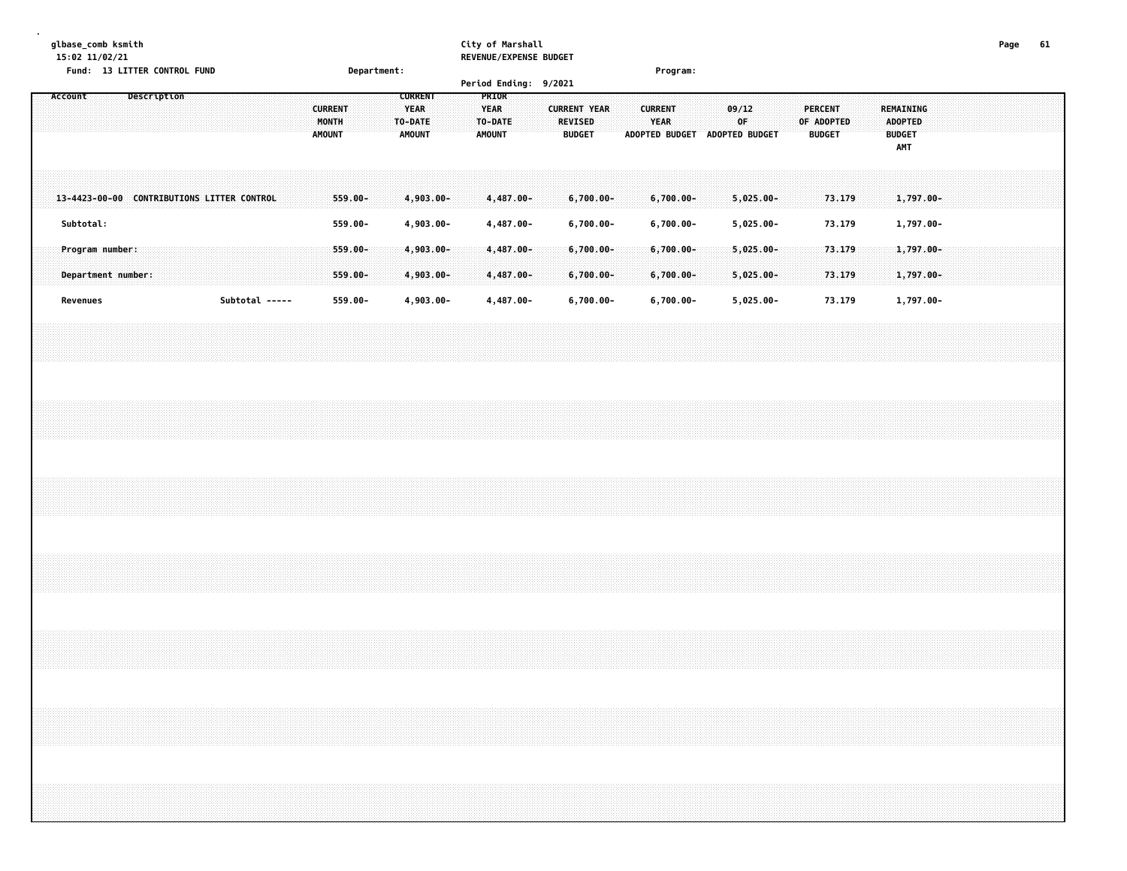| glbase_comb ksmith |  |
|--------------------|--|
|--------------------|--|

# **glbase\_comb ksmith City of Marshall Page 61**

**15:02 11/02/21 REVENUE/EXPENSE BUDGET**

|  |          |           |                                       |             | Fund: 13 LITTER CONTROL FUND               |  |                |  |                                          |                       | Department: |                                                    |                           |  |                                                   |                           | Period Ending: 9/2021 |                                                        |  |                        | Program:                      |  |                         |                              |              |                              |               |                  |  |                                                            |  |  |  |  |
|--|----------|-----------|---------------------------------------|-------------|--------------------------------------------|--|----------------|--|------------------------------------------|-----------------------|-------------|----------------------------------------------------|---------------------------|--|---------------------------------------------------|---------------------------|-----------------------|--------------------------------------------------------|--|------------------------|-------------------------------|--|-------------------------|------------------------------|--------------|------------------------------|---------------|------------------|--|------------------------------------------------------------|--|--|--|--|
|  | Account  |           |                                       | Description |                                            |  |                |  | <b>CURRENT</b><br>MONTH<br><b>AMOUNT</b> |                       |             | <b>CURRENT</b><br><b>YEAR</b><br>TO-DATE<br>AMOUNT |                           |  | PRIOR<br><b>YEAR</b><br>TO-DATE:<br><b>AMOUNT</b> |                           |                       | <b>CURRENT YEAR</b><br><b>REVISED</b><br><b>BUDGET</b> |  | <b>CURRENT</b><br>YEAR | ADOPTED BUDGET ADOPTED BUDGET |  | 09/12<br>0 <sup>F</sup> |                              |              | <b>PERCENT</b><br>OF ADOPTED | <b>BUDGET</b> |                  |  | REMAINING<br><b>ADOPTED</b><br><b>BUDGET</b><br><b>AMT</b> |  |  |  |  |
|  |          |           |                                       |             | 13-4423-00-00 CONTRIBUTIONS LITTER CONTROL |  |                |  |                                          | $559.00 -$            |             |                                                    | $4,903.00 -$              |  |                                                   | 4,487.00-                 |                       | $6,700.00 -$                                           |  |                        | $6,700.00 -$                  |  |                         | $5,025.00 -$                 |              |                              |               | 73.179           |  | $1,797.00 -$                                               |  |  |  |  |
|  |          | Subtotal: |                                       |             |                                            |  |                |  |                                          | 559.00-               |             |                                                    | 4,903.00-                 |  |                                                   | 4,487.00-                 |                       | $6,700.00 -$                                           |  |                        | $6,700.00-$                   |  |                         | $5,025.00 -$                 |              |                              |               | 73.179           |  | 1,797.00-                                                  |  |  |  |  |
|  |          |           | Program number:<br>Department number: |             |                                            |  |                |  |                                          | $559.00 -$<br>559.00- |             |                                                    | $4,903.00 -$<br>4,903.00- |  |                                                   | $4,487.00 -$<br>4,487.00- |                       | $6,700.00 -$<br>$6,700.00 -$                           |  |                        | $6,700.00 -$<br>6,700.00-     |  |                         | $5,025.00 -$<br>$5,025.00 -$ |              |                              |               | 73.179<br>73.179 |  | $1,797.00 -$<br>1,797.00-                                  |  |  |  |  |
|  | Revenues |           |                                       |             |                                            |  | Subtotal ----- |  |                                          | 559.00-               |             |                                                    | 4,903.00-                 |  |                                                   | 4,487.00-                 |                       | $6,700.00 -$                                           |  |                        | $6,700.00 -$                  |  |                         |                              | $5,025.00 -$ |                              |               | 73.179           |  | 1,797.00-                                                  |  |  |  |  |
|  |          |           |                                       |             |                                            |  |                |  |                                          |                       |             |                                                    |                           |  |                                                   |                           |                       |                                                        |  |                        |                               |  |                         |                              |              |                              |               |                  |  |                                                            |  |  |  |  |
|  |          |           |                                       |             |                                            |  |                |  |                                          |                       |             |                                                    |                           |  |                                                   |                           |                       |                                                        |  |                        |                               |  |                         |                              |              |                              |               |                  |  |                                                            |  |  |  |  |
|  |          |           |                                       |             |                                            |  |                |  |                                          |                       |             |                                                    |                           |  |                                                   |                           |                       |                                                        |  |                        |                               |  |                         |                              |              |                              |               |                  |  |                                                            |  |  |  |  |
|  |          |           |                                       |             |                                            |  |                |  |                                          |                       |             |                                                    |                           |  |                                                   |                           |                       |                                                        |  |                        |                               |  |                         |                              |              |                              |               |                  |  |                                                            |  |  |  |  |
|  |          |           |                                       |             |                                            |  |                |  |                                          |                       |             |                                                    |                           |  |                                                   |                           |                       |                                                        |  |                        |                               |  |                         |                              |              |                              |               |                  |  |                                                            |  |  |  |  |
|  |          |           |                                       |             |                                            |  |                |  |                                          |                       |             |                                                    |                           |  |                                                   |                           |                       |                                                        |  |                        |                               |  |                         |                              |              |                              |               |                  |  |                                                            |  |  |  |  |
|  |          |           |                                       |             |                                            |  |                |  |                                          |                       |             |                                                    |                           |  |                                                   |                           |                       |                                                        |  |                        |                               |  |                         |                              |              |                              |               |                  |  |                                                            |  |  |  |  |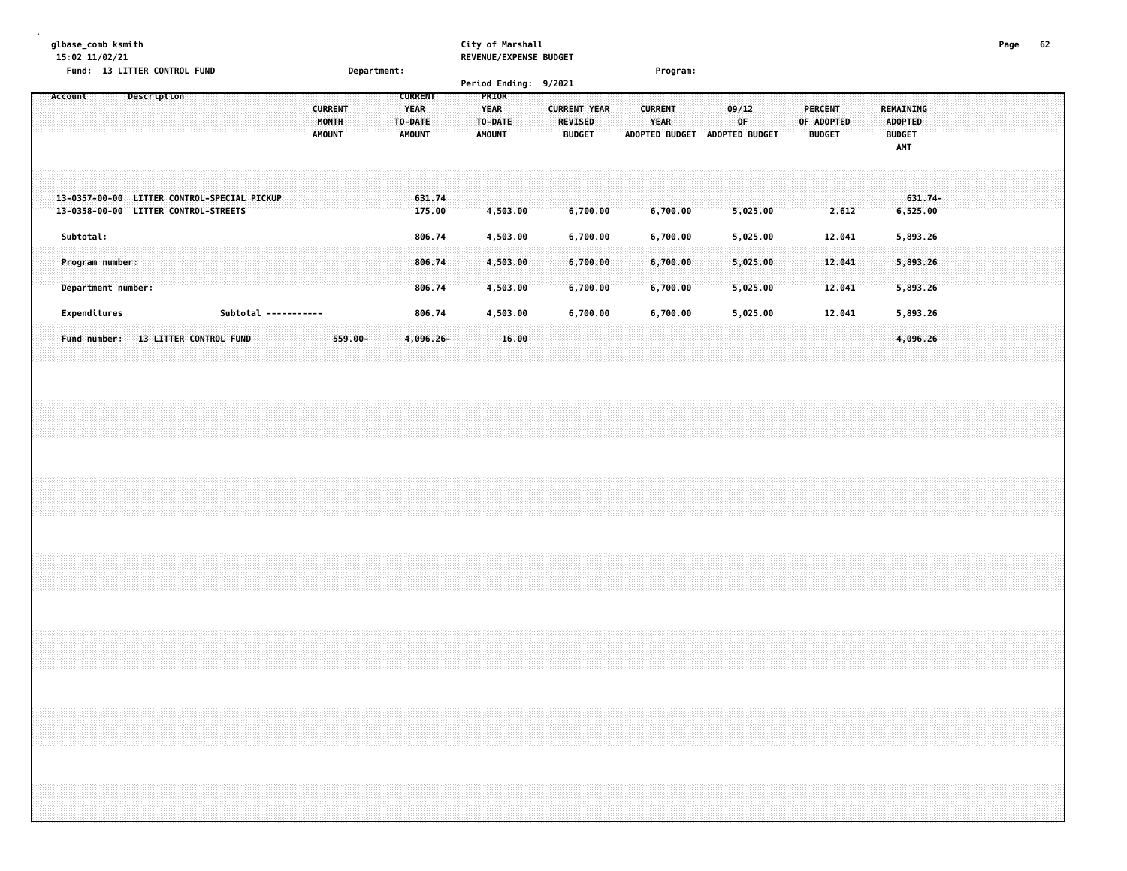### **glbase\_comb ksmith City of Marshall Page 62 15:02 11/02/21 REVENUE/EXPENSE BUDGET**

|                                | Fund: 13 LITTER CONTROL FUND          |             |                                                         |  |                      |                                          |         | Department: |                                                           |                                                  |                       |                                                        |                                                        | Program:             |                                      |                                               |                                                            |           |  |  |
|--------------------------------|---------------------------------------|-------------|---------------------------------------------------------|--|----------------------|------------------------------------------|---------|-------------|-----------------------------------------------------------|--------------------------------------------------|-----------------------|--------------------------------------------------------|--------------------------------------------------------|----------------------|--------------------------------------|-----------------------------------------------|------------------------------------------------------------|-----------|--|--|
|                                |                                       |             |                                                         |  |                      |                                          |         |             |                                                           |                                                  | Period Ending: 9/2021 |                                                        |                                                        |                      |                                      |                                               |                                                            |           |  |  |
| Account                        |                                       | Description |                                                         |  |                      | <b>CURRENT</b><br>MONTH<br><b>AMOUNT</b> |         |             | <b>CURRENT</b><br><b>YEAR</b><br><b>TO-DATE</b><br>AMOUNT | <b>PRIOR</b><br>YEAR<br>TO-DATE<br><b>AMOUNT</b> |                       | <b>CURRENT YEAR</b><br><b>REVISED</b><br><b>BUDGET</b> | <b>CURRENT</b><br><b>YEAR</b><br><b>ADOPTED BUDGET</b> |                      | 09/12<br><b>OF</b><br>ADOPTED BUDGET | <b>PERCENT</b><br>OF ADOPTED<br><b>BUDGET</b> | REMAINING<br><b>ADOPTED</b><br><b>BUDGET</b><br><b>AMT</b> |           |  |  |
| 13-0357-00-00<br>13-0358-00-00 |                                       |             | LITTER CONTROL-SPECIAL PICKUP<br>LITTER CONTROL-STREETS |  |                      |                                          |         |             | 631.74<br>175.00                                          |                                                  | 4,503.00              | 6,700.00                                               |                                                        | 6,700.00             | 5,025.00                             | 2.612                                         | 6,525.00                                                   | $631.74-$ |  |  |
| Subtotal:                      |                                       |             |                                                         |  |                      |                                          |         |             | 806.74                                                    |                                                  | 4,503.00              | 6,700.00                                               |                                                        | 6,700.00             | 5,025.00                             | 12.041                                        | 5,893.26                                                   |           |  |  |
|                                | Program number:<br>Department number: |             |                                                         |  |                      |                                          |         |             | 806.74<br>806.74                                          |                                                  | 4,503.00<br>4,503.00  | 6,700.00<br>6,700.00                                   |                                                        | 6,700.00<br>6,700.00 | 5,025.00<br>5,025.00                 | 12.041<br>12.041                              | 5,893.26<br>5,893.26                                       |           |  |  |
|                                | Expenditures                          |             |                                                         |  | Subtotal ----------- |                                          |         |             | 806.74                                                    |                                                  | 4,503.00              | 6,700.00                                               |                                                        | 6,700.00             | 5,025.00                             | 12.041                                        | 5,893.26                                                   |           |  |  |
|                                | Fund number:                          |             | <b>13 LITTER CONTROL FUND</b>                           |  |                      |                                          | 559.00- |             | $4,096.26 -$                                              |                                                  | 16.00                 |                                                        |                                                        |                      |                                      |                                               | 4,096.26                                                   |           |  |  |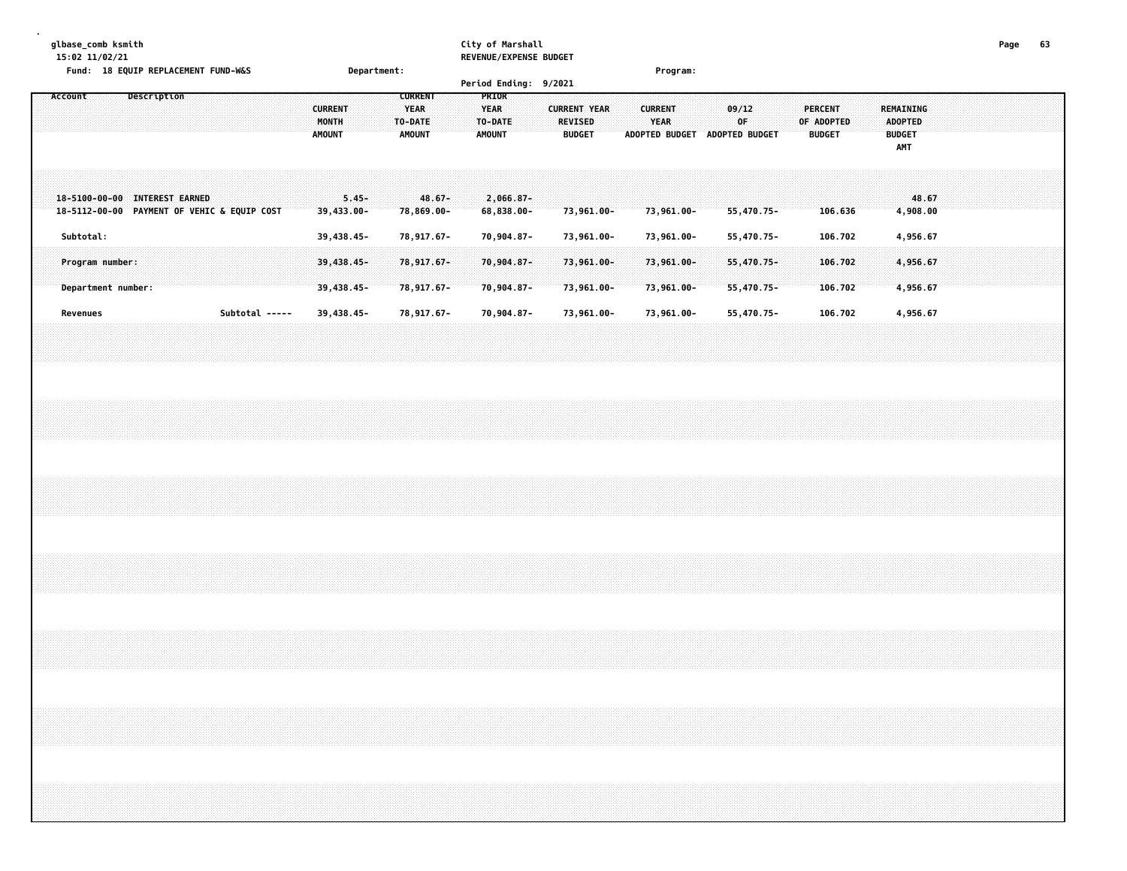# **glbase\_comb ksmith City of Marshall Page 63**

| 15:02 11/02/21                              |             |  |                |             |                | REVENUE/EXPENSE BUDGET |                     |                       |                       |                |                  |
|---------------------------------------------|-------------|--|----------------|-------------|----------------|------------------------|---------------------|-----------------------|-----------------------|----------------|------------------|
| Fund: 18 EQUIP REPLACEMENT FUND-W&S         |             |  |                | Department: |                |                        |                     | Program:              |                       |                |                  |
|                                             |             |  |                |             |                | Period Ending: 9/2021  |                     |                       |                       |                |                  |
| Account                                     | Description |  |                |             | <b>CURRENT</b> | <b>PRIOR</b>           |                     |                       |                       |                |                  |
|                                             |             |  | <b>CURRENT</b> |             | <b>YEAR</b>    | <b>YEAR</b>            | <b>CURRENT YEAR</b> | <b>CURRENT</b>        | 09/12                 | <b>PERCENT</b> | <b>REMAINING</b> |
|                                             |             |  | MONTH          |             | <b>TO-DATE</b> | <b>TO-DATE</b>         | <b>REVISED</b>      | <b>YEAR</b>           | -OF-                  | OF ADOPTED     | <b>ADOPTED</b>   |
|                                             |             |  | <b>AMOUNT</b>  |             | <b>AMOUNT</b>  | <b>AMOUNT</b>          | <b>BUDGET</b>       | <b>ADOPTED BUDGET</b> | <b>ADOPTED BUDGET</b> | <b>BUDGET</b>  | <b>BUDGET</b>    |
|                                             |             |  |                |             |                |                        |                     |                       |                       |                | AMT              |
|                                             |             |  |                |             |                |                        |                     |                       |                       |                |                  |
|                                             |             |  |                |             |                |                        |                     |                       |                       |                |                  |
|                                             |             |  |                |             |                |                        |                     |                       |                       |                |                  |
| 18-5100-00-00 INTEREST EARNED               |             |  |                | $5.45-$     | $48.67 -$      | $2,066.87-$            |                     |                       |                       |                | 48.67            |
| 18-5112-00-00 PAYMENT OF VEHIC & EQUIP COST |             |  | $39,433.00 -$  |             | 78,869.00-     | $68,838.00 -$          | 73,961.00-          | $73,961.00 -$         | $55,470.75 -$         | 106.636        | 4,908.00         |
|                                             |             |  |                |             |                |                        |                     |                       |                       |                |                  |
| Subtotal:                                   |             |  | 39,438.45-     |             | 78,917.67-     | 70,904.87-             | 73,961.00-          | 73,961.00-            | 55,470.75-            | 106.702        | 4,956.67         |
|                                             |             |  |                |             |                |                        |                     |                       |                       |                |                  |
| Program number:                             |             |  | $39,438.45 -$  |             | 78,917.67-     | 70,904.87-             | 73,961.00-          | 73,961.00-            | 55,470.75-            | 106.702        | 4,956.67         |
|                                             |             |  |                |             |                |                        |                     |                       |                       |                |                  |

 **Department number: 39,438.45- 78,917.67- 70,904.87- 73,961.00- 73,961.00- 55,470.75- 106.702 4,956.67** Revenues Subtotal ----- 39,438.45- 78,917.67- 70,904.87- 73,961.00- 73,961.00- 55,470.75- 106.702 4,956.67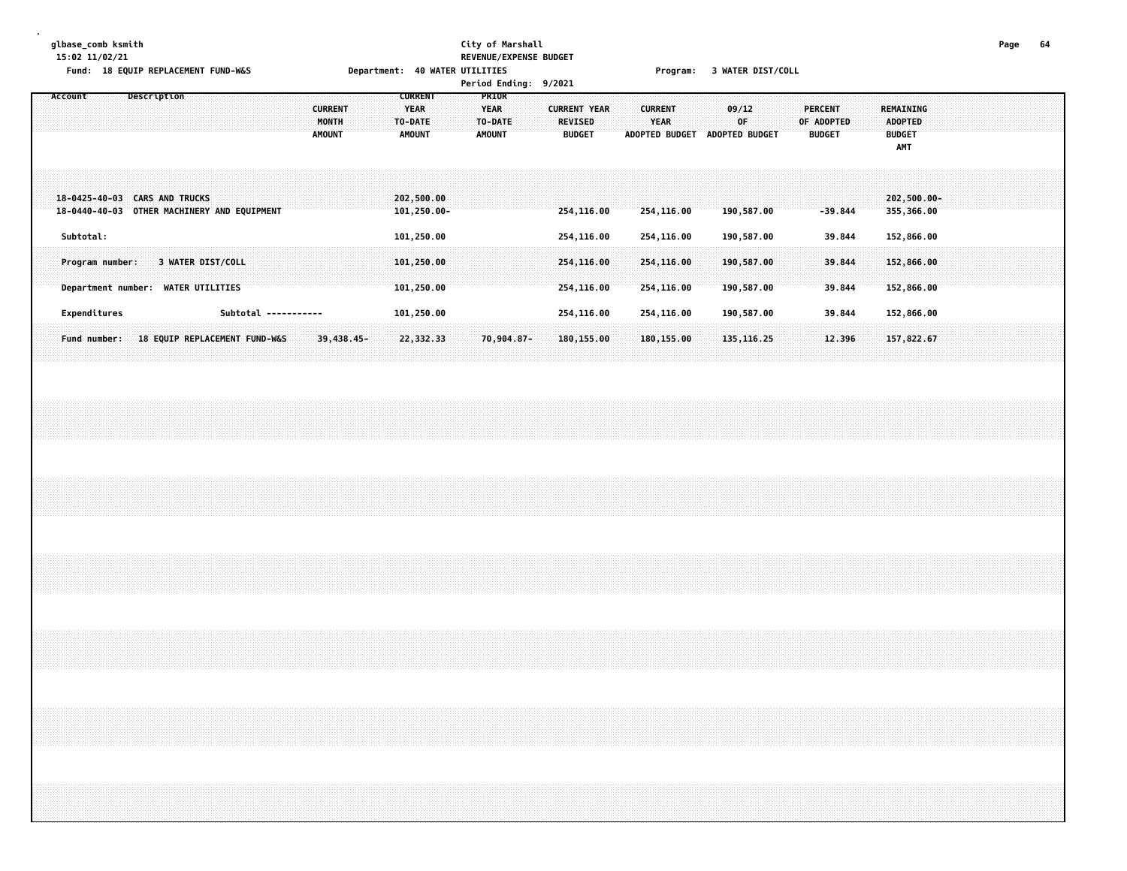### **glbase\_comb ksmith City of Marshall Page 64 15:02 11/02/21 REVENUE/EXPENSE BUDGET** Fund: 18 EQUIP REPLACEMENT FUND-W&S Department: 40 WATER UTILITIES Frogram: 3 WATER DIST/COLL

**Period Ending: 9/2021**

| Fund number:                  | Expenditures         | Program number:<br>Department number:       | Subtotal:  | 18-0425-40-03 CARS AND TRUCKS<br>18-0440-40-03 | Account                                                    |
|-------------------------------|----------------------|---------------------------------------------|------------|------------------------------------------------|------------------------------------------------------------|
|                               |                      |                                             |            |                                                |                                                            |
|                               |                      |                                             |            |                                                | Description                                                |
| 18 EQUIP REPLACEMENT FUND-W&S |                      | 3 WATER DIST/COLL<br><b>WATER UTILITIES</b> |            | OTHER MACHINERY AND EQUIPMENT                  |                                                            |
|                               |                      |                                             |            |                                                |                                                            |
|                               |                      |                                             |            |                                                |                                                            |
|                               | Subtotal ----------- |                                             |            |                                                |                                                            |
| $39,438.45-$                  |                      |                                             |            |                                                | <b>CURRENT</b><br>MONTH<br><b>AMOUNT</b>                   |
|                               |                      |                                             |            |                                                |                                                            |
| 22,332.33                     | 101,250.00           | 101,250.00<br>101,250.00                    | 101,250.00 | 202,500.00<br>101,250.00-                      | <b>CURRENT</b><br><b>YEAR</b><br>TO-DATE<br><b>AMOUNT</b>  |
|                               |                      |                                             |            |                                                |                                                            |
|                               |                      |                                             |            |                                                | <b>PRIOR</b><br><b>YEAR</b><br>TO-DATE<br><b>AMOUNT</b>    |
| 70,904.87-                    |                      |                                             |            |                                                |                                                            |
|                               |                      |                                             |            |                                                |                                                            |
| 180,155.00                    | 254,116.00           | 254,116.00<br>254,116.00                    | 254,116.00 | 254,116.00                                     | <b>CURRENT YEAR</b><br><b>REVISED</b><br><b>BUDGET</b>     |
|                               |                      |                                             |            |                                                |                                                            |
|                               |                      |                                             |            |                                                |                                                            |
| 180,155.00                    | 254,116.00           | 254,116.00<br>254,116.00                    | 254,116.00 | 254,116.00                                     | <b>CURRENT</b><br><b>YEAR</b><br><b>ADOPTED BUDGET</b>     |
|                               |                      |                                             |            |                                                |                                                            |
| 135,116.25                    | 190,587.00           | 190,587.00<br>190,587.00                    | 190,587.00 | 190,587.00                                     | 09/12<br><b>OF</b><br><b>ADOPTED BUDGET</b>                |
|                               |                      |                                             |            |                                                |                                                            |
|                               |                      |                                             |            |                                                |                                                            |
| 12.396                        | 39.844               | 39.844<br>39.844                            | 39.844     | $-39.844$                                      | PERCENT<br>OF ADOPTED<br><b>BUDGET</b>                     |
|                               |                      |                                             |            |                                                |                                                            |
| 157,822.67                    | 152,866.00           | 152,866.00<br>152,866.00                    | 152,866.00 | $202,500.00 -$<br>355,366.00                   | REMAINING<br><b>ADOPTED</b><br><b>BUDGET</b><br><b>AMT</b> |
|                               |                      |                                             |            |                                                |                                                            |
|                               |                      |                                             |            |                                                |                                                            |
|                               |                      |                                             |            |                                                |                                                            |
|                               |                      |                                             |            |                                                |                                                            |
|                               |                      |                                             |            |                                                |                                                            |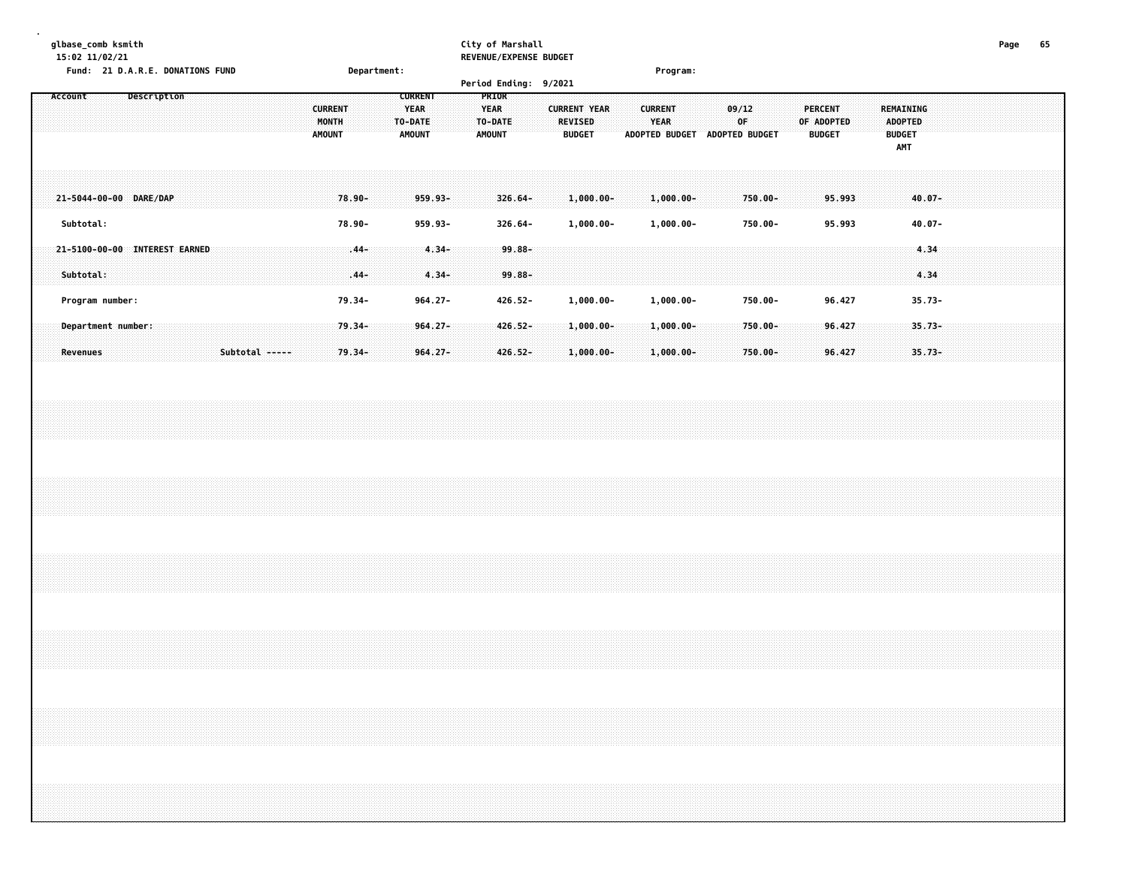|  | glbase_comb ksmith<br>15:02 11/02/21 |  |                                  |  |  |  |                |                                          |                   |  |                                                           |                          |  |                                                  |                       | City of Marshall<br>REVENUE/EXPENSE BUDGET |                                                 |                              |  |                               |                               |  |             |                       |  |                                 |                  |  |                      |                      |                       |  | Page 65 |  |
|--|--------------------------------------|--|----------------------------------|--|--|--|----------------|------------------------------------------|-------------------|--|-----------------------------------------------------------|--------------------------|--|--------------------------------------------------|-----------------------|--------------------------------------------|-------------------------------------------------|------------------------------|--|-------------------------------|-------------------------------|--|-------------|-----------------------|--|---------------------------------|------------------|--|----------------------|----------------------|-----------------------|--|---------|--|
|  |                                      |  | Fund: 21 D.A.R.E. DONATIONS FUND |  |  |  |                |                                          | Department:       |  |                                                           |                          |  |                                                  |                       | Period Ending: 9/2021                      |                                                 |                              |  |                               | Program:                      |  |             |                       |  |                                 |                  |  |                      |                      |                       |  |         |  |
|  | Account                              |  | Description                      |  |  |  |                | <b>CURRENT</b><br>MONTH<br><b>AMOUNT</b> |                   |  | <b>CURRENT</b><br><b>YEAR</b><br>TO-DATE<br><b>AMOUNT</b> |                          |  | PRIOR<br><b>YEAR</b><br>TO-DATE<br><b>AMOUNT</b> |                       |                                            | <b>CURRENT YEAR</b><br>REVISED<br><b>BUDGET</b> |                              |  | <b>CURRENT</b><br><b>YEAR</b> | ADOPTED BUDGET ADOPTED BUDGET |  | 09/12<br>0F |                       |  | <b>PERCENT</b><br><b>BUDGET</b> | OF ADOPTED       |  | <b>BUDGET</b><br>AMT | REMAINING<br>ADOPTED |                       |  |         |  |
|  |                                      |  | 21-5044-00-00 DARE/DAP           |  |  |  |                |                                          | 78.90-            |  |                                                           | 959.93-                  |  |                                                  | $326.64 -$            |                                            |                                                 | $1,000.00 -$                 |  |                               | $1,000.00 -$                  |  | $750.00 -$  |                       |  |                                 | 95.993           |  |                      |                      | $40.07 -$             |  |         |  |
|  | Subtotal:                            |  |                                  |  |  |  |                |                                          | 78.90-            |  |                                                           | 959.93-                  |  |                                                  | 326.64-               |                                            |                                                 | $1,000.00-$                  |  |                               | $1,000.00-$                   |  |             | 750.00-               |  |                                 | 95.993           |  |                      |                      | $40.07 -$             |  |         |  |
|  | Subtotal:                            |  | 21-5100-00-00 INTEREST EARNED    |  |  |  |                |                                          | $.44 -$<br>$.44-$ |  |                                                           | $4.34 -$<br>$4.34 -$     |  |                                                  | $99.88 -$<br>99.88-   |                                            |                                                 |                              |  |                               |                               |  |             |                       |  |                                 |                  |  |                      |                      | 4.34<br>4.34          |  |         |  |
|  | Program number:                      |  |                                  |  |  |  |                |                                          | 79.34-            |  |                                                           | $964.27 -$               |  |                                                  | 426.52-               |                                            |                                                 | $1,000.00-$                  |  |                               | $1,000.00-$                   |  |             | 750.00-               |  |                                 | 96.427           |  |                      |                      | $35.73 -$             |  |         |  |
|  | Revenues                             |  | Department number:               |  |  |  | Subtotal ----- |                                          | 79.34-<br>79.34-  |  |                                                           | $964.27 -$<br>$964.27 -$ |  |                                                  | $426.52 -$<br>426.52- |                                            |                                                 | $1,000.00 -$<br>$1,000.00 -$ |  |                               | $1,000.00 -$<br>$1,000.00 -$  |  |             | $750.00 -$<br>750.00- |  |                                 | 96,427<br>96.427 |  |                      |                      | $35.73 -$<br>$35.73-$ |  |         |  |
|  |                                      |  |                                  |  |  |  |                |                                          |                   |  |                                                           |                          |  |                                                  |                       |                                            |                                                 |                              |  |                               |                               |  |             |                       |  |                                 |                  |  |                      |                      |                       |  |         |  |
|  |                                      |  |                                  |  |  |  |                |                                          |                   |  |                                                           |                          |  |                                                  |                       |                                            |                                                 |                              |  |                               |                               |  |             |                       |  |                                 |                  |  |                      |                      |                       |  |         |  |
|  |                                      |  |                                  |  |  |  |                |                                          |                   |  |                                                           |                          |  |                                                  |                       |                                            |                                                 |                              |  |                               |                               |  |             |                       |  |                                 |                  |  |                      |                      |                       |  |         |  |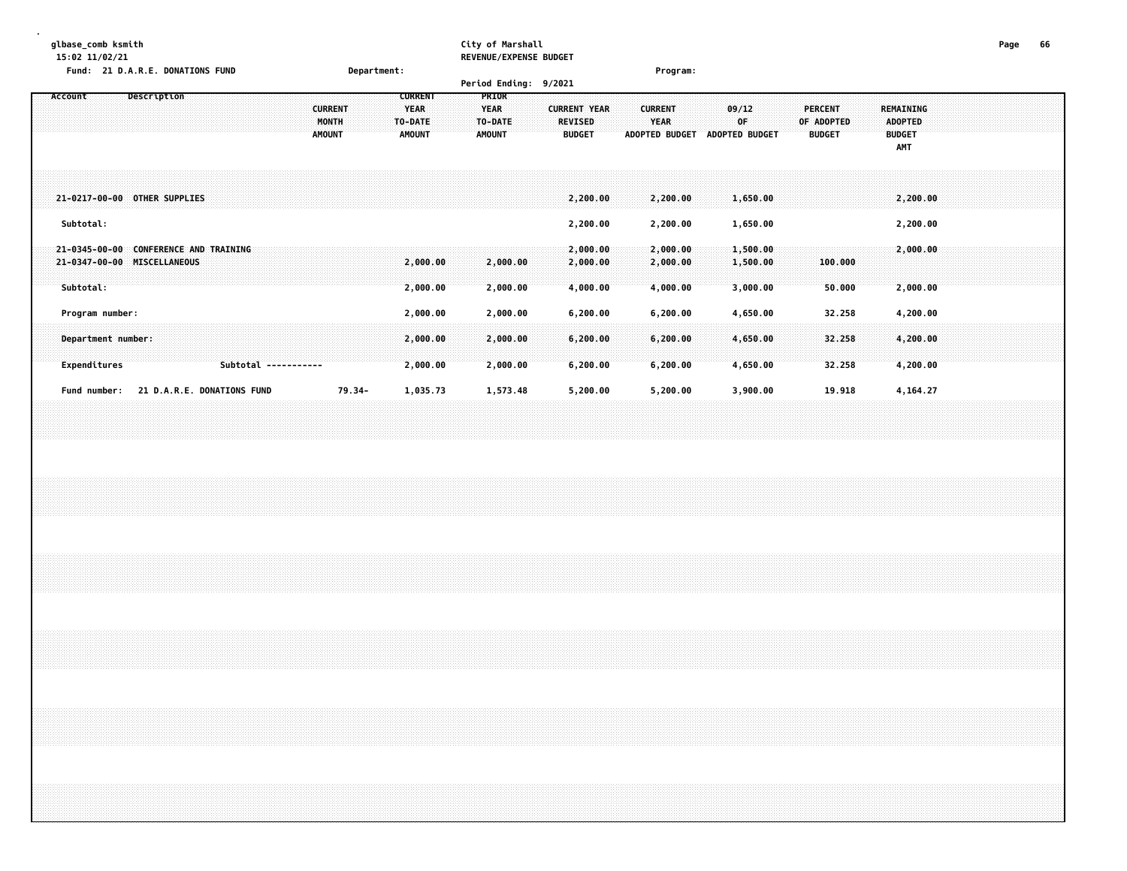| glbase comb ksmith                      |             | City of Marshall              | Page | oo |
|-----------------------------------------|-------------|-------------------------------|------|----|
| 15:02 11/02/21                          |             | <b>REVENUE/EXPENSE BUDGET</b> |      |    |
| <b>Fund: 21 D.A.R.E. DONATIONS FUND</b> | Department: | Program:                      |      |    |
|                                         |             | Deviad Cadina: 0/3031         |      |    |

|                                                                   |                                |                            |                                          |        |                                                    | $r$ er tou Enutrig. $\frac{1}{2}$ /2021          |                                                        |                                                        |                                  |                                        |                                                            |  |
|-------------------------------------------------------------------|--------------------------------|----------------------------|------------------------------------------|--------|----------------------------------------------------|--------------------------------------------------|--------------------------------------------------------|--------------------------------------------------------|----------------------------------|----------------------------------------|------------------------------------------------------------|--|
| Account                                                           | Description                    |                            | <b>CURRENT</b><br>MONTH<br><b>AMOUNT</b> |        | <b>CURRENT</b><br><b>YEAR</b><br>TO-DATE<br>AMOUNT | <b>PRIOR</b><br><b>YEAR</b><br>TO-DATE<br>AMOUNT | <b>CURRENT YEAR</b><br><b>REVISED</b><br><b>BUDGET</b> | <b>CURRENT</b><br><b>YEAR</b><br><b>ADOPTED BUDGET</b> | 09/12<br>0F<br>ADOPTED BUDGET    | PERCENT<br>OF ADOPTED<br><b>BUDGET</b> | <b>REMAINING</b><br><b>ADOPTED</b><br><b>BUDGET</b><br>AMT |  |
| 21-0217-00-00 OTHER SUPPLIES                                      |                                |                            |                                          |        |                                                    |                                                  | 2,200.00                                               | 2,200.00                                               | 1,650.00                         |                                        | 2,200.00                                                   |  |
| Subtotal:                                                         |                                |                            |                                          |        |                                                    |                                                  | 2,200.00                                               | 2,200.00                                               | 1,650.00                         |                                        | 2,200.00                                                   |  |
| $21 - 0345 - 00 - 00$<br>21-0347-00-00 MISCELLANEOUS<br>Subtotal: | <b>CONFERENCE AND TRAINING</b> |                            |                                          |        | 2,000.00<br>2,000.00                               | 2,000.00<br>2,000.00                             | 2,000.00<br>2,000.00<br>4,000.00                       | 2,000.00<br>2,000.00<br>4,000.00                       | 1,500.00<br>1,500.00<br>3,000.00 | 100.000<br>50.000                      | 2,000.00<br>2,000.00                                       |  |
| Program number:                                                   |                                |                            |                                          |        | 2,000.00                                           | 2,000.00                                         | 6,200.00                                               | 6, 200.00                                              | 4,650.00                         | 32.258                                 | 4,200.00                                                   |  |
| Department number:                                                |                                |                            |                                          |        | 2,000.00                                           | 2,000.00                                         | 6,200.00                                               | 6,200.00                                               | 4,650.00                         | 32.258                                 | 4,200.00                                                   |  |
| Expenditures                                                      |                                |                            | Subtotal -----------                     |        | 2,000.00                                           | 2,000.00                                         | 6,200.00                                               | 6,200.00                                               | 4,650.00                         | 32.258                                 | 4,200.00                                                   |  |
| Fund number:                                                      |                                | 21 D.A.R.E. DONATIONS FUND |                                          | 79.34- | 1,035.73                                           | 1,573.48                                         | 5,200.00                                               | 5,200.00                                               | 3,900.00                         | 19.918                                 | 4,164.27                                                   |  |
|                                                                   |                                |                            |                                          |        |                                                    |                                                  |                                                        |                                                        |                                  |                                        |                                                            |  |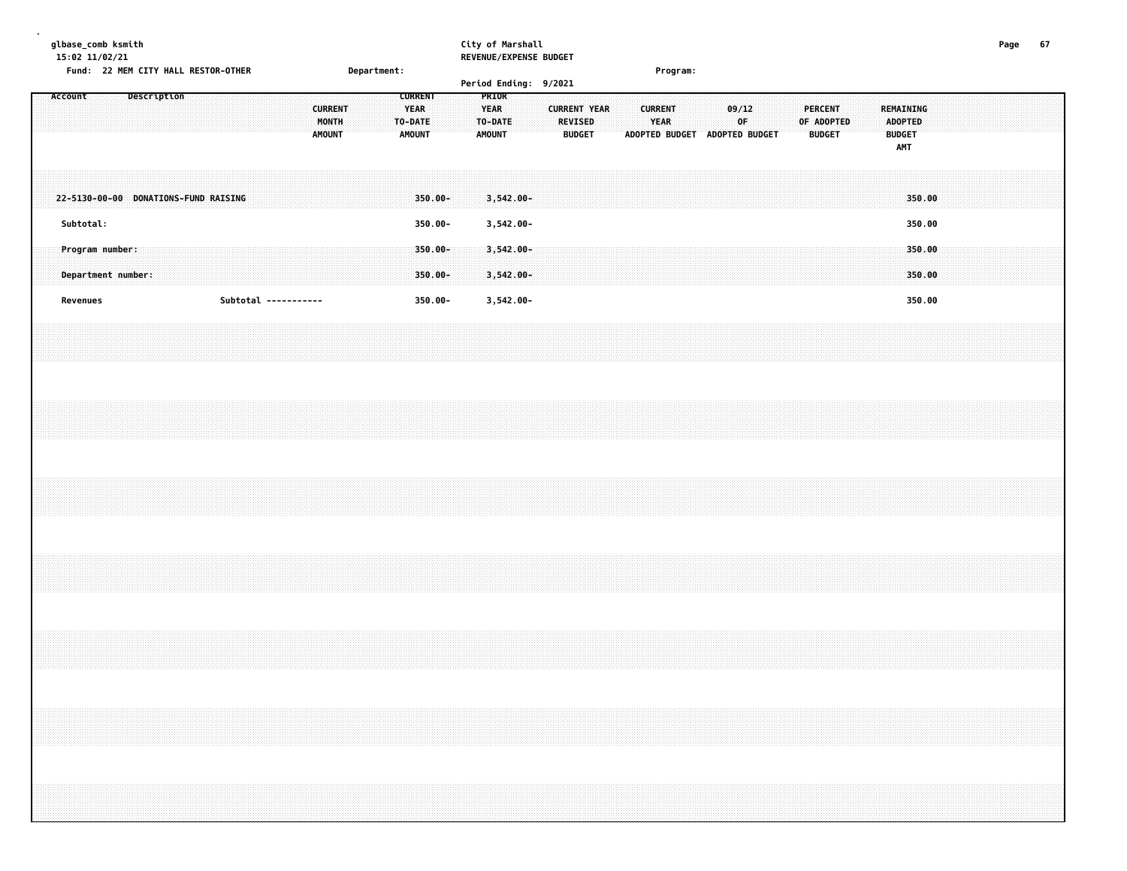| µlbase_comb ksmith |  |
|--------------------|--|
|--------------------|--|

### **glbase\_comb ksmith City of Marshall Page 67 15:02 11/02/21 REVENUE/EXPENSE BUDGET**

|         | Fund: 22 MEM CITY HALL RESTOR-OTHER   |  |             |  |                      |  |  |                                          |  | Department: |                                                           |                       |  |                                                  |                              | Period Ending: 9/2021 |                                                        |  |                               | Program: |                               |       |    |  |            |                                 |  |                                                            |                  |  |  |  |  |
|---------|---------------------------------------|--|-------------|--|----------------------|--|--|------------------------------------------|--|-------------|-----------------------------------------------------------|-----------------------|--|--------------------------------------------------|------------------------------|-----------------------|--------------------------------------------------------|--|-------------------------------|----------|-------------------------------|-------|----|--|------------|---------------------------------|--|------------------------------------------------------------|------------------|--|--|--|--|
| Account |                                       |  | Description |  |                      |  |  | <b>CURRENT</b><br>MONTH<br><b>AMOUNT</b> |  |             | <b>CURRENT</b><br><b>YEAR</b><br>TO-DATE<br><b>AMOUNT</b> |                       |  | PRIOR<br><b>YEAR</b><br>TO-DATE<br><b>AMOUNT</b> |                              |                       | <b>CURRENT YEAR</b><br><b>REVISED</b><br><b>BUDGET</b> |  | <b>CURRENT</b><br><b>YEAR</b> |          | ADOPTED BUDGET ADOPTED BUDGET | 09/12 | 0F |  | OF ADOPTED | <b>PERCENT</b><br><b>BUDGET</b> |  | REMAINING<br><b>ADOPTED</b><br><b>BUDGET</b><br><b>AMT</b> |                  |  |  |  |  |
|         | 22-5130-00-00 DONATIONS-FUND RAISING  |  |             |  |                      |  |  |                                          |  |             |                                                           | $350.00 -$            |  |                                                  | $3,542.00 -$                 |                       |                                                        |  |                               |          |                               |       |    |  |            |                                 |  |                                                            | 350.00           |  |  |  |  |
|         | Subtotal:                             |  |             |  |                      |  |  |                                          |  |             |                                                           | 350.00-               |  |                                                  | 3,542.00-                    |                       |                                                        |  |                               |          |                               |       |    |  |            |                                 |  |                                                            | 350.00           |  |  |  |  |
|         | Program number:<br>Department number: |  |             |  |                      |  |  |                                          |  |             |                                                           | 350.00-<br>$350.00 -$ |  |                                                  | $3,542.00 -$<br>$3,542.00 -$ |                       |                                                        |  |                               |          |                               |       |    |  |            |                                 |  |                                                            | 350.00<br>350.00 |  |  |  |  |
|         | Revenues                              |  |             |  | Subtotal ----------- |  |  |                                          |  |             |                                                           | 350.00-               |  |                                                  | 3,542.00-                    |                       |                                                        |  |                               |          |                               |       |    |  |            |                                 |  |                                                            | 350.00           |  |  |  |  |
|         |                                       |  |             |  |                      |  |  |                                          |  |             |                                                           |                       |  |                                                  |                              |                       |                                                        |  |                               |          |                               |       |    |  |            |                                 |  |                                                            |                  |  |  |  |  |
|         |                                       |  |             |  |                      |  |  |                                          |  |             |                                                           |                       |  |                                                  |                              |                       |                                                        |  |                               |          |                               |       |    |  |            |                                 |  |                                                            |                  |  |  |  |  |
|         |                                       |  |             |  |                      |  |  |                                          |  |             |                                                           |                       |  |                                                  |                              |                       |                                                        |  |                               |          |                               |       |    |  |            |                                 |  |                                                            |                  |  |  |  |  |
|         |                                       |  |             |  |                      |  |  |                                          |  |             |                                                           |                       |  |                                                  |                              |                       |                                                        |  |                               |          |                               |       |    |  |            |                                 |  |                                                            |                  |  |  |  |  |
|         |                                       |  |             |  |                      |  |  |                                          |  |             |                                                           |                       |  |                                                  |                              |                       |                                                        |  |                               |          |                               |       |    |  |            |                                 |  |                                                            |                  |  |  |  |  |
|         |                                       |  |             |  |                      |  |  |                                          |  |             |                                                           |                       |  |                                                  |                              |                       |                                                        |  |                               |          |                               |       |    |  |            |                                 |  |                                                            |                  |  |  |  |  |
|         |                                       |  |             |  |                      |  |  |                                          |  |             |                                                           |                       |  |                                                  |                              |                       |                                                        |  |                               |          |                               |       |    |  |            |                                 |  |                                                            |                  |  |  |  |  |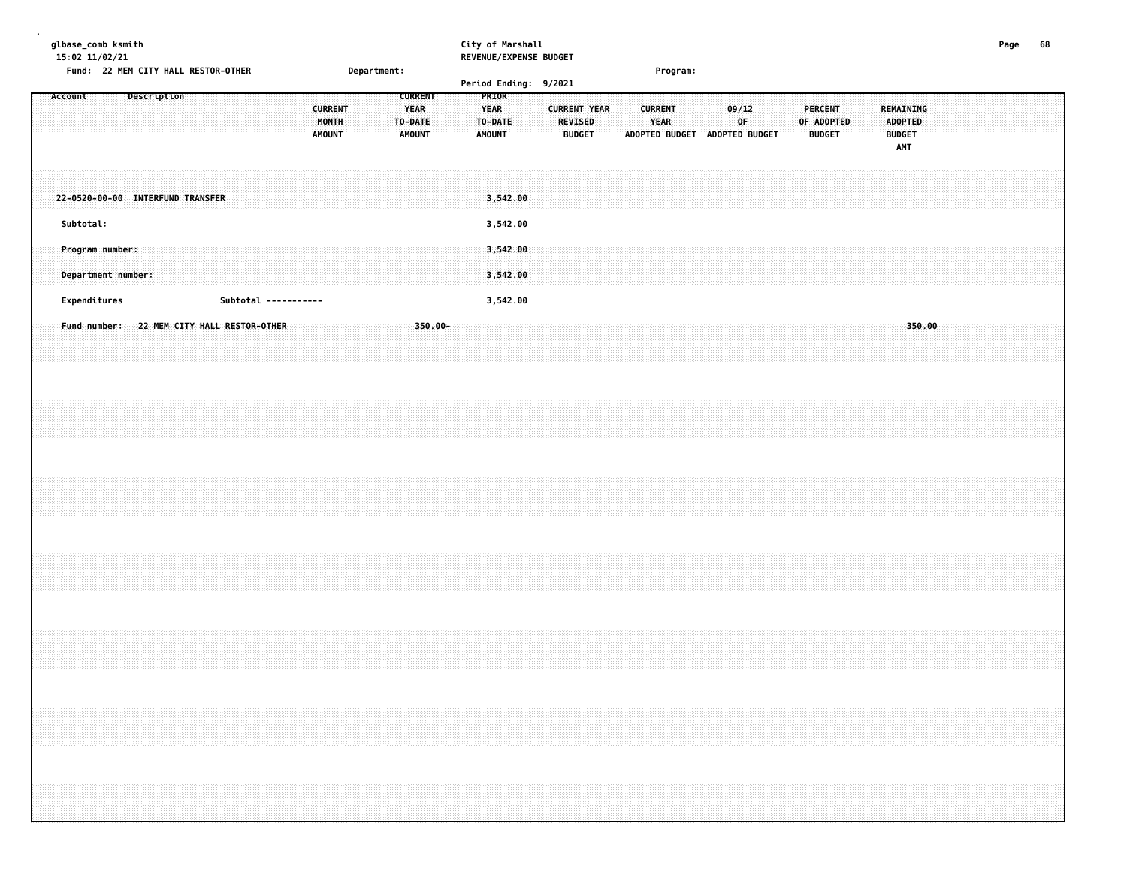| glbase_comb ksmith<br>15:02 11/02/21          | Fund: 22 MEM CITY HALL RESTOR-OTHER |             |  |  |                                                       |                                          | Department: |                                                           |  | City of Marshall                                 |                      | REVENUE/EXPENSE BUDGET |                                                        |  |                               | Program: |             |                               |  |                                               |  |                                                     |        |  | Page | 68 |  |
|-----------------------------------------------|-------------------------------------|-------------|--|--|-------------------------------------------------------|------------------------------------------|-------------|-----------------------------------------------------------|--|--------------------------------------------------|----------------------|------------------------|--------------------------------------------------------|--|-------------------------------|----------|-------------|-------------------------------|--|-----------------------------------------------|--|-----------------------------------------------------|--------|--|------|----|--|
| Account                                       |                                     | Description |  |  |                                                       | <b>CURRENT</b><br>MONTH<br><b>AMOUNT</b> |             | <b>CURRENT</b><br><b>YEAR</b><br>TO-DATE<br><b>AMOUNT</b> |  | PRIOR<br><b>YEAR</b><br>TO-DATE<br><b>AMOUNT</b> |                      | Period Ending: 9/2021  | <b>CURRENT YEAR</b><br><b>REVISED</b><br><b>BUDGET</b> |  | <b>CURRENT</b><br><b>YEAR</b> |          | 09/12<br>0F | ADOPTED BUDGET ADOPTED BUDGET |  | <b>PERCENT</b><br>OF ADOPTED<br><b>BUDGET</b> |  | REMAINING<br><b>ADOPTED</b><br><b>BUDGET</b><br>AMT |        |  |      |    |  |
| 22-0520-00-00 INTERFUND TRANSFER<br>Subtotal: |                                     |             |  |  |                                                       |                                          |             |                                                           |  |                                                  | 3,542.00<br>3,542.00 |                        |                                                        |  |                               |          |             |                               |  |                                               |  |                                                     |        |  |      |    |  |
| Program number:<br>Department number:         |                                     |             |  |  |                                                       |                                          |             |                                                           |  |                                                  | 3,542.00<br>3,542.00 |                        |                                                        |  |                               |          |             |                               |  |                                               |  |                                                     |        |  |      |    |  |
| Expenditures<br>Fund number:                  |                                     |             |  |  | Subtotal -----------<br>22 MEM CITY HALL RESTOR-OTHER |                                          |             | 350.00-                                                   |  |                                                  | 3,542.00             |                        |                                                        |  |                               |          |             |                               |  |                                               |  |                                                     | 350.00 |  |      |    |  |
|                                               |                                     |             |  |  |                                                       |                                          |             |                                                           |  |                                                  |                      |                        |                                                        |  |                               |          |             |                               |  |                                               |  |                                                     |        |  |      |    |  |
|                                               |                                     |             |  |  |                                                       |                                          |             |                                                           |  |                                                  |                      |                        |                                                        |  |                               |          |             |                               |  |                                               |  |                                                     |        |  |      |    |  |
|                                               |                                     |             |  |  |                                                       |                                          |             |                                                           |  |                                                  |                      |                        |                                                        |  |                               |          |             |                               |  |                                               |  |                                                     |        |  |      |    |  |
|                                               |                                     |             |  |  |                                                       |                                          |             |                                                           |  |                                                  |                      |                        |                                                        |  |                               |          |             |                               |  |                                               |  |                                                     |        |  |      |    |  |
|                                               |                                     |             |  |  |                                                       |                                          |             |                                                           |  |                                                  |                      |                        |                                                        |  |                               |          |             |                               |  |                                               |  |                                                     |        |  |      |    |  |
|                                               |                                     |             |  |  |                                                       |                                          |             |                                                           |  |                                                  |                      |                        |                                                        |  |                               |          |             |                               |  |                                               |  |                                                     |        |  |      |    |  |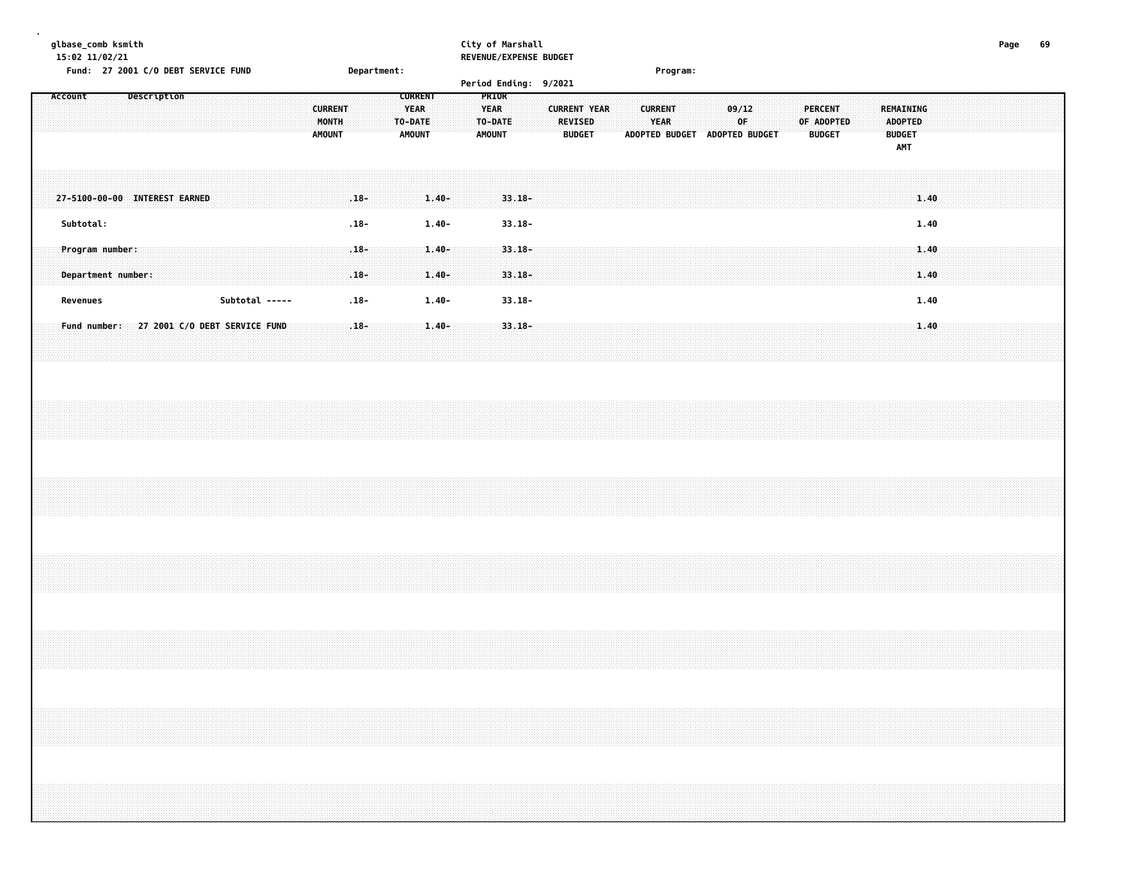# **glbase\_comb ksmith City of Marshall Page 69**

| $15:02$ $11/02/21$<br>Fund: 27 2001 C/O DEBT SERVICE FUND<br>Department: |           |                 |  |  |                                            |  |  |  |  |  | REVENUE/EXPENSE BUDGET |  |                                   |                   |  |                                                    |                      |  |  |                                         | Program: |                        |                       |  |                                 |                     |  |  |                        |  |  |                               |             |  |  |  |                                 |            |  |           |                                        |              |  |  |  |  |
|--------------------------------------------------------------------------|-----------|-----------------|--|--|--------------------------------------------|--|--|--|--|--|------------------------|--|-----------------------------------|-------------------|--|----------------------------------------------------|----------------------|--|--|-----------------------------------------|----------|------------------------|-----------------------|--|---------------------------------|---------------------|--|--|------------------------|--|--|-------------------------------|-------------|--|--|--|---------------------------------|------------|--|-----------|----------------------------------------|--------------|--|--|--|--|
|                                                                          |           |                 |  |  |                                            |  |  |  |  |  |                        |  |                                   |                   |  |                                                    |                      |  |  |                                         |          |                        | Period Ending: 9/2021 |  |                                 |                     |  |  |                        |  |  |                               |             |  |  |  |                                 |            |  |           |                                        |              |  |  |  |  |
|                                                                          | Account   |                 |  |  | Description                                |  |  |  |  |  |                        |  | <b>CURRENT</b><br>MONTH<br>AMOUNT |                   |  | <b>CURRENT</b><br><b>YEAR</b><br>TO-DATE<br>AMOUNT |                      |  |  | <b>YEAR</b><br>TO-DATE<br><b>AMOUNT</b> | PRIOR    |                        |                       |  | <b>REVISED</b><br><b>BUDGET</b> | <b>CURRENT YEAR</b> |  |  | <b>CURRENT</b><br>YEAR |  |  | ADOPTED BUDGET ADOPTED BUDGET | 09/12<br>0F |  |  |  | <b>PERCENT</b><br><b>BUDGET</b> | OF ADOPTED |  | REMAINING | <b>ADOPTED</b><br><b>BUDGET</b><br>AMT |              |  |  |  |  |
|                                                                          |           |                 |  |  | 27-5100-00-00 INTEREST EARNED              |  |  |  |  |  |                        |  |                                   | $.18 -$           |  |                                                    | $1.40 -$             |  |  |                                         |          | $33.18 -$              |                       |  |                                 |                     |  |  |                        |  |  |                               |             |  |  |  |                                 |            |  |           |                                        | 1.40         |  |  |  |  |
|                                                                          | Subtotal: |                 |  |  |                                            |  |  |  |  |  |                        |  |                                   | $.18 -$           |  |                                                    | $1.40 -$             |  |  |                                         |          | $33.18 -$              |                       |  |                                 |                     |  |  |                        |  |  |                               |             |  |  |  |                                 |            |  |           |                                        | 1.40         |  |  |  |  |
|                                                                          |           | Program number: |  |  | Department number:                         |  |  |  |  |  |                        |  |                                   | $.18 -$<br>$.18-$ |  |                                                    | $1.40 -$<br>$1.40 -$ |  |  |                                         |          | $33.18 -$<br>$33.18 -$ |                       |  |                                 |                     |  |  |                        |  |  |                               |             |  |  |  |                                 |            |  |           |                                        | 1.40<br>1.40 |  |  |  |  |
|                                                                          |           | Revenues        |  |  |                                            |  |  |  |  |  | Subtotal -----         |  |                                   | $.18 -$           |  |                                                    | $1.40 -$             |  |  |                                         |          | $33.18 -$              |                       |  |                                 |                     |  |  |                        |  |  |                               |             |  |  |  |                                 |            |  |           |                                        | 1.40         |  |  |  |  |
|                                                                          |           |                 |  |  | Fund number: 27 2001 C/O DEBT SERVICE FUND |  |  |  |  |  |                        |  |                                   | $.18 -$           |  |                                                    | $1.40 -$             |  |  |                                         |          | $33.18 -$              |                       |  |                                 |                     |  |  |                        |  |  |                               |             |  |  |  |                                 |            |  |           |                                        | 1.40         |  |  |  |  |
|                                                                          |           |                 |  |  |                                            |  |  |  |  |  |                        |  |                                   |                   |  |                                                    |                      |  |  |                                         |          |                        |                       |  |                                 |                     |  |  |                        |  |  |                               |             |  |  |  |                                 |            |  |           |                                        |              |  |  |  |  |
|                                                                          |           |                 |  |  |                                            |  |  |  |  |  |                        |  |                                   |                   |  |                                                    |                      |  |  |                                         |          |                        |                       |  |                                 |                     |  |  |                        |  |  |                               |             |  |  |  |                                 |            |  |           |                                        |              |  |  |  |  |
|                                                                          |           |                 |  |  |                                            |  |  |  |  |  |                        |  |                                   |                   |  |                                                    |                      |  |  |                                         |          |                        |                       |  |                                 |                     |  |  |                        |  |  |                               |             |  |  |  |                                 |            |  |           |                                        |              |  |  |  |  |
|                                                                          |           |                 |  |  |                                            |  |  |  |  |  |                        |  |                                   |                   |  |                                                    |                      |  |  |                                         |          |                        |                       |  |                                 |                     |  |  |                        |  |  |                               |             |  |  |  |                                 |            |  |           |                                        |              |  |  |  |  |
|                                                                          |           |                 |  |  |                                            |  |  |  |  |  |                        |  |                                   |                   |  |                                                    |                      |  |  |                                         |          |                        |                       |  |                                 |                     |  |  |                        |  |  |                               |             |  |  |  |                                 |            |  |           |                                        |              |  |  |  |  |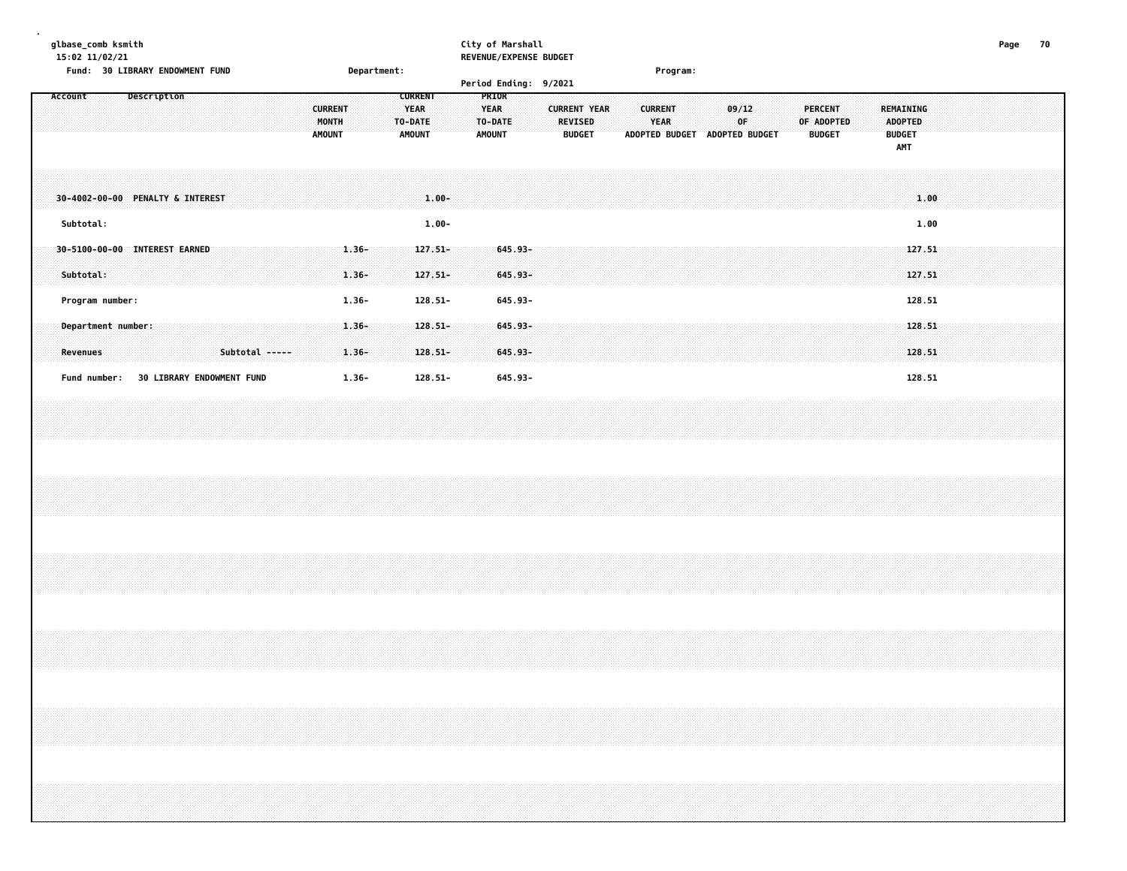| glbase_comb ksmith<br>15:02 11/02/21<br>Fund: 30 LIBRARY ENDOWMENT FUND | Department:                                                                         | City of Marshall<br>REVENUE/EXPENSE BUDGET                                                        | Program:                                                                      |                                                                                                      | Page<br>70 |
|-------------------------------------------------------------------------|-------------------------------------------------------------------------------------|---------------------------------------------------------------------------------------------------|-------------------------------------------------------------------------------|------------------------------------------------------------------------------------------------------|------------|
| Description<br>Account                                                  | <b>CURRENT</b>                                                                      | Period Ending: 9/2021<br>PRIOR                                                                    |                                                                               |                                                                                                      |            |
|                                                                         | <b>CURRENT</b><br><b>YEAR</b><br>MONTH<br>TO-DATE<br><b>AMOUNT</b><br><b>AMOUNT</b> | <b>YEAR</b><br><b>CURRENT YEAR</b><br><b>REVISED</b><br>TO-DATE<br><b>BUDGET</b><br><b>AMOUNT</b> | <b>CURRENT</b><br>09/12<br><b>YEAR</b><br>0F<br>ADOPTED BUDGET ADOPTED BUDGET | <b>PERCENT</b><br><b>REMAINING</b><br>OF ADOPTED<br>ADOPTED<br><b>BUDGET</b><br><b>BUDGET</b><br>AMT |            |
| 30-4002-00-00 PENALTY & INTEREST<br>Subtotal:                           | $1.00 -$                                                                            |                                                                                                   |                                                                               | 1.00                                                                                                 |            |
| 30-5100-00-00 INTEREST EARNED<br>Subtotal:                              | $1.00 -$<br>$1.36 -$<br>$127.51 -$<br>$1.36 -$<br>$127.51-$                         | $645.93 -$<br>645.93-                                                                             |                                                                               | 1.00<br>127.51<br>127.51                                                                             |            |
| Program number:                                                         | $1.36 -$<br>$128.51 -$                                                              | 645.93-                                                                                           |                                                                               | 128.51                                                                                               |            |
| Department number:<br><b>Revenues</b><br>Subtotal -----                 | $1.36 -$<br>$128.51 -$<br>$1.36 -$<br>$128.51 -$                                    | $645.93 -$<br>645.93-                                                                             |                                                                               | 128.51<br>128.51                                                                                     |            |
| Fund number: 30 LIBRARY ENDOWMENT FUND                                  | $128.51 -$<br>$1.36 -$                                                              | 645.93-                                                                                           |                                                                               | 128.51                                                                                               |            |
|                                                                         |                                                                                     |                                                                                                   |                                                                               |                                                                                                      |            |
|                                                                         |                                                                                     |                                                                                                   |                                                                               |                                                                                                      |            |
|                                                                         |                                                                                     |                                                                                                   |                                                                               |                                                                                                      |            |
|                                                                         |                                                                                     |                                                                                                   |                                                                               |                                                                                                      |            |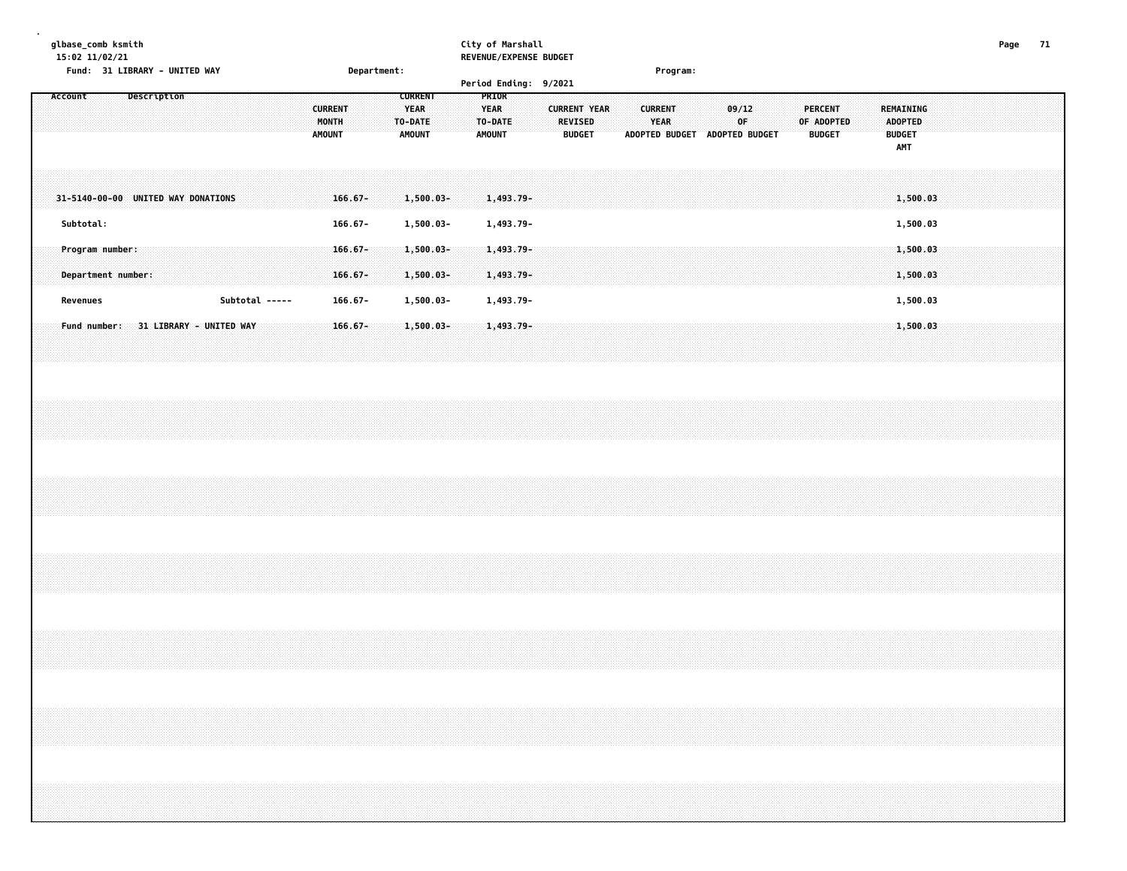### **glbase\_comb ksmith City of Marshall Page 71 15:02 11/02/21 REVENUE/EXPENSE BUDGET**

|         |                 | Fund: 31 LIBRARY - UNITED WAY        |  |  |                |  |                                          | Department: |         |                                                |  |                                                  |                           | Period Ending: 9/2021 |                                 |                     |  |                               | Program: |                               |             |  |                       |               |  |                                                            |                      |  |  |  |
|---------|-----------------|--------------------------------------|--|--|----------------|--|------------------------------------------|-------------|---------|------------------------------------------------|--|--------------------------------------------------|---------------------------|-----------------------|---------------------------------|---------------------|--|-------------------------------|----------|-------------------------------|-------------|--|-----------------------|---------------|--|------------------------------------------------------------|----------------------|--|--|--|
| Account |                 | Description                          |  |  |                |  | <b>CURRENT</b><br>MONTH<br><b>AMOUNT</b> |             | TO-DATE | <b>CURRENT</b><br><b>YEAR</b><br><b>AMOUNT</b> |  | PRIOR<br><b>YEAR</b><br>TO-DATE<br><b>AMOUNT</b> |                           |                       | <b>REVISED</b><br><b>BUDGET</b> | <b>CURRENT YEAR</b> |  | <b>CURRENT</b><br><b>YEAR</b> |          | ADOPTED BUDGET ADOPTED BUDGET | 09/12<br>OF |  | PERCENT<br>OF ADOPTED | <b>BUDGET</b> |  | <b>REMAINING</b><br>ADOPTED<br><b>BUDGET</b><br><b>AMT</b> |                      |  |  |  |
|         |                 | 31-5140-00-00 UNITED WAY DONATIONS   |  |  |                |  | $166.67 -$                               |             |         | $1,500.03 -$                                   |  |                                                  | $1,493.79-$               |                       |                                 |                     |  |                               |          |                               |             |  |                       |               |  |                                                            | 1,500.03             |  |  |  |
|         | Subtotal:       |                                      |  |  |                |  | $166.67 -$                               |             |         | 1,500.03-                                      |  |                                                  | 1,493.79-                 |                       |                                 |                     |  |                               |          |                               |             |  |                       |               |  |                                                            | 1,500.03             |  |  |  |
|         | Program number: | Department number:                   |  |  |                |  | $166.67 -$<br>$166.67 -$                 |             |         | $1,500.03 -$<br>1,500.03-                      |  |                                                  | $1,493.79 -$<br>1,493.79- |                       |                                 |                     |  |                               |          |                               |             |  |                       |               |  |                                                            | 1,500.03<br>1,500.03 |  |  |  |
|         | Revenues        |                                      |  |  | Subtotal ----- |  | $166.67 -$                               |             |         | 1,500.03-                                      |  |                                                  | 1,493.79-                 |                       |                                 |                     |  |                               |          |                               |             |  |                       |               |  |                                                            | 1,500.03             |  |  |  |
|         |                 | Fund number: 31 LIBRARY - UNITED WAY |  |  |                |  | $166.67 -$                               |             |         | $1,500.03 -$                                   |  |                                                  | 1,493.79-                 |                       |                                 |                     |  |                               |          |                               |             |  |                       |               |  |                                                            | 1,500.03             |  |  |  |
|         |                 |                                      |  |  |                |  |                                          |             |         |                                                |  |                                                  |                           |                       |                                 |                     |  |                               |          |                               |             |  |                       |               |  |                                                            |                      |  |  |  |
|         |                 |                                      |  |  |                |  |                                          |             |         |                                                |  |                                                  |                           |                       |                                 |                     |  |                               |          |                               |             |  |                       |               |  |                                                            |                      |  |  |  |
|         |                 |                                      |  |  |                |  |                                          |             |         |                                                |  |                                                  |                           |                       |                                 |                     |  |                               |          |                               |             |  |                       |               |  |                                                            |                      |  |  |  |
|         |                 |                                      |  |  |                |  |                                          |             |         |                                                |  |                                                  |                           |                       |                                 |                     |  |                               |          |                               |             |  |                       |               |  |                                                            |                      |  |  |  |
|         |                 |                                      |  |  |                |  |                                          |             |         |                                                |  |                                                  |                           |                       |                                 |                     |  |                               |          |                               |             |  |                       |               |  |                                                            |                      |  |  |  |
|         |                 |                                      |  |  |                |  |                                          |             |         |                                                |  |                                                  |                           |                       |                                 |                     |  |                               |          |                               |             |  |                       |               |  |                                                            |                      |  |  |  |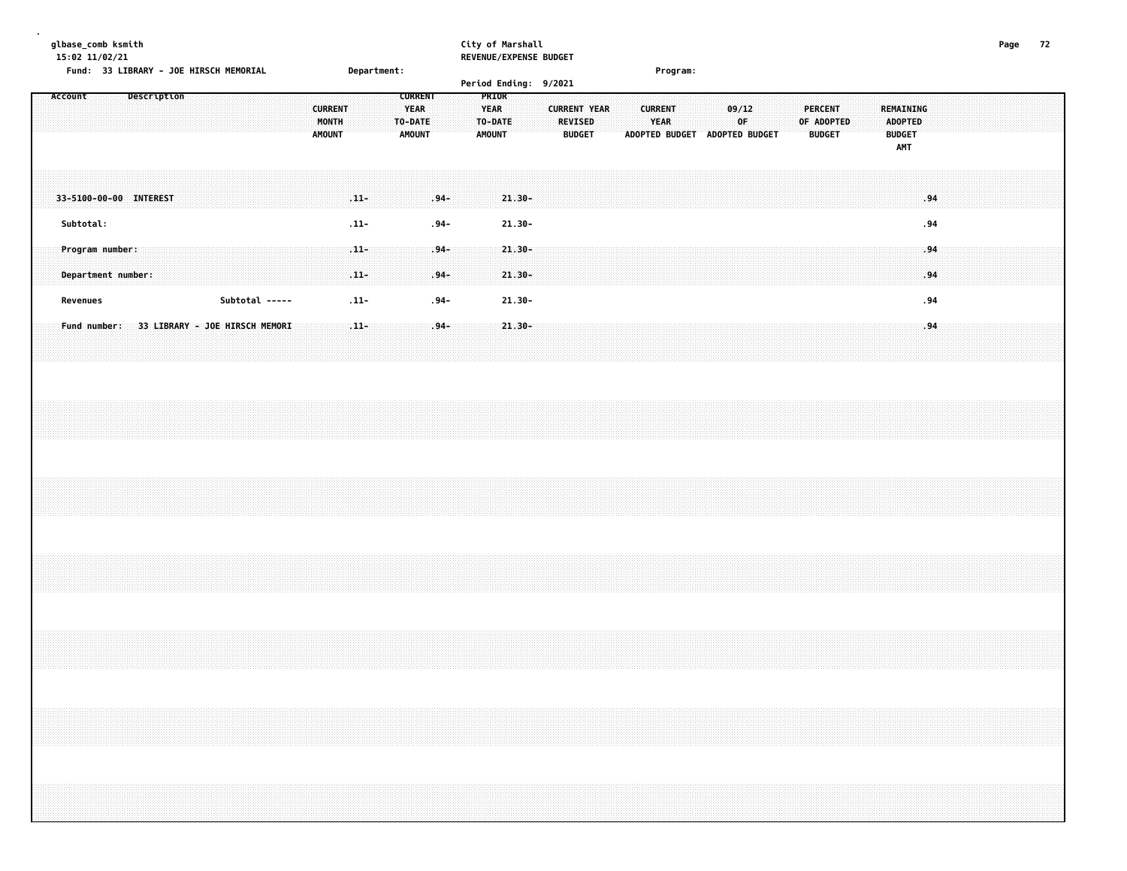**glbase\_comb ksmith City of Marshall Page 72 15:02 11/02/21 REVENUE/EXPENSE BUDGET Fund: 33 LIBRARY - JOE HIRSCH MEMORIAL Department: Program: Period Ending: 9/2021 Account Description CURRENT PRIOR CURRENT YEAR YEAR CURRENT YEAR CURRENT 09/12 PERCENT REMAINING MONTH TO-DATE TO-DATE REVISED YEAR OF OF ADOPTED ADOPTED AMOUNT AMOUNT AMOUNT BUDGET ADOPTED BUDGET ADOPTED BUDGET BUDGET BUDGET AMT 33-5100-00-00 INTEREST .11- .94- 21.30- .94 Subtotal: .11- .94- 21.30- .94 Program number: .11- .94- 21.30- .94 Department number: .11- .94- 21.30- .94 Revenues Subtotal ----- .11- .94- 21.30- .94 Fund number: 33 LIBRARY - JOE HIRSCH MEMORI .11- .94- 21.30- .94**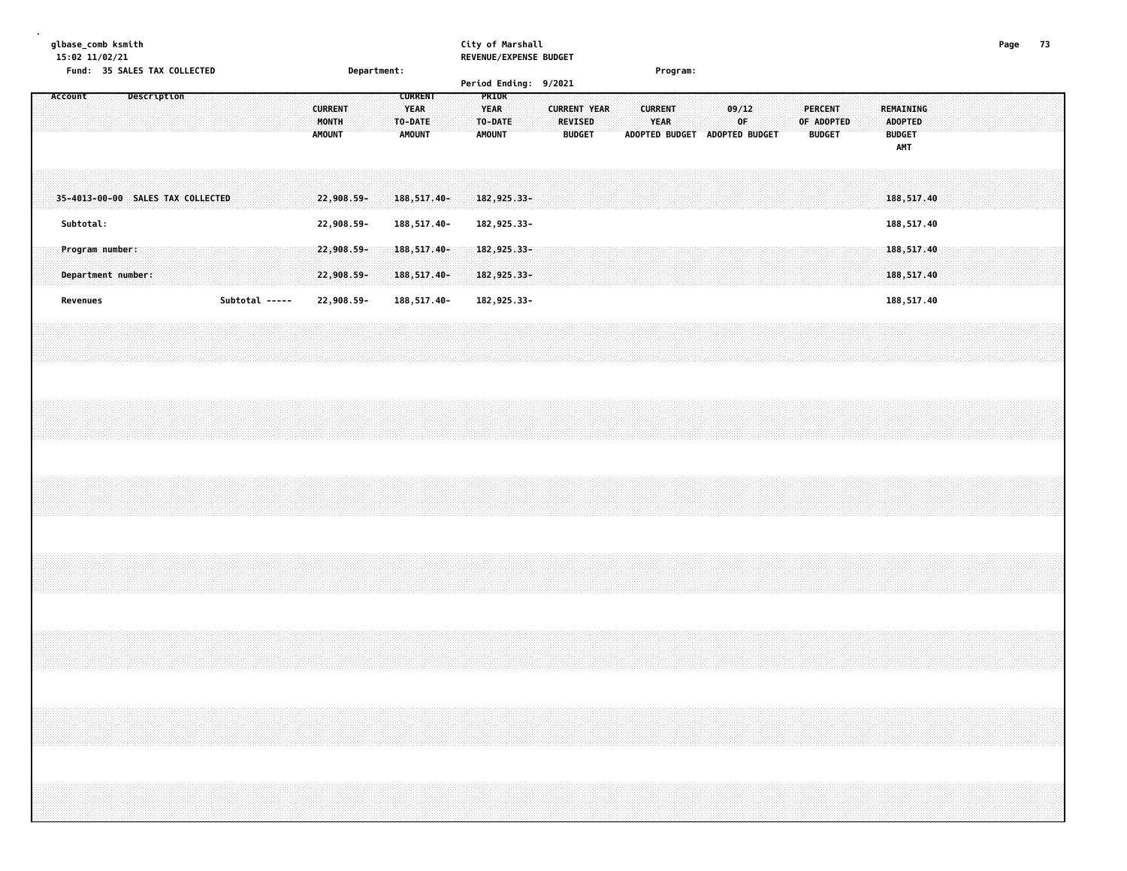### **glbase\_comb ksmith City of Marshall Page 73 15:02 11/02/21 REVENUE/EXPENSE BUDGET**

|         |           |                                       |             |  | Fund: 35 SALES TAX COLLECTED      |                |  |  |                                          | Department: |  |                                                           |  |  |                                                  |  | Period Ending: 9/2021 |                                                        |  |                               | Program: |                               |                         |  |                                               |  |                                                     |  |  |  |  |  |
|---------|-----------|---------------------------------------|-------------|--|-----------------------------------|----------------|--|--|------------------------------------------|-------------|--|-----------------------------------------------------------|--|--|--------------------------------------------------|--|-----------------------|--------------------------------------------------------|--|-------------------------------|----------|-------------------------------|-------------------------|--|-----------------------------------------------|--|-----------------------------------------------------|--|--|--|--|--|
| Account |           |                                       | Description |  |                                   |                |  |  | <b>CURRENT</b><br>MONTH<br><b>AMOUNT</b> |             |  | <b>CURRENT</b><br><b>YEAR</b><br>TO-DATE<br><b>AMOUNT</b> |  |  | PRIOR<br><b>YEAR</b><br>TO-DATE<br><b>AMOUNT</b> |  |                       | <b>CURRENT YEAR</b><br><b>REVISED</b><br><b>BUDGET</b> |  | <b>CURRENT</b><br><b>YEAR</b> |          | ADOPTED BUDGET ADOPTED BUDGET | 09/12<br>0 <sup>F</sup> |  | <b>PERCENT</b><br>OF ADOPTED<br><b>BUDGET</b> |  | REMAINING<br><b>ADOPTED</b><br><b>BUDGET</b><br>AMT |  |  |  |  |  |
|         |           |                                       |             |  | 35-4013-00-00 SALES TAX COLLECTED |                |  |  | 22,908.59-                               |             |  | 188, 517.40-                                              |  |  | 182,925.33-                                      |  |                       |                                                        |  |                               |          |                               |                         |  |                                               |  | 188,517.40                                          |  |  |  |  |  |
|         | Subtotal: |                                       |             |  |                                   |                |  |  | 22,908.59-                               |             |  | 188,517.40-                                               |  |  | 182,925.33-                                      |  |                       |                                                        |  |                               |          |                               |                         |  |                                               |  | 188,517.40                                          |  |  |  |  |  |
|         |           | Program number:<br>Department number: |             |  |                                   |                |  |  | 22,908.59-<br>22,908.59-                 |             |  | $188,517.40-$<br>188,517.40-                              |  |  | $182, 925.33 -$<br>182,925.33-                   |  |                       |                                                        |  |                               |          |                               |                         |  |                                               |  | 188,517.40<br>188,517.40                            |  |  |  |  |  |
|         | Revenues  |                                       |             |  |                                   | Subtotal ----- |  |  | 22,908.59-                               |             |  | 188,517.40-                                               |  |  | 182,925.33-                                      |  |                       |                                                        |  |                               |          |                               |                         |  |                                               |  | 188,517.40                                          |  |  |  |  |  |
|         |           |                                       |             |  |                                   |                |  |  |                                          |             |  |                                                           |  |  |                                                  |  |                       |                                                        |  |                               |          |                               |                         |  |                                               |  |                                                     |  |  |  |  |  |
|         |           |                                       |             |  |                                   |                |  |  |                                          |             |  |                                                           |  |  |                                                  |  |                       |                                                        |  |                               |          |                               |                         |  |                                               |  |                                                     |  |  |  |  |  |
|         |           |                                       |             |  |                                   |                |  |  |                                          |             |  |                                                           |  |  |                                                  |  |                       |                                                        |  |                               |          |                               |                         |  |                                               |  |                                                     |  |  |  |  |  |
|         |           |                                       |             |  |                                   |                |  |  |                                          |             |  |                                                           |  |  |                                                  |  |                       |                                                        |  |                               |          |                               |                         |  |                                               |  |                                                     |  |  |  |  |  |
|         |           |                                       |             |  |                                   |                |  |  |                                          |             |  |                                                           |  |  |                                                  |  |                       |                                                        |  |                               |          |                               |                         |  |                                               |  |                                                     |  |  |  |  |  |
|         |           |                                       |             |  |                                   |                |  |  |                                          |             |  |                                                           |  |  |                                                  |  |                       |                                                        |  |                               |          |                               |                         |  |                                               |  |                                                     |  |  |  |  |  |
|         |           |                                       |             |  |                                   |                |  |  |                                          |             |  |                                                           |  |  |                                                  |  |                       |                                                        |  |                               |          |                               |                         |  |                                               |  |                                                     |  |  |  |  |  |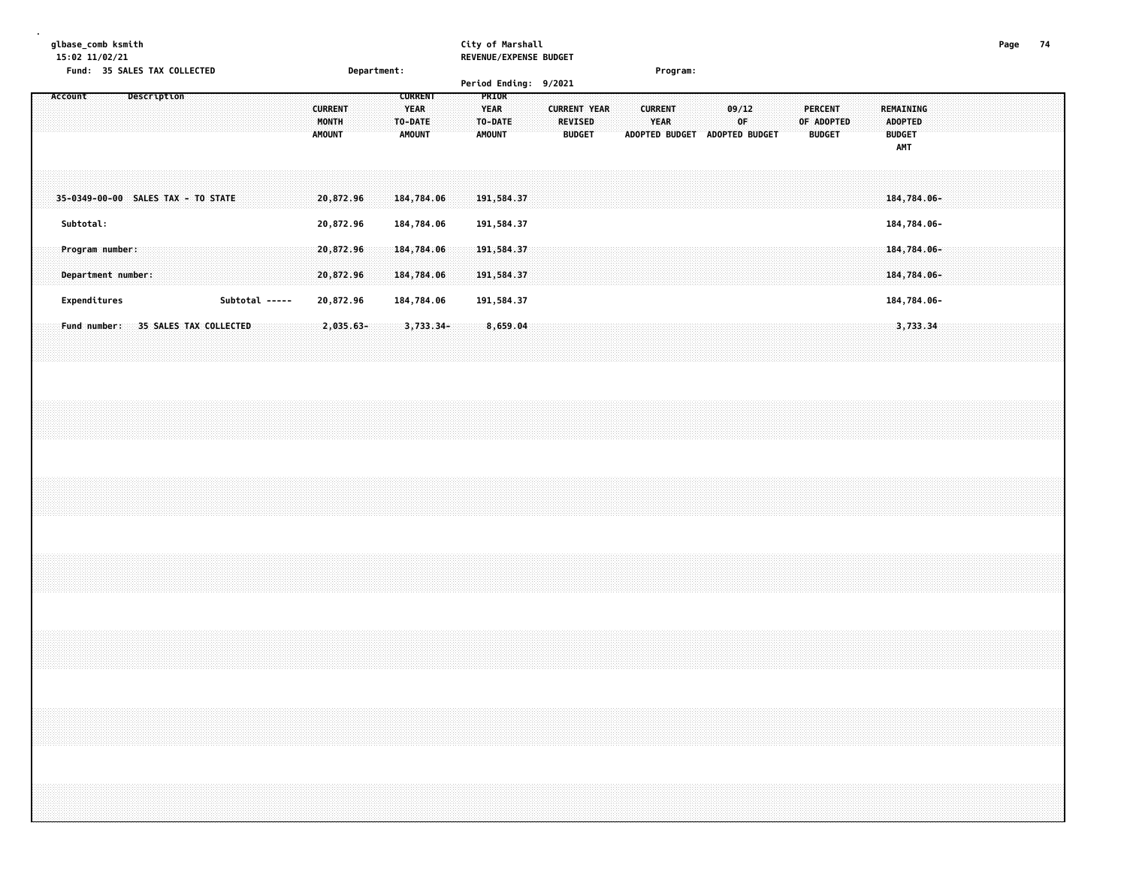# **glbase\_comb ksmith City of Marshall Page 74**

**15:02 11/02/21 REVENUE/EXPENSE BUDGET**

|         | Fund: 35 SALES TAX COLLECTED          |  |             |  |  |                |  |                                          |           | Department: |                          |                               |  |               |                                 | Period Ending: 9/2021 |                                                        |  |                        | Program:                      |  |             |  |                                 |            |  |                                                            |          |  |  |  |  |
|---------|---------------------------------------|--|-------------|--|--|----------------|--|------------------------------------------|-----------|-------------|--------------------------|-------------------------------|--|---------------|---------------------------------|-----------------------|--------------------------------------------------------|--|------------------------|-------------------------------|--|-------------|--|---------------------------------|------------|--|------------------------------------------------------------|----------|--|--|--|--|
| Account |                                       |  | Description |  |  |                |  | <b>CURRENT</b><br>MONTH<br><b>AMOUNT</b> |           |             | TO-DATE<br><b>AMOUNT</b> | <b>CURRENT</b><br><b>YEAR</b> |  | <b>AMOUNT</b> | PRIOR<br><b>YEAR</b><br>TO-DATE |                       | <b>CURRENT YEAR</b><br><b>REVISED</b><br><b>BUDGET</b> |  | <b>CURRENT</b><br>YEAR | ADOPTED BUDGET ADOPTED BUDGET |  | 09/12<br>OF |  | <b>PERCENT</b><br><b>BUDGET</b> | OF ADOPTED |  | REMAINING<br><b>ADOPTED</b><br><b>BUDGET</b><br><b>AMT</b> |          |  |  |  |  |
|         | 35-0349-00-00 SALES TAX - TO STATE    |  |             |  |  |                |  | 20,872.96                                |           |             |                          | 184,784.06                    |  |               | 191,584.37                      |                       |                                                        |  |                        |                               |  |             |  |                                 |            |  | 184,784.06-                                                |          |  |  |  |  |
|         | Subtotal:                             |  |             |  |  |                |  | 20,872.96                                |           |             |                          | 184,784.06                    |  |               | 191,584.37                      |                       |                                                        |  |                        |                               |  |             |  |                                 |            |  | 184,784.06-                                                |          |  |  |  |  |
|         | Program number:<br>Department number: |  |             |  |  |                |  | 20,872,96<br>20,872.96                   |           |             |                          | 184,784.06<br>184,784.06      |  |               | 191,584.37<br>191,584.37        |                       |                                                        |  |                        |                               |  |             |  |                                 |            |  | $184,784.06 -$<br>184,784.06-                              |          |  |  |  |  |
|         | Expenditures                          |  |             |  |  | Subtotal ----- |  | 20,872.96                                |           |             |                          | 184,784.06                    |  |               | 191,584.37                      |                       |                                                        |  |                        |                               |  |             |  |                                 |            |  | 184,784.06-                                                |          |  |  |  |  |
|         | Fund number: 35 SALES TAX COLLECTED   |  |             |  |  |                |  |                                          | 2,035.63- |             |                          | 3,733.34-                     |  |               | 8,659.04                        |                       |                                                        |  |                        |                               |  |             |  |                                 |            |  |                                                            | 3,733.34 |  |  |  |  |
|         |                                       |  |             |  |  |                |  |                                          |           |             |                          |                               |  |               |                                 |                       |                                                        |  |                        |                               |  |             |  |                                 |            |  |                                                            |          |  |  |  |  |
|         |                                       |  |             |  |  |                |  |                                          |           |             |                          |                               |  |               |                                 |                       |                                                        |  |                        |                               |  |             |  |                                 |            |  |                                                            |          |  |  |  |  |
|         |                                       |  |             |  |  |                |  |                                          |           |             |                          |                               |  |               |                                 |                       |                                                        |  |                        |                               |  |             |  |                                 |            |  |                                                            |          |  |  |  |  |
|         |                                       |  |             |  |  |                |  |                                          |           |             |                          |                               |  |               |                                 |                       |                                                        |  |                        |                               |  |             |  |                                 |            |  |                                                            |          |  |  |  |  |
|         |                                       |  |             |  |  |                |  |                                          |           |             |                          |                               |  |               |                                 |                       |                                                        |  |                        |                               |  |             |  |                                 |            |  |                                                            |          |  |  |  |  |
|         |                                       |  |             |  |  |                |  |                                          |           |             |                          |                               |  |               |                                 |                       |                                                        |  |                        |                               |  |             |  |                                 |            |  |                                                            |          |  |  |  |  |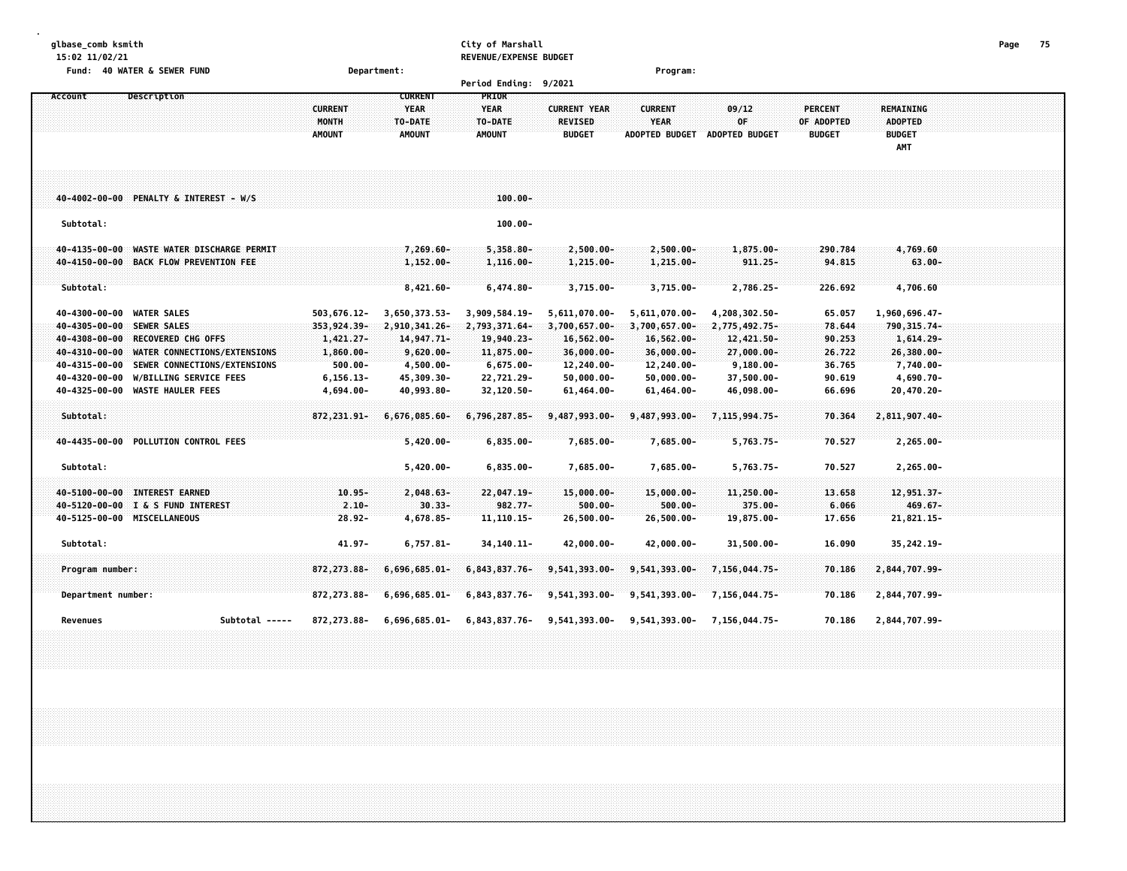### **glbase\_comb ksmith City of Marshall Page 75 15:02 11/02/21 REVENUE/EXPENSE BUDGET**

| Fund: 40 WATER & SEWER FUND                                                                                                                                                                                      | Department:                                                             |                                                                                |                                                                            |                                                                                       | Program:                                                                          |                                                                               |                                                |                                                                                |  |
|------------------------------------------------------------------------------------------------------------------------------------------------------------------------------------------------------------------|-------------------------------------------------------------------------|--------------------------------------------------------------------------------|----------------------------------------------------------------------------|---------------------------------------------------------------------------------------|-----------------------------------------------------------------------------------|-------------------------------------------------------------------------------|------------------------------------------------|--------------------------------------------------------------------------------|--|
|                                                                                                                                                                                                                  |                                                                         |                                                                                | Period Ending: 9/2021                                                      |                                                                                       |                                                                                   |                                                                               |                                                |                                                                                |  |
| Description<br>Account                                                                                                                                                                                           | <b>CURRENT</b><br><b>MONTH</b><br><b>AMOUNT</b>                         | <b>CURRENT</b><br><b>YEAR</b><br>TO-DATE<br><b>AMOUNT</b>                      | <b>PRIOR</b><br><b>YEAR</b><br>TO-DATE<br><b>AMOUNT</b>                    | <b>CURRENT YEAR</b><br><b>REVISED</b><br><b>BUDGET</b>                                | <b>CURRENT</b><br><b>YEAR</b><br><b>ADOPTED BUDGET</b>                            | 09/12<br>0F<br>ADOPTED BUDGET                                                 | <b>PERCENT</b><br>OF ADOPTED<br><b>BUDGET</b>  | <b>REMAINING</b><br><b>ADOPTED</b><br><b>BUDGET</b><br>AMT                     |  |
| 40-4002-00-00 PENALTY & INTEREST - W/S                                                                                                                                                                           |                                                                         |                                                                                | $100.00 -$                                                                 |                                                                                       |                                                                                   |                                                                               |                                                |                                                                                |  |
| Subtotal:                                                                                                                                                                                                        |                                                                         |                                                                                | $100.00 -$                                                                 |                                                                                       |                                                                                   |                                                                               |                                                |                                                                                |  |
| 40-4135-00-00<br>WASTE WATER DISCHARGE PERMIT<br>40-4150-00-00 BACK FLOW PREVENTION FEE<br>Subtotal:                                                                                                             |                                                                         | $7,269.60 -$<br>$1,152.00 -$<br>$8,421.60 -$                                   | $5,358.80 -$<br>$1,116.00-$<br>$6,474.80 -$                                | $2,500.00 -$<br>$1,215.00 -$<br>$3,715.00 -$                                          | $2,500.00 -$<br>$1,215.00 -$<br>$3,715.00 -$                                      | $1,875.00 -$<br>$911.25 -$<br>2,786.25-                                       | 290.784<br>94.815<br>226.692                   | 4,769.60<br>$63.00 -$<br>4,706.60                                              |  |
| 40-4300-00-00 WATER SALES<br>40-4305-00-00<br><b>SEWER SALES</b><br>40-4308-00-00<br><b>RECOVERED CHG OFFS</b><br>40-4310-00-00<br>WATER CONNECTIONS/EXTENSIONS<br>SEWER CONNECTIONS/EXTENSIONS<br>40-4315-00-00 | 503,676.12-<br>353,924.39-<br>$1,421.27-$<br>$1,860.00 -$<br>$500.00 -$ | 3,650,373.53-<br>2,910,341.26-<br>$14,947.71-$<br>$9,620.00 -$<br>$4,500.00 -$ | 3,909,584.19-<br>2,793,371.64-<br>19,940.23-<br>11,875.00-<br>$6,675.00 -$ | 5,611,070.00-<br>$3,700,657.00 -$<br>$16,562.00 -$<br>$36,000.00 -$<br>$12, 240.00 -$ | 5,611,070.00-<br>3,700,657.00-<br>$16,562.00 -$<br>$36,000.00 -$<br>$12,240.00 -$ | 4,208,302.50-<br>2,775,492.75-<br>12,421.50-<br>$27,000.00 -$<br>$9,180.00 -$ | 65.057<br>78.644<br>90.253<br>26.722<br>36.765 | 1,960,696.47-<br>790, 315.74-<br>$1,614.29 -$<br>$26,380.00 -$<br>$7,740.00 -$ |  |
| W/BILLING SERVICE FEES<br>40-4320-00-00<br>40-4325-00-00 WASTE HAULER FEES                                                                                                                                       | $6, 156.13 -$<br>4,694.00-                                              | 45,309.30-<br>40,993.80-                                                       | 22,721.29-<br>32,120.50-                                                   | $50,000.00 -$<br>$61,464.00 -$                                                        | $50,000.00 -$<br>61,464.00-                                                       | 37,500.00-<br>46,098.00-                                                      | 90.619<br>66.696                               | 4,690.70-<br>20,470.20-                                                        |  |
| Subtotal:                                                                                                                                                                                                        | 872, 231.91-                                                            | $6,676,085.60 -$                                                               | 6,796,287.85-                                                              | 9,487,993.00-                                                                         | 9,487,993.00-                                                                     | 7,115,994.75-                                                                 | 70.364                                         | 2,811,907.40-                                                                  |  |
| 40-4435-00-00 POLLUTION CONTROL FEES                                                                                                                                                                             |                                                                         | $5,420.00 -$                                                                   | $6,835.00 -$                                                               | 7,685.00-                                                                             | 7,685.00-                                                                         | $5,763.75-$                                                                   | 70.527                                         | $2,265.00 -$                                                                   |  |
| Subtotal:                                                                                                                                                                                                        |                                                                         | $5,420.00 -$                                                                   | $6,835.00 -$                                                               | 7,685.00-                                                                             | 7,685.00-                                                                         | $5,763.75-$                                                                   | 70.527                                         | $2,265.00 -$                                                                   |  |
| 40-5100-00-00 INTEREST EARNED<br>40-5120-00-00 I & S FUND INTEREST                                                                                                                                               | $10.95 -$<br>$2.10 -$                                                   | $2,048.63-$<br>$30.33 -$                                                       | 22,047.19-<br>$982.77 -$                                                   | 15,000.00-<br>$500.00 -$                                                              | 15,000.00-<br>$500.00 -$                                                          | 11,250.00-<br>375.00-                                                         | 13.658<br>6.066                                | 12,951.37-<br>$469.67 -$                                                       |  |
| 40-5125-00-00 MISCELLANEOUS                                                                                                                                                                                      | $28.92 -$                                                               | 4,678.85-                                                                      | $11, 110.15 -$                                                             | $26,500.00 -$                                                                         | $26,500.00 -$                                                                     | 19,875.00-                                                                    | 17.656                                         | $21,821.15-$                                                                   |  |
| Subtotal:                                                                                                                                                                                                        | 41.97-                                                                  | $6,757.81 -$                                                                   | 34, 140. 11-                                                               | 42,000.00-                                                                            | 42,000.00-                                                                        | $31,500.00 -$                                                                 | 16.090                                         | 35, 242.19-                                                                    |  |
| Program number:                                                                                                                                                                                                  | 872, 273.88-                                                            | $6,696,685.01 -$                                                               | 6,843,837.76-                                                              | 9,541,393.00-                                                                         | 9,541,393.00-                                                                     | 7,156,044.75-                                                                 | 70.186                                         | 2,844,707.99-                                                                  |  |
| Department number:                                                                                                                                                                                               | 872, 273.88-                                                            | 6,696,685.01-                                                                  | 6,843,837.76-                                                              | 9,541,393.00-                                                                         | 9,541,393.00-                                                                     | 7,156,044.75-                                                                 | 70.186                                         | 2,844,707.99-                                                                  |  |
| Subtotal -----<br>Revenues                                                                                                                                                                                       | 872,273.88-                                                             | 6,696,685.01-                                                                  |                                                                            | $6,843,837.76 - 9,541,393.00 -$                                                       |                                                                                   | 9,541,393.00- 7,156,044.75-                                                   | 70.186                                         | 2,844,707.99-                                                                  |  |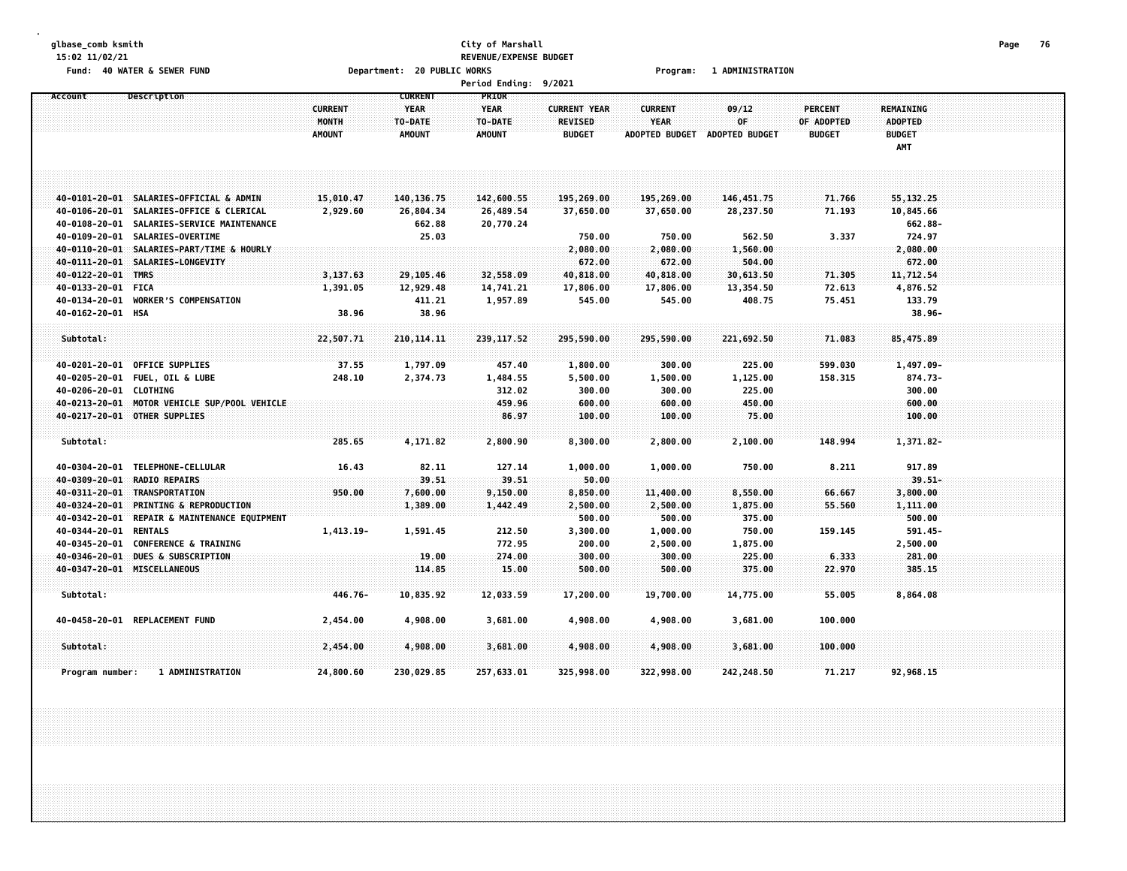## **glbase\_comb ksmith City of Marshall Page 76 15:02 11/02/21 REVENUE/EXPENSE BUDGET** Fund: 40 WATER & SEWER FUND **Department: 20 PUBLIC WORKS Film Construct Program: 1 ADMINISTRATION**

|                        |                                                                                        |                |                     | <b>Period Ending:</b>  | 9/2021              |                      |                               |                |                      |  |
|------------------------|----------------------------------------------------------------------------------------|----------------|---------------------|------------------------|---------------------|----------------------|-------------------------------|----------------|----------------------|--|
| Account                | Description                                                                            |                | <b>CURRENT</b>      | PRIOR                  |                     |                      |                               |                |                      |  |
|                        |                                                                                        | <b>CURRENT</b> | <b>YEAR</b>         | <b>YEAR</b>            | <b>CURRENT YEAR</b> | <b>CURRENT</b>       | 09/12                         | <b>PERCENT</b> | REMAINING            |  |
|                        |                                                                                        | <b>MONTH</b>   | TO-DATE             | TO-DATE                | <b>REVISED</b>      | <b>YEAR</b>          | 0F.                           | OF ADOPTED     | <b>ADOPTED</b>       |  |
|                        |                                                                                        | <b>AMOUNT</b>  | <b>AMOUNT</b>       | <b>AMOUNT</b>          | <b>BUDGET</b>       |                      | ADOPTED BUDGET ADOPTED BUDGET | <b>BUDGET</b>  | <b>BUDGET</b>        |  |
|                        |                                                                                        |                |                     |                        |                     |                      |                               |                | AMT                  |  |
|                        |                                                                                        |                |                     |                        |                     |                      |                               |                |                      |  |
|                        |                                                                                        |                |                     |                        |                     |                      |                               |                |                      |  |
|                        |                                                                                        |                |                     |                        |                     |                      |                               |                |                      |  |
|                        | 40-0101-20-01 SALARIES-OFFICIAL & ADMIN                                                | 15,010.47      | 140, 136.75         | 142,600.55             | 195,269.00          | 195,269.00           | 146,451.75                    | 71.766         | 55, 132.25           |  |
|                        | 40-0106-20-01 SALARIES-OFFICE & CLERICAL<br>40-0108-20-01 SALARIES-SERVICE MAINTENANCE | 2,929.60       | 26,804.34<br>662.88 | 26,489.54<br>20,770.24 | 37,650.00           | 37,650.00            | 28,237.50                     | 71.193         | 10,845.66<br>662.88- |  |
|                        | 40-0109-20-01 SALARIES-OVERTIME                                                        |                | 25.03               |                        | 750.00              | 750.00               | 562.50                        | 3.337          | 724.97               |  |
|                        | 40-0110-20-01 SALARIES-PART/TIME & HOURLY                                              |                |                     |                        | 2,080.00            | 2,080.00             | 1,560.00                      |                | 2,080.00             |  |
|                        | 40-0111-20-01 SALARIES-LONGEVITY                                                       |                |                     |                        | 672.00              | 672.00               | 504.00                        |                | 672.00               |  |
| 40-0122-20-01 TMRS     |                                                                                        | 3,137.63       | 29,105.46           | 32,558.09              | 40,818.00           | 40,818.00            | 30,613.50                     | 71.305         | 11,712.54            |  |
| 40-0133-20-01 FICA     |                                                                                        | 1,391.05       | 12,929.48           | 14,741.21              | 17,806.00           | 17,806.00            | 13,354.50                     | 72.613         | 4,876.52             |  |
|                        | 40-0134-20-01 WORKER'S COMPENSATION                                                    |                | 411.21              | 1,957.89               | 545.00              | 545.00               | 408.75                        | 75.451         | 133.79               |  |
| 40-0162-20-01 HSA      |                                                                                        | 38.96          | 38.96               |                        |                     |                      |                               |                | 38.96-               |  |
|                        |                                                                                        |                |                     |                        |                     |                      |                               |                |                      |  |
| Subtotal:              |                                                                                        | 22,507.71      | 210, 114. 11        | 239, 117.52            | 295,590.00          | 295,590.00           | 221,692.50                    | 71.083         | 85,475.89            |  |
|                        |                                                                                        |                |                     |                        |                     |                      |                               |                |                      |  |
|                        | 40-0201-20-01 OFFICE SUPPLIES                                                          | 37.55          | 1,797.09            | 457.40                 | 1,800.00            | 300.00               | 225.00                        | 599.030        | $1,497.09 -$         |  |
|                        | 40-0205-20-01 FUEL, OIL & LUBE                                                         | 248.10         | 2,374.73            | 1,484.55               | 5,500.00            | 1,500.00             | 1,125.00                      | 158.315        | 874.73-              |  |
| 40-0206-20-01 CLOTHING |                                                                                        |                |                     | 312.02                 | 300.00              | 300.00               | 225.00                        |                | 300.00               |  |
|                        | 40-0213-20-01 MOTOR VEHICLE SUP/POOL VEHICLE                                           |                |                     | 459.96                 | 600.00              | 600.00               | 450.00                        |                | 600.00               |  |
|                        | 40-0217-20-01 OTHER SUPPLIES                                                           |                |                     | 86.97                  | 100.00              | 100.00               | 75.00                         |                | 100.00               |  |
|                        |                                                                                        |                |                     |                        |                     |                      |                               |                |                      |  |
| Subtotal:              |                                                                                        | 285.65         | 4,171.82            | 2,800.90               | 8,300.00            | 2,800.00             | 2,100.00                      | 148.994        | 1,371.82-            |  |
|                        |                                                                                        |                |                     |                        |                     |                      |                               |                |                      |  |
|                        | 40-0304-20-01 TELEPHONE-CELLULAR                                                       | 16.43          | 82.11               | 127.14                 | 1,000.00            | 1,000.00             | 750.00                        | 8.211          | 917.89               |  |
|                        | 40-0309-20-01 RADIO REPAIRS                                                            |                | 39.51               | 39.51                  | 50.00               |                      |                               |                | $39.51 -$            |  |
|                        | 40-0311-20-01 TRANSPORTATION                                                           | 950.00         | 7,600.00            | 9,150.00               | 8,850.00            | 11,400.00            | 8,550.00                      | 66.667         | 3,800.00             |  |
|                        | 40-0324-20-01 PRINTING & REPRODUCTION                                                  |                | 1,389.00            | 1,442.49               | 2,500.00            | 2,500.00             | 1,875.00                      | 55,560         | 1,111.00             |  |
|                        | 40-0342-20-01 REPAIR & MAINTENANCE EQUIPMENT                                           |                |                     |                        | 500.00              | 500.00               | 375.00                        |                | 500.00               |  |
| 40-0344-20-01 RENTALS  | 40-0345-20-01 CONFERENCE & TRAINING                                                    | $1,413.19-$    | 1,591.45            | 212.50<br>772.95       | 3,300.00<br>200.00  | 1,000.00<br>2,500.00 | 750.00<br>1,875.00            | 159.145        | 591.45-<br>2,500.00  |  |
|                        | 40-0346-20-01 DUES & SUBSCRIPTION                                                      |                | 19.00               | 274.00                 | 300.00              | 300.00               | 225,00                        | 6.333          | 281.00               |  |
|                        | 40-0347-20-01 MISCELLANEOUS                                                            |                | 114.85              | 15.00                  | 500.00              | 500.00               | 375.00                        | 22.970         | 385.15               |  |
|                        |                                                                                        |                |                     |                        |                     |                      |                               |                |                      |  |
| Subtotal:              |                                                                                        | 446.76-        | 10,835.92           | 12,033.59              | 17,200.00           | 19,700.00            | 14,775.00                     | 55.005         | 8,864.08             |  |
|                        |                                                                                        |                |                     |                        |                     |                      |                               |                |                      |  |
|                        | 40-0458-20-01 REPLACEMENT FUND                                                         | 2,454.00       | 4,908.00            | 3,681.00               | 4,908.00            | 4,908.00             | 3,681.00                      | 100.000        |                      |  |
|                        |                                                                                        |                |                     |                        |                     |                      |                               |                |                      |  |
| Subtotal:              |                                                                                        | 2,454.00       | 4,908.00            | 3,681.00               | 4,908.00            | 4,908.00             | 3,681.00                      | 100,000        |                      |  |
|                        |                                                                                        |                |                     |                        |                     |                      |                               |                |                      |  |
| Program number:        | 1 ADMINISTRATION                                                                       | 24,800.60      | 230,029.85          | 257,633.01             | 325,998.00          | 322,998.00           | 242,248.50                    | 71.217         | 92,968.15            |  |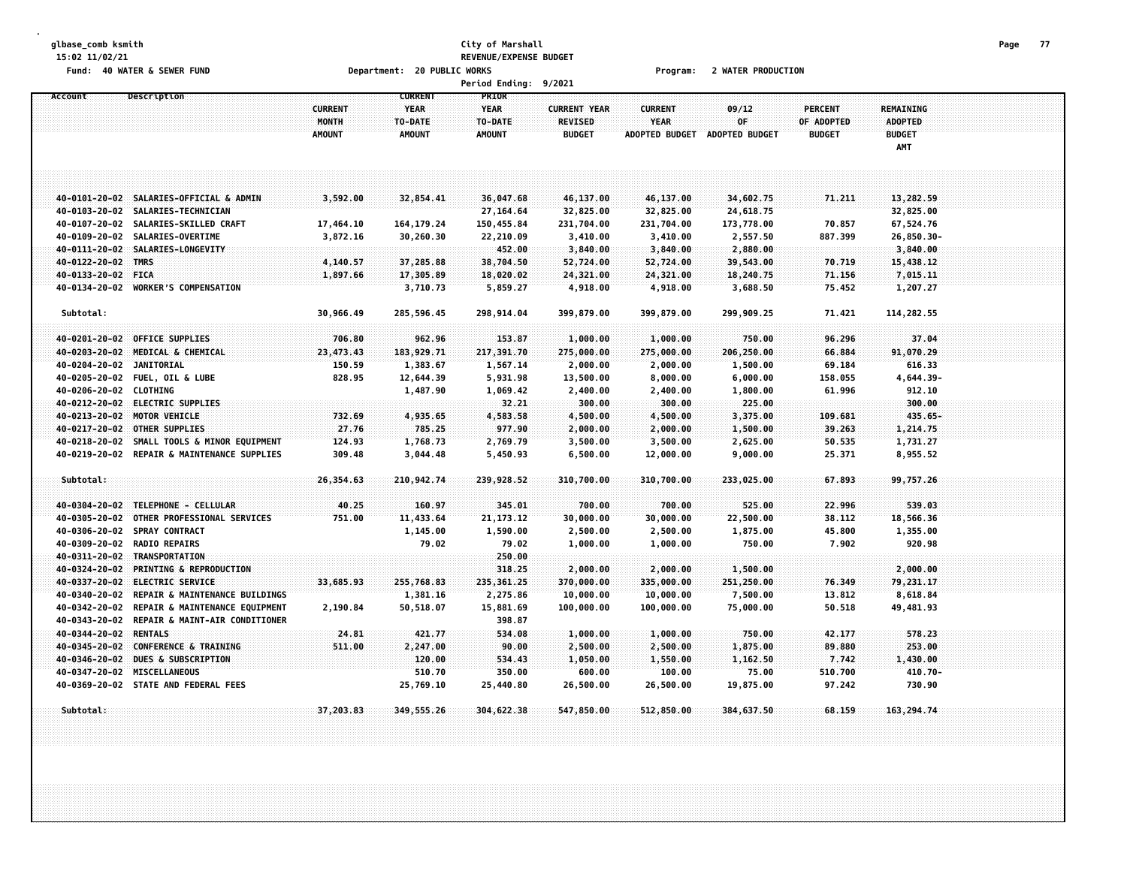### **glbase\_comb ksmith City of Marshall Page 77 15:02 11/02/21 REVENUE/EXPENSE BUDGET** Fund: 40 WATER & SEWER FUND **Department: 20 PUBLIC WORKS Film Contain Constru**ent: 20 Mater PRODUCTION

|                          |                                                                   |                               |                          | Period Ending: 9/2021    |                                       |                               |                               |                             |                                 |  |
|--------------------------|-------------------------------------------------------------------|-------------------------------|--------------------------|--------------------------|---------------------------------------|-------------------------------|-------------------------------|-----------------------------|---------------------------------|--|
| Account                  | Description                                                       |                               | <b>CURRENT</b>           | PRIOR                    |                                       |                               |                               |                             |                                 |  |
|                          |                                                                   | <b>CURRENT</b>                | <b>YEAR</b>              | <b>YEAR</b>              | <b>CURRENT YEAR</b><br><b>REVISED</b> | <b>CURRENT</b><br><b>YEAR</b> | 09/12<br>0F                   | <b>PERCENT</b>              | <b>REMAINING</b>                |  |
|                          |                                                                   | <b>MONTH</b><br><b>AMOUNT</b> | TO-DATE<br><b>AMOUNT</b> | TO-DATE<br><b>AMOUNT</b> | <b>BUDGET</b>                         |                               | ADOPTED BUDGET ADOPTED BUDGET | OF ADOPTED<br><b>BUDGET</b> | <b>ADOPTED</b><br><b>BUDGET</b> |  |
|                          |                                                                   |                               |                          |                          |                                       |                               |                               |                             | AMT                             |  |
|                          |                                                                   |                               |                          |                          |                                       |                               |                               |                             |                                 |  |
|                          |                                                                   |                               |                          |                          |                                       |                               |                               |                             |                                 |  |
|                          |                                                                   |                               |                          |                          |                                       |                               |                               |                             |                                 |  |
|                          | 40-0101-20-02 SALARIES-OFFICIAL & ADMIN                           | 3,592.00                      | 32,854.41                | 36,047.68                | 46,137.00                             | 46,137.00                     | 34,602.75                     | 71.211                      | 13,282.59                       |  |
|                          | 40-0103-20-02 SALARIES-TECHNICIAN                                 |                               |                          | 27,164.64                | 32,825.00                             | 32,825.00                     | 24,618.75                     |                             | 32,825.00                       |  |
| 40-0107-20-02            | SALARIES-SKILLED CRAFT                                            | 17,464.10                     | 164, 179.24              | 150,455.84               | 231,704.00                            | 231,704.00                    | 173,778.00                    | 70.857                      | 67,524.76                       |  |
|                          | 40-0109-20-02 SALARIES-OVERTIME                                   | 3,872.16                      | 30,260.30                | 22,210.09                | 3,410.00                              | 3,410.00                      | 2,557.50                      | 887.399                     | 26,850.30-                      |  |
|                          | 40-0111-20-02 SALARIES-LONGEVITY                                  |                               |                          | 452.00                   | 3,840.00                              | 3,840.00                      | 2,880.00                      |                             | 3,840.00                        |  |
| 40-0122-20-02 TMRS       |                                                                   | 4,140.57                      | 37,285.88                | 38,704.50                | 52,724.00                             | 52,724.00                     | 39,543.00                     | 70.719                      | 15,438.12                       |  |
| 40-0133-20-02 FICA       |                                                                   | 1,897.66                      | 17,305.89                | 18,020.02                | 24,321.00                             | 24,321.00                     | 18,240.75                     | 71.156                      | 7,015.11                        |  |
|                          | 40-0134-20-02 WORKER'S COMPENSATION                               |                               | 3,710.73                 | 5,859.27                 | 4,918.00                              | 4,918.00                      | 3,688.50                      | 75.452                      | 1,207.27                        |  |
| Subtotal:                |                                                                   | 30,966.49                     | 285,596.45               | 298,914.04               | 399,879.00                            | 399,879.00                    | 299,909.25                    | 71.421                      | 114,282.55                      |  |
|                          |                                                                   |                               |                          |                          |                                       |                               |                               |                             |                                 |  |
|                          | 40-0201-20-02 OFFICE SUPPLIES                                     | 706.80                        | 962.96                   | 153.87                   | 1,000.00                              | 1,000.00                      | 750.00                        | 96.296                      | 37.04                           |  |
|                          | 40-0203-20-02 MEDICAL & CHEMICAL                                  | 23,473.43                     | 183,929.71               | 217,391.70               | 275,000.00                            | 275,000.00                    | 206,250.00                    | 66.884                      | 91,070.29                       |  |
| 40-0204-20-02 JANITORIAL |                                                                   | 150.59                        | 1,383.67                 | 1,567.14                 | 2,000.00                              | 2,000.00                      | 1,500.00                      | 69.184                      | 616.33                          |  |
|                          | 40-0205-20-02 FUEL, OIL & LUBE                                    | 828.95                        | 12,644.39                | 5,931.98                 | 13,500.00                             | 8,000.00                      | 6,000.00                      | 158.055                     | 4,644.39-                       |  |
| 40-0206-20-02 CLOTHING   |                                                                   |                               | 1,487.90                 | 1,069.42                 | 2,400.00                              | 2,400.00                      | 1,800.00                      | 61.996                      | 912.10                          |  |
|                          | 40-0212-20-02 ELECTRIC SUPPLIES                                   |                               |                          | 32.21                    | 300.00                                | 300.00                        | 225.00                        |                             | 300.00                          |  |
|                          | 40-0213-20-02 MOTOR VEHICLE                                       | 732.69                        | 4,935.65                 | 4,583.58                 | 4,500.00                              | 4,500.00                      | 3,375.00                      | 109.681                     | $435.65 -$                      |  |
|                          | 40-0217-20-02 OTHER SUPPLIES                                      | 27.76                         | 785.25                   | 977.90                   | 2,000.00                              | 2,000.00                      | 1,500.00                      | 39.263                      | 1,214.75                        |  |
|                          | 40-0218-20-02 SMALL TOOLS & MINOR EQUIPMENT                       | 124.93                        | 1,768.73                 | 2,769.79                 | 3,500.00                              | 3,500.00                      | 2,625.00                      | 50.535                      | 1,731.27                        |  |
|                          | 40-0219-20-02 REPAIR & MAINTENANCE SUPPLIES                       | 309.48                        | 3,044.48                 | 5,450.93                 | 6,500.00                              | 12,000.00                     | 9,000.00                      | 25.371                      | 8,955.52                        |  |
|                          |                                                                   |                               |                          |                          |                                       |                               |                               |                             |                                 |  |
| Subtotal:                |                                                                   | 26,354.63                     | 210,942.74               | 239,928.52               | 310,700.00                            | 310,700.00                    | 233,025.00                    | 67.893                      | 99,757.26                       |  |
|                          |                                                                   |                               |                          |                          |                                       |                               |                               |                             |                                 |  |
| 40-0305-20-02            | 40-0304-20-02 TELEPHONE - CELLULAR<br>OTHER PROFESSIONAL SERVICES | 40.25<br>751.00               | 160.97<br>11,433.64      | 345,01<br>21, 173. 12    | 700.00<br>30,000.00                   | 700.00<br>30,000.00           | 525.00<br>22,500.00           | 22,996<br>38.112            | 539.03<br>18,566.36             |  |
|                          | 40-0306-20-02 SPRAY CONTRACT                                      |                               | 1,145.00                 | 1,590.00                 | 2,500.00                              | 2,500.00                      | 1,875.00                      | 45.800                      | 1,355.00                        |  |
|                          | 40-0309-20-02 RADIO REPAIRS                                       |                               | 79.02                    | 79.02                    | 1,000.00                              | 1,000.00                      | 750.00                        | 7.902                       | 920.98                          |  |
|                          | 40-0311-20-02 TRANSPORTATION                                      |                               |                          | 250.00                   |                                       |                               |                               |                             |                                 |  |
| 40-0324-20-02            | <b>PRINTING &amp; REPRODUCTION</b>                                |                               |                          | 318.25                   | 2,000.00                              | 2,000.00                      | 1,500.00                      |                             | 2,000.00                        |  |
| 40-0337-20-02            | <b>ELECTRIC SERVICE</b>                                           | 33,685.93                     | 255,768.83               | 235, 361.25              | 370,000.00                            | 335,000.00                    | 251,250.00                    | 76.349                      | 79,231.17                       |  |
|                          | 40-0340-20-02 REPAIR & MAINTENANCE BUILDINGS                      |                               | 1,381.16                 | 2,275.86                 | 10,000.00                             | 10,000.00                     | 7,500.00                      | 13.812                      | 8,618.84                        |  |
| 40-0342-20-02            | REPAIR & MAINTENANCE EQUIPMENT                                    | 2,190.84                      | 50,518.07                | 15,881.69                | 100,000.00                            | 100,000.00                    | 75,000.00                     | 50.518                      | 49,481.93                       |  |
|                          | 40-0343-20-02 REPAIR & MAINT-AIR CONDITIONER                      |                               |                          | 398.87                   |                                       |                               |                               |                             |                                 |  |
| 40-0344-20-02 RENTALS    |                                                                   | 24.81                         | 421.77                   | 534.08                   | 1,000.00                              | 1,000.00                      | 750.00                        | 42.177                      | 578.23                          |  |
|                          | 40-0345-20-02 CONFERENCE & TRAINING                               | 511.00                        | 2,247.00                 | 90.00                    | 2,500.00                              | 2,500.00                      | 1,875.00                      | 89,880                      | 253.00                          |  |
|                          | 40-0346-20-02 DUES & SUBSCRIPTION                                 |                               | 120.00                   | 534.43                   | 1,050.00                              | 1,550.00                      | 1,162.50                      | 7.742                       | 1,430.00                        |  |
|                          | 40-0347-20-02 MISCELLANEOUS                                       |                               | 510.70                   | 350.00                   | 600.00                                | 100.00                        | 75.00                         | 510.700                     | $410.70 -$                      |  |
|                          | 40-0369-20-02 STATE AND FEDERAL FEES                              |                               | 25,769.10                | 25,440.80                | 26,500.00                             | 26,500.00                     | 19,875.00                     | 97.242                      | 730.90                          |  |
|                          |                                                                   |                               |                          |                          |                                       |                               |                               |                             |                                 |  |
| Subtotal:                |                                                                   | 37,203.83                     | 349,555.26               | 304,622.38               | 547,850.00                            | 512,850.00                    | 384,637.50                    | 68.159                      | 163,294.74                      |  |
|                          |                                                                   |                               |                          |                          |                                       |                               |                               |                             |                                 |  |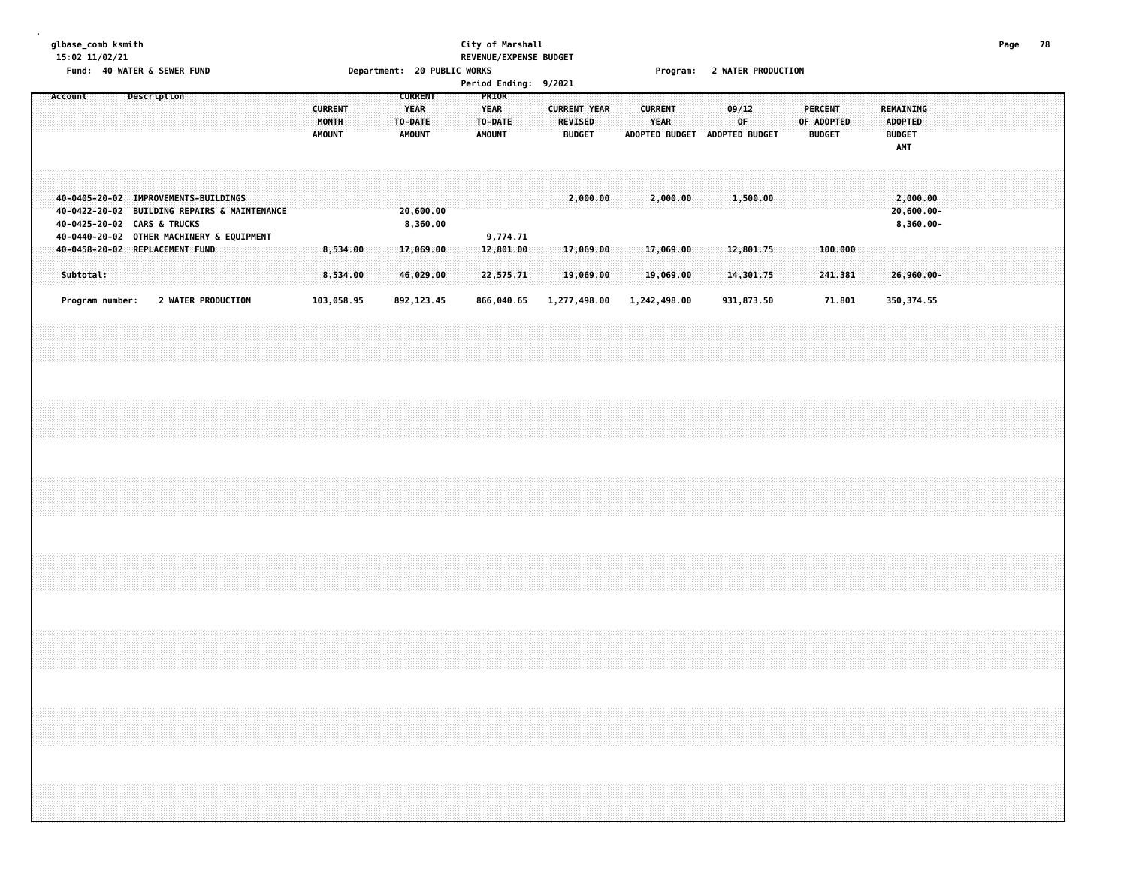# **glbase\_comb ksmith City of Marshall Page 78 15:02 11/02/21 REVENUE/EXPENSE BUDGET**

Fund: 40 WATER & SEWER FUND **Department: 20 PUBLIC WORKS Film Contain Constru**ent: 20 Mater PRODUCTION

| <b>Period Ending:</b> |  | 9/2021 |
|-----------------------|--|--------|
|-----------------------|--|--------|

|  | Account                     |  |  | Description |                                                                                                                                   |  |  | <b>CURRENT</b><br>MONTH<br><b>AMOUNT</b> |                      |  | <b>YEAR</b><br>TO-DATE<br><b>AMOUNT</b> | <b>CURRENT</b>         |  | PRIOR<br><b>YEAR</b><br>TO-DATE<br><b>AMOUNT</b> |                        |  | <b>CURRENT YEAR</b><br><b>REVISED</b> | <b>BUDGET</b>          |  | <b>CURRENT</b><br>YEAR |                        | ADOPTED BUDGET ADOPTED BUDGET | 09/12<br>OF            |  | <b>PERCENT</b><br>OF ADOPTED<br><b>BUDGET</b> |  | <b>BUDGET</b> | <b>REMAINING</b><br><b>ADOPTED</b><br>AMT |  |  |  |  |
|--|-----------------------------|--|--|-------------|-----------------------------------------------------------------------------------------------------------------------------------|--|--|------------------------------------------|----------------------|--|-----------------------------------------|------------------------|--|--------------------------------------------------|------------------------|--|---------------------------------------|------------------------|--|------------------------|------------------------|-------------------------------|------------------------|--|-----------------------------------------------|--|---------------|-------------------------------------------|--|--|--|--|
|  | 40-0425-20-02 CARS & TRUCKS |  |  |             | 40-0405-20-02 IMPROVEMENTS-BUILDINGS<br>40-0422-20-02 BUILDING REPAIRS & MAINTENANCE<br>40-0440-20-02 OTHER MACHINERY & EQUIPMENT |  |  |                                          |                      |  |                                         | 20,600.00<br>8,360.00  |  |                                                  | 9,774.71               |  |                                       | 2,000.00               |  |                        | 2,000.00               |                               | 1,500.00               |  |                                               |  |               | 2,000.00<br>20,600.00-<br>8,360.00-       |  |  |  |  |
|  | Subtotal:                   |  |  |             | 40-0458-20-02 REPLACEMENT FUND                                                                                                    |  |  |                                          | 8,534.00<br>8,534.00 |  |                                         | 17,069.00<br>46,029.00 |  |                                                  | 12,801.00<br>22,575.71 |  |                                       | 17,069.00<br>19,069.00 |  |                        | 17,069.00<br>19,069.00 |                               | 12,801.75<br>14,301.75 |  | 100.000<br>241.381                            |  |               | 26,960.00-                                |  |  |  |  |
|  | Program number:             |  |  |             | 2 WATER PRODUCTION                                                                                                                |  |  | 103,058.95                               |                      |  |                                         | 892, 123.45            |  |                                                  | 866,040.65             |  | 1,277,498.00                          |                        |  |                        | 1,242,498.00           |                               | 931,873.50             |  | 71.801                                        |  |               | 350, 374.55                               |  |  |  |  |
|  |                             |  |  |             |                                                                                                                                   |  |  |                                          |                      |  |                                         |                        |  |                                                  |                        |  |                                       |                        |  |                        |                        |                               |                        |  |                                               |  |               |                                           |  |  |  |  |
|  |                             |  |  |             |                                                                                                                                   |  |  |                                          |                      |  |                                         |                        |  |                                                  |                        |  |                                       |                        |  |                        |                        |                               |                        |  |                                               |  |               |                                           |  |  |  |  |
|  |                             |  |  |             |                                                                                                                                   |  |  |                                          |                      |  |                                         |                        |  |                                                  |                        |  |                                       |                        |  |                        |                        |                               |                        |  |                                               |  |               |                                           |  |  |  |  |
|  |                             |  |  |             |                                                                                                                                   |  |  |                                          |                      |  |                                         |                        |  |                                                  |                        |  |                                       |                        |  |                        |                        |                               |                        |  |                                               |  |               |                                           |  |  |  |  |
|  |                             |  |  |             |                                                                                                                                   |  |  |                                          |                      |  |                                         |                        |  |                                                  |                        |  |                                       |                        |  |                        |                        |                               |                        |  |                                               |  |               |                                           |  |  |  |  |
|  |                             |  |  |             |                                                                                                                                   |  |  |                                          |                      |  |                                         |                        |  |                                                  |                        |  |                                       |                        |  |                        |                        |                               |                        |  |                                               |  |               |                                           |  |  |  |  |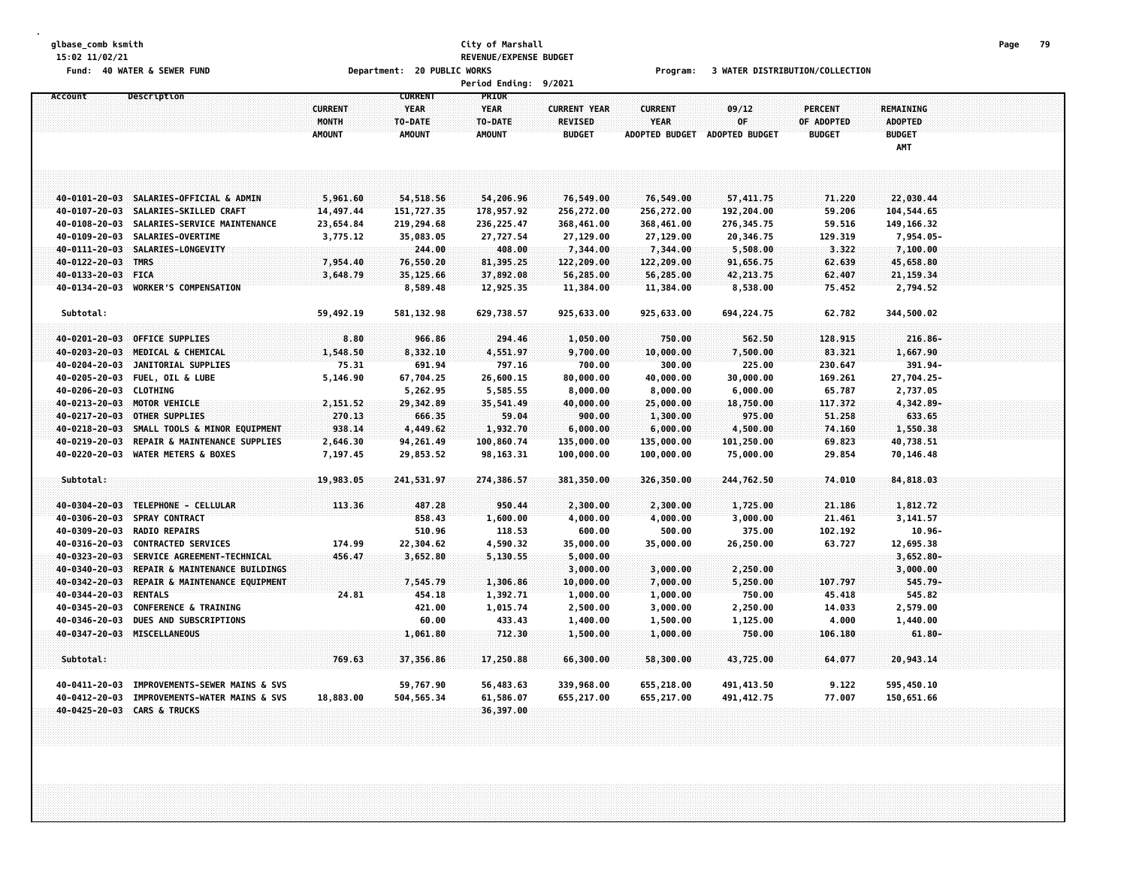# **glbase\_comb ksmith City of Marshall Page 79 15:02 11/02/21 REVENUE/EXPENSE BUDGET**

Fund: 40 WATER & SEWER FUND Department: 20 PUBLIC WORKS Program: 3 WATER DISTRIBUTION/COLLECTION

|                        |                                              |                |                | <b>Period Ending:</b> | 9/2021              |                       |                       |                   |                  |  |
|------------------------|----------------------------------------------|----------------|----------------|-----------------------|---------------------|-----------------------|-----------------------|-------------------|------------------|--|
| Account                | <b>Description</b>                           |                | <b>CURRENT</b> | PRIOR                 |                     |                       |                       |                   |                  |  |
|                        |                                              | <b>CURRENT</b> | <b>YEAR</b>    | <b>YEAR</b>           | <b>CURRENT YEAR</b> | <b>CURRENT</b>        | 09/12                 | <b>PERCENT</b>    | <b>REMAINING</b> |  |
|                        |                                              | MONTH          | TO-DATE        | TO-DATE               | REVISED             | <b>YEAR</b>           | 0F                    | <b>OF ADOPTED</b> | ADOPTED          |  |
|                        |                                              | <b>AMOUNT</b>  | <b>AMOUNT</b>  | <b>AMOUNT</b>         | <b>BUDGET</b>       | <b>ADOPTED BUDGET</b> | <b>ADOPTED BUDGET</b> | <b>BUDGET</b>     | <b>BUDGET</b>    |  |
|                        |                                              |                |                |                       |                     |                       |                       |                   | AMT              |  |
|                        |                                              |                |                |                       |                     |                       |                       |                   |                  |  |
|                        |                                              |                |                |                       |                     |                       |                       |                   |                  |  |
|                        |                                              |                |                |                       |                     |                       |                       |                   |                  |  |
|                        | 40-0101-20-03 SALARIES-OFFICIAL & ADMIN      | 5,961.60       | 54,518.56      | 54,206.96             | 76,549.00           | 76,549.00             | 57,411.75             | 71.220            | 22,030.44        |  |
|                        | 40-0107-20-03 SALARIES-SKILLED CRAFT         | 14,497.44      | 151,727.35     | 178,957.92            | 256,272.00          | 256,272.00            | 192,204.00            | 59.206            | 104,544.65       |  |
| 40-0108-20-03          | SALARIES-SERVICE MAINTENANCE                 | 23,654.84      | 219,294.68     | 236, 225.47           | 368,461.00          | 368,461.00            | 276,345.75            | 59.516            | 149, 166. 32     |  |
|                        | 40-0109-20-03 SALARIES-OVERTIME              | 3,775.12       | 35,083.05      | 27,727.54             | 27,129.00           | 27,129.00             | 20,346.75             | 129.319           | 7,954.05-        |  |
|                        | 40-0111-20-03 SALARIES-LONGEVITY             |                | 244.00         | 408.00                | 7,344.00            | 7,344.00              | 5,508.00              | 3.322             | 7,100.00         |  |
| 40-0122-20-03 TMRS     |                                              | 7,954.40       | 76,550.20      | 81,395.25             | 122,209.00          | 122,209.00            | 91,656.75             | 62.639            | 45,658.80        |  |
| 40-0133-20-03          | <b>FICA</b>                                  | 3,648.79       | 35,125.66      | 37,892.08             | 56,285.00           | 56,285.00             | 42,213.75             | 62.407            | 21, 159.34       |  |
| 40-0134-20-03          | <b>WORKER'S COMPENSATION</b>                 |                | 8,589.48       | 12,925.35             | 11,384.00           | 11,384.00             | 8,538.00              | 75.452            | 2,794.52         |  |
| Subtotal:              |                                              | 59,492.19      |                |                       |                     |                       |                       | 62.782            |                  |  |
|                        |                                              |                | 581, 132.98    | 629,738.57            | 925,633.00          | 925,633.00            | 694,224.75            |                   | 344,500.02       |  |
|                        | 40-0201-20-03 OFFICE SUPPLIES                | 8.80           | 966.86         | 294.46                | 1,050.00            | 750.00                | 562.50                | 128.915           | $216.86 -$       |  |
| 40-0203-20-03          | MEDICAL & CHEMICAL                           | 1,548.50       | 8,332.10       | 4,551.97              | 9,700.00            | 10,000.00             | 7,500.00              | 83.321            | 1,667.90         |  |
| 40-0204-20-03          | JANITORIAL SUPPLIES                          | 75.31          | 691.94         | 797.16                | 700.00              | 300.00                | 225.00                | 230.647           | 391.94-          |  |
|                        | 40-0205-20-03 FUEL, OIL & LUBE               | 5,146.90       | 67,704.25      | 26,600.15             | 80,000.00           | 40,000.00             | 30,000.00             | 169.261           | 27,704.25-       |  |
| 40-0206-20-03 CLOTHING |                                              |                | 5,262.95       | 5,585.55              | 8,000.00            | 8,000.00              | 6,000.00              | 65.787            | 2,737.05         |  |
|                        | 40-0213-20-03 MOTOR VEHICLE                  | 2,151.52       | 29,342.89      | 35,541.49             | 40,000.00           | 25,000.00             | 18,750.00             | 117.372           | 4,342.89-        |  |
| $40 - 0217 - 20 - 03$  | OTHER SUPPLIES                               | 270.13         | 666.35         | 59.04                 | 900.00              | 1,300.00              | 975.00                | 51.258            | 633.65           |  |
| 40-0218-20-03          | SMALL TOOLS & MINOR EQUIPMENT                | 938.14         | 4,449.62       | 1,932.70              | 6,000.00            | 6,000.00              | 4,500.00              | 74.160            | 1,550.38         |  |
| 40-0219-20-03          | REPAIR & MAINTENANCE SUPPLIES                | 2,646.30       | 94,261.49      | 100,860.74            | 135,000.00          | 135,000.00            | 101,250.00            | 69.823            | 40,738.51        |  |
| 40-0220-20-03          | <b>WATER METERS &amp; BOXES</b>              | 7,197.45       | 29,853.52      | 98, 163. 31           | 100,000.00          | 100,000.00            | 75,000.00             | 29.854            | 70,146.48        |  |
|                        |                                              |                |                |                       |                     |                       |                       |                   |                  |  |
| Subtotal:              |                                              | 19,983.05      | 241,531.97     | 274,386.57            | 381,350.00          | 326,350.00            | 244,762.50            | 74.010            | 84,818.03        |  |
|                        |                                              |                |                |                       |                     |                       |                       |                   |                  |  |
| 40-0304-20-03          | TELEPHONE - CELLULAR                         | 113.36         | 487.28         | 950.44                | 2,300.00            | 2,300.00              | 1,725.00              | 21,186            | 1,812.72         |  |
| 40-0306-20-03          | SPRAY CONTRACT                               |                | 858.43         | 1,600.00              | 4,000.00            | 4,000.00              | 3,000.00              | 21.461            | 3,141.57         |  |
| 40-0309-20-03          | <b>RADIO REPAIRS</b>                         |                | 510.96         | 118.53                | 600.00              | 500.00                | 375.00                | 102.192           | $10.96 -$        |  |
| 40-0316-20-03          | <b>CONTRACTED SERVICES</b>                   | 174.99         | 22,304.62      | 4,590.32              | 35,000.00           | 35,000.00             | 26,250.00             | 63.727            | 12,695.38        |  |
| $40 - 0323 - 20 - 03$  | SERVICE AGREEMENT-TECHNICAL                  | 456.47         | 3,652.80       | 5,130.55              | 5,000.00            |                       |                       |                   | $3,652.80 -$     |  |
| 40-0340-20-03          | REPAIR & MAINTENANCE BUILDINGS               |                |                |                       | 3,000.00            | 3,000.00              | 2,250.00              |                   | 3,000.00         |  |
| 40-0342-20-03          | REPAIR & MAINTENANCE EQUIPMENT               |                | 7,545.79       | 1,306.86              | 10,000.00           | 7,000.00              | 5,250.00              | 107.797           | $545.79-$        |  |
| 40-0344-20-03          | <b>RENTALS</b>                               | 24.81          | 454.18         | 1,392.71              | 1,000.00            | 1,000.00              | 750.00                | 45.418            | 545.82           |  |
| 40-0345-20-03          | <b>CONFERENCE &amp; TRAINING</b>             |                | 421.00         | 1,015.74              | 2,500.00            | 3,000.00              | 2,250.00              | 14.033            | 2,579.00         |  |
| 40-0346-20-03          | DUES AND SUBSCRIPTIONS                       |                | 60.00          | 433.43                | 1,400.00            | 1,500.00              | 1,125.00              | 4.000             | 1,440.00         |  |
|                        | 40-0347-20-03 MISCELLANEOUS                  |                | 1,061.80       | 712.30                | 1,500.00            | 1,000.00              | 750.00                | 106.180           | 61.80-           |  |
|                        |                                              |                |                |                       |                     |                       |                       |                   |                  |  |
| Subtotal:              |                                              | 769.63         | 37,356.86      | 17,250.88             | 66,300.00           | 58,300.00             | 43,725.00             | 64.077            | 20,943.14        |  |
|                        |                                              |                |                |                       |                     |                       |                       |                   |                  |  |
|                        | 40-0411-20-03 IMPROVEMENTS-SEWER MAINS & SVS |                | 59,767.90      | 56,483.63             | 339,968.00          | 655,218.00            | 491,413.50            | 9.122             | 595,450.10       |  |
|                        | 40-0412-20-03 IMPROVEMENTS-WATER MAINS & SVS | 18,883.00      | 504,565.34     | 61,586.07             | 655,217.00          | 655,217.00            | 491, 412.75           | 77.007            | 150,651.66       |  |
|                        | 40-0425-20-03 CARS & TRUCKS                  |                |                | 36,397.00             |                     |                       |                       |                   |                  |  |
|                        |                                              |                |                |                       |                     |                       |                       |                   |                  |  |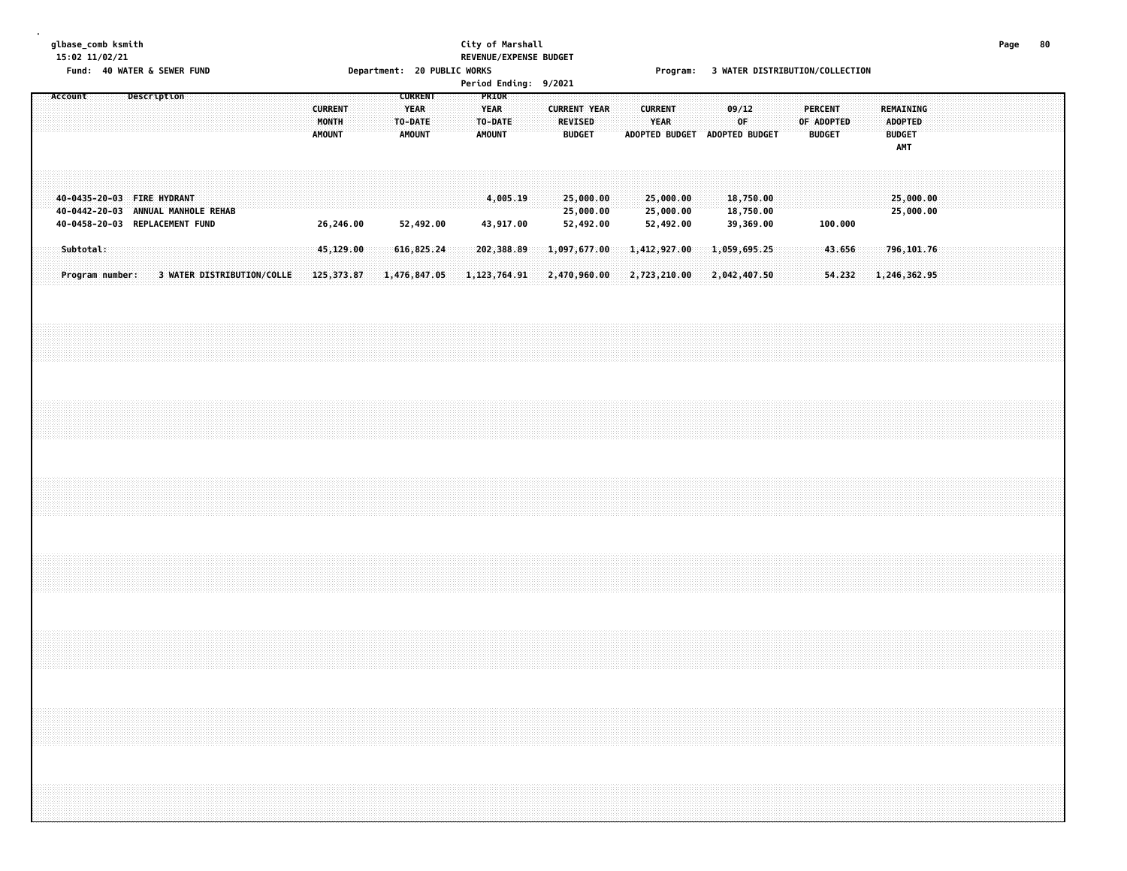# **glbase\_comb ksmith City of Marshall Page 80 15:02 11/02/21 REVENUE/EXPENSE BUDGET**

Fund: 40 WATER & SEWER FUND **Department: 20 PUBLIC WORKS** For the Second Program: 3 WATER DISTRIBUTION/COLLECTION

|         |                              |                                                                                                    |  |                            |  |                                          |           |  |                                                           |                            |  | PRIOR                                   |                              | Period Ending: 9/2021        |                                     |  |                        |                                     |                               |                                     |  |                                               |                  |  |                                                            |  |  |  |  |
|---------|------------------------------|----------------------------------------------------------------------------------------------------|--|----------------------------|--|------------------------------------------|-----------|--|-----------------------------------------------------------|----------------------------|--|-----------------------------------------|------------------------------|------------------------------|-------------------------------------|--|------------------------|-------------------------------------|-------------------------------|-------------------------------------|--|-----------------------------------------------|------------------|--|------------------------------------------------------------|--|--|--|--|
| Account |                              | Description                                                                                        |  |                            |  | <b>CURRENT</b><br>MONTH<br><b>AMOUNT</b> |           |  | <b>CURRENT</b><br><b>YEAR</b><br>TO-DATE<br><b>AMOUNT</b> |                            |  | <b>YEAR</b><br>TO-DATE<br><b>AMOUNT</b> |                              | <b>CURRENT YEAR</b>          | <b>REVISED</b><br><b>BUDGET</b>     |  | <b>CURRENT</b><br>YEAR |                                     | ADOPTED BUDGET ADOPTED BUDGET | 09/12<br>OF                         |  | <b>PERCENT</b><br>OF ADOPTED<br><b>BUDGET</b> |                  |  | REMAINING<br><b>ADOPTED</b><br><b>BUDGET</b><br><b>AMT</b> |  |  |  |  |
|         |                              | 40-0435-20-03 FIRE HYDRANT<br>40-0442-20-03 ANNUAL MANHOLE REHAB<br>40-0458-20-03 REPLACEMENT FUND |  |                            |  |                                          | 26,246.00 |  |                                                           | 52,492.00                  |  |                                         | 4,005.19<br>43,917.00        |                              | 25,000.00<br>25,000.00<br>52,492.00 |  |                        | 25,000.00<br>25,000.00<br>52,492.00 |                               | 18,750.00<br>18,750.00<br>39,369.00 |  |                                               | 100.000          |  | 25,000.00<br>25,000.00                                     |  |  |  |  |
|         | Subtotal:<br>Program number: |                                                                                                    |  | 3 WATER DISTRIBUTION/COLLE |  | 125, 373.87                              | 45,129.00 |  |                                                           | 616,825.24<br>1,476,847.05 |  |                                         | 202,388.89<br>1, 123, 764.91 | 1,097,677.00<br>2,470,960.00 |                                     |  |                        | 1,412,927.00<br>2,723,210.00        | 2,042,407.50                  | 1,059,695.25                        |  |                                               | 43.656<br>54.232 |  | 796, 101.76<br>1,246,362.95                                |  |  |  |  |
|         |                              |                                                                                                    |  |                            |  |                                          |           |  |                                                           |                            |  |                                         |                              |                              |                                     |  |                        |                                     |                               |                                     |  |                                               |                  |  |                                                            |  |  |  |  |
|         |                              |                                                                                                    |  |                            |  |                                          |           |  |                                                           |                            |  |                                         |                              |                              |                                     |  |                        |                                     |                               |                                     |  |                                               |                  |  |                                                            |  |  |  |  |
|         |                              |                                                                                                    |  |                            |  |                                          |           |  |                                                           |                            |  |                                         |                              |                              |                                     |  |                        |                                     |                               |                                     |  |                                               |                  |  |                                                            |  |  |  |  |
|         |                              |                                                                                                    |  |                            |  |                                          |           |  |                                                           |                            |  |                                         |                              |                              |                                     |  |                        |                                     |                               |                                     |  |                                               |                  |  |                                                            |  |  |  |  |
|         |                              |                                                                                                    |  |                            |  |                                          |           |  |                                                           |                            |  |                                         |                              |                              |                                     |  |                        |                                     |                               |                                     |  |                                               |                  |  |                                                            |  |  |  |  |
|         |                              |                                                                                                    |  |                            |  |                                          |           |  |                                                           |                            |  |                                         |                              |                              |                                     |  |                        |                                     |                               |                                     |  |                                               |                  |  |                                                            |  |  |  |  |
|         |                              |                                                                                                    |  |                            |  |                                          |           |  |                                                           |                            |  |                                         |                              |                              |                                     |  |                        |                                     |                               |                                     |  |                                               |                  |  |                                                            |  |  |  |  |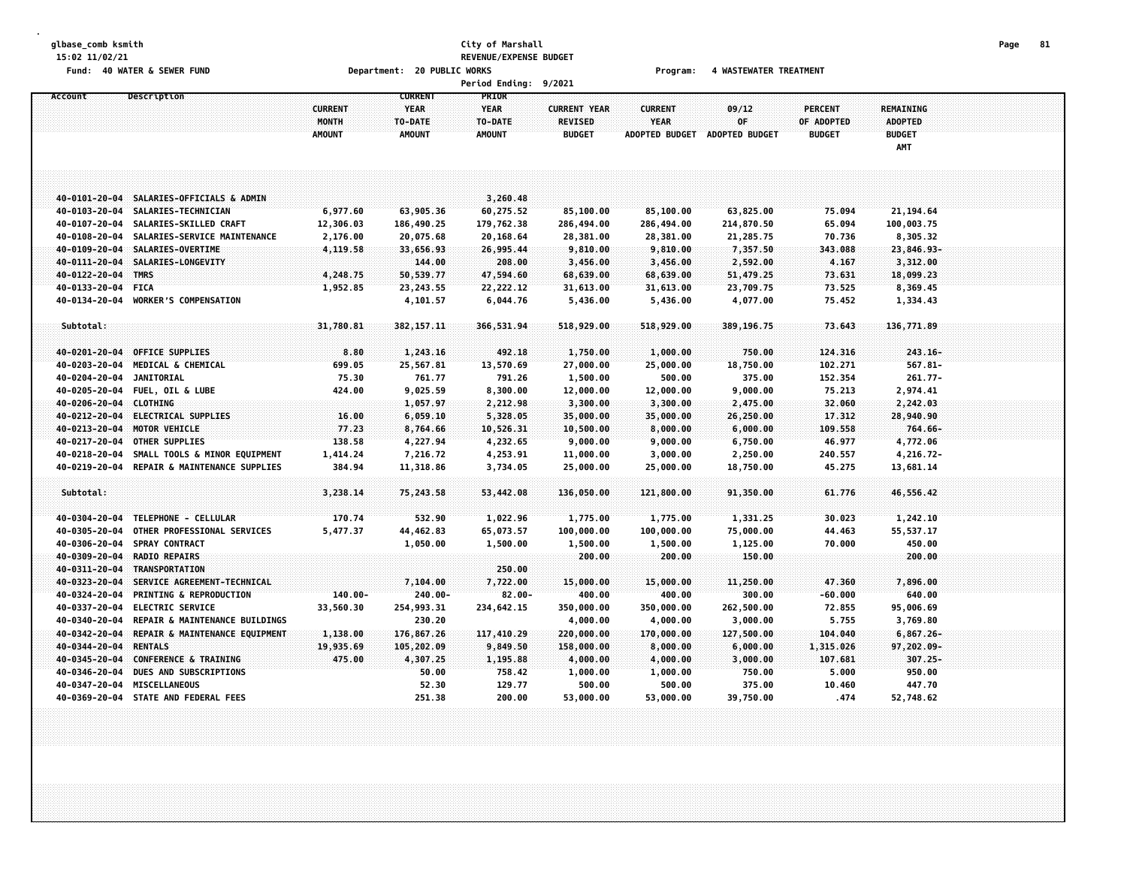# **glbase\_comb ksmith City of Marshall Page 81 15:02 11/02/21 REVENUE/EXPENSE BUDGET**

Fund: 40 WATER & SEWER FUND **Department: 20 PUBLIC WORKS Film Construct Program:** 4 WASTEWATER TREATMENT

|  | <b>Period Ending:</b> | 9/2021 |
|--|-----------------------|--------|
|--|-----------------------|--------|

| Account               | Description                          |                | <b>CURRENT</b> | PRIOR         |                     |                       |                       |                |                  |  |
|-----------------------|--------------------------------------|----------------|----------------|---------------|---------------------|-----------------------|-----------------------|----------------|------------------|--|
|                       |                                      | <b>CURRENT</b> | <b>YEAR</b>    | <b>YEAR</b>   | <b>CURRENT YEAR</b> | <b>CURRENT</b>        | 09/12                 | <b>PERCENT</b> | <b>REMAINING</b> |  |
|                       |                                      | MONTH          | TO-DATE        | TO-DATE       | <b>REVISED</b>      | <b>YEAR</b>           | 0F                    | OF ADOPTED     | <b>ADOPTED</b>   |  |
|                       |                                      | <b>AMOUNT</b>  | <b>AMOUNT</b>  | <b>AMOUNT</b> | <b>BUDGET</b>       | <b>ADOPTED BUDGET</b> | <b>ADOPTED BUDGET</b> | <b>BUDGET</b>  | <b>BUDGET</b>    |  |
|                       |                                      |                |                |               |                     |                       |                       |                | AMT              |  |
|                       |                                      |                |                |               |                     |                       |                       |                |                  |  |
|                       |                                      |                |                |               |                     |                       |                       |                |                  |  |
|                       |                                      |                |                |               |                     |                       |                       |                |                  |  |
| 40-0101-20-04         | SALARIES-OFFICIALS & ADMIN           |                |                | 3,260.48      |                     |                       |                       |                |                  |  |
| 40-0103-20-04         | SALARIES-TECHNICIAN                  | 6,977.60       | 63,905.36      | 60,275.52     | 85,100.00           | 85,100.00             | 63,825.00             | 75.094         | 21, 194.64       |  |
| 40-0107-20-04         | SALARIES-SKILLED CRAFT               | 12,306.03      | 186,490.25     | 179,762.38    | 286,494.00          | 286,494.00            | 214,870.50            | 65.094         | 100,003.75       |  |
| 40-0108-20-04         | SALARIES-SERVICE MAINTENANCE         | 2,176.00       | 20,075.68      | 20,168.64     | 28,381.00           | 28,381.00             | 21,285.75             | 70.736         | 8,305.32         |  |
|                       | 40-0109-20-04 SALARIES-OVERTIME      | 4,119.58       | 33,656.93      | 26,995.44     | 9,810.00            | 9,810.00              | 7,357.50              | 343.088        | 23,846.93-       |  |
| 40-0111-20-04         | SALARIES-LONGEVITY                   |                | 144.00         | 208.00        | 3,456.00            | 3,456.00              | 2,592.00              | 4.167          | 3,312.00         |  |
| 40-0122-20-04         | <b>TMRS</b>                          | 4,248.75       | 50,539.77      | 47,594.60     | 68,639.00           | 68,639.00             | 51,479.25             | 73.631         | 18,099.23        |  |
| 40-0133-20-04 FICA    |                                      | 1,952.85       | 23,243.55      | 22,222.12     | 31,613.00           | 31,613.00             | 23,709.75             | 73.525         | 8,369.45         |  |
|                       | 40-0134-20-04 WORKER'S COMPENSATION  |                | 4,101.57       | 6,044.76      | 5,436.00            | 5,436.00              | 4,077.00              | 75.452         | 1,334.43         |  |
|                       |                                      |                |                |               |                     |                       |                       |                |                  |  |
| Subtotal:             |                                      | 31,780.81      | 382, 157.11    | 366,531.94    | 518,929.00          | 518,929.00            | 389,196.75            | 73.643         | 136,771.89       |  |
|                       |                                      |                |                |               |                     |                       |                       |                |                  |  |
| 40-0201-20-04         | <b>OFFICE SUPPLIES</b>               | 8.80           | 1,243.16       | 492.18        | 1,750.00            | 1,000.00              | 750.00                | 124.316        | $243.16 -$       |  |
| 40-0203-20-04         | MEDICAL & CHEMICAL                   | 699.05         | 25,567.81      | 13,570.69     | 27,000.00           | 25,000.00             | 18,750.00             | 102.271        | $567.81 -$       |  |
| 40-0204-20-04         | <b>JANITORIAL</b>                    | 75.30          | 761.77         | 791.26        | 1,500.00            | 500.00                | 375.00                | 152.354        | $261.77 -$       |  |
| 40-0205-20-04         | FUEL, OIL & LUBE                     | 424.00         | 9,025.59       | 8,300.00      | 12,000.00           | 12,000.00             | 9,000.00              | 75.213         | 2,974.41         |  |
| $40 - 0206 - 20 - 04$ | CLOTHING                             |                | 1,057.97       | 2,212.98      | 3,300.00            | 3,300.00              | 2,475.00              | 32.060         | 2,242.03         |  |
| 40-0212-20-04         | <b>ELECTRICAL SUPPLIES</b>           | 16.00          | 6,059.10       | 5,328.05      | 35,000.00           | 35,000.00             | 26,250.00             | 17.312         | 28,940.90        |  |
| 40-0213-20-04         | MOTOR VEHICLE                        | 77.23          | 8,764.66       | 10,526.31     | 10,500.00           | 8,000.00              | 6,000.00              | 109.558        | 764.66-          |  |
| 40-0217-20-04         | OTHER SUPPLIES                       | 138.58         | 4,227.94       | 4,232.65      | 9,000.00            | 9,000.00              | 6,750.00              | 46.977         | 4,772.06         |  |
| 40-0218-20-04         | SMALL TOOLS & MINOR EQUIPMENT        | 1,414.24       | 7,216.72       | 4,253.91      | 11,000.00           | 3,000.00              | 2,250.00              | 240.557        | 4,216.72-        |  |
| 40-0219-20-04         | REPAIR & MAINTENANCE SUPPLIES        | 384.94         | 11,318.86      | 3,734.05      | 25,000.00           | 25,000.00             | 18,750.00             | 45.275         | 13,681.14        |  |
|                       |                                      |                |                |               |                     |                       |                       |                |                  |  |
| Subtotal:             |                                      | 3,238.14       | 75,243.58      | 53,442.08     | 136,050.00          | 121,800.00            | 91,350.00             | 61.776         | 46,556.42        |  |
|                       |                                      |                |                |               |                     |                       |                       |                |                  |  |
|                       | TELEPHONE - CELLULAR                 |                |                |               |                     |                       |                       |                |                  |  |
| 40-0304-20-04         |                                      | 170.74         | 532.90         | 1,022.96      | 1,775.00            | 1,775.00              | 1,331.25              | 30.023         | 1,242.10         |  |
| 40-0305-20-04         | OTHER PROFESSIONAL SERVICES          | 5,477.37       | 44,462.83      | 65,073.57     | 100,000.00          | 100,000.00            | 75,000.00             | 44.463         | 55,537.17        |  |
| 40-0306-20-04         | SPRAY CONTRACT                       |                | 1,050.00       | 1,500.00      | 1,500.00            | 1,500.00              | 1,125.00              | 70.000         | 450.00           |  |
| 40-0309-20-04         | <b>RADIO REPAIRS</b>                 |                |                |               | 200.00              | 200.00                | 150.00                |                | 200.00           |  |
| 40-0311-20-04         | TRANSPORTATION                       |                |                | 250.00        |                     |                       |                       |                |                  |  |
| 40-0323-20-04         | SERVICE AGREEMENT-TECHNICAL          |                | 7,104.00       | 7,722.00      | 15,000.00           | 15,000.00             | 11,250.00             | 47.360         | 7,896.00         |  |
| 40-0324-20-04         | <b>PRINTING &amp; REPRODUCTION</b>   | $140.00 -$     | 240.00-        | $82.00 -$     | 400.00              | 400.00                | 300.00                | $-60.000$      | 640.00           |  |
| 40-0337-20-04         | <b>ELECTRIC SERVICE</b>              | 33,560.30      | 254,993.31     | 234,642.15    | 350,000.00          | 350,000.00            | 262,500.00            | 72.855         | 95,006.69        |  |
| 40-0340-20-04         | REPAIR & MAINTENANCE BUILDINGS       |                | 230.20         |               | 4,000.00            | 4,000.00              | 3,000.00              | 5.755          | 3,769.80         |  |
| 40-0342-20-04         | REPAIR & MAINTENANCE EQUIPMENT       | 1,138.00       | 176,867.26     | 117,410.29    | 220,000.00          | 170,000.00            | 127,500.00            | 104.040        | $6,867.26-$      |  |
| 40-0344-20-04         | <b>RENTALS</b>                       | 19,935.69      | 105,202.09     | 9,849.50      | 158,000.00          | 8,000.00              | 6,000.00              | 1,315.026      | 97,202.09-       |  |
| 40-0345-20-04         | CONFERENCE & TRAINING                | 475.00         | 4,307.25       | 1,195.88      | 4,000.00            | 4,000.00              | 3,000.00              | 107.681        | 307.25-          |  |
| 40-0346-20-04         | DUES AND SUBSCRIPTIONS               |                | 50.00          | 758.42        | 1,000.00            | 1,000.00              | 750.00                | 5.000          | 950.00           |  |
|                       | 40-0347-20-04 MISCELLANEOUS          |                | 52.30          | 129.77        | 500.00              | 500.00                | 375.00                | 10.460         | 447.70           |  |
|                       | 40-0369-20-04 STATE AND FEDERAL FEES |                | 251.38         | 200.00        | 53,000.00           | 53,000.00             | 39,750.00             | .474           | 52,748.62        |  |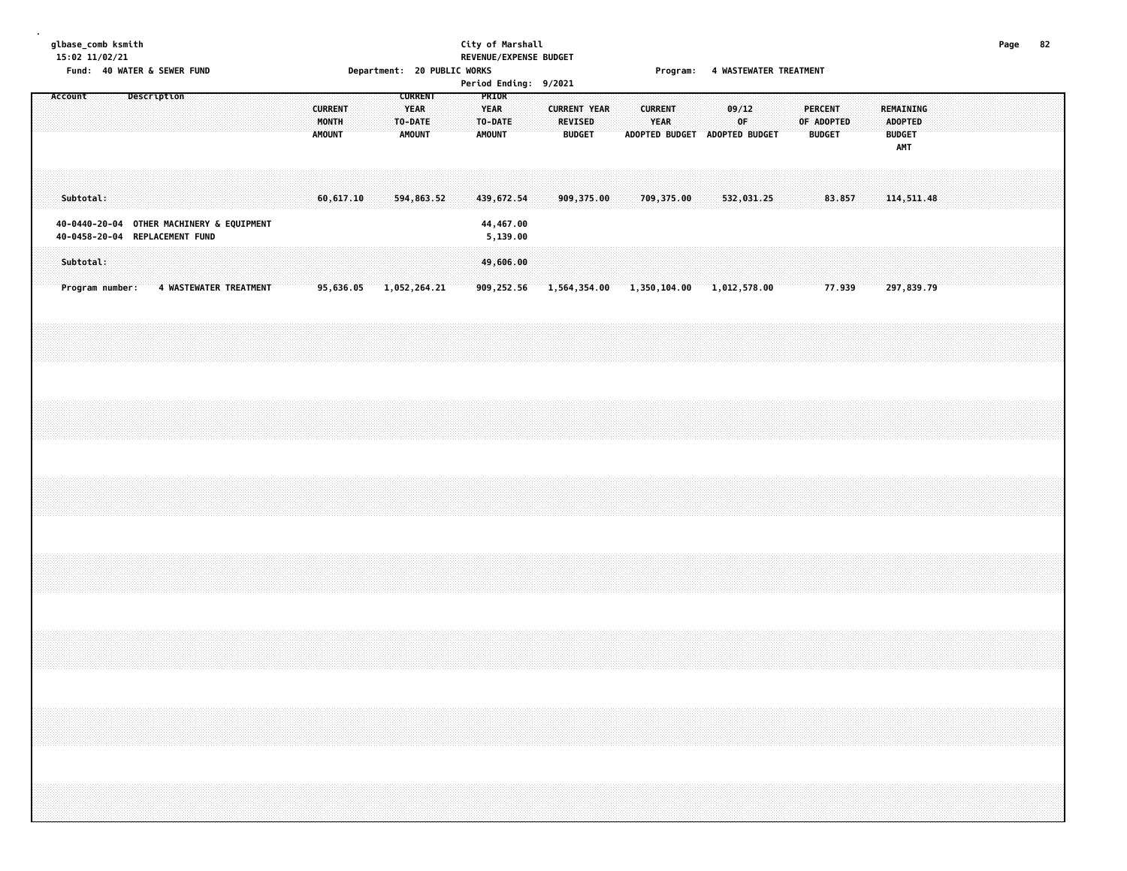# **glbase\_comb ksmith City of Marshall Page 82 15:02 11/02/21 REVENUE/EXPENSE BUDGET**

Fund: 40 WATER & SEWER FUND **Department: 20 PUBLIC WORKS Film Construct Program:** 4 WASTEWATER TREATMENT

| <b>Period Ending:</b> |  | 9/2021 |
|-----------------------|--|--------|
|-----------------------|--|--------|

| Account |           |                                                                                                |  | Description            |  |  |  | <b>CURRENT</b><br>MONTH<br><b>AMOUNT</b> |  | <b>CURRENT</b><br><b>YEAR</b><br>TO-DATE<br>AMOUNT |  | <b>YEAR</b><br><b>AMOUNT</b> | PRIOR<br>TO-DATE                                 |  | REVISED | <b>CURRENT YEAR</b><br><b>BUDGET</b> |  | <b>CURRENT</b><br><b>YEAR</b> |            | ADOPTED BUDGET ADOPTED BUDGET          | 09/12<br>OF |  | PERCENT<br>OF ADOPTED | <b>BUDGET</b> |  | REMAINING<br><b>ADOPTED</b><br><b>BUDGET</b> |  |  |  |  |
|---------|-----------|------------------------------------------------------------------------------------------------|--|------------------------|--|--|--|------------------------------------------|--|----------------------------------------------------|--|------------------------------|--------------------------------------------------|--|---------|--------------------------------------|--|-------------------------------|------------|----------------------------------------|-------------|--|-----------------------|---------------|--|----------------------------------------------|--|--|--|--|
|         | Subtotal: |                                                                                                |  |                        |  |  |  | 60,617.10                                |  | 594,863.52                                         |  |                              | 439,672.54                                       |  |         | 909,375.00                           |  |                               | 709,375.00 |                                        | 532,031.25  |  |                       | 83.857        |  | <b>AMT</b><br>114,511.48                     |  |  |  |  |
|         | Subtotal: | 40-0440-20-04 OTHER MACHINERY & EQUIPMENT<br>40-0458-20-04 REPLACEMENT FUND<br>Program number: |  | 4 WASTEWATER TREATMENT |  |  |  |                                          |  | 95,636.05 1,052,264.21                             |  |                              | 44,467.00<br>5,139.00<br>49,606.00<br>909,252.56 |  |         |                                      |  |                               |            | 1,564,354.00 1,350,104.00 1,012,578.00 |             |  |                       | 77.939        |  | 297,839.79                                   |  |  |  |  |
|         |           |                                                                                                |  |                        |  |  |  |                                          |  |                                                    |  |                              |                                                  |  |         |                                      |  |                               |            |                                        |             |  |                       |               |  |                                              |  |  |  |  |
|         |           |                                                                                                |  |                        |  |  |  |                                          |  |                                                    |  |                              |                                                  |  |         |                                      |  |                               |            |                                        |             |  |                       |               |  |                                              |  |  |  |  |
|         |           |                                                                                                |  |                        |  |  |  |                                          |  |                                                    |  |                              |                                                  |  |         |                                      |  |                               |            |                                        |             |  |                       |               |  |                                              |  |  |  |  |
|         |           |                                                                                                |  |                        |  |  |  |                                          |  |                                                    |  |                              |                                                  |  |         |                                      |  |                               |            |                                        |             |  |                       |               |  |                                              |  |  |  |  |
|         |           |                                                                                                |  |                        |  |  |  |                                          |  |                                                    |  |                              |                                                  |  |         |                                      |  |                               |            |                                        |             |  |                       |               |  |                                              |  |  |  |  |
|         |           |                                                                                                |  |                        |  |  |  |                                          |  |                                                    |  |                              |                                                  |  |         |                                      |  |                               |            |                                        |             |  |                       |               |  |                                              |  |  |  |  |
|         |           |                                                                                                |  |                        |  |  |  |                                          |  |                                                    |  |                              |                                                  |  |         |                                      |  |                               |            |                                        |             |  |                       |               |  |                                              |  |  |  |  |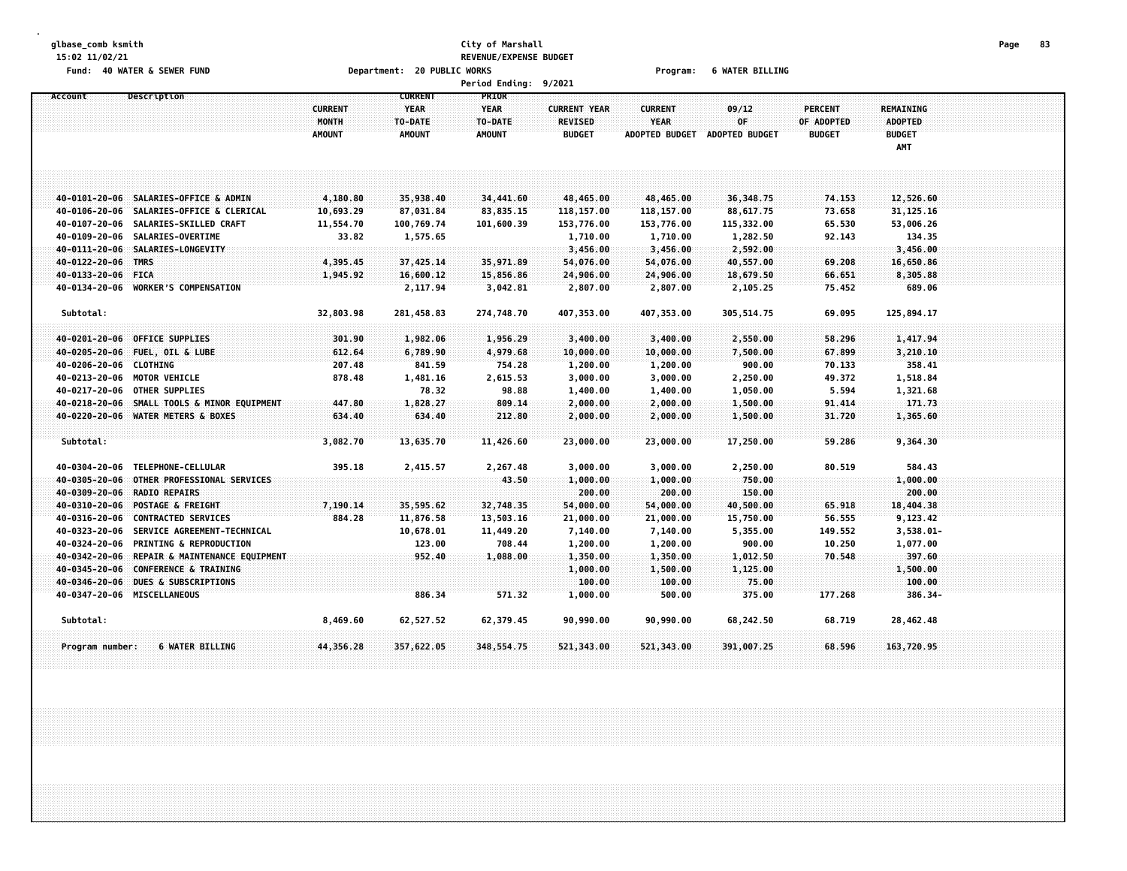## **glbase\_comb ksmith City of Marshall Page 83 15:02 11/02/21 REVENUE/EXPENSE BUDGET** Fund: 40 WATER & SEWER FUND **Department: 20 PUBLIC WORKS** Fund: 40 WATER BILLING

|                        |                                             |                |                | <b>Period Ending:</b> | 9/2021              |                       |                       |                |                |  |
|------------------------|---------------------------------------------|----------------|----------------|-----------------------|---------------------|-----------------------|-----------------------|----------------|----------------|--|
| Account                | Description                                 |                | <b>CURRENT</b> | <b>PRIOR</b>          |                     |                       |                       |                |                |  |
|                        |                                             | <b>CURRENT</b> | <b>YEAR</b>    | <b>YFAR</b>           | <b>CURRENT YEAR</b> | <b>CURRENT</b>        | 09/12                 | <b>PERCENT</b> | REMAINING      |  |
|                        |                                             | MONTH          | TO-DATE        | TO-DATE               | <b>REVISED</b>      | <b>YEAR</b>           | 0F.                   | OF ADOPTED     | <b>ADOPTED</b> |  |
|                        |                                             | <b>AMOUNT</b>  | <b>AMOUNT</b>  | <b>AMOUNT</b>         | <b>BUDGET</b>       | <b>ADOPTED BUDGET</b> | <b>ADOPTED BUDGET</b> | <b>BUDGET</b>  | <b>BUDGET</b>  |  |
|                        |                                             |                |                |                       |                     |                       |                       |                | AMT            |  |
|                        |                                             |                |                |                       |                     |                       |                       |                |                |  |
|                        |                                             |                |                |                       |                     |                       |                       |                |                |  |
|                        | 40-0101-20-06 SALARIES-OFFICE & ADMIN       | 4,180.80       | 35,938.40      | 34,441.60             | 48,465.00           | 48,465.00             | 36,348.75             | 74.153         | 12,526.60      |  |
|                        | 40-0106-20-06 SALARIES-OFFICE & CLERICAL    | 10,693.29      | 87,031.84      | 83,835.15             | 118,157.00          | 118,157.00            | 88,617.75             | 73.658         | 31, 125.16     |  |
|                        | 40-0107-20-06 SALARIES-SKILLED CRAFT        | 11,554.70      | 100,769.74     | 101,600.39            | 153,776.00          | 153,776.00            | 115,332.00            | 65.530         | 53,006.26      |  |
|                        | 40-0109-20-06 SALARIES-OVERTIME             | 33.82          | 1,575.65       |                       | 1,710.00            | 1,710.00              | 1,282.50              | 92.143         | 134.35         |  |
|                        | 40-0111-20-06 SALARIES-LONGEVITY            |                |                |                       | 3,456.00            | 3,456.00              | 2,592.00              |                | 3,456.00       |  |
| 40-0122-20-06          | <b>TMRS</b>                                 | 4,395.45       | 37,425.14      | 35,971.89             | 54,076.00           | 54,076.00             | 40,557.00             | 69.208         | 16,650.86      |  |
| 40-0133-20-06 FICA     |                                             | 1,945.92       | 16,600.12      | 15,856.86             | 24,906.00           | 24,906.00             | 18,679.50             | 66.651         | 8,305.88       |  |
|                        | 40-0134-20-06 WORKER'S COMPENSATION         |                | 2,117.94       | 3,042.81              | 2,807.00            | 2,807.00              | 2,105.25              | 75.452         | 689.06         |  |
| Subtotal:              |                                             | 32,803.98      | 281,458.83     | 274,748.70            | 407,353.00          | 407,353.00            | 305, 514.75           | 69.095         | 125,894.17     |  |
|                        |                                             |                |                |                       |                     |                       |                       |                |                |  |
|                        | 40-0201-20-06 OFFICE SUPPLIES               | 301.90         | 1,982.06       | 1,956.29              | 3,400.00            | 3,400.00              | 2,550.00              | 58.296         | 1,417.94       |  |
|                        | 40-0205-20-06 FUEL, OIL & LUBE              | 612.64         | 6,789.90       | 4,979.68              | 10,000.00           | 10,000.00             | 7,500.00              | 67.899         | 3,210.10       |  |
| 40-0206-20-06 CLOTHING |                                             | 207.48         | 841.59         | 754.28                | 1,200.00            | 1,200.00              | 900.00                | 70.133         | 358.41         |  |
|                        | 40-0213-20-06 MOTOR VEHICLE                 | 878.48         | 1,481.16       | 2,615.53              | 3,000.00            | 3,000.00              | 2,250.00              | 49.372         | 1,518.84       |  |
|                        | 40-0217-20-06 OTHER SUPPLIES                |                | 78.32          | 98.88                 | 1,400.00            | 1,400.00              | 1,050.00              | 5.594          | 1,321.68       |  |
|                        | 40-0218-20-06 SMALL TOOLS & MINOR EQUIPMENT | 447.80         | 1,828.27       | 809.14                | 2,000.00            | 2,000.00              | 1,500.00              | 91.414         | 171.73         |  |
|                        | 40-0220-20-06 WATER METERS & BOXES          | 634.40         | 634.40         | 212.80                | 2,000.00            | 2,000.00              | 1,500.00              | 31.720         | 1,365.60       |  |
|                        |                                             |                |                |                       |                     |                       |                       |                |                |  |
| Subtotal:              |                                             | 3,082.70       | 13,635.70      | 11,426.60             | 23,000.00           | 23,000.00             | 17,250.00             | 59.286         | 9,364.30       |  |
| 40-0304-20-06          | TELEPHONE-CELLULAR                          | 395.18         | 2,415.57       | 2,267.48              | 3,000.00            | 3,000.00              | 2,250.00              | 80.519         | 584.43         |  |
| 40-0305-20-06          | OTHER PROFESSIONAL SERVICES                 |                |                | 43.50                 | 1,000.00            | 1,000.00              | 750.00                |                | 1,000.00       |  |
| 40-0309-20-06          | <b>RADIO REPAIRS</b>                        |                |                |                       | 200.00              | 200.00                | 150.00                |                | 200.00         |  |
| 40-0310-20-06          | POSTAGE & FREIGHT                           | 7,190.14       | 35,595.62      | 32,748.35             | 54,000.00           | 54,000.00             | 40,500.00             | 65,918         | 18,404.38      |  |
| 40-0316-20-06          | <b>CONTRACTED SERVICES</b>                  | 884.28         | 11,876.58      | 13,503.16             | 21,000.00           | 21,000.00             | 15,750.00             | 56.555         | 9,123.42       |  |
| 40-0323-20-06          | SERVICE AGREEMENT-TECHNICAL                 |                | 10,678.01      | 11,449.20             | 7,140.00            | 7,140.00              | 5,355.00              | 149.552        | $3,538.01 -$   |  |
| 40-0324-20-06          | <b>PRINTING &amp; REPRODUCTION</b>          |                | 123.00         | 708.44                | 1,200.00            | 1,200.00              | 900.00                | 10.250         | 1,077.00       |  |
| 40-0342-20-06          | REPAIR & MAINTENANCE EQUIPMENT              |                | 952.40         | 1,088.00              | 1,350.00            | 1,350.00              | 1,012.50              | 70.548         | 397.60         |  |
| 40-0345-20-06          | <b>CONFERENCE &amp; TRAINING</b>            |                |                |                       | 1,000.00            | 1,500.00              | 1,125.00              |                | 1,500.00       |  |
| 40-0346-20-06          | <b>DUES &amp; SUBSCRIPTIONS</b>             |                |                |                       | 100.00              | 100.00                | 75.00                 |                | 100.00         |  |
|                        | <b>40-0347-20-06 MISCELLANEOUS</b>          |                | 886.34         | 571.32                | 1,000.00            | 500.00                | 375.00                | 177.268        | 386.34-        |  |
| Subtotal:              |                                             | 8,469.60       | 62,527.52      | 62,379.45             | 90,990.00           | 90,990.00             | 68,242.50             | 68.719         | 28,462.48      |  |
| Program number:        | <b>6 WATER BILLING</b>                      | 44,356.28      | 357,622.05     | 348, 554, 75          | 521,343.00          | 521,343.00            | 391,007.25            | 68,596         | 163,720.95     |  |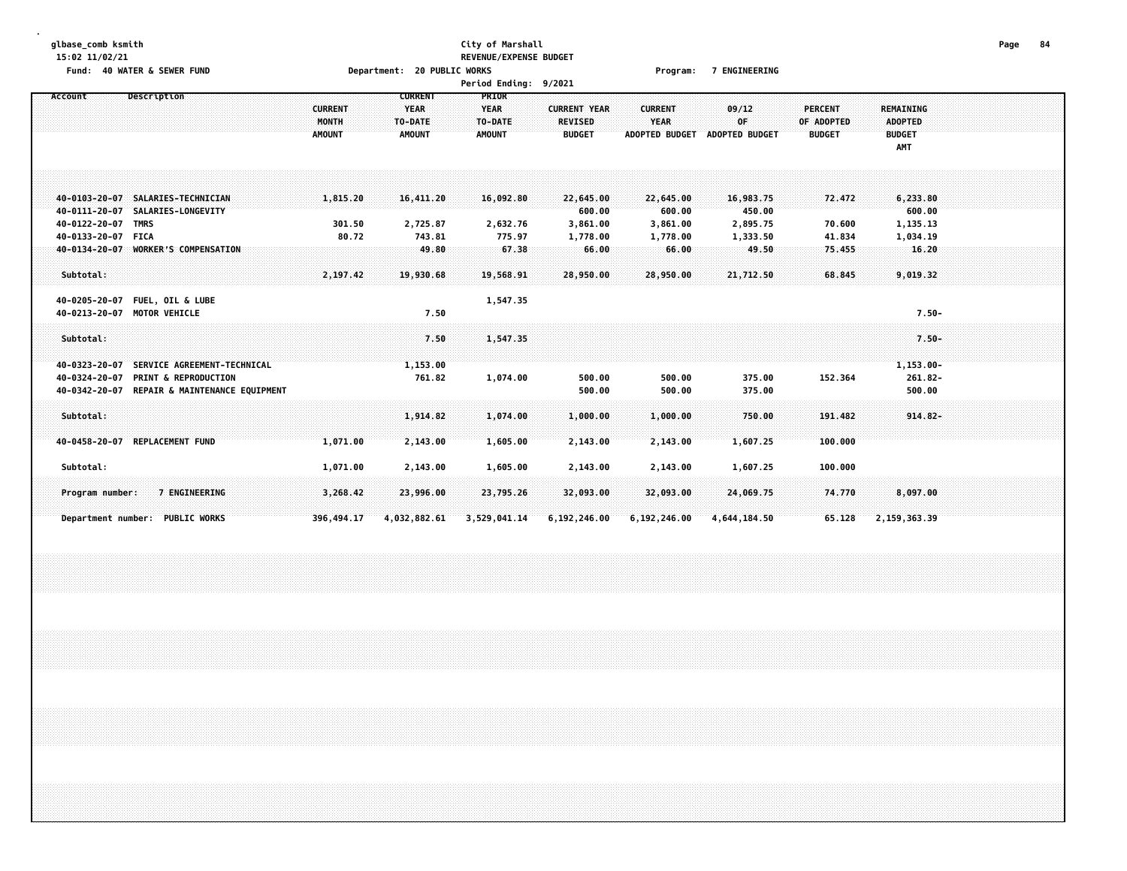# **glbase\_comb ksmith City of Marshall Page 84 15:02 11/02/21 REVENUE/EXPENSE BUDGET Fund: 40 WATER & SEWER FUND Department: 20 PUBLIC WORKS Program: 7 ENGINEERING**

| Account<br>Description                                                      |                | <b>CURRENT</b> | PRIOR         |                     |                       |                       |               |                    |  |
|-----------------------------------------------------------------------------|----------------|----------------|---------------|---------------------|-----------------------|-----------------------|---------------|--------------------|--|
|                                                                             | <b>CURRENT</b> | <b>YEAR</b>    | <b>YEAR</b>   | <b>CURRENT YEAR</b> | <b>CURRENT</b>        | 09/12                 | PERCENT       | <b>REMAINING</b>   |  |
|                                                                             | <b>MONTH</b>   | TO-DATE        | TO-DATE       | <b>REVISED</b>      | <b>YEAR</b>           | 0F                    | OF ADOPTED    | <b>ADOPTED</b>     |  |
|                                                                             | <b>AMOUNT</b>  | <b>AMOUNT</b>  | <b>AMOUNT</b> | <b>BUDGET</b>       | <b>ADOPTED BUDGET</b> | <b>ADOPTED BUDGET</b> | <b>BUDGET</b> | <b>BUDGET</b>      |  |
|                                                                             |                |                |               |                     |                       |                       |               | AMT                |  |
|                                                                             |                |                |               |                     |                       |                       |               |                    |  |
|                                                                             |                |                |               |                     |                       |                       |               |                    |  |
|                                                                             |                |                |               |                     |                       |                       |               |                    |  |
| 40-0103-20-07<br>SALARIES-TECHNICIAN<br>SALARIES-LONGEVITY<br>40-0111-20-07 | 1,815.20       | 16,411.20      | 16,092.80     | 22,645.00<br>600.00 | 22,645.00<br>600.00   | 16,983.75<br>450.00   | 72.472        | 6,233.80<br>600.00 |  |
| 40-0122-20-07<br><b>TMRS</b>                                                | 301.50         | 2,725.87       | 2,632.76      | 3,861.00            | 3,861.00              | 2,895.75              | 70.600        | 1,135.13           |  |
| 40-0133-20-07<br><b>FICA</b>                                                | 80.72          | 743.81         | 775.97        | 1,778.00            | 1,778.00              | 1,333.50              | 41.834        | 1,034.19           |  |
| <b>WORKER'S COMPENSATION</b><br>40-0134-20-07                               |                | 49.80          | 67.38         | 66.00               | 66.00                 | 49.50                 | 75.455        | 16.20              |  |
|                                                                             |                |                |               |                     |                       |                       |               |                    |  |
| Subtotal:                                                                   | 2,197.42       | 19,930.68      | 19,568.91     | 28,950.00           | 28,950.00             | 21,712.50             | 68.845        | 9,019.32           |  |
|                                                                             |                |                |               |                     |                       |                       |               |                    |  |
| <b>FUEL, OIL &amp; LUBE</b><br>40-0205-20-07                                |                |                | 1,547.35      |                     |                       |                       |               |                    |  |
| <b>MOTOR VEHICLE</b><br>40-0213-20-07                                       |                | 7.50           |               |                     |                       |                       |               | $7.50 -$           |  |
| Subtotal:                                                                   |                | 7.50           | 1,547.35      |                     |                       |                       |               | $7.50 -$           |  |
|                                                                             |                |                |               |                     |                       |                       |               |                    |  |
| SERVICE AGREEMENT-TECHNICAL<br>40-0323-20-07                                |                | 1,153.00       |               |                     |                       |                       |               | $1,153.00 -$       |  |
| <b>PRINT &amp; REPRODUCTION</b><br>40-0324-20-07                            |                | 761.82         | 1,074.00      | 500.00              | 500.00                | 375.00                | 152.364       | 261.82-            |  |
| 40-0342-20-07<br>REPAIR & MAINTENANCE EQUIPMENT                             |                |                |               | 500.00              | 500.00                | 375.00                |               | 500.00             |  |
|                                                                             |                |                |               |                     |                       |                       |               |                    |  |
| Subtotal:                                                                   |                | 1,914.82       | 1,074.00      | 1,000.00            | 1,000.00              | 750.00                | 191.482       | $914.82 -$         |  |
| <b>REPLACEMENT FUND</b><br>40-0458-20-07                                    | 1,071.00       | 2,143.00       | 1,605.00      | 2,143.00            | 2,143.00              | 1,607.25              | 100.000       |                    |  |
|                                                                             |                |                |               |                     |                       |                       |               |                    |  |
| Subtotal:                                                                   | 1,071.00       | 2,143.00       | 1,605.00      | 2,143.00            | 2,143.00              | 1,607.25              | 100.000       |                    |  |
|                                                                             |                |                |               |                     |                       |                       |               |                    |  |
| 7 ENGINEERING<br>Program number:                                            | 3,268.42       | 23,996.00      | 23,795.26     | 32,093.00           | 32,093.00             | 24,069.75             | 74.770        | 8,097.00           |  |
|                                                                             |                |                |               |                     |                       |                       |               |                    |  |
| Department number: PUBLIC WORKS                                             | 396,494.17     | 4,032,882.61   | 3,529,041.14  | 6,192,246.00        | 6,192,246.00          | 4,644,184.50          | 65.128        | 2,159,363.39       |  |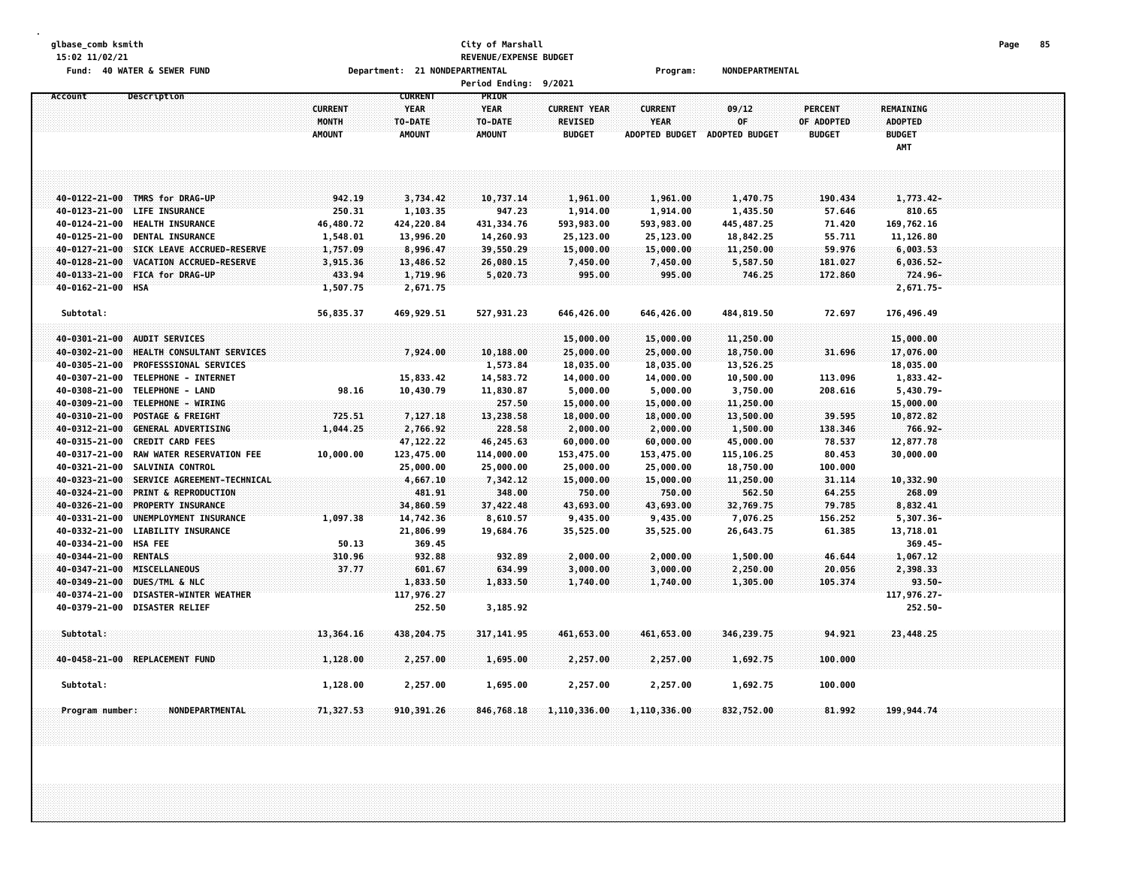# **glbase\_comb ksmith City of Marshall Page 85 15:02 11/02/21 REVENUE/EXPENSE BUDGET**

**Fund: 40 WATER & SEWER FUND Department: 21 NONDEPARTMENTAL Program: NONDEPARTMENTAL**

| <b>Period Ending:</b> | 9/2021 |
|-----------------------|--------|
|-----------------------|--------|

| Account                        | Description                                     | <b>CURRENT</b><br>MONTH<br><b>AMOUNT</b> | <b>CURRENT</b><br><b>YEAR</b><br>TO-DATE<br><b>AMOUNT</b> | PRIOR<br><b>YEAR</b><br>TO-DATE<br><b>AMOUNT</b> | <b>CURRENT YEAR</b><br><b>REVISED</b><br><b>BUDGET</b> | <b>CURRENT</b><br><b>YEAR</b><br><b>ADOPTED BUDGET</b> | 09/12<br>0F<br><b>ADOPTED BUDGET</b> | <b>PERCENT</b><br>OF ADOPTED<br><b>BUDGET</b> | REMAINING<br><b>ADOPTED</b><br><b>BUDGET</b><br>AMT |  |
|--------------------------------|-------------------------------------------------|------------------------------------------|-----------------------------------------------------------|--------------------------------------------------|--------------------------------------------------------|--------------------------------------------------------|--------------------------------------|-----------------------------------------------|-----------------------------------------------------|--|
|                                |                                                 |                                          |                                                           |                                                  |                                                        |                                                        |                                      |                                               |                                                     |  |
| 40-0122-21-00                  | TMRS for DRAG-UP                                | 942.19                                   | 3,734.42                                                  | 10,737.14                                        | 1,961.00                                               | 1,961.00                                               | 1,470.75                             | 190.434                                       | 1,773.42-                                           |  |
| $40 - 0123 - 21 - 00$          | <b>LIFE INSURANCE</b>                           | 250.31                                   | 1,103.35                                                  | 947.23                                           | 1,914.00                                               | 1,914.00                                               | 1,435.50                             | 57.646                                        | 810.65                                              |  |
| 40-0124-21-00                  | <b>HEALTH INSURANCE</b>                         | 46,480.72                                | 424,220.84                                                | 431, 334.76                                      | 593,983.00                                             | 593,983.00                                             | 445, 487.25                          | 71.420                                        | 169,762.16                                          |  |
| 40-0125-21-00                  | DENTAL INSURANCE                                | 1,548.01                                 | 13,996.20                                                 | 14,260.93                                        | 25,123.00                                              | 25,123.00                                              | 18,842.25                            | 55.711                                        | 11,126.80                                           |  |
| 40-0127-21-00                  | SICK LEAVE ACCRUED-RESERVE                      | 1,757.09                                 | 8,996.47                                                  | 39,550.29                                        | 15,000.00                                              | 15,000.00                                              | 11,250.00                            | 59.976                                        | 6,003.53                                            |  |
| 40-0128-21-00                  | VACATION ACCRUED-RESERVE                        | 3,915.36                                 | 13,486.52                                                 | 26,080.15                                        | 7,450.00                                               | 7,450.00                                               | 5,587.50                             | 181.027                                       | $6,036.52-$                                         |  |
| 40-0133-21-00                  | <b>FICA for DRAG-UP</b>                         | 433.94                                   | 1,719.96                                                  | 5,020.73                                         | 995.00                                                 | 995.00                                                 | 746.25                               | 172.860                                       | 724.96-                                             |  |
| 40-0162-21-00 HSA              |                                                 | 1,507.75                                 | 2,671.75                                                  |                                                  |                                                        |                                                        |                                      |                                               | 2,671.75-                                           |  |
| Subtotal:                      |                                                 | 56,835.37                                | 469,929.51                                                | 527,931.23                                       | 646,426.00                                             | 646,426.00                                             | 484,819.50                           | 72.697                                        | 176,496.49                                          |  |
|                                |                                                 |                                          |                                                           |                                                  |                                                        |                                                        |                                      |                                               |                                                     |  |
| 40-0301-21-00                  | <b>AUDIT SERVICES</b>                           |                                          |                                                           |                                                  | 15,000.00                                              | 15,000.00                                              | 11,250.00                            |                                               | 15,000.00                                           |  |
| 40-0302-21-00                  | HEALTH CONSULTANT SERVICES                      |                                          | 7,924.00                                                  | 10,188.00                                        | 25,000.00                                              | 25,000.00                                              | 18,750.00                            | 31.696                                        | 17,076.00                                           |  |
| 40-0305-21-00                  | <b>PROFESSSIONAL SERVICES</b>                   |                                          |                                                           | 1,573.84                                         | 18,035.00                                              | 18,035.00                                              | 13,526.25                            |                                               | 18,035.00                                           |  |
| 40-0307-21-00                  | TELEPHONE - INTERNET<br>TELEPHONE - LAND        |                                          | 15,833.42                                                 | 14,583.72                                        | 14,000.00                                              | 14,000.00                                              | 10,500.00                            | 113.096                                       | 1,833.42-                                           |  |
| 40-0308-21-00                  | TELEPHONE - WIRING                              | 98.16                                    | 10,430.79                                                 | 11,830.87                                        | 5,000.00                                               | 5,000.00                                               | 3,750.00                             | 208.616                                       | 5,430.79-                                           |  |
| 40-0309-21-00                  |                                                 |                                          |                                                           | 257.50                                           | 15,000.00                                              | 15,000.00                                              | 11,250.00                            |                                               | 15,000.00                                           |  |
| 40-0310-21-00                  | POSTAGE & FREIGHT<br><b>GENERAL ADVERTISING</b> | 725.51                                   | 7,127.18                                                  | 13,238.58<br>228.58                              | 18,000.00                                              | 18,000.00                                              | 13,500.00                            | 39.595                                        | 10,872.82<br>766.92-                                |  |
| 40-0312-21-00<br>40-0315-21-00 | <b>CREDIT CARD FEES</b>                         | 1,044.25                                 | 2,766.92<br>47, 122.22                                    | 46,245.63                                        | 2,000.00<br>60,000.00                                  | 2,000.00<br>60,000.00                                  | 1,500.00<br>45,000.00                | 138.346<br>78.537                             | 12,877.78                                           |  |
| 40-0317-21-00                  | RAW WATER RESERVATION FEE                       | 10,000.00                                | 123,475.00                                                | 114,000.00                                       | 153,475.00                                             | 153,475.00                                             | 115,106.25                           | 80.453                                        | 30,000.00                                           |  |
| 40-0321-21-00                  | <b>SALVINIA CONTROL</b>                         |                                          | 25,000.00                                                 | 25,000.00                                        | 25,000.00                                              | 25,000.00                                              | 18,750.00                            | 100.000                                       |                                                     |  |
| 40-0323-21-00                  | SERVICE AGREEMENT-TECHNICAL                     |                                          | 4,667.10                                                  | 7,342.12                                         | 15,000.00                                              | 15,000.00                                              | 11,250.00                            | 31.114                                        | 10,332.90                                           |  |
| 40-0324-21-00                  | <b>PRINT &amp; REPRODUCTION</b>                 |                                          | 481.91                                                    | 348.00                                           | 750.00                                                 | 750.00                                                 | 562.50                               | 64.255                                        | 268.09                                              |  |
| 40-0326-21-00                  | PROPERTY INSURANCE                              |                                          | 34,860.59                                                 | 37,422.48                                        | 43,693.00                                              | 43,693.00                                              | 32,769.75                            | 79,785                                        | 8,832.41                                            |  |
| 40-0331-21-00                  | UNEMPLOYMENT INSURANCE                          | 1,097.38                                 | 14,742.36                                                 | 8,610.57                                         | 9,435.00                                               | 9,435.00                                               | 7,076.25                             | 156.252                                       | 5,307.36-                                           |  |
| 40-0332-21-00                  | <b>LIABILITY INSURANCE</b>                      |                                          | 21,806.99                                                 | 19,684.76                                        | 35,525.00                                              | 35,525.00                                              | 26,643.75                            | 61.385                                        | 13,718.01                                           |  |
| 40-0334-21-00 HSA FEE          |                                                 | 50.13                                    | 369.45                                                    |                                                  |                                                        |                                                        |                                      |                                               | $369.45 -$                                          |  |
| 40-0344-21-00                  | <b>RENTALS</b>                                  | 310.96                                   | 932.88                                                    | 932.89                                           | 2,000.00                                               | 2,000.00                                               | 1,500.00                             | 46.644                                        | 1,067.12                                            |  |
| 40-0347-21-00                  | <b>MISCELLANEOUS</b>                            | 37.77                                    | 601.67                                                    | 634.99                                           | 3,000.00                                               | 3,000.00                                               | 2,250.00                             | 20.056                                        | 2,398.33                                            |  |
| 40-0349-21-00                  | DUES/TML & NLC                                  |                                          | 1,833.50                                                  | 1,833.50                                         | 1,740.00                                               | 1,740.00                                               | 1,305.00                             | 105.374                                       | $93.50 -$                                           |  |
| 40-0374-21-00                  | <b>DISASTER-WINTER WEATHER</b>                  |                                          | 117,976.27                                                |                                                  |                                                        |                                                        |                                      |                                               | 117,976.27-                                         |  |
| 40-0379-21-00                  | <b>DISASTER RELIEF</b>                          |                                          | 252.50                                                    | 3,185.92                                         |                                                        |                                                        |                                      |                                               | 252.50-                                             |  |
| Subtotal:                      |                                                 | 13,364.16                                | 438,204.75                                                | 317, 141.95                                      | 461,653.00                                             | 461,653.00                                             | 346,239.75                           | 94.921                                        | 23,448.25                                           |  |
|                                | 40-0458-21-00 REPLACEMENT FUND                  | 1,128.00                                 | 2,257.00                                                  | 1,695.00                                         | 2,257.00                                               | 2,257.00                                               | 1,692.75                             | 100.000                                       |                                                     |  |
|                                |                                                 |                                          |                                                           |                                                  |                                                        |                                                        |                                      |                                               |                                                     |  |
| Subtotal:                      |                                                 | 1,128.00                                 | 2,257.00                                                  | 1,695.00                                         | 2,257.00                                               | 2,257.00                                               | 1,692.75                             | 100.000                                       |                                                     |  |
| Program number:                | NONDEPARTMENTAL.                                | 71,327.53                                | 910,391.26                                                | 846,768.18                                       | 1,110,336.00                                           | 1,110,336.00                                           | 832,752.00                           | 81.992                                        | 199,944.74                                          |  |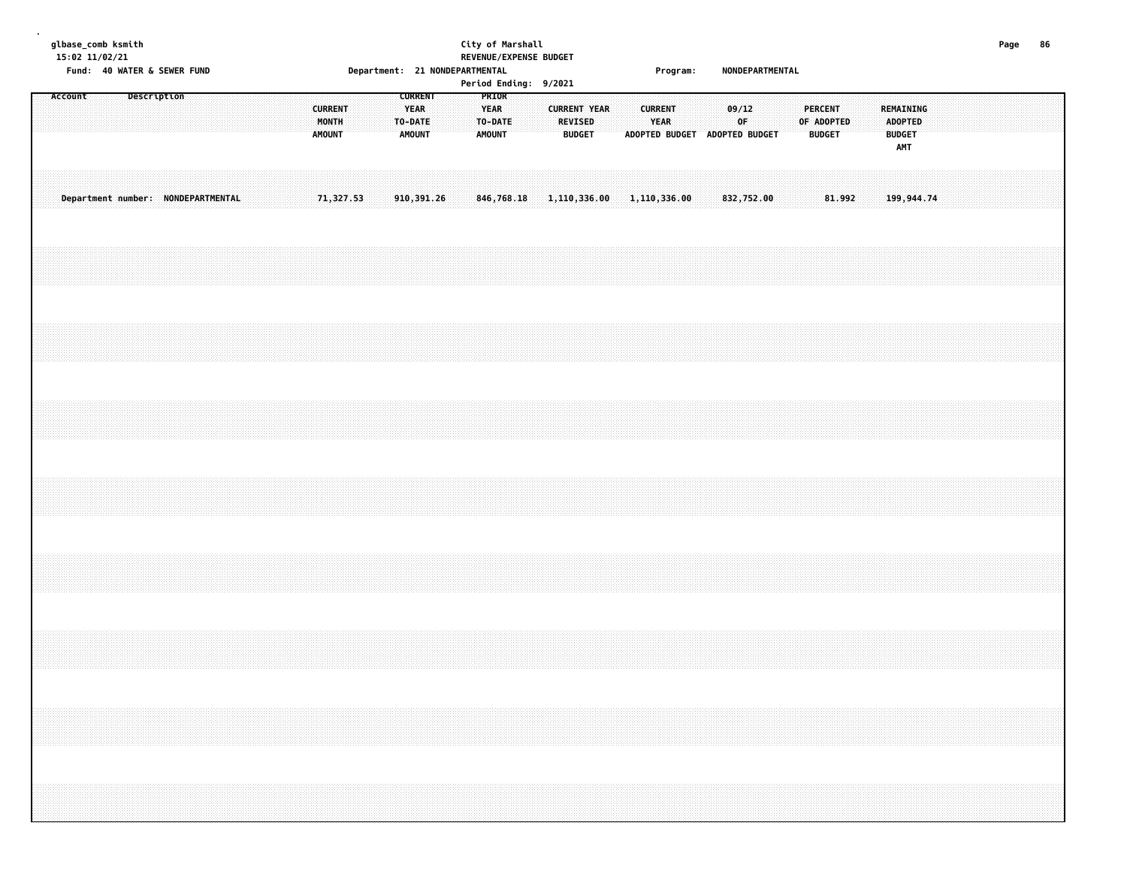| albase comb ksmith                   |
|--------------------------------------|
| 15:02 11/02/21                       |
| $Eund \leftarrow AB$ WATED $E$ CEWED |

# **glbase\_comb ksmith City of Marshall Page 86 15:02 11/02/21 REVENUE/EXPENSE BUDGET Fund: 40 WATER & SEWER FUND Department: 21 NONDEPARTMENTAL Program: NONDEPARTMENTAL**

| REMAINING<br><b>ADOPTED</b><br><b>BUDGET</b><br><b>AMT</b>     | 199,944.74                                 |  |  |  |  |
|----------------------------------------------------------------|--------------------------------------------|--|--|--|--|
|                                                                |                                            |  |  |  |  |
|                                                                |                                            |  |  |  |  |
|                                                                |                                            |  |  |  |  |
| <b>BUDGET</b>                                                  | 81.992                                     |  |  |  |  |
| <b>PERCENT</b><br>OF ADOPTED                                   |                                            |  |  |  |  |
|                                                                |                                            |  |  |  |  |
|                                                                |                                            |  |  |  |  |
|                                                                |                                            |  |  |  |  |
| 09/12<br>OF                                                    | 832,752.00                                 |  |  |  |  |
|                                                                |                                            |  |  |  |  |
|                                                                |                                            |  |  |  |  |
|                                                                |                                            |  |  |  |  |
| <b>CURRENT</b><br><b>YEAR</b><br>ADOPTED BUDGET ADOPTED BUDGET |                                            |  |  |  |  |
|                                                                |                                            |  |  |  |  |
|                                                                |                                            |  |  |  |  |
| REVISED<br><b>BUDGET</b>                                       |                                            |  |  |  |  |
| <b>CURRENT YEAR</b>                                            |                                            |  |  |  |  |
|                                                                |                                            |  |  |  |  |
|                                                                | $846,768.18$ 1, 110, 336.00 1, 110, 336.00 |  |  |  |  |
| PRIOR<br><b>YEAR</b><br>TO-DATE<br><b>AMOUNT</b>               |                                            |  |  |  |  |
|                                                                |                                            |  |  |  |  |
|                                                                |                                            |  |  |  |  |
| <b>CURRENT</b>                                                 | 910,391.26                                 |  |  |  |  |
| <b>YEAR</b><br>TO-DATE<br><b>AMOUNT</b>                        |                                            |  |  |  |  |
|                                                                |                                            |  |  |  |  |
|                                                                |                                            |  |  |  |  |
| <b>CURRENT</b><br>MONTH<br><b>AMOUNT</b>                       | 71,327.53                                  |  |  |  |  |
|                                                                |                                            |  |  |  |  |
|                                                                |                                            |  |  |  |  |
|                                                                |                                            |  |  |  |  |
|                                                                |                                            |  |  |  |  |
|                                                                | Department number: NONDEPARTMENTAL         |  |  |  |  |
|                                                                |                                            |  |  |  |  |
|                                                                |                                            |  |  |  |  |
|                                                                |                                            |  |  |  |  |
| Description                                                    |                                            |  |  |  |  |
|                                                                |                                            |  |  |  |  |
|                                                                |                                            |  |  |  |  |
| Account                                                        |                                            |  |  |  |  |
|                                                                |                                            |  |  |  |  |
|                                                                |                                            |  |  |  |  |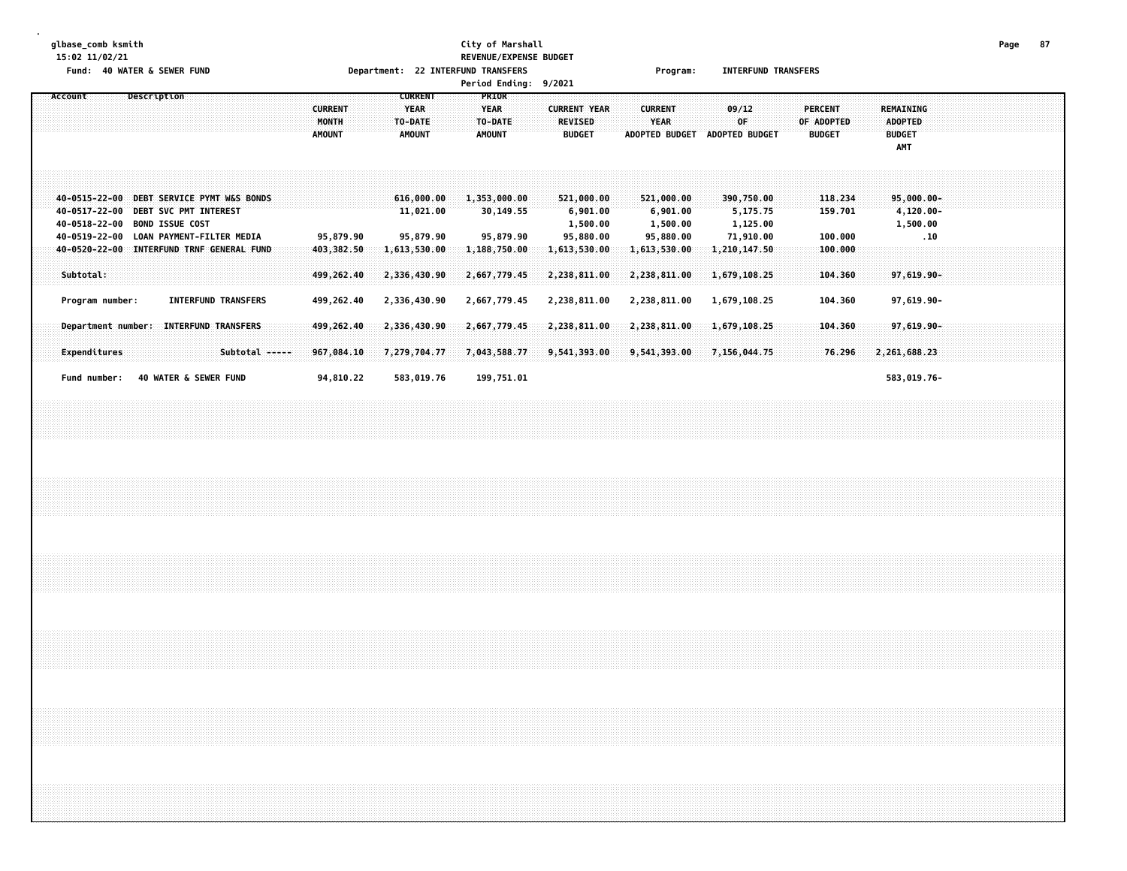# **glbase\_comb ksmith City of Marshall Page 87 15:02 11/02/21 REVENUE/EXPENSE BUDGET Fund: 40 WATER & SEWER FUND Department: 22 INTERFUND TRANSFERS Program: INTERFUND TRANSFERS**

|         |                 |  |  |                                                                      |  |                                                                                      |  |  |                                          |  |                              |                                                           |                                      |  |                                         |       | Period Ending: 9/2021                  |  |                                 |                                                 |  |                |                                                 |                               |                                                 |  |                                 |                               |  |                                                     |                       |                      |  |  |  |
|---------|-----------------|--|--|----------------------------------------------------------------------|--|--------------------------------------------------------------------------------------|--|--|------------------------------------------|--|------------------------------|-----------------------------------------------------------|--------------------------------------|--|-----------------------------------------|-------|----------------------------------------|--|---------------------------------|-------------------------------------------------|--|----------------|-------------------------------------------------|-------------------------------|-------------------------------------------------|--|---------------------------------|-------------------------------|--|-----------------------------------------------------|-----------------------|----------------------|--|--|--|
| Account |                 |  |  | Description                                                          |  |                                                                                      |  |  | <b>CURRENT</b><br>MONTH<br><b>AMOUNT</b> |  |                              | <b>CURRENT</b><br><b>YEAR</b><br>TO-DATE<br><b>AMOUNT</b> |                                      |  | <b>YEAR</b><br>TO-DATE<br><b>AMOUNT</b> | PRIOR |                                        |  | <b>REVISED</b><br><b>BUDGET</b> | <b>CURRENT YEAR</b>                             |  | <b>CURRENT</b> | <b>YEAR</b>                                     | ADOPTED BUDGET ADOPTED BUDGET | 09/12<br>0F                                     |  | <b>PERCENT</b><br><b>BUDGET</b> | OF ADOPTED                    |  | REMAINING<br><b>ADOPTED</b><br><b>BUDGET</b><br>AMT |                       |                      |  |  |  |
|         |                 |  |  | 40-0517-22-00 DEBT SVC PMT INTEREST<br>40-0518-22-00 BOND ISSUE COST |  | 40-0515-22-00 DEBT SERVICE PYMT W&S BONDS<br>40-0519-22-00 LOAN PAYMENT-FILTER MEDIA |  |  | 95,879.90                                |  |                              |                                                           | 616,000.00<br>11,021.00<br>95,879.90 |  |                                         |       | 1,353,000.00<br>30,149.55<br>95,879.90 |  |                                 | 521,000.00<br>6,901.00<br>1,500.00<br>95,880.00 |  |                | 521,000.00<br>6,901.00<br>1,500.00<br>95,880.00 |                               | 390,750.00<br>5,175.75<br>1,125.00<br>71,910.00 |  |                                 | 118.234<br>159.701<br>100.000 |  |                                                     | 4,120.00-<br>1,500.00 | $95,000.00 -$<br>.10 |  |  |  |
|         | Subtotal:       |  |  |                                                                      |  | 40-0520-22-00 INTERFUND TRNF GENERAL FUND                                            |  |  | 403,382.50<br>499,262.40                 |  | 1,613,530.00<br>2,336,430.90 |                                                           |                                      |  |                                         |       | 1,188,750.00<br>2,667,779.45           |  |                                 | 1,613,530.00<br>2,238,811.00                    |  |                | 1,613,530.00<br>2,238,811.00                    |                               | 1,210,147.50<br>1,679,108.25                    |  |                                 | 100.000<br>104.360            |  |                                                     |                       | 97,619.90-           |  |  |  |
|         | Program number: |  |  |                                                                      |  | <b>INTERFUND TRANSFERS</b>                                                           |  |  | 499,262.40                               |  | 2,336,430.90                 |                                                           |                                      |  |                                         |       | 2,667,779.45                           |  |                                 | 2,238,811.00                                    |  |                | 2,238,811.00                                    |                               | 1,679,108.25                                    |  |                                 | 104.360                       |  |                                                     |                       | 97,619.90-           |  |  |  |
|         | Expenditures    |  |  |                                                                      |  | Department number: INTERFUND TRANSFERS<br>Subtotal -----                             |  |  | 499,262.40<br>967,084.10                 |  | 2,336,430.90<br>7,279,704.77 |                                                           |                                      |  |                                         |       | 2,667,779.45<br>7,043,588.77           |  |                                 | 2,238,811.00<br>9,541,393.00                    |  |                | 2,238,811.00<br>9,541,393.00                    |                               | 1,679,108.25<br>7,156,044.75                    |  |                                 | 104,360<br>76.296             |  | 2,261,688.23                                        |                       | 97,619.90-           |  |  |  |
|         | Fund number:    |  |  |                                                                      |  | 40 WATER & SEWER FUND                                                                |  |  | 94,810.22                                |  |                              |                                                           | 583,019.76                           |  |                                         |       | 199,751.01                             |  |                                 |                                                 |  |                |                                                 |                               |                                                 |  |                                 |                               |  |                                                     |                       | 583,019.76-          |  |  |  |
|         |                 |  |  |                                                                      |  |                                                                                      |  |  |                                          |  |                              |                                                           |                                      |  |                                         |       |                                        |  |                                 |                                                 |  |                |                                                 |                               |                                                 |  |                                 |                               |  |                                                     |                       |                      |  |  |  |
|         |                 |  |  |                                                                      |  |                                                                                      |  |  |                                          |  |                              |                                                           |                                      |  |                                         |       |                                        |  |                                 |                                                 |  |                |                                                 |                               |                                                 |  |                                 |                               |  |                                                     |                       |                      |  |  |  |
|         |                 |  |  |                                                                      |  |                                                                                      |  |  |                                          |  |                              |                                                           |                                      |  |                                         |       |                                        |  |                                 |                                                 |  |                |                                                 |                               |                                                 |  |                                 |                               |  |                                                     |                       |                      |  |  |  |
|         |                 |  |  |                                                                      |  |                                                                                      |  |  |                                          |  |                              |                                                           |                                      |  |                                         |       |                                        |  |                                 |                                                 |  |                |                                                 |                               |                                                 |  |                                 |                               |  |                                                     |                       |                      |  |  |  |
|         |                 |  |  |                                                                      |  |                                                                                      |  |  |                                          |  |                              |                                                           |                                      |  |                                         |       |                                        |  |                                 |                                                 |  |                |                                                 |                               |                                                 |  |                                 |                               |  |                                                     |                       |                      |  |  |  |
|         |                 |  |  |                                                                      |  |                                                                                      |  |  |                                          |  |                              |                                                           |                                      |  |                                         |       |                                        |  |                                 |                                                 |  |                |                                                 |                               |                                                 |  |                                 |                               |  |                                                     |                       |                      |  |  |  |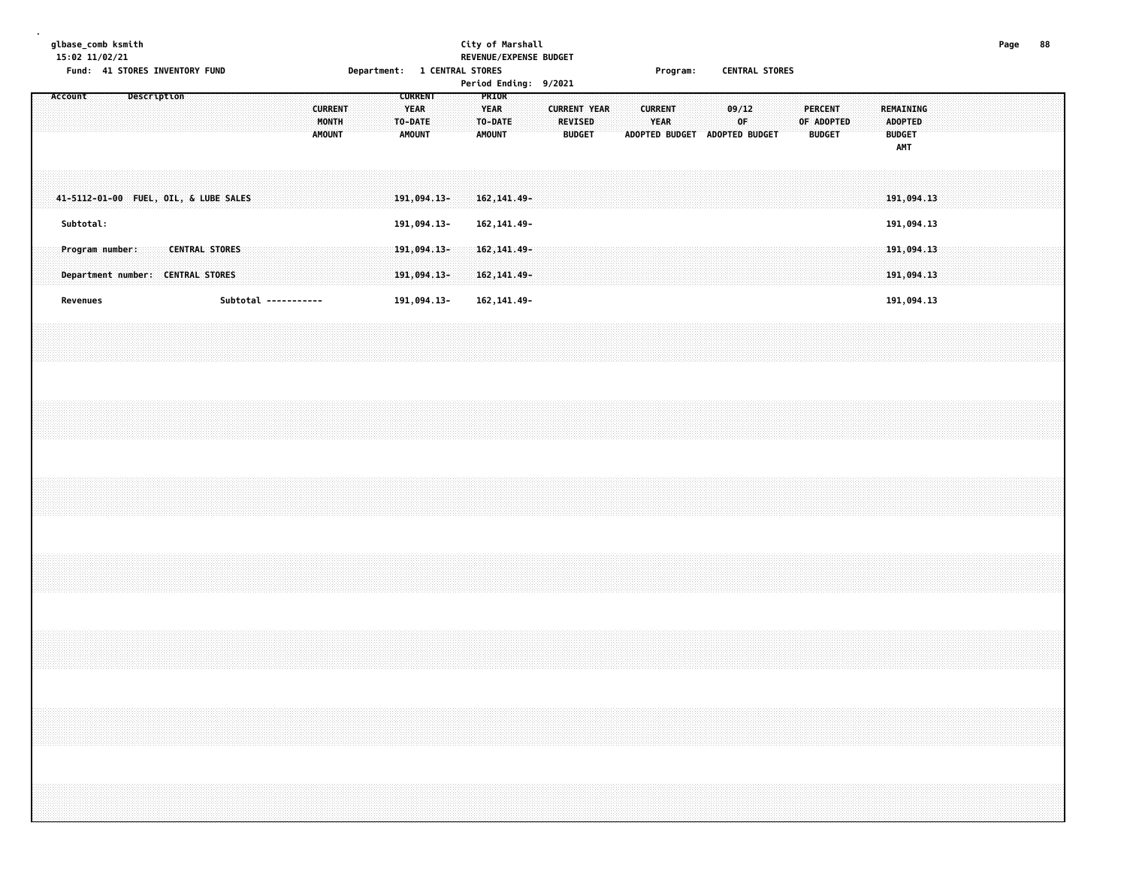# **glbase\_comb ksmith City of Marshall Page 88 15:02 11/02/21 REVENUE/EXPENSE BUDGET** Fund: 41 STORES INVENTORY FUND **Department: 1 CENTRAL STORES** Frogram: CENTRAL STORES

| Account |           |                 |  | Description |                                                            |  |  |                      | <b>CURRENT</b><br>MONTH<br>AMOUNT |  | <b>TURRENT</b><br><b>YEAR</b><br>TO-DATE<br><b>AMOUNT</b> |                            |  | PRIOR<br><b>YEAR</b><br>AMOUNT | TO-DATE                      |  | <b>REVISED</b><br><b>BUDGET</b> | <b>CURRENT YEAR</b> |  | <b>CURRENT</b><br><b>YEAR</b> |  | ADOPTED BUDGET ADOPTED BUDGET | 09/12<br>OF |  | <b>PERCENT</b><br>OF ADOPTED<br><b>BUDGET</b> |  |  | REMAINING<br>ADOPTED<br><b>BUDGET</b><br>AMT |  |  |  |  |
|---------|-----------|-----------------|--|-------------|------------------------------------------------------------|--|--|----------------------|-----------------------------------|--|-----------------------------------------------------------|----------------------------|--|--------------------------------|------------------------------|--|---------------------------------|---------------------|--|-------------------------------|--|-------------------------------|-------------|--|-----------------------------------------------|--|--|----------------------------------------------|--|--|--|--|
|         |           |                 |  |             | 41-5112-01-00 FUEL, OIL, & LUBE SALES                      |  |  |                      |                                   |  |                                                           | 191,094.13-                |  |                                | 162, 141.49-                 |  |                                 |                     |  |                               |  |                               |             |  |                                               |  |  | 191,094.13                                   |  |  |  |  |
|         | Subtotal: |                 |  |             |                                                            |  |  |                      |                                   |  |                                                           | 191,094.13-                |  |                                | 162, 141.49-                 |  |                                 |                     |  |                               |  |                               |             |  |                                               |  |  | 191,094.13                                   |  |  |  |  |
|         |           | Program number: |  |             | <b>CENTRAL STORES</b><br>Department number: CENTRAL STORES |  |  |                      |                                   |  |                                                           | 191,094.13-<br>191,094.13- |  |                                | 162, 141.49-<br>162, 141.49- |  |                                 |                     |  |                               |  |                               |             |  |                                               |  |  | 191,094.13<br>191,094.13                     |  |  |  |  |
|         | Revenues  |                 |  |             |                                                            |  |  | Subtotal ----------- |                                   |  |                                                           | 191,094.13-                |  |                                | 162, 141.49-                 |  |                                 |                     |  |                               |  |                               |             |  |                                               |  |  | 191,094.13                                   |  |  |  |  |
|         |           |                 |  |             |                                                            |  |  |                      |                                   |  |                                                           |                            |  |                                |                              |  |                                 |                     |  |                               |  |                               |             |  |                                               |  |  |                                              |  |  |  |  |
|         |           |                 |  |             |                                                            |  |  |                      |                                   |  |                                                           |                            |  |                                |                              |  |                                 |                     |  |                               |  |                               |             |  |                                               |  |  |                                              |  |  |  |  |
|         |           |                 |  |             |                                                            |  |  |                      |                                   |  |                                                           |                            |  |                                |                              |  |                                 |                     |  |                               |  |                               |             |  |                                               |  |  |                                              |  |  |  |  |
|         |           |                 |  |             |                                                            |  |  |                      |                                   |  |                                                           |                            |  |                                |                              |  |                                 |                     |  |                               |  |                               |             |  |                                               |  |  |                                              |  |  |  |  |
|         |           |                 |  |             |                                                            |  |  |                      |                                   |  |                                                           |                            |  |                                |                              |  |                                 |                     |  |                               |  |                               |             |  |                                               |  |  |                                              |  |  |  |  |
|         |           |                 |  |             |                                                            |  |  |                      |                                   |  |                                                           |                            |  |                                |                              |  |                                 |                     |  |                               |  |                               |             |  |                                               |  |  |                                              |  |  |  |  |
|         |           |                 |  |             |                                                            |  |  |                      |                                   |  |                                                           |                            |  |                                |                              |  |                                 |                     |  |                               |  |                               |             |  |                                               |  |  |                                              |  |  |  |  |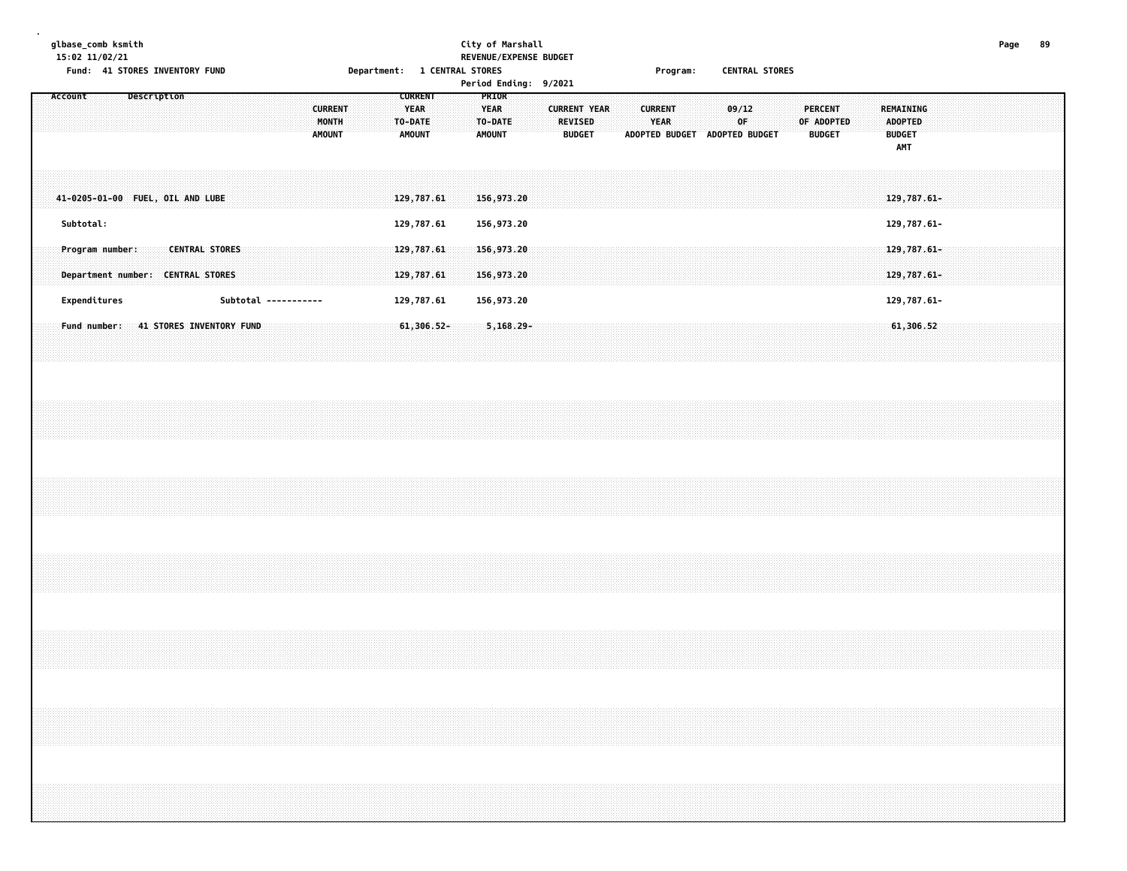### **glbase\_comb ksmith City of Marshall Page 89 15:02 11/02/21 REVENUE/EXPENSE BUDGET** Department: 1 CENTRAL STORES (Program: CENTRAL STORES

| LAND: 4T SINKES INVENTANT LAND           | Department: I CENTRAL STURES                                                                          | Period Ending: 9/2021                                                                                      | Program: CENTRAL SIURES                                                       |                                                                                                             |  |
|------------------------------------------|-------------------------------------------------------------------------------------------------------|------------------------------------------------------------------------------------------------------------|-------------------------------------------------------------------------------|-------------------------------------------------------------------------------------------------------------|--|
| Account<br>Description                   | <b>CURRENT</b><br><b>CURRENT</b><br><b>YEAR</b><br>MONTH<br>TO-DATE<br><b>AMOUNT</b><br><b>AMOUNT</b> | PRIOR<br><b>YEAR</b><br><b>CURRENT YEAR</b><br><b>REVISED</b><br>TO-DATE<br><b>AMOUNT</b><br><b>BUDGET</b> | 09/12<br><b>CURRENT</b><br><b>YEAR</b><br>OF<br>ADOPTED BUDGET ADOPTED BUDGET | <b>PERCENT</b><br>REMAINING<br>OF ADOPTED<br><b>ADOPTED</b><br><b>BUDGET</b><br><b>BUDGET</b><br><b>AMT</b> |  |
| 41-0205-01-00 FUEL, OIL AND LUBE         | 129,787.61                                                                                            | 156,973.20                                                                                                 |                                                                               | 129,787.61-                                                                                                 |  |
| Subtotal:                                | 129,787.61                                                                                            | 156,973.20                                                                                                 |                                                                               | 129,787.61-                                                                                                 |  |
| Program number:<br><b>CENTRAL STORES</b> | 129,787.61                                                                                            | 156,973.20                                                                                                 |                                                                               | $129,787.61 -$                                                                                              |  |
| Department number: CENTRAL STORES        | 129,787.61                                                                                            | 156,973.20                                                                                                 |                                                                               | 129,787.61-                                                                                                 |  |
| Expenditures<br>Subtotal -----------     | 129,787.61                                                                                            | 156,973.20                                                                                                 |                                                                               | 129,787.61-                                                                                                 |  |
| Fund number: 41 STORES INVENTORY FUND    | $61,306.52 -$                                                                                         | $5,168.29 -$                                                                                               |                                                                               | 61,306.52                                                                                                   |  |
|                                          |                                                                                                       |                                                                                                            |                                                                               |                                                                                                             |  |
|                                          |                                                                                                       |                                                                                                            |                                                                               |                                                                                                             |  |
|                                          |                                                                                                       |                                                                                                            |                                                                               |                                                                                                             |  |
|                                          |                                                                                                       |                                                                                                            |                                                                               |                                                                                                             |  |
|                                          |                                                                                                       |                                                                                                            |                                                                               |                                                                                                             |  |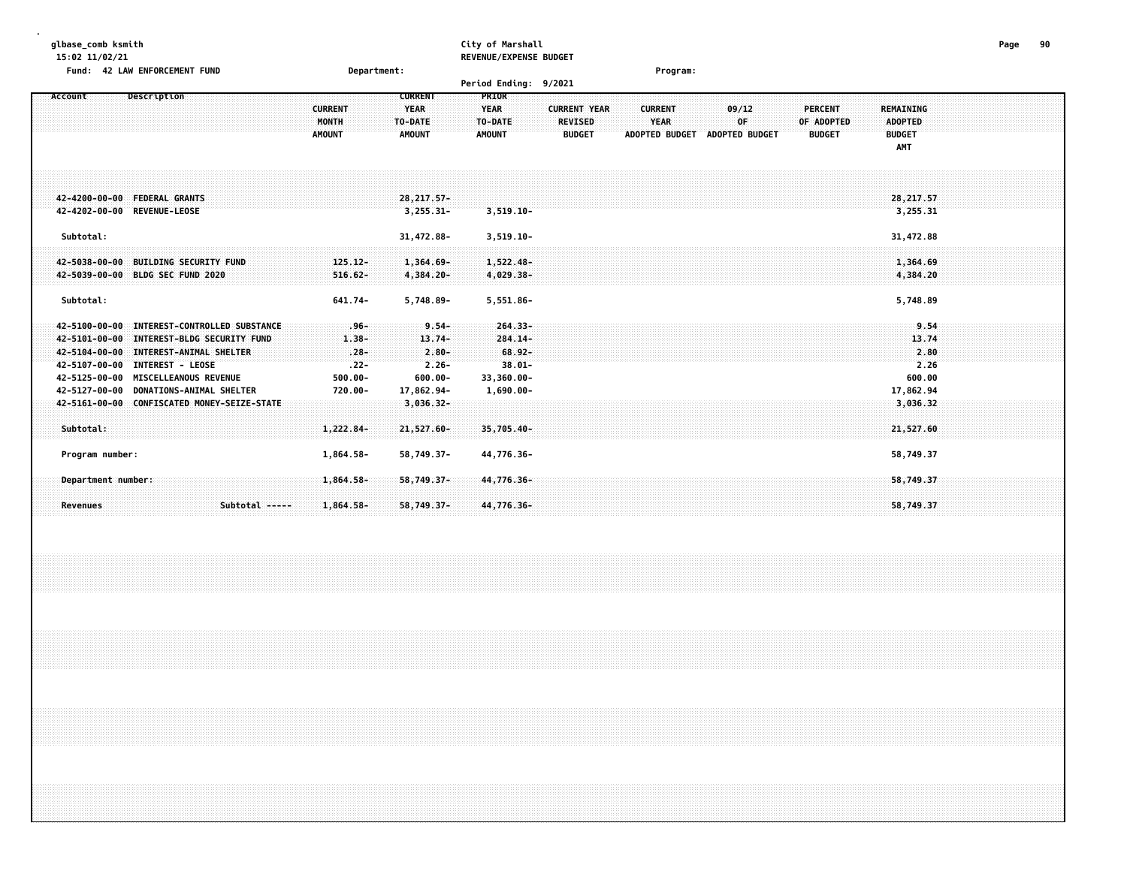### **glbase\_comb ksmith City of Marshall Page 90 15:02 11/02/21 REVENUE/EXPENSE BUDGET**

| Fund: 42 LAW ENFORCEMENT FUND                                                                                                                                                                                                                        | Department:                                                                                                                                 | Program:                                                                                                                                                                                                                                                                                                                    |
|------------------------------------------------------------------------------------------------------------------------------------------------------------------------------------------------------------------------------------------------------|---------------------------------------------------------------------------------------------------------------------------------------------|-----------------------------------------------------------------------------------------------------------------------------------------------------------------------------------------------------------------------------------------------------------------------------------------------------------------------------|
|                                                                                                                                                                                                                                                      |                                                                                                                                             | Period Ending: 9/2021                                                                                                                                                                                                                                                                                                       |
| Description<br>Account                                                                                                                                                                                                                               | <b>CURRENT</b><br><b>CURRENT</b><br><b>YEAR</b><br>MONTH<br>TO-DATE<br><b>AMOUNT</b><br><b>AMOUNT</b>                                       | <b>PRIOR</b><br><b>YEAR</b><br><b>CURRENT YEAR</b><br>09/12<br><b>PERCENT</b><br><b>REMAINING</b><br><b>CURRENT</b><br>YEAR<br>0F<br>TO-DATE<br><b>REVISED</b><br>OF ADOPTED<br><b>ADOPTED</b><br><b>AMOUNT</b><br><b>BUDGET</b><br><b>ADOPTED BUDGET</b><br><b>ADOPTED BUDGET</b><br><b>BUDGET</b><br><b>BUDGET</b><br>AMT |
| 42-4200-00-00 FEDERAL GRANTS<br>42-4202-00-00 REVENUE-LEOSE                                                                                                                                                                                          | $28,217.57-$<br>$3,255.31-$                                                                                                                 | 28,217.57<br>$3,519.10-$<br>3,255.31                                                                                                                                                                                                                                                                                        |
| Subtotal:<br>42-5038-00-00 BUILDING SECURITY FUND<br>42-5039-00-00 BLDG SEC FUND 2020                                                                                                                                                                | 31,472.88-<br>$125.12 -$<br>$1,364.69 -$<br>$516.62 -$<br>4,384.20-                                                                         | 3,519.10-<br>31,472.88<br>$1,522.48-$<br>1,364.69<br>4,029.38-<br>4,384.20                                                                                                                                                                                                                                                  |
| Subtotal:                                                                                                                                                                                                                                            | 641.74-<br>5,748.89-                                                                                                                        | 5,551.86-<br>5,748.89                                                                                                                                                                                                                                                                                                       |
| 42-5100-00-00 INTEREST-CONTROLLED SUBSTANCE<br>42-5101-00-00 INTEREST-BLDG SECURITY FUND<br>42-5104-00-00 INTEREST-ANIMAL SHELTER<br>42-5107-00-00 INTEREST - LEOSE<br>42-5125-00-00 MISCELLEANOUS REVENUE<br>42-5127-00-00 DONATIONS-ANIMAL SHELTER | $9.54 -$<br>∵96∹<br>$13.74-$<br>$1.38 -$<br>$.28 -$<br>$2.80 -$<br>$.22 -$<br>$2.26 -$<br>$500.00 -$<br>$600.00 -$<br>17,862.94-<br>720.00- | $264.33 -$<br>9.54<br>$284.14 -$<br>13.74<br>$68.92 -$<br>2.80<br>$38.01 -$<br>2.26<br>33,360.00-<br>600.00<br>17,862.94<br>$1,690.00 -$                                                                                                                                                                                    |
| 42-5161-00-00 CONFISCATED MONEY-SEIZE-STATE<br>Subtotal:                                                                                                                                                                                             | $3,036.32 -$<br>21,527.60-<br>$1,222.84-$                                                                                                   | 3,036.32<br>35,705.40-<br>21,527.60                                                                                                                                                                                                                                                                                         |
| Program number:<br>Department number:<br>Subtotal -----<br><b>Revenues</b>                                                                                                                                                                           | 58,749.37-<br>1,864.58-<br>$1,864.58 -$<br>$58,749.37-$<br>58,749.37-<br>1,864.58-                                                          | 44,776.36-<br>58,749.37<br>58,749.37<br>44,776.36-<br>58,749.37<br>44,776.36-                                                                                                                                                                                                                                               |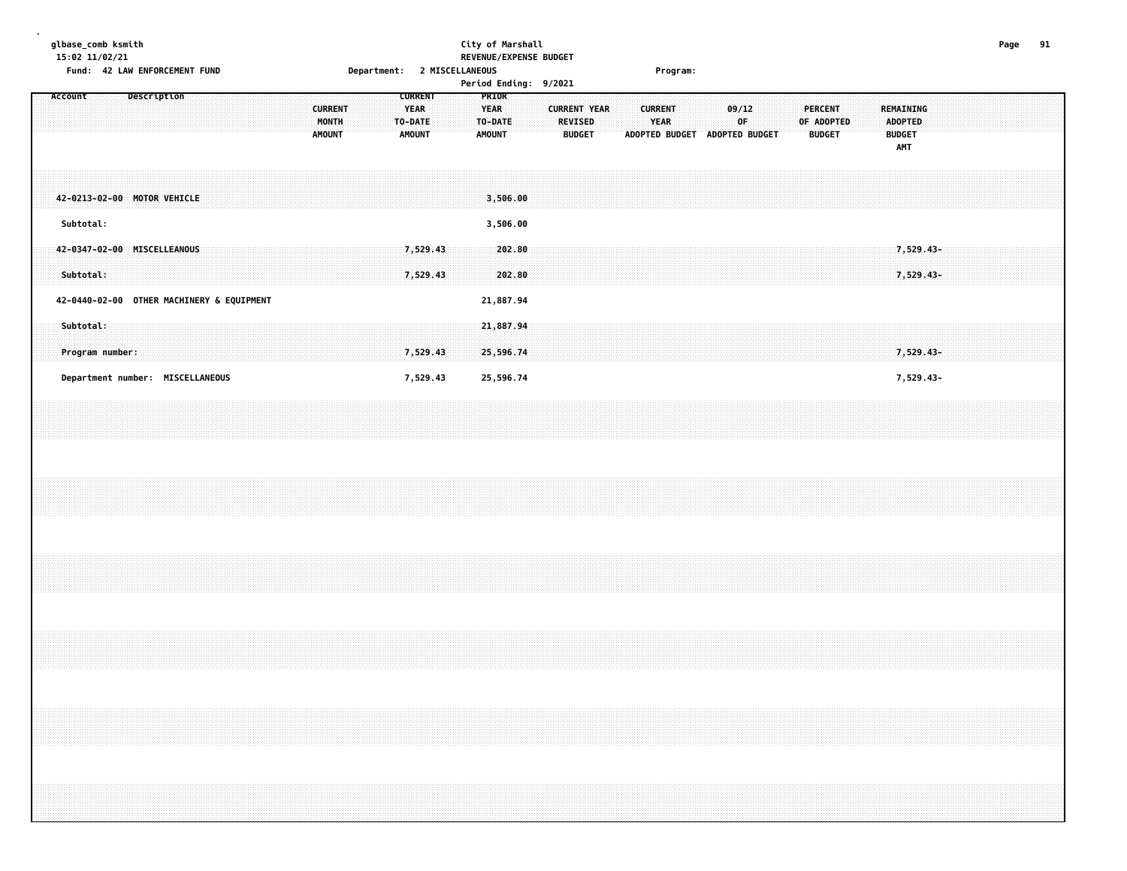# **glbase\_comb ksmith City of Marshall Page 91 15:02 11/02/21 REVENUE/EXPENSE BUDGET Fund: 42 LAW ENFORCEMENT FUND Department: 2 MISCELLANEOUS Program:**

|         |                                           |             |  |  |  |                                          |  |                                                    |                      |  |                                           |                  | Period Ending: 9/2021 |                     |                                 |  |                               |  |                                              |  |                              |               |  |                                                            |                        |  |  |  |
|---------|-------------------------------------------|-------------|--|--|--|------------------------------------------|--|----------------------------------------------------|----------------------|--|-------------------------------------------|------------------|-----------------------|---------------------|---------------------------------|--|-------------------------------|--|----------------------------------------------|--|------------------------------|---------------|--|------------------------------------------------------------|------------------------|--|--|--|
| Account |                                           | Description |  |  |  | <b>CURRENT</b><br>MONTH<br><b>AMOUNT</b> |  | <b>CURRENT</b><br><b>YEAR</b><br>TO-DATE<br>AMOUNT |                      |  | PRIOR<br><b>YEAR</b><br>TO-DATE<br>AMOUNT |                  |                       | <b>CURRENT YEAR</b> | <b>REVISED</b><br><b>BUDGET</b> |  | <b>CURRENT</b><br><b>YEAR</b> |  | 09/12<br>OF<br>ADOPTED BUDGET ADOPTED BUDGET |  | <b>PERCENT</b><br>OF ADOPTED | <b>BUDGET</b> |  | REMAINING<br><b>ADOPTED</b><br><b>BUDGET</b><br><b>AMT</b> |                        |  |  |  |
|         | 42-0213-02-00 MOTOR VEHICLE               |             |  |  |  |                                          |  |                                                    |                      |  | 3,506.00                                  |                  |                       |                     |                                 |  |                               |  |                                              |  |                              |               |  |                                                            |                        |  |  |  |
|         | Subtotal:                                 |             |  |  |  |                                          |  |                                                    |                      |  | 3,506.00                                  |                  |                       |                     |                                 |  |                               |  |                                              |  |                              |               |  |                                                            |                        |  |  |  |
|         | 42-0347-02-00 MISCELLEANOUS<br>Subtotal:  |             |  |  |  |                                          |  |                                                    | 7,529.43<br>7,529.43 |  |                                           | 202.80<br>202.80 |                       |                     |                                 |  |                               |  |                                              |  |                              |               |  |                                                            | 7,529.43-<br>7,529.43- |  |  |  |
|         | 42-0440-02-00 OTHER MACHINERY & EQUIPMENT |             |  |  |  |                                          |  |                                                    |                      |  | 21,887.94                                 |                  |                       |                     |                                 |  |                               |  |                                              |  |                              |               |  |                                                            |                        |  |  |  |
|         | Subtotal:<br>Program number:              |             |  |  |  |                                          |  |                                                    | 7,529.43             |  | 21,887.94<br>25,596.74                    |                  |                       |                     |                                 |  |                               |  |                                              |  |                              |               |  |                                                            | 7,529.43-              |  |  |  |
|         | Department number: MISCELLANEOUS          |             |  |  |  |                                          |  |                                                    | 7,529.43             |  | 25,596.74                                 |                  |                       |                     |                                 |  |                               |  |                                              |  |                              |               |  |                                                            | 7,529.43-              |  |  |  |
|         |                                           |             |  |  |  |                                          |  |                                                    |                      |  |                                           |                  |                       |                     |                                 |  |                               |  |                                              |  |                              |               |  |                                                            |                        |  |  |  |
|         |                                           |             |  |  |  |                                          |  |                                                    |                      |  |                                           |                  |                       |                     |                                 |  |                               |  |                                              |  |                              |               |  |                                                            |                        |  |  |  |
|         |                                           |             |  |  |  |                                          |  |                                                    |                      |  |                                           |                  |                       |                     |                                 |  |                               |  |                                              |  |                              |               |  |                                                            |                        |  |  |  |
|         |                                           |             |  |  |  |                                          |  |                                                    |                      |  |                                           |                  |                       |                     |                                 |  |                               |  |                                              |  |                              |               |  |                                                            |                        |  |  |  |
|         |                                           |             |  |  |  |                                          |  |                                                    |                      |  |                                           |                  |                       |                     |                                 |  |                               |  |                                              |  |                              |               |  |                                                            |                        |  |  |  |
|         |                                           |             |  |  |  |                                          |  |                                                    |                      |  |                                           |                  |                       |                     |                                 |  |                               |  |                                              |  |                              |               |  |                                                            |                        |  |  |  |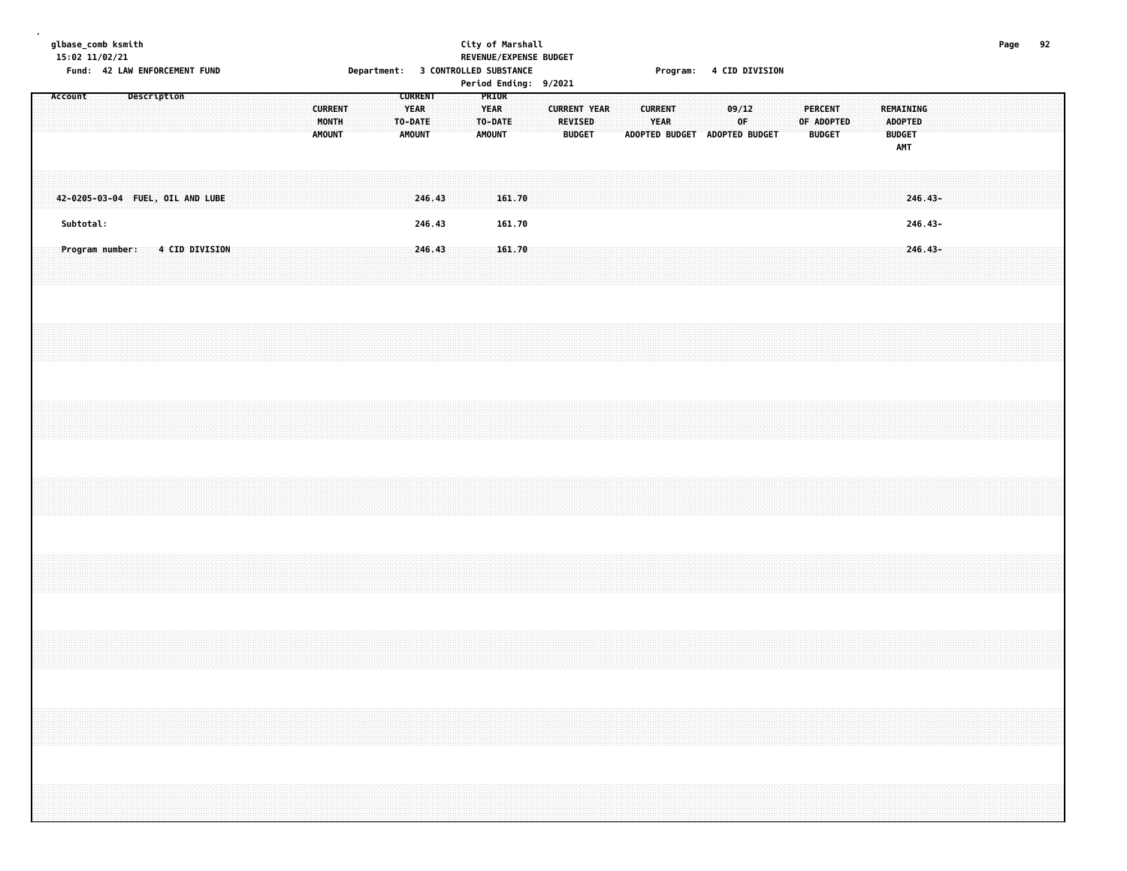# **glbase\_comb ksmith City of Marshall Page 92 15:02 11/02/21 REVENUE/EXPENSE BUDGET** Fund: 42 LAW ENFORCEMENT FUND **Solution Controlly Controlly Department:** 3 CONTROLLED SUBSTANCE **From Program: 4 CID DIVISION**

|  | Account   |                                  | Description |  |  |  |  | <b>CURRENT</b><br>MONTH<br><b>AMOUNT</b> |  |  | <b>CURRENT</b><br>YEAR<br>TO-DATE<br><b>AMOUNT</b> |  | PRIOR<br>YEAR<br>TO-DATE<br>AMOUNT |                  |  | <b>CURRENT YEAR</b><br><b>REVISED</b><br><b>BUDGET</b> |  |  | <b>CURRENT</b><br><b>YEAR</b><br>ADOPTED BUDGET ADOPTED BUDGET |  | 09/12<br>OF |  | PERCENT<br><b>BUDGET</b> | OF ADOPTED |  | <b>BUDGET</b> | REMAINING<br>ADOPTED |         |  |  |  |
|--|-----------|----------------------------------|-------------|--|--|--|--|------------------------------------------|--|--|----------------------------------------------------|--|------------------------------------|------------------|--|--------------------------------------------------------|--|--|----------------------------------------------------------------|--|-------------|--|--------------------------|------------|--|---------------|----------------------|---------|--|--|--|
|  |           | 42-0205-03-04 FUEL, OIL AND LUBE |             |  |  |  |  |                                          |  |  | 246.43                                             |  |                                    | 161.70           |  |                                                        |  |  |                                                                |  |             |  |                          |            |  |               | AMT<br>$246.43-$     |         |  |  |  |
|  | Subtotal: | Program number: 4 CID DIVISION   |             |  |  |  |  |                                          |  |  | 246.43<br>246.43                                   |  |                                    | 161.70<br>161.70 |  |                                                        |  |  |                                                                |  |             |  |                          |            |  |               | 246.43-              | 246.43- |  |  |  |
|  |           |                                  |             |  |  |  |  |                                          |  |  |                                                    |  |                                    |                  |  |                                                        |  |  |                                                                |  |             |  |                          |            |  |               |                      |         |  |  |  |
|  |           |                                  |             |  |  |  |  |                                          |  |  |                                                    |  |                                    |                  |  |                                                        |  |  |                                                                |  |             |  |                          |            |  |               |                      |         |  |  |  |
|  |           |                                  |             |  |  |  |  |                                          |  |  |                                                    |  |                                    |                  |  |                                                        |  |  |                                                                |  |             |  |                          |            |  |               |                      |         |  |  |  |
|  |           |                                  |             |  |  |  |  |                                          |  |  |                                                    |  |                                    |                  |  |                                                        |  |  |                                                                |  |             |  |                          |            |  |               |                      |         |  |  |  |
|  |           |                                  |             |  |  |  |  |                                          |  |  |                                                    |  |                                    |                  |  |                                                        |  |  |                                                                |  |             |  |                          |            |  |               |                      |         |  |  |  |
|  |           |                                  |             |  |  |  |  |                                          |  |  |                                                    |  |                                    |                  |  |                                                        |  |  |                                                                |  |             |  |                          |            |  |               |                      |         |  |  |  |
|  |           |                                  |             |  |  |  |  |                                          |  |  |                                                    |  |                                    |                  |  |                                                        |  |  |                                                                |  |             |  |                          |            |  |               |                      |         |  |  |  |
|  |           |                                  |             |  |  |  |  |                                          |  |  |                                                    |  |                                    |                  |  |                                                        |  |  |                                                                |  |             |  |                          |            |  |               |                      |         |  |  |  |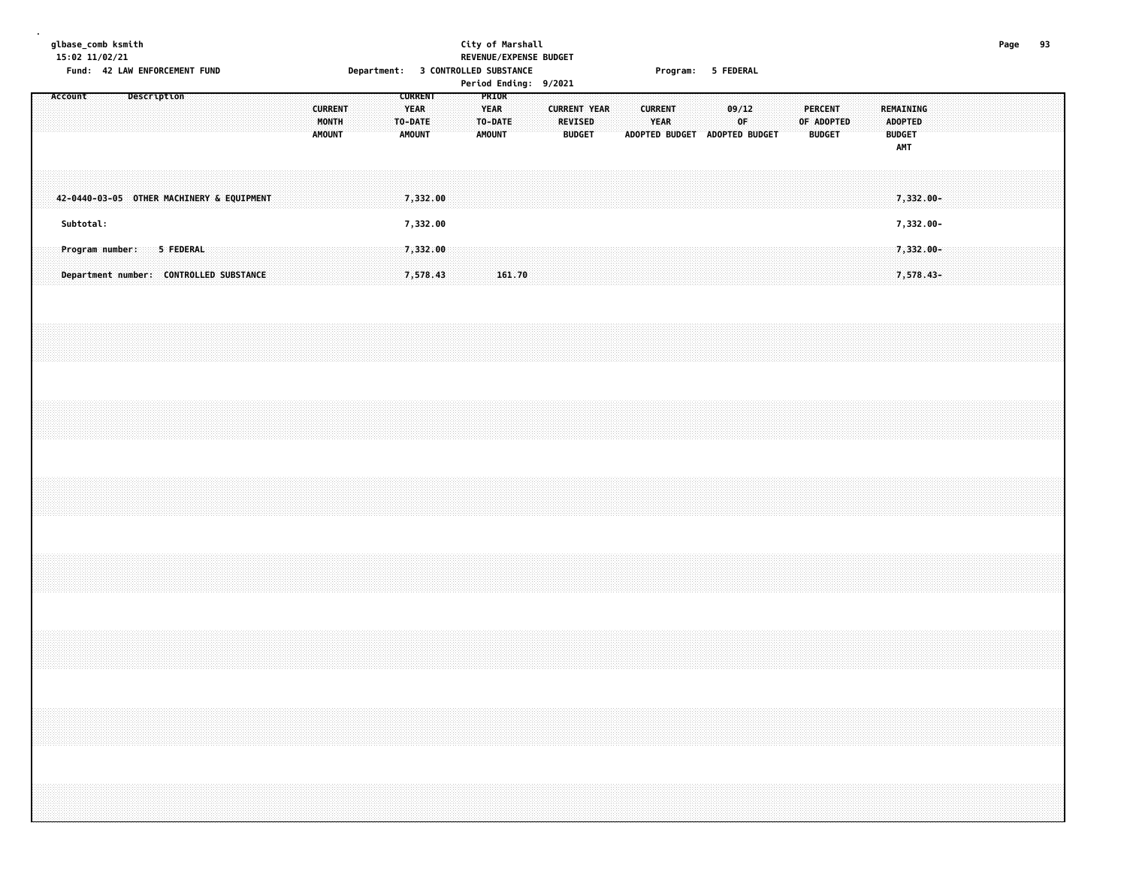### **glbase\_comb ksmith City of Marshall Page 93 15:02 11/02/21 REVENUE/EXPENSE BUDGET** Fund: 42 LAW ENFORCEMENT FUND **Department: 3 CONTROLLED SUBSTANCE** Program: 5 FEDERAL **Period Ending: 9/2021**

|  | Account   |  |  | Description |                                                                      |  |  |  | <b>CURRENT</b><br>MONTH<br><b>AMOUNT</b> |  |  | <b>CURRENT</b><br><b>YEAR</b><br>TO-DATE<br><b>AMOUNT</b> |  | PRIOR<br><b>YEAR</b><br>TO-DATE<br><b>AMOUNT</b> |        |  | <b>CURRENT YEAR</b> | <b>REVISED</b><br><b>BUDGET</b> |  | <b>CURRENT</b><br><b>YEAR</b><br>ADOPTED BUDGET ADOPTED BUDGET |  | 09/12 | OF |  | <b>PERCENT</b><br>OF ADOPTED | <b>BUDGET</b> |  | <b>BUDGET</b> | REMAINING<br><b>ADOPTED</b><br>AMT |  |  |  |  |
|--|-----------|--|--|-------------|----------------------------------------------------------------------|--|--|--|------------------------------------------|--|--|-----------------------------------------------------------|--|--------------------------------------------------|--------|--|---------------------|---------------------------------|--|----------------------------------------------------------------|--|-------|----|--|------------------------------|---------------|--|---------------|------------------------------------|--|--|--|--|
|  | Subtotal: |  |  |             | 42-0440-03-05 OTHER MACHINERY & EQUIPMENT                            |  |  |  |                                          |  |  | 7,332.00<br>7,332.00                                      |  |                                                  |        |  |                     |                                 |  |                                                                |  |       |    |  |                              |               |  |               | 7,332.00-<br>7,332.00-             |  |  |  |  |
|  |           |  |  |             | Program number: 5 FEDERAL<br>Department number: CONTROLLED SUBSTANCE |  |  |  |                                          |  |  | 7,332.00<br>7,578.43                                      |  |                                                  | 161.70 |  |                     |                                 |  |                                                                |  |       |    |  |                              |               |  |               | $7,332.00 -$<br>7,578.43-          |  |  |  |  |
|  |           |  |  |             |                                                                      |  |  |  |                                          |  |  |                                                           |  |                                                  |        |  |                     |                                 |  |                                                                |  |       |    |  |                              |               |  |               |                                    |  |  |  |  |
|  |           |  |  |             |                                                                      |  |  |  |                                          |  |  |                                                           |  |                                                  |        |  |                     |                                 |  |                                                                |  |       |    |  |                              |               |  |               |                                    |  |  |  |  |
|  |           |  |  |             |                                                                      |  |  |  |                                          |  |  |                                                           |  |                                                  |        |  |                     |                                 |  |                                                                |  |       |    |  |                              |               |  |               |                                    |  |  |  |  |
|  |           |  |  |             |                                                                      |  |  |  |                                          |  |  |                                                           |  |                                                  |        |  |                     |                                 |  |                                                                |  |       |    |  |                              |               |  |               |                                    |  |  |  |  |
|  |           |  |  |             |                                                                      |  |  |  |                                          |  |  |                                                           |  |                                                  |        |  |                     |                                 |  |                                                                |  |       |    |  |                              |               |  |               |                                    |  |  |  |  |
|  |           |  |  |             |                                                                      |  |  |  |                                          |  |  |                                                           |  |                                                  |        |  |                     |                                 |  |                                                                |  |       |    |  |                              |               |  |               |                                    |  |  |  |  |
|  |           |  |  |             |                                                                      |  |  |  |                                          |  |  |                                                           |  |                                                  |        |  |                     |                                 |  |                                                                |  |       |    |  |                              |               |  |               |                                    |  |  |  |  |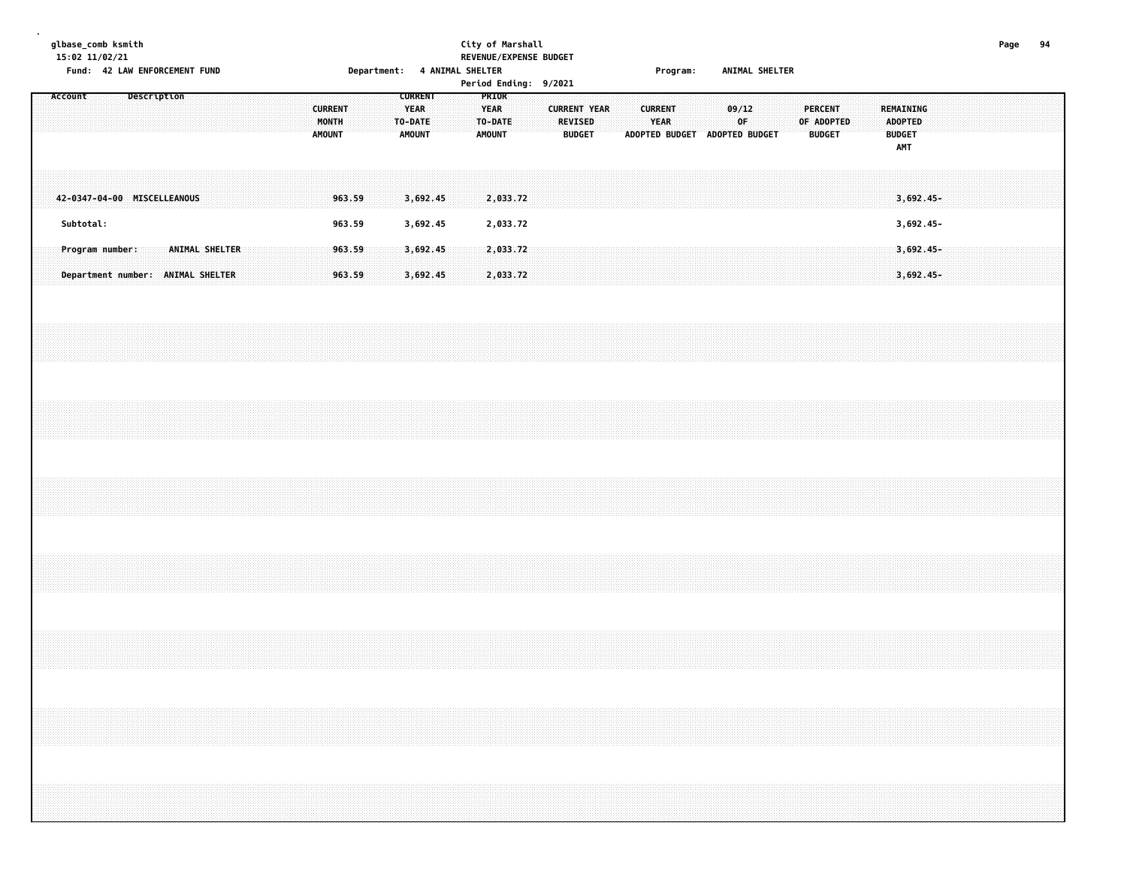# **glbase\_comb ksmith City of Marshall Page 94 15:02 11/02/21 REVENUE/EXPENSE BUDGET** Fund: 42 LAW ENFORCEMENT FUND **Solution Consument Consument: 4 ANIMAL SHELTER** Service of the Service of Program: ANIMAL SHELTER

| Account |                                                      |  | Description |                       |  |  |  | <b>CURRENT</b><br>MONTH<br><b>AMOUNT</b> |                  |  | <b>CURRENT</b><br><b>YEAR</b><br>TO-DATE<br><b>AMOUNT</b> |  | PRIOR<br>YEAR<br>TO-DATE<br><b>AMOUNT</b> |  |  | <b>CURRENT YEAR</b><br><b>REVISED</b><br><b>BUDGET</b> |  | <b>CURRENT</b><br><b>YEAR</b> |  | ADOPTED BUDGET ADOPTED BUDGET | 09/12 | OF |  | <b>PERCENT</b><br>OF ADOPTED<br><b>BUDGET</b> |  | REMAINING<br><b>ADOPTED</b><br><b>BUDGET</b><br>AMT |                            |  |  |  |
|---------|------------------------------------------------------|--|-------------|-----------------------|--|--|--|------------------------------------------|------------------|--|-----------------------------------------------------------|--|-------------------------------------------|--|--|--------------------------------------------------------|--|-------------------------------|--|-------------------------------|-------|----|--|-----------------------------------------------|--|-----------------------------------------------------|----------------------------|--|--|--|
|         | 42-0347-04-00 MISCELLEANOUS                          |  |             |                       |  |  |  |                                          | 963.59           |  | 3,692.45                                                  |  | 2,033.72                                  |  |  |                                                        |  |                               |  |                               |       |    |  |                                               |  |                                                     | 3,692.45-                  |  |  |  |
|         | Subtotal:                                            |  |             |                       |  |  |  |                                          | 963.59           |  | 3,692.45                                                  |  | 2,033.72                                  |  |  |                                                        |  |                               |  |                               |       |    |  |                                               |  |                                                     | 3,692.45-                  |  |  |  |
|         | Program number:<br>Department number: ANIMAL SHELTER |  |             | <b>ANIMAL SHELTER</b> |  |  |  |                                          | 963.59<br>963.59 |  | 3,692.45<br>3,692.45                                      |  | 2,033.72<br>2,033.72                      |  |  |                                                        |  |                               |  |                               |       |    |  |                                               |  |                                                     | $3,692.45-$<br>$3,692.45-$ |  |  |  |
|         |                                                      |  |             |                       |  |  |  |                                          |                  |  |                                                           |  |                                           |  |  |                                                        |  |                               |  |                               |       |    |  |                                               |  |                                                     |                            |  |  |  |
|         |                                                      |  |             |                       |  |  |  |                                          |                  |  |                                                           |  |                                           |  |  |                                                        |  |                               |  |                               |       |    |  |                                               |  |                                                     |                            |  |  |  |
|         |                                                      |  |             |                       |  |  |  |                                          |                  |  |                                                           |  |                                           |  |  |                                                        |  |                               |  |                               |       |    |  |                                               |  |                                                     |                            |  |  |  |
|         |                                                      |  |             |                       |  |  |  |                                          |                  |  |                                                           |  |                                           |  |  |                                                        |  |                               |  |                               |       |    |  |                                               |  |                                                     |                            |  |  |  |
|         |                                                      |  |             |                       |  |  |  |                                          |                  |  |                                                           |  |                                           |  |  |                                                        |  |                               |  |                               |       |    |  |                                               |  |                                                     |                            |  |  |  |
|         |                                                      |  |             |                       |  |  |  |                                          |                  |  |                                                           |  |                                           |  |  |                                                        |  |                               |  |                               |       |    |  |                                               |  |                                                     |                            |  |  |  |
|         |                                                      |  |             |                       |  |  |  |                                          |                  |  |                                                           |  |                                           |  |  |                                                        |  |                               |  |                               |       |    |  |                                               |  |                                                     |                            |  |  |  |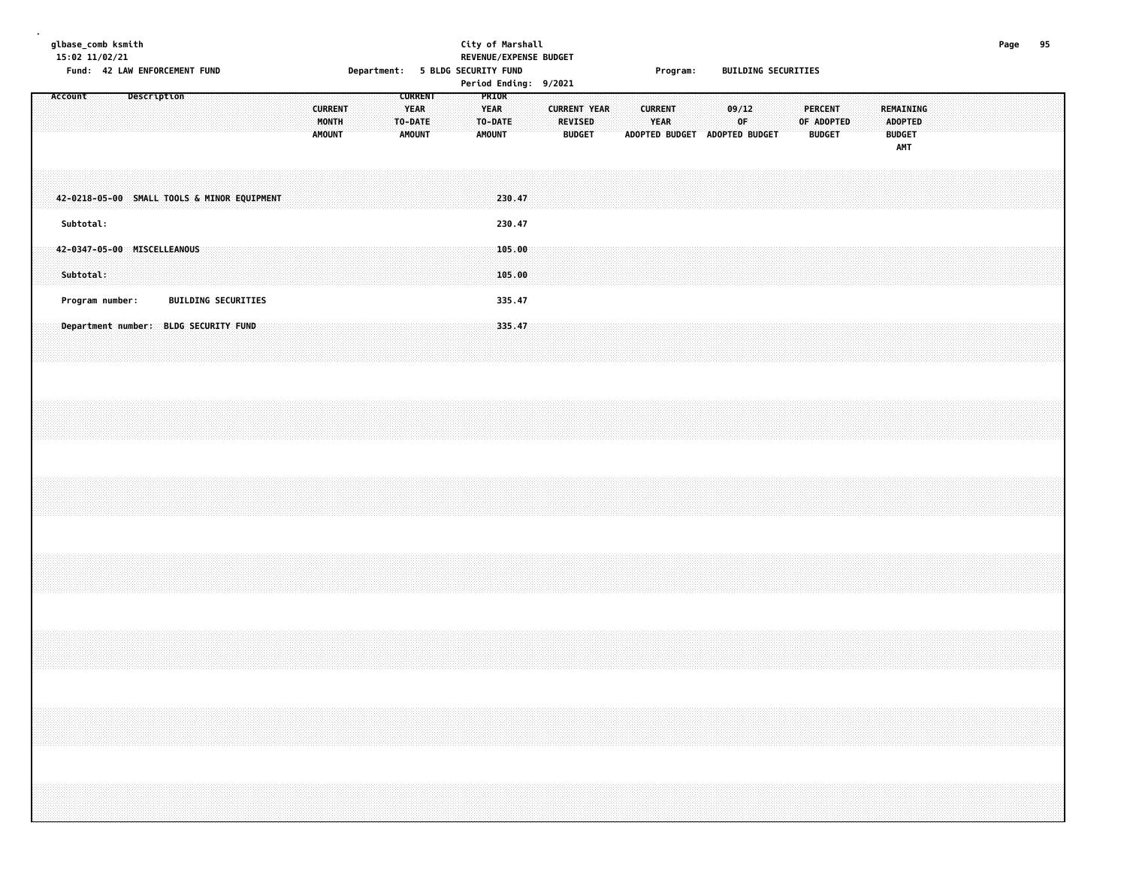# **glbase\_comb ksmith City of Marshall Page 95 15:02 11/02/21 REVENUE/EXPENSE BUDGET** Fund: 42 LAW ENFORCEMENT FUND **Department: 5 BLDG SECURITY FUND** Program: BUILDING SECURITIES

|  |           |                             |                    |  |                                             |  |                                          |  |                                  |                |  |                                |                  | $1.51$ contributing $3/2.021$ |                                 |                     |  |                               |                               |             |  |                                        |  |                                                     |  |  |  |  |
|--|-----------|-----------------------------|--------------------|--|---------------------------------------------|--|------------------------------------------|--|----------------------------------|----------------|--|--------------------------------|------------------|-------------------------------|---------------------------------|---------------------|--|-------------------------------|-------------------------------|-------------|--|----------------------------------------|--|-----------------------------------------------------|--|--|--|--|
|  | Account   |                             | <b>Description</b> |  |                                             |  | <b>CURRENT</b><br>MONTH<br><b>AMOUNT</b> |  | YEAR<br>TO-DATE<br><b>AMOUNT</b> | <b>CURRENT</b> |  | PRIOR<br>YEAR<br><b>AMOUNT</b> | TO-DATE          |                               | <b>REVISED</b><br><b>BUDGET</b> | <b>CURRENT YEAR</b> |  | <b>CURRENT</b><br><b>YEAR</b> | ADOPTED BUDGET ADOPTED BUDGET | 09/12<br>OF |  | PERCENT<br>OF ADOPTED<br><b>BUDGET</b> |  | REMAINING<br><b>ADOPTED</b><br><b>BUDGET</b><br>AMT |  |  |  |  |
|  |           |                             |                    |  | 42-0218-05-00 SMALL TOOLS & MINOR EQUIPMENT |  |                                          |  |                                  |                |  |                                | 230.47           |                               |                                 |                     |  |                               |                               |             |  |                                        |  |                                                     |  |  |  |  |
|  | Subtotal: |                             |                    |  |                                             |  |                                          |  |                                  |                |  |                                | 230.47           |                               |                                 |                     |  |                               |                               |             |  |                                        |  |                                                     |  |  |  |  |
|  | Subtotal: | 42-0347-05-00 MISCELLEANOUS |                    |  |                                             |  |                                          |  |                                  |                |  |                                | 105.00<br>105.00 |                               |                                 |                     |  |                               |                               |             |  |                                        |  |                                                     |  |  |  |  |
|  |           | Program number:             |                    |  | <b>BUILDING SECURITIES</b>                  |  |                                          |  |                                  |                |  |                                | 335.47           |                               |                                 |                     |  |                               |                               |             |  |                                        |  |                                                     |  |  |  |  |
|  |           |                             |                    |  | Department number: BLDG SECURITY FUND       |  |                                          |  |                                  |                |  |                                | 335.47           |                               |                                 |                     |  |                               |                               |             |  |                                        |  |                                                     |  |  |  |  |
|  |           |                             |                    |  |                                             |  |                                          |  |                                  |                |  |                                |                  |                               |                                 |                     |  |                               |                               |             |  |                                        |  |                                                     |  |  |  |  |
|  |           |                             |                    |  |                                             |  |                                          |  |                                  |                |  |                                |                  |                               |                                 |                     |  |                               |                               |             |  |                                        |  |                                                     |  |  |  |  |
|  |           |                             |                    |  |                                             |  |                                          |  |                                  |                |  |                                |                  |                               |                                 |                     |  |                               |                               |             |  |                                        |  |                                                     |  |  |  |  |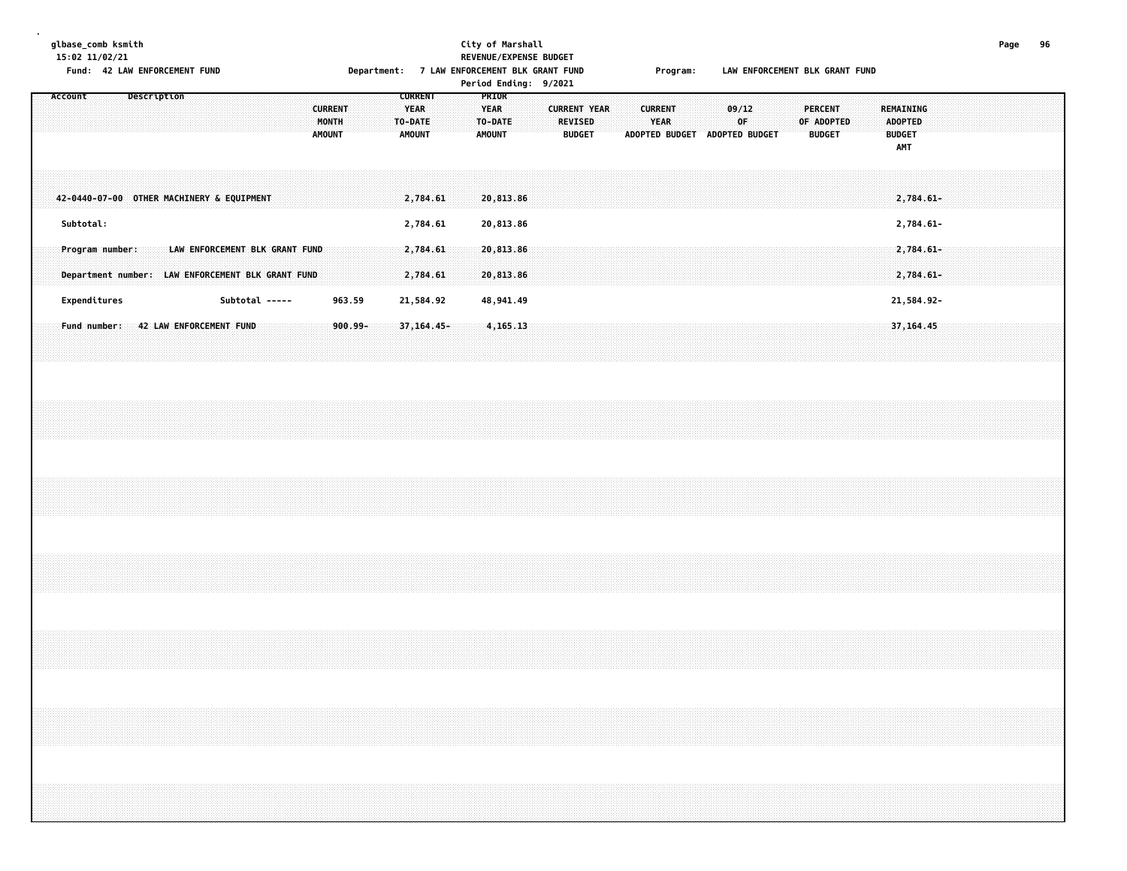# **glbase\_comb ksmith City of Marshall Page 96 15:02 11/02/21 REVENUE/EXPENSE BUDGET**

**Fund: 42 LAW ENFORCEMENT FUND Department: 7 LAW ENFORCEMENT BLK GRANT FUND Program: LAW ENFORCEMENT BLK GRANT FUND**

| Account                                   |  | Description |  |                                                   |  |                |  | <b>CURRENT</b><br>MONTH<br><b>AMOUNT</b> |         |  | <b>CURRENT</b><br><b>YEAR</b><br>TO-DATE<br><b>AMOUNT</b> |                      |  | PRIOR<br><b>YEAR</b><br>TO-DATE<br><b>AMOUNT</b> |  | <b>REVISED</b> | <b>CURRENT YEAR</b><br><b>BUDGET</b> |  | <b>CURRENT</b><br><b>YEAR</b> |  | ADOPTED BUDGET ADOPTED BUDGET | 09/12<br>OF |  | <b>PERCENT</b><br>OF ADOPTED<br><b>BUDGET</b> |  | REMAINING<br><b>ADOPTED</b><br><b>BUDGET</b> |                           |  |  |  |
|-------------------------------------------|--|-------------|--|---------------------------------------------------|--|----------------|--|------------------------------------------|---------|--|-----------------------------------------------------------|----------------------|--|--------------------------------------------------|--|----------------|--------------------------------------|--|-------------------------------|--|-------------------------------|-------------|--|-----------------------------------------------|--|----------------------------------------------|---------------------------|--|--|--|
|                                           |  |             |  |                                                   |  |                |  |                                          |         |  |                                                           |                      |  |                                                  |  |                |                                      |  |                               |  |                               |             |  |                                               |  |                                              | <b>AMT</b>                |  |  |  |
| 42-0440-07-00 OTHER MACHINERY & EQUIPMENT |  |             |  |                                                   |  |                |  |                                          |         |  |                                                           | 2,784.61             |  | 20,813.86                                        |  |                |                                      |  |                               |  |                               |             |  |                                               |  |                                              | $2,784.61 -$              |  |  |  |
| Subtotal:<br>Program number:              |  |             |  | LAW ENFORCEMENT BLK GRANT FUND                    |  |                |  |                                          |         |  |                                                           | 2,784.61<br>2,784.61 |  | 20,813.86<br>20,813.86                           |  |                |                                      |  |                               |  |                               |             |  |                                               |  |                                              | 2,784.61-<br>$2,784.61 -$ |  |  |  |
|                                           |  |             |  | Department number: LAW ENFORCEMENT BLK GRANT FUND |  |                |  |                                          |         |  |                                                           | 2,784.61             |  | 20,813.86                                        |  |                |                                      |  |                               |  |                               |             |  |                                               |  |                                              | $2,784.61 -$              |  |  |  |
| Expenditures                              |  |             |  |                                                   |  | Subtotal ----- |  |                                          | 963.59  |  |                                                           | 21,584.92            |  | 48,941.49                                        |  |                |                                      |  |                               |  |                               |             |  |                                               |  |                                              | 21,584.92-                |  |  |  |
|                                           |  |             |  | Fund number: 42 LAW ENFORCEMENT FUND              |  |                |  |                                          | 900.99- |  |                                                           | 37, 164. 45 -        |  | 4,165.13                                         |  |                |                                      |  |                               |  |                               |             |  |                                               |  |                                              | 37, 164.45                |  |  |  |
|                                           |  |             |  |                                                   |  |                |  |                                          |         |  |                                                           |                      |  |                                                  |  |                |                                      |  |                               |  |                               |             |  |                                               |  |                                              |                           |  |  |  |
|                                           |  |             |  |                                                   |  |                |  |                                          |         |  |                                                           |                      |  |                                                  |  |                |                                      |  |                               |  |                               |             |  |                                               |  |                                              |                           |  |  |  |
|                                           |  |             |  |                                                   |  |                |  |                                          |         |  |                                                           |                      |  |                                                  |  |                |                                      |  |                               |  |                               |             |  |                                               |  |                                              |                           |  |  |  |
|                                           |  |             |  |                                                   |  |                |  |                                          |         |  |                                                           |                      |  |                                                  |  |                |                                      |  |                               |  |                               |             |  |                                               |  |                                              |                           |  |  |  |
|                                           |  |             |  |                                                   |  |                |  |                                          |         |  |                                                           |                      |  |                                                  |  |                |                                      |  |                               |  |                               |             |  |                                               |  |                                              |                           |  |  |  |
|                                           |  |             |  |                                                   |  |                |  |                                          |         |  |                                                           |                      |  |                                                  |  |                |                                      |  |                               |  |                               |             |  |                                               |  |                                              |                           |  |  |  |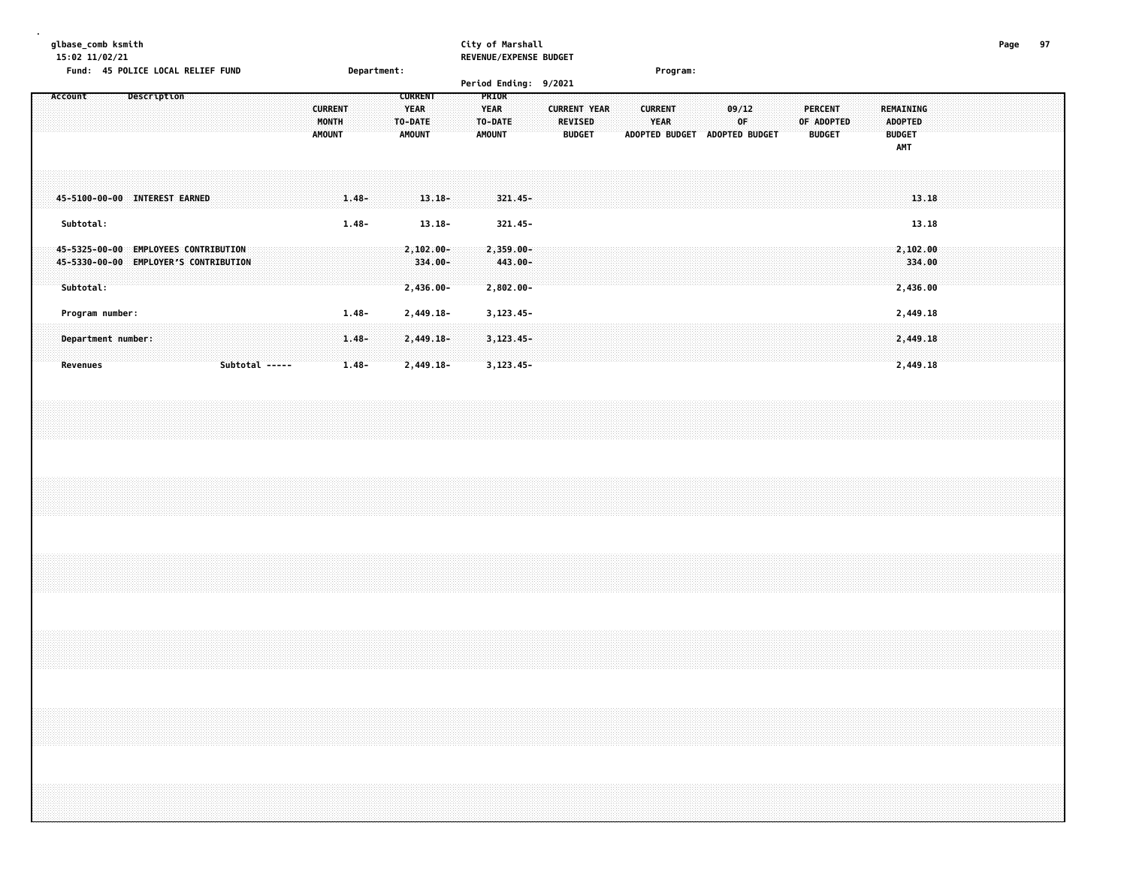# **glbase\_comb ksmith City of Marshall Page 97**

|  | 15:02 11/02/21<br>Fund: 45 POLICE LOCAL RELIEF FUND                                        |  |             |  |                |  |                                          |                                  | Department: |                                                           |                                       |  | REVENUE/EXPENSE BUDGET                                                    |            |  |                                                        |  |                | Program:    |  |                         |                               |  |                                               |  |                                                                                  |       |  |  |  |
|--|--------------------------------------------------------------------------------------------|--|-------------|--|----------------|--|------------------------------------------|----------------------------------|-------------|-----------------------------------------------------------|---------------------------------------|--|---------------------------------------------------------------------------|------------|--|--------------------------------------------------------|--|----------------|-------------|--|-------------------------|-------------------------------|--|-----------------------------------------------|--|----------------------------------------------------------------------------------|-------|--|--|--|
|  | Account                                                                                    |  | Description |  |                |  | <b>CURRENT</b><br>MONTH<br><b>AMOUNT</b> |                                  |             | <b>CURRENT</b><br><b>YEAR</b><br>TO-DATE<br><b>AMOUNT</b> |                                       |  | Period Ending: 9/2021<br>PRIOR<br><b>YEAR</b><br>TO-DATE<br><b>AMOUNT</b> |            |  | <b>CURRENT YEAR</b><br><b>REVISED</b><br><b>BUDGET</b> |  | <b>CURRENT</b> | <b>YEAR</b> |  | 09/12<br>0 <sup>F</sup> | ADOPTED BUDGET ADOPTED BUDGET |  | <b>PERCENT</b><br>OF ADOPTED<br><b>BUDGET</b> |  | REMAINING<br><b>ADOPTED</b><br><b>BUDGET</b><br>AMT                              |       |  |  |  |
|  | 45-5100-00-00 INTEREST EARNED                                                              |  |             |  |                |  |                                          | $1.48 -$                         |             |                                                           | $13.18 -$                             |  |                                                                           | 321.45-    |  |                                                        |  |                |             |  |                         |                               |  |                                               |  |                                                                                  | 13.18 |  |  |  |
|  | Subtotal:                                                                                  |  |             |  |                |  |                                          | $1.48 -$                         |             |                                                           | $13.18 -$                             |  |                                                                           | $321.45 -$ |  |                                                        |  |                |             |  |                         |                               |  |                                               |  |                                                                                  | 13.18 |  |  |  |
|  | 45-5325-00-00 EMPLOYEES CONTRIBUTION<br>45-5330-00-00 EMPLOYER'S CONTRIBUTION<br>Subtotal: |  |             |  |                |  |                                          |                                  |             |                                                           | $2,102.00 -$<br>334.00-<br>2,436.00-  |  | $2,359.00 -$<br>$2,802.00 -$                                              | 443.00-    |  |                                                        |  |                |             |  |                         |                               |  |                                               |  | 2,102.00<br>334.00<br>2,436.00                                                   |       |  |  |  |
|  | Program number:<br>Department number:<br><b>Revenues</b>                                   |  |             |  | Subtotal ----- |  |                                          | $1.48 -$<br>$1.48 -$<br>$1.48 -$ |             |                                                           | 2,449.18-<br>$2,449.18-$<br>2,449.18- |  | 3, 123. 45 -<br>$3,123.45-$<br>$3, 123.45 -$                              |            |  |                                                        |  |                |             |  |                         |                               |  |                                               |  | 2,449.18<br>2,449.18<br>2,449.18                                                 |       |  |  |  |
|  |                                                                                            |  |             |  |                |  |                                          |                                  |             |                                                           |                                       |  |                                                                           |            |  |                                                        |  |                |             |  |                         |                               |  |                                               |  |                                                                                  |       |  |  |  |
|  |                                                                                            |  |             |  |                |  |                                          |                                  |             |                                                           |                                       |  |                                                                           |            |  |                                                        |  |                |             |  |                         |                               |  |                                               |  |                                                                                  |       |  |  |  |
|  |                                                                                            |  |             |  |                |  |                                          |                                  |             |                                                           |                                       |  |                                                                           |            |  |                                                        |  |                |             |  |                         |                               |  |                                               |  |                                                                                  |       |  |  |  |
|  |                                                                                            |  |             |  |                |  |                                          |                                  |             |                                                           |                                       |  |                                                                           |            |  |                                                        |  |                |             |  |                         |                               |  |                                               |  |                                                                                  |       |  |  |  |
|  |                                                                                            |  |             |  |                |  |                                          |                                  |             |                                                           |                                       |  |                                                                           |            |  |                                                        |  |                |             |  |                         |                               |  |                                               |  | ,我们的人们都会不会不会。""你们的人们,你们的人们就会不会不会不会不会不会不会不会不会不会不会不会。""你们的人们就会不会不会不会不会不会不会不会不会不会不会 |       |  |  |  |
|  |                                                                                            |  |             |  |                |  |                                          |                                  |             |                                                           |                                       |  |                                                                           |            |  |                                                        |  |                |             |  |                         |                               |  |                                               |  |                                                                                  |       |  |  |  |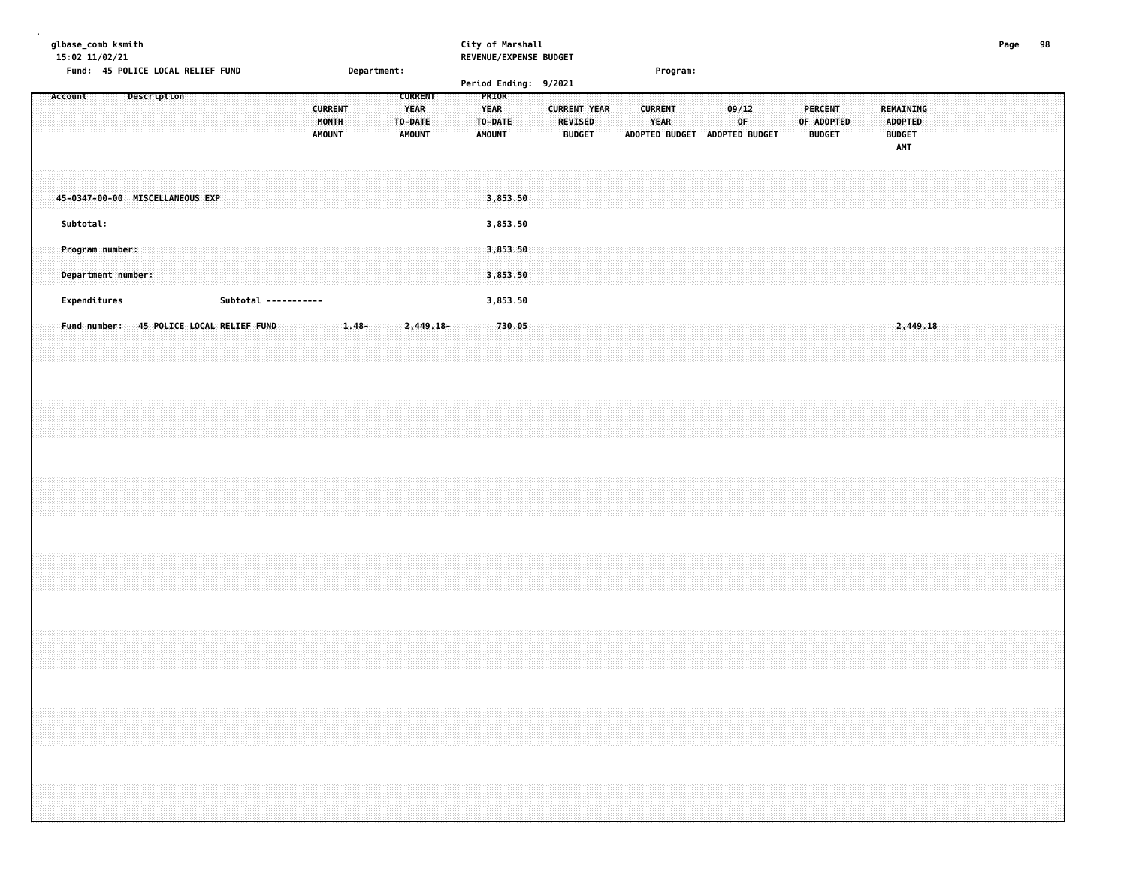| qlbase comb ksmith | City of Marshall       | Page | 98 |
|--------------------|------------------------|------|----|
| 15:02 11/02/21     | REVENUE/EXPENSE BUDGET |      |    |

| Fund: 45 POLICE LOCAL RELIEF FUND        | Department:                                                                             | Period Ending: 9/2021                                                                        | Program:                                                                                                                                                                       |
|------------------------------------------|-----------------------------------------------------------------------------------------|----------------------------------------------------------------------------------------------|--------------------------------------------------------------------------------------------------------------------------------------------------------------------------------|
| Account<br>Description                   | <b>CURRENT</b><br><b>CURRENT</b><br><b>YEAR</b><br>MONTH<br>TO-DATE<br>AMOUNT<br>AMOUNT | PRIOR<br><b>CURRENT YEAR</b><br><b>YEAR</b><br>TO-DATE<br>REVISED<br>AMOUNT<br><b>BUDGET</b> | <b>CURRENT</b><br>09/12<br><b>PERCENT</b><br>REMAINING<br>YEAR<br>OF<br>OF ADOPTED<br><b>ADOPTED</b><br><b>BUDGET</b><br><b>BUDGET</b><br>ADOPTED BUDGET ADOPTED BUDGET<br>AMT |
| 45-0347-00-00 MISCELLANEOUS EXP          |                                                                                         | 3,853.50                                                                                     |                                                                                                                                                                                |
| Subtotal:                                |                                                                                         | 3,853.50                                                                                     |                                                                                                                                                                                |
| Program number:<br>Department number:    |                                                                                         | 3,853.50<br>3,853.50                                                                         |                                                                                                                                                                                |
| Expenditures<br>Subtotal -----------     |                                                                                         | 3,853.50                                                                                     |                                                                                                                                                                                |
| Fund number: 45 POLICE LOCAL RELIEF FUND | $1.48 -$<br>2,449.18-                                                                   | 730.05                                                                                       | 2,449.18                                                                                                                                                                       |
|                                          |                                                                                         |                                                                                              |                                                                                                                                                                                |
|                                          |                                                                                         |                                                                                              |                                                                                                                                                                                |
|                                          |                                                                                         |                                                                                              |                                                                                                                                                                                |
|                                          |                                                                                         |                                                                                              |                                                                                                                                                                                |
|                                          |                                                                                         |                                                                                              |                                                                                                                                                                                |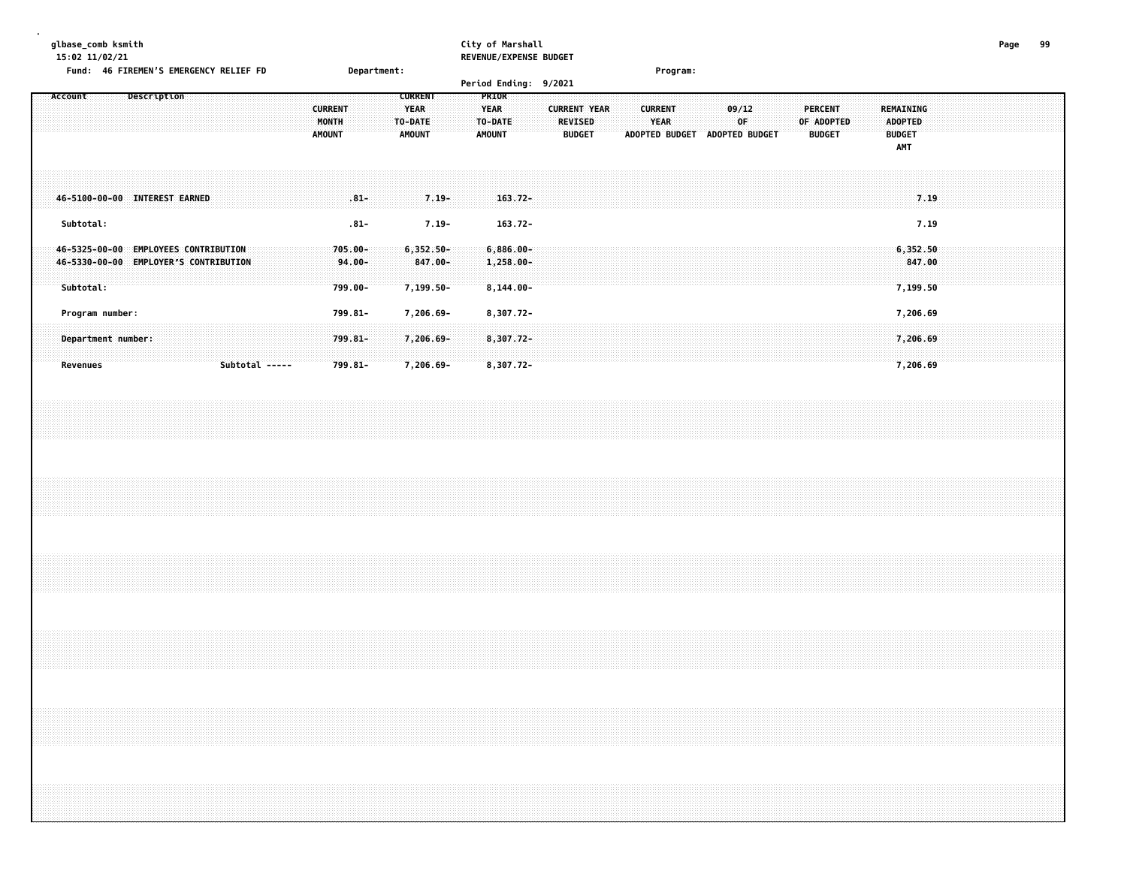| glbase_comb ksmith<br>15:02 11/02/21<br>Fund: 46 FIREMEN'S EMERGENCY RELIEF FD             | Department:                                                                                           | City of Marshall<br>REVENUE/EXPENSE BUDGET                                                                                          | Program:                                                               |                                                                                                      | 99<br>Page |
|--------------------------------------------------------------------------------------------|-------------------------------------------------------------------------------------------------------|-------------------------------------------------------------------------------------------------------------------------------------|------------------------------------------------------------------------|------------------------------------------------------------------------------------------------------|------------|
| Account<br>Description                                                                     | <b>CURRENT</b><br><b>CURRENT</b><br><b>YEAR</b><br>MONTH<br>TO-DATE<br><b>AMOUNT</b><br><b>AMOUNT</b> | Period Ending: 9/2021<br>PRIOR<br><b>YEAR</b><br><b>CURRENT YEAR</b><br><b>REVISED</b><br>TO-DATE<br><b>AMOUNT</b><br><b>BUDGET</b> | <b>CURRENT</b><br>09/12<br>YEAR<br>0F<br>ADOPTED BUDGET ADOPTED BUDGET | <b>PERCENT</b><br>REMAINING<br><b>ADOPTED</b><br>OF ADOPTED<br><b>BUDGET</b><br><b>BUDGET</b><br>AMT |            |
| 46-5100-00-00 INTEREST EARNED<br>Subtotal:                                                 | $.81 -$<br>$7.19 -$<br>$.81 -$<br>$7.19 -$                                                            | $163.72 -$<br>$163.72 -$                                                                                                            |                                                                        | 7.19<br>7.19                                                                                         |            |
| 46-5325-00-00 EMPLOYEES CONTRIBUTION<br>46-5330-00-00 EMPLOYER'S CONTRIBUTION<br>Subtotal: | $705.00 -$<br>$6,352.50 -$<br>847.00-<br>$94.00 -$<br>799.00-<br>7,199.50-                            | $6,886.00 -$<br>$1,258.00 -$<br>$8,144.00 -$                                                                                        |                                                                        | 6,352.50<br>847.00<br>7,199.50                                                                       |            |
| Program number:<br>Department number:<br>Subtotal -----<br><b>Revenues</b>                 | 799.81-<br>7,206.69-<br>$799.81 -$<br>7,206.69-<br>799.81-<br>7,206.69-                               | 8,307.72-<br>$8,307.72-$<br>8,307.72-                                                                                               |                                                                        | 7,206.69<br>7,206.69<br>7,206.69                                                                     |            |
|                                                                                            |                                                                                                       |                                                                                                                                     |                                                                        |                                                                                                      |            |
|                                                                                            |                                                                                                       |                                                                                                                                     |                                                                        |                                                                                                      |            |
|                                                                                            |                                                                                                       |                                                                                                                                     |                                                                        |                                                                                                      |            |
|                                                                                            |                                                                                                       |                                                                                                                                     |                                                                        |                                                                                                      |            |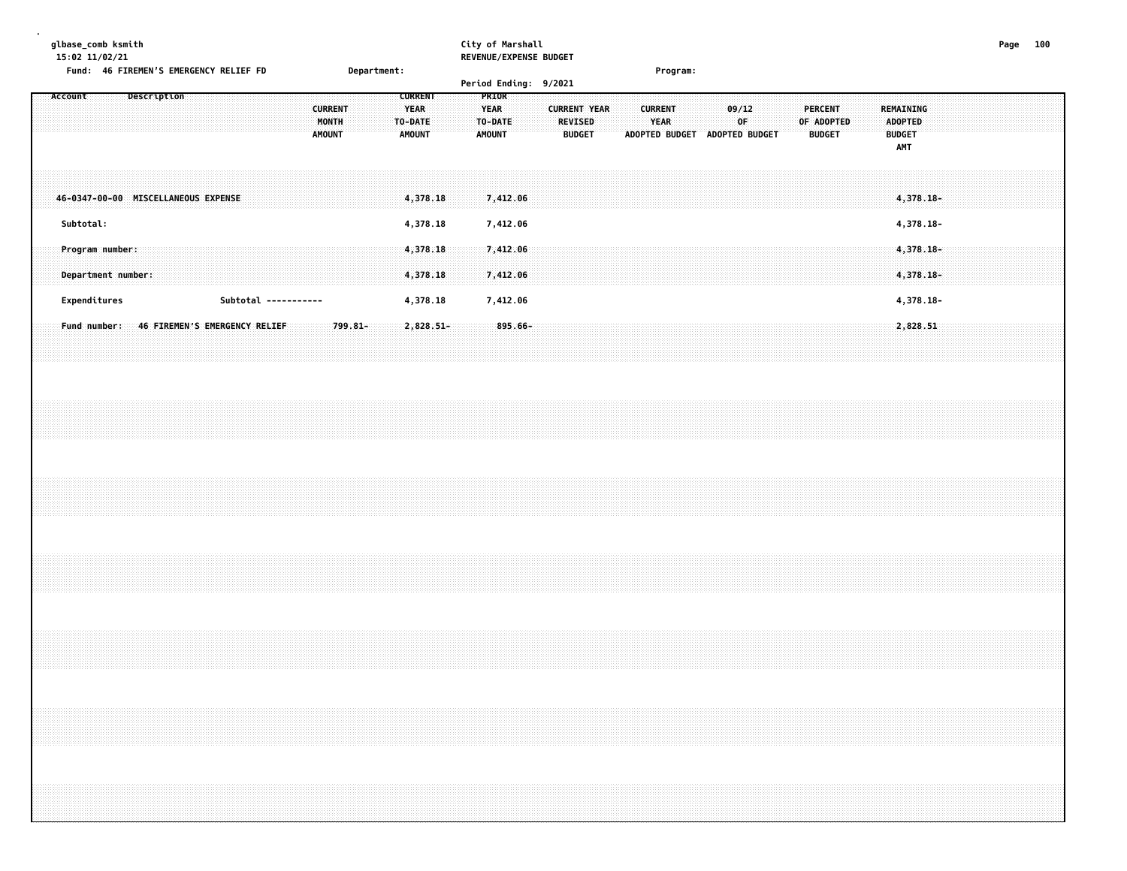**glbase\_comb ksmith City of Marshall Page 100 15:02 11/02/21 REVENUE/EXPENSE BUDGET Fund: 46 FIREMENS EMERGENCY RELIEF FD Department: Program: Period Ending: 9/2021 Account Description CURRENT PRIOR CURRENT YEAR YEAR CURRENT YEAR CURRENT 09/12 PERCENT REMAINING MONTH TO-DATE TO-DATE REVISED YEAR OF OF ADOPTED ADOPTED AMOUNT AMOUNT AMOUNT BUDGET ADOPTED BUDGET ADOPTED BUDGET BUDGET BUDGET AMT 46-0347-00-00 MISCELLANEOUS EXPENSE 4,378.18 7,412.06 4,378.18- Subtotal: 4,378.18 7,412.06 4,378.18- Program number: 4,378.18 7,412.06 4,378.18- Department number: 4,378.18 7,412.06 4,378.18- Expenditures Subtotal ----------- 4,378.18 7,412.06 4,378.18-** Fund number: 46 FIREMEN'S EMERGENCY RELIEF: 799.81-2,828.51 2,828.51 2,828.51 2,828.51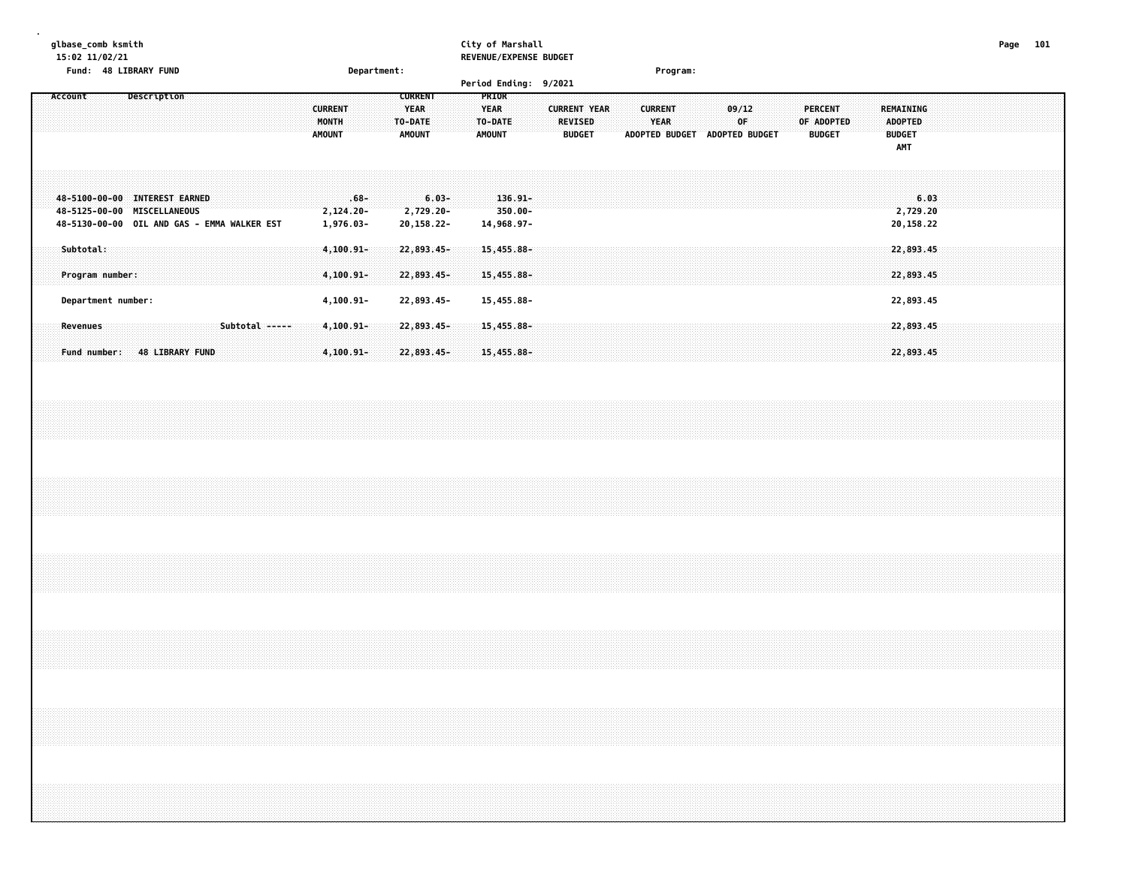### **glbase\_comb ksmith City of Marshall Page 101 15:02 11/02/21 REVENUE/EXPENSE BUDGET**

|                          | Fund: 48 LIBRARY FUND                                        |                                             | Department:                                                                                    |                                                                                  | 9/2021                                                 | Program:                                                                                       |                                                                                                      |  |
|--------------------------|--------------------------------------------------------------|---------------------------------------------|------------------------------------------------------------------------------------------------|----------------------------------------------------------------------------------|--------------------------------------------------------|------------------------------------------------------------------------------------------------|------------------------------------------------------------------------------------------------------|--|
| Account                  | Description                                                  |                                             | <b>CURRENT</b><br><b>YEAR</b><br><b>CURRENT</b><br>MONTH<br>TO-DATE<br><b>AMOUNT</b><br>AMOUNT | <b>Period Ending:</b><br><b>PRIOR</b><br><b>YEAR</b><br>TO-DATE<br><b>AMOUNT</b> | <b>CURRENT YEAR</b><br><b>REVISED</b><br><b>BUDGET</b> | 09/12<br><b>CURRENT</b><br><b>YEAR</b><br>0F<br><b>ADOPTED BUDGET</b><br><b>ADOPTED BUDGET</b> | <b>PERCENT</b><br>REMAINING<br>OF ADOPTED<br>ADOPTED<br><b>BUDGET</b><br><b>BUDGET</b><br><b>AMT</b> |  |
|                          | 48-5100-00-00 INTEREST EARNED<br>48-5125-00-00 MISCELLANEOUS | 48-5130-00-00 OIL AND GAS - EMMA WALKER EST | $6.03 -$<br>$.68 -$<br>$2,729.20 -$<br>$2,124.20 -$<br>1,976.03-<br>20,158.22-                 | $136.91 -$<br>$350.00 -$<br>14,968.97-                                           |                                                        |                                                                                                | 6.03<br>2,729.20<br>20,158.22                                                                        |  |
| Subtotal:                | Program number:                                              |                                             | $4,100.91 -$<br>$22,893.45-$<br>22,893.45-<br>$4,100.91 -$                                     | $15,455.88 -$<br>15,455.88-                                                      |                                                        |                                                                                                | 22,893.45<br>22,893.45                                                                               |  |
|                          | Department number:                                           |                                             | 22,893.45-<br>$4, 100.91 -$                                                                    | 15,455.88-                                                                       |                                                        |                                                                                                | 22,893.45                                                                                            |  |
| Revenues<br>Fund number: | <b>48 LIBRARY FUND</b>                                       | Subtotal -----                              | 4,100.91-<br>$22,893.45-$<br>22,893.45-<br>$4,100.91 -$                                        | $15,455.88 -$<br>15,455.88-                                                      |                                                        |                                                                                                | 22,893.45<br>22,893.45                                                                               |  |
|                          |                                                              |                                             |                                                                                                |                                                                                  |                                                        |                                                                                                |                                                                                                      |  |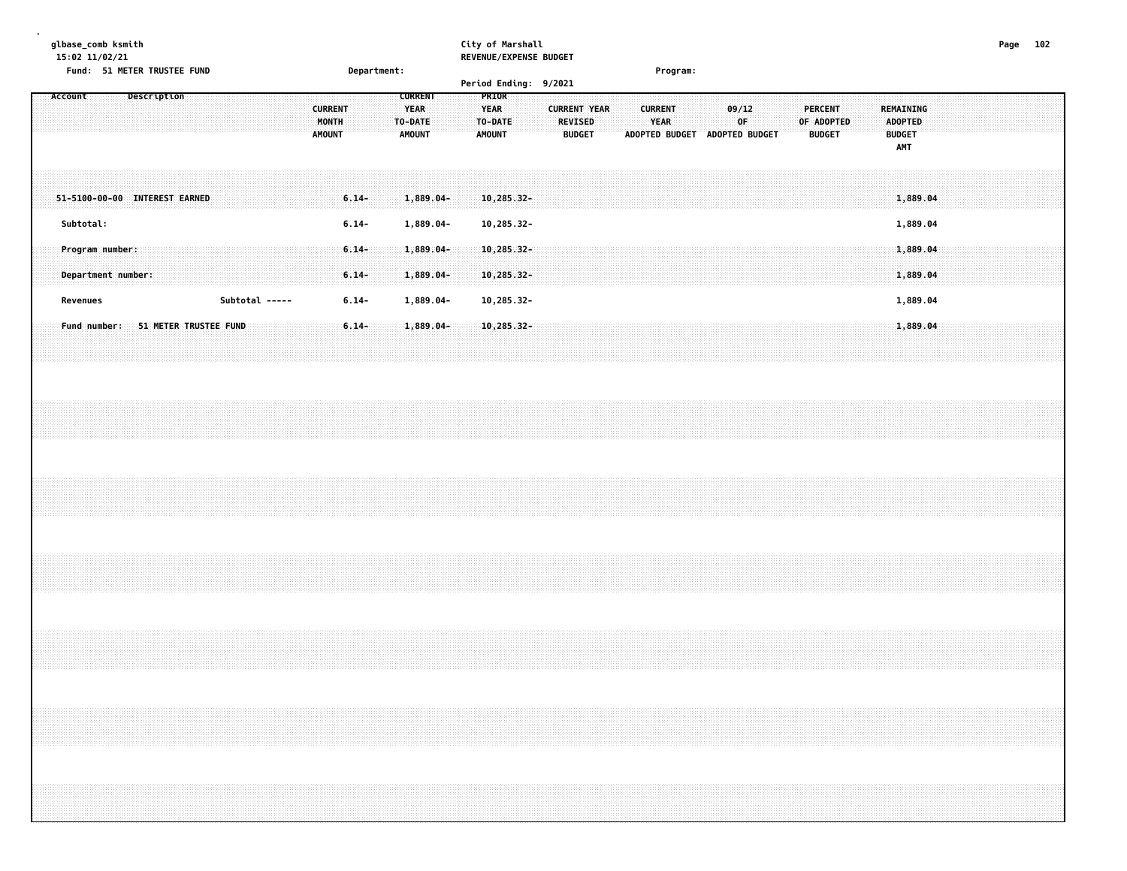# **glbase\_comb ksmith City of Marshall Page 102**

| 15:02 11/02/21<br>Fund: 51 METER TRUSTEE FUND |  |                       |  |                |  |                                          |          |             |                                                           |              |  |                                                  | REVENUE/EXPENSE BUDGET |                                                        |  |                        |                               |             |  |            |                                 |  |                                                            |          |  |  |  |
|-----------------------------------------------|--|-----------------------|--|----------------|--|------------------------------------------|----------|-------------|-----------------------------------------------------------|--------------|--|--------------------------------------------------|------------------------|--------------------------------------------------------|--|------------------------|-------------------------------|-------------|--|------------|---------------------------------|--|------------------------------------------------------------|----------|--|--|--|
|                                               |  |                       |  |                |  |                                          |          | Department: |                                                           |              |  |                                                  | Period Ending: 9/2021  |                                                        |  | Program:               |                               |             |  |            |                                 |  |                                                            |          |  |  |  |
| Account                                       |  | Description           |  |                |  | <b>CURRENT</b><br>MONTH<br><b>AMOUNT</b> |          |             | <b>CURRENT</b><br><b>YEAR</b><br>TO-DATE<br><b>AMOUNT</b> |              |  | PRIOR<br><b>YEAR</b><br>TO-DATE<br><b>AMOUNT</b> |                        | <b>CURRENT YEAR</b><br><b>REVISED</b><br><b>BUDGET</b> |  | <b>CURRENT</b><br>YEAR | ADOPTED BUDGET ADOPTED BUDGET | 09/12<br>0F |  | OF ADOPTED | <b>PERCENT</b><br><b>BUDGET</b> |  | <b>REMAINING</b><br><b>ADOPTED</b><br><b>BUDGET</b><br>AMT |          |  |  |  |
| 51-5100-00-00 INTEREST EARNED                 |  |                       |  |                |  |                                          | $6.14-$  |             |                                                           | $1,889.04-$  |  | 10,285.32-                                       |                        |                                                        |  |                        |                               |             |  |            |                                 |  |                                                            | 1,889.04 |  |  |  |
| Subtotal:                                     |  |                       |  |                |  |                                          | $6.14 -$ |             |                                                           | 1,889.04-    |  | 10,285.32-                                       |                        |                                                        |  |                        |                               |             |  |            |                                 |  |                                                            | 1,889.04 |  |  |  |
| Program number:                               |  |                       |  |                |  |                                          | $6.14 -$ |             |                                                           | $1,889.04-$  |  | $10,285.32-$                                     |                        |                                                        |  |                        |                               |             |  |            |                                 |  |                                                            | 1,889.04 |  |  |  |
| Department number:                            |  |                       |  |                |  |                                          | $6.14-$  |             |                                                           | 1,889.04-    |  | 10,285.32-                                       |                        |                                                        |  |                        |                               |             |  |            |                                 |  |                                                            | 1,889.04 |  |  |  |
| Revenues                                      |  |                       |  | Subtotal ----- |  |                                          | $6.14 -$ |             |                                                           | 1,889.04-    |  | 10,285.32-                                       |                        |                                                        |  |                        |                               |             |  |            |                                 |  |                                                            | 1,889.04 |  |  |  |
| Fund number:                                  |  | 51 METER TRUSTEE FUND |  |                |  |                                          | $6.14-$  |             |                                                           | $1,889.04 -$ |  | 10,285.32-                                       |                        |                                                        |  |                        |                               |             |  |            |                                 |  |                                                            | 1,889.04 |  |  |  |
|                                               |  |                       |  |                |  |                                          |          |             |                                                           |              |  |                                                  |                        |                                                        |  |                        |                               |             |  |            |                                 |  |                                                            |          |  |  |  |
|                                               |  |                       |  |                |  |                                          |          |             |                                                           |              |  |                                                  |                        |                                                        |  |                        |                               |             |  |            |                                 |  |                                                            |          |  |  |  |
|                                               |  |                       |  |                |  |                                          |          |             |                                                           |              |  |                                                  |                        |                                                        |  |                        |                               |             |  |            |                                 |  |                                                            |          |  |  |  |
|                                               |  |                       |  |                |  |                                          |          |             |                                                           |              |  |                                                  |                        |                                                        |  |                        |                               |             |  |            |                                 |  |                                                            |          |  |  |  |
|                                               |  |                       |  |                |  |                                          |          |             |                                                           |              |  |                                                  |                        |                                                        |  |                        |                               |             |  |            |                                 |  |                                                            |          |  |  |  |
|                                               |  |                       |  |                |  |                                          |          |             |                                                           |              |  |                                                  |                        |                                                        |  |                        |                               |             |  |            |                                 |  |                                                            |          |  |  |  |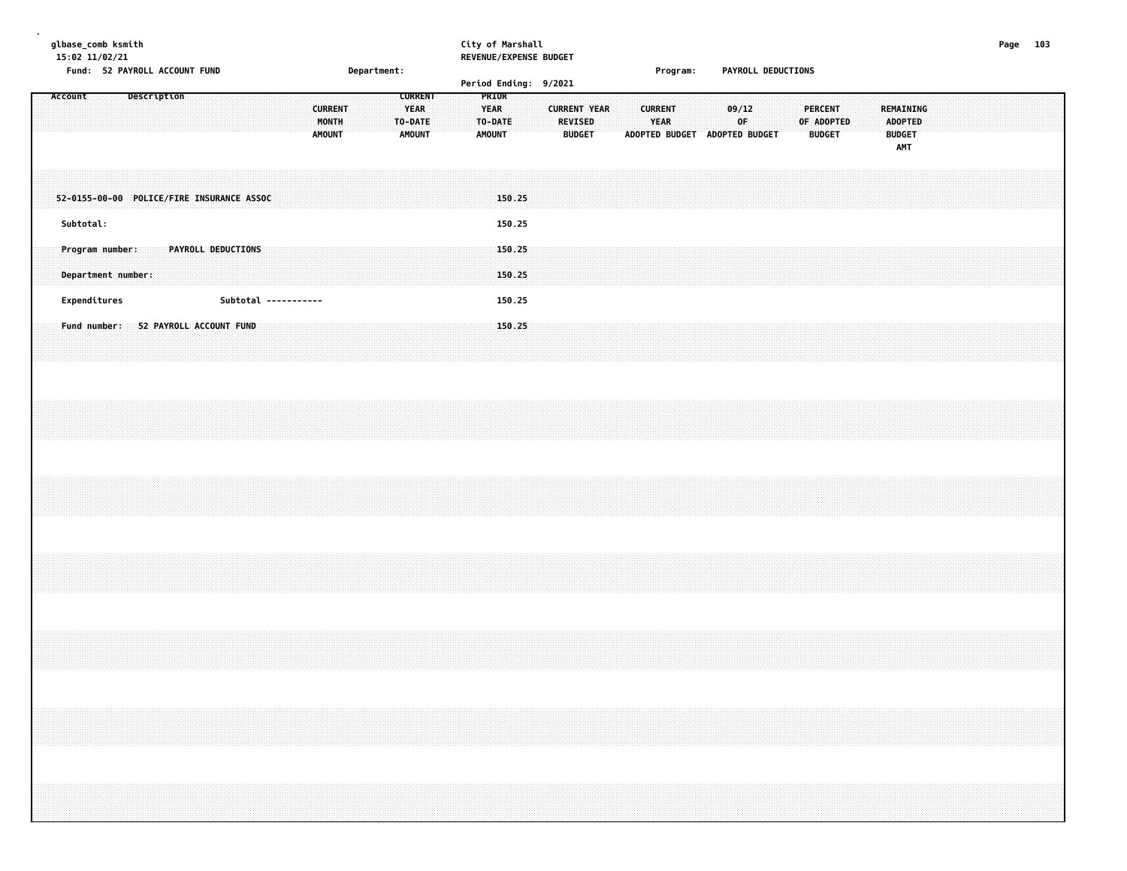| glbase_comb ksmith |  |
|--------------------|--|
|--------------------|--|

# **glbase\_comb ksmith City of Marshall Page 103**

**15:02 11/02/21 REVENUE/EXPENSE BUDGET**

|                                           |  | Fund: 52 PAYROLL ACCOUNT FUND |  |                    |  |                      |                                          |  | Department: |                                         |                |  |                                           | Period Ending: 9/2021 |  |                                 |                     |  |                        | Program: |                               |       |    | PAYROLL DEDUCTIONS |                |                             |  |               |                                    |  |  |  |  |
|-------------------------------------------|--|-------------------------------|--|--------------------|--|----------------------|------------------------------------------|--|-------------|-----------------------------------------|----------------|--|-------------------------------------------|-----------------------|--|---------------------------------|---------------------|--|------------------------|----------|-------------------------------|-------|----|--------------------|----------------|-----------------------------|--|---------------|------------------------------------|--|--|--|--|
| Account                                   |  | Description                   |  |                    |  |                      | <b>CURRENT</b><br>MONTH<br><b>AMOUNT</b> |  |             | <b>YEAR</b><br>TO-DATE<br><b>AMOUNT</b> | <b>CURRENT</b> |  | PRIOR<br><b>YEAR</b><br>TO-DATE<br>AMOUNT |                       |  | <b>REVISED</b><br><b>BUDGET</b> | <b>CURRENT YEAR</b> |  | <b>CURRENT</b><br>YEAR |          | ADOPTED BUDGET ADOPTED BUDGET | 09/12 | 0F |                    | <b>PERCENT</b> | OF ADOPTED<br><b>BUDGET</b> |  | <b>BUDGET</b> | REMAINING<br><b>ADOPTED</b><br>AMT |  |  |  |  |
| 52-0155-00-00 POLICE/FIRE INSURANCE ASSOC |  |                               |  |                    |  |                      |                                          |  |             |                                         |                |  |                                           | 150.25                |  |                                 |                     |  |                        |          |                               |       |    |                    |                |                             |  |               |                                    |  |  |  |  |
| Subtotal:                                 |  |                               |  |                    |  |                      |                                          |  |             |                                         |                |  |                                           | 150.25                |  |                                 |                     |  |                        |          |                               |       |    |                    |                |                             |  |               |                                    |  |  |  |  |
| Program number:<br>Department number:     |  |                               |  | PAYROLL DEDUCTIONS |  |                      |                                          |  |             |                                         |                |  |                                           | 150.25<br>150.25      |  |                                 |                     |  |                        |          |                               |       |    |                    |                |                             |  |               |                                    |  |  |  |  |
| Expenditures                              |  |                               |  |                    |  | Subtotal ----------- |                                          |  |             |                                         |                |  |                                           | 150.25                |  |                                 |                     |  |                        |          |                               |       |    |                    |                |                             |  |               |                                    |  |  |  |  |
| Fund number: 52 PAYROLL ACCOUNT FUND      |  |                               |  |                    |  |                      |                                          |  |             |                                         |                |  |                                           | 150.25                |  |                                 |                     |  |                        |          |                               |       |    |                    |                |                             |  |               |                                    |  |  |  |  |
|                                           |  |                               |  |                    |  |                      |                                          |  |             |                                         |                |  |                                           |                       |  |                                 |                     |  |                        |          |                               |       |    |                    |                |                             |  |               |                                    |  |  |  |  |
|                                           |  |                               |  |                    |  |                      |                                          |  |             |                                         |                |  |                                           |                       |  |                                 |                     |  |                        |          |                               |       |    |                    |                |                             |  |               |                                    |  |  |  |  |
|                                           |  |                               |  |                    |  |                      |                                          |  |             |                                         |                |  |                                           |                       |  |                                 |                     |  |                        |          |                               |       |    |                    |                |                             |  |               |                                    |  |  |  |  |
|                                           |  |                               |  |                    |  |                      |                                          |  |             |                                         |                |  |                                           |                       |  |                                 |                     |  |                        |          |                               |       |    |                    |                |                             |  |               |                                    |  |  |  |  |
|                                           |  |                               |  |                    |  |                      |                                          |  |             |                                         |                |  |                                           |                       |  |                                 |                     |  |                        |          |                               |       |    |                    |                |                             |  |               |                                    |  |  |  |  |
|                                           |  |                               |  |                    |  |                      |                                          |  |             |                                         |                |  |                                           |                       |  |                                 |                     |  |                        |          |                               |       |    |                    |                |                             |  |               |                                    |  |  |  |  |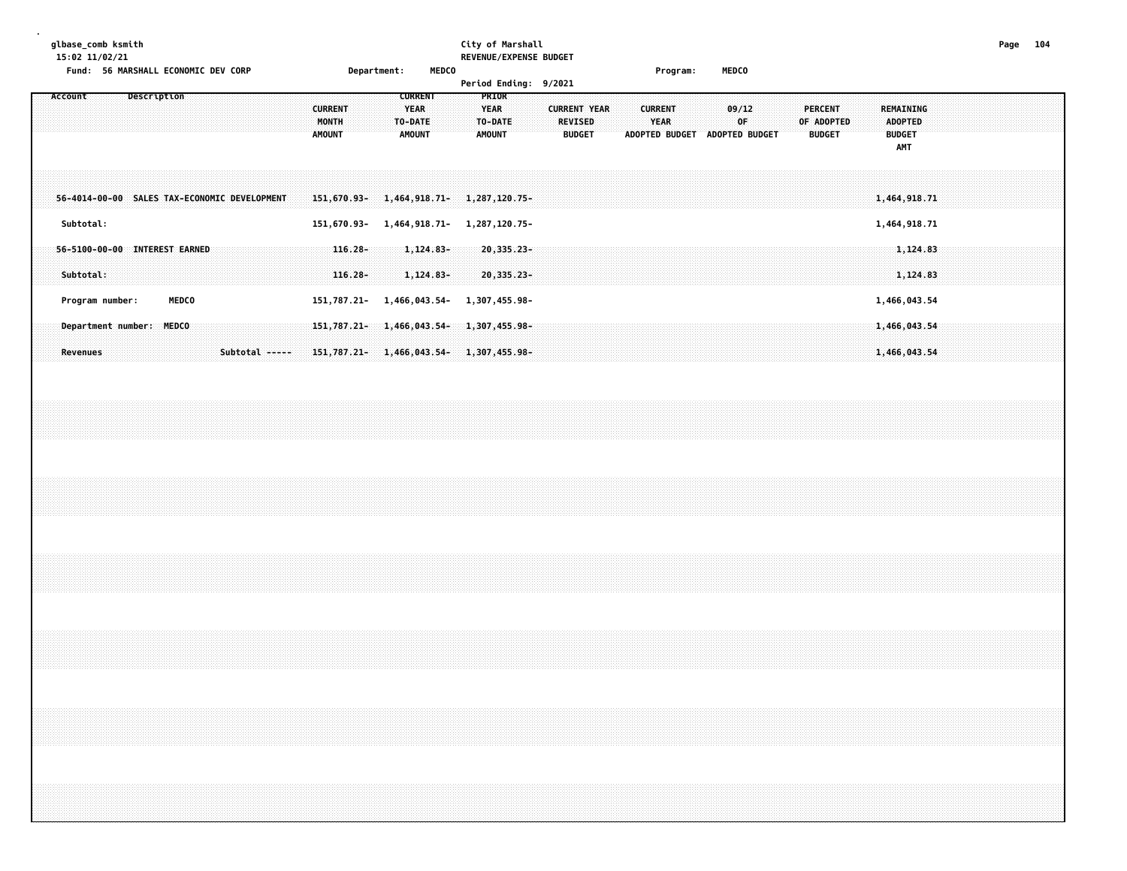# **glbase\_comb ksmith City of Marshall Page 104 15:02 11/02/21 REVENUE/EXPENSE BUDGET**

**Fund: 56 MARSHALL ECONOMIC DEV CORP Department: MEDCO Program: MEDCO**

|                                              |  |              |  |                |  |                                                 |            |  |                                                            |  |                                                   |               | Period Ending: 9/2021 |                                                 |  |                |                               |  |                |             |  |                                               |  |                                                     |              |  |  |  |
|----------------------------------------------|--|--------------|--|----------------|--|-------------------------------------------------|------------|--|------------------------------------------------------------|--|---------------------------------------------------|---------------|-----------------------|-------------------------------------------------|--|----------------|-------------------------------|--|----------------|-------------|--|-----------------------------------------------|--|-----------------------------------------------------|--------------|--|--|--|
| Account                                      |  | Description  |  |                |  | <b>CURRENT</b><br><b>MONTH</b><br><b>AMOUNT</b> |            |  | <b>CURRENT</b><br><b>YEAR</b><br>TO-DATE:<br><b>AMOUNT</b> |  | PRIOR<br><b>YEAR</b><br>TO-DATE:<br><b>AMOUNT</b> |               |                       | <b>CURRENT YEAR</b><br>REVISED<br><b>BUDGET</b> |  | ADOPTED BUDGET | <b>CURRENT</b><br><b>YEAR</b> |  | ADOPTED BUDGET | 09/12<br>0F |  | <b>PERCENT</b><br>OF ADOPTED<br><b>BUDGET</b> |  | REMAINING<br><b>ADOPTED</b><br><b>BUDGET</b><br>AMT |              |  |  |  |
| 56-4014-00-00 SALES TAX-ECONOMIC DEVELOPMENT |  |              |  |                |  | 151,670.93-                                     |            |  | 1,464,918.71-                                              |  |                                                   | 1,287,120.75- |                       |                                                 |  |                |                               |  |                |             |  |                                               |  |                                                     | 1,464,918.71 |  |  |  |
| Subtotal:                                    |  |              |  |                |  | 151,670.93-                                     |            |  | 1,464,918.71- 1,287,120.75-                                |  |                                                   |               |                       |                                                 |  |                |                               |  |                |             |  |                                               |  |                                                     | 1,464,918.71 |  |  |  |
| 56-5100-00-00 INTEREST EARNED                |  |              |  |                |  |                                                 | $116.28 -$ |  | $1,124.83-$                                                |  |                                                   | $20,335.23-$  |                       |                                                 |  |                |                               |  |                |             |  |                                               |  |                                                     | 1,124.83     |  |  |  |
| Subtotal:                                    |  |              |  |                |  |                                                 | $116.28 -$ |  | $1,124.83-$                                                |  |                                                   | $20,335.23-$  |                       |                                                 |  |                |                               |  |                |             |  |                                               |  |                                                     | 1,124.83     |  |  |  |
| Program number:                              |  | <b>MEDCO</b> |  |                |  | 151,787.21- 1,466,043.54-                       |            |  |                                                            |  |                                                   | 1,307,455.98- |                       |                                                 |  |                |                               |  |                |             |  |                                               |  |                                                     | 1,466,043.54 |  |  |  |
| Department number: MEDCO                     |  |              |  |                |  | 151,787.21-1,466,043.54-1,307,455.98-           |            |  |                                                            |  |                                                   |               |                       |                                                 |  |                |                               |  |                |             |  |                                               |  |                                                     | 1,466,043.54 |  |  |  |
| <b>Revenues</b>                              |  |              |  | Subtotal ----- |  | 151,787.21-1,466,043.54-1,307,455.98-           |            |  |                                                            |  |                                                   |               |                       |                                                 |  |                |                               |  |                |             |  |                                               |  |                                                     | 1,466,043.54 |  |  |  |
|                                              |  |              |  |                |  |                                                 |            |  |                                                            |  |                                                   |               |                       |                                                 |  |                |                               |  |                |             |  |                                               |  |                                                     |              |  |  |  |
|                                              |  |              |  |                |  |                                                 |            |  |                                                            |  |                                                   |               |                       |                                                 |  |                |                               |  |                |             |  |                                               |  |                                                     |              |  |  |  |
|                                              |  |              |  |                |  |                                                 |            |  |                                                            |  |                                                   |               |                       |                                                 |  |                |                               |  |                |             |  |                                               |  |                                                     |              |  |  |  |
|                                              |  |              |  |                |  |                                                 |            |  |                                                            |  |                                                   |               |                       |                                                 |  |                |                               |  |                |             |  |                                               |  |                                                     |              |  |  |  |
|                                              |  |              |  |                |  |                                                 |            |  |                                                            |  |                                                   |               |                       |                                                 |  |                |                               |  |                |             |  |                                               |  |                                                     |              |  |  |  |
|                                              |  |              |  |                |  |                                                 |            |  |                                                            |  |                                                   |               |                       |                                                 |  |                |                               |  |                |             |  |                                               |  |                                                     |              |  |  |  |
|                                              |  |              |  |                |  |                                                 |            |  |                                                            |  |                                                   |               |                       |                                                 |  |                |                               |  |                |             |  |                                               |  |                                                     |              |  |  |  |
|                                              |  |              |  |                |  |                                                 |            |  |                                                            |  |                                                   |               |                       |                                                 |  |                |                               |  |                |             |  |                                               |  |                                                     |              |  |  |  |
|                                              |  |              |  |                |  |                                                 |            |  |                                                            |  |                                                   |               |                       |                                                 |  |                |                               |  |                |             |  |                                               |  |                                                     |              |  |  |  |
|                                              |  |              |  |                |  |                                                 |            |  |                                                            |  |                                                   |               |                       |                                                 |  |                |                               |  |                |             |  |                                               |  |                                                     |              |  |  |  |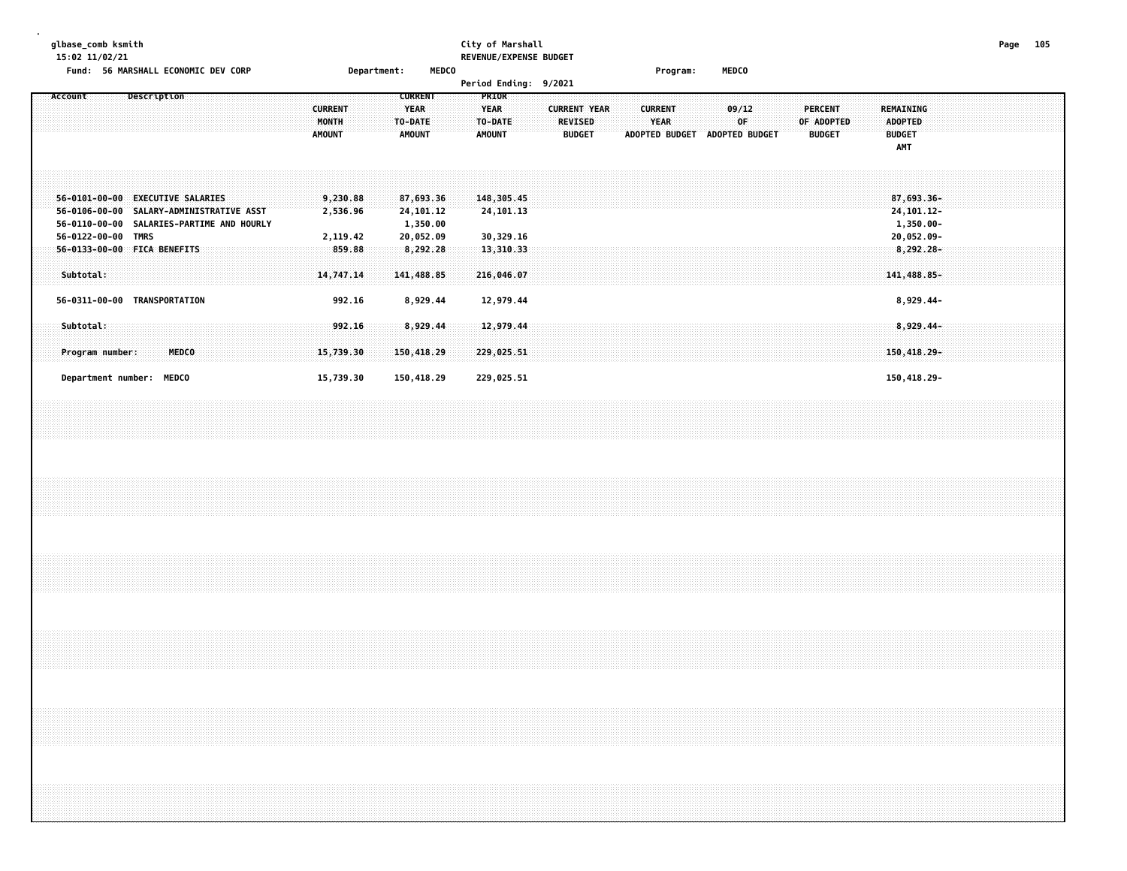**glbase\_comb ksmith City of Marshall Page 105 15:02 11/02/21 REVENUE/EXPENSE BUDGET**

**Fund: 56 MARSHALL ECONOMIC DEV CORP Department: MEDCO Program: MEDCO**

| Description<br>Account                                                                                                                         | <b>CURRENT</b><br><b>MONTH</b><br><b>AMOUNT</b> | PRIOR<br><b>CURRENT</b><br><b>YEAR</b><br><b>YEAR</b><br>TO-DATE<br>TO-DATE<br><b>AMOUNT</b><br><b>AMOUNT</b> | <b>CURRENT YEAR</b><br><b>CURRENT</b><br><b>REVISED</b><br><b>YEAR</b><br><b>ADOPTED BUDGET</b><br><b>BUDGET</b> | 09/12<br>PERCENT<br>OF ADOPTED<br>0F<br><b>ADOPTED BUDGET</b><br><b>BUDGET</b> | <b>REMAINING</b><br><b>ADOPTED</b><br><b>BUDGET</b><br><b>AMT</b> |
|------------------------------------------------------------------------------------------------------------------------------------------------|-------------------------------------------------|---------------------------------------------------------------------------------------------------------------|------------------------------------------------------------------------------------------------------------------|--------------------------------------------------------------------------------|-------------------------------------------------------------------|
| $56 - 0101 - 00 - 00$<br><b>EXECUTIVE SALARIES</b><br>56-0106-00-00<br>SALARY-ADMINISTRATIVE ASST<br>56-0110-00-00 SALARIES-PARTIME AND HOURLY | 9,230.88<br>2,536.96                            | 87,693.36<br>148,305.45<br>24,101.12<br>24,101.13<br>1,350.00                                                 |                                                                                                                  |                                                                                | 87,693.36-<br>24, 101. 12-<br>1,350.00-                           |
| 56-0122-00-00<br><b>TMRS</b><br>56-0133-00-00 FICA BENEFITS<br>Subtotal:                                                                       | 2,119.42<br>859.88<br>14,747.14                 | 20,052.09<br>30,329.16<br>8,292.28<br>13,310.33<br>141,488.85<br>216,046.07                                   |                                                                                                                  |                                                                                | 20,052.09-<br>$8,292.28 -$<br>141,488.85-                         |
| 56-0311-00-00<br>TRANSPORTATION<br>Subtotal:<br>Program number:<br><b>MEDCO</b>                                                                | 992.16<br>992.16<br>15,739.30                   | 8,929.44<br>12,979.44<br>8,929.44<br>12,979.44<br>150,418.29<br>229,025.51                                    |                                                                                                                  |                                                                                | 8,929.44-<br>8,929.44-<br>$150,418.29 -$                          |
| <b>MEDCO</b><br>Department number:                                                                                                             | 15,739.30                                       | 150,418.29<br>229,025.51                                                                                      |                                                                                                                  |                                                                                | 150,418.29-                                                       |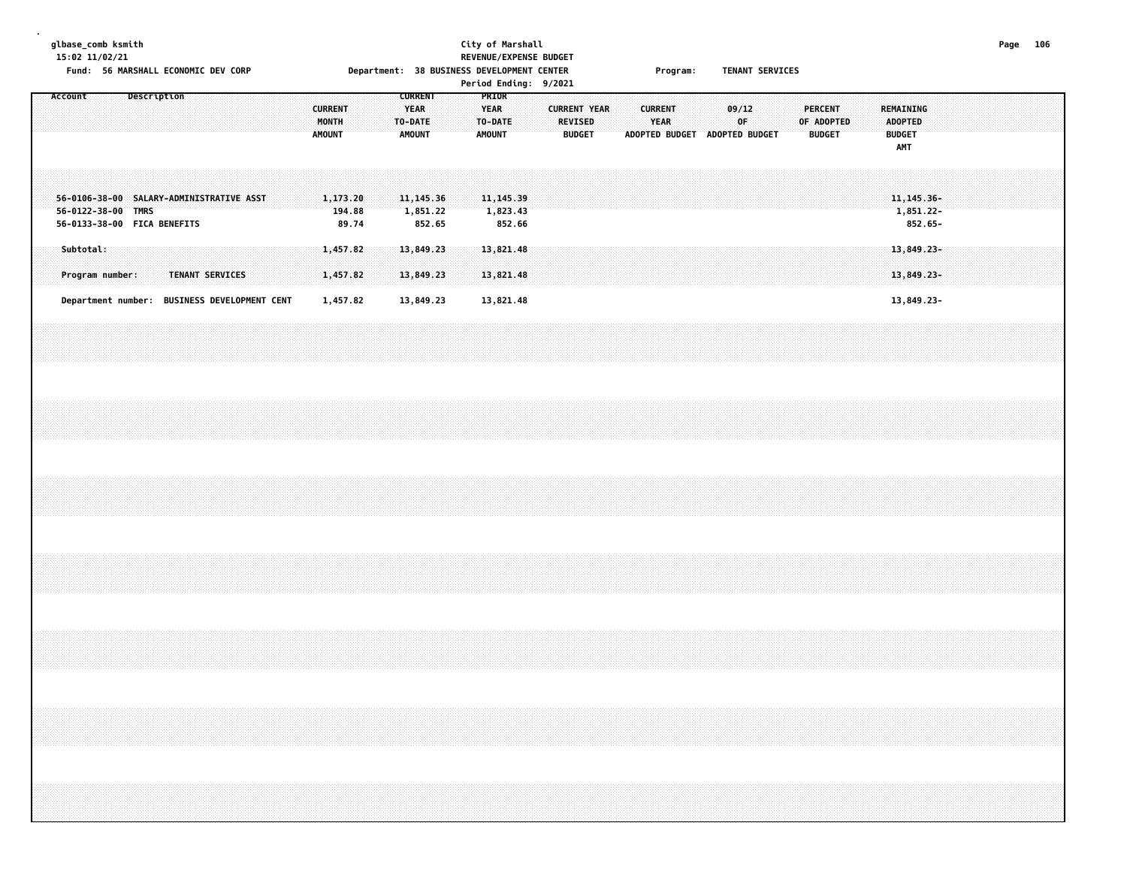### **glbase\_comb ksmith City of Marshall Page 106 15:02 11/02/21 REVENUE/EXPENSE BUDGET** Fund: 56 MARSHALL ECONOMIC DEV CORP **Department: 38 BUSINESS DEVELOPMENT CENTER** Program: TENANT SERVICES **Period Ending: 9/2021**

| Account                                                                                       |                                                                 | Description |                 |  |  | <b>CURRENT</b><br>MONTH<br><b>AMOUNT</b> |                                  |  | <b>CURRENT</b><br><b>YEAR</b><br>TO-DATE<br><b>AMOUNT</b> |  | rer tour Linuting. 372021<br>PRIOR<br><b>YEAR</b><br>TO-DATE<br><b>AMOUNT</b> |        |  | <b>CURRENT YEAR</b><br>REVISED<br><b>BUDGET</b> |  | <b>CURRENT</b> | <b>YEAR</b><br>ADOPTED BUDGET ADOPTED BUDGET |  | 09/12<br>OF |  | <b>PERCENT</b><br>OF ADOPTED<br><b>BUDGET</b> |  | <b>REMAINING</b><br><b>ADOPTED</b><br><b>BUDGET</b><br><b>AMT</b> |                                        |  |  |  |
|-----------------------------------------------------------------------------------------------|-----------------------------------------------------------------|-------------|-----------------|--|--|------------------------------------------|----------------------------------|--|-----------------------------------------------------------|--|-------------------------------------------------------------------------------|--------|--|-------------------------------------------------|--|----------------|----------------------------------------------|--|-------------|--|-----------------------------------------------|--|-------------------------------------------------------------------|----------------------------------------|--|--|--|
| 56-0106-38-00 SALARY-ADMINISTRATIVE ASST<br>56-0122-38-00 TMRS<br>56-0133-38-00 FICA BENEFITS |                                                                 |             |                 |  |  |                                          | 1,173.20<br>194.88<br>89.74      |  | 11, 145.36<br>1,851.22<br>852.65                          |  | 11, 145.39<br>1,823.43                                                        | 852.66 |  |                                                 |  |                |                                              |  |             |  |                                               |  |                                                                   | 11, 145. 36-<br>1,851.22-<br>852.65-   |  |  |  |
| Subtotal:                                                                                     | Program number:<br>Department number: BUSINESS DEVELOPMENT CENT |             | TENANT SERVICES |  |  |                                          | 1,457.82<br>1,457.82<br>1,457.82 |  | 13,849.23<br>13,849.23<br>13,849.23                       |  | 13,821.48<br>13,821.48<br>13,821.48                                           |        |  |                                                 |  |                |                                              |  |             |  |                                               |  |                                                                   | 13,849.23-<br>13,849.23-<br>13,849.23- |  |  |  |
|                                                                                               |                                                                 |             |                 |  |  |                                          |                                  |  |                                                           |  |                                                                               |        |  |                                                 |  |                |                                              |  |             |  |                                               |  |                                                                   |                                        |  |  |  |
|                                                                                               |                                                                 |             |                 |  |  |                                          |                                  |  |                                                           |  |                                                                               |        |  |                                                 |  |                |                                              |  |             |  |                                               |  |                                                                   |                                        |  |  |  |
|                                                                                               |                                                                 |             |                 |  |  |                                          |                                  |  |                                                           |  |                                                                               |        |  |                                                 |  |                |                                              |  |             |  |                                               |  |                                                                   |                                        |  |  |  |
|                                                                                               |                                                                 |             |                 |  |  |                                          |                                  |  |                                                           |  |                                                                               |        |  |                                                 |  |                |                                              |  |             |  |                                               |  |                                                                   |                                        |  |  |  |
|                                                                                               |                                                                 |             |                 |  |  |                                          |                                  |  |                                                           |  |                                                                               |        |  |                                                 |  |                |                                              |  |             |  |                                               |  |                                                                   |                                        |  |  |  |
|                                                                                               |                                                                 |             |                 |  |  |                                          |                                  |  |                                                           |  |                                                                               |        |  |                                                 |  |                |                                              |  |             |  |                                               |  |                                                                   |                                        |  |  |  |
|                                                                                               |                                                                 |             |                 |  |  |                                          |                                  |  |                                                           |  |                                                                               |        |  |                                                 |  |                |                                              |  |             |  |                                               |  |                                                                   |                                        |  |  |  |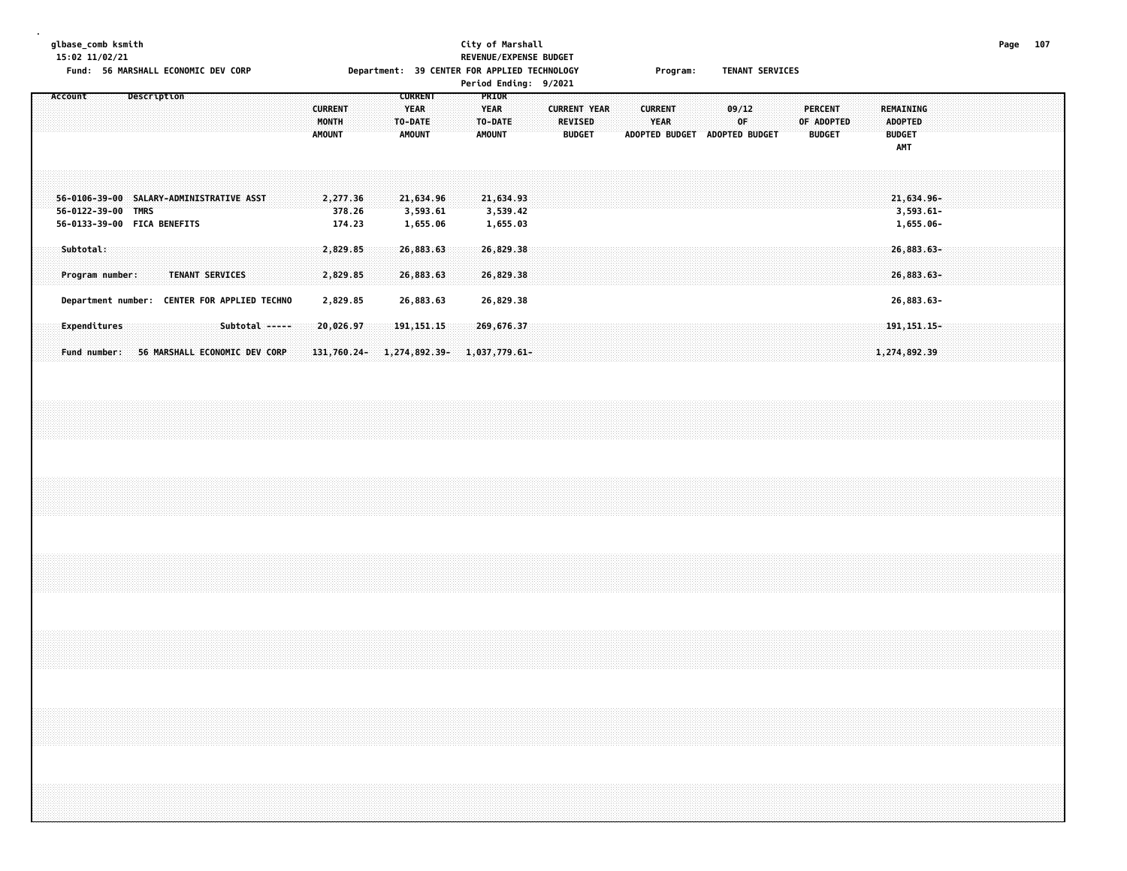### **glbase\_comb ksmith City of Marshall Page 107 15:02 11/02/21 REVENUE/EXPENSE BUDGET** Fund: 56 MARSHALL ECONOMIC DEV CORP **Department: 39 CENTER FOR APPLIED TECHNOLOGY** Program: TENANT SERVICES **Period Ending: 9/2021**

| Account            |                              |  | Description                 |                                                                 |  |                |  | <b>CURRENT</b><br>MONTH<br><b>AMOUNT</b> |                  |  | <b>CURRENT</b><br><b>YEAR</b><br>TO-DATE<br><b>AMOUNT</b> |  | <b>PRIOR</b><br><b>YEAR</b><br>TO-DATE<br><b>AMOUNT</b> |                                     |  | <b>REVISED</b><br><b>BUDGET</b> | <b>CURRENT YEAR</b> |  | <b>CURRENT</b><br>YEAR | ADOPTED BUDGET | ADOPTED BUDGET | 09/12<br>0F |  |  | <b>PERCENT</b><br>OF ADOPTED<br><b>BUDGET</b> |  | ADOPTED<br><b>BUDGET</b><br>AMT | <b>REMAINING</b>                        |  |  |  |  |
|--------------------|------------------------------|--|-----------------------------|-----------------------------------------------------------------|--|----------------|--|------------------------------------------|------------------|--|-----------------------------------------------------------|--|---------------------------------------------------------|-------------------------------------|--|---------------------------------|---------------------|--|------------------------|----------------|----------------|-------------|--|--|-----------------------------------------------|--|---------------------------------|-----------------------------------------|--|--|--|--|
| 56-0122-39-00 TMRS |                              |  | 56-0133-39-00 FICA BENEFITS | 56-0106-39-00 SALARY-ADMINISTRATIVE ASST                        |  |                |  | 2,277.36                                 | 378.26<br>174.23 |  | 21,634.96<br>3,593.61<br>1,655.06                         |  |                                                         | 21,634.93<br>3,539.42<br>1,655.03   |  |                                 |                     |  |                        |                |                |             |  |  |                                               |  |                                 | 21,634.96-<br>$3,593.61 -$<br>1,655.06- |  |  |  |  |
|                    | Subtotal:<br>Program number: |  |                             | TENANT SERVICES<br>Department number: CENTER FOR APPLIED TECHNO |  |                |  | 2,829.85<br>2,829.85<br>2,829.85         |                  |  | 26,883.63<br>26,883.63<br>26,883.63                       |  |                                                         | 26,829.38<br>26,829.38<br>26,829.38 |  |                                 |                     |  |                        |                |                |             |  |  |                                               |  |                                 | 26,883.63-<br>26,883.63-<br>26,883.63-  |  |  |  |  |
|                    | Expenditures<br>Fund number: |  |                             | 56 MARSHALL ECONOMIC DEV CORP                                   |  | Subtotal ----- |  | 20,026.97<br>131,760.24-                 |                  |  | 191, 151.15<br>$1,274,892.39 - 1,037,779.61 -$            |  |                                                         | 269,676.37                          |  |                                 |                     |  |                        |                |                |             |  |  |                                               |  |                                 | 191, 151. 15-<br>1,274,892.39           |  |  |  |  |
|                    |                              |  |                             |                                                                 |  |                |  |                                          |                  |  |                                                           |  |                                                         |                                     |  |                                 |                     |  |                        |                |                |             |  |  |                                               |  |                                 |                                         |  |  |  |  |
|                    |                              |  |                             |                                                                 |  |                |  |                                          |                  |  |                                                           |  |                                                         |                                     |  |                                 |                     |  |                        |                |                |             |  |  |                                               |  |                                 |                                         |  |  |  |  |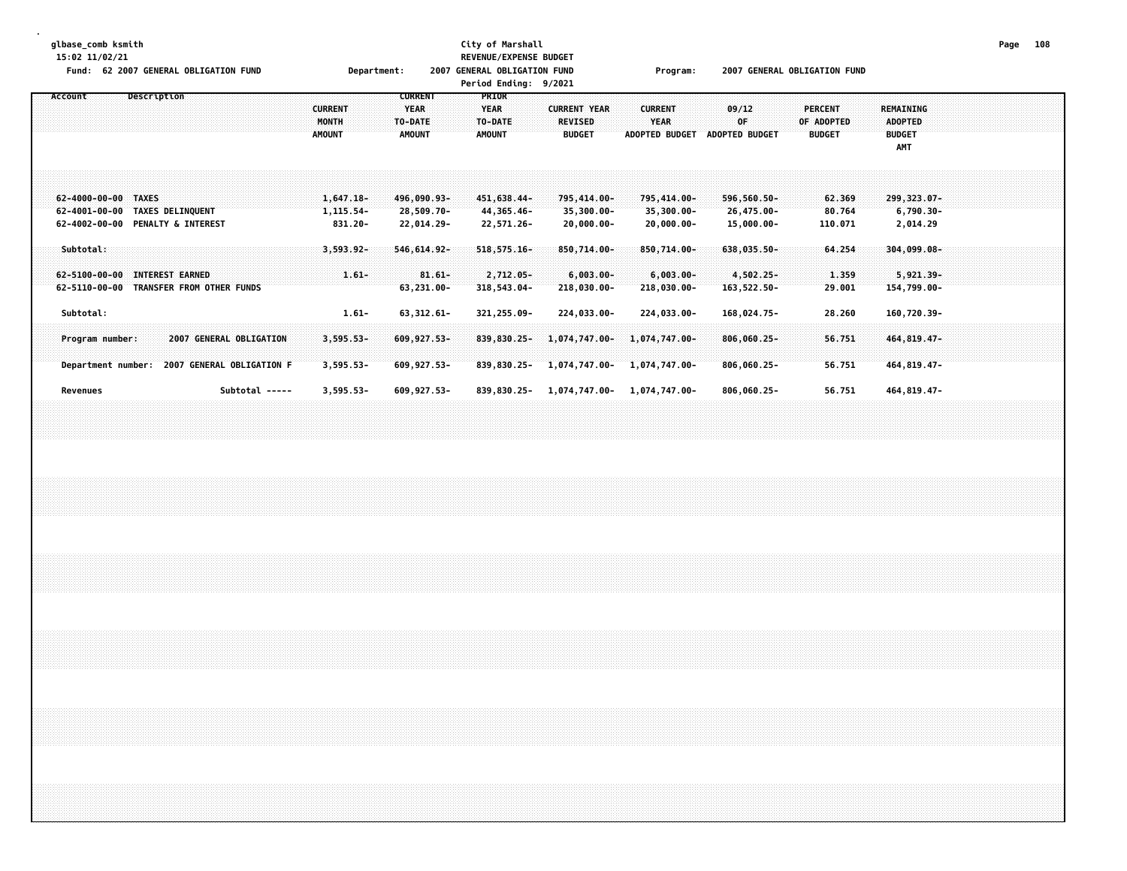**glbase\_comb ksmith City of Marshall Page 108**

**.**

**15:02 11/02/21 REVENUE/EXPENSE BUDGET**

| <b>62 2007 GENERAL OBLIGATION FUND</b><br>Description                                                   | Department:<br><b>CURRENT</b>                                                       | <b>2007 GENERAL OBLIGATION FUND</b><br>Period Ending: 9/2021<br><b>PRIOR</b>                      | Program:                                                                                           | <b>2007 GENERAL OBLIGATION FUND</b>           |                                                            |  |
|---------------------------------------------------------------------------------------------------------|-------------------------------------------------------------------------------------|---------------------------------------------------------------------------------------------------|----------------------------------------------------------------------------------------------------|-----------------------------------------------|------------------------------------------------------------|--|
|                                                                                                         | <b>CURRENT</b><br><b>YEAR</b><br>MONTH<br>TO-DATE<br><b>AMOUNT</b><br><b>AMOUNT</b> | <b>YEAR</b><br><b>CURRENT YEAR</b><br>TO-DATE<br><b>REVISED</b><br><b>AMOUNT</b><br><b>BUDGET</b> | <b>CURRENT</b><br>09/12<br>0F.<br>YEAR<br><b>ADOPTED BUDGET</b><br><b>ADOPTED BUDGET</b>           | <b>PERCENT</b><br>OF ADOPTED<br><b>BUDGET</b> | REMAINING<br><b>ADOPTED</b><br><b>BUDGET</b><br><b>AMT</b> |  |
| 62-4000-00-00 TAXES<br>62-4001-00-00 TAXES DELINQUENT<br>62-4002-00-00 PENALTY & INTEREST               | $1,647.18-$<br>496,090.93-<br>28,509.70-<br>1,115.54-<br>831.20-<br>22,014.29-      | 451,638.44-<br>795,414.00-<br>44,365.46-<br>$35,300.00 -$<br>22,571.26-<br>$20,000.00 -$          | 795,414.00-<br>$596,560.50 -$<br>$35,300.00 -$<br>26,475.00-<br>20,000.00-<br>15,000.00-           | 62.369<br>80.764<br>110.071                   | $299,323.07 -$<br>$6,790.30 -$<br>2,014.29                 |  |
| Subtotal:<br>62-5100-00-00 INTEREST EARNED<br>62-5110-00-00 TRANSFER FROM OTHER FUNDS                   | $3,593.92 -$<br>$546,614.92-$<br>$81.61 -$<br>$1.61 -$<br>63,231.00-                | 518, 575. 16-<br>$850,714.00 -$<br>2,712.05-<br>$6,003.00 -$<br>318,543.04-<br>218,030.00-        | $850,714.00 -$<br>$638,035.50 -$<br>$6,003.00 -$<br>4,502.25-<br>218,030.00-<br>163,522.50-        | 64.254<br>1.359<br>29.001                     | $304,099.08 -$<br>$5,921,39-$<br>154,799.00-               |  |
| Subtotal:<br>2007 GENERAL OBLIGATION<br>Program number:<br>Department number: 2007 GENERAL OBLIGATION F | $1.61 -$<br>63, 312.61-<br>$3,595.53-$<br>609,927.53-<br>$3,595.53-$<br>609,927.53- | 321, 255.09-<br>224,033.00-<br>$839,830.25 -$<br>1,074,747.00-<br>839,830.25-<br>1,074,747.00-    | 224,033.00-<br>168,024.75-<br>1,074,747.00-<br>$806,060.25 -$<br>$806,060.25 -$<br>$1,074,747.00-$ | 28.260<br>56.751<br>56.751                    | 160,720.39-<br>464, 819.47-<br>464,819.47-                 |  |
| Subtotal -----<br>Revenues                                                                              | $3,595.53-$<br>609,927.53-                                                          | 1,074,747.00-<br>839,830.25-                                                                      | 806,060.25-<br>1,074,747.00-                                                                       | 56.751                                        | 464, 819.47-                                               |  |
|                                                                                                         |                                                                                     |                                                                                                   |                                                                                                    |                                               |                                                            |  |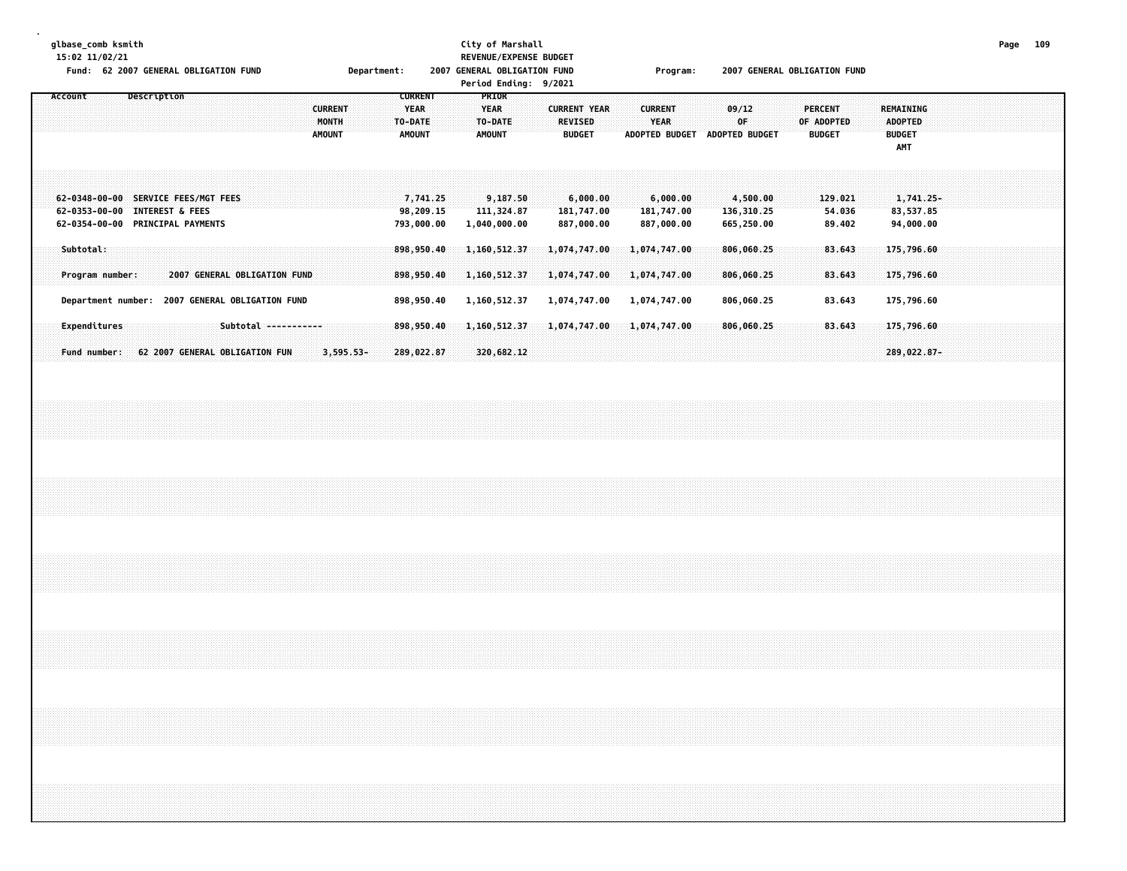**glbase\_comb ksmith City of Marshall Page 109**

**.**

| 15:02 11/02/21<br>Fund: 62 2007 GENERAL OBLIGATION FUND                                                  | Department:                                               | REVENUE/EXPENSE BUDGET<br>2007 GENERAL OBLIGATION FUND<br>Period Ending: 9/2021                            | Program:                                                | 2007 GENERAL OBLIGATION FUND                                        |                                                     |
|----------------------------------------------------------------------------------------------------------|-----------------------------------------------------------|------------------------------------------------------------------------------------------------------------|---------------------------------------------------------|---------------------------------------------------------------------|-----------------------------------------------------|
| Account<br>Description<br><b>CURRENT</b><br>MONTH<br><b>AMOUNT</b>                                       | <b>CURRENT</b><br><b>YEAR</b><br>TO-DATE<br><b>AMOUNT</b> | PRIOR<br><b>YEAR</b><br><b>CURRENT YEAR</b><br><b>REVISED</b><br>TO-DATE<br><b>AMOUNT</b><br><b>BUDGET</b> | <b>CURRENT</b><br>YEAR<br>ADOPTED BUDGET ADOPTED BUDGET | 09/12<br><b>PERCENT</b><br>0F<br>OF ADOPTED<br><b>BUDGET</b>        | REMAINING<br><b>ADOPTED</b><br><b>BUDGET</b><br>AMT |
| 62-0348-00-00 SERVICE FEES/MGT FEES<br>62-0353-00-00 INTEREST & FEES<br>62-0354-00-00 PRINCIPAL PAYMENTS | 7,741.25<br>98,209.15<br>793,000.00                       | 9,187.50<br>6,000.00<br>111,324.87<br>181,747.00<br>887,000.00<br>1,040,000.00                             | 6,000.00<br>181,747.00<br>887,000.00                    | 129.021<br>4,500.00<br>136,310.25<br>54.036<br>665,250.00<br>89.402 | 1,741.25-<br>83,537.85<br>94,000.00                 |
| Subtotal:                                                                                                | 898,950.40                                                | 1,160,512.37<br>1,074,747.00                                                                               | 1,074,747.00                                            | 806,060.25<br>83.643                                                | 175,796.60                                          |
| Program number:<br>2007 GENERAL OBLIGATION FUND<br>Department number: 2007 GENERAL OBLIGATION FUND       | 898,950.40<br>898,950.40                                  | 1,160,512.37<br>1,074,747.00<br>1,074,747.00<br>1,160,512.37                                               | 1,074,747.00<br>1,074,747.00                            | 806,060.25<br>83.643<br>806,060.25<br>83.643                        | 175,796.60<br>175,796.60                            |
| Expenditures<br>Subtotal -----------<br>Fund number:<br>62 2007 GENERAL OBLIGATION FUN                   | 898,950.40<br>$3,595.53-$<br>289,022.87                   | 1,160,512.37<br>1,074,747.00<br>320,682.12                                                                 | 1,074,747.00                                            | 83.643<br>806,060.25                                                | 175,796.60<br>289,022.87-                           |
|                                                                                                          |                                                           |                                                                                                            |                                                         |                                                                     |                                                     |
|                                                                                                          |                                                           |                                                                                                            |                                                         |                                                                     |                                                     |
|                                                                                                          |                                                           |                                                                                                            |                                                         |                                                                     |                                                     |
|                                                                                                          |                                                           |                                                                                                            |                                                         |                                                                     |                                                     |
|                                                                                                          |                                                           |                                                                                                            |                                                         |                                                                     |                                                     |
|                                                                                                          |                                                           |                                                                                                            |                                                         |                                                                     |                                                     |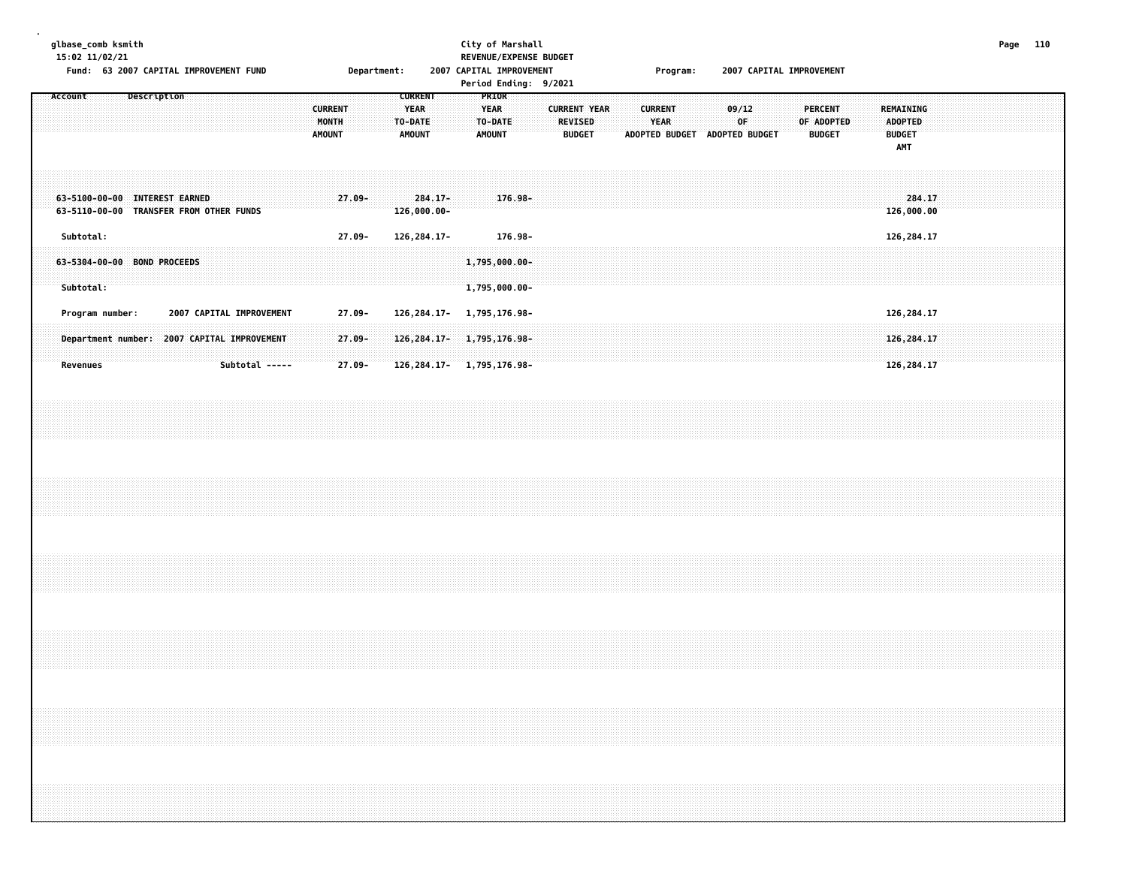#### **glbase\_comb ksmith City of Marshall Page 110 15:02 11/02/21 REVENUE/EXPENSE BUDGET**

Fund: 63 2007 CAPITAL IMPROVEMENT FUND **Department:** 2007 CAPITAL IMPROVEMENT **Program: 2007 CAPITAL IMPROVEMENT** 

|                                                                                                                                 | Period Ending: 9/2021                                                                                                                                      |                                                                                                                                                   |                                                                                                      |
|---------------------------------------------------------------------------------------------------------------------------------|------------------------------------------------------------------------------------------------------------------------------------------------------------|---------------------------------------------------------------------------------------------------------------------------------------------------|------------------------------------------------------------------------------------------------------|
| Description<br>Account                                                                                                          | PRIOR<br><b>CURRENT</b><br><b>YEAR</b><br><b>CURRENT</b><br><b>YEAR</b><br>MONTH<br>TO-DATE:<br>TO-DATE<br><b>AMOUNT</b><br><b>AMOUNT</b><br><b>AMOUNT</b> | <b>CURRENT YEAR</b><br><b>CURRENT</b><br>09/12<br><b>YEAR</b><br>0F<br><b>REVISED</b><br>ADOPTED BUDGET<br><b>ADOPTED BUDGET</b><br><b>BUDGET</b> | <b>PERCENT</b><br>REMAINING<br><b>ADOPTED</b><br>OF ADOPTED<br><b>BUDGET</b><br><b>BUDGET</b><br>AMT |
| 63-5100-00-00 INTEREST EARNED<br>63-5110-00-00 TRANSFER FROM OTHER FUNDS                                                        | $27.09 -$<br>$284.17 -$<br>176.98-<br>126,000.00-                                                                                                          |                                                                                                                                                   | 284.17<br>126,000.00                                                                                 |
| Subtotal:<br>63-5304-00-00 BOND PROCEEDS<br>Subtotal:                                                                           | $27.09 -$<br>126, 284. 17-<br>176.98-<br>1,795,000.00-<br>1,795,000.00-                                                                                    |                                                                                                                                                   | 126,284.17                                                                                           |
| 2007 CAPITAL IMPROVEMENT<br>Program number:<br>Department number: 2007 CAPITAL IMPROVEMENT<br><b>Revenues</b><br>Subtotal ----- | $27.09 -$<br>126, 284. 17-<br>1,795,176.98-<br>$27.09 -$<br>126, 284. 17- 1, 795, 176. 98-<br>$27.09 -$<br>126, 284. 17- 1, 795, 176. 98-                  |                                                                                                                                                   | 126,284.17<br>126,284.17<br>126,284.17                                                               |
|                                                                                                                                 |                                                                                                                                                            |                                                                                                                                                   |                                                                                                      |
|                                                                                                                                 |                                                                                                                                                            |                                                                                                                                                   |                                                                                                      |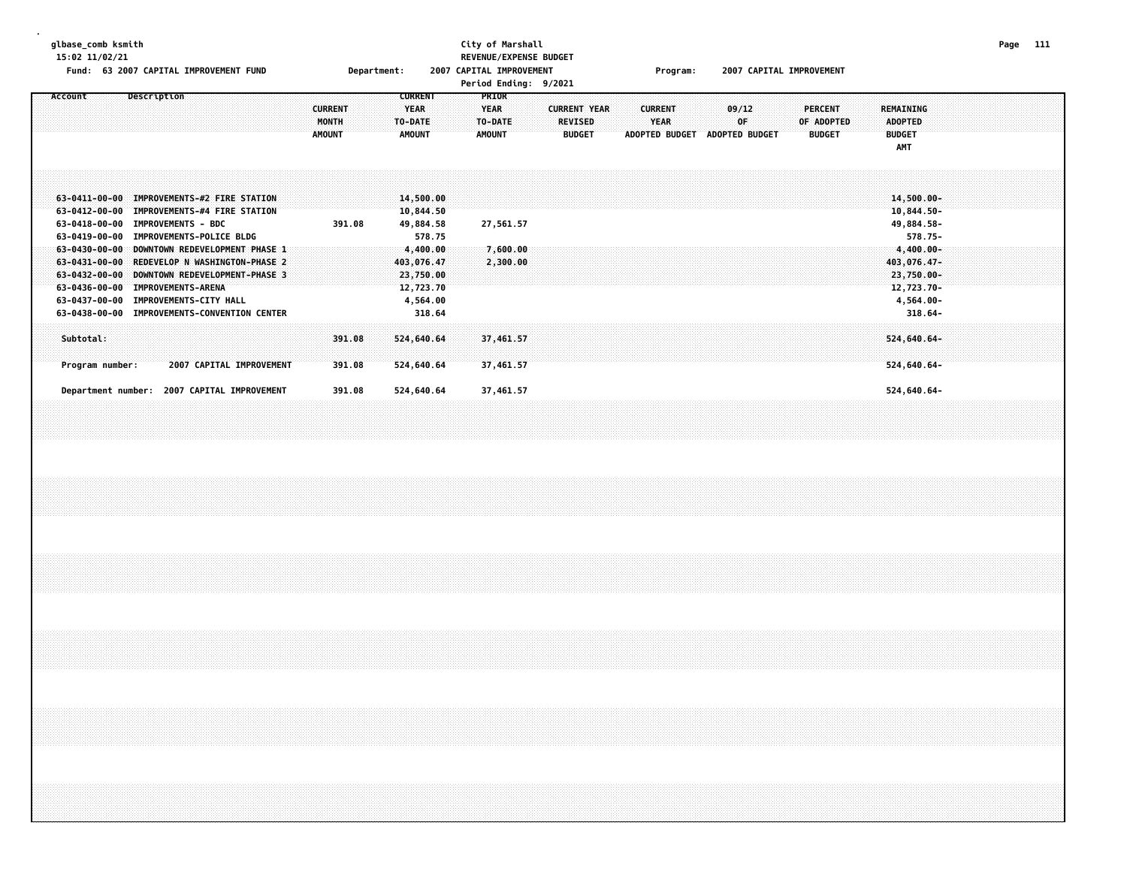## **15:02 11/02/21 REVENUE/EXPENSE BUDGET**

# **glbase\_comb ksmith City of Marshall Page 111**

Fund: 63 2007 CAPITAL IMPROVEMENT FUND **Department:** 2007 CAPITAL IMPROVEMENT **Program: 2007 CAPITAL IMPROVEMENT** 

| <b>Period Ending:</b> | 9/2021 |
|-----------------------|--------|
|                       |        |

| Account                                | Description                                                      | <b>CURRENT</b>         | <b>CURRENT</b><br>YEAR   | <b>PRIOR</b><br><b>YEAR</b> | <b>CURRENT YEAR</b>             | <b>CURRENT</b>                       | 09/12                       | PERCENT                     | <b>REMAINING</b>          |
|----------------------------------------|------------------------------------------------------------------|------------------------|--------------------------|-----------------------------|---------------------------------|--------------------------------------|-----------------------------|-----------------------------|---------------------------|
|                                        |                                                                  | MONTH<br><b>AMOUNT</b> | TO-DATE<br><b>AMOUNT</b> | TO-DATE<br>AMOUNT           | <b>REVISED</b><br><b>BUDGET</b> | <b>YEAR</b><br><b>ADOPTED BUDGET</b> | 0F<br><b>ADOPTED BUDGET</b> | OF ADOPTED<br><b>BUDGET</b> | ADOPTED<br><b>BUDGET</b>  |
|                                        |                                                                  |                        |                          |                             |                                 |                                      |                             |                             | <b>AMT</b>                |
|                                        |                                                                  |                        |                          |                             |                                 |                                      |                             |                             |                           |
|                                        | 63-0411-00-00 IMPROVEMENTS-#2 FIRE STATION                       |                        | 14,500.00                |                             |                                 |                                      |                             |                             | 14,500.00-                |
| 63-0412-00-00                          | <b>IMPROVEMENTS-#4 FIRE STATION</b>                              |                        | 10,844.50                |                             |                                 |                                      |                             |                             | 10,844.50-                |
| 63-0418-00-00<br>63-0419-00-00         | <b>IMPROVEMENTS - BDC</b><br><b>IMPROVEMENTS-POLICE BLDG</b>     | 391.08                 | 49,884.58<br>578.75      | 27,561.57                   |                                 |                                      |                             |                             | 49,884.58-<br>578.75-     |
| $63 - 0430 - 00 - 00$                  | DOWNTOWN REDEVELOPMENT PHASE 1                                   |                        | 4,400.00                 | 7,600.00                    |                                 |                                      |                             |                             | $4,400.00 -$              |
| 63-0431-00-00<br>$63 - 0432 - 00 - 00$ | REDEVELOP N WASHINGTON-PHASE 2<br>DOWNTOWN REDEVELOPMENT-PHASE 3 |                        | 403,076.47<br>23,750.00  | 2,300.00                    |                                 |                                      |                             |                             | 403,076.47-<br>23,750.00- |
| 63-0436-00-00                          | <b>IMPROVEMENTS-ARENA</b>                                        |                        | 12,723.70                |                             |                                 |                                      |                             |                             | 12,723.70-                |
| 63-0437-00-00                          | <b>IMPROVEMENTS-CITY HALL</b>                                    |                        | 4,564.00                 |                             |                                 |                                      |                             |                             | 4,564.00-                 |
| 63-0438-00-00                          | <b>IMPROVEMENTS-CONVENTION CENTER</b>                            |                        | 318.64                   |                             |                                 |                                      |                             |                             | $318.64 -$                |
| Subtotal:                              |                                                                  | 391.08                 | 524,640.64               | 37,461.57                   |                                 |                                      |                             |                             | $524,640.64-$             |
| Program number:                        | <b>2007 CAPITAL IMPROVEMENT</b>                                  | 391.08                 | 524,640.64               | 37,461.57                   |                                 |                                      |                             |                             | 524,640.64-               |
|                                        |                                                                  |                        |                          |                             |                                 |                                      |                             |                             |                           |
| Department number:                     | <b>2007 CAPITAL IMPROVEMENT</b>                                  | 391.08                 | 524,640.64               | 37,461.57                   |                                 |                                      |                             |                             | 524,640.64-               |
|                                        |                                                                  |                        |                          |                             |                                 |                                      |                             |                             |                           |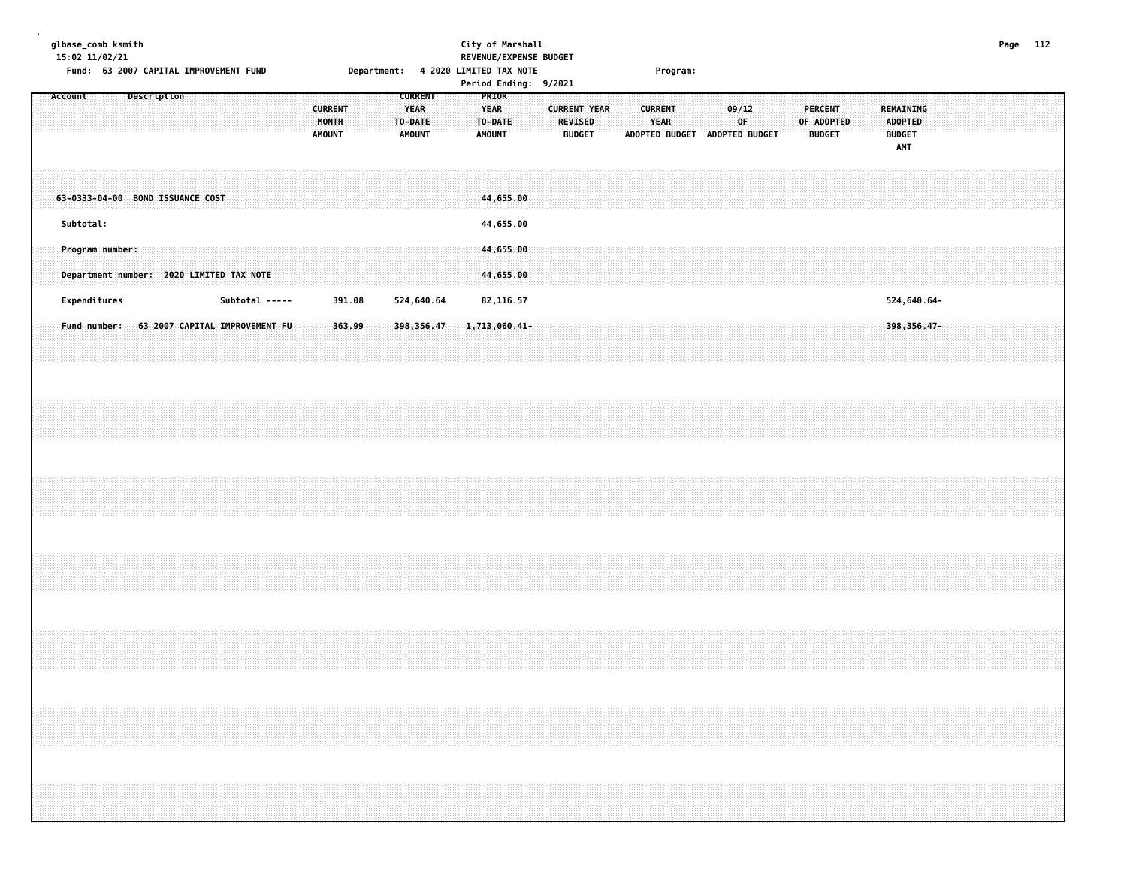#### **glbase\_comb ksmith City of Marshall Page 112 15:02 11/02/21 REVENUE/EXPENSE BUDGET** Fund: 63 2007 CAPITAL IMPROVEMENT FUND **Department: 4 2020 LIMITED TAX NOTE** Program:

|         |                 |  |             |                                          |                |  |                                          |        |  |                                                    |  |                                                  |           | Pertod Endthy: 9/2021 |                                 |                     |  |                               |                               |             |  |                                               |  |                                                            |             |  |  |  |
|---------|-----------------|--|-------------|------------------------------------------|----------------|--|------------------------------------------|--------|--|----------------------------------------------------|--|--------------------------------------------------|-----------|-----------------------|---------------------------------|---------------------|--|-------------------------------|-------------------------------|-------------|--|-----------------------------------------------|--|------------------------------------------------------------|-------------|--|--|--|
| Account |                 |  | Description |                                          |                |  | <b>CURRENT</b><br>MONTH<br><b>AMOUNT</b> |        |  | CURRENT<br><b>YEAR</b><br>TO-DATE<br><b>AMOUNT</b> |  | PRIOR<br><b>YEAR</b><br>TO-DATE<br><b>AMOUNT</b> |           |                       | <b>REVISED</b><br><b>BUDGET</b> | <b>CURRENT YEAR</b> |  | <b>CURRENT</b><br><b>YEAR</b> | ADOPTED BUDGET ADOPTED BUDGET | 09/12<br>0F |  | <b>PERCENT</b><br>OF ADOPTED<br><b>BUDGET</b> |  | REMAINING<br><b>ADOPTED</b><br><b>BUDGET</b><br><b>AMT</b> |             |  |  |  |
|         |                 |  |             | 63-0333-04-00 BOND ISSUANCE COST         |                |  |                                          |        |  |                                                    |  | 44,655.00                                        |           |                       |                                 |                     |  |                               |                               |             |  |                                               |  |                                                            |             |  |  |  |
|         | Subtotal:       |  |             |                                          |                |  |                                          |        |  |                                                    |  | 44,655.00                                        |           |                       |                                 |                     |  |                               |                               |             |  |                                               |  |                                                            |             |  |  |  |
|         | Program number: |  |             | Department number: 2020 LIMITED TAX NOTE |                |  |                                          |        |  |                                                    |  | 44,655.00<br>44,655.00                           |           |                       |                                 |                     |  |                               |                               |             |  |                                               |  |                                                            |             |  |  |  |
|         | Expenditures    |  |             |                                          | Subtotal ----- |  |                                          | 391.08 |  | 524,640.64                                         |  |                                                  | 82,116.57 |                       |                                 |                     |  |                               |                               |             |  |                                               |  |                                                            | 524,640.64- |  |  |  |
|         | Fund number:    |  |             | 63 2007 CAPITAL IMPROVEMENT FU           |                |  |                                          | 363.99 |  | 398, 356.47                                        |  | 1,713,060.41-                                    |           |                       |                                 |                     |  |                               |                               |             |  |                                               |  |                                                            | 398,356.47- |  |  |  |
|         |                 |  |             |                                          |                |  |                                          |        |  |                                                    |  |                                                  |           |                       |                                 |                     |  |                               |                               |             |  |                                               |  |                                                            |             |  |  |  |
|         |                 |  |             |                                          |                |  |                                          |        |  |                                                    |  |                                                  |           |                       |                                 |                     |  |                               |                               |             |  |                                               |  |                                                            |             |  |  |  |
|         |                 |  |             |                                          |                |  |                                          |        |  |                                                    |  |                                                  |           |                       |                                 |                     |  |                               |                               |             |  |                                               |  |                                                            |             |  |  |  |
|         |                 |  |             |                                          |                |  |                                          |        |  |                                                    |  |                                                  |           |                       |                                 |                     |  |                               |                               |             |  |                                               |  |                                                            |             |  |  |  |
|         |                 |  |             |                                          |                |  |                                          |        |  |                                                    |  |                                                  |           |                       |                                 |                     |  |                               |                               |             |  |                                               |  |                                                            |             |  |  |  |
|         |                 |  |             |                                          |                |  |                                          |        |  |                                                    |  |                                                  |           |                       |                                 |                     |  |                               |                               |             |  |                                               |  |                                                            |             |  |  |  |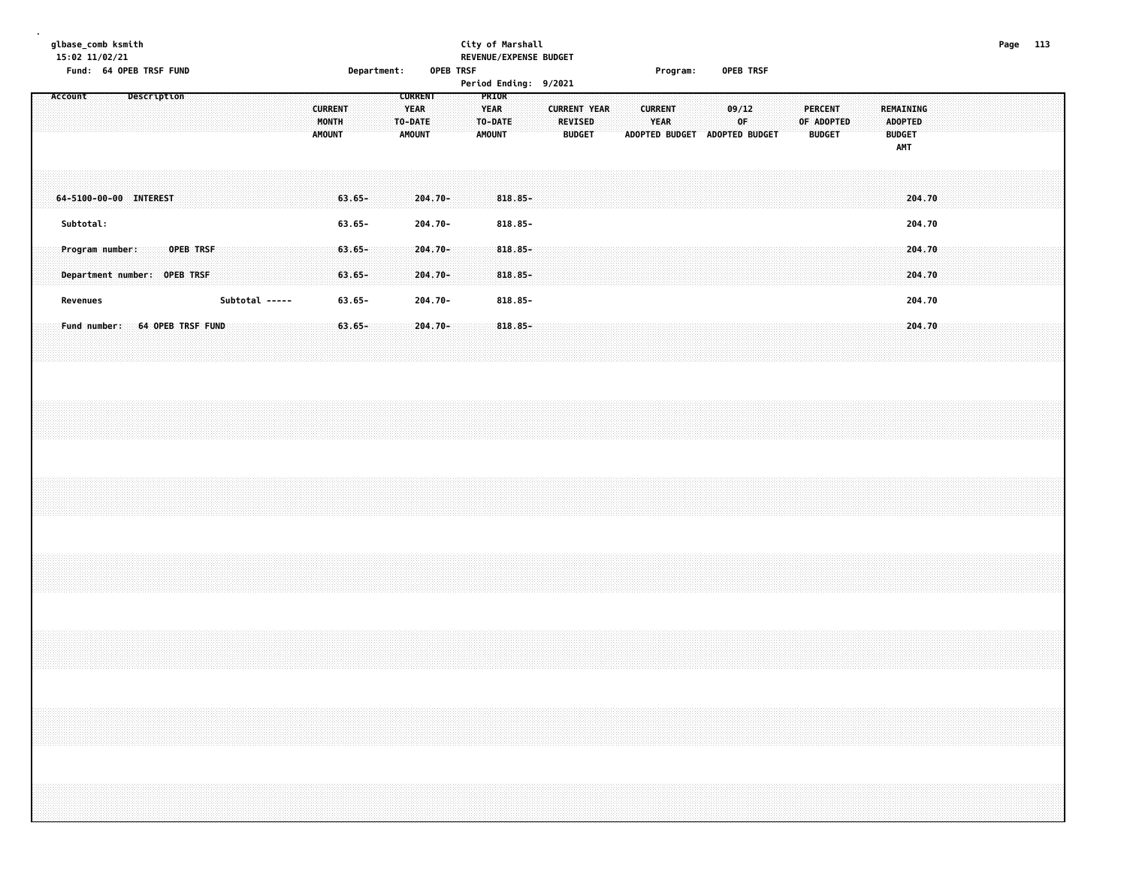#### **glbase\_comb ksmith City of Marshall Page 113 15:02 11/02/21 REVENUE/EXPENSE BUDGET Fund: 64 OPEB TRSF FUND Department: OPEB TRSF Program: OPEB TRSF**

| Account                                                     | Description |           |                | <b>CURRENT</b><br>MONTH<br><b>AMOUNT</b> |                                     | <b>CURRENT</b><br>YEAR<br>TO-DATE<br><b>AMOUNT</b> | <b>PRIOR</b><br><b>YEAR</b><br>TO-DATE<br><b>AMOUNT</b> |                                        | <b>CURRENT YEAR</b><br><b>REVISED</b><br><b>BUDGET</b> |  | <b>CURRENT</b><br><b>YEAR</b><br><b>ADOPTED BUDGET</b> | ADOPTED BUDGET | 09/12<br><b>OF</b> |  | PERCENT<br>OF ADOPTED<br><b>BUDGET</b> |  | REMAINING<br>ADOPTED<br><b>BUDGET</b><br><b>AMT</b> |  |  |  |
|-------------------------------------------------------------|-------------|-----------|----------------|------------------------------------------|-------------------------------------|----------------------------------------------------|---------------------------------------------------------|----------------------------------------|--------------------------------------------------------|--|--------------------------------------------------------|----------------|--------------------|--|----------------------------------------|--|-----------------------------------------------------|--|--|--|
| 64-5100-00-00 INTEREST<br>Subtotal:                         |             |           |                |                                          | $63.65 -$<br>$63.65 -$              | $204.70 -$<br>204.70-                              |                                                         | $818.85 -$<br>818.85-                  |                                                        |  |                                                        |                |                    |  |                                        |  | 204.70<br>204.70                                    |  |  |  |
| Program number:<br>Department number: OPEB TRSF<br>Revenues |             | OPEB TRSF | Subtotal ----- |                                          | $63.65 -$<br>$63.65 -$<br>$63.65 -$ | $204.70 -$<br>$204.70 -$<br>204.70-                |                                                         | $818.85 -$<br>$818.85 -$<br>$818.85 -$ |                                                        |  |                                                        |                |                    |  |                                        |  | 204.70<br>204.70<br>204.70                          |  |  |  |
| Fund number: 64 OPEB TRSF FUND                              |             |           |                |                                          | $63.65 -$                           | $204.70 -$                                         |                                                         | $818.85 -$                             |                                                        |  |                                                        |                |                    |  |                                        |  | 204.70                                              |  |  |  |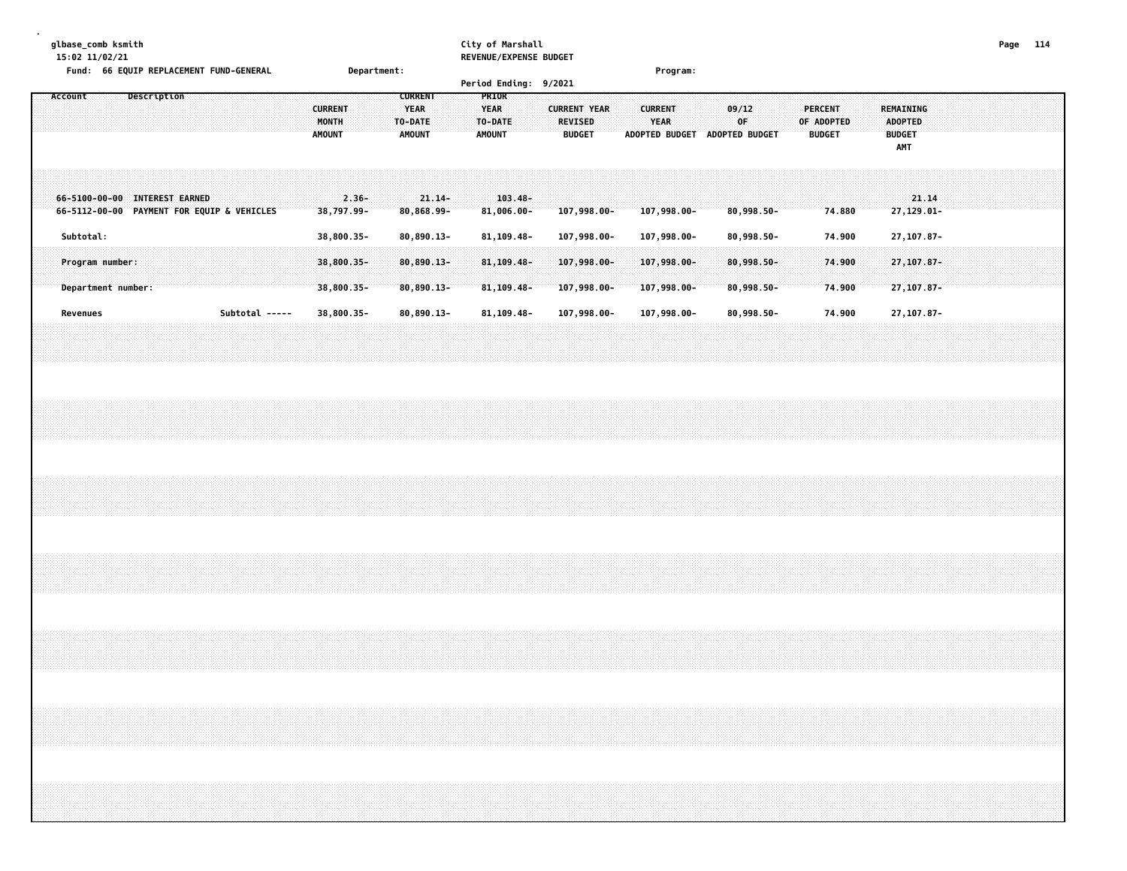# **glbase\_comb ksmith City of Marshall Page 114**

| 15:02 11/02/21                             |                |                | REVENUE/EXPENSE BUDGET |                     |                       |                       |               |                             |
|--------------------------------------------|----------------|----------------|------------------------|---------------------|-----------------------|-----------------------|---------------|-----------------------------|
| Fund: 66 EQUIP REPLACEMENT FUND-GENERAL    | Department:    |                |                        |                     | Program:              |                       |               |                             |
|                                            |                |                | <b>Period Ending:</b>  | 9/2021              |                       |                       |               |                             |
| Description<br>Account                     |                | <b>CURRENT</b> | <b>PRIOR</b>           |                     |                       |                       |               |                             |
|                                            | <b>CURRENT</b> | <b>YEAR</b>    | <b>YEAR</b>            | <b>CURRENT YEAR</b> | <b>CURRENT</b>        | 09/12                 | PERCENT       | <b>REMAINING</b>            |
|                                            | <b>MONTH</b>   | <b>TO-DATE</b> | <b>TO-DATE</b>         | <b>REVISED</b>      | <b>YEAR</b>           | 0F                    | OF ADOPTED    | <b>ADOPTED</b>              |
|                                            | <b>AMOUNT</b>  | AMOUNT         | AMOUNT                 | <b>BUDGET</b>       | <b>ADOPTED BUDGET</b> | <b>ADOPTED BUDGET</b> | <b>BUDGET</b> | <b>BUDGET</b><br><b>AMT</b> |
|                                            |                |                |                        |                     |                       |                       |               |                             |
|                                            |                |                |                        |                     |                       |                       |               |                             |
| 66-5100-00-00 INTEREST EARNED              | $2.36 -$       | $21.14-$       | $103.48 -$             |                     |                       |                       |               | 21.14                       |
| 66-5112-00-00 PAYMENT FOR EQUIP & VEHICLES | 38,797.99-     | 80,868.99-     | $81,006.00 -$          | 107,998.00-         | 107,998.00-           | 80,998.50-            | 74.880        | 27, 129.01                  |
| Subtotal:                                  | 38,800.35-     | $80,890.13 -$  | 81,109.48-             | 107,998.00-         | 107,998.00-           | 80,998.50-            | 74.900        | 27,107.87-                  |
| Program number:                            | 38,800.35-     | $80,890.13 -$  | 81, 109.48-            | 107,998.00-         | 107,998.00-           | $80,998.50 -$         | 74.900        | 27,107.87-                  |

Revenues Subtotal ----- 38,800.35- 80,890.13- 81,109.48- 107,998.00- 107,998.00- 80,998.50- 74.900 27,107.87-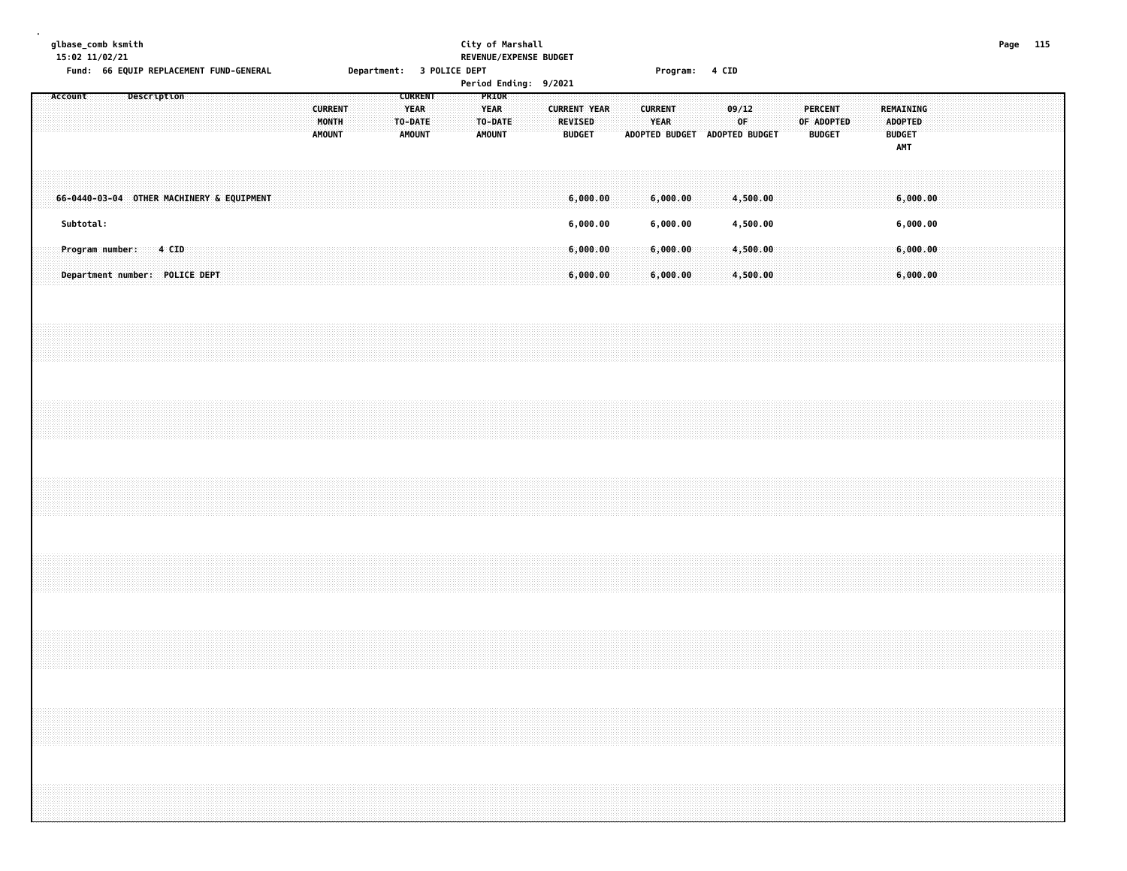#### **glbase\_comb ksmith City of Marshall Page 115 15:02 11/02/21 REVENUE/EXPENSE BUDGET** Fund: 66 EQUIP REPLACEMENT FUND-GENERAL **Department: 3 POLICE DEPT** FOUND Program: 4 CID

|         |           |                                                   |             |       |  |  |  |                                          |  |  |                                                           |  |                                                  |  | Period Ending: 9/2021 |                                                 |  |                               |                      |                               |       |                      |  |                              |               |  |           |                                        |                      |  |  |  |  |
|---------|-----------|---------------------------------------------------|-------------|-------|--|--|--|------------------------------------------|--|--|-----------------------------------------------------------|--|--------------------------------------------------|--|-----------------------|-------------------------------------------------|--|-------------------------------|----------------------|-------------------------------|-------|----------------------|--|------------------------------|---------------|--|-----------|----------------------------------------|----------------------|--|--|--|--|
| Account |           |                                                   | Description |       |  |  |  | <b>CURRENT</b><br>MONTH<br><b>AMOUNT</b> |  |  | <b>CURRENT</b><br><b>YEAR</b><br>TO-DATE<br><b>AMOUNT</b> |  | PRIOR<br><b>YEAR</b><br>TO-DATE<br><b>AMOUNT</b> |  |                       | <b>CURRENT YEAR</b><br>REVISED<br><b>BUDGET</b> |  | <b>CURRENT</b><br><b>YEAR</b> |                      | ADOPTED BUDGET ADOPTED BUDGET | 09/12 | OF                   |  | <b>PERCENT</b><br>OF ADOPTED | <b>BUDGET</b> |  | REMAINING | ADOPTED<br><b>BUDGET</b><br><b>AMT</b> |                      |  |  |  |  |
|         |           | 66-0440-03-04 OTHER MACHINERY & EQUIPMENT         |             |       |  |  |  |                                          |  |  |                                                           |  |                                                  |  |                       | 6,000.00                                        |  |                               | 6,000.00             |                               |       | 4,500.00             |  |                              |               |  |           |                                        | 6,000.00             |  |  |  |  |
|         | Subtotal: |                                                   |             |       |  |  |  |                                          |  |  |                                                           |  |                                                  |  |                       | 6,000.00                                        |  |                               | 6,000.00             |                               |       | 4,500.00             |  |                              |               |  |           |                                        | 6,000.00             |  |  |  |  |
|         |           | Program number:<br>Department number: POLICE DEPT |             | 4 CID |  |  |  |                                          |  |  |                                                           |  |                                                  |  |                       | 6,000.00<br>6,000.00                            |  |                               | 6,000.00<br>6,000.00 |                               |       | 4,500.00<br>4,500.00 |  |                              |               |  |           |                                        | 6,000.00<br>6,000.00 |  |  |  |  |
|         |           |                                                   |             |       |  |  |  |                                          |  |  |                                                           |  |                                                  |  |                       |                                                 |  |                               |                      |                               |       |                      |  |                              |               |  |           |                                        |                      |  |  |  |  |
|         |           |                                                   |             |       |  |  |  |                                          |  |  |                                                           |  |                                                  |  |                       |                                                 |  |                               |                      |                               |       |                      |  |                              |               |  |           |                                        |                      |  |  |  |  |
|         |           |                                                   |             |       |  |  |  |                                          |  |  |                                                           |  |                                                  |  |                       |                                                 |  |                               |                      |                               |       |                      |  |                              |               |  |           |                                        |                      |  |  |  |  |
|         |           |                                                   |             |       |  |  |  |                                          |  |  |                                                           |  |                                                  |  |                       |                                                 |  |                               |                      |                               |       |                      |  |                              |               |  |           |                                        |                      |  |  |  |  |
|         |           |                                                   |             |       |  |  |  |                                          |  |  |                                                           |  |                                                  |  |                       |                                                 |  |                               |                      |                               |       |                      |  |                              |               |  |           |                                        |                      |  |  |  |  |
|         |           |                                                   |             |       |  |  |  |                                          |  |  |                                                           |  |                                                  |  |                       |                                                 |  |                               |                      |                               |       |                      |  |                              |               |  |           |                                        |                      |  |  |  |  |
|         |           |                                                   |             |       |  |  |  |                                          |  |  |                                                           |  |                                                  |  |                       |                                                 |  |                               |                      |                               |       |                      |  |                              |               |  |           |                                        |                      |  |  |  |  |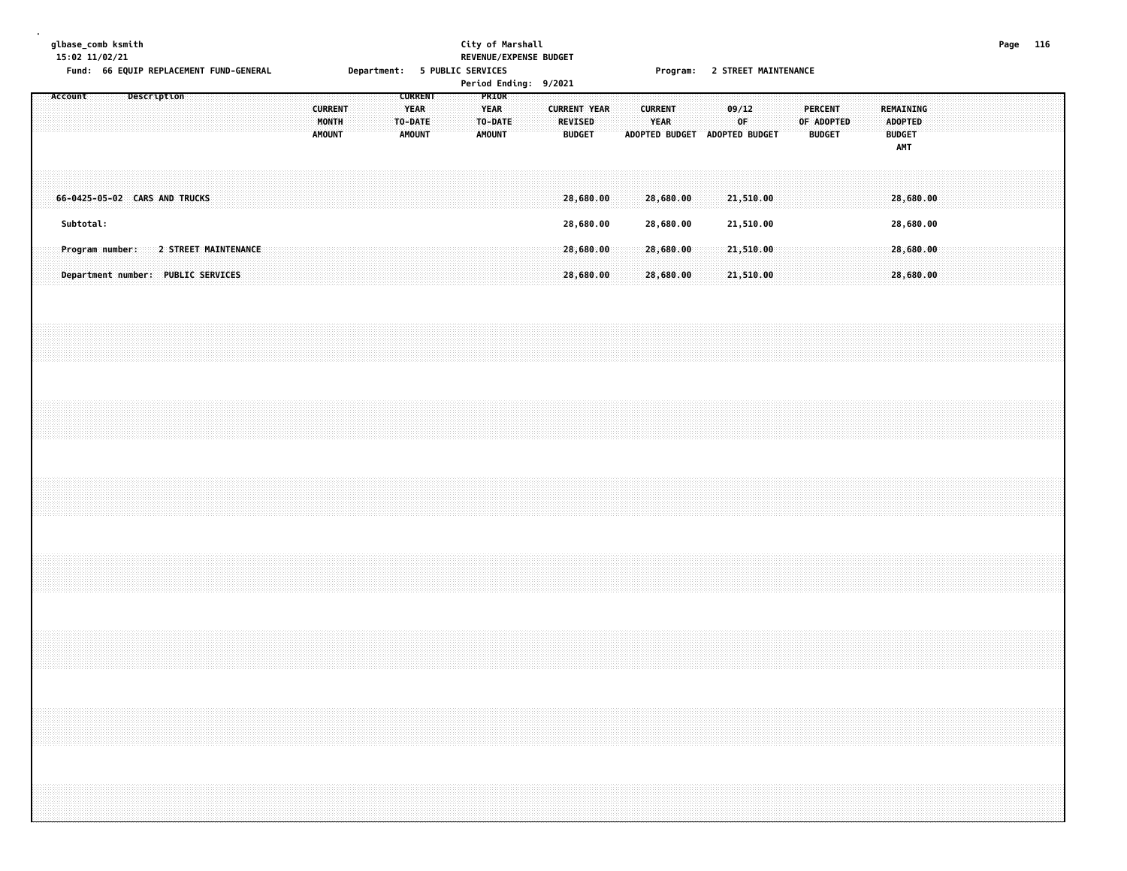**glbase\_comb ksmith City of Marshall Page 116 15:02 11/02/21 REVENUE/EXPENSE BUDGET**

Fund: 66 EQUIP REPLACEMENT FUND-GENERAL **Department: 5 PUBLIC SERVICES** FOR THE Program: 2 STREET MAINTENANCE

|                                                                            |             |  |  |                                          | ----- <i>-</i> ---- |                                                           |  | Period Ending: 9/2021 |                  |  |                                                        |  |                               | . . <b>. .</b> |  | - - - - - - - - - - - - - -                              |  |                                               |  |                                                            |                        |  |  |  |
|----------------------------------------------------------------------------|-------------|--|--|------------------------------------------|---------------------|-----------------------------------------------------------|--|-----------------------|------------------|--|--------------------------------------------------------|--|-------------------------------|----------------|--|----------------------------------------------------------|--|-----------------------------------------------|--|------------------------------------------------------------|------------------------|--|--|--|
| Account                                                                    | Description |  |  | <b>CURRENT</b><br>MONTH<br><b>AMOUNT</b> |                     | <b>CURRENT</b><br><b>YEAR</b><br>TO-DATE<br><b>AMOUNT</b> |  | <b>YEAR</b><br>AMOUNT | PRIOR<br>TO-DATE |  | <b>CURRENT YEAR</b><br><b>REVISED</b><br><b>BUDGET</b> |  | <b>CURRENT</b><br><b>YEAR</b> |                |  | 09/12<br>0 <sup>F</sup><br>ADOPTED BUDGET ADOPTED BUDGET |  | <b>PERCENT</b><br>OF ADOPTED<br><b>BUDGET</b> |  | REMAINING<br><b>ADOPTED</b><br><b>BUDGET</b><br><b>AMT</b> |                        |  |  |  |
| 66-0425-05-02 CARS AND TRUCKS<br>Subtotal:                                 |             |  |  |                                          |                     |                                                           |  |                       |                  |  | 28,680.00<br>28,680.00                                 |  | 28,680.00<br>28,680.00        |                |  | 21,510.00<br>21,510.00                                   |  |                                               |  |                                                            | 28,680.00<br>28,680.00 |  |  |  |
| Program number: 2 STREET MAINTENANCE<br>Department number: PUBLIC SERVICES |             |  |  |                                          |                     |                                                           |  |                       |                  |  | 28,680.00<br>28,680.00                                 |  | 28,680.00<br>28,680.00        |                |  | 21,510.00<br>21,510.00                                   |  |                                               |  |                                                            | 28,680.00<br>28,680.00 |  |  |  |
|                                                                            |             |  |  |                                          |                     |                                                           |  |                       |                  |  |                                                        |  |                               |                |  |                                                          |  |                                               |  |                                                            |                        |  |  |  |
|                                                                            |             |  |  |                                          |                     |                                                           |  |                       |                  |  |                                                        |  |                               |                |  |                                                          |  |                                               |  |                                                            |                        |  |  |  |
|                                                                            |             |  |  |                                          |                     |                                                           |  |                       |                  |  |                                                        |  |                               |                |  |                                                          |  |                                               |  |                                                            |                        |  |  |  |
|                                                                            |             |  |  |                                          |                     |                                                           |  |                       |                  |  |                                                        |  |                               |                |  |                                                          |  |                                               |  |                                                            |                        |  |  |  |
|                                                                            |             |  |  |                                          |                     |                                                           |  |                       |                  |  |                                                        |  |                               |                |  |                                                          |  |                                               |  |                                                            |                        |  |  |  |
|                                                                            |             |  |  |                                          |                     |                                                           |  |                       |                  |  |                                                        |  |                               |                |  |                                                          |  |                                               |  |                                                            |                        |  |  |  |
|                                                                            |             |  |  |                                          |                     |                                                           |  |                       |                  |  |                                                        |  |                               |                |  |                                                          |  |                                               |  |                                                            |                        |  |  |  |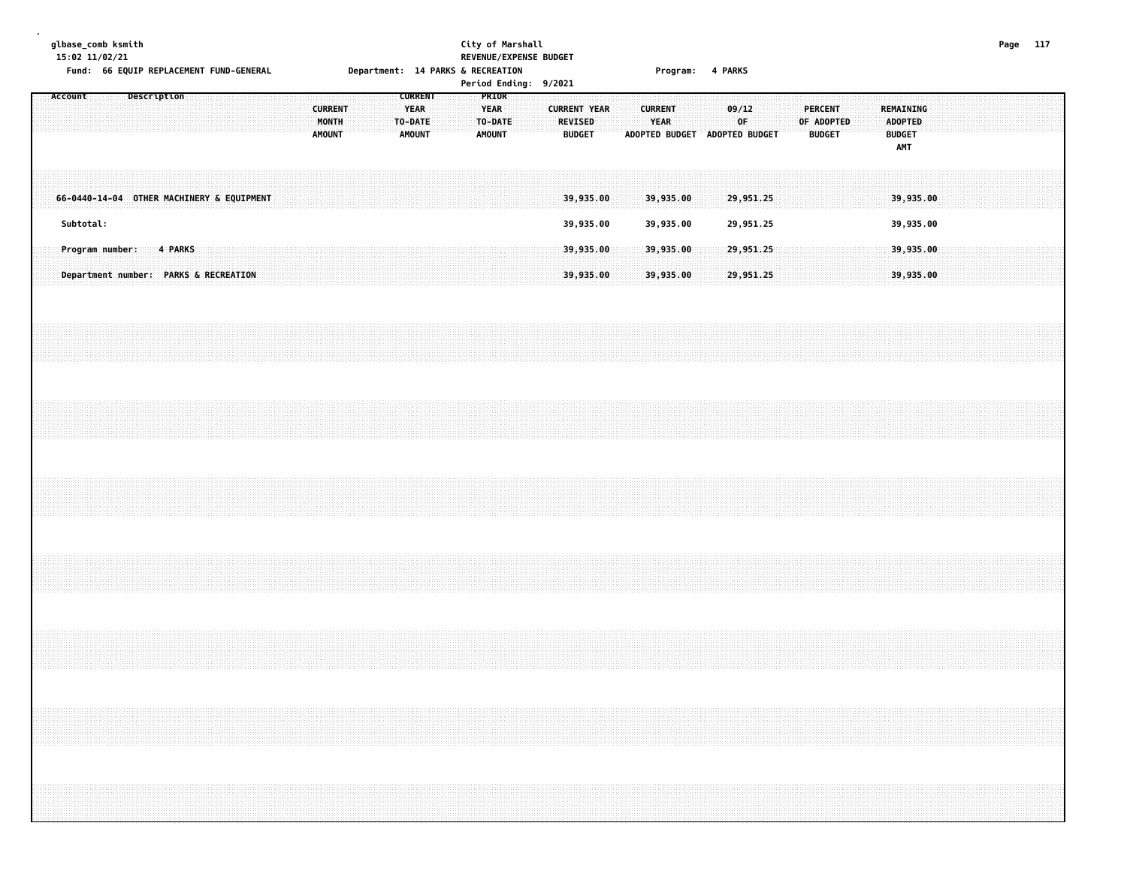**15:02 11/02/21 REVENUE/EXPENSE BUDGET**

**glbase\_comb ksmith City of Marshall Page 117** Fund: 66 EQUIP REPLACEMENT FUND-GENERAL **Department: 14 PARKS & RECREATION** Program: 4 PARKS **Period Finder Pariod Period Fiding**<br>Period Finding

|         |                         |  |             |                                           |  |  |  |                                                 |  |                                                           |  |                                                         | Period Ending: 9/2021 |                                                 |  |                               |                               |       |                        |  |                                 |            |  |                                               |                        |  |  |  |  |
|---------|-------------------------|--|-------------|-------------------------------------------|--|--|--|-------------------------------------------------|--|-----------------------------------------------------------|--|---------------------------------------------------------|-----------------------|-------------------------------------------------|--|-------------------------------|-------------------------------|-------|------------------------|--|---------------------------------|------------|--|-----------------------------------------------|------------------------|--|--|--|--|
| Account |                         |  | Description |                                           |  |  |  | <b>CURRENT</b><br><b>MONTH</b><br><b>AMOUNT</b> |  | <b>CURRENT</b><br><b>YEAR</b><br>TO-DATE<br><b>AMOUNT</b> |  | <b>PRIOR</b><br><b>YEAR</b><br>TO-DATE<br><b>AMOUNT</b> |                       | <b>CURRENT YEAR</b><br>REVISED<br><b>BUDGET</b> |  | <b>CURRENT</b><br><b>YEAR</b> | ADOPTED BUDGET ADOPTED BUDGET | 09/12 | OF                     |  | <b>PERCENT</b><br><b>BUDGET</b> | OF ADOPTED |  | <b>ADOPTED</b><br><b>BUDGET</b><br><b>AMT</b> | REMAINING              |  |  |  |  |
|         |                         |  |             | 66-0440-14-04 OTHER MACHINERY & EQUIPMENT |  |  |  |                                                 |  |                                                           |  |                                                         |                       | 39,935.00                                       |  | 39,935.00                     |                               |       | 29,951.25              |  |                                 |            |  |                                               | 39,935.00              |  |  |  |  |
|         | Subtotal:               |  |             |                                           |  |  |  |                                                 |  |                                                           |  |                                                         |                       | 39,935.00                                       |  | 39,935.00                     |                               |       | 29,951.25              |  |                                 |            |  |                                               | 39,935.00              |  |  |  |  |
|         | Program number: 4 PARKS |  |             | Department number: PARKS & RECREATION     |  |  |  |                                                 |  |                                                           |  |                                                         |                       | 39,935.00<br>39,935.00                          |  | 39,935.00<br>39,935.00        |                               |       | 29,951.25<br>29,951.25 |  |                                 |            |  |                                               | 39,935.00<br>39,935.00 |  |  |  |  |
|         |                         |  |             |                                           |  |  |  |                                                 |  |                                                           |  |                                                         |                       |                                                 |  |                               |                               |       |                        |  |                                 |            |  |                                               |                        |  |  |  |  |
|         |                         |  |             |                                           |  |  |  |                                                 |  |                                                           |  |                                                         |                       |                                                 |  |                               |                               |       |                        |  |                                 |            |  |                                               |                        |  |  |  |  |
|         |                         |  |             |                                           |  |  |  |                                                 |  |                                                           |  |                                                         |                       |                                                 |  |                               |                               |       |                        |  |                                 |            |  |                                               |                        |  |  |  |  |
|         |                         |  |             |                                           |  |  |  |                                                 |  |                                                           |  |                                                         |                       |                                                 |  |                               |                               |       |                        |  |                                 |            |  |                                               |                        |  |  |  |  |
|         |                         |  |             |                                           |  |  |  |                                                 |  |                                                           |  |                                                         |                       |                                                 |  |                               |                               |       |                        |  |                                 |            |  |                                               |                        |  |  |  |  |
|         |                         |  |             |                                           |  |  |  |                                                 |  |                                                           |  |                                                         |                       |                                                 |  |                               |                               |       |                        |  |                                 |            |  |                                               |                        |  |  |  |  |
|         |                         |  |             |                                           |  |  |  |                                                 |  |                                                           |  |                                                         |                       |                                                 |  |                               |                               |       |                        |  |                                 |            |  |                                               |                        |  |  |  |  |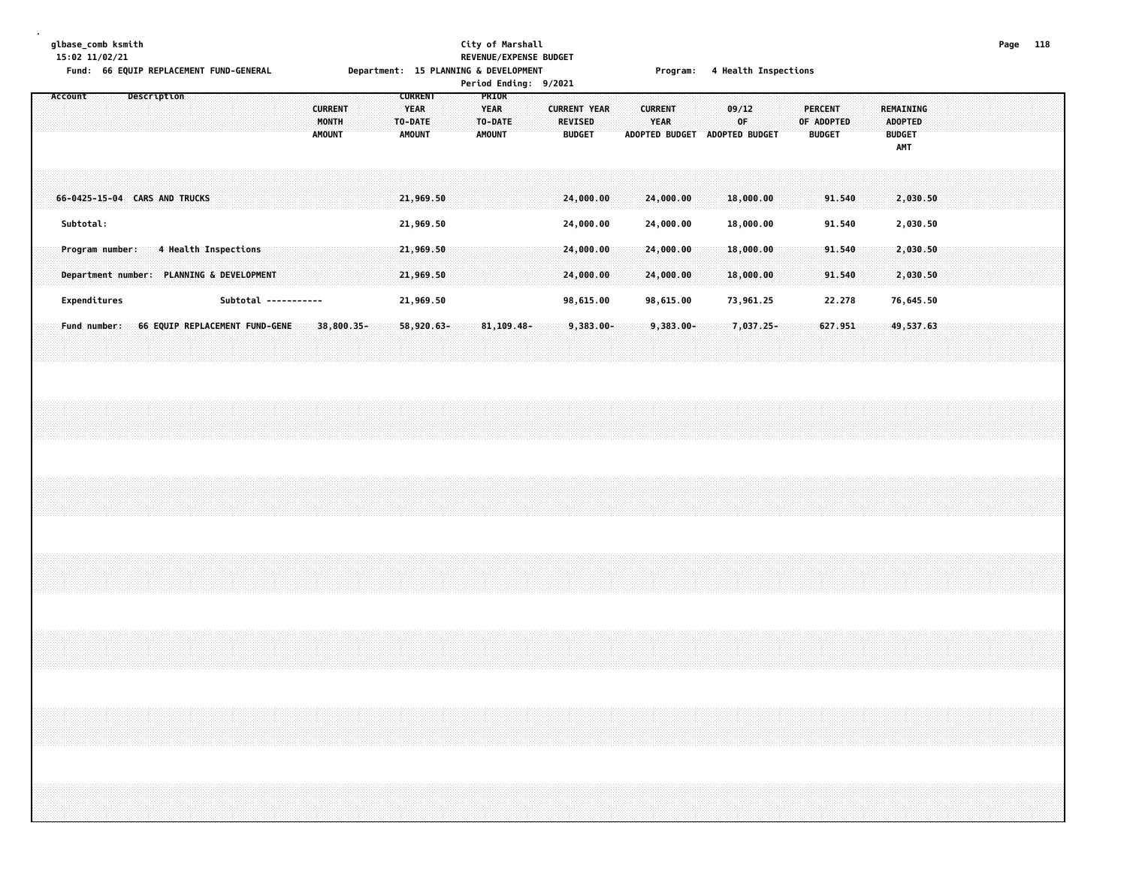### **glbase\_comb ksmith City of Marshall Page 118 15:02 11/02/21 REVENUE/EXPENSE BUDGET**

Fund: 66 EQUIP REPLACEMENT FUND-GENERAL **Department: 15 PLANNING & DEVELOPMENT** Program: 4 Health Inspections

|         |                                                                                   |                                |  |                      |  |                                          |  | <b>CURRENT</b>                          |  |                              | Period Ending: 9/2021<br>PRIOR |  |                          |                        |  |                        |                               |                        |  |                                               |                  |  |                                                     |                      |  |  |  |
|---------|-----------------------------------------------------------------------------------|--------------------------------|--|----------------------|--|------------------------------------------|--|-----------------------------------------|--|------------------------------|--------------------------------|--|--------------------------|------------------------|--|------------------------|-------------------------------|------------------------|--|-----------------------------------------------|------------------|--|-----------------------------------------------------|----------------------|--|--|--|
| Account |                                                                                   | Description                    |  |                      |  | <b>CURRENT</b><br>MONTH<br><b>AMOUNT</b> |  | <b>YEAR</b><br>TO-DATE<br><b>AMOUNT</b> |  | <b>YEAR</b><br><b>AMOUNT</b> | TO-DATE                        |  | REVISED<br><b>BUDGET</b> | <b>CURRENT YEAR</b>    |  | <b>CURRENT</b><br>YEAR | ADOPTED BUDGET ADOPTED BUDGET | 09/12<br>0F            |  | <b>PERCENT</b><br>OF ADOPTED<br><b>BUDGET</b> |                  |  | REMAINING<br><b>ADOPTED</b><br><b>BUDGET</b><br>AMT |                      |  |  |  |
|         | 66-0425-15-04 CARS AND TRUCKS                                                     |                                |  |                      |  |                                          |  | 21,969.50                               |  |                              |                                |  |                          | 24,000.00              |  | 24,000.00              |                               | 18,000.00              |  |                                               | 91.540           |  |                                                     | 2,030.50             |  |  |  |
|         | Subtotal:                                                                         |                                |  |                      |  |                                          |  | 21,969.50                               |  |                              |                                |  |                          | 24,000.00              |  | 24,000.00              |                               | 18,000.00              |  |                                               | 91.540           |  |                                                     | 2,030.50             |  |  |  |
|         | Program number: 4 Health Inspections<br>Department number: PLANNING & DEVELOPMENT |                                |  |                      |  |                                          |  | 21,969.50<br>21,969.50                  |  |                              |                                |  |                          | 24,000,00<br>24,000.00 |  | 24,000.00<br>24,000.00 |                               | 18,000.00<br>18,000.00 |  |                                               | 91.540<br>91.540 |  |                                                     | 2,030.50<br>2,030.50 |  |  |  |
|         | Expenditures                                                                      |                                |  | Subtotal ----------- |  |                                          |  | 21,969.50                               |  |                              |                                |  |                          | 98,615.00              |  | 98,615.00              |                               | 73,961.25              |  |                                               | 22.278           |  |                                                     | 76,645.50            |  |  |  |
|         | Fund number:                                                                      | 66 EQUIP REPLACEMENT FUND-GENE |  |                      |  | 38,800.35-                               |  | 58,920.63-                              |  |                              | 81, 109.48-                    |  |                          | $9,383.00 -$           |  | $9,383.00 -$           |                               | 7,037.25-              |  |                                               | 627.951          |  |                                                     | 49,537.63            |  |  |  |
|         |                                                                                   |                                |  |                      |  |                                          |  |                                         |  |                              |                                |  |                          |                        |  |                        |                               |                        |  |                                               |                  |  |                                                     |                      |  |  |  |
|         |                                                                                   |                                |  |                      |  |                                          |  |                                         |  |                              |                                |  |                          |                        |  |                        |                               |                        |  |                                               |                  |  |                                                     |                      |  |  |  |
|         |                                                                                   |                                |  |                      |  |                                          |  |                                         |  |                              |                                |  |                          |                        |  |                        |                               |                        |  |                                               |                  |  |                                                     |                      |  |  |  |
|         |                                                                                   |                                |  |                      |  |                                          |  |                                         |  |                              |                                |  |                          |                        |  |                        |                               |                        |  |                                               |                  |  |                                                     |                      |  |  |  |
|         |                                                                                   |                                |  |                      |  |                                          |  |                                         |  |                              |                                |  |                          |                        |  |                        |                               |                        |  |                                               |                  |  |                                                     |                      |  |  |  |
|         |                                                                                   |                                |  |                      |  |                                          |  |                                         |  |                              |                                |  |                          |                        |  |                        |                               |                        |  |                                               |                  |  |                                                     |                      |  |  |  |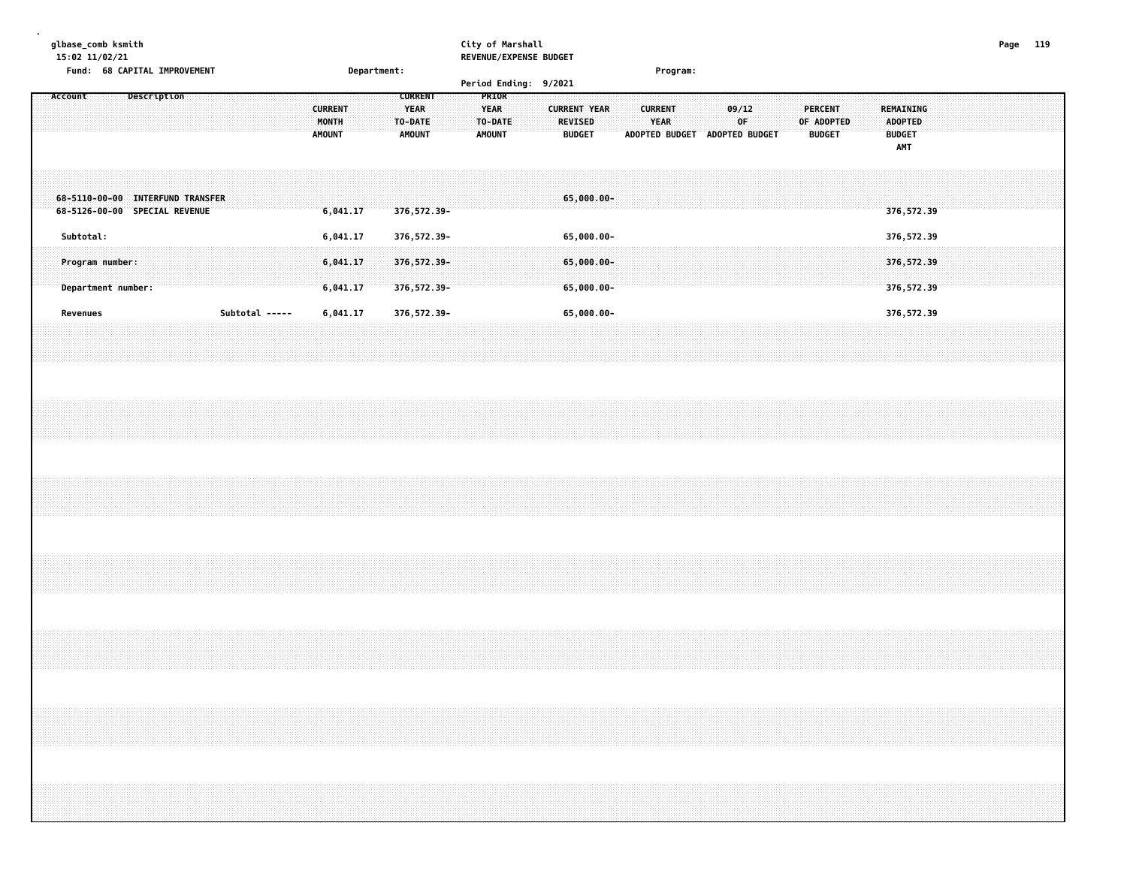#### **glbase\_comb ksmith City of Marshall Page 119 15:02 11/02/21 REVENUE/EXPENSE BUDGET**

| 13.02 11/02/21<br>Fund: 68 CAPITAL IMPROVEMENT                    | Department:                                                                                    | ULALIANI LAFLIAJL DUDULI                                                                                                     | Program:                                                                                                                       |                                                     |
|-------------------------------------------------------------------|------------------------------------------------------------------------------------------------|------------------------------------------------------------------------------------------------------------------------------|--------------------------------------------------------------------------------------------------------------------------------|-----------------------------------------------------|
| Account<br>Description                                            | <b>CURRENT</b><br><b>CURRENT</b><br>YEAR<br>MONTH<br>TO-DATE<br><b>AMOUNT</b><br><b>AMOUNT</b> | Period Ending: 9/2021<br>PRIOR<br><b>YEAR</b><br><b>CURRENT YEAR</b><br>TO-DATE<br>REVISED<br><b>AMOUNT</b><br><b>BUDGET</b> | <b>PERCENT</b><br><b>CURRENT</b><br>09/12<br><b>YEAR</b><br>OF ADOPTED<br>0F<br>ADOPTED BUDGET ADOPTED BUDGET<br><b>BUDGET</b> | <b>REMAINING</b><br><b>ADOPTED</b><br><b>BUDGET</b> |
| 68-5110-00-00 INTERFUND TRANSFER<br>68-5126-00-00 SPECIAL REVENUE | 6,041.17<br>376,572.39-                                                                        | 65,000.00-                                                                                                                   |                                                                                                                                | AMT<br>376,572.39                                   |
| Subtotal:<br>Program number:<br>Department number:                | 6,041.17<br>376,572.39-<br>6,041.17<br>376, 572.39-<br>6,041.17<br>376,572.39-                 | 65,000.00-<br>65,000.00-<br>65,000.00-                                                                                       |                                                                                                                                | 376,572.39<br>376,572.39<br>376,572.39              |
| Revenues                                                          | Subtotal -----<br>6,041.17<br>376,572.39-                                                      | 65,000.00-                                                                                                                   |                                                                                                                                | 376,572.39                                          |
|                                                                   |                                                                                                |                                                                                                                              |                                                                                                                                |                                                     |
|                                                                   |                                                                                                |                                                                                                                              |                                                                                                                                |                                                     |
|                                                                   |                                                                                                |                                                                                                                              |                                                                                                                                |                                                     |
|                                                                   |                                                                                                |                                                                                                                              |                                                                                                                                |                                                     |
|                                                                   |                                                                                                |                                                                                                                              |                                                                                                                                |                                                     |
|                                                                   |                                                                                                |                                                                                                                              |                                                                                                                                |                                                     |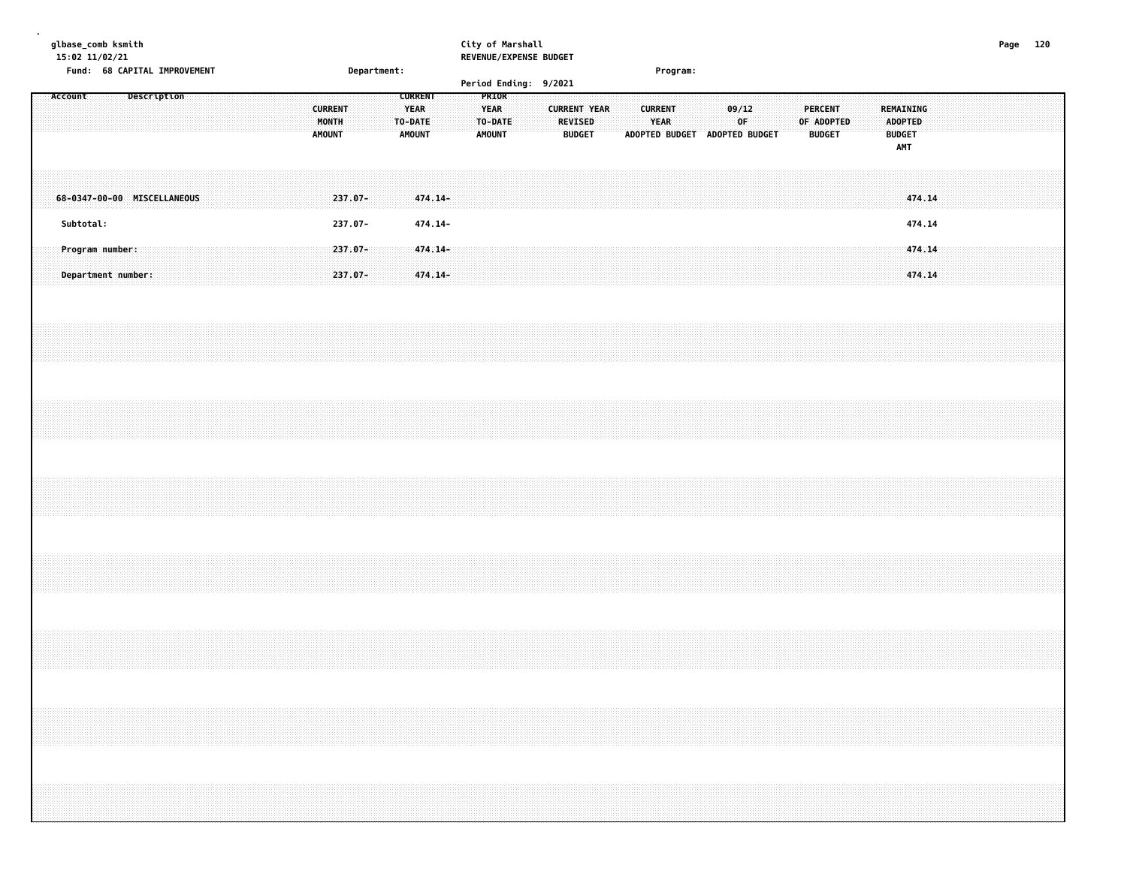| glbase_comb ksmith<br>15:02 11/02/21 |                                                                                  |             |  |  |  |                                          |                          |             |                                         |                    |  | City of Marshall                        | REVENUE/EXPENSE BUDGET |                                 |                     |  |                        |          |                               |             |  |                                 |            |  |                                                            |                  |  | Page 120 |  |
|--------------------------------------|----------------------------------------------------------------------------------|-------------|--|--|--|------------------------------------------|--------------------------|-------------|-----------------------------------------|--------------------|--|-----------------------------------------|------------------------|---------------------------------|---------------------|--|------------------------|----------|-------------------------------|-------------|--|---------------------------------|------------|--|------------------------------------------------------------|------------------|--|----------|--|
| Account                              | Fund: 68 CAPITAL IMPROVEMENT                                                     | Description |  |  |  |                                          |                          | Department: | <b>CURRENT</b>                          |                    |  | PRIOR                                   | Period Ending: 9/2021  |                                 |                     |  |                        | Program: |                               |             |  |                                 |            |  |                                                            |                  |  |          |  |
|                                      |                                                                                  |             |  |  |  | <b>CURRENT</b><br>MONTH<br><b>AMOUNT</b> |                          |             | <b>YEAR</b><br>TO-DATE<br><b>AMOUNT</b> |                    |  | <b>YEAR</b><br>TO-DATE<br><b>AMOUNT</b> |                        | <b>REVISED</b><br><b>BUDGET</b> | <b>CURRENT YEAR</b> |  | <b>CURRENT</b><br>YEAR |          | ADOPTED BUDGET ADOPTED BUDGET | 09/12<br>0F |  | <b>PERCENT</b><br><b>BUDGET</b> | OF ADOPTED |  | REMAINING<br><b>ADOPTED</b><br><b>BUDGET</b><br><b>AMT</b> |                  |  |          |  |
| 68-0347-00-00 MISCELLANEOUS          |                                                                                  |             |  |  |  |                                          | 237.07-                  |             |                                         | 474.14-            |  |                                         |                        |                                 |                     |  |                        |          |                               |             |  |                                 |            |  |                                                            | 474.14           |  |          |  |
| Subtotal:                            |                                                                                  |             |  |  |  |                                          | 237.07-                  |             |                                         | 474.14-            |  |                                         |                        |                                 |                     |  |                        |          |                               |             |  |                                 |            |  |                                                            | 474.14           |  |          |  |
|                                      | Program number:<br>Department number:                                            |             |  |  |  |                                          | $237.07 -$<br>$237.07 -$ |             |                                         | 474.14-<br>474.14- |  |                                         |                        |                                 |                     |  |                        |          |                               |             |  |                                 |            |  |                                                            | 474.14<br>474.14 |  |          |  |
|                                      |                                                                                  |             |  |  |  |                                          |                          |             |                                         |                    |  |                                         |                        |                                 |                     |  |                        |          |                               |             |  |                                 |            |  |                                                            |                  |  |          |  |
|                                      |                                                                                  |             |  |  |  |                                          |                          |             |                                         |                    |  |                                         |                        |                                 |                     |  |                        |          |                               |             |  |                                 |            |  |                                                            |                  |  |          |  |
|                                      |                                                                                  |             |  |  |  |                                          |                          |             |                                         |                    |  |                                         |                        |                                 |                     |  |                        |          |                               |             |  |                                 |            |  |                                                            |                  |  |          |  |
|                                      |                                                                                  |             |  |  |  |                                          |                          |             |                                         |                    |  |                                         |                        |                                 |                     |  |                        |          |                               |             |  |                                 |            |  |                                                            |                  |  |          |  |
|                                      |                                                                                  |             |  |  |  |                                          |                          |             |                                         |                    |  |                                         |                        |                                 |                     |  |                        |          |                               |             |  |                                 |            |  |                                                            |                  |  |          |  |
|                                      | ,我们的人们就会在这里的时候,我们的人们就会在这里的时候,我们就会在这里的时候,我们就会在这里的时候,我们就会在这里的时候,我们就会在这里的时候,我们就会在这里 |             |  |  |  |                                          |                          |             |                                         |                    |  |                                         |                        |                                 |                     |  |                        |          |                               |             |  |                                 |            |  |                                                            |                  |  |          |  |
|                                      |                                                                                  |             |  |  |  |                                          |                          |             |                                         |                    |  |                                         |                        |                                 |                     |  |                        |          |                               |             |  |                                 |            |  |                                                            |                  |  |          |  |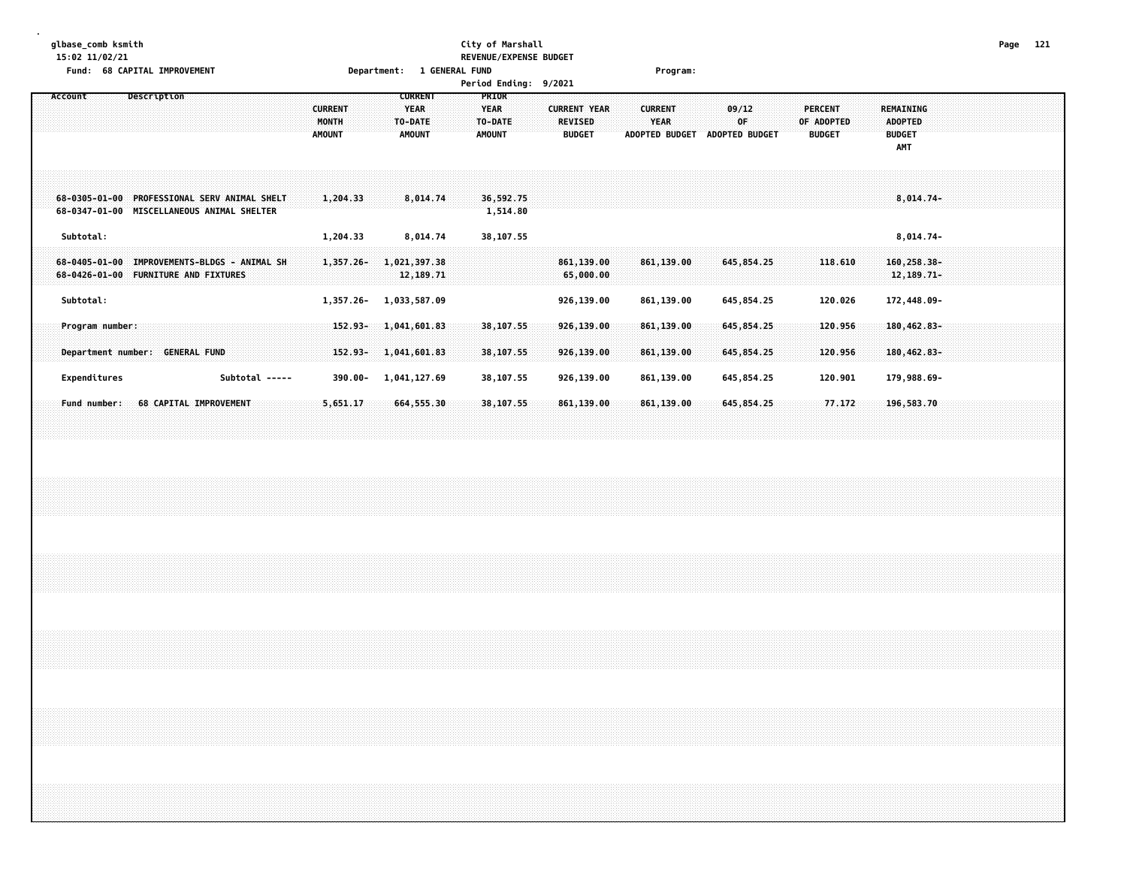#### **glbase\_comb ksmith City of Marshall Page 121 15:02 11/02/21 REVENUE/EXPENSE BUDGET Fund: 68 CAPITAL IMPROVEMENT Department: 1 GENERAL FUND Program:**

| Subtotal:    |                      |                                        |             |                                                                         |                        |                                                                                                                                                              |                                          |                                  |  |                                                                                                                          |                                                                                                                 |                                                  |                                                                                        |                              |                                 |                                                                                                                        |             |                                                                                                      |  |             |                                                                                                                   |  |                                               |                                                               |                                        |                                                                                                                                                |  |  |
|--------------|----------------------|----------------------------------------|-------------|-------------------------------------------------------------------------|------------------------|--------------------------------------------------------------------------------------------------------------------------------------------------------------|------------------------------------------|----------------------------------|--|--------------------------------------------------------------------------------------------------------------------------|-----------------------------------------------------------------------------------------------------------------|--------------------------------------------------|----------------------------------------------------------------------------------------|------------------------------|---------------------------------|------------------------------------------------------------------------------------------------------------------------|-------------|------------------------------------------------------------------------------------------------------|--|-------------|-------------------------------------------------------------------------------------------------------------------|--|-----------------------------------------------|---------------------------------------------------------------|----------------------------------------|------------------------------------------------------------------------------------------------------------------------------------------------|--|--|
|              |                      |                                        |             |                                                                         |                        |                                                                                                                                                              |                                          |                                  |  |                                                                                                                          |                                                                                                                 |                                                  |                                                                                        |                              |                                 |                                                                                                                        |             |                                                                                                      |  |             |                                                                                                                   |  |                                               |                                                               |                                        |                                                                                                                                                |  |  |
|              |                      |                                        |             |                                                                         |                        |                                                                                                                                                              |                                          |                                  |  |                                                                                                                          |                                                                                                                 |                                                  |                                                                                        |                              |                                 |                                                                                                                        |             |                                                                                                      |  |             |                                                                                                                   |  |                                               |                                                               |                                        |                                                                                                                                                |  |  |
| Expenditures |                      |                                        |             |                                                                         |                        |                                                                                                                                                              |                                          |                                  |  |                                                                                                                          |                                                                                                                 |                                                  |                                                                                        |                              |                                 |                                                                                                                        |             |                                                                                                      |  |             |                                                                                                                   |  |                                               |                                                               |                                        |                                                                                                                                                |  |  |
|              |                      |                                        |             |                                                                         |                        |                                                                                                                                                              |                                          |                                  |  |                                                                                                                          |                                                                                                                 |                                                  |                                                                                        |                              |                                 |                                                                                                                        |             |                                                                                                      |  |             |                                                                                                                   |  |                                               |                                                               |                                        |                                                                                                                                                |  |  |
|              |                      |                                        |             |                                                                         |                        |                                                                                                                                                              |                                          |                                  |  |                                                                                                                          |                                                                                                                 |                                                  |                                                                                        |                              |                                 |                                                                                                                        |             |                                                                                                      |  |             |                                                                                                                   |  |                                               |                                                               |                                        |                                                                                                                                                |  |  |
|              |                      |                                        |             |                                                                         |                        |                                                                                                                                                              |                                          |                                  |  |                                                                                                                          |                                                                                                                 |                                                  |                                                                                        |                              |                                 |                                                                                                                        |             |                                                                                                      |  |             |                                                                                                                   |  |                                               |                                                               |                                        |                                                                                                                                                |  |  |
|              |                      |                                        |             |                                                                         |                        |                                                                                                                                                              |                                          |                                  |  |                                                                                                                          |                                                                                                                 |                                                  |                                                                                        |                              |                                 |                                                                                                                        |             |                                                                                                      |  |             |                                                                                                                   |  |                                               |                                                               |                                        |                                                                                                                                                |  |  |
|              |                      |                                        |             |                                                                         |                        |                                                                                                                                                              |                                          |                                  |  |                                                                                                                          |                                                                                                                 |                                                  |                                                                                        |                              |                                 |                                                                                                                        |             |                                                                                                      |  |             |                                                                                                                   |  |                                               |                                                               |                                        |                                                                                                                                                |  |  |
|              |                      |                                        |             |                                                                         |                        |                                                                                                                                                              |                                          |                                  |  |                                                                                                                          |                                                                                                                 |                                                  |                                                                                        |                              |                                 |                                                                                                                        |             |                                                                                                      |  |             |                                                                                                                   |  |                                               |                                                               |                                        |                                                                                                                                                |  |  |
|              | Account<br>Subtotal: | Program number:<br><b>Fund number:</b> | Description | 68-0426-01-00 FURNITURE AND FIXTURES<br>Department number: GENERAL FUND | 68 CAPITAL IMPROVEMENT | 68-0305-01-00 PROFESSIONAL SERV ANIMAL SHELT<br>68-0347-01-00 MISCELLANEOUS ANIMAL SHELTER<br>68-0405-01-00 IMPROVEMENTS-BLDGS - ANIMAL SH<br>Subtotal ----- | <b>CURRENT</b><br>MONTH<br><b>AMOUNT</b> | 1,204.33<br>1,204.33<br>5,651.17 |  | <b>CURRENT</b><br><b>YEAR</b><br>TO-DATE<br><b>AMOUNT</b><br>8,014.74<br>1,357.26-1,021,397.38<br>1,357.26- 1,033,587.09 | 8,014.74<br>12, 189. 71<br>152.93-1,041,601.83<br>$152.93 - 1,041,601.83$<br>390.00- 1,041,127.69<br>664,555.30 | PRIOR<br><b>YEAR</b><br>TO-DATE<br><b>AMOUNT</b> | 36,592.75<br>1,514.80<br>38,107.55<br>38,107.55<br>38,107.55<br>38,107.55<br>38,107.55 | <b>Period Ending: 9/2021</b> | <b>REVISED</b><br><b>BUDGET</b> | <b>CURRENT YEAR</b><br>861, 139.00<br>65,000.00<br>926,139.00<br>926,139.00<br>926,139.00<br>926,139.00<br>861, 139.00 | <b>YEAR</b> | <b>CURRENT</b><br>861, 139.00<br>861,139.00<br>861,139.00<br>861,139.00<br>861,139.00<br>861, 139.00 |  | 09/12<br>OF | ADOPTED BUDGET ADOPTED BUDGET<br>645,854.25<br>645,854.25<br>645,854.25<br>645,854.25<br>645,854.25<br>645,854.25 |  | <b>PERCENT</b><br>OF ADOPTED<br><b>BUDGET</b> | 118.610<br>120.026<br>120.956<br>120.956<br>120.901<br>77.172 | <b>ADOPTED</b><br><b>BUDGET</b><br>AMT | REMAINING<br>$8,014.74-$<br>8,014.74-<br>160,258.38-<br>12, 189. 71-<br>172,448.09-<br>180,462.83-<br>180,462.83-<br>179,988.69-<br>196,583.70 |  |  |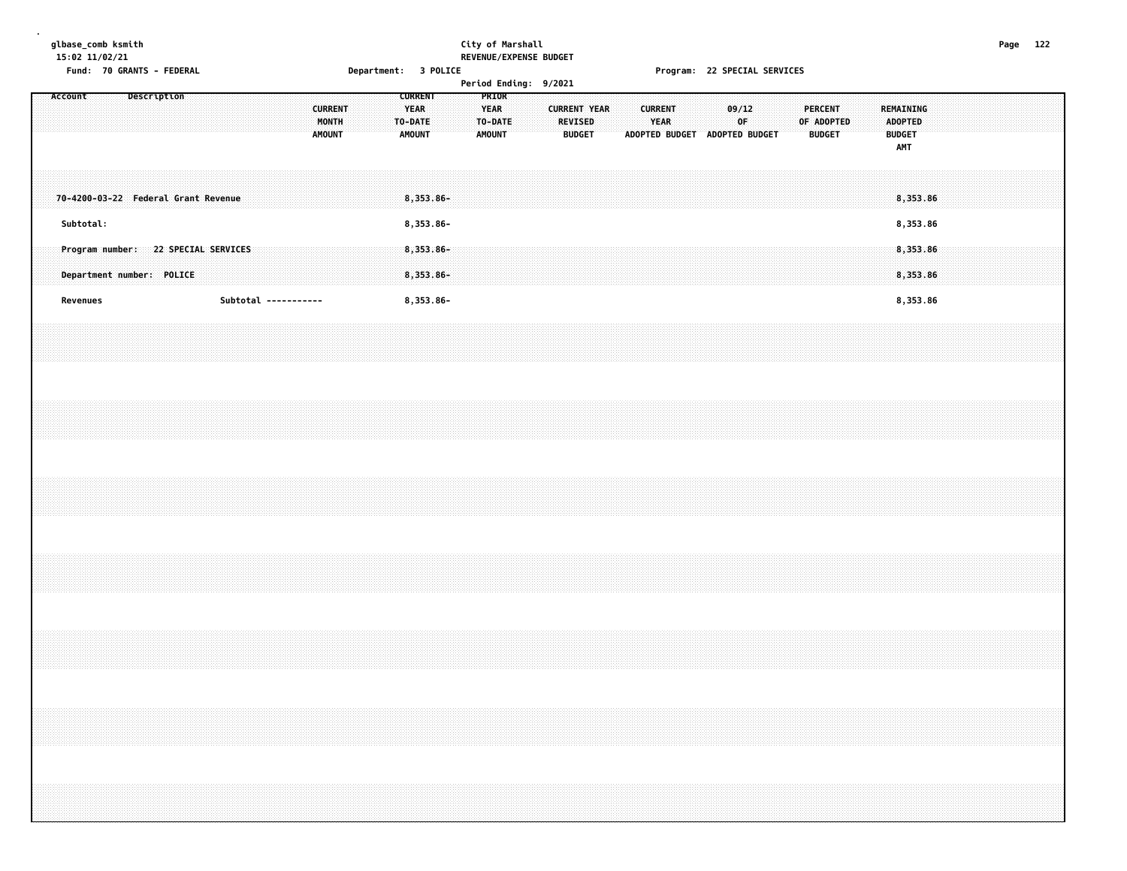### **glbase\_comb ksmith City of Marshall Page 122 15:02 11/02/21 REVENUE/EXPENSE BUDGET**

**Fund: 70 GRANTS - FEDERAL Department: 3 POLICE Program: 22 SPECIAL SERVICES Period Ending: 9/2021**

|  | <b>Period Ending:</b> | 9/2021 |  |
|--|-----------------------|--------|--|
|--|-----------------------|--------|--|

|  | Account   |  | Description                                                      |  |  |  |                      | <b>CURRENT</b><br>MONTH<br><b>AMOUNT</b> |  |  | <b>CURRENT</b><br><b>YEAR</b><br>TO-DATE<br><b>AMOUNT</b> |  | PRIOR<br><b>YEAR</b><br>TO-DATE<br><b>AMOUNT</b> |  | <b>CURRENT YEAR</b><br><b>REVISED</b><br><b>BUDGET</b> |  | <b>CURRENT</b><br><b>YEAR</b> | ADOPTED BUDGET ADOPTED BUDGET |  | 09/12<br>0F |  | <b>PERCENT</b><br>OF ADOPTED<br><b>BUDGET</b> |  | <b>ADOPTED</b><br><b>BUDGET</b><br>AMT | REMAINING            |  |  |  |  |
|--|-----------|--|------------------------------------------------------------------|--|--|--|----------------------|------------------------------------------|--|--|-----------------------------------------------------------|--|--------------------------------------------------|--|--------------------------------------------------------|--|-------------------------------|-------------------------------|--|-------------|--|-----------------------------------------------|--|----------------------------------------|----------------------|--|--|--|--|
|  |           |  | 70-4200-03-22 Federal Grant Revenue                              |  |  |  |                      |                                          |  |  | 8,353.86-                                                 |  |                                                  |  |                                                        |  |                               |                               |  |             |  |                                               |  |                                        | 8,353.86             |  |  |  |  |
|  | Subtotal: |  |                                                                  |  |  |  |                      |                                          |  |  | 8,353.86-                                                 |  |                                                  |  |                                                        |  |                               |                               |  |             |  |                                               |  |                                        | 8,353.86             |  |  |  |  |
|  |           |  | Program number: 22 SPECIAL SERVICES<br>Department number: POLICE |  |  |  |                      |                                          |  |  | $8,353.86 -$<br>8,353.86-                                 |  |                                                  |  |                                                        |  |                               |                               |  |             |  |                                               |  |                                        | 8,353.86<br>8,353.86 |  |  |  |  |
|  | Revenues  |  |                                                                  |  |  |  | Subtotal ----------- |                                          |  |  | 8,353.86-                                                 |  |                                                  |  |                                                        |  |                               |                               |  |             |  |                                               |  |                                        | 8,353.86             |  |  |  |  |
|  |           |  |                                                                  |  |  |  |                      |                                          |  |  |                                                           |  |                                                  |  |                                                        |  |                               |                               |  |             |  |                                               |  |                                        |                      |  |  |  |  |
|  |           |  |                                                                  |  |  |  |                      |                                          |  |  |                                                           |  |                                                  |  |                                                        |  |                               |                               |  |             |  |                                               |  |                                        |                      |  |  |  |  |
|  |           |  |                                                                  |  |  |  |                      |                                          |  |  |                                                           |  |                                                  |  |                                                        |  |                               |                               |  |             |  |                                               |  |                                        |                      |  |  |  |  |
|  |           |  |                                                                  |  |  |  |                      |                                          |  |  |                                                           |  |                                                  |  |                                                        |  |                               |                               |  |             |  |                                               |  |                                        |                      |  |  |  |  |
|  |           |  |                                                                  |  |  |  |                      |                                          |  |  |                                                           |  |                                                  |  |                                                        |  |                               |                               |  |             |  |                                               |  |                                        |                      |  |  |  |  |
|  |           |  |                                                                  |  |  |  |                      |                                          |  |  |                                                           |  |                                                  |  |                                                        |  |                               |                               |  |             |  |                                               |  |                                        |                      |  |  |  |  |
|  |           |  |                                                                  |  |  |  |                      |                                          |  |  |                                                           |  |                                                  |  |                                                        |  |                               |                               |  |             |  |                                               |  |                                        |                      |  |  |  |  |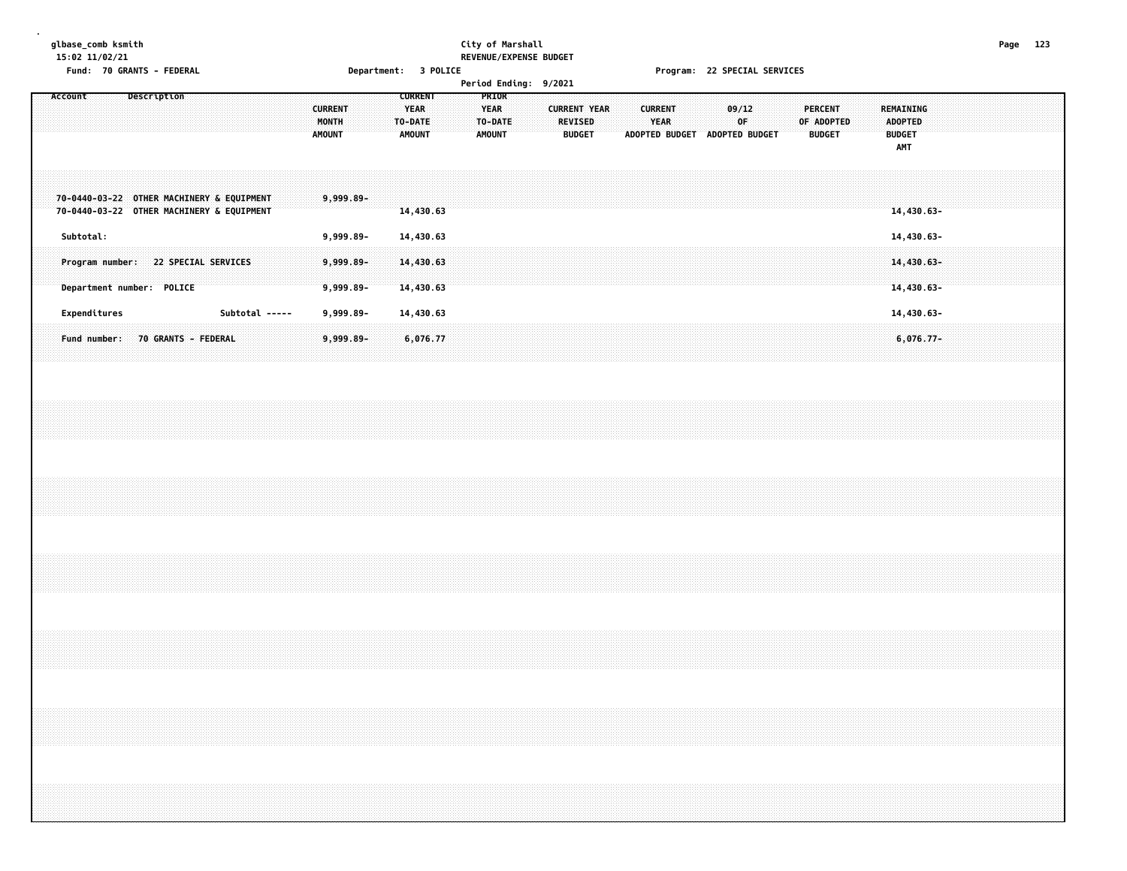#### **glbase\_comb ksmith City of Marshall Page 123 15:02 11/02/21 REVENUE/EXPENSE BUDGET**

**Fund: 70 GRANTS - FEDERAL Department: 3 POLICE Program: 22 SPECIAL SERVICES**

| Account<br>Description                    |
|-------------------------------------------|
|                                           |
|                                           |
|                                           |
| 70-0440-03-22 OTHER MACHINERY & EQUIPMENT |
| 70-0440-03-22 OTHER MACHINERY & EQUIPMENT |
| Subtotal:                                 |
|                                           |
| Program number: 22 SPECIAL SERVICES       |
| Department number: POLICE                 |
|                                           |
| Expenditures<br>Subtotal -----            |
| 70 GRANTS - FEDERAL<br>Fund number:       |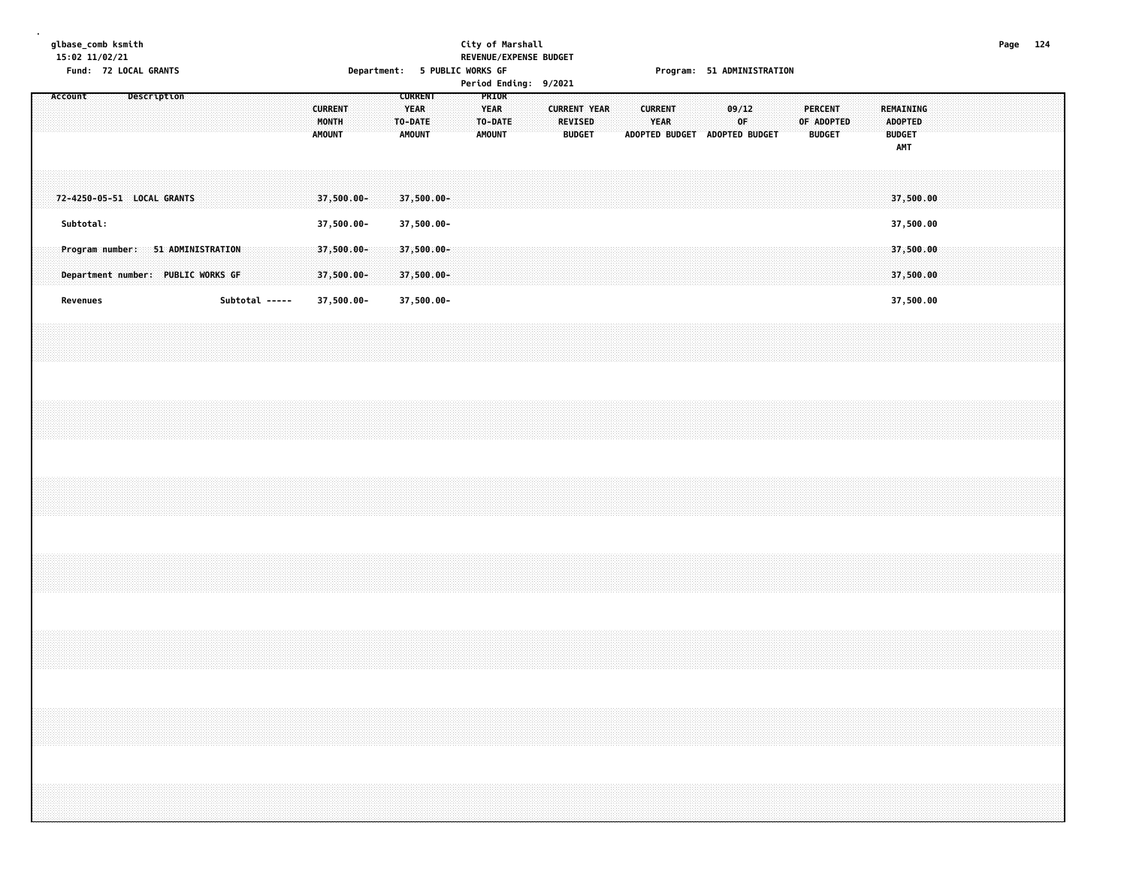#### **glbase\_comb ksmith City of Marshall Page 124 15:02 11/02/21 REVENUE/EXPENSE BUDGET Fund: 72 LOCAL GRANTS Department: 5 PUBLIC WORKS GF Program: 51 ADMINISTRATION**

| Account                                                                 |  | Description |  |                |  |  | <b>CURRENT</b><br>MONTH<br><b>AMOUNT</b> |  | <b>CURRENT</b><br><b>YEAR</b><br>TO-DATE<br><b>AMOUNT</b> |  | PRIOR<br><b>YEAR</b><br>TO-DATE<br><b>AMOUNT</b> |  | <b>CURRENT YEAR</b><br>REVISED<br><b>BUDGET</b> |  | <b>CURRENT</b><br><b>YEAR</b> | ADOPTED BUDGET ADOPTED BUDGET | 09/12<br>0F. |  | <b>PERCENT</b><br>OF ADOPTED<br><b>BUDGET</b> |  | REMAINING<br><b>ADOPTED</b><br><b>BUDGET</b><br>AMT |  |  |  |  |
|-------------------------------------------------------------------------|--|-------------|--|----------------|--|--|------------------------------------------|--|-----------------------------------------------------------|--|--------------------------------------------------|--|-------------------------------------------------|--|-------------------------------|-------------------------------|--------------|--|-----------------------------------------------|--|-----------------------------------------------------|--|--|--|--|
| 72-4250-05-51 LOCAL GRANTS                                              |  |             |  |                |  |  | 37,500.00-                               |  | 37,500.00-                                                |  |                                                  |  |                                                 |  |                               |                               |              |  |                                               |  | 37,500.00                                           |  |  |  |  |
| Subtotal:                                                               |  |             |  |                |  |  | 37,500.00-                               |  | 37,500.00-                                                |  |                                                  |  |                                                 |  |                               |                               |              |  |                                               |  | 37,500.00                                           |  |  |  |  |
| Program number: 51 ADMINISTRATION<br>Department number: PUBLIC WORKS GF |  |             |  |                |  |  | $37,500.00 -$<br>37,500.00-              |  | 37,500.00-<br>37,500.00-                                  |  |                                                  |  |                                                 |  |                               |                               |              |  |                                               |  | 37,500.00<br>37,500.00                              |  |  |  |  |
| Revenues                                                                |  |             |  | Subtotal ----- |  |  | 37,500.00-                               |  | 37,500.00-                                                |  |                                                  |  |                                                 |  |                               |                               |              |  |                                               |  | 37,500.00                                           |  |  |  |  |
|                                                                         |  |             |  |                |  |  |                                          |  |                                                           |  |                                                  |  |                                                 |  |                               |                               |              |  |                                               |  |                                                     |  |  |  |  |
|                                                                         |  |             |  |                |  |  |                                          |  |                                                           |  |                                                  |  |                                                 |  |                               |                               |              |  |                                               |  |                                                     |  |  |  |  |
|                                                                         |  |             |  |                |  |  |                                          |  |                                                           |  |                                                  |  |                                                 |  |                               |                               |              |  |                                               |  |                                                     |  |  |  |  |
|                                                                         |  |             |  |                |  |  |                                          |  |                                                           |  |                                                  |  |                                                 |  |                               |                               |              |  |                                               |  |                                                     |  |  |  |  |
|                                                                         |  |             |  |                |  |  |                                          |  |                                                           |  |                                                  |  |                                                 |  |                               |                               |              |  |                                               |  |                                                     |  |  |  |  |
|                                                                         |  |             |  |                |  |  |                                          |  |                                                           |  |                                                  |  |                                                 |  |                               |                               |              |  |                                               |  |                                                     |  |  |  |  |
|                                                                         |  |             |  |                |  |  |                                          |  |                                                           |  |                                                  |  |                                                 |  |                               |                               |              |  |                                               |  |                                                     |  |  |  |  |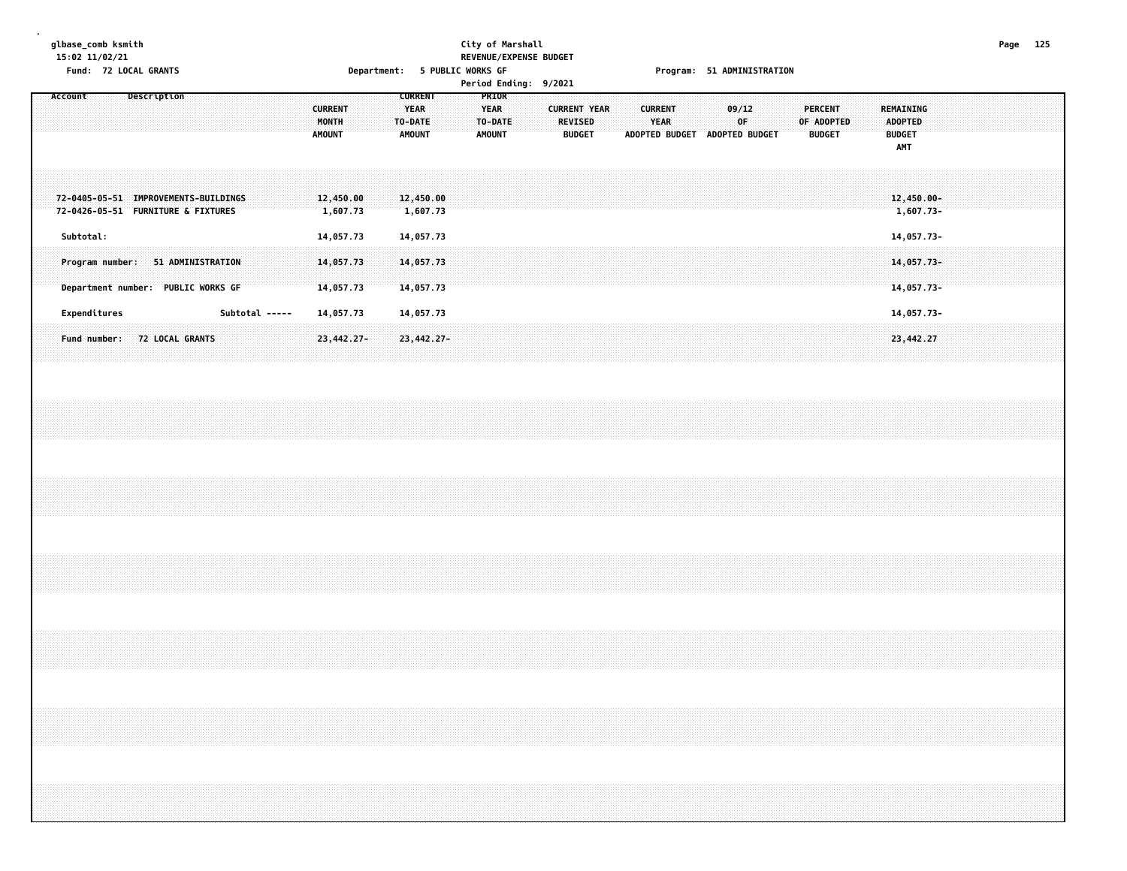#### **glbase\_comb ksmith City of Marshall Page 125 15:02 11/02/21 REVENUE/EXPENSE BUDGET Fund: 72 LOCAL GRANTS Department: 5 PUBLIC WORKS GF Program: 51 ADMINISTRATION**

| Description<br>Account                 | <b>CURRENT</b>                | <b>PRIOR</b> |                     |                |                       |               |                |
|----------------------------------------|-------------------------------|--------------|---------------------|----------------|-----------------------|---------------|----------------|
|                                        | YEAR<br><b>CURRENT</b>        | <b>YEAR</b>  | <b>CURRENT YEAR</b> | <b>CURRENT</b> | $-09/12$              | PERCENT       | REMAINING      |
|                                        | MONTH<br>TO-DATE              | TO-DATE      | <b>REVISED</b>      | <b>YEAR</b>    | ∵0F.                  | OF ADOPTED    | <b>ADOPTED</b> |
|                                        | AMOUNT<br>AMOUNT              | AMOUNT       | <b>BUDGET</b>       | ADOPTED BUDGET | <b>ADOPTED BUDGET</b> | <b>BUDGET</b> | <b>BUDGET</b>  |
|                                        |                               |              |                     |                |                       |               | AMT            |
|                                        |                               |              |                     |                |                       |               |                |
|                                        |                               |              |                     |                |                       |               |                |
| 72-0405-05-51 IMPROVEMENTS-BUILDINGS   | 12,450.00<br>12,450.00        |              |                     |                |                       |               | $12,450.00 -$  |
| 72-0426-05-51 FURNITURE & FIXTURES     | 1,607.73<br>1,607.73          |              |                     |                |                       |               | 1,607.73-      |
|                                        |                               |              |                     |                |                       |               |                |
| Subtotal:                              | 14,057.73<br>14,057.73        |              |                     |                |                       |               | 14,057.73-     |
|                                        |                               |              |                     |                |                       |               |                |
| 51 ADMINISTRATION<br>Program number:   | 14,057.73<br>14,057.73        |              |                     |                |                       |               | $14,057.73-$   |
|                                        |                               |              |                     |                |                       |               |                |
| Department number: PUBLIC WORKS GF     | 14,057.73<br>14,057.73        |              |                     |                |                       |               | $14,057.73-$   |
|                                        |                               |              |                     |                |                       |               |                |
| Expenditures<br>Subtotal -----         | 14,057.73<br>14,057.73        |              |                     |                |                       |               | 14,057.73-     |
|                                        |                               |              |                     |                |                       |               |                |
|                                        |                               |              |                     |                |                       |               |                |
| <b>72 LOCAL GRANTS</b><br>Fund number: | $23,442.27 -$<br>$23,442.27-$ |              |                     |                |                       |               | 23,442.27      |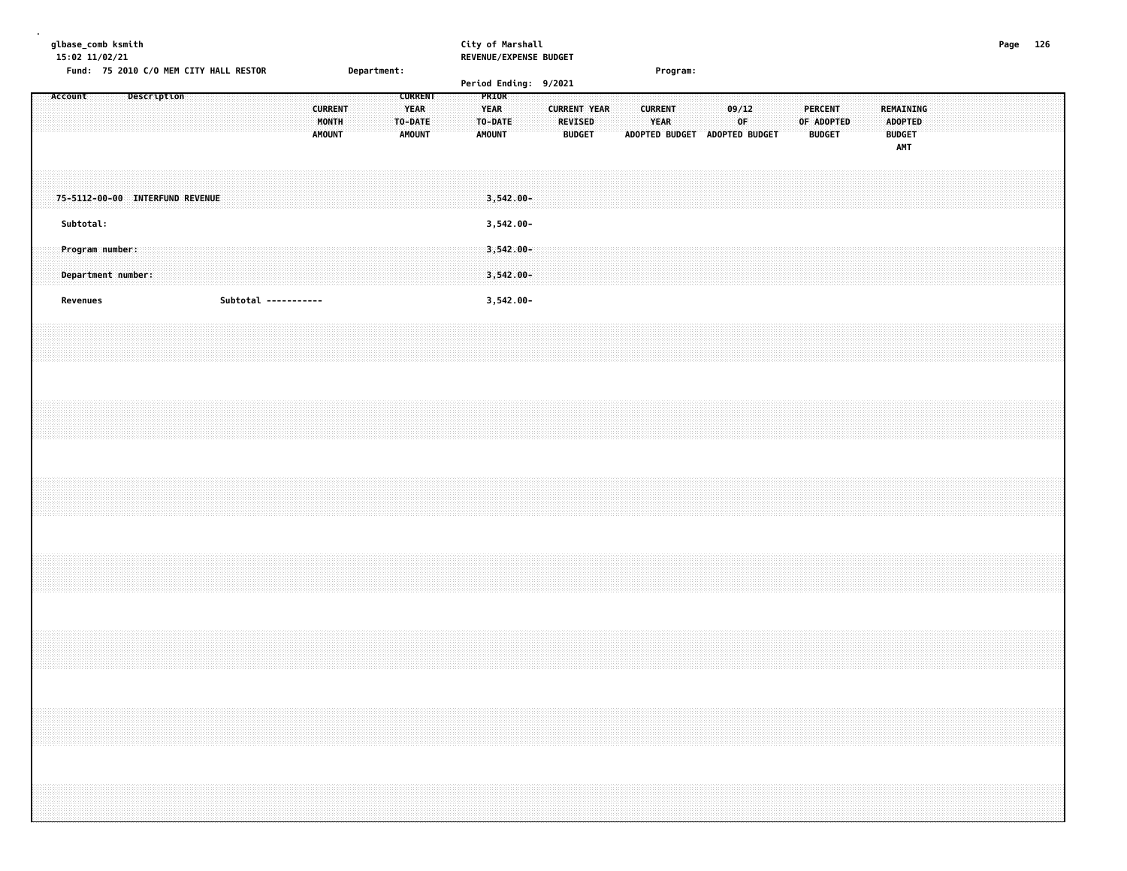#### **glbase\_comb ksmith City of Marshall Page 126 15:02 11/02/21 REVENUE/EXPENSE BUDGET**

|          | Fund: 75 2010 C/O MEM CITY HALL RESTOR       |             |  |  |                      |                                          | Department: |                                                    |  |                                                  |                           | Period Ending: 9/2021 |                                                        |  |                | Program: |                               |             |  |                |                             |  |                                                     |  |  |  |  |
|----------|----------------------------------------------|-------------|--|--|----------------------|------------------------------------------|-------------|----------------------------------------------------|--|--------------------------------------------------|---------------------------|-----------------------|--------------------------------------------------------|--|----------------|----------|-------------------------------|-------------|--|----------------|-----------------------------|--|-----------------------------------------------------|--|--|--|--|
| Account  |                                              | Description |  |  |                      | <b>CURRENT</b><br>MONTH<br><b>AMOUNT</b> |             | <b>CURRENT</b><br><b>YEAR</b><br>TO-DATE<br>AMOUNT |  | PRIOR<br><b>YEAR</b><br>TO-DATE<br><b>AMOUNT</b> |                           |                       | <b>CURRENT YEAR</b><br><b>REVISED</b><br><b>BUDGET</b> |  | <b>CURRENT</b> | YEAR     | ADOPTED BUDGET ADOPTED BUDGET | 09/12<br>OF |  | <b>PERCENT</b> | OF ADOPTED<br><b>BUDGET</b> |  | REMAINING<br><b>ADOPTED</b><br><b>BUDGET</b><br>AMT |  |  |  |  |
|          | 75-5112-00-00 INTERFUND REVENUE<br>Subtotal: |             |  |  |                      |                                          |             |                                                    |  |                                                  | $3,542.00 -$<br>3,542.00- |                       |                                                        |  |                |          |                               |             |  |                |                             |  |                                                     |  |  |  |  |
|          | Program number:<br>Department number:        |             |  |  |                      |                                          |             |                                                    |  |                                                  | $3,542.00 -$<br>3,542.00- |                       |                                                        |  |                |          |                               |             |  |                |                             |  |                                                     |  |  |  |  |
| Revenues |                                              |             |  |  | Subtotal ----------- |                                          |             |                                                    |  |                                                  | 3,542.00-                 |                       |                                                        |  |                |          |                               |             |  |                |                             |  |                                                     |  |  |  |  |
|          |                                              |             |  |  |                      |                                          |             |                                                    |  |                                                  |                           |                       |                                                        |  |                |          |                               |             |  |                |                             |  |                                                     |  |  |  |  |
|          |                                              |             |  |  |                      |                                          |             |                                                    |  |                                                  |                           |                       |                                                        |  |                |          |                               |             |  |                |                             |  |                                                     |  |  |  |  |
|          |                                              |             |  |  |                      |                                          |             |                                                    |  |                                                  |                           |                       |                                                        |  |                |          |                               |             |  |                |                             |  |                                                     |  |  |  |  |
|          |                                              |             |  |  |                      |                                          |             |                                                    |  |                                                  |                           |                       |                                                        |  |                |          |                               |             |  |                |                             |  |                                                     |  |  |  |  |
|          |                                              |             |  |  |                      |                                          |             |                                                    |  |                                                  |                           |                       |                                                        |  |                |          |                               |             |  |                |                             |  |                                                     |  |  |  |  |
|          |                                              |             |  |  |                      |                                          |             |                                                    |  |                                                  |                           |                       |                                                        |  |                |          |                               |             |  |                |                             |  |                                                     |  |  |  |  |
|          |                                              |             |  |  |                      |                                          |             |                                                    |  |                                                  |                           |                       |                                                        |  |                |          |                               |             |  |                |                             |  |                                                     |  |  |  |  |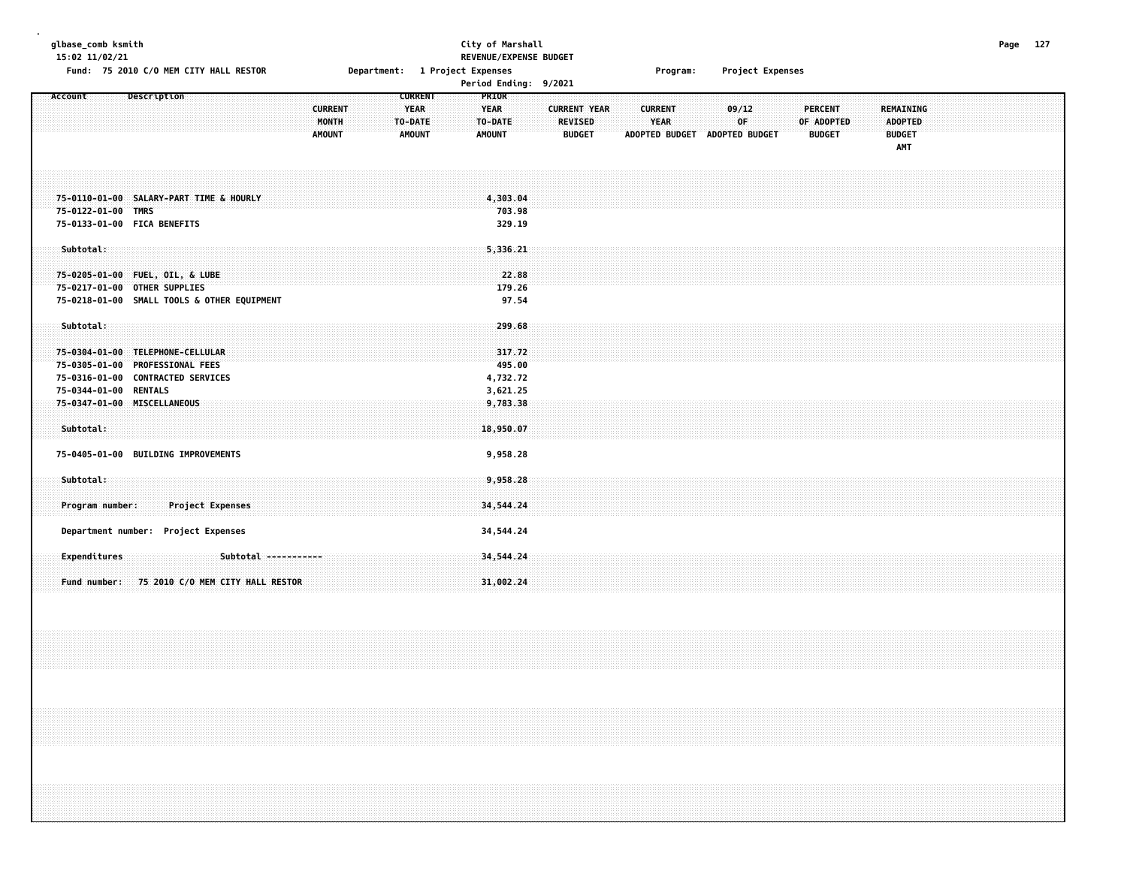### **glbase\_comb ksmith City of Marshall Page 127 15:02 11/02/21 REVENUE/EXPENSE BUDGET**

Fund: 75 2010 C/O MEM CITY HALL RESTOR **Department: 1 Project Expenses State Construct Program:** Project Expenses

| Description<br><b>Account</b>                                                                                                   | <b>CURRENT</b><br><b>MONTH</b><br><b>AMOUNT</b> | <b>CURRENT</b><br><b>YEAR</b><br>TO-DATE<br><b>AMOUNT</b> | PRIOR<br><b>YEAR</b><br>TO-DATE<br><b>AMOUNT</b> | <b>CURRENT YEAR</b><br><b>REVISED</b><br><b>BUDGET</b> | <b>CURRENT</b><br><b>YEAR</b><br><b>ADOPTED BUDGET</b> | 09/12<br>OF<br><b>ADOPTED BUDGET</b> | <b>PERCENT</b><br>OF ADOPTED<br><b>BUDGET</b> | <b>REMAINING</b><br><b>ADOPTED</b><br><b>BUDGET</b><br>AMT |
|---------------------------------------------------------------------------------------------------------------------------------|-------------------------------------------------|-----------------------------------------------------------|--------------------------------------------------|--------------------------------------------------------|--------------------------------------------------------|--------------------------------------|-----------------------------------------------|------------------------------------------------------------|
| 75-0110-01-00 SALARY-PART TIME & HOURLY<br>75-0122-01-00 TMRS<br>75-0133-01-00 FICA BENEFITS                                    |                                                 |                                                           | 4,303.04<br>703.98<br>329.19                     |                                                        |                                                        |                                      |                                               |                                                            |
| Subtotal:<br>75-0205-01-00 FUEL, OIL, & LUBE<br>75-0217-01-00 OTHER SUPPLIES<br>75-0218-01-00 SMALL TOOLS & OTHER EQUIPMENT     |                                                 |                                                           | 5,336.21<br>22.88<br>179.26<br>97.54             |                                                        |                                                        |                                      |                                               |                                                            |
| Subtotal:<br>75-0304-01-00 TELEPHONE-CELLULAR<br>75-0305-01-00 PROFESSIONAL FEES<br>75-0316-01-00 CONTRACTED SERVICES           |                                                 |                                                           | 299.68<br>317.72<br>495.00<br>4,732.72           |                                                        |                                                        |                                      |                                               |                                                            |
| 75-0344-01-00 RENTALS<br>75-0347-01-00 MISCELLANEOUS<br>Subtotal:                                                               |                                                 |                                                           | 3,621.25<br>9,783.38<br>18,950.07                |                                                        |                                                        |                                      |                                               |                                                            |
| 75-0405-01-00 BUILDING IMPROVEMENTS<br>Subtotal:<br><b>Project Expenses</b><br>Program number:                                  |                                                 |                                                           | 9,958.28<br>9,958.28<br>34,544.24                |                                                        |                                                        |                                      |                                               |                                                            |
| Department number: Project Expenses<br>Expenditures<br>Subtotal -----------<br>75 2010 C/O MEM CITY HALL RESTOR<br>Fund number: |                                                 |                                                           | 34,544.24<br>34,544.24<br>31,002.24              |                                                        |                                                        |                                      |                                               |                                                            |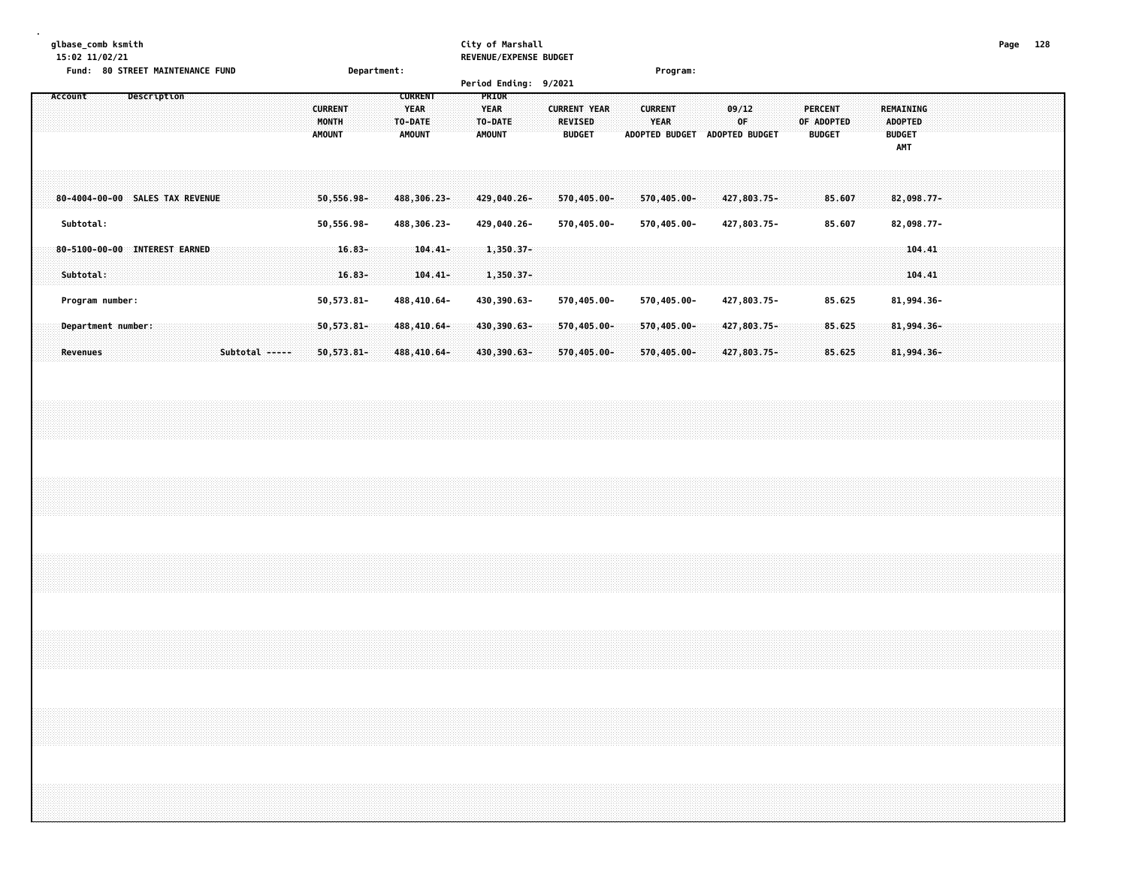### **glbase\_comb ksmith City of Marshall Page 128**

**15:02 11/02/21 REVENUE/EXPENSE BUDGET**

|  |         |                 | Fund: 80 STREET MAINTENANCE FUND |             |  |                |  |  |                                          | Department:            |         |                                                |                            |  |                                                  |                            | Period Ending: 9/2021 |                                                        |  |                               | Program:                      |  |             |                            |  |                                               |                  |  |                                                     |                  |  |  |  |
|--|---------|-----------------|----------------------------------|-------------|--|----------------|--|--|------------------------------------------|------------------------|---------|------------------------------------------------|----------------------------|--|--------------------------------------------------|----------------------------|-----------------------|--------------------------------------------------------|--|-------------------------------|-------------------------------|--|-------------|----------------------------|--|-----------------------------------------------|------------------|--|-----------------------------------------------------|------------------|--|--|--|
|  | Account |                 |                                  | Description |  |                |  |  | <b>CURRENT</b><br>MONTH<br><b>AMOUNT</b> |                        | TO-DATE | <b>CURRENT</b><br><b>YEAR</b><br><b>AMOUNT</b> |                            |  | PRIOR<br><b>YEAR</b><br>TO-DATE<br><b>AMOUNT</b> |                            |                       | <b>CURRENT YEAR</b><br><b>REVISED</b><br><b>BUDGET</b> |  | <b>CURRENT</b><br><b>YEAR</b> | ADOPTED BUDGET ADOPTED BUDGET |  | 09/12<br>0F |                            |  | <b>PERCENT</b><br>OF ADOPTED<br><b>BUDGET</b> |                  |  | REMAINING<br><b>ADOPTED</b><br><b>BUDGET</b><br>AMT |                  |  |  |  |
|  |         |                 | 80-4004-00-00 SALES TAX REVENUE  |             |  |                |  |  | $50,556.98 -$                            |                        |         |                                                | 488,306.23-                |  |                                                  | 429,040.26-                |                       | 570,405.00-                                            |  |                               | 570,405.00-                   |  |             | 427,803.75-                |  |                                               | 85.607           |  | 82,098.77-                                          |                  |  |  |  |
|  |         | Subtotal:       |                                  |             |  |                |  |  | 50,556.98-                               |                        |         |                                                | 488,306.23-                |  |                                                  | 429,040.26-                |                       | 570,405.00-                                            |  |                               | 570,405.00-                   |  |             | 427,803.75-                |  |                                               | 85.607           |  | 82,098.77-                                          |                  |  |  |  |
|  |         | Subtotal:       | 80-5100-00-00 INTEREST EARNED    |             |  |                |  |  |                                          | $16.83 -$<br>$16.83 -$ |         |                                                | $104.41 -$<br>$104.41 -$   |  |                                                  | $1,350.37-$<br>1,350.37-   |                       |                                                        |  |                               |                               |  |             |                            |  |                                               |                  |  |                                                     | 104.41<br>104.41 |  |  |  |
|  |         |                 | Program number:                  |             |  |                |  |  | 50,573.81-                               |                        |         |                                                | 488,410.64-                |  |                                                  | 430,390.63-                |                       | 570,405.00-                                            |  |                               | 570,405.00-                   |  |             | 427,803.75-                |  |                                               | 85.625           |  | 81,994.36-                                          |                  |  |  |  |
|  |         | <b>Revenues</b> | Department number:               |             |  | Subtotal ----- |  |  | $50,573.81 -$<br>$50,573.81 -$           |                        |         |                                                | 488,410.64-<br>488,410.64- |  |                                                  | 430,390.63-<br>430,390.63- |                       | 570,405.00-<br>570,405.00-                             |  |                               | 570,405.00-<br>570,405.00-    |  |             | 427,803.75-<br>427,803.75- |  |                                               | 85.625<br>85.625 |  | 81,994.36-<br>81,994.36-                            |                  |  |  |  |
|  |         |                 |                                  |             |  |                |  |  |                                          |                        |         |                                                |                            |  |                                                  |                            |                       |                                                        |  |                               |                               |  |             |                            |  |                                               |                  |  |                                                     |                  |  |  |  |
|  |         |                 |                                  |             |  |                |  |  |                                          |                        |         |                                                |                            |  |                                                  |                            |                       |                                                        |  |                               |                               |  |             |                            |  |                                               |                  |  |                                                     |                  |  |  |  |
|  |         |                 |                                  |             |  |                |  |  |                                          |                        |         |                                                |                            |  |                                                  |                            |                       |                                                        |  |                               |                               |  |             |                            |  |                                               |                  |  |                                                     |                  |  |  |  |
|  |         |                 |                                  |             |  |                |  |  |                                          |                        |         |                                                |                            |  |                                                  |                            |                       |                                                        |  |                               |                               |  |             |                            |  |                                               |                  |  |                                                     |                  |  |  |  |
|  |         |                 |                                  |             |  |                |  |  |                                          |                        |         |                                                |                            |  |                                                  |                            |                       |                                                        |  |                               |                               |  |             |                            |  |                                               |                  |  |                                                     |                  |  |  |  |
|  |         |                 |                                  |             |  |                |  |  |                                          |                        |         |                                                |                            |  |                                                  |                            |                       |                                                        |  |                               |                               |  |             |                            |  |                                               |                  |  |                                                     |                  |  |  |  |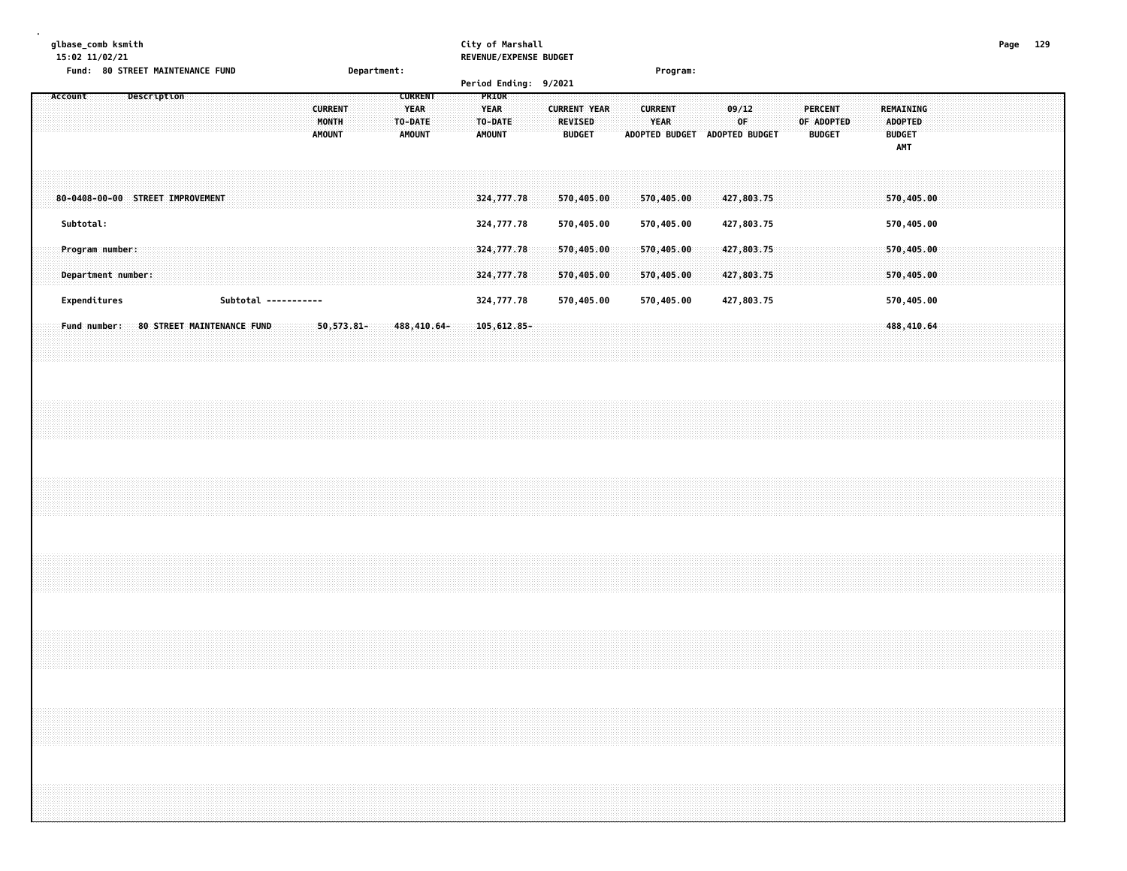|  | 15:02 11/02/21 |  | glbase_comb ksmith                    |                    |  | Fund: 80 STREET MAINTENANCE FUND |  |  |                      |               |                         | Department: |                                                    |  |                                       | City of Marshall<br>REVENUE/EXPENSE BUDGET |  |                                 |                          |  |                               | Program:                 |  |                                        |    |  |                                 |            |  |                                        |                          |  |                                                                                  | Page 129 |  |
|--|----------------|--|---------------------------------------|--------------------|--|----------------------------------|--|--|----------------------|---------------|-------------------------|-------------|----------------------------------------------------|--|---------------------------------------|--------------------------------------------|--|---------------------------------|--------------------------|--|-------------------------------|--------------------------|--|----------------------------------------|----|--|---------------------------------|------------|--|----------------------------------------|--------------------------|--|----------------------------------------------------------------------------------|----------|--|
|  | Account        |  |                                       | <b>Description</b> |  |                                  |  |  |                      | <b>AMOUNT</b> | <b>CURRENT</b><br>MONTH |             | <b>CURRENT</b><br><b>YEAR</b><br>TO-DATE<br>AMOUNT |  | PRIOR<br><b>YEAR</b><br><b>AMOUNT</b> | Period Ending: 9/2021<br>TO-DATE           |  | <b>REVISED</b><br><b>BUDGET</b> | <b>CURRENT YEAR</b>      |  | <b>CURRENT</b><br><b>YEAR</b> |                          |  | 09/12<br>ADOPTED BUDGET ADOPTED BUDGET | 0F |  | <b>PERCENT</b><br><b>BUDGET</b> | OF ADOPTED |  | <b>ADOPTED</b><br><b>BUDGET</b><br>AMT | REMAINING                |  |                                                                                  |          |  |
|  | Subtotal:      |  |                                       |                    |  | 80-0408-00-00 STREET IMPROVEMENT |  |  |                      |               |                         |             |                                                    |  |                                       | 324,777.78<br>324,777.78                   |  |                                 | 570,405.00<br>570,405.00 |  |                               | 570,405.00<br>570,405.00 |  | 427,803.75<br>427,803.75               |    |  |                                 |            |  |                                        | 570,405.00<br>570,405.00 |  |                                                                                  |          |  |
|  |                |  | Program number:<br>Department number: |                    |  |                                  |  |  |                      |               |                         |             |                                                    |  |                                       | 324,777.78<br>324,777.78                   |  |                                 | 570,405.00<br>570,405.00 |  |                               | 570,405.00<br>570,405.00 |  | 427,803.75<br>427,803.75               |    |  |                                 |            |  |                                        | 570,405.00<br>570,405.00 |  |                                                                                  |          |  |
|  | Expenditures   |  |                                       |                    |  |                                  |  |  | Subtotal ----------- |               |                         |             |                                                    |  |                                       | 324,777.78                                 |  |                                 | 570,405.00               |  |                               | 570,405.00               |  | 427,803.75                             |    |  |                                 |            |  |                                        | 570,405.00               |  |                                                                                  |          |  |
|  | Fund number:   |  |                                       |                    |  | 80 STREET MAINTENANCE FUND       |  |  |                      |               | $50,573.81 -$           |             | 488,410.64-                                        |  |                                       | 105, 612, 85-                              |  |                                 |                          |  |                               |                          |  |                                        |    |  |                                 |            |  |                                        | 488,410.64               |  |                                                                                  |          |  |
|  |                |  |                                       |                    |  |                                  |  |  |                      |               |                         |             |                                                    |  |                                       |                                            |  |                                 |                          |  |                               |                          |  |                                        |    |  |                                 |            |  |                                        |                          |  |                                                                                  |          |  |
|  |                |  |                                       |                    |  |                                  |  |  |                      |               |                         |             |                                                    |  |                                       |                                            |  |                                 |                          |  |                               |                          |  |                                        |    |  |                                 |            |  |                                        |                          |  |                                                                                  |          |  |
|  |                |  |                                       |                    |  |                                  |  |  |                      |               |                         |             |                                                    |  |                                       |                                            |  |                                 |                          |  |                               |                          |  |                                        |    |  |                                 |            |  |                                        |                          |  |                                                                                  |          |  |
|  |                |  |                                       |                    |  |                                  |  |  |                      |               |                         |             |                                                    |  |                                       |                                            |  |                                 |                          |  |                               |                          |  |                                        |    |  |                                 |            |  |                                        |                          |  |                                                                                  |          |  |
|  |                |  |                                       |                    |  |                                  |  |  |                      |               |                         |             |                                                    |  |                                       |                                            |  |                                 |                          |  |                               |                          |  |                                        |    |  |                                 |            |  |                                        |                          |  | ,我们的人们都会不会不会。""我们的人们,我们就会不会不会不会不会不会不会不会不会不会不会不会不会。""我们的人们,我们就会不会不会不会不会不会不会不会不会不会 |          |  |
|  |                |  |                                       |                    |  |                                  |  |  |                      |               |                         |             |                                                    |  |                                       |                                            |  |                                 |                          |  |                               |                          |  |                                        |    |  |                                 |            |  |                                        |                          |  |                                                                                  |          |  |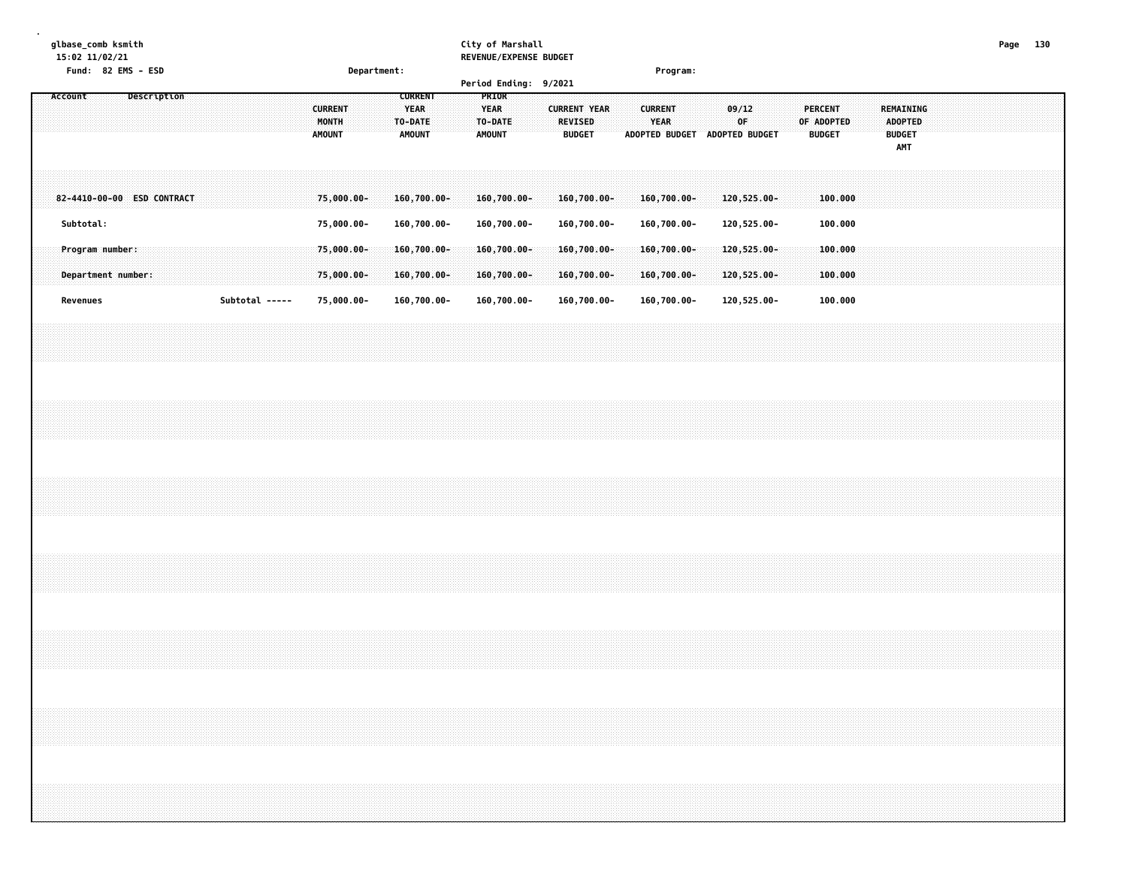**glbase\_comb ksmith City of Marshall Page 130 15:02 11/02/21 REVENUE/EXPENSE BUDGET Fund: 82 EMS - ESD Department: Program: Period Ending: 9/2021 Account Description CURRENT PRIOR CURRENT YEAR YEAR CURRENT YEAR CURRENT 09/12 PERCENT REMAINING MONTH TO-DATE TO-DATE REVISED YEAR OF OF ADOPTED ADOPTED AMOUNT AMOUNT AMOUNT BUDGET ADOPTED BUDGET ADOPTED BUDGET BUDGET BUDGET AMT** 82-4410-00-00 ESD CONTRACT 75,000.00- 160,700.00- 160,700.00- 160,700.00- 160,700.00- 160,700.00- 120,525.00- 100.000  **Subtotal: 75,000.00- 160,700.00- 160,700.00- 160,700.00- 160,700.00- 120,525.00- 100.000 Program number: 75,000.00- 160,700.00- 160,700.00- 160,700.00- 160,700.00- 120,525.00- 100.000 Department number: 75,000.00- 160,700.00- 160,700.00- 160,700.00- 160,700.00- 120,525.00- 100.000** 000.000 - 120,525.00 - 100.000 - 160,700.00 - 160,700.00 - 160,700.00 - 160,700.00 - 160,700.00 - 120,525.00 -

**.**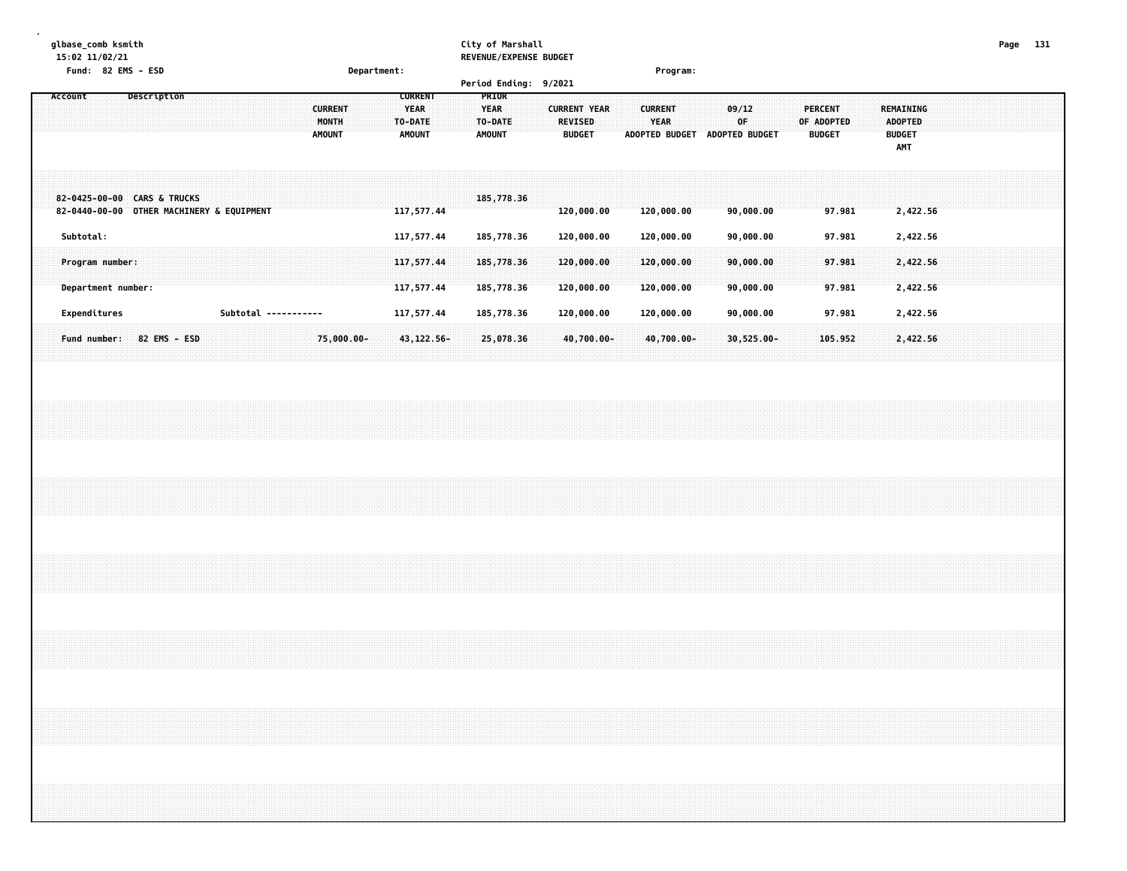#### **glbase\_comb ksmith City of Marshall Page 131 15:02 11/02/21 REVENUE/EXPENSE BUDGET**

|         | Fund: 82 EMS - ESD                                                       | Department:                              |                                                                                                                      | Program:                                                                                                  |                                                                                              |                                                            |
|---------|--------------------------------------------------------------------------|------------------------------------------|----------------------------------------------------------------------------------------------------------------------|-----------------------------------------------------------------------------------------------------------|----------------------------------------------------------------------------------------------|------------------------------------------------------------|
|         |                                                                          |                                          | Period Ending: 9/2021                                                                                                |                                                                                                           |                                                                                              |                                                            |
| Account | Description                                                              | <b>CURRENT</b><br>MONTH<br><b>AMOUNT</b> | <b>PRIOR</b><br><b>CURRENT</b><br><b>YEAR</b><br><b>YEAR</b><br>TO-DATE<br>TO-DATE<br><b>AMOUNT</b><br><b>AMOUNT</b> | <b>CURRENT YEAR</b><br><b>CURRENT</b><br>YEAR<br><b>REVISED</b><br><b>BUDGET</b><br><b>ADOPTED BUDGET</b> | 09/12<br><b>PERCENT</b><br><b>OF</b><br>OF ADOPTED<br><b>ADOPTED BUDGET</b><br><b>BUDGET</b> | REMAINING<br><b>ADOPTED</b><br><b>BUDGET</b><br><b>AMT</b> |
|         | 82-0425-00-00 CARS & TRUCKS<br>82-0440-00-00 OTHER MACHINERY & EQUIPMENT |                                          | 185,778.36<br>117,577.44                                                                                             | 120,000.00<br>120,000.00                                                                                  | 90,000.00<br>97.981                                                                          | 2,422.56                                                   |
|         | Subtotal:<br>Program number:<br>Department number:                       |                                          | 117,577.44<br>185,778.36<br>185,778.36<br>117,577.44<br>117,577.44<br>185,778.36                                     | 120,000.00<br>120,000.00<br>120,000.00<br>120,000.00<br>120,000.00<br>120,000.00                          | 90,000.00<br>97.981<br>90,000.00<br>97.981<br>97.981<br>90,000.00                            | 2,422.56<br>2,422.56<br>2,422.56                           |
|         | Expenditures<br>82 EMS - ESD<br>Fund number:                             | Subtotal -----------<br>75,000.00-       | 117,577.44<br>185,778.36<br>$43,122.56 -$<br>25,078.36                                                               | 120,000.00<br>120,000.00<br>40,700.00-<br>40,700.00-                                                      | 90,000.00<br>97.981<br>$30,525.00 -$<br>105.952                                              | 2,422.56<br>2,422.56                                       |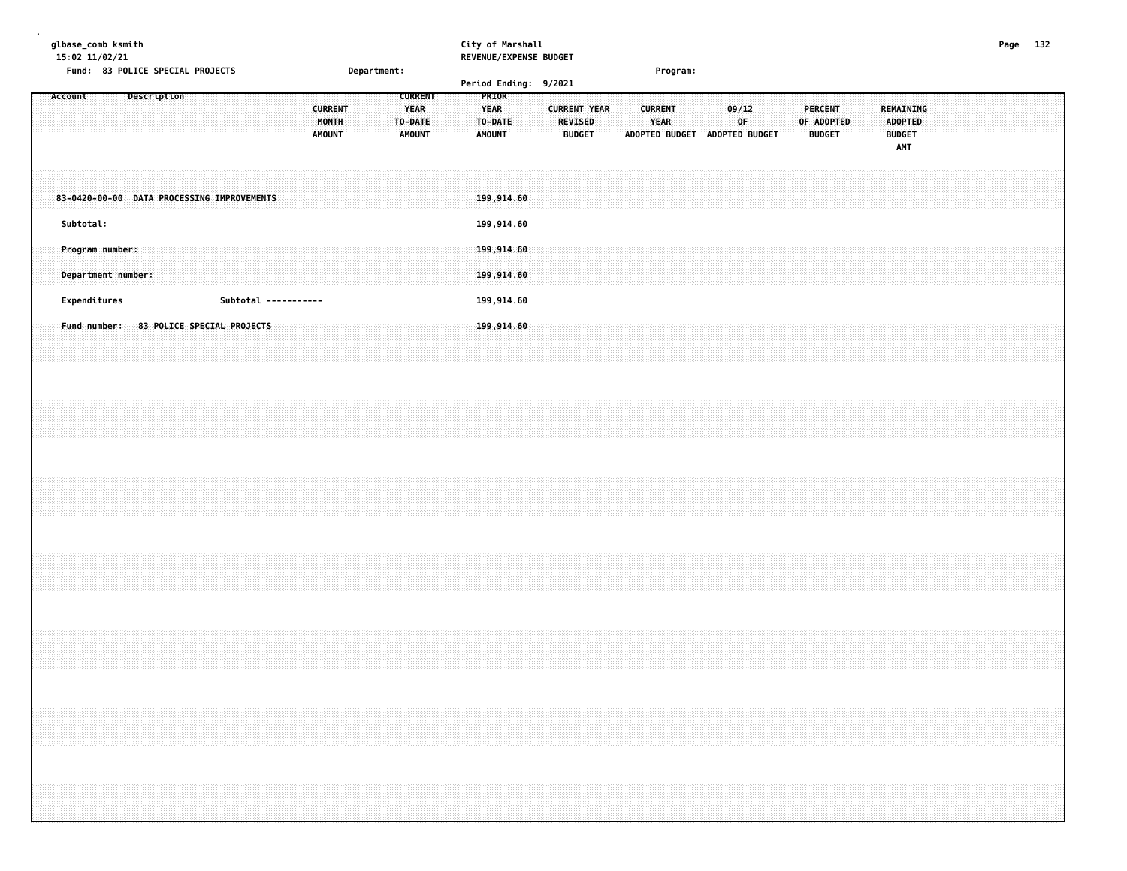### **glbase\_comb ksmith City of Marshall Page 132**

|  |         | 15:02 11/02/21                        |  |             | Fund: 83 POLICE SPECIAL PROJECTS           |                      |  |  |                                          | Department: |  |                                         |  |                                  |  | REVENUE/EXPENSE BUDGET |                     |                                 |  |  |                               | Program:                      |  |             |  |                                        |  |                             |                             |  |  |  |  |
|--|---------|---------------------------------------|--|-------------|--------------------------------------------|----------------------|--|--|------------------------------------------|-------------|--|-----------------------------------------|--|----------------------------------|--|------------------------|---------------------|---------------------------------|--|--|-------------------------------|-------------------------------|--|-------------|--|----------------------------------------|--|-----------------------------|-----------------------------|--|--|--|--|
|  | Account |                                       |  | Description |                                            |                      |  |  |                                          |             |  | <b>CURRENT</b>                          |  | PRIOR                            |  | Period Ending: 9/2021  |                     |                                 |  |  |                               |                               |  |             |  |                                        |  |                             |                             |  |  |  |  |
|  |         |                                       |  |             |                                            |                      |  |  | <b>CURRENT</b><br>MONTH<br><b>AMOUNT</b> |             |  | <b>YEAR</b><br>TO-DATE<br><b>AMOUNT</b> |  | YEAR<br>TO-DATE<br><b>AMOUNT</b> |  |                        | <b>CURRENT YEAR</b> | <b>REVISED</b><br><b>BUDGET</b> |  |  | <b>CURRENT</b><br><b>YEAR</b> | ADOPTED BUDGET ADOPTED BUDGET |  | 09/12<br>0F |  | PERCENT<br>OF ADOPTED<br><b>BUDGET</b> |  | <b>BUDGET</b><br><b>AMT</b> | REMAINING<br><b>ADOPTED</b> |  |  |  |  |
|  |         |                                       |  |             | 83-0420-00-00 DATA PROCESSING IMPROVEMENTS |                      |  |  |                                          |             |  |                                         |  | 199,914.60                       |  |                        |                     |                                 |  |  |                               |                               |  |             |  |                                        |  |                             |                             |  |  |  |  |
|  |         | Subtotal:                             |  |             |                                            |                      |  |  |                                          |             |  |                                         |  | 199,914.60                       |  |                        |                     |                                 |  |  |                               |                               |  |             |  |                                        |  |                             |                             |  |  |  |  |
|  |         | Program number:<br>Department number: |  |             |                                            |                      |  |  |                                          |             |  |                                         |  | 199,914.60<br>199,914.60         |  |                        |                     |                                 |  |  |                               |                               |  |             |  |                                        |  |                             |                             |  |  |  |  |
|  |         | Expenditures                          |  |             |                                            | Subtotal ----------- |  |  |                                          |             |  |                                         |  | 199,914.60                       |  |                        |                     |                                 |  |  |                               |                               |  |             |  |                                        |  |                             |                             |  |  |  |  |
|  |         | Fund number:                          |  |             | 83 POLICE SPECIAL PROJECTS                 |                      |  |  |                                          |             |  |                                         |  | 199,914.60                       |  |                        |                     |                                 |  |  |                               |                               |  |             |  |                                        |  |                             |                             |  |  |  |  |
|  |         |                                       |  |             |                                            |                      |  |  |                                          |             |  |                                         |  |                                  |  |                        |                     |                                 |  |  |                               |                               |  |             |  |                                        |  |                             |                             |  |  |  |  |
|  |         |                                       |  |             |                                            |                      |  |  |                                          |             |  |                                         |  |                                  |  |                        |                     |                                 |  |  |                               |                               |  |             |  |                                        |  |                             |                             |  |  |  |  |
|  |         |                                       |  |             |                                            |                      |  |  |                                          |             |  |                                         |  |                                  |  |                        |                     |                                 |  |  |                               |                               |  |             |  |                                        |  |                             |                             |  |  |  |  |
|  |         |                                       |  |             |                                            |                      |  |  |                                          |             |  |                                         |  |                                  |  |                        |                     |                                 |  |  |                               |                               |  |             |  |                                        |  |                             |                             |  |  |  |  |
|  |         |                                       |  |             |                                            |                      |  |  |                                          |             |  |                                         |  |                                  |  |                        |                     |                                 |  |  |                               |                               |  |             |  |                                        |  |                             |                             |  |  |  |  |
|  |         |                                       |  |             |                                            |                      |  |  |                                          |             |  |                                         |  |                                  |  |                        |                     |                                 |  |  |                               |                               |  |             |  |                                        |  |                             |                             |  |  |  |  |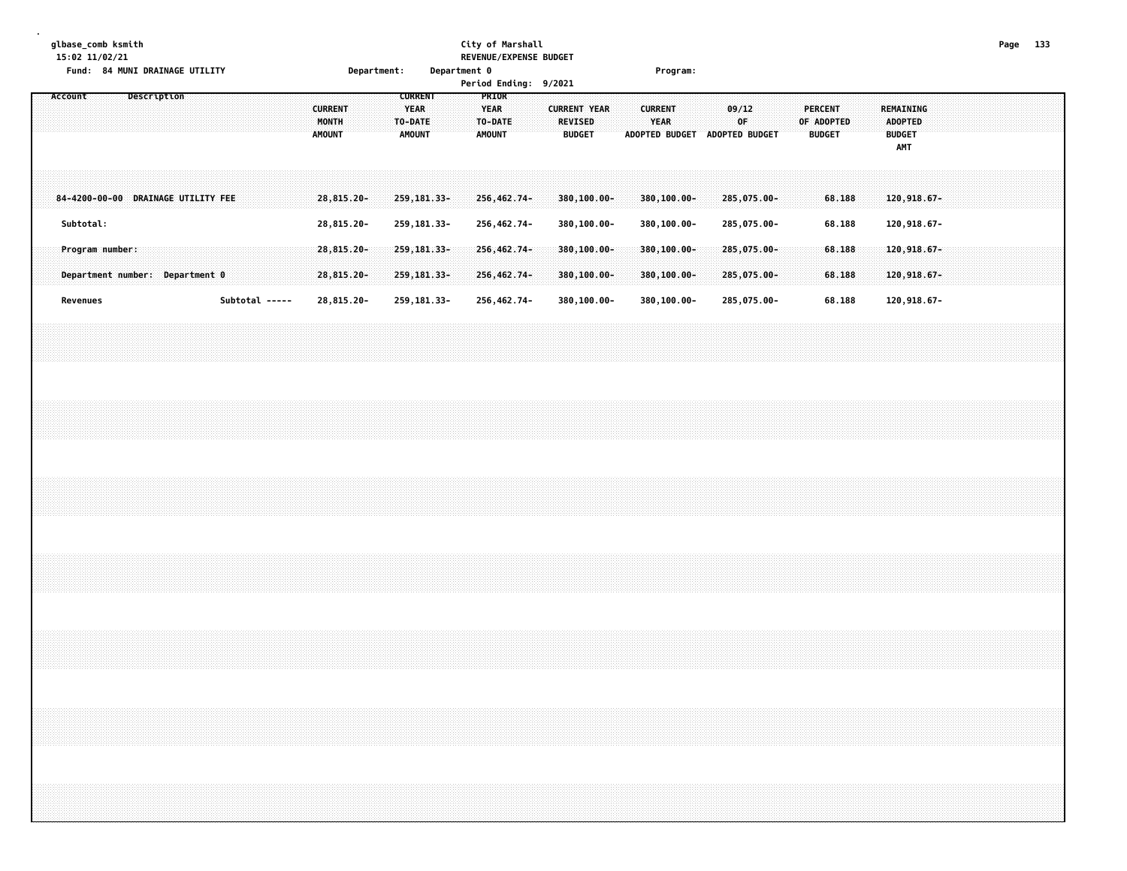#### **glbase\_comb ksmith City of Marshall Page 133 15:02 11/02/21 REVENUE/EXPENSE BUDGET**

|         |                 |  |             | Fund: 84 MUNI DRAINAGE UTILITY     |  |                |  |                                          | Department: |                                                           | Department 0 |                                         |       | Period Ending: 9/2021 |                          |                                |  |                        | Program:                       |  |             |                               |  |                                               |  |                                                     |                            |  |  |  |
|---------|-----------------|--|-------------|------------------------------------|--|----------------|--|------------------------------------------|-------------|-----------------------------------------------------------|--------------|-----------------------------------------|-------|-----------------------|--------------------------|--------------------------------|--|------------------------|--------------------------------|--|-------------|-------------------------------|--|-----------------------------------------------|--|-----------------------------------------------------|----------------------------|--|--|--|
| Account |                 |  | Description |                                    |  |                |  | <b>CURRENT</b><br>MONTH<br><b>AMOUNT</b> |             | <b>CURRENT</b><br><b>YEAR</b><br>TO-DATE<br><b>AMOUNT</b> |              | <b>YEAR</b><br>TO-DATE<br><b>AMOUNT</b> | PRIOR |                       | REVISED<br><b>BUDGET</b> | <b>CURRENT YEAR</b>            |  | <b>CURRENT</b><br>YEAR |                                |  | 09/12<br>OF | ADOPTED BUDGET ADOPTED BUDGET |  | <b>PERCENT</b><br>OF ADOPTED<br><b>BUDGET</b> |  | REMAINING<br>ADOPTED<br><b>BUDGET</b><br><b>AMT</b> |                            |  |  |  |
|         |                 |  |             | 84-4200-00-00 DRAINAGE UTILITY FEE |  |                |  | 28,815.20-                               |             | 259, 181.33-                                              |              | 256,462.74-                             |       |                       |                          | $380, 100.00 -$                |  |                        | 380,100.00-                    |  |             | 285,075.00-                   |  | 68.188                                        |  |                                                     | 120,918.67-                |  |  |  |
|         | Subtotal:       |  |             |                                    |  |                |  | 28,815.20-                               |             | 259, 181.33-                                              |              | 256,462.74-                             |       |                       |                          | 380,100.00-                    |  |                        | 380,100.00-                    |  |             | 285,075.00-                   |  | 68.188                                        |  |                                                     | 120,918.67-                |  |  |  |
|         | Program number: |  |             | Department number: Department 0    |  |                |  | $28,815.20 -$<br>28,815.20-              |             | $259, 181.33 -$<br>259, 181.33-                           |              | $256,462.74-$<br>256,462.74-            |       |                       |                          | $380, 100.00 -$<br>380,100.00- |  |                        | $380, 100.00 -$<br>380,100.00- |  |             | $285,075.00 -$<br>285,075.00- |  | 68.188<br>68.188                              |  |                                                     | 120,918.67-<br>120,918.67- |  |  |  |
|         | Revenues        |  |             |                                    |  | Subtotal ----- |  | 28,815.20-                               |             | 259, 181.33-                                              |              | 256,462.74-                             |       |                       |                          | 380,100.00-                    |  |                        | 380,100.00-                    |  |             | 285,075.00-                   |  | 68.188                                        |  |                                                     | 120,918.67-                |  |  |  |
|         |                 |  |             |                                    |  |                |  |                                          |             |                                                           |              |                                         |       |                       |                          |                                |  |                        |                                |  |             |                               |  |                                               |  |                                                     |                            |  |  |  |
|         |                 |  |             |                                    |  |                |  |                                          |             |                                                           |              |                                         |       |                       |                          |                                |  |                        |                                |  |             |                               |  |                                               |  |                                                     |                            |  |  |  |
|         |                 |  |             |                                    |  |                |  |                                          |             |                                                           |              |                                         |       |                       |                          |                                |  |                        |                                |  |             |                               |  |                                               |  |                                                     |                            |  |  |  |
|         |                 |  |             |                                    |  |                |  |                                          |             |                                                           |              |                                         |       |                       |                          |                                |  |                        |                                |  |             |                               |  |                                               |  |                                                     |                            |  |  |  |
|         |                 |  |             |                                    |  |                |  |                                          |             |                                                           |              |                                         |       |                       |                          |                                |  |                        |                                |  |             |                               |  |                                               |  |                                                     |                            |  |  |  |
|         |                 |  |             |                                    |  |                |  |                                          |             |                                                           |              |                                         |       |                       |                          |                                |  |                        |                                |  |             |                               |  |                                               |  |                                                     |                            |  |  |  |
|         |                 |  |             |                                    |  |                |  |                                          |             |                                                           |              |                                         |       |                       |                          |                                |  |                        |                                |  |             |                               |  |                                               |  |                                                     |                            |  |  |  |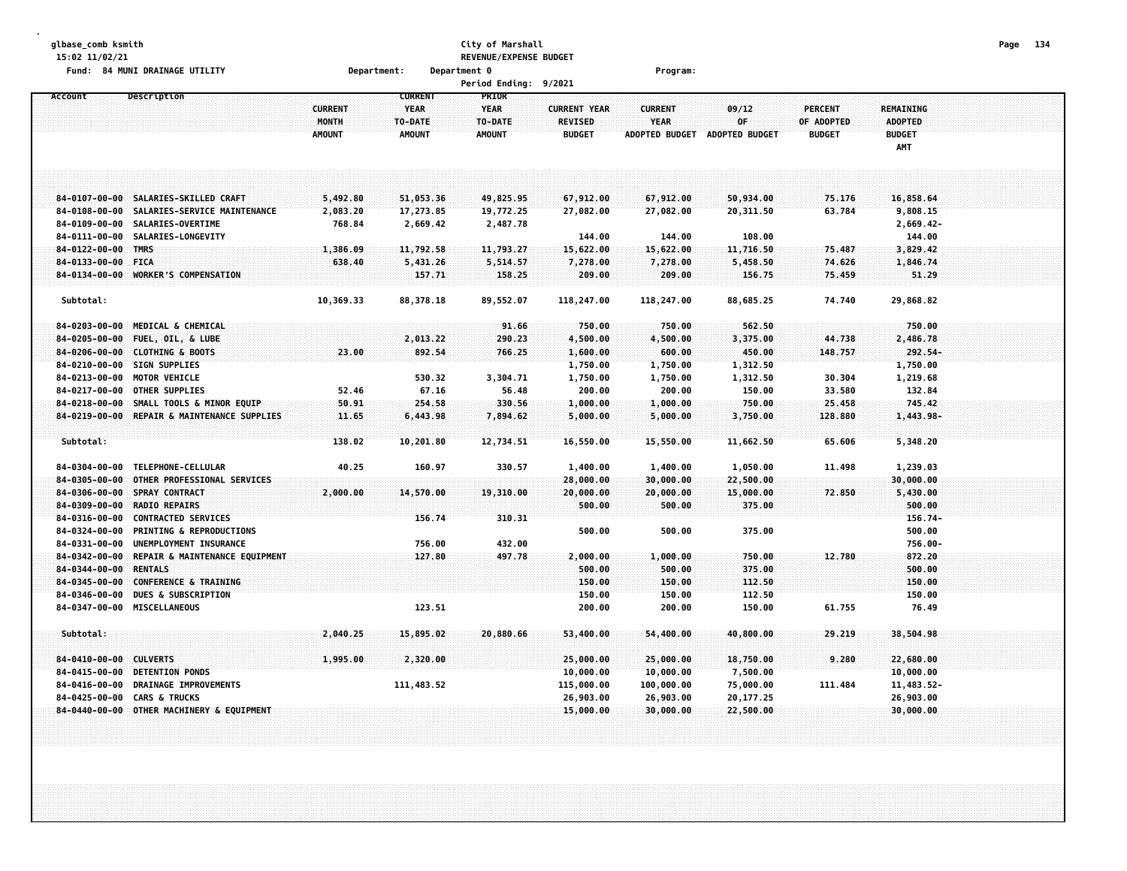| glbase_comb ksmith     |                                             |                |                | City of Marshall<br>REVENUE/EXPENSE BUDGET |                     |                |                       |                |                  | Page | - 134 |
|------------------------|---------------------------------------------|----------------|----------------|--------------------------------------------|---------------------|----------------|-----------------------|----------------|------------------|------|-------|
| 15:02 11/02/21         | Fund: 84 MUNI DRAINAGE UTILITY              | Department:    |                | Department 0                               |                     |                |                       |                |                  |      |       |
|                        |                                             |                |                | Period Ending: 9/2021                      |                     | Program:       |                       |                |                  |      |       |
| Account                | Description                                 |                | <b>CURRENT</b> | PRIOR                                      |                     |                |                       |                |                  |      |       |
|                        |                                             | <b>CURRENT</b> | <b>YEAR</b>    | <b>YEAR</b>                                | <b>CURRENT YEAR</b> | <b>CURRENT</b> | 09/12                 | <b>PERCENT</b> | <b>REMAINING</b> |      |       |
|                        |                                             | MONTH          | TO-DATE        | TO-DATE                                    | <b>REVISED</b>      | <b>YEAR</b>    | 0F                    | OF ADOPTED     | <b>ADOPTED</b>   |      |       |
|                        |                                             | <b>AMOUNT</b>  | <b>AMOUNT</b>  | <b>AMOUNT</b>                              | <b>BUDGET</b>       | ADOPTED BUDGET | <b>ADOPTED BUDGET</b> | <b>BUDGET</b>  | <b>BUDGET</b>    |      |       |
|                        |                                             |                |                |                                            |                     |                |                       |                | AMT              |      |       |
|                        |                                             |                |                |                                            |                     |                |                       |                |                  |      |       |
|                        |                                             |                |                |                                            |                     |                |                       |                |                  |      |       |
| $84 - 0107 - 00 - 00$  | SALARIES-SKILLED CRAFT                      | 5,492.80       | 51,053.36      | 49,825.95                                  | 67,912.00           | 67,912.00      | 50,934.00             | 75.176         | 16,858.64        |      |       |
| $84 - 0108 - 00 - 00$  | SALARIES-SERVICE MAINTENANCE                | 2,083.20       | 17,273.85      | 19,772.25                                  | 27,082.00           | 27,082.00      | 20,311.50             | 63.784         | 9,808.15         |      |       |
| 84-0109-00-00          | SALARIES-OVERTIME                           | 768.84         | 2,669.42       | 2,487.78                                   |                     |                |                       |                | $2,669.42-$      |      |       |
| 84-0111-00-00          | SALARIES-LONGEVITY                          |                |                |                                            | 144.00              | 144.00         | 108.00                |                | 144.00           |      |       |
| $84 - 0122 - 00 - 00$  | <b>TMRS</b>                                 | 1,386.09       | 11,792.58      | 11,793.27                                  | 15,622.00           | 15,622.00      | 11,716.50             | 75.487         | 3,829.42         |      |       |
| 84-0133-00-00          | <b>FICA</b>                                 | 638.40         | 5,431.26       | 5,514.57                                   | 7,278.00            | 7,278.00       | 5,458.50              | 74.626         | 1,846.74         |      |       |
| 84-0134-00-00          | <b>WORKER'S COMPENSATION</b>                |                | 157.71         | 158.25                                     | 209.00              | 209.00         | 156.75                | 75.459         | 51.29            |      |       |
|                        |                                             |                |                |                                            |                     |                |                       |                |                  |      |       |
| Subtotal:              |                                             | 10,369.33      | 88,378.18      | 89,552.07                                  | 118,247.00          | 118,247.00     | 88,685.25             | 74.740         | 29,868.82        |      |       |
|                        |                                             |                |                |                                            |                     |                |                       |                |                  |      |       |
| 84-0203-00-00          | MEDICAL & CHEMICAL                          |                |                | 91.66                                      | 750.00              | 750.00         | 562.50                |                | 750.00           |      |       |
| $84 - 0205 - 00 - 00$  | FUEL, OIL, & LUBE                           |                | 2,013.22       | 290.23                                     | 4,500.00            | 4,500.00       | 3,375.00              | 44.738         | 2,486.78         |      |       |
| $84 - 0206 - 00 - 00$  | <b>CLOTHING &amp; BOOTS</b>                 | 23.00          | 892.54         | 766.25                                     | 1,600.00            | 600.00         | 450.00                | 148.757        | 292.54-          |      |       |
| $84 - 0210 - 00 - 00$  | <b>SIGN SUPPLIES</b>                        |                |                |                                            | 1,750.00            | 1,750.00       | 1,312.50              |                | 1,750.00         |      |       |
| 84-0213-00-00          | <b>MOTOR VEHICLE</b>                        |                | 530.32         | 3,304.71                                   | 1,750.00            | 1,750.00       | 1,312.50              | 30.304         | 1,219.68         |      |       |
| 84-0217-00-00          | <b>OTHER SUPPLIES</b>                       | 52.46          | 67.16          | 56.48                                      | 200.00              | 200.00         | 150.00                | 33.580         | 132.84           |      |       |
| $84 - 0218 - 00 - 00$  | SMALL TOOLS & MINOR EQUIP                   | 50.91          | 254.58         | 330.56                                     | 1,000.00            | 1,000.00       | 750.00                | 25.458         | 745.42           |      |       |
|                        | 84-0219-00-00 REPAIR & MAINTENANCE SUPPLIES | 11.65          | 6,443.98       | 7,894.62                                   | 5,000.00            | 5,000.00       | 3,750.00              | 128.880        | 1,443.98-        |      |       |
| Subtotal:              |                                             | 138.02         | 10,201.80      | 12,734.51                                  | 16,550.00           | 15,550.00      | 11,662.50             | 65.606         | 5,348.20         |      |       |
|                        |                                             |                |                |                                            |                     |                |                       |                |                  |      |       |
| 84-0304-00-00          | TELEPHONE-CELLULAR                          | 40.25          | 160.97         | 330.57                                     | 1,400.00            | 1,400.00       | 1,050.00              | 11.498         | 1,239.03         |      |       |
| $84 - 0305 - 00 - 00$  | OTHER PROFESSIONAL SERVICES                 |                |                |                                            | 28,000.00           | 30,000.00      | 22,500.00             |                | 30,000.00        |      |       |
| $84 - 0306 - 00 - 00$  | <b>SPRAY CONTRACT</b>                       | 2,000.00       | 14,570.00      | 19,310.00                                  | 20,000.00           | 20,000.00      | 15,000.00             | 72.850         | 5,430.00         |      |       |
| 84-0309-00-00          | <b>RADIO REPAIRS</b>                        |                |                |                                            | 500.00              | 500.00         | 375.00                |                | 500.00           |      |       |
| $84 - 0316 - 00 - 00$  | <b>CONTRACTED SERVICES</b>                  |                | 156.74         | 310.31                                     |                     |                |                       |                | 156.74-          |      |       |
| 84-0324-00-00          | PRINTING & REPRODUCTIONS                    |                |                |                                            | 500.00              | 500.00         | 375.00                |                | 500.00           |      |       |
| 84-0331-00-00          | UNEMPLOYMENT INSURANCE                      |                | 756.00         | 432.00                                     |                     |                |                       |                | 756.00-          |      |       |
| $84 - 0342 - 00 - 00$  | REPAIR & MAINTENANCE EQUIPMENT              |                | 127.80         | 497.78                                     | 2,000.00            | 1,000.00       | 750.00                | 12.780         | 872.20           |      |       |
| 84-0344-00-00          | <b>RENTALS</b>                              |                |                |                                            | 500.00              | 500.00         | 375.00                |                | 500.00           |      |       |
| 84-0345-00-00          | CONFERENCE & TRAINING                       |                |                |                                            | 150.00              | 150.00         | 112.50                |                | 150.00           |      |       |
| 84-0346-00-00          | <b>DUES &amp; SUBSCRIPTION</b>              |                |                |                                            | 150.00              | 150.00         | 112.50                |                | 150.00           |      |       |
| 84-0347-00-00          | MISCELLANEOUS                               |                | 123.51         |                                            | 200.00              | 200.00         | 150.00                | 61.755         | 76.49            |      |       |
| Subtotal:              |                                             | 2,040.25       | 15,895.02      | 20,880.66                                  | 53,400.00           | 54,400.00      | 40,800.00             | 29.219         | 38,504.98        |      |       |
|                        |                                             |                |                |                                            |                     |                |                       |                |                  |      |       |
| 84-0410-00-00 CULVERTS |                                             | 1,995.00       | 2,320.00       |                                            | 25,000.00           | 25,000.00      | 18,750.00             | 9.280          | 22,680.00        |      |       |
| 84-0415-00-00          | <b>DETENTION PONDS</b>                      |                |                |                                            | 10,000.00           | 10,000.00      | 7,500.00              |                | 10,000.00        |      |       |
| 84-0416-00-00          | <b>DRAINAGE IMPROVEMENTS</b>                |                | 111,483.52     |                                            | 115,000.00          | 100,000.00     | 75,000.00             | 111.484        | 11,483.52-       |      |       |
| 84-0425-00-00          | <b>CARS &amp; TRUCKS</b>                    |                |                |                                            | 26,903.00           | 26,903.00      | 20,177.25             |                | 26,903.00        |      |       |
|                        | 84-0440-00-00 OTHER MACHINERY & EQUIPMENT   |                |                |                                            | 15,000.00           | 30,000.00      | 22,500.00             |                | 30,000.00        |      |       |
|                        |                                             |                |                |                                            |                     |                |                       |                |                  |      |       |
|                        |                                             |                |                |                                            |                     |                |                       |                |                  |      |       |
|                        |                                             |                |                |                                            |                     |                |                       |                |                  |      |       |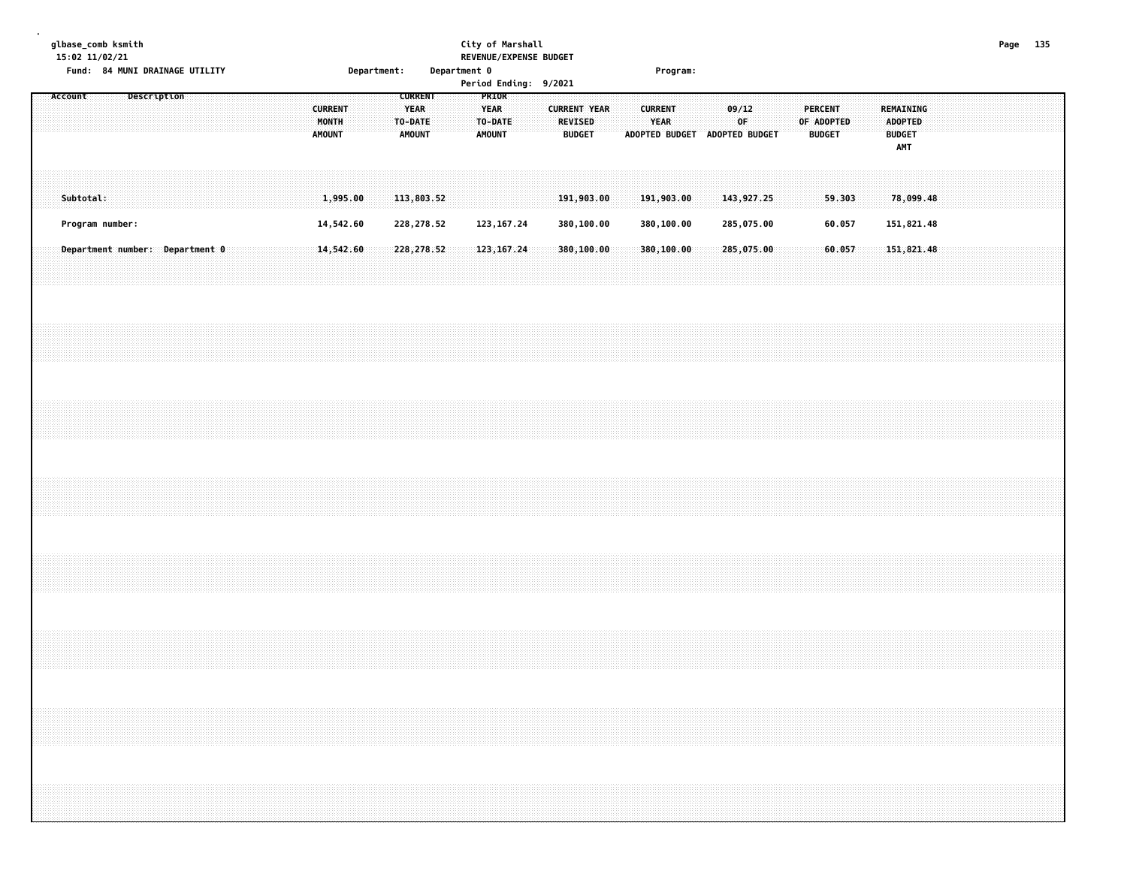|  |         | 15:02 11/02/21  | glbase_comb ksmith<br>Fund: 84 MUNI DRAINAGE UTILITY |             |  |  |  |                                          |                        | Department: |                                                           |  | Department 0 |                                                  | City of Marshall            | REVENUE/EXPENSE BUDGET<br>Period Ending: 9/2021 |                                       |               |  |                               | Program:                 |  |             |                               |  |                                 |                  |  |                                               |                          |  |  | Page 135 |  |
|--|---------|-----------------|------------------------------------------------------|-------------|--|--|--|------------------------------------------|------------------------|-------------|-----------------------------------------------------------|--|--------------|--------------------------------------------------|-----------------------------|-------------------------------------------------|---------------------------------------|---------------|--|-------------------------------|--------------------------|--|-------------|-------------------------------|--|---------------------------------|------------------|--|-----------------------------------------------|--------------------------|--|--|----------|--|
|  | Account |                 |                                                      | Description |  |  |  | <b>CURRENT</b><br>MONTH<br><b>AMOUNT</b> |                        |             | <b>CURRENT</b><br><b>YEAR</b><br>TO-DATE<br><b>AMOUNT</b> |  |              | PRIOR<br><b>YEAR</b><br>TO-DATE<br><b>AMOUNT</b> |                             |                                                 | <b>CURRENT YEAR</b><br><b>REVISED</b> | <b>BUDGET</b> |  | <b>CURRENT</b><br><b>YEAR</b> |                          |  | 09/12<br>0F | ADOPTED BUDGET ADOPTED BUDGET |  | <b>PERCENT</b><br><b>BUDGET</b> | OF ADOPTED       |  | <b>ADOPTED</b><br><b>BUDGET</b><br><b>AMT</b> | REMAINING                |  |  |          |  |
|  |         | Subtotal:       |                                                      |             |  |  |  |                                          | 1,995.00               |             | 113,803.52                                                |  |              |                                                  |                             |                                                 | 191,903.00                            |               |  |                               | 191,903.00               |  |             | 143,927.25                    |  |                                 | 59.303           |  |                                               | 78,099.48                |  |  |          |  |
|  |         | Program number: | Department number: Department 0                      |             |  |  |  |                                          | 14,542.60<br>14,542.60 |             | 228,278.52<br>228,278.52                                  |  |              |                                                  | 123, 167.24<br>123, 167. 24 |                                                 | 380,100.00<br>380,100.00              |               |  |                               | 380,100.00<br>380,100.00 |  |             | 285,075.00<br>285,075.00      |  |                                 | 60.057<br>60.057 |  |                                               | 151,821.48<br>151,821.48 |  |  |          |  |
|  |         |                 |                                                      |             |  |  |  |                                          |                        |             |                                                           |  |              |                                                  |                             |                                                 |                                       |               |  |                               |                          |  |             |                               |  |                                 |                  |  |                                               |                          |  |  |          |  |
|  |         |                 |                                                      |             |  |  |  |                                          |                        |             |                                                           |  |              |                                                  |                             |                                                 |                                       |               |  |                               |                          |  |             |                               |  |                                 |                  |  |                                               |                          |  |  |          |  |
|  |         |                 |                                                      |             |  |  |  |                                          |                        |             |                                                           |  |              |                                                  |                             |                                                 |                                       |               |  |                               |                          |  |             |                               |  |                                 |                  |  |                                               |                          |  |  |          |  |
|  |         |                 |                                                      |             |  |  |  |                                          |                        |             |                                                           |  |              |                                                  |                             |                                                 |                                       |               |  |                               |                          |  |             |                               |  |                                 |                  |  |                                               |                          |  |  |          |  |
|  |         |                 |                                                      |             |  |  |  |                                          |                        |             |                                                           |  |              |                                                  |                             |                                                 |                                       |               |  |                               |                          |  |             |                               |  |                                 |                  |  |                                               |                          |  |  |          |  |
|  |         |                 |                                                      |             |  |  |  |                                          |                        |             |                                                           |  |              |                                                  |                             |                                                 |                                       |               |  |                               |                          |  |             |                               |  |                                 |                  |  |                                               |                          |  |  |          |  |
|  |         |                 |                                                      |             |  |  |  |                                          |                        |             |                                                           |  |              |                                                  |                             |                                                 |                                       |               |  |                               |                          |  |             |                               |  |                                 |                  |  |                                               |                          |  |  |          |  |
|  |         |                 |                                                      |             |  |  |  |                                          |                        |             |                                                           |  |              |                                                  |                             |                                                 |                                       |               |  |                               |                          |  |             |                               |  |                                 |                  |  |                                               |                          |  |  |          |  |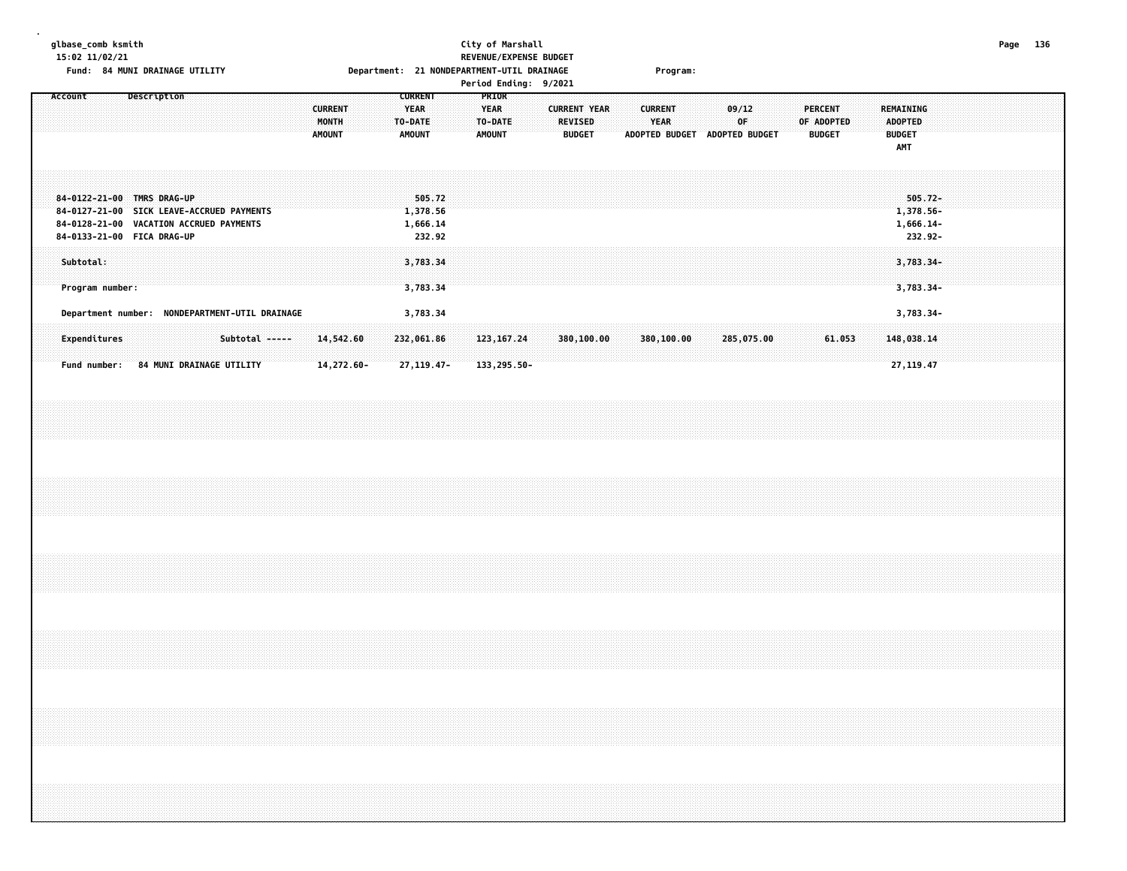### **glbase\_comb ksmith City of Marshall Page 136 15:02 11/02/21 REVENUE/EXPENSE BUDGET Fund: 84 MUNI DRAINAGE UTILITY Department: 21 NONDEPARTMENT-UTIL DRAINAGE Program:**

|                                                                                                                                                  |                                                                                                        | Period Ending: 9/2021                                                                                                                               |                                                                                                      |
|--------------------------------------------------------------------------------------------------------------------------------------------------|--------------------------------------------------------------------------------------------------------|-----------------------------------------------------------------------------------------------------------------------------------------------------|------------------------------------------------------------------------------------------------------|
| Description<br>Account<br><b>CURRENT</b><br>MONTH<br>AMOUNT                                                                                      | <b>PRIOR</b><br><b>CURRENT</b><br>YEAR<br><b>YEAR</b><br>TO-DATE<br>TO-DATE<br><b>AMOUNT</b><br>AMOUNT | <b>CURRENT YEAR</b><br><b>CURRENT</b><br>09/12<br><b>REVISED</b><br><b>YEAR</b><br>∶0F.<br><b>ADOPTED BUDGET</b><br>ADOPTED BUDGET<br><b>BUDGET</b> | PERCENT<br><b>REMAINING</b><br>OF ADOPTED<br><b>ADOPTED</b><br><b>BUDGET</b><br><b>BUDGET</b><br>AMT |
| 84-0122-21-00 TMRS DRAG-UP<br>84-0127-21-00 SICK LEAVE-ACCRUED PAYMENTS<br>84-0128-21-00 VACATION ACCRUED PAYMENTS<br>84-0133-21-00 FICA DRAG-UP | 505.72<br>1,378.56<br>1,666.14<br>232.92                                                               |                                                                                                                                                     | $505.72 -$<br>1,378.56-<br>1,666.14-<br>232.92-                                                      |
| Subtotal:<br>Program number:                                                                                                                     | 3,783.34<br>3,783.34                                                                                   |                                                                                                                                                     | $3,783.34-$<br>$3,783.34-$                                                                           |
| Department number: NONDEPARTMENT-UTIL DRAINAGE<br>Expenditures<br>Subtotal -----<br>14,542.60                                                    | 3,783.34<br>232,061.86<br>123, 167. 24                                                                 | 380,100.00<br>380,100.00<br>285,075.00                                                                                                              | 3,783.34-<br>61.053<br>148,038.14                                                                    |

 **Fund number: 84 MUNI DRAINAGE UTILITY 14,272.60- 27,119.47- 133,295.50- 27,119.47**

| rade |  |
|------|--|
|      |  |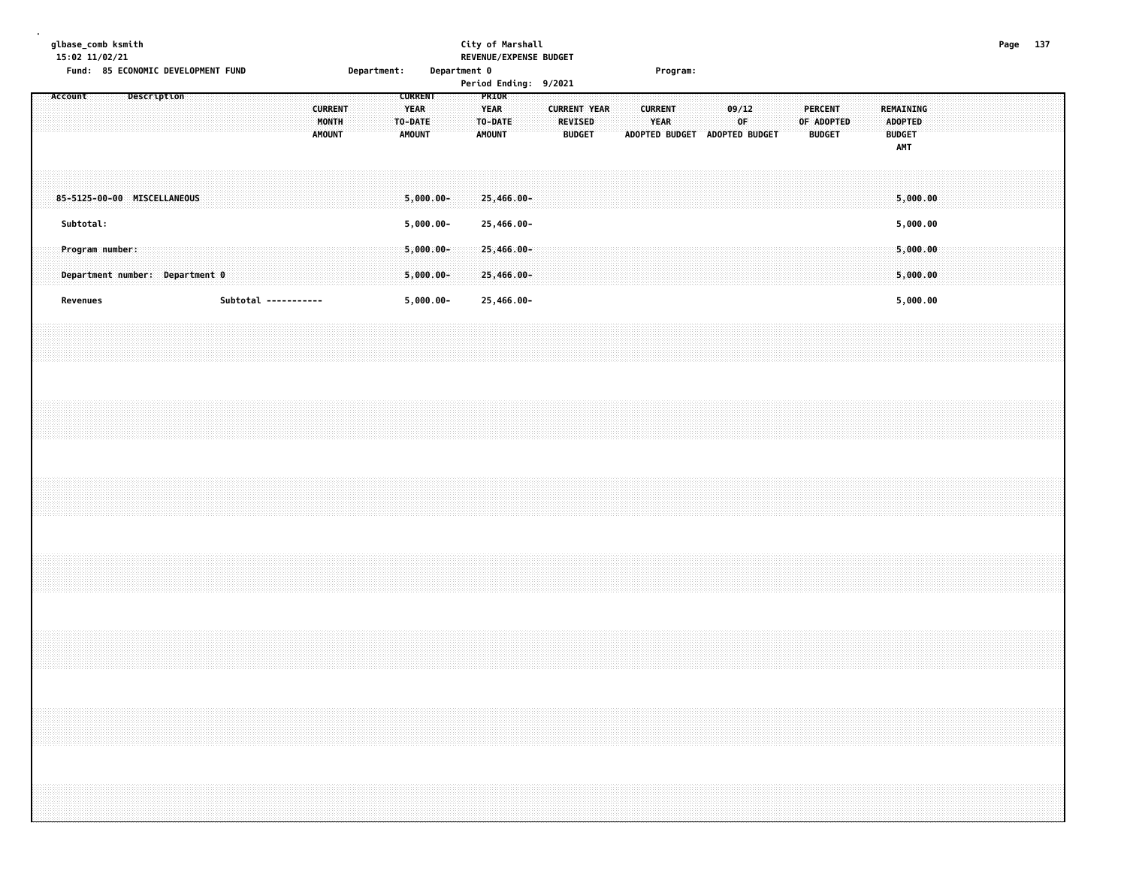| glbase_comb ksmith |  |
|--------------------|--|
|--------------------|--|

### **glbase\_comb ksmith City of Marshall Page 137 15:02 11/02/21 REVENUE/EXPENSE BUDGET**

|         |           | Fund: 85 ECONOMIC DEVELOPMENT FUND                 |             |  |  |                      |                                          | <b>Department:</b> |                                                           | Department 0 |                              | Period Ending: 9/2021    |  |                                                        |  |                |             | Program:                      |       |    |  |                                 |            |  |                                               |                      |  |  |  |
|---------|-----------|----------------------------------------------------|-------------|--|--|----------------------|------------------------------------------|--------------------|-----------------------------------------------------------|--------------|------------------------------|--------------------------|--|--------------------------------------------------------|--|----------------|-------------|-------------------------------|-------|----|--|---------------------------------|------------|--|-----------------------------------------------|----------------------|--|--|--|
| Account |           |                                                    | Description |  |  |                      | <b>CURRENT</b><br>MONTH<br><b>AMOUNT</b> |                    | <b>CURRENT</b><br><b>YEAR</b><br>TO-DATE<br><b>AMOUNT</b> |              | <b>YEAR</b><br><b>AMOUNT</b> | PRIOR<br>TO-DATE         |  | <b>CURRENT YEAR</b><br><b>REVISED</b><br><b>BUDGET</b> |  | <b>CURRENT</b> | <b>YEAR</b> | ADOPTED BUDGET ADOPTED BUDGET | 09/12 | 0F |  | <b>PERCENT</b><br><b>BUDGET</b> | OF ADOPTED |  | <b>ADOPTED</b><br><b>BUDGET</b><br><b>AMT</b> | <b>REMAINING</b>     |  |  |  |
|         | Subtotal: | 85-5125-00-00 MISCELLANEOUS                        |             |  |  |                      |                                          |                    | $5,000.00 -$<br>$5,000.00-$                               |              |                              | 25,466.00-<br>25,466.00- |  |                                                        |  |                |             |                               |       |    |  |                                 |            |  |                                               | 5,000.00<br>5,000.00 |  |  |  |
|         |           | Program number:<br>Department number: Department 0 |             |  |  |                      |                                          |                    | $5,000.00 -$<br>$5,000.00 -$                              |              |                              | 25,466.00-<br>25,466.00- |  |                                                        |  |                |             |                               |       |    |  |                                 |            |  |                                               | 5,000.00<br>5,000.00 |  |  |  |
|         | Revenues  |                                                    |             |  |  | Subtotal ----------- |                                          |                    | $5,000.00-$                                               |              |                              | 25,466.00-               |  |                                                        |  |                |             |                               |       |    |  |                                 |            |  |                                               | 5,000.00             |  |  |  |
|         |           |                                                    |             |  |  |                      |                                          |                    |                                                           |              |                              |                          |  |                                                        |  |                |             |                               |       |    |  |                                 |            |  |                                               |                      |  |  |  |
|         |           |                                                    |             |  |  |                      |                                          |                    |                                                           |              |                              |                          |  |                                                        |  |                |             |                               |       |    |  |                                 |            |  |                                               |                      |  |  |  |
|         |           |                                                    |             |  |  |                      |                                          |                    |                                                           |              |                              |                          |  |                                                        |  |                |             |                               |       |    |  |                                 |            |  |                                               |                      |  |  |  |
|         |           |                                                    |             |  |  |                      |                                          |                    |                                                           |              |                              |                          |  |                                                        |  |                |             |                               |       |    |  |                                 |            |  |                                               |                      |  |  |  |
|         |           |                                                    |             |  |  |                      |                                          |                    |                                                           |              |                              |                          |  |                                                        |  |                |             |                               |       |    |  |                                 |            |  |                                               |                      |  |  |  |
|         |           |                                                    |             |  |  |                      |                                          |                    |                                                           |              |                              |                          |  |                                                        |  |                |             |                               |       |    |  |                                 |            |  |                                               |                      |  |  |  |